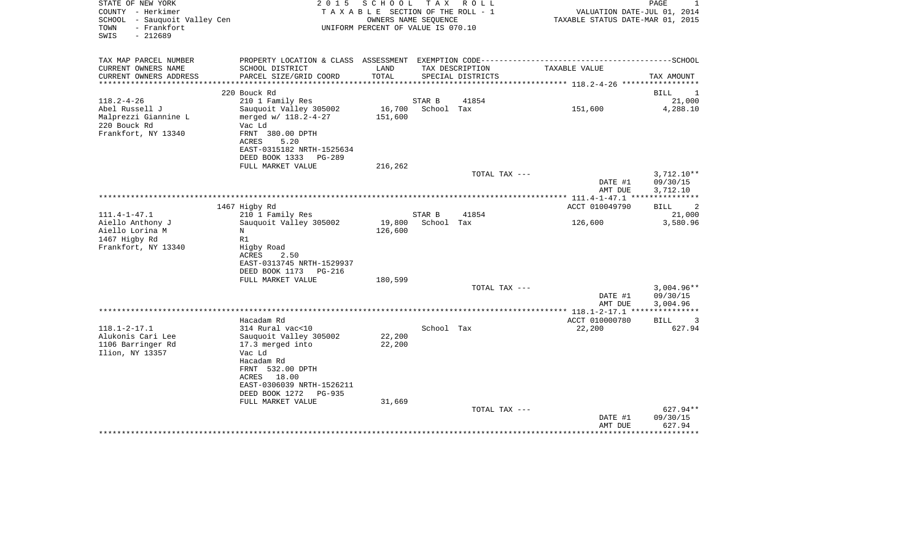| STATE OF NEW YORK                                   | 2 0 1 5                                                                     | SCHOOL TAX ROLL                                            |            |                   |                                  | $\mathbf{1}$<br>PAGE               |
|-----------------------------------------------------|-----------------------------------------------------------------------------|------------------------------------------------------------|------------|-------------------|----------------------------------|------------------------------------|
| COUNTY - Herkimer                                   |                                                                             | TAXABLE SECTION OF THE ROLL - 1                            |            |                   | VALUATION DATE-JUL 01, 2014      |                                    |
| SCHOOL - Sauquoit Valley Cen<br>TOWN<br>- Frankfort |                                                                             | OWNERS NAME SEQUENCE<br>UNIFORM PERCENT OF VALUE IS 070.10 |            |                   | TAXABLE STATUS DATE-MAR 01, 2015 |                                    |
| $-212689$<br>SWIS                                   |                                                                             |                                                            |            |                   |                                  |                                    |
|                                                     |                                                                             |                                                            |            |                   |                                  |                                    |
|                                                     |                                                                             |                                                            |            |                   |                                  |                                    |
| TAX MAP PARCEL NUMBER                               | PROPERTY LOCATION & CLASS ASSESSMENT EXEMPTION CODE------------------------ |                                                            |            |                   |                                  | ----------------SCHOOL             |
| CURRENT OWNERS NAME                                 | SCHOOL DISTRICT                                                             | LAND                                                       |            | TAX DESCRIPTION   | TAXABLE VALUE                    |                                    |
| CURRENT OWNERS ADDRESS                              | PARCEL SIZE/GRID COORD                                                      | TOTAL                                                      |            | SPECIAL DISTRICTS |                                  | TAX AMOUNT                         |
|                                                     |                                                                             |                                                            |            |                   |                                  |                                    |
|                                                     | 220 Bouck Rd                                                                |                                                            |            |                   |                                  | BILL<br>$\mathbf{1}$               |
| $118.2 - 4 - 26$                                    | 210 1 Family Res                                                            |                                                            | STAR B     | 41854             |                                  | 21,000                             |
| Abel Russell J                                      | Sauquoit Valley 305002                                                      | 16,700                                                     | School Tax |                   | 151,600                          | 4,288.10                           |
| Malprezzi Giannine L<br>220 Bouck Rd                | merged w/ 118.2-4-27<br>Vac Ld                                              | 151,600                                                    |            |                   |                                  |                                    |
| Frankfort, NY 13340                                 | FRNT 380.00 DPTH                                                            |                                                            |            |                   |                                  |                                    |
|                                                     | 5.20<br>ACRES                                                               |                                                            |            |                   |                                  |                                    |
|                                                     | EAST-0315182 NRTH-1525634                                                   |                                                            |            |                   |                                  |                                    |
|                                                     | DEED BOOK 1333 PG-289                                                       |                                                            |            |                   |                                  |                                    |
|                                                     | FULL MARKET VALUE                                                           | 216,262                                                    |            |                   |                                  |                                    |
|                                                     |                                                                             |                                                            |            | TOTAL TAX ---     |                                  | $3,712.10**$                       |
|                                                     |                                                                             |                                                            |            |                   | DATE #1                          | 09/30/15                           |
|                                                     |                                                                             |                                                            |            |                   | AMT DUE                          | 3,712.10                           |
|                                                     |                                                                             |                                                            |            |                   |                                  |                                    |
|                                                     | 1467 Higby Rd                                                               |                                                            |            |                   | ACCT 010049790                   | BILL<br>$\overline{\phantom{a}}^2$ |
| 111.4-1-47.1                                        | 210 1 Family Res                                                            |                                                            | STAR B     | 41854             |                                  | 21,000                             |
| Aiello Anthony J                                    | Sauquoit Valley 305002                                                      | 19,800                                                     | School Tax |                   | 126,600                          | 3,580.96                           |
| Aiello Lorina M                                     | N                                                                           | 126,600                                                    |            |                   |                                  |                                    |
| 1467 Higby Rd                                       | R1                                                                          |                                                            |            |                   |                                  |                                    |
| Frankfort, NY 13340                                 | Higby Road                                                                  |                                                            |            |                   |                                  |                                    |
|                                                     | ACRES<br>2.50                                                               |                                                            |            |                   |                                  |                                    |
|                                                     | EAST-0313745 NRTH-1529937                                                   |                                                            |            |                   |                                  |                                    |
|                                                     | DEED BOOK 1173<br>PG-216                                                    |                                                            |            |                   |                                  |                                    |
|                                                     | FULL MARKET VALUE                                                           | 180,599                                                    |            | TOTAL TAX ---     |                                  | $3,004.96**$                       |
|                                                     |                                                                             |                                                            |            |                   | DATE #1                          | 09/30/15                           |
|                                                     |                                                                             |                                                            |            |                   | AMT DUE                          | 3,004.96                           |
|                                                     |                                                                             |                                                            |            |                   |                                  |                                    |
|                                                     | Hacadam Rd                                                                  |                                                            |            |                   | ACCT 010000780                   | BILL<br>$\overline{\phantom{a}}$   |
| 118.1-2-17.1                                        | 314 Rural vac<10                                                            |                                                            | School Tax |                   | 22,200                           | 627.94                             |
| Alukonis Cari Lee                                   | Sauquoit Valley 305002                                                      | 22,200                                                     |            |                   |                                  |                                    |
| 1106 Barringer Rd                                   | 17.3 merged into                                                            | 22,200                                                     |            |                   |                                  |                                    |
| Ilion, NY 13357                                     | Vac Ld                                                                      |                                                            |            |                   |                                  |                                    |
|                                                     | Hacadam Rd                                                                  |                                                            |            |                   |                                  |                                    |
|                                                     | FRNT 532.00 DPTH                                                            |                                                            |            |                   |                                  |                                    |
|                                                     | 18.00<br>ACRES                                                              |                                                            |            |                   |                                  |                                    |
|                                                     | EAST-0306039 NRTH-1526211                                                   |                                                            |            |                   |                                  |                                    |
|                                                     | DEED BOOK 1272<br>PG-935                                                    |                                                            |            |                   |                                  |                                    |
|                                                     | FULL MARKET VALUE                                                           | 31,669                                                     |            |                   |                                  |                                    |
|                                                     |                                                                             |                                                            |            | TOTAL TAX ---     |                                  | 627.94**                           |
|                                                     |                                                                             |                                                            |            |                   | DATE #1                          | 09/30/15                           |
|                                                     |                                                                             |                                                            |            |                   | AMT DUE                          | 627.94                             |
|                                                     |                                                                             |                                                            |            |                   |                                  |                                    |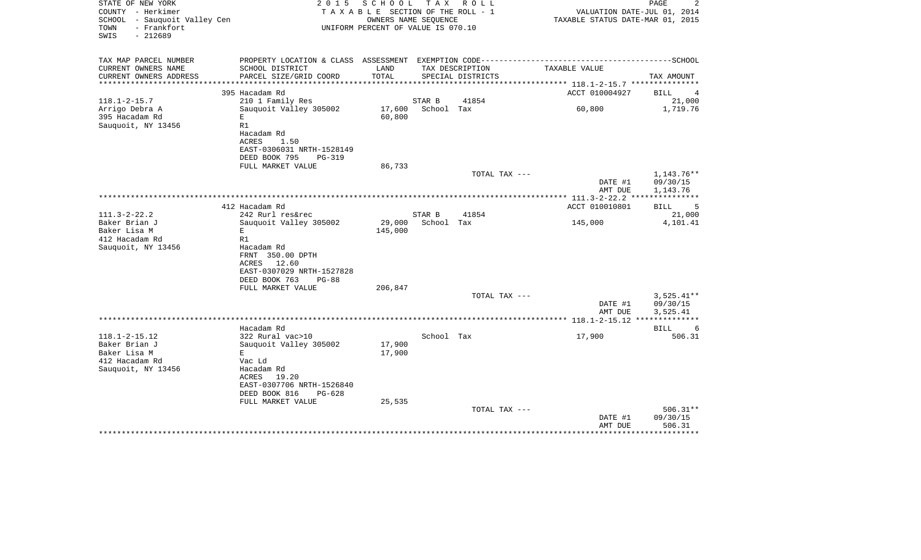| STATE OF NEW YORK<br>COUNTY - Herkimer<br>SCHOOL - Sauquoit Valley Cen<br>- Frankfort<br>TOWN<br>SWIS<br>$-212689$ | 2 0 1 5                                                                 | S C H O O L<br>TAXABLE SECTION OF THE ROLL - 1<br>OWNERS NAME SEQUENCE<br>UNIFORM PERCENT OF VALUE IS 070.10 |            | TAX ROLL          | VALUATION DATE-JUL 01, 2014<br>TAXABLE STATUS DATE-MAR 01, 2015 | PAGE<br>2               |
|--------------------------------------------------------------------------------------------------------------------|-------------------------------------------------------------------------|--------------------------------------------------------------------------------------------------------------|------------|-------------------|-----------------------------------------------------------------|-------------------------|
| TAX MAP PARCEL NUMBER                                                                                              | PROPERTY LOCATION & CLASS ASSESSMENT EXEMPTION CODE-------------------- |                                                                                                              |            |                   |                                                                 | -----------------SCHOOL |
| CURRENT OWNERS NAME                                                                                                | SCHOOL DISTRICT                                                         | LAND                                                                                                         |            | TAX DESCRIPTION   | TAXABLE VALUE                                                   |                         |
| CURRENT OWNERS ADDRESS<br>********************                                                                     | PARCEL SIZE/GRID COORD                                                  | TOTAL                                                                                                        |            | SPECIAL DISTRICTS |                                                                 | TAX AMOUNT              |
|                                                                                                                    | 395 Hacadam Rd                                                          |                                                                                                              |            |                   | ACCT 010004927                                                  | BILL<br>4               |
| $118.1 - 2 - 15.7$                                                                                                 | 210 1 Family Res                                                        |                                                                                                              | STAR B     | 41854             |                                                                 | 21,000                  |
| Arrigo Debra A                                                                                                     | Sauquoit Valley 305002                                                  | 17,600                                                                                                       | School Tax |                   | 60,800                                                          | 1,719.76                |
| 395 Hacadam Rd                                                                                                     | Е                                                                       | 60,800                                                                                                       |            |                   |                                                                 |                         |
| Sauquoit, NY 13456                                                                                                 | R1                                                                      |                                                                                                              |            |                   |                                                                 |                         |
|                                                                                                                    | Hacadam Rd                                                              |                                                                                                              |            |                   |                                                                 |                         |
|                                                                                                                    | ACRES<br>1.50                                                           |                                                                                                              |            |                   |                                                                 |                         |
|                                                                                                                    | EAST-0306031 NRTH-1528149                                               |                                                                                                              |            |                   |                                                                 |                         |
|                                                                                                                    | DEED BOOK 795<br><b>PG-319</b><br>FULL MARKET VALUE                     | 86,733                                                                                                       |            |                   |                                                                 |                         |
|                                                                                                                    |                                                                         |                                                                                                              |            | TOTAL TAX ---     |                                                                 | 1,143.76**              |
|                                                                                                                    |                                                                         |                                                                                                              |            |                   | DATE #1                                                         | 09/30/15                |
|                                                                                                                    |                                                                         |                                                                                                              |            |                   | AMT DUE                                                         | 1,143.76                |
|                                                                                                                    |                                                                         |                                                                                                              |            |                   |                                                                 |                         |
|                                                                                                                    | 412 Hacadam Rd                                                          |                                                                                                              |            |                   | ACCT 010010801                                                  | 5<br>BILL               |
| $111.3 - 2 - 22.2$                                                                                                 | 242 Rurl res&rec                                                        |                                                                                                              | STAR B     | 41854             |                                                                 | 21,000                  |
| Baker Brian J<br>Baker Lisa M                                                                                      | Sauquoit Valley 305002<br>Е                                             | 29,000<br>145,000                                                                                            | School Tax |                   | 145,000                                                         | 4,101.41                |
| 412 Hacadam Rd                                                                                                     | R1                                                                      |                                                                                                              |            |                   |                                                                 |                         |
| Sauquoit, NY 13456                                                                                                 | Hacadam Rd                                                              |                                                                                                              |            |                   |                                                                 |                         |
|                                                                                                                    | FRNT 350.00 DPTH                                                        |                                                                                                              |            |                   |                                                                 |                         |
|                                                                                                                    | ACRES 12.60                                                             |                                                                                                              |            |                   |                                                                 |                         |
|                                                                                                                    | EAST-0307029 NRTH-1527828                                               |                                                                                                              |            |                   |                                                                 |                         |
|                                                                                                                    | DEED BOOK 763<br>$PG-88$                                                |                                                                                                              |            |                   |                                                                 |                         |
|                                                                                                                    | FULL MARKET VALUE                                                       | 206,847                                                                                                      |            | TOTAL TAX ---     |                                                                 | $3,525.41**$            |
|                                                                                                                    |                                                                         |                                                                                                              |            |                   | DATE #1                                                         | 09/30/15                |
|                                                                                                                    |                                                                         |                                                                                                              |            |                   | AMT DUE                                                         | 3,525.41                |
|                                                                                                                    |                                                                         |                                                                                                              |            |                   |                                                                 | ***********             |
|                                                                                                                    | Hacadam Rd                                                              |                                                                                                              |            |                   |                                                                 | BILL<br>6               |
| $118.1 - 2 - 15.12$                                                                                                | 322 Rural vac>10                                                        |                                                                                                              | School Tax |                   | 17,900                                                          | 506.31                  |
| Baker Brian J                                                                                                      | Sauquoit Valley 305002                                                  | 17,900                                                                                                       |            |                   |                                                                 |                         |
| Baker Lisa M                                                                                                       | E<br>Vac Ld                                                             | 17,900                                                                                                       |            |                   |                                                                 |                         |
| 412 Hacadam Rd<br>Sauquoit, NY 13456                                                                               | Hacadam Rd                                                              |                                                                                                              |            |                   |                                                                 |                         |
|                                                                                                                    | ACRES<br>19.20                                                          |                                                                                                              |            |                   |                                                                 |                         |
|                                                                                                                    | EAST-0307706 NRTH-1526840                                               |                                                                                                              |            |                   |                                                                 |                         |
|                                                                                                                    | DEED BOOK 816<br>$PG-628$                                               |                                                                                                              |            |                   |                                                                 |                         |
|                                                                                                                    | FULL MARKET VALUE                                                       | 25,535                                                                                                       |            |                   |                                                                 |                         |
|                                                                                                                    |                                                                         |                                                                                                              |            | TOTAL TAX ---     |                                                                 | $506.31**$              |
|                                                                                                                    |                                                                         |                                                                                                              |            |                   | DATE #1<br>AMT DUE                                              | 09/30/15<br>506.31      |
|                                                                                                                    |                                                                         |                                                                                                              |            |                   |                                                                 |                         |
|                                                                                                                    |                                                                         |                                                                                                              |            |                   |                                                                 |                         |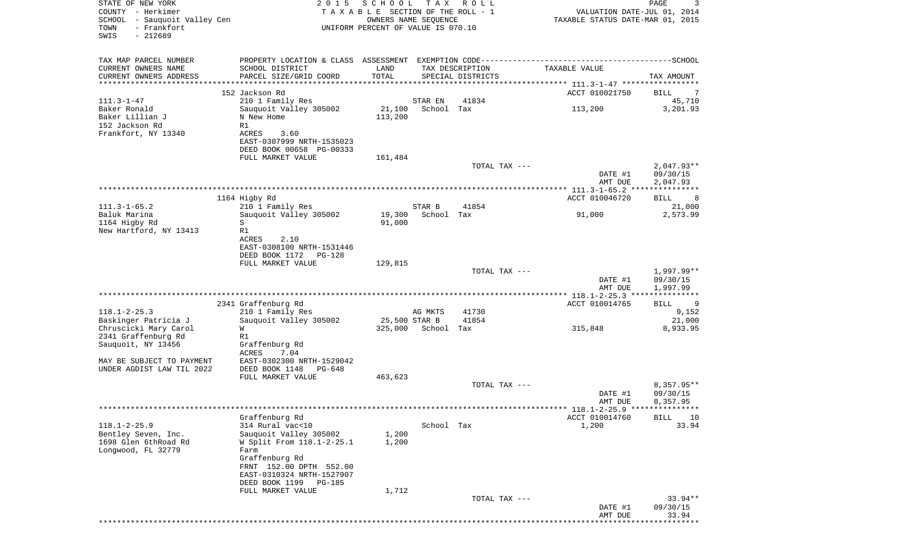| STATE OF NEW YORK<br>COUNTY - Herkimer<br>SCHOOL - Sauquoit Valley Cen | 2 0 1 5                                                                                                         | SCHOOL<br>TAXABLE SECTION OF THE ROLL - 1<br>OWNERS NAME SEQUENCE | T A X                 | R O L L           | VALUATION DATE-JUL 01, 2014<br>TAXABLE STATUS DATE-MAR 01, 2015 | 3<br>PAGE                          |
|------------------------------------------------------------------------|-----------------------------------------------------------------------------------------------------------------|-------------------------------------------------------------------|-----------------------|-------------------|-----------------------------------------------------------------|------------------------------------|
| - Frankfort<br>TOWN<br>$-212689$<br>SWIS                               |                                                                                                                 | UNIFORM PERCENT OF VALUE IS 070.10                                |                       |                   |                                                                 |                                    |
| TAX MAP PARCEL NUMBER<br>CURRENT OWNERS NAME                           | PROPERTY LOCATION & CLASS ASSESSMENT EXEMPTION CODE-----------------------------------SCHOOL<br>SCHOOL DISTRICT | LAND                                                              |                       | TAX DESCRIPTION   | TAXABLE VALUE                                                   |                                    |
| CURRENT OWNERS ADDRESS<br>*********************                        | PARCEL SIZE/GRID COORD                                                                                          | TOTAL                                                             |                       | SPECIAL DISTRICTS |                                                                 | TAX AMOUNT                         |
|                                                                        | 152 Jackson Rd                                                                                                  |                                                                   |                       |                   | ACCT 010021750                                                  | BILL                               |
| $111.3 - 1 - 47$<br>Baker Ronald                                       | 210 1 Family Res<br>Sauquoit Valley 305002                                                                      | 21,100                                                            | STAR EN<br>School Tax | 41834             |                                                                 | 45,710                             |
| Baker Lillian J                                                        | N New Home                                                                                                      | 113,200                                                           |                       |                   | 113,200                                                         | 3,201.93                           |
| 152 Jackson Rd                                                         | R1                                                                                                              |                                                                   |                       |                   |                                                                 |                                    |
| Frankfort, NY 13340                                                    | ACRES<br>3.60<br>EAST-0307999 NRTH-1535023                                                                      |                                                                   |                       |                   |                                                                 |                                    |
|                                                                        | DEED BOOK 00658 PG-00333                                                                                        |                                                                   |                       |                   |                                                                 |                                    |
|                                                                        | FULL MARKET VALUE                                                                                               | 161,484                                                           |                       |                   |                                                                 |                                    |
|                                                                        |                                                                                                                 |                                                                   |                       | TOTAL TAX ---     | DATE #1                                                         | $2,047.93**$<br>09/30/15           |
|                                                                        |                                                                                                                 |                                                                   |                       |                   | AMT DUE                                                         | 2,047.93                           |
|                                                                        |                                                                                                                 |                                                                   |                       |                   |                                                                 | * * * * * * * * * * *              |
| $111.3 - 1 - 65.2$                                                     | 1164 Higby Rd<br>210 1 Family Res                                                                               |                                                                   | STAR B                | 41854             | ACCT 010046720                                                  | BILL<br>8<br>21,000                |
| Baluk Marina                                                           | Sauguoit Valley 305002                                                                                          | 19,300                                                            | School Tax            |                   | 91,000                                                          | 2,573.99                           |
| 1164 Higby Rd                                                          | S                                                                                                               | 91,000                                                            |                       |                   |                                                                 |                                    |
| New Hartford, NY 13413                                                 | R1                                                                                                              |                                                                   |                       |                   |                                                                 |                                    |
|                                                                        | ACRES<br>2.10<br>EAST-0308100 NRTH-1531446                                                                      |                                                                   |                       |                   |                                                                 |                                    |
|                                                                        | DEED BOOK 1172<br>PG-128                                                                                        |                                                                   |                       |                   |                                                                 |                                    |
|                                                                        | FULL MARKET VALUE                                                                                               | 129,815                                                           |                       |                   |                                                                 |                                    |
|                                                                        |                                                                                                                 |                                                                   |                       | TOTAL TAX ---     | DATE #1<br>AMT DUE                                              | 1,997.99**<br>09/30/15<br>1,997.99 |
|                                                                        |                                                                                                                 |                                                                   |                       |                   |                                                                 | * * * * * * * * * * *              |
| $118.1 - 2 - 25.3$                                                     | 2341 Graffenburg Rd<br>210 1 Family Res                                                                         |                                                                   | AG MKTS               | 41730             | ACCT 010014765                                                  | BILL<br>9<br>9,152                 |
| Baskinger Patricia J                                                   | Sauquoit Valley 305002                                                                                          | 25,500 STAR B                                                     |                       | 41854             |                                                                 | 21,000                             |
| Chruscicki Mary Carol                                                  | W                                                                                                               | 325,000                                                           | School Tax            |                   | 315,848                                                         | 8,933.95                           |
| 2341 Graffenburg Rd                                                    | R1                                                                                                              |                                                                   |                       |                   |                                                                 |                                    |
| Sauquoit, NY 13456                                                     | Graffenburg Rd<br>ACRES<br>7.04                                                                                 |                                                                   |                       |                   |                                                                 |                                    |
| MAY BE SUBJECT TO PAYMENT                                              | EAST-0302300 NRTH-1529042                                                                                       |                                                                   |                       |                   |                                                                 |                                    |
| UNDER AGDIST LAW TIL 2022                                              | DEED BOOK 1148<br>PG-648<br>FULL MARKET VALUE                                                                   | 463,623                                                           |                       |                   |                                                                 |                                    |
|                                                                        |                                                                                                                 |                                                                   |                       | TOTAL TAX ---     |                                                                 | 8,357.95**                         |
|                                                                        |                                                                                                                 |                                                                   |                       |                   | DATE #1                                                         | 09/30/15                           |
|                                                                        |                                                                                                                 |                                                                   |                       |                   | AMT DUE                                                         | 8,357.95                           |
|                                                                        | Graffenburg Rd                                                                                                  |                                                                   |                       |                   | ACCT 010014760                                                  | <b>BILL</b><br>10                  |
| $118.1 - 2 - 25.9$                                                     | 314 Rural vac<10                                                                                                |                                                                   | School Tax            |                   | 1,200                                                           | 33.94                              |
| Bentley Seven, Inc.                                                    | Sauquoit Valley 305002                                                                                          | 1,200                                                             |                       |                   |                                                                 |                                    |
| 1698 Glen 6thRoad Rd<br>Longwood, FL 32779                             | W Split From 118.1-2-25.1<br>Farm                                                                               | 1,200                                                             |                       |                   |                                                                 |                                    |
|                                                                        | Graffenburg Rd                                                                                                  |                                                                   |                       |                   |                                                                 |                                    |
|                                                                        | FRNT 152.00 DPTH 552.00                                                                                         |                                                                   |                       |                   |                                                                 |                                    |
|                                                                        | EAST-0310324 NRTH-1527907<br>DEED BOOK 1199<br>PG-185                                                           |                                                                   |                       |                   |                                                                 |                                    |
|                                                                        | FULL MARKET VALUE                                                                                               | 1,712                                                             |                       |                   |                                                                 |                                    |
|                                                                        |                                                                                                                 |                                                                   |                       | TOTAL TAX ---     |                                                                 | $33.94**$                          |
|                                                                        |                                                                                                                 |                                                                   |                       |                   | DATE #1<br>AMT DUE                                              | 09/30/15<br>33.94                  |
|                                                                        |                                                                                                                 |                                                                   |                       |                   |                                                                 |                                    |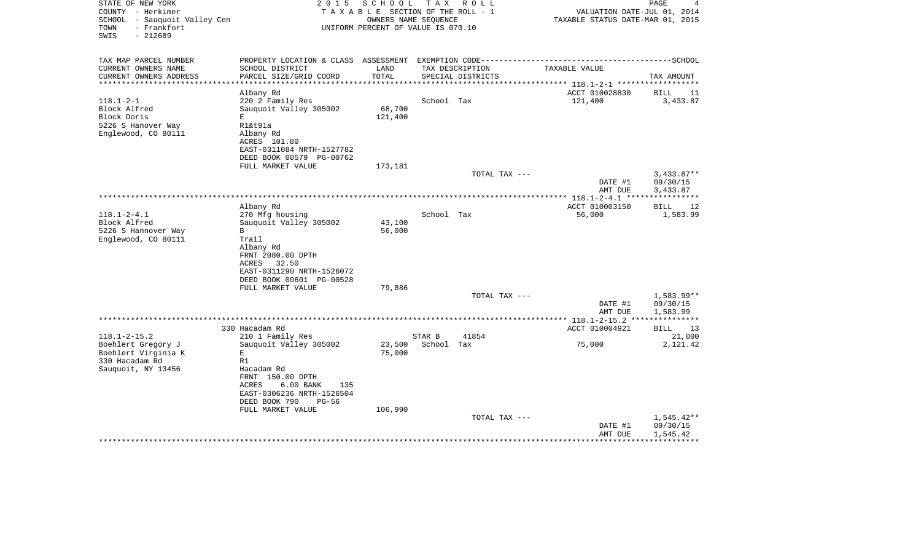|                                           |                                                          |                                    |            |                   |               | AMT DUE            | 1,545.42                         |
|-------------------------------------------|----------------------------------------------------------|------------------------------------|------------|-------------------|---------------|--------------------|----------------------------------|
|                                           |                                                          |                                    |            | TOTAL TAX ---     |               | DATE #1            | $1,545.42**$<br>09/30/15         |
|                                           | FULL MARKET VALUE                                        | 106,990                            |            |                   |               |                    |                                  |
|                                           | DEED BOOK 790<br>$PG-56$                                 |                                    |            |                   |               |                    |                                  |
|                                           | ACRES<br>$6.00$ BANK<br>135<br>EAST-0306236 NRTH-1526504 |                                    |            |                   |               |                    |                                  |
|                                           | FRNT 150.00 DPTH                                         |                                    |            |                   |               |                    |                                  |
| Sauquoit, NY 13456                        | Hacadam Rd                                               |                                    |            |                   |               |                    |                                  |
| 330 Hacadam Rd                            | R1                                                       |                                    |            |                   |               |                    |                                  |
| Boehlert Gregory J<br>Boehlert Virginia K | Sauquoit Valley 305002<br>Е                              | 23,500<br>75,000                   | School Tax |                   |               | 75,000             | 2,121.42                         |
| $118.1 - 2 - 15.2$                        | 210 1 Family Res                                         |                                    | STAR B     | 41854             |               |                    | 21,000                           |
|                                           | 330 Hacadam Rd                                           |                                    |            |                   |               | ACCT 010004921     | BILL<br>13                       |
|                                           |                                                          |                                    |            |                   |               |                    |                                  |
|                                           |                                                          |                                    |            |                   |               | AMT DUE            | 1,583.99                         |
|                                           |                                                          |                                    |            | TOTAL TAX ---     |               | DATE #1            | 1,583.99**<br>09/30/15           |
|                                           | FULL MARKET VALUE                                        | 79,886                             |            |                   |               |                    |                                  |
|                                           | DEED BOOK 00601 PG-00528                                 |                                    |            |                   |               |                    |                                  |
|                                           | EAST-0311290 NRTH-1526072                                |                                    |            |                   |               |                    |                                  |
|                                           | ACRES<br>32.50                                           |                                    |            |                   |               |                    |                                  |
|                                           | FRNT 2080.00 DPTH                                        |                                    |            |                   |               |                    |                                  |
| Englewood, CO 80111                       | Trail<br>Albany Rd                                       |                                    |            |                   |               |                    |                                  |
| 5226 S Hannover Way                       | $\mathbf{B}$                                             | 56,000                             |            |                   |               |                    |                                  |
| Block Alfred                              | Sauquoit Valley 305002                                   | 43,100                             |            |                   |               |                    |                                  |
| $118.1 - 2 - 4.1$                         | 270 Mfg housing                                          |                                    | School Tax |                   |               | 56,000             | 1,583.99                         |
|                                           | Albany Rd                                                |                                    |            |                   |               | ACCT 010003150     | <b>BILL</b><br>12                |
|                                           |                                                          |                                    |            |                   |               |                    |                                  |
|                                           |                                                          |                                    |            |                   |               | DATE #1<br>AMT DUE | 09/30/15<br>3,433.87             |
|                                           |                                                          |                                    |            | TOTAL TAX ---     |               |                    | $3,433.87**$                     |
|                                           | FULL MARKET VALUE                                        | 173,181                            |            |                   |               |                    |                                  |
|                                           | DEED BOOK 00579 PG-00762                                 |                                    |            |                   |               |                    |                                  |
|                                           | EAST-0311084 NRTH-1527782                                |                                    |            |                   |               |                    |                                  |
|                                           | Albany Rd<br>ACRES 101.80                                |                                    |            |                   |               |                    |                                  |
| 5226 S Hanover Way<br>Englewood, CO 80111 | R1&t91a                                                  |                                    |            |                   |               |                    |                                  |
| Block Doris                               | E.                                                       | 121,400                            |            |                   |               |                    |                                  |
| Block Alfred                              | Sauguoit Valley 305002                                   | 68,700                             |            |                   |               |                    |                                  |
| $118.1 - 2 - 1$                           | 220 2 Family Res                                         |                                    | School Tax |                   | 121,400       |                    | 3,433.87                         |
|                                           | Albany Rd                                                |                                    |            |                   |               | ACCT 010028830     | BILL<br>11                       |
| CURRENT OWNERS ADDRESS                    | PARCEL SIZE/GRID COORD                                   | TOTAL                              |            | SPECIAL DISTRICTS |               |                    | TAX AMOUNT                       |
| CURRENT OWNERS NAME                       | SCHOOL DISTRICT                                          | LAND                               |            | TAX DESCRIPTION   | TAXABLE VALUE |                    |                                  |
| TAX MAP PARCEL NUMBER                     |                                                          |                                    |            |                   |               |                    |                                  |
|                                           |                                                          |                                    |            |                   |               |                    |                                  |
| SWIS                                      |                                                          |                                    |            |                   |               |                    |                                  |
| - Frankfort<br>TOWN<br>$-212689$          |                                                          | UNIFORM PERCENT OF VALUE IS 070.10 |            |                   |               |                    |                                  |
| SCHOOL - Sauquoit Valley Cen              |                                                          | OWNERS NAME SEQUENCE               |            |                   |               |                    | TAXABLE STATUS DATE-MAR 01, 2015 |
| COUNTY - Herkimer                         |                                                          | TAXABLE SECTION OF THE ROLL - 1    |            |                   |               |                    | VALUATION DATE-JUL 01, 2014      |
| STATE OF NEW YORK                         | 2 0 1 5                                                  | SCHOOL                             | T A X      | R O L L           |               |                    | PAGE<br>4                        |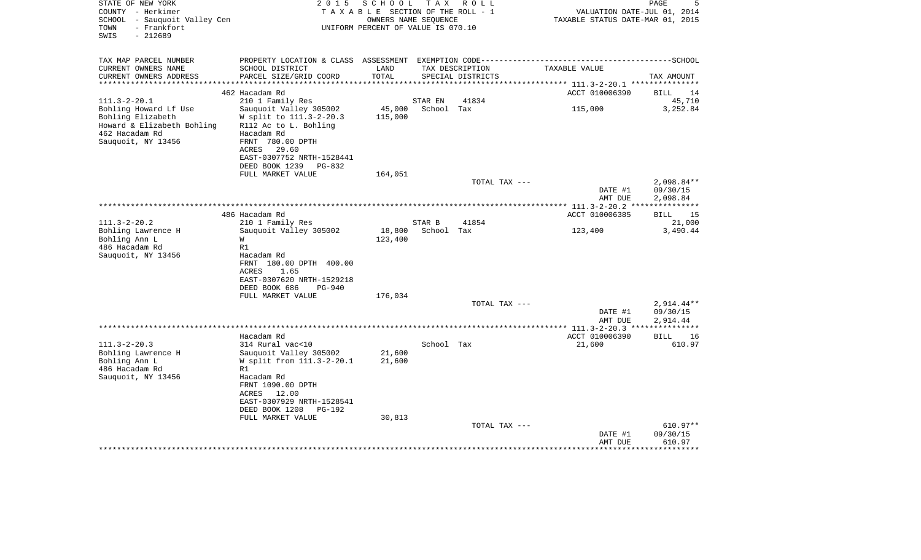| STATE OF NEW YORK<br>COUNTY - Herkimer<br><b>SCHOOL</b><br>- Sauquoit Valley Cen<br>TOWN<br>- Frankfort<br>SWIS<br>$-212689$           | 2015                                                                                                                                                                                         | SCHOOL<br>T A X A B L E SECTION OF THE ROLL - 1<br>OWNERS NAME SEQUENCE<br>UNIFORM PERCENT OF VALUE IS 070.10 | T A X                 | R O L L           | VALUATION DATE-JUL 01, 2014<br>TAXABLE STATUS DATE-MAR 01, 2015 | PAGE                                 |
|----------------------------------------------------------------------------------------------------------------------------------------|----------------------------------------------------------------------------------------------------------------------------------------------------------------------------------------------|---------------------------------------------------------------------------------------------------------------|-----------------------|-------------------|-----------------------------------------------------------------|--------------------------------------|
| TAX MAP PARCEL NUMBER<br>CURRENT OWNERS NAME                                                                                           | PROPERTY LOCATION & CLASS ASSESSMENT<br>SCHOOL DISTRICT                                                                                                                                      | LAND                                                                                                          |                       | TAX DESCRIPTION   | TAXABLE VALUE                                                   |                                      |
| CURRENT OWNERS ADDRESS                                                                                                                 | PARCEL SIZE/GRID COORD                                                                                                                                                                       | TOTAL                                                                                                         |                       | SPECIAL DISTRICTS |                                                                 | TAX AMOUNT                           |
|                                                                                                                                        | 462 Hacadam Rd                                                                                                                                                                               |                                                                                                               |                       |                   | ****** 111.3-2-20.1 ************<br>ACCT 010006390              | 14<br>BILL                           |
| $111.3 - 2 - 20.1$<br>Bohling Howard Lf Use<br>Bohling Elizabeth<br>Howard & Elizabeth Bohling<br>462 Hacadam Rd<br>Sauquoit, NY 13456 | 210 1 Family Res<br>Sauquoit Valley 305002<br>W split to 111.3-2-20.3<br>R112 Ac to L. Bohling<br>Hacadam Rd<br>FRNT 780.00 DPTH<br>29.60<br>ACRES<br>EAST-0307752 NRTH-1528441              | 45,000<br>115,000                                                                                             | STAR EN<br>School Tax | 41834             | 115,000                                                         | 45,710<br>3,252.84                   |
|                                                                                                                                        | DEED BOOK 1239<br>PG-832                                                                                                                                                                     |                                                                                                               |                       |                   |                                                                 |                                      |
|                                                                                                                                        | FULL MARKET VALUE                                                                                                                                                                            | 164,051                                                                                                       |                       | TOTAL TAX ---     | DATE #1                                                         | $2,098.84**$<br>09/30/15             |
|                                                                                                                                        |                                                                                                                                                                                              |                                                                                                               |                       |                   | AMT DUE<br>*** $111.3 - 2 - 20.2$ ***                           | 2,098.84                             |
|                                                                                                                                        | 486 Hacadam Rd                                                                                                                                                                               |                                                                                                               |                       |                   | ACCT 010006385                                                  | <b>BILL</b><br>15                    |
| $111.3 - 2 - 20.2$                                                                                                                     | 210 1 Family Res                                                                                                                                                                             |                                                                                                               | STAR B                | 41854             |                                                                 | 21,000                               |
| Bohling Lawrence H<br>Bohling Ann L<br>486 Hacadam Rd<br>Sauquoit, NY 13456                                                            | Sauquoit Valley 305002<br>W<br>R1<br>Hacadam Rd<br>FRNT 180.00 DPTH 400.00<br>1.65<br>ACRES<br>EAST-0307620 NRTH-1529218<br>DEED BOOK 686<br>$PG-940$                                        | 18,800<br>123,400                                                                                             | School Tax            |                   | 123,400                                                         | 3,490.44                             |
|                                                                                                                                        | FULL MARKET VALUE                                                                                                                                                                            | 176,034                                                                                                       |                       |                   |                                                                 |                                      |
|                                                                                                                                        |                                                                                                                                                                                              |                                                                                                               |                       | TOTAL TAX ---     | DATE #1<br>AMT DUE                                              | $2,914.44**$<br>09/30/15<br>2,914.44 |
|                                                                                                                                        |                                                                                                                                                                                              |                                                                                                               | ********************* |                   | ** 111.3-2-20.3 **                                              |                                      |
| $111.3 - 2 - 20.3$                                                                                                                     | Hacadam Rd<br>314 Rural vac<10                                                                                                                                                               |                                                                                                               | School Tax            |                   | ACCT 010006390<br>21,600                                        | <b>BILL</b><br>16<br>610.97          |
| Bohling Lawrence H<br>Bohling Ann L<br>486 Hacadam Rd<br>Sauquoit, NY 13456                                                            | Sauguoit Valley 305002<br>W split from 111.3-2-20.1<br>R1<br>Hacadam Rd<br>FRNT 1090.00 DPTH<br>ACRES<br>12.00<br>EAST-0307929 NRTH-1528541<br>DEED BOOK 1208<br>PG-192<br>FULL MARKET VALUE | 21,600<br>21,600<br>30,813                                                                                    |                       |                   |                                                                 |                                      |
|                                                                                                                                        |                                                                                                                                                                                              |                                                                                                               |                       | TOTAL TAX ---     | DATE #1<br>AMT DUE                                              | $610.97**$<br>09/30/15<br>610.97     |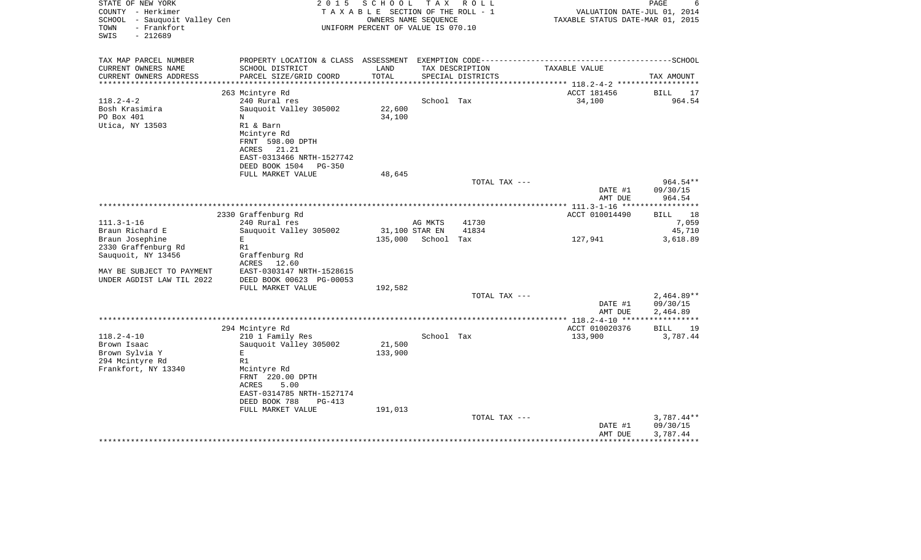| STATE OF NEW YORK<br>COUNTY - Herkimer                                      | 2 0 1 5                           | SCHOOL<br>TAXABLE SECTION OF THE ROLL - 1                  | T A X          | R O L L           | VALUATION DATE-JUL 01, 2014                                                                  | PAGE<br>6             |
|-----------------------------------------------------------------------------|-----------------------------------|------------------------------------------------------------|----------------|-------------------|----------------------------------------------------------------------------------------------|-----------------------|
| SCHOOL<br>- Sauquoit Valley Cen<br>- Frankfort<br>TOWN<br>SWIS<br>$-212689$ |                                   | OWNERS NAME SEQUENCE<br>UNIFORM PERCENT OF VALUE IS 070.10 |                |                   | TAXABLE STATUS DATE-MAR 01, 2015                                                             |                       |
|                                                                             |                                   |                                                            |                |                   |                                                                                              |                       |
| TAX MAP PARCEL NUMBER                                                       |                                   |                                                            |                |                   | PROPERTY LOCATION & CLASS ASSESSMENT EXEMPTION CODE-----------------------------------SCHOOL |                       |
| CURRENT OWNERS NAME                                                         | SCHOOL DISTRICT                   | LAND                                                       |                | TAX DESCRIPTION   | TAXABLE VALUE                                                                                |                       |
| CURRENT OWNERS ADDRESS                                                      | PARCEL SIZE/GRID COORD            | TOTAL                                                      |                | SPECIAL DISTRICTS |                                                                                              | TAX AMOUNT            |
| ***********************                                                     |                                   |                                                            |                |                   |                                                                                              |                       |
|                                                                             | 263 Mcintyre Rd                   |                                                            |                |                   | ACCT 181456                                                                                  | <b>BILL</b><br>17     |
| $118.2 - 4 - 2$                                                             | 240 Rural res                     |                                                            | School Tax     |                   | 34,100                                                                                       | 964.54                |
| Bosh Krasimira<br>PO Box 401                                                | Sauquoit Valley 305002<br>N       | 22,600                                                     |                |                   |                                                                                              |                       |
| Utica, NY 13503                                                             | R1 & Barn                         | 34,100                                                     |                |                   |                                                                                              |                       |
|                                                                             | Mcintyre Rd                       |                                                            |                |                   |                                                                                              |                       |
|                                                                             | FRNT 598.00 DPTH                  |                                                            |                |                   |                                                                                              |                       |
|                                                                             | ACRES 21.21                       |                                                            |                |                   |                                                                                              |                       |
|                                                                             | EAST-0313466 NRTH-1527742         |                                                            |                |                   |                                                                                              |                       |
|                                                                             | DEED BOOK 1504<br>$PG-350$        |                                                            |                |                   |                                                                                              |                       |
|                                                                             | FULL MARKET VALUE                 | 48,645                                                     |                |                   |                                                                                              |                       |
|                                                                             |                                   |                                                            |                | TOTAL TAX ---     |                                                                                              | 964.54**              |
|                                                                             |                                   |                                                            |                |                   | DATE #1                                                                                      | 09/30/15              |
|                                                                             |                                   |                                                            |                |                   | AMT DUE                                                                                      | 964.54                |
|                                                                             |                                   |                                                            |                |                   | ********* 111.3-1-16 ****                                                                    | * * * * * * * * * * * |
|                                                                             | 2330 Graffenburg Rd               |                                                            |                |                   | ACCT 010014490                                                                               | BILL<br>18            |
| $111.3 - 1 - 16$                                                            | 240 Rural res                     |                                                            | AG MKTS        | 41730             |                                                                                              | 7,059                 |
| Braun Richard E                                                             | Sauquoit Valley 305002            |                                                            | 31,100 STAR EN | 41834             |                                                                                              | 45,710                |
| Braun Josephine                                                             | E                                 | 135,000                                                    | School         | Tax               | 127,941                                                                                      | 3,618.89              |
| 2330 Graffenburg Rd                                                         | R1                                |                                                            |                |                   |                                                                                              |                       |
| Sauquoit, NY 13456                                                          | Graffenburg Rd<br>12.60<br>ACRES  |                                                            |                |                   |                                                                                              |                       |
| MAY BE SUBJECT TO PAYMENT                                                   | EAST-0303147 NRTH-1528615         |                                                            |                |                   |                                                                                              |                       |
| UNDER AGDIST LAW TIL 2022                                                   | DEED BOOK 00623 PG-00053          |                                                            |                |                   |                                                                                              |                       |
|                                                                             | FULL MARKET VALUE                 | 192,582                                                    |                |                   |                                                                                              |                       |
|                                                                             |                                   |                                                            |                | TOTAL TAX ---     |                                                                                              | $2,464.89**$          |
|                                                                             |                                   |                                                            |                |                   | DATE #1                                                                                      | 09/30/15              |
|                                                                             |                                   |                                                            |                |                   | AMT DUE                                                                                      | 2,464.89              |
|                                                                             |                                   |                                                            |                |                   | ****** 118.2-4-10 *****                                                                      | * * * * * * * * * * * |
|                                                                             | 294 Mcintyre Rd                   |                                                            |                |                   | ACCT 010020376                                                                               | <b>BILL</b><br>19     |
| $118.2 - 4 - 10$                                                            | 210 1 Family Res                  |                                                            | School Tax     |                   | 133,900                                                                                      | 3,787.44              |
| Brown Isaac                                                                 | Sauquoit Valley 305002            | 21,500                                                     |                |                   |                                                                                              |                       |
| Brown Sylvia Y                                                              | E                                 | 133,900                                                    |                |                   |                                                                                              |                       |
| 294 Mcintyre Rd                                                             | R1                                |                                                            |                |                   |                                                                                              |                       |
| Frankfort, NY 13340                                                         | Mcintyre Rd                       |                                                            |                |                   |                                                                                              |                       |
|                                                                             | FRNT 220.00 DPTH<br>ACRES         |                                                            |                |                   |                                                                                              |                       |
|                                                                             | 5.00<br>EAST-0314785 NRTH-1527174 |                                                            |                |                   |                                                                                              |                       |
|                                                                             | DEED BOOK 788<br>$PG-413$         |                                                            |                |                   |                                                                                              |                       |
|                                                                             | FULL MARKET VALUE                 | 191,013                                                    |                |                   |                                                                                              |                       |
|                                                                             |                                   |                                                            |                | TOTAL TAX ---     |                                                                                              | $3,787.44**$          |
|                                                                             |                                   |                                                            |                |                   | DATE #1                                                                                      | 09/30/15              |
|                                                                             |                                   |                                                            |                |                   | AMT DUE                                                                                      | 3,787.44              |
|                                                                             |                                   |                                                            |                |                   | * * * * * * * * * * * * * * * * * * *                                                        | ***********           |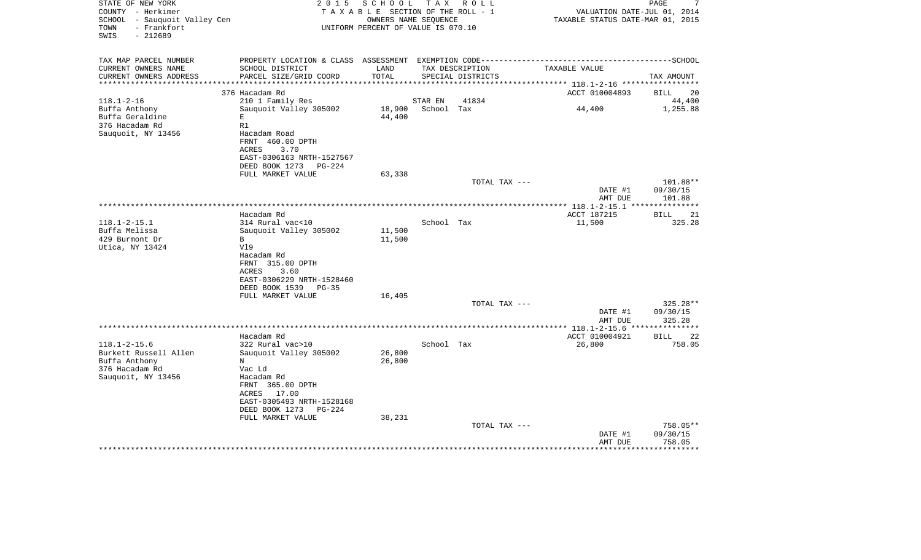| STATE OF NEW YORK<br>COUNTY - Herkimer<br>SCHOOL - Sauquoit Valley Cen<br>- Frankfort<br>TOWN<br>SWIS<br>$-212689$ | 2 0 1 5                                                                                                                                                                    | SCHOOL<br>TAXABLE SECTION OF THE ROLL - 1<br>OWNERS NAME SEQUENCE<br>UNIFORM PERCENT OF VALUE IS 070.10 | T A X      | R O L L                              | VALUATION DATE-JUL 01, 2014<br>TAXABLE STATUS DATE-MAR 01, 2015 | PAGE<br>7                            |
|--------------------------------------------------------------------------------------------------------------------|----------------------------------------------------------------------------------------------------------------------------------------------------------------------------|---------------------------------------------------------------------------------------------------------|------------|--------------------------------------|-----------------------------------------------------------------|--------------------------------------|
| TAX MAP PARCEL NUMBER<br>CURRENT OWNERS NAME<br>CURRENT OWNERS ADDRESS                                             | PROPERTY LOCATION & CLASS ASSESSMENT EXEMPTION CODE------------<br>SCHOOL DISTRICT<br>PARCEL SIZE/GRID COORD                                                               | LAND<br>TOTAL                                                                                           |            | TAX DESCRIPTION<br>SPECIAL DISTRICTS | TAXABLE VALUE                                                   | ----------------SCHOOL<br>TAX AMOUNT |
| **********************                                                                                             | 376 Hacadam Rd                                                                                                                                                             |                                                                                                         |            |                                      | ACCT 010004893                                                  | <b>BILL</b><br>20                    |
| $118.1 - 2 - 16$                                                                                                   | 210 1 Family Res                                                                                                                                                           |                                                                                                         | STAR EN    | 41834                                |                                                                 | 44,400                               |
| Buffa Anthony<br>Buffa Geraldine<br>376 Hacadam Rd<br>Sauquoit, NY 13456                                           | Sauquoit Valley 305002<br>E<br>R1<br>Hacadam Road<br>FRNT 460.00 DPTH<br>ACRES<br>3.70<br>EAST-0306163 NRTH-1527567<br>DEED BOOK 1273<br><b>PG-224</b>                     | 18,900<br>44,400                                                                                        | School Tax |                                      | 44,400                                                          | 1,255.88                             |
|                                                                                                                    | FULL MARKET VALUE                                                                                                                                                          | 63,338                                                                                                  |            |                                      |                                                                 |                                      |
|                                                                                                                    |                                                                                                                                                                            |                                                                                                         |            | TOTAL TAX ---                        | DATE #1<br>AMT DUE                                              | 101.88**<br>09/30/15<br>101.88       |
|                                                                                                                    |                                                                                                                                                                            |                                                                                                         |            |                                      |                                                                 |                                      |
|                                                                                                                    | Hacadam Rd                                                                                                                                                                 |                                                                                                         |            |                                      | ACCT 187215                                                     | 21<br>BILL                           |
| $118.1 - 2 - 15.1$<br>Buffa Melissa<br>429 Burmont Dr<br>Utica, NY 13424                                           | 314 Rural vac<10<br>Sauquoit Valley 305002<br>B<br>V19<br>Hacadam Rd<br>FRNT 315.00 DPTH<br><b>ACRES</b><br>3.60<br>EAST-0306229 NRTH-1528460<br>DEED BOOK 1539<br>$PG-35$ | 11,500<br>11,500                                                                                        | School Tax |                                      | 11,500                                                          | 325.28                               |
|                                                                                                                    | FULL MARKET VALUE                                                                                                                                                          | 16,405                                                                                                  |            |                                      |                                                                 |                                      |
|                                                                                                                    |                                                                                                                                                                            |                                                                                                         |            | TOTAL TAX ---                        | DATE #1<br>AMT DUE                                              | 325.28**<br>09/30/15<br>325.28       |
|                                                                                                                    |                                                                                                                                                                            |                                                                                                         |            |                                      | ************* 118.1-2-15.6                                      | *****                                |
| $118.1 - 2 - 15.6$<br>Burkett Russell Allen<br>Buffa Anthony<br>376 Hacadam Rd<br>Sauquoit, NY 13456               | Hacadam Rd<br>322 Rural vac>10<br>Sauquoit Valley 305002<br>$_{\rm N}$<br>Vac Ld<br>Hacadam Rd<br>FRNT 365.00 DPTH<br>17.00<br>ACRES                                       | 26,800<br>26,800                                                                                        | School Tax |                                      | ACCT 010004921<br>26,800                                        | <b>BILL</b><br>22<br>758.05          |
|                                                                                                                    | EAST-0305493 NRTH-1528168<br>DEED BOOK 1273<br>$PG-224$<br>FULL MARKET VALUE                                                                                               | 38,231                                                                                                  |            |                                      |                                                                 |                                      |
|                                                                                                                    |                                                                                                                                                                            |                                                                                                         |            | TOTAL TAX ---                        | DATE #1<br>AMT DUE                                              | 758.05**<br>09/30/15<br>758.05       |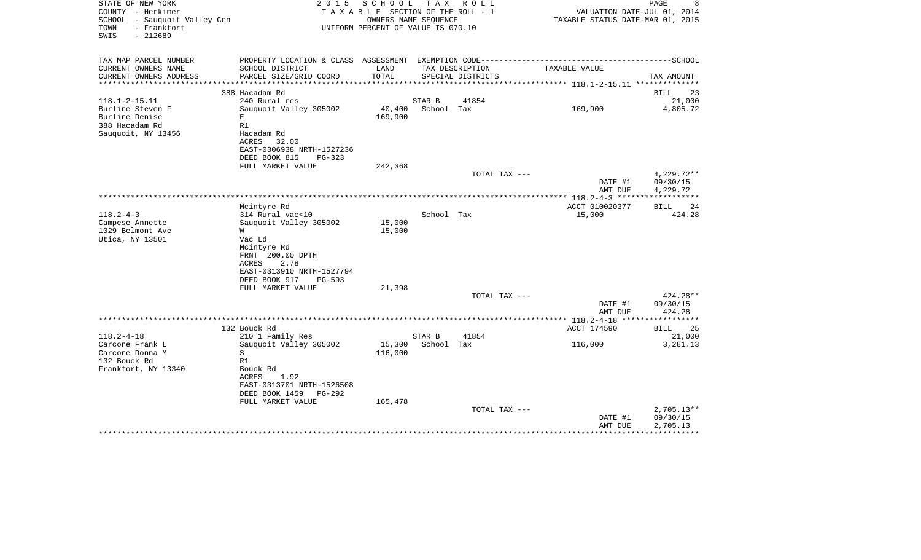| COUNTY - Herkimer<br>SCHOOL - Sauquoit Valley Cen |                                 | TAXABLE SECTION OF THE ROLL - 1<br>OWNERS NAME SEQUENCE |            |                   | VALUATION DATE-JUL 01, 2014<br>TAXABLE STATUS DATE-MAR 01, 2015                              |                      |
|---------------------------------------------------|---------------------------------|---------------------------------------------------------|------------|-------------------|----------------------------------------------------------------------------------------------|----------------------|
| - Frankfort<br>TOWN<br>SWIS<br>$-212689$          |                                 | UNIFORM PERCENT OF VALUE IS 070.10                      |            |                   |                                                                                              |                      |
| TAX MAP PARCEL NUMBER                             |                                 |                                                         |            |                   | PROPERTY LOCATION & CLASS ASSESSMENT EXEMPTION CODE-----------------------------------SCHOOL |                      |
| CURRENT OWNERS NAME                               | SCHOOL DISTRICT                 | LAND                                                    |            | TAX DESCRIPTION   | TAXABLE VALUE                                                                                |                      |
| CURRENT OWNERS ADDRESS                            | PARCEL SIZE/GRID COORD          | TOTAL                                                   |            | SPECIAL DISTRICTS |                                                                                              | TAX AMOUNT           |
| *********************                             |                                 |                                                         |            |                   |                                                                                              |                      |
|                                                   | 388 Hacadam Rd                  |                                                         |            |                   |                                                                                              | BILL                 |
| $118.1 - 2 - 15.11$                               | 240 Rural res                   |                                                         | STAR B     | 41854             |                                                                                              |                      |
| Burline Steven F<br>Burline Denise                | Sauquoit Valley 305002<br>E     | 40,400 School Tax<br>169,900                            |            |                   | 169,900                                                                                      | 4,805.72             |
| 388 Hacadam Rd                                    | R1                              |                                                         |            |                   |                                                                                              |                      |
| Sauquoit, NY 13456                                | Hacadam Rd<br>ACRES 32.00       |                                                         |            |                   |                                                                                              |                      |
|                                                   | EAST-0306938 NRTH-1527236       |                                                         |            |                   |                                                                                              |                      |
|                                                   | DEED BOOK 815<br>PG-323         |                                                         |            |                   |                                                                                              |                      |
|                                                   | FULL MARKET VALUE               | 242,368                                                 |            |                   |                                                                                              |                      |
|                                                   |                                 |                                                         |            | TOTAL TAX ---     |                                                                                              | 4,229.72**           |
|                                                   |                                 |                                                         |            |                   | DATE #1<br>AMT DUE                                                                           | 09/30/15<br>4,229.72 |
|                                                   |                                 |                                                         |            |                   |                                                                                              |                      |
|                                                   | Mcintyre Rd                     |                                                         |            |                   | ACCT 010020377                                                                               | <b>BILL</b>          |
| $118.2 - 4 - 3$                                   | 314 Rural vac<10                |                                                         | School Tax |                   | 15,000                                                                                       |                      |
| Campese Annette                                   | Sauguoit Valley 305002          | 15,000                                                  |            |                   |                                                                                              |                      |
| 1029 Belmont Ave                                  | W                               | 15,000                                                  |            |                   |                                                                                              |                      |
| Utica, NY 13501                                   | Vac Ld                          |                                                         |            |                   |                                                                                              |                      |
|                                                   | Mcintyre Rd<br>FRNT 200.00 DPTH |                                                         |            |                   |                                                                                              |                      |
|                                                   | 2.78<br>ACRES                   |                                                         |            |                   |                                                                                              |                      |
|                                                   | EAST-0313910 NRTH-1527794       |                                                         |            |                   |                                                                                              |                      |
|                                                   | DEED BOOK 917<br>PG-593         |                                                         |            |                   |                                                                                              |                      |
|                                                   | FULL MARKET VALUE               | 21,398                                                  |            |                   |                                                                                              |                      |
|                                                   |                                 |                                                         |            | TOTAL TAX ---     |                                                                                              | 424.28**             |
|                                                   |                                 |                                                         |            |                   | DATE #1                                                                                      | 09/30/15             |
|                                                   |                                 |                                                         |            |                   | AMT DUE                                                                                      | 424.28               |
|                                                   |                                 |                                                         |            |                   |                                                                                              |                      |
|                                                   | 132 Bouck Rd                    |                                                         |            |                   | ACCT 174590                                                                                  | <b>BILL</b>          |
| $118.2 - 4 - 18$                                  | 210 1 Family Res                |                                                         | STAR B     | 41854             |                                                                                              |                      |
| Carcone Frank L                                   | Sauguoit Valley 305002          | 15,300                                                  | School Tax |                   | 116,000                                                                                      | 3,281.13             |
| Carcone Donna M                                   | S                               | 116,000                                                 |            |                   |                                                                                              |                      |
| 132 Bouck Rd<br>Frankfort, NY 13340               | R1<br>Bouck Rd                  |                                                         |            |                   |                                                                                              |                      |
|                                                   | 1.92<br>ACRES                   |                                                         |            |                   |                                                                                              |                      |
|                                                   | EAST-0313701 NRTH-1526508       |                                                         |            |                   |                                                                                              |                      |
|                                                   | DEED BOOK 1459 PG-292           |                                                         |            |                   |                                                                                              |                      |
|                                                   | FULL MARKET VALUE               | 165,478                                                 |            |                   |                                                                                              |                      |
|                                                   |                                 |                                                         |            | TOTAL TAX ---     |                                                                                              | $2,705.13**$         |
|                                                   |                                 |                                                         |            |                   | DATE #1                                                                                      | 09/30/15             |
|                                                   |                                 |                                                         |            |                   |                                                                                              |                      |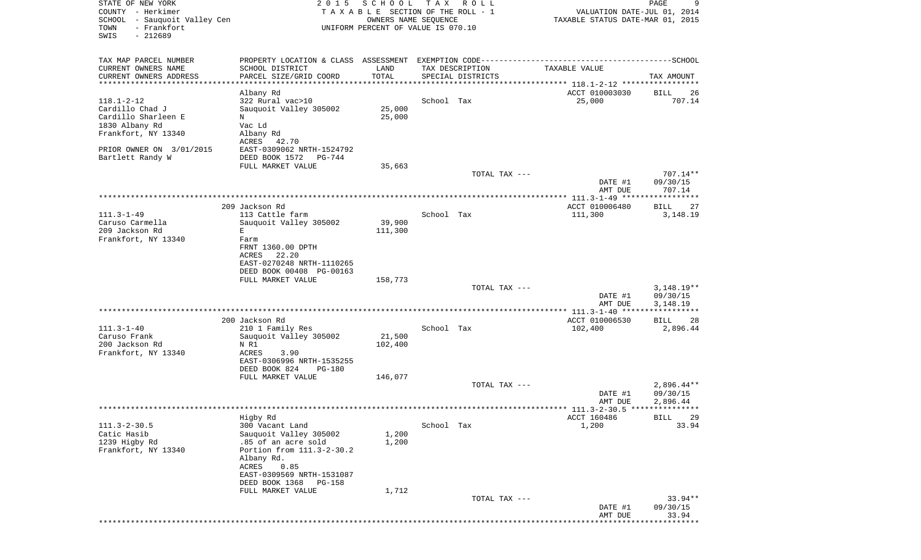| STATE OF NEW YORK<br>COUNTY - Herkimer                                   | 2 0 1 5                                                                                      | SCHOOL<br>TAXABLE SECTION OF THE ROLL - 1                  | T A X      | R O L L                              | VALUATION DATE-JUL 01, 2014             | PAGE<br>9                  |
|--------------------------------------------------------------------------|----------------------------------------------------------------------------------------------|------------------------------------------------------------|------------|--------------------------------------|-----------------------------------------|----------------------------|
| SCHOOL - Sauquoit Valley Cen<br>- Frankfort<br>TOWN<br>SWIS<br>$-212689$ |                                                                                              | OWNERS NAME SEQUENCE<br>UNIFORM PERCENT OF VALUE IS 070.10 |            |                                      | TAXABLE STATUS DATE-MAR 01, 2015        |                            |
|                                                                          |                                                                                              |                                                            |            |                                      |                                         |                            |
| TAX MAP PARCEL NUMBER                                                    | PROPERTY LOCATION & CLASS ASSESSMENT EXEMPTION CODE-----------------------------------SCHOOL |                                                            |            |                                      |                                         |                            |
| CURRENT OWNERS NAME<br>CURRENT OWNERS ADDRESS                            | SCHOOL DISTRICT<br>PARCEL SIZE/GRID COORD                                                    | LAND<br>TOTAL                                              |            | TAX DESCRIPTION<br>SPECIAL DISTRICTS | TAXABLE VALUE                           | TAX AMOUNT                 |
| ********************                                                     |                                                                                              | **********                                                 |            |                                      |                                         |                            |
|                                                                          | Albany Rd                                                                                    |                                                            |            |                                      | ACCT 010003030                          | BILL<br>26                 |
| $118.1 - 2 - 12$<br>Cardillo Chad J                                      | 322 Rural vac>10<br>Sauquoit Valley 305002                                                   | 25,000                                                     | School Tax |                                      | 25,000                                  | 707.14                     |
| Cardillo Sharleen E                                                      | N                                                                                            | 25,000                                                     |            |                                      |                                         |                            |
| 1830 Albany Rd                                                           | Vac Ld                                                                                       |                                                            |            |                                      |                                         |                            |
| Frankfort, NY 13340                                                      | Albany Rd                                                                                    |                                                            |            |                                      |                                         |                            |
|                                                                          | ACRES<br>42.70                                                                               |                                                            |            |                                      |                                         |                            |
| PRIOR OWNER ON 3/01/2015<br>Bartlett Randy W                             | EAST-0309062 NRTH-1524792<br>DEED BOOK 1572<br>PG-744                                        |                                                            |            |                                      |                                         |                            |
|                                                                          | FULL MARKET VALUE                                                                            | 35,663                                                     |            |                                      |                                         |                            |
|                                                                          |                                                                                              |                                                            |            | TOTAL TAX ---                        |                                         | 707.14**                   |
|                                                                          |                                                                                              |                                                            |            |                                      | DATE #1<br>AMT DUE                      | 09/30/15<br>707.14         |
|                                                                          |                                                                                              |                                                            |            |                                      |                                         |                            |
|                                                                          | 209 Jackson Rd                                                                               |                                                            |            |                                      | ACCT 010006480                          | 27<br><b>BILL</b>          |
| $111.3 - 1 - 49$                                                         | 113 Cattle farm                                                                              |                                                            | School Tax |                                      | 111,300                                 | 3,148.19                   |
| Caruso Carmella<br>209 Jackson Rd                                        | Sauquoit Valley 305002<br>Е                                                                  | 39,900<br>111,300                                          |            |                                      |                                         |                            |
| Frankfort, NY 13340                                                      | Farm                                                                                         |                                                            |            |                                      |                                         |                            |
|                                                                          | FRNT 1360.00 DPTH                                                                            |                                                            |            |                                      |                                         |                            |
|                                                                          | 22.20<br>ACRES                                                                               |                                                            |            |                                      |                                         |                            |
|                                                                          | EAST-0270248 NRTH-1110265<br>DEED BOOK 00408 PG-00163                                        |                                                            |            |                                      |                                         |                            |
|                                                                          | FULL MARKET VALUE                                                                            | 158,773                                                    |            |                                      |                                         |                            |
|                                                                          |                                                                                              |                                                            |            | TOTAL TAX ---                        |                                         | $3,148.19**$               |
|                                                                          |                                                                                              |                                                            |            |                                      | DATE #1                                 | 09/30/15                   |
|                                                                          |                                                                                              |                                                            |            |                                      | AMT DUE<br>******** 111.3-1-40 *****    | 3,148.19                   |
|                                                                          | 200 Jackson Rd                                                                               |                                                            |            |                                      | ACCT 010006530                          | BILL<br>28                 |
| $111.3 - 1 - 40$                                                         | 210 1 Family Res                                                                             |                                                            | School Tax |                                      | 102,400                                 | 2,896.44                   |
| Caruso Frank                                                             | Sauquoit Valley 305002                                                                       | 21,500                                                     |            |                                      |                                         |                            |
| 200 Jackson Rd<br>Frankfort, NY 13340                                    | N R1<br>ACRES<br>3.90                                                                        | 102,400                                                    |            |                                      |                                         |                            |
|                                                                          | EAST-0306996 NRTH-1535255                                                                    |                                                            |            |                                      |                                         |                            |
|                                                                          | DEED BOOK 824<br><b>PG-180</b>                                                               |                                                            |            |                                      |                                         |                            |
|                                                                          | FULL MARKET VALUE                                                                            | 146,077                                                    |            | TOTAL TAX ---                        |                                         | $2,896.44**$               |
|                                                                          |                                                                                              |                                                            |            |                                      | DATE #1                                 | 09/30/15                   |
|                                                                          |                                                                                              |                                                            |            |                                      | AMT DUE                                 | 2,896.44                   |
|                                                                          |                                                                                              |                                                            |            |                                      | ********* 111.3-2-30.5 **************** |                            |
| $111.3 - 2 - 30.5$                                                       | Higby Rd<br>300 Vacant Land                                                                  |                                                            | School Tax |                                      | ACCT 160486<br>1,200                    | <b>BILL</b><br>29<br>33.94 |
| Catic Hasib                                                              | Sauquoit Valley 305002                                                                       | 1,200                                                      |            |                                      |                                         |                            |
| 1239 Higby Rd                                                            | .85 of an acre sold                                                                          | 1,200                                                      |            |                                      |                                         |                            |
| Frankfort, NY 13340                                                      | Portion from 111.3-2-30.2                                                                    |                                                            |            |                                      |                                         |                            |
|                                                                          | Albany Rd.<br>0.85<br>ACRES                                                                  |                                                            |            |                                      |                                         |                            |
|                                                                          | EAST-0309569 NRTH-1531087                                                                    |                                                            |            |                                      |                                         |                            |
|                                                                          | DEED BOOK 1368<br>PG-158                                                                     |                                                            |            |                                      |                                         |                            |
|                                                                          | FULL MARKET VALUE                                                                            | 1,712                                                      |            |                                      |                                         |                            |
|                                                                          |                                                                                              |                                                            |            | TOTAL TAX ---                        | DATE #1                                 | $33.94**$<br>09/30/15      |
|                                                                          |                                                                                              |                                                            |            |                                      | AMT DUE                                 | 33.94                      |
|                                                                          |                                                                                              |                                                            |            |                                      |                                         |                            |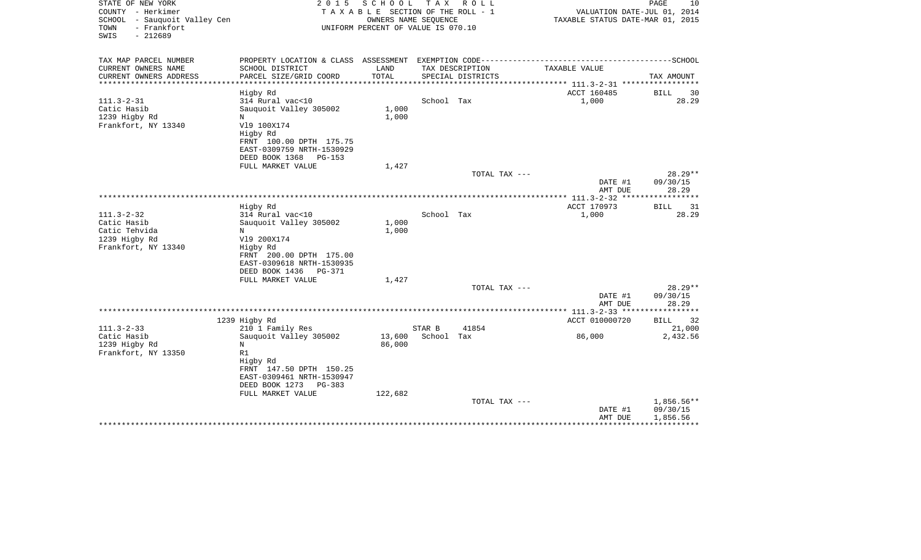| STATE OF NEW YORK<br>COUNTY - Herkimer<br>SCHOOL - Sauquoit Valley Cen<br>- Frankfort<br>TOWN<br>SWIS<br>$-212689$ | 2 0 1 5                                                 | SCHOOL<br>TAXABLE SECTION OF THE ROLL - 1<br>OWNERS NAME SEQUENCE<br>UNIFORM PERCENT OF VALUE IS 070.10 | T A X      | R O L L                              | VALUATION DATE-JUL 01, 2014<br>TAXABLE STATUS DATE-MAR 01, 2015                              | PAGE<br>10            |
|--------------------------------------------------------------------------------------------------------------------|---------------------------------------------------------|---------------------------------------------------------------------------------------------------------|------------|--------------------------------------|----------------------------------------------------------------------------------------------|-----------------------|
| TAX MAP PARCEL NUMBER                                                                                              |                                                         |                                                                                                         |            |                                      | PROPERTY LOCATION & CLASS ASSESSMENT EXEMPTION CODE-----------------------------------SCHOOL |                       |
| CURRENT OWNERS NAME<br>CURRENT OWNERS ADDRESS                                                                      | SCHOOL DISTRICT<br>PARCEL SIZE/GRID COORD               | LAND<br>TOTAL                                                                                           |            | TAX DESCRIPTION<br>SPECIAL DISTRICTS | TAXABLE VALUE                                                                                | TAX AMOUNT            |
|                                                                                                                    |                                                         | * * * * * * * * * * * * * * * * * * *                                                                   |            |                                      | ************** 111.3-2-31 ************                                                       |                       |
|                                                                                                                    | Higby Rd                                                |                                                                                                         |            |                                      | ACCT 160485                                                                                  | BILL<br>30            |
| $111.3 - 2 - 31$                                                                                                   | 314 Rural vac<10                                        |                                                                                                         | School Tax |                                      | 1,000                                                                                        | 28.29                 |
| Catic Hasib                                                                                                        | Sauquoit Valley 305002                                  | 1,000                                                                                                   |            |                                      |                                                                                              |                       |
| 1239 Higby Rd                                                                                                      | N                                                       | 1,000                                                                                                   |            |                                      |                                                                                              |                       |
| Frankfort, NY 13340                                                                                                | V19 100X174<br>Higby Rd                                 |                                                                                                         |            |                                      |                                                                                              |                       |
|                                                                                                                    | FRNT 100.00 DPTH 175.75                                 |                                                                                                         |            |                                      |                                                                                              |                       |
|                                                                                                                    | EAST-0309759 NRTH-1530929                               |                                                                                                         |            |                                      |                                                                                              |                       |
|                                                                                                                    | DEED BOOK 1368<br>PG-153                                |                                                                                                         |            |                                      |                                                                                              |                       |
|                                                                                                                    | FULL MARKET VALUE                                       | 1,427                                                                                                   |            |                                      |                                                                                              |                       |
|                                                                                                                    |                                                         |                                                                                                         |            | TOTAL TAX ---                        |                                                                                              | $28.29**$             |
|                                                                                                                    |                                                         |                                                                                                         |            |                                      | DATE #1                                                                                      | 09/30/15<br>28.29     |
|                                                                                                                    |                                                         |                                                                                                         |            |                                      | AMT DUE<br>************** 111.3-2-32 ****                                                    | * * * * * * * * * * * |
|                                                                                                                    | Higby Rd                                                |                                                                                                         |            |                                      | ACCT 170973                                                                                  | BILL<br>31            |
| $111.3 - 2 - 32$                                                                                                   | 314 Rural vac<10                                        |                                                                                                         | School Tax |                                      | 1,000                                                                                        | 28.29                 |
| Catic Hasib                                                                                                        | Sauguoit Valley 305002                                  | 1,000                                                                                                   |            |                                      |                                                                                              |                       |
| Catic Tehvida                                                                                                      | N                                                       | 1,000                                                                                                   |            |                                      |                                                                                              |                       |
| 1239 Higby Rd                                                                                                      | V19 200X174                                             |                                                                                                         |            |                                      |                                                                                              |                       |
| Frankfort, NY 13340                                                                                                | Higby Rd                                                |                                                                                                         |            |                                      |                                                                                              |                       |
|                                                                                                                    | FRNT 200.00 DPTH 175.00<br>EAST-0309618 NRTH-1530935    |                                                                                                         |            |                                      |                                                                                              |                       |
|                                                                                                                    | DEED BOOK 1436<br>PG-371                                |                                                                                                         |            |                                      |                                                                                              |                       |
|                                                                                                                    | FULL MARKET VALUE                                       | 1,427                                                                                                   |            |                                      |                                                                                              |                       |
|                                                                                                                    |                                                         |                                                                                                         |            | TOTAL TAX ---                        |                                                                                              | $28.29**$             |
|                                                                                                                    |                                                         |                                                                                                         |            |                                      | DATE #1                                                                                      | 09/30/15              |
|                                                                                                                    |                                                         |                                                                                                         |            |                                      | AMT DUE                                                                                      | 28.29                 |
|                                                                                                                    | 1239 Higby Rd                                           |                                                                                                         |            |                                      | ACCT 010000720                                                                               | <b>BILL</b><br>32     |
| $111.3 - 2 - 33$                                                                                                   | 210 1 Family Res                                        |                                                                                                         | STAR B     | 41854                                |                                                                                              | 21,000                |
| Catic Hasib                                                                                                        | Sauguoit Valley 305002                                  | 13,600                                                                                                  | School Tax |                                      | 86,000                                                                                       | 2,432.56              |
| 1239 Higby Rd                                                                                                      | N                                                       | 86,000                                                                                                  |            |                                      |                                                                                              |                       |
| Frankfort, NY 13350                                                                                                | R1                                                      |                                                                                                         |            |                                      |                                                                                              |                       |
|                                                                                                                    | Higby Rd                                                |                                                                                                         |            |                                      |                                                                                              |                       |
|                                                                                                                    | FRNT 147.50 DPTH 150.25                                 |                                                                                                         |            |                                      |                                                                                              |                       |
|                                                                                                                    | EAST-0309461 NRTH-1530947<br>DEED BOOK 1273<br>$PG-383$ |                                                                                                         |            |                                      |                                                                                              |                       |
|                                                                                                                    | FULL MARKET VALUE                                       | 122,682                                                                                                 |            |                                      |                                                                                              |                       |
|                                                                                                                    |                                                         |                                                                                                         |            | TOTAL TAX ---                        |                                                                                              | 1,856.56**            |
|                                                                                                                    |                                                         |                                                                                                         |            |                                      | DATE #1                                                                                      | 09/30/15              |
|                                                                                                                    |                                                         |                                                                                                         |            |                                      | AMT DUE                                                                                      | 1,856.56              |
|                                                                                                                    |                                                         |                                                                                                         |            |                                      |                                                                                              |                       |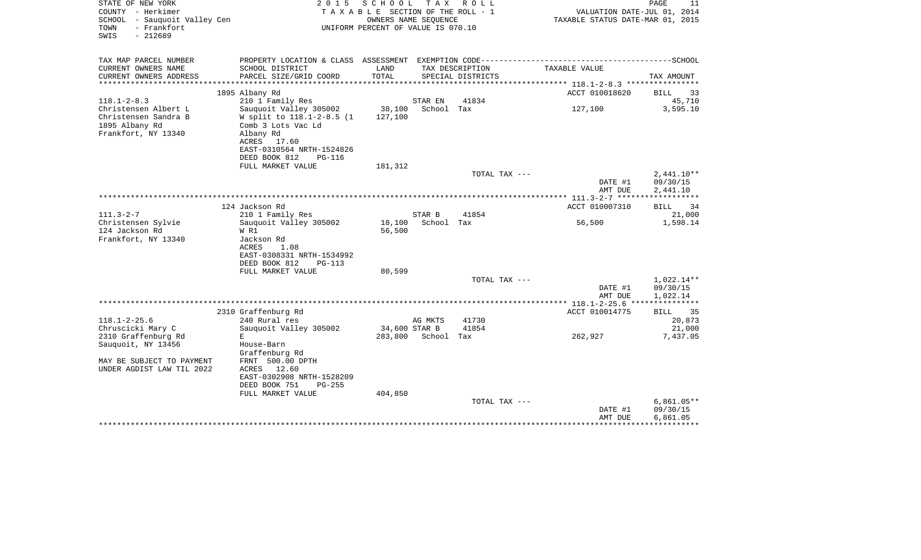| COUNTY - Herkimer<br>TAXABLE SECTION OF THE ROLL - 1<br>SCHOOL - Sauquoit Valley Cen<br>OWNERS NAME SEQUENCE<br>- Frankfort<br>UNIFORM PERCENT OF VALUE IS 070.10<br>TOWN<br>SWIS<br>$-212689$                                                                                                                                  | VALUATION DATE-JUL 01, 2014<br>TAXABLE STATUS DATE-MAR 01, 2015                      |
|---------------------------------------------------------------------------------------------------------------------------------------------------------------------------------------------------------------------------------------------------------------------------------------------------------------------------------|--------------------------------------------------------------------------------------|
| TAX MAP PARCEL NUMBER<br>CURRENT OWNERS NAME<br>SCHOOL DISTRICT<br>LAND<br>TAX DESCRIPTION                                                                                                                                                                                                                                      | TAXABLE VALUE                                                                        |
| TOTAL<br>CURRENT OWNERS ADDRESS<br>PARCEL SIZE/GRID COORD<br>SPECIAL DISTRICTS                                                                                                                                                                                                                                                  | TAX AMOUNT                                                                           |
| *****************************<br>***************                                                                                                                                                                                                                                                                                | ******************** 118.1-2-8.3 ***********                                         |
| 1895 Albany Rd                                                                                                                                                                                                                                                                                                                  | ACCT 010018620<br><b>BILL</b><br>33                                                  |
| $118.1 - 2 - 8.3$<br>210 1 Family Res<br>41834<br>STAR EN<br>Christensen Albert L<br>Sauquoit Valley 305002<br>38,100<br>School Tax<br>Christensen Sandra B<br>W split to 118.1-2-8.5 (1)<br>127,100<br>1895 Albany Rd<br>Comb 3 Lots Vac Ld<br>Frankfort, NY 13340<br>Albany Rd<br>ACRES<br>17.60<br>EAST-0310564 NRTH-1524826 | 45,710<br>127,100<br>3,595.10                                                        |
| DEED BOOK 812<br><b>PG-116</b>                                                                                                                                                                                                                                                                                                  |                                                                                      |
| FULL MARKET VALUE<br>181,312                                                                                                                                                                                                                                                                                                    | $2,441.10**$<br>TOTAL TAX ---                                                        |
|                                                                                                                                                                                                                                                                                                                                 | 09/30/15<br>DATE #1<br>AMT DUE<br>2,441.10                                           |
| 124 Jackson Rd                                                                                                                                                                                                                                                                                                                  | *************** 111.3-2-7 *******************<br>ACCT 010007310<br><b>BILL</b><br>34 |
| $111.3 - 2 - 7$<br>41854<br>210 1 Family Res<br>STAR B                                                                                                                                                                                                                                                                          | 21,000                                                                               |
| Christensen Sylvie<br>Sauquoit Valley 305002<br>18,100<br>School Tax<br>124 Jackson Rd<br>56,500<br>W R1<br>Frankfort, NY 13340<br>Jackson Rd<br><b>ACRES</b><br>1.08<br>EAST-0308331 NRTH-1534992<br>DEED BOOK 812<br>PG-113<br>80,599<br>FULL MARKET VALUE                                                                    | 1,598.14<br>56,500                                                                   |
|                                                                                                                                                                                                                                                                                                                                 | $1,022.14**$<br>TOTAL TAX ---                                                        |
|                                                                                                                                                                                                                                                                                                                                 | 09/30/15<br>DATE #1<br>AMT DUE<br>1,022.14                                           |
| 2310 Graffenburg Rd                                                                                                                                                                                                                                                                                                             | **** 118.1-2-25.6 ****************<br>35<br>ACCT 010014775<br><b>BILL</b>            |
| $118.1 - 2 - 25.6$<br>240 Rural res<br>41730<br>AG MKTS                                                                                                                                                                                                                                                                         | 20,873                                                                               |
| Chruscicki Mary C<br>Sauquoit Valley 305002<br>34,600 STAR B<br>41854<br>2310 Graffenburg Rd<br>283,800 School Tax<br>E                                                                                                                                                                                                         | 21,000<br>262,927<br>7,437.05                                                        |
| Sauquoit, NY 13456<br>House-Barn<br>Graffenburg Rd                                                                                                                                                                                                                                                                              |                                                                                      |
| MAY BE SUBJECT TO PAYMENT<br>FRNT 500.00 DPTH<br>UNDER AGDIST LAW TIL 2022<br>ACRES<br>12.60<br>EAST-0302908 NRTH-1528209<br>DEED BOOK 751<br>$PG-255$<br>FULL MARKET VALUE<br>404,850                                                                                                                                          |                                                                                      |
|                                                                                                                                                                                                                                                                                                                                 | $6,861.05**$<br>TOTAL TAX ---                                                        |
|                                                                                                                                                                                                                                                                                                                                 | DATE #1<br>09/30/15<br>6,861.05<br>AMT DUE                                           |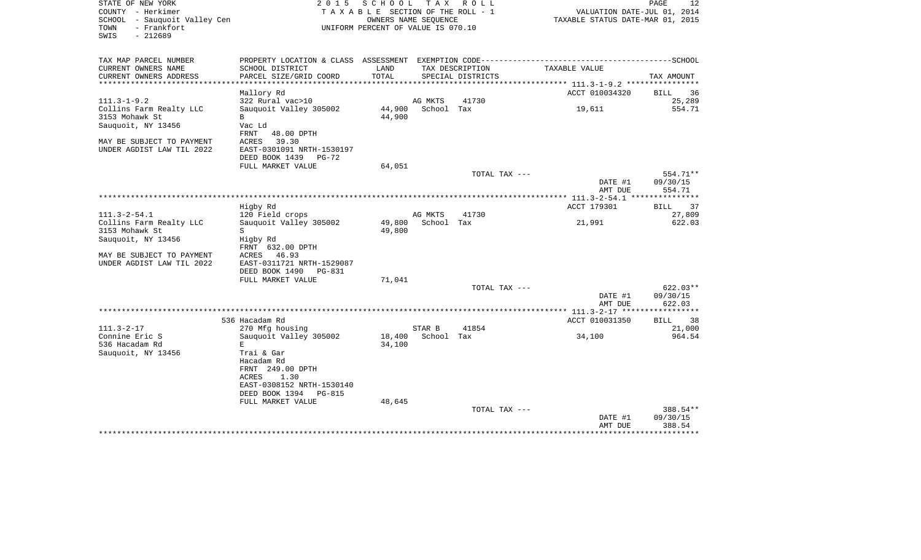| STATE OF NEW YORK<br>COUNTY - Herkimer<br>SCHOOL - Sauquoit Valley Cen<br>- Frankfort<br>TOWN<br>$-212689$<br>SWIS | 2 0 1 5                                    | SCHOOL<br>TAXABLE SECTION OF THE ROLL - 1<br>OWNERS NAME SEOUENCE<br>UNIFORM PERCENT OF VALUE IS 070.10 |                       | TAX ROLL                             | VALUATION DATE-JUL 01, 2014<br>TAXABLE STATUS DATE-MAR 01, 2015 | PAGE<br>12                |
|--------------------------------------------------------------------------------------------------------------------|--------------------------------------------|---------------------------------------------------------------------------------------------------------|-----------------------|--------------------------------------|-----------------------------------------------------------------|---------------------------|
| TAX MAP PARCEL NUMBER                                                                                              | PROPERTY LOCATION & CLASS ASSESSMENT       |                                                                                                         |                       | EXEMPTION CODE---------------------- |                                                                 | -------------------SCHOOL |
| CURRENT OWNERS NAME<br>CURRENT OWNERS ADDRESS                                                                      | SCHOOL DISTRICT<br>PARCEL SIZE/GRID COORD  | LAND<br>TOTAL                                                                                           |                       | TAX DESCRIPTION<br>SPECIAL DISTRICTS | TAXABLE VALUE                                                   | TAX AMOUNT                |
|                                                                                                                    |                                            |                                                                                                         |                       |                                      | ***************** 111.3-1-9.2 ***********                       |                           |
|                                                                                                                    | Mallory Rd                                 |                                                                                                         |                       |                                      | ACCT 010034320                                                  | BILL<br>36                |
| $111.3 - 1 - 9.2$<br>Collins Farm Realty LLC                                                                       | 322 Rural vac>10<br>Sauquoit Valley 305002 | 44,900                                                                                                  | AG MKTS<br>School Tax | 41730                                | 19,611                                                          | 25,289<br>554.71          |
| 3153 Mohawk St                                                                                                     | B                                          | 44,900                                                                                                  |                       |                                      |                                                                 |                           |
| Sauquoit, NY 13456                                                                                                 | Vac Ld                                     |                                                                                                         |                       |                                      |                                                                 |                           |
|                                                                                                                    | FRNT<br>48.00 DPTH                         |                                                                                                         |                       |                                      |                                                                 |                           |
| MAY BE SUBJECT TO PAYMENT                                                                                          | 39.30<br>ACRES                             |                                                                                                         |                       |                                      |                                                                 |                           |
| UNDER AGDIST LAW TIL 2022                                                                                          | EAST-0301091 NRTH-1530197                  |                                                                                                         |                       |                                      |                                                                 |                           |
|                                                                                                                    | DEED BOOK 1439<br>$PG-72$                  |                                                                                                         |                       |                                      |                                                                 |                           |
|                                                                                                                    | FULL MARKET VALUE                          | 64,051                                                                                                  |                       |                                      |                                                                 |                           |
|                                                                                                                    |                                            |                                                                                                         |                       | TOTAL TAX ---                        |                                                                 | 554.71**                  |
|                                                                                                                    |                                            |                                                                                                         |                       |                                      | DATE #1                                                         | 09/30/15                  |
|                                                                                                                    |                                            |                                                                                                         |                       |                                      | AMT DUE                                                         | 554.71                    |
| ****************************                                                                                       |                                            |                                                                                                         |                       |                                      |                                                                 |                           |
|                                                                                                                    | Higby Rd                                   |                                                                                                         |                       |                                      | ACCT 179301                                                     | 37<br>BILL                |
| $111.3 - 2 - 54.1$                                                                                                 | 120 Field crops                            |                                                                                                         | AG MKTS               | 41730                                |                                                                 | 27,809                    |
| Collins Farm Realty LLC                                                                                            | Sauguoit Valley 305002                     | 49,800                                                                                                  | School Tax            |                                      | 21,991                                                          | 622.03                    |
| 3153 Mohawk St                                                                                                     | S                                          | 49,800                                                                                                  |                       |                                      |                                                                 |                           |
| Sauquoit, NY 13456                                                                                                 | Higby Rd                                   |                                                                                                         |                       |                                      |                                                                 |                           |
|                                                                                                                    | FRNT 632.00 DPTH<br>ACRES<br>46.93         |                                                                                                         |                       |                                      |                                                                 |                           |
| MAY BE SUBJECT TO PAYMENT<br>UNDER AGDIST LAW TIL 2022                                                             | EAST-0311721 NRTH-1529087                  |                                                                                                         |                       |                                      |                                                                 |                           |
|                                                                                                                    | DEED BOOK 1490<br><b>PG-831</b>            |                                                                                                         |                       |                                      |                                                                 |                           |
|                                                                                                                    | FULL MARKET VALUE                          | 71,041                                                                                                  |                       |                                      |                                                                 |                           |
|                                                                                                                    |                                            |                                                                                                         |                       | TOTAL TAX ---                        |                                                                 | $622.03**$                |
|                                                                                                                    |                                            |                                                                                                         |                       |                                      | DATE #1                                                         | 09/30/15                  |
|                                                                                                                    |                                            |                                                                                                         |                       |                                      | AMT DUE                                                         | 622.03                    |
|                                                                                                                    |                                            |                                                                                                         |                       |                                      |                                                                 |                           |
|                                                                                                                    | 536 Hacadam Rd                             |                                                                                                         |                       |                                      | ACCT 010031350                                                  | 38<br>BILL                |
| $111.3 - 2 - 17$                                                                                                   | 270 Mfg housing                            |                                                                                                         | STAR B                | 41854                                |                                                                 | 21,000                    |
| Connine Eric S                                                                                                     | Sauquoit Valley 305002                     | 18,400                                                                                                  | School Tax            |                                      | 34,100                                                          | 964.54                    |
| 536 Hacadam Rd                                                                                                     | Е                                          | 34,100                                                                                                  |                       |                                      |                                                                 |                           |
| Sauquoit, NY 13456                                                                                                 | Trai & Gar                                 |                                                                                                         |                       |                                      |                                                                 |                           |
|                                                                                                                    | Hacadam Rd                                 |                                                                                                         |                       |                                      |                                                                 |                           |
|                                                                                                                    | FRNT 249.00 DPTH<br><b>ACRES</b><br>1.30   |                                                                                                         |                       |                                      |                                                                 |                           |
|                                                                                                                    | EAST-0308152 NRTH-1530140                  |                                                                                                         |                       |                                      |                                                                 |                           |
|                                                                                                                    | DEED BOOK 1394<br><b>PG-815</b>            |                                                                                                         |                       |                                      |                                                                 |                           |
|                                                                                                                    | FULL MARKET VALUE                          | 48,645                                                                                                  |                       |                                      |                                                                 |                           |
|                                                                                                                    |                                            |                                                                                                         |                       | TOTAL TAX ---                        |                                                                 | 388.54**                  |
|                                                                                                                    |                                            |                                                                                                         |                       |                                      | DATE #1                                                         | 09/30/15                  |
|                                                                                                                    |                                            |                                                                                                         |                       |                                      | AMT DUE                                                         | 388.54                    |
|                                                                                                                    |                                            |                                                                                                         |                       |                                      |                                                                 |                           |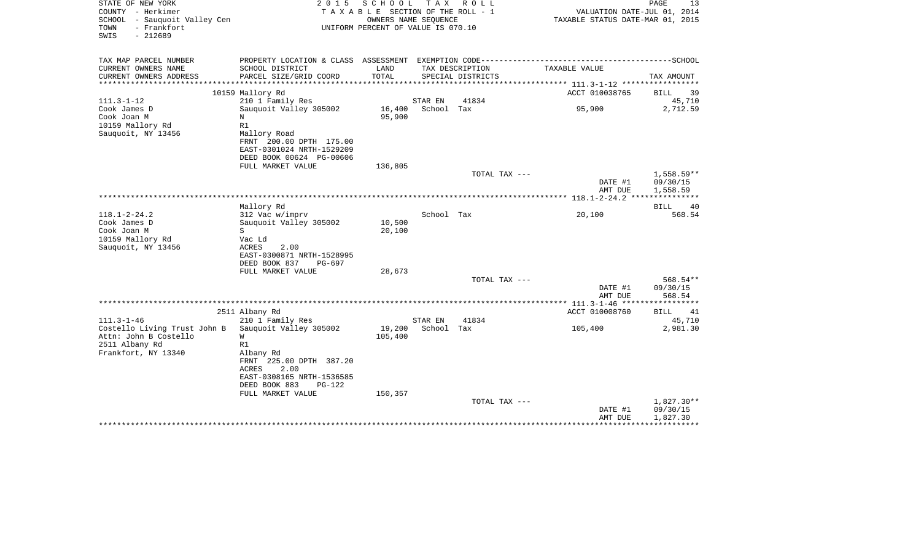| STATE OF NEW YORK<br>COUNTY - Herkimer<br>SCHOOL<br>- Sauquoit Valley Cen<br>- Frankfort<br>TOWN<br>SWIS<br>$-212689$ | 2 0 1 5                                    | SCHOOL<br>TAXABLE SECTION OF THE ROLL - 1<br>OWNERS NAME SEQUENCE<br>UNIFORM PERCENT OF VALUE IS 070.10 | T A X                 | R O L L           | VALUATION DATE-JUL 01, 2014<br>TAXABLE STATUS DATE-MAR 01, 2015                                               | PAGE<br>13         |
|-----------------------------------------------------------------------------------------------------------------------|--------------------------------------------|---------------------------------------------------------------------------------------------------------|-----------------------|-------------------|---------------------------------------------------------------------------------------------------------------|--------------------|
| TAX MAP PARCEL NUMBER<br>CURRENT OWNERS NAME                                                                          | SCHOOL DISTRICT                            | LAND                                                                                                    |                       | TAX DESCRIPTION   | PROPERTY LOCATION & CLASS ASSESSMENT EXEMPTION CODE-----------------------------------SCHOOL<br>TAXABLE VALUE |                    |
| CURRENT OWNERS ADDRESS                                                                                                | PARCEL SIZE/GRID COORD                     | TOTAL                                                                                                   |                       | SPECIAL DISTRICTS |                                                                                                               | TAX AMOUNT         |
| *******************                                                                                                   | ****************************               |                                                                                                         |                       |                   |                                                                                                               |                    |
|                                                                                                                       | 10159 Mallory Rd                           |                                                                                                         |                       |                   | ACCT 010038765                                                                                                | <b>BILL</b><br>39  |
| $111.3 - 1 - 12$                                                                                                      | 210 1 Family Res                           |                                                                                                         | STAR EN               | 41834             |                                                                                                               | 45,710             |
| Cook James D<br>Cook Joan M                                                                                           | Sauquoit Valley 305002<br>N                | 16,400<br>95,900                                                                                        | School Tax            |                   | 95,900                                                                                                        | 2,712.59           |
| 10159 Mallory Rd                                                                                                      | R1                                         |                                                                                                         |                       |                   |                                                                                                               |                    |
| Sauquoit, NY 13456                                                                                                    | Mallory Road                               |                                                                                                         |                       |                   |                                                                                                               |                    |
|                                                                                                                       | FRNT 200.00 DPTH 175.00                    |                                                                                                         |                       |                   |                                                                                                               |                    |
|                                                                                                                       | EAST-0301024 NRTH-1529209                  |                                                                                                         |                       |                   |                                                                                                               |                    |
|                                                                                                                       | DEED BOOK 00624 PG-00606                   | 136,805                                                                                                 |                       |                   |                                                                                                               |                    |
|                                                                                                                       | FULL MARKET VALUE                          |                                                                                                         |                       | TOTAL TAX ---     |                                                                                                               | 1,558.59**         |
|                                                                                                                       |                                            |                                                                                                         |                       |                   | DATE #1                                                                                                       | 09/30/15           |
|                                                                                                                       |                                            |                                                                                                         |                       |                   | AMT DUE                                                                                                       | 1,558.59           |
|                                                                                                                       |                                            |                                                                                                         |                       |                   |                                                                                                               | ************       |
|                                                                                                                       | Mallory Rd                                 |                                                                                                         |                       |                   |                                                                                                               | BILL<br>40         |
| $118.1 - 2 - 24.2$<br>Cook James D                                                                                    | 312 Vac w/imprv<br>Sauguoit Valley 305002  | 10,500                                                                                                  | School Tax            |                   | 20,100                                                                                                        | 568.54             |
| Cook Joan M                                                                                                           | S                                          | 20,100                                                                                                  |                       |                   |                                                                                                               |                    |
| 10159 Mallory Rd                                                                                                      | Vac Ld                                     |                                                                                                         |                       |                   |                                                                                                               |                    |
| Sauquoit, NY 13456                                                                                                    | ACRES<br>2.00                              |                                                                                                         |                       |                   |                                                                                                               |                    |
|                                                                                                                       | EAST-0300871 NRTH-1528995                  |                                                                                                         |                       |                   |                                                                                                               |                    |
|                                                                                                                       | DEED BOOK 837<br>PG-697                    |                                                                                                         |                       |                   |                                                                                                               |                    |
|                                                                                                                       | FULL MARKET VALUE                          | 28,673                                                                                                  |                       | TOTAL TAX ---     |                                                                                                               | 568.54**           |
|                                                                                                                       |                                            |                                                                                                         |                       |                   | DATE #1                                                                                                       | 09/30/15           |
|                                                                                                                       |                                            |                                                                                                         |                       |                   | AMT DUE                                                                                                       | 568.54             |
|                                                                                                                       |                                            |                                                                                                         |                       |                   |                                                                                                               |                    |
|                                                                                                                       | 2511 Albany Rd                             |                                                                                                         |                       |                   | ACCT 010008760                                                                                                | 41<br>BILL         |
| $111.3 - 1 - 46$<br>Costello Living Trust John B                                                                      | 210 1 Family Res<br>Sauquoit Valley 305002 | 19,200                                                                                                  | STAR EN<br>School Tax | 41834             | 105,400                                                                                                       | 45,710<br>2,981.30 |
| Attn: John B Costello                                                                                                 | W                                          | 105,400                                                                                                 |                       |                   |                                                                                                               |                    |
| 2511 Albany Rd                                                                                                        | R1                                         |                                                                                                         |                       |                   |                                                                                                               |                    |
| Frankfort, NY 13340                                                                                                   | Albany Rd                                  |                                                                                                         |                       |                   |                                                                                                               |                    |
|                                                                                                                       | FRNT 225.00 DPTH 387.20                    |                                                                                                         |                       |                   |                                                                                                               |                    |
|                                                                                                                       | ACRES<br>2.00<br>EAST-0308165 NRTH-1536585 |                                                                                                         |                       |                   |                                                                                                               |                    |
|                                                                                                                       | DEED BOOK 883<br>$PG-122$                  |                                                                                                         |                       |                   |                                                                                                               |                    |
|                                                                                                                       | FULL MARKET VALUE                          | 150,357                                                                                                 |                       |                   |                                                                                                               |                    |
|                                                                                                                       |                                            |                                                                                                         |                       | TOTAL TAX ---     |                                                                                                               | 1,827.30**         |
|                                                                                                                       |                                            |                                                                                                         |                       |                   | DATE #1                                                                                                       | 09/30/15           |
|                                                                                                                       |                                            |                                                                                                         |                       |                   | AMT DUE                                                                                                       | 1,827.30           |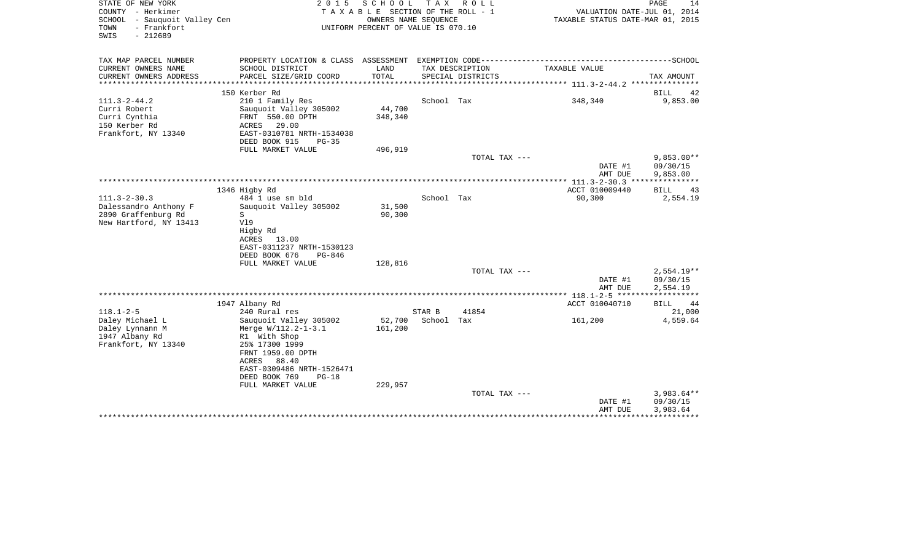| STATE OF NEW YORK<br>COUNTY - Herkimer<br>SCHOOL - Sauquoit Valley Cen<br>- Frankfort<br>TOWN<br>SWIS<br>$-212689$ | 2 0 1 5                                                                                                                                        | SCHOOL<br>T A X A B L E SECTION OF THE ROLL - 1<br>OWNERS NAME SEQUENCE<br>UNIFORM PERCENT OF VALUE IS 070.10 | T A X                | R O L L           | VALUATION DATE-JUL 01, 2014<br>TAXABLE STATUS DATE-MAR 01, 2015 | PAGE<br>14                           |
|--------------------------------------------------------------------------------------------------------------------|------------------------------------------------------------------------------------------------------------------------------------------------|---------------------------------------------------------------------------------------------------------------|----------------------|-------------------|-----------------------------------------------------------------|--------------------------------------|
| TAX MAP PARCEL NUMBER<br>CURRENT OWNERS NAME                                                                       | SCHOOL DISTRICT                                                                                                                                | LAND                                                                                                          |                      | TAX DESCRIPTION   | TAXABLE VALUE                                                   |                                      |
| CURRENT OWNERS ADDRESS<br>*********************                                                                    | PARCEL SIZE/GRID COORD<br>***************************                                                                                          | TOTAL                                                                                                         |                      | SPECIAL DISTRICTS |                                                                 | TAX AMOUNT                           |
|                                                                                                                    | 150 Kerber Rd                                                                                                                                  |                                                                                                               |                      |                   |                                                                 | <b>BILL</b><br>42                    |
| $111.3 - 2 - 44.2$<br>Curri Robert<br>Curri Cynthia<br>150 Kerber Rd<br>Frankfort, NY 13340                        | 210 1 Family Res<br>Sauquoit Valley 305002<br>FRNT 550.00 DPTH<br>ACRES<br>29.00<br>EAST-0310781 NRTH-1534038<br>DEED BOOK 915<br>$PG-35$      | 44,700<br>348,340                                                                                             | School Tax           |                   | 348,340                                                         | 9,853.00                             |
|                                                                                                                    | FULL MARKET VALUE                                                                                                                              | 496,919                                                                                                       |                      |                   |                                                                 |                                      |
|                                                                                                                    |                                                                                                                                                |                                                                                                               |                      | TOTAL TAX ---     | DATE #1<br>AMT DUE                                              | $9.853.00**$<br>09/30/15<br>9,853.00 |
|                                                                                                                    |                                                                                                                                                |                                                                                                               |                      |                   |                                                                 |                                      |
|                                                                                                                    | 1346 Higby Rd                                                                                                                                  |                                                                                                               |                      |                   | ACCT 010009440                                                  | 43<br><b>BILL</b>                    |
| $111.3 - 2 - 30.3$<br>Dalessandro Anthony F<br>2890 Graffenburg Rd<br>New Hartford, NY 13413                       | 484 1 use sm bld<br>Sauguoit Valley 305002<br>S<br>V19<br>Higby Rd<br>ACRES<br>13.00<br>EAST-0311237 NRTH-1530123<br>DEED BOOK 676<br>$PG-846$ | 31,500<br>90,300                                                                                              | School Tax           |                   | 90,300                                                          | 2,554.19                             |
|                                                                                                                    | FULL MARKET VALUE                                                                                                                              | 128,816                                                                                                       |                      |                   |                                                                 |                                      |
|                                                                                                                    |                                                                                                                                                |                                                                                                               |                      | TOTAL TAX ---     | DATE #1<br>AMT DUE                                              | $2.554.19**$<br>09/30/15<br>2,554.19 |
|                                                                                                                    |                                                                                                                                                |                                                                                                               |                      |                   |                                                                 | ************                         |
|                                                                                                                    | 1947 Albany Rd                                                                                                                                 |                                                                                                               |                      |                   | ACCT 010040710                                                  | <b>BILL</b><br>44                    |
| $118.1 - 2 - 5$<br>Daley Michael L<br>Daley Lynnann M<br>1947 Albany Rd<br>Frankfort, NY 13340                     | 240 Rural res<br>Sauguoit Valley 305002<br>Merge W/112.2-1-3.1<br>R1 With Shop<br>25% 17300 1999<br>FRNT 1959.00 DPTH                          | 52,700<br>161,200                                                                                             | STAR B<br>School Tax | 41854             | 161,200                                                         | 21,000<br>4,559.64                   |
|                                                                                                                    | 88.40<br>ACRES<br>EAST-0309486 NRTH-1526471<br>DEED BOOK 769<br>$PG-18$<br>FULL MARKET VALUE                                                   | 229,957                                                                                                       |                      | TOTAL TAX ---     |                                                                 | $3,983.64**$                         |
|                                                                                                                    |                                                                                                                                                |                                                                                                               |                      |                   | DATE #1<br>AMT DUE                                              | 09/30/15<br>3,983.64                 |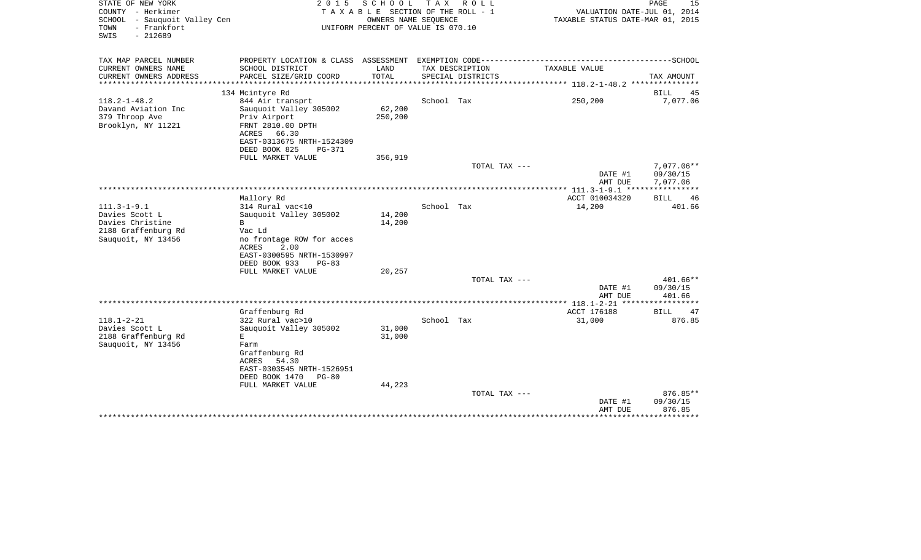| STATE OF NEW YORK<br>COUNTY - Herkimer<br>SCHOOL - Sauquoit Valley Cen<br>- Frankfort<br>TOWN<br>$-212689$<br>SWIS | 2 0 1 5                                                                                                                                                                            | SCHOOL<br>T A X A B L E SECTION OF THE ROLL - 1<br>OWNERS NAME SEQUENCE<br>UNIFORM PERCENT OF VALUE IS 070.10 | T A X                   | R O L L           | VALUATION DATE-JUL 01, 2014<br>TAXABLE STATUS DATE-MAR 01, 2015 | PAGE<br>15                                |
|--------------------------------------------------------------------------------------------------------------------|------------------------------------------------------------------------------------------------------------------------------------------------------------------------------------|---------------------------------------------------------------------------------------------------------------|-------------------------|-------------------|-----------------------------------------------------------------|-------------------------------------------|
| TAX MAP PARCEL NUMBER<br>CURRENT OWNERS NAME                                                                       | SCHOOL DISTRICT                                                                                                                                                                    | LAND                                                                                                          |                         | TAX DESCRIPTION   | TAXABLE VALUE                                                   |                                           |
| CURRENT OWNERS ADDRESS<br>**********************                                                                   | PARCEL SIZE/GRID COORD<br>***************************                                                                                                                              | TOTAL                                                                                                         |                         | SPECIAL DISTRICTS |                                                                 | TAX AMOUNT                                |
|                                                                                                                    | 134 Mcintyre Rd                                                                                                                                                                    |                                                                                                               |                         |                   |                                                                 | <b>BILL</b><br>45                         |
| $118.2 - 1 - 48.2$<br>Davand Aviation Inc<br>379 Throop Ave<br>Brooklyn, NY 11221                                  | 844 Air transprt<br>Sauquoit Valley 305002<br>Priv Airport<br>FRNT 2810.00 DPTH<br>ACRES 66.30<br>EAST-0313675 NRTH-1524309<br>DEED BOOK 825<br><b>PG-371</b><br>FULL MARKET VALUE | 62,200<br>250,200<br>356,919                                                                                  | School Tax              |                   | 250,200                                                         | 7,077.06                                  |
|                                                                                                                    |                                                                                                                                                                                    |                                                                                                               |                         | TOTAL TAX ---     | DATE #1<br>AMT DUE                                              | 7,077.06**<br>09/30/15<br>7,077.06        |
| ************************                                                                                           |                                                                                                                                                                                    |                                                                                                               |                         |                   |                                                                 | * * * * * * * * * * *                     |
| $111.3 - 1 - 9.1$                                                                                                  | Mallory Rd<br>314 Rural vac<10                                                                                                                                                     |                                                                                                               | School Tax              |                   | ACCT 010034320<br>14,200                                        | <b>BILL</b><br>46<br>401.66               |
| Davies Scott L<br>Davies Christine<br>2188 Graffenburg Rd<br>Sauquoit, NY 13456                                    | Sauguoit Valley 305002<br>B<br>Vac Ld<br>no frontage ROW for acces<br>2.00<br>ACRES<br>EAST-0300595 NRTH-1530997<br>DEED BOOK 933<br>$PG-83$                                       | 14,200<br>14,200                                                                                              |                         |                   |                                                                 |                                           |
|                                                                                                                    | FULL MARKET VALUE                                                                                                                                                                  | 20,257                                                                                                        |                         | TOTAL TAX ---     |                                                                 | $401.66**$                                |
|                                                                                                                    |                                                                                                                                                                                    |                                                                                                               |                         |                   | DATE #1<br>AMT DUE                                              | 09/30/15<br>401.66                        |
|                                                                                                                    | ***************************                                                                                                                                                        |                                                                                                               | *********************** |                   | ******* 118.1-2-21 *****                                        |                                           |
| $118.1 - 2 - 21$                                                                                                   | Graffenburg Rd<br>322 Rural vac>10                                                                                                                                                 |                                                                                                               | School Tax              |                   | ACCT 176188<br>31,000                                           | 47<br>BILL<br>876.85                      |
| Davies Scott L<br>2188 Graffenburg Rd<br>Sauquoit, NY 13456                                                        | Sauquoit Valley 305002<br>E.<br>Farm<br>Graffenburg Rd<br><b>ACRES</b><br>54.30<br>EAST-0303545 NRTH-1526951<br>DEED BOOK 1470<br>$PG-80$<br>FULL MARKET VALUE                     | 31,000<br>31,000<br>44,223                                                                                    |                         |                   |                                                                 |                                           |
|                                                                                                                    | *************************************                                                                                                                                              |                                                                                                               |                         | TOTAL TAX ---     | DATE #1<br>AMT DUE                                              | 876.85**<br>09/30/15<br>876.85<br>******* |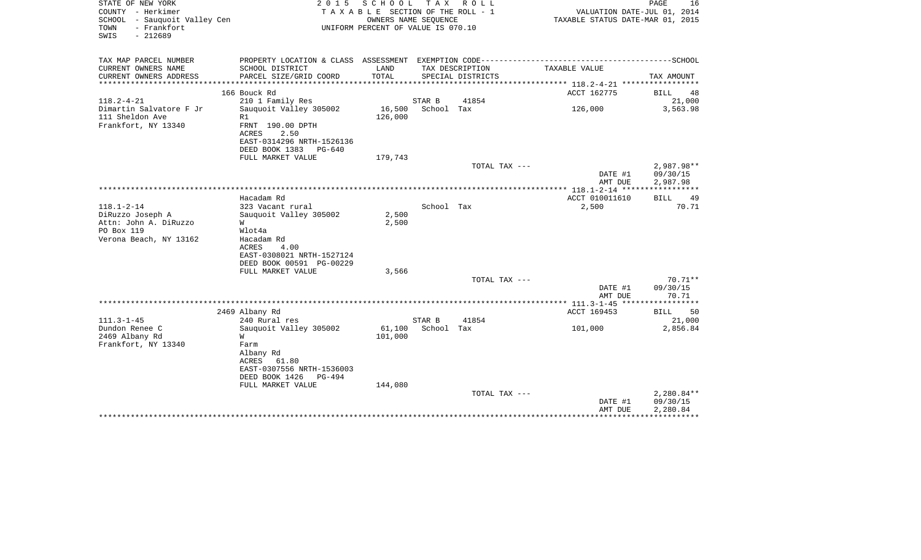| STATE OF NEW YORK<br>COUNTY - Herkimer<br>SCHOOL - Sauquoit Valley Cen<br>- Frankfort<br>TOWN<br>$-212689$<br>SWIS | 2 0 1 5                                                                                                                                           | SCHOOL<br>T A X A B L E SECTION OF THE ROLL - 1<br>OWNERS NAME SEQUENCE<br>UNIFORM PERCENT OF VALUE IS 070.10 | T A X      | R O L L                                             | VALUATION DATE-JUL 01, 2014<br>TAXABLE STATUS DATE-MAR 01, 2015 | PAGE<br>16                         |
|--------------------------------------------------------------------------------------------------------------------|---------------------------------------------------------------------------------------------------------------------------------------------------|---------------------------------------------------------------------------------------------------------------|------------|-----------------------------------------------------|-----------------------------------------------------------------|------------------------------------|
| TAX MAP PARCEL NUMBER<br>CURRENT OWNERS NAME                                                                       | SCHOOL DISTRICT                                                                                                                                   | LAND                                                                                                          |            | TAX DESCRIPTION                                     | TAXABLE VALUE                                                   |                                    |
| CURRENT OWNERS ADDRESS<br>*******************                                                                      | PARCEL SIZE/GRID COORD<br>*******************                                                                                                     | TOTAL                                                                                                         |            | SPECIAL DISTRICTS<br>****************************** | ************* 118.2-4-21 ******************                     | TAX AMOUNT                         |
|                                                                                                                    | 166 Bouck Rd                                                                                                                                      |                                                                                                               |            |                                                     | ACCT 162775                                                     | <b>BILL</b><br>48                  |
| $118.2 - 4 - 21$                                                                                                   | 210 1 Family Res                                                                                                                                  |                                                                                                               | STAR B     | 41854                                               |                                                                 | 21,000                             |
| Dimartin Salvatore F Jr<br>111 Sheldon Ave<br>Frankfort, NY 13340                                                  | Sauquoit Valley 305002<br>R1<br>FRNT 190.00 DPTH<br>ACRES<br>2.50<br>EAST-0314296 NRTH-1526136<br>DEED BOOK 1383<br>PG-640                        | 16,500<br>126,000                                                                                             | School Tax |                                                     | 126,000                                                         | 3,563.98                           |
|                                                                                                                    | FULL MARKET VALUE                                                                                                                                 | 179,743                                                                                                       |            |                                                     |                                                                 |                                    |
|                                                                                                                    |                                                                                                                                                   |                                                                                                               |            | TOTAL TAX ---                                       | DATE #1<br>AMT DUE                                              | 2,987.98**<br>09/30/15<br>2,987.98 |
|                                                                                                                    |                                                                                                                                                   |                                                                                                               |            |                                                     |                                                                 |                                    |
|                                                                                                                    | Hacadam Rd                                                                                                                                        |                                                                                                               |            |                                                     | ACCT 010011610                                                  | <b>BILL</b><br>49                  |
| $118.1 - 2 - 14$<br>DiRuzzo Joseph A<br>Attn: John A. DiRuzzo<br>PO Box 119<br>Verona Beach, NY 13162              | 323 Vacant rural<br>Sauquoit Valley 305002<br>W<br>Wlot4a<br>Hacadam Rd<br>4.00<br>ACRES<br>EAST-0308021 NRTH-1527124<br>DEED BOOK 00591 PG-00229 | 2,500<br>2,500                                                                                                | School Tax |                                                     | 2,500                                                           | 70.71                              |
|                                                                                                                    | FULL MARKET VALUE                                                                                                                                 | 3,566                                                                                                         |            |                                                     |                                                                 | $70.71**$                          |
|                                                                                                                    |                                                                                                                                                   |                                                                                                               |            | TOTAL TAX ---                                       | DATE #1<br>AMT DUE                                              | 09/30/15<br>70.71                  |
|                                                                                                                    |                                                                                                                                                   |                                                                                                               |            |                                                     | * $111.3 - 1 - 45$ ***                                          |                                    |
|                                                                                                                    | 2469 Albany Rd                                                                                                                                    |                                                                                                               |            |                                                     | ACCT 169453                                                     | 50<br><b>BILL</b>                  |
| $111.3 - 1 - 45$                                                                                                   | 240 Rural res                                                                                                                                     |                                                                                                               | STAR B     | 41854                                               |                                                                 | 21,000                             |
| Dundon Renee C                                                                                                     | Sauguoit Valley 305002                                                                                                                            | 61,100                                                                                                        | School Tax |                                                     | 101,000                                                         | 2,856.84                           |
| 2469 Albany Rd<br>Frankfort, NY 13340                                                                              | W<br>Farm<br>Albany Rd<br>61.80<br>ACRES<br>EAST-0307556 NRTH-1536003<br>DEED BOOK 1426<br>PG-494                                                 | 101,000                                                                                                       |            |                                                     |                                                                 |                                    |
|                                                                                                                    | FULL MARKET VALUE                                                                                                                                 | 144,080                                                                                                       |            | TOTAL TAX ---                                       |                                                                 | 2,280.84**                         |
|                                                                                                                    |                                                                                                                                                   |                                                                                                               |            |                                                     | DATE #1<br>AMT DUE                                              | 09/30/15<br>2,280.84               |
|                                                                                                                    |                                                                                                                                                   |                                                                                                               |            |                                                     |                                                                 |                                    |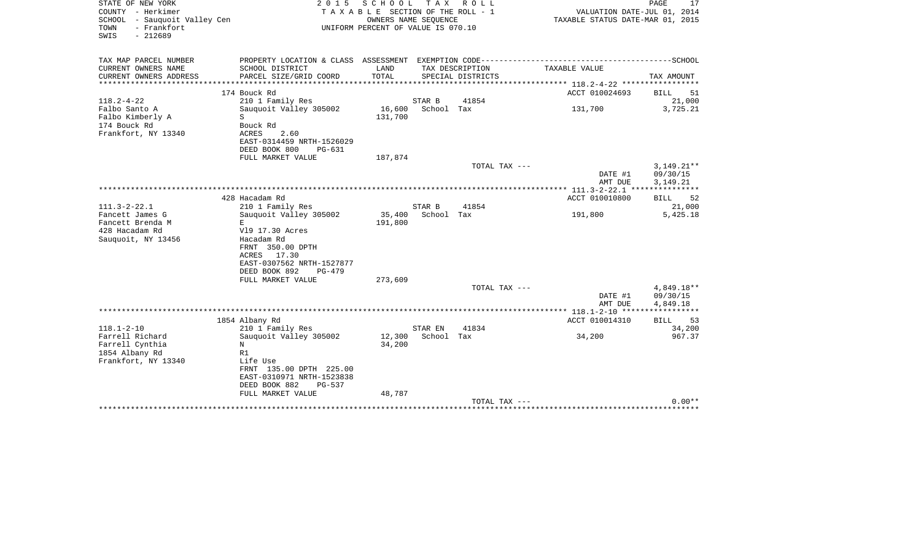| STATE OF NEW YORK<br>COUNTY - Herkimer<br><b>SCHOOL</b><br>- Sauquoit Valley Cen<br>- Frankfort<br>TOWN<br>SWIS<br>$-212689$ | 2 0 1 5                                                | SCHOOL<br>T A X A B L E SECTION OF THE ROLL - 1<br>OWNERS NAME SEOUENCE<br>UNIFORM PERCENT OF VALUE IS 070.10 | T A X      | R O L L           | VALUATION DATE-JUL 01, 2014<br>TAXABLE STATUS DATE-MAR 01, 2015 | PAGE<br>17               |
|------------------------------------------------------------------------------------------------------------------------------|--------------------------------------------------------|---------------------------------------------------------------------------------------------------------------|------------|-------------------|-----------------------------------------------------------------|--------------------------|
| TAX MAP PARCEL NUMBER<br>CURRENT OWNERS NAME                                                                                 | SCHOOL DISTRICT                                        | LAND                                                                                                          |            | TAX DESCRIPTION   | TAXABLE VALUE                                                   |                          |
| CURRENT OWNERS ADDRESS                                                                                                       | PARCEL SIZE/GRID COORD                                 | TOTAL                                                                                                         |            | SPECIAL DISTRICTS |                                                                 | TAX AMOUNT               |
|                                                                                                                              | 174 Bouck Rd                                           |                                                                                                               |            |                   | ACCT 010024693                                                  | BILL<br>51               |
| $118.2 - 4 - 22$                                                                                                             | 210 1 Family Res                                       |                                                                                                               | STAR B     | 41854             |                                                                 | 21,000                   |
| Falbo Santo A<br>Falbo Kimberly A                                                                                            | Sauquoit Valley 305002<br>S                            | 16,600<br>131,700                                                                                             | School Tax |                   | 131,700                                                         | 3,725.21                 |
| 174 Bouck Rd                                                                                                                 | Bouck Rd                                               |                                                                                                               |            |                   |                                                                 |                          |
| Frankfort, NY 13340                                                                                                          | ACRES<br>2.60<br>EAST-0314459 NRTH-1526029             |                                                                                                               |            |                   |                                                                 |                          |
|                                                                                                                              | DEED BOOK 800<br>$PG-631$                              |                                                                                                               |            |                   |                                                                 |                          |
|                                                                                                                              | FULL MARKET VALUE                                      | 187,874                                                                                                       |            |                   |                                                                 |                          |
|                                                                                                                              |                                                        |                                                                                                               |            | TOTAL TAX ---     | DATE #1                                                         | $3,149.21**$<br>09/30/15 |
|                                                                                                                              |                                                        |                                                                                                               |            |                   | AMT DUE                                                         | 3,149.21                 |
|                                                                                                                              |                                                        |                                                                                                               |            |                   |                                                                 |                          |
|                                                                                                                              | 428 Hacadam Rd                                         |                                                                                                               |            |                   | ACCT 010010800                                                  | <b>BILL</b><br>52        |
| $111.3 - 2 - 22.1$                                                                                                           | 210 1 Family Res                                       |                                                                                                               | STAR B     | 41854             |                                                                 | 21,000                   |
| Fancett James G<br>Fancett Brenda M                                                                                          | Sauquoit Valley 305002<br>E.                           | 35,400<br>191,800                                                                                             | School Tax |                   | 191,800                                                         | 5,425.18                 |
| 428 Hacadam Rd                                                                                                               | V19 17.30 Acres                                        |                                                                                                               |            |                   |                                                                 |                          |
| Sauquoit, NY 13456                                                                                                           | Hacadam Rd                                             |                                                                                                               |            |                   |                                                                 |                          |
|                                                                                                                              | FRNT 350.00 DPTH                                       |                                                                                                               |            |                   |                                                                 |                          |
|                                                                                                                              | 17.30<br>ACRES                                         |                                                                                                               |            |                   |                                                                 |                          |
|                                                                                                                              | EAST-0307562 NRTH-1527877<br>DEED BOOK 892<br>$PG-479$ |                                                                                                               |            |                   |                                                                 |                          |
|                                                                                                                              | FULL MARKET VALUE                                      | 273,609                                                                                                       |            |                   |                                                                 |                          |
|                                                                                                                              |                                                        |                                                                                                               |            | TOTAL TAX ---     |                                                                 | 4,849.18**               |
|                                                                                                                              |                                                        |                                                                                                               |            |                   | DATE #1                                                         | 09/30/15                 |
|                                                                                                                              |                                                        |                                                                                                               |            |                   | AMT DUE                                                         | 4,849.18                 |
|                                                                                                                              | 1854 Albany Rd                                         |                                                                                                               |            |                   | ACCT 010014310                                                  | <b>BILL</b><br>53        |
| $118.1 - 2 - 10$                                                                                                             | 210 1 Family Res                                       |                                                                                                               | STAR EN    | 41834             |                                                                 | 34,200                   |
| Farrell Richard                                                                                                              | Sauquoit Valley 305002                                 | 12,300                                                                                                        | School Tax |                   | 34,200                                                          | 967.37                   |
| Farrell Cynthia                                                                                                              | N                                                      | 34,200                                                                                                        |            |                   |                                                                 |                          |
| 1854 Albany Rd<br>Frankfort, NY 13340                                                                                        | R1<br>Life Use                                         |                                                                                                               |            |                   |                                                                 |                          |
|                                                                                                                              | FRNT 135.00 DPTH 225.00                                |                                                                                                               |            |                   |                                                                 |                          |
|                                                                                                                              | EAST-0310971 NRTH-1523838                              |                                                                                                               |            |                   |                                                                 |                          |
|                                                                                                                              | DEED BOOK 882<br>$PG-537$                              |                                                                                                               |            |                   |                                                                 |                          |
|                                                                                                                              | FULL MARKET VALUE                                      | 48,787                                                                                                        |            | TOTAL TAX ---     |                                                                 | $0.00**$                 |
|                                                                                                                              |                                                        |                                                                                                               |            |                   |                                                                 |                          |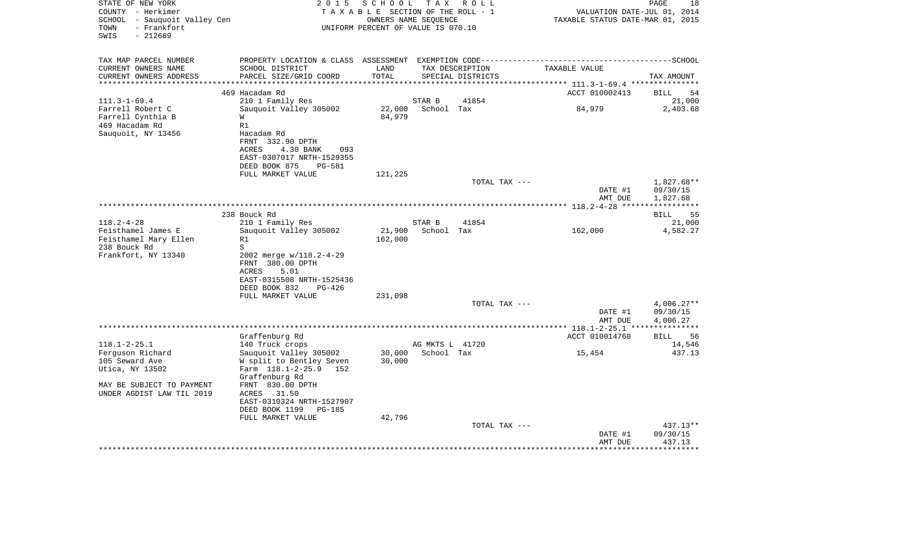| STATE OF NEW YORK<br>COUNTY - Herkimer<br>SCHOOL - Sauquoit Valley Cen<br>- Frankfort<br>TOWN<br>$-212689$<br>SWIS | 2 0 1 5<br>TAXABLE SECTION OF THE ROLL - 1<br>UNIFORM PERCENT OF VALUE IS 070.10 |               | PAGE<br>18<br>VALUATION DATE-JUL 01, 2014<br>TAXABLE STATUS DATE-MAR 01, 2015 |                                      |                |                             |
|--------------------------------------------------------------------------------------------------------------------|----------------------------------------------------------------------------------|---------------|-------------------------------------------------------------------------------|--------------------------------------|----------------|-----------------------------|
| TAX MAP PARCEL NUMBER<br>CURRENT OWNERS NAME<br>CURRENT OWNERS ADDRESS                                             | SCHOOL DISTRICT<br>PARCEL SIZE/GRID COORD                                        | LAND<br>TOTAL |                                                                               | TAX DESCRIPTION<br>SPECIAL DISTRICTS | TAXABLE VALUE  | TAX AMOUNT                  |
| ***********************                                                                                            |                                                                                  |               |                                                                               |                                      |                |                             |
| $111.3 - 1 - 69.4$                                                                                                 | 469 Hacadam Rd<br>210 1 Family Res                                               |               | STAR B                                                                        | 41854                                | ACCT 010002413 | <b>BILL</b><br>54<br>21,000 |
| Farrell Robert C                                                                                                   | Sauquoit Valley 305002                                                           | 22,000        | School Tax                                                                    |                                      | 84,979         | 2,403.68                    |
| Farrell Cynthia B                                                                                                  | W                                                                                | 84,979        |                                                                               |                                      |                |                             |
| 469 Hacadam Rd                                                                                                     | R1                                                                               |               |                                                                               |                                      |                |                             |
| Sauquoit, NY 13456                                                                                                 | Hacadam Rd                                                                       |               |                                                                               |                                      |                |                             |
|                                                                                                                    | FRNT 332.90 DPTH<br>ACRES<br>4.30 BANK<br>093                                    |               |                                                                               |                                      |                |                             |
|                                                                                                                    | EAST-0307017 NRTH-1529355                                                        |               |                                                                               |                                      |                |                             |
|                                                                                                                    | DEED BOOK 875<br><b>PG-581</b>                                                   |               |                                                                               |                                      |                |                             |
|                                                                                                                    | FULL MARKET VALUE                                                                | 121,225       |                                                                               |                                      |                |                             |
|                                                                                                                    |                                                                                  |               |                                                                               | TOTAL TAX ---                        |                | 1,827.68**                  |
|                                                                                                                    |                                                                                  |               |                                                                               |                                      | DATE #1        | 09/30/15                    |
|                                                                                                                    |                                                                                  |               |                                                                               |                                      | AMT DUE        | 1,827.68                    |
|                                                                                                                    | 238 Bouck Rd                                                                     |               |                                                                               |                                      |                | 55<br><b>BILL</b>           |
| $118.2 - 4 - 28$                                                                                                   | 210 1 Family Res                                                                 |               | STAR B                                                                        | 41854                                |                | 21,000                      |
| Feisthamel James E                                                                                                 | Sauguoit Valley 305002                                                           | 21,900        | School Tax                                                                    |                                      | 162,000        | 4,582.27                    |
| Feisthamel Mary Ellen                                                                                              | R1                                                                               | 162,000       |                                                                               |                                      |                |                             |
| 238 Bouck Rd                                                                                                       | S                                                                                |               |                                                                               |                                      |                |                             |
| Frankfort, NY 13340                                                                                                | 2002 merge w/118.2-4-29<br>FRNT 380.00 DPTH                                      |               |                                                                               |                                      |                |                             |
|                                                                                                                    | <b>ACRES</b><br>5.01                                                             |               |                                                                               |                                      |                |                             |
|                                                                                                                    | EAST-0315508 NRTH-1525436                                                        |               |                                                                               |                                      |                |                             |
|                                                                                                                    | DEED BOOK 832<br>PG-426                                                          |               |                                                                               |                                      |                |                             |
|                                                                                                                    | FULL MARKET VALUE                                                                | 231,098       |                                                                               |                                      |                |                             |
|                                                                                                                    |                                                                                  |               |                                                                               | TOTAL TAX ---                        | DATE #1        | $4,006.27**$<br>09/30/15    |
|                                                                                                                    |                                                                                  |               |                                                                               |                                      | AMT DUE        | 4,006.27                    |
|                                                                                                                    |                                                                                  |               |                                                                               |                                      |                |                             |
|                                                                                                                    | Graffenburg Rd                                                                   |               |                                                                               |                                      | ACCT 010014760 | 56<br><b>BILL</b>           |
| $118.1 - 2 - 25.1$                                                                                                 | 140 Truck crops                                                                  |               | AG MKTS L 41720                                                               |                                      |                | 14,546                      |
| Ferguson Richard                                                                                                   | Sauquoit Valley 305002                                                           | 30,000        | School Tax                                                                    |                                      | 15,454         | 437.13                      |
| 105 Seward Ave<br>Utica, NY 13502                                                                                  | W split to Bentley Seven<br>Farm 118.1-2-25.9<br>152                             | 30,000        |                                                                               |                                      |                |                             |
|                                                                                                                    | Graffenburg Rd                                                                   |               |                                                                               |                                      |                |                             |
| MAY BE SUBJECT TO PAYMENT                                                                                          | FRNT 830.00 DPTH                                                                 |               |                                                                               |                                      |                |                             |
| UNDER AGDIST LAW TIL 2019                                                                                          | ACRES<br>31.50                                                                   |               |                                                                               |                                      |                |                             |
|                                                                                                                    | EAST-0310324 NRTH-1527907                                                        |               |                                                                               |                                      |                |                             |
|                                                                                                                    | DEED BOOK 1199<br><b>PG-185</b>                                                  |               |                                                                               |                                      |                |                             |
|                                                                                                                    | FULL MARKET VALUE                                                                | 42,796        |                                                                               | TOTAL TAX ---                        |                | 437.13**                    |
|                                                                                                                    |                                                                                  |               |                                                                               |                                      | DATE #1        | 09/30/15                    |
|                                                                                                                    |                                                                                  |               |                                                                               |                                      | AMT DUE        | 437.13                      |
|                                                                                                                    |                                                                                  |               |                                                                               |                                      |                |                             |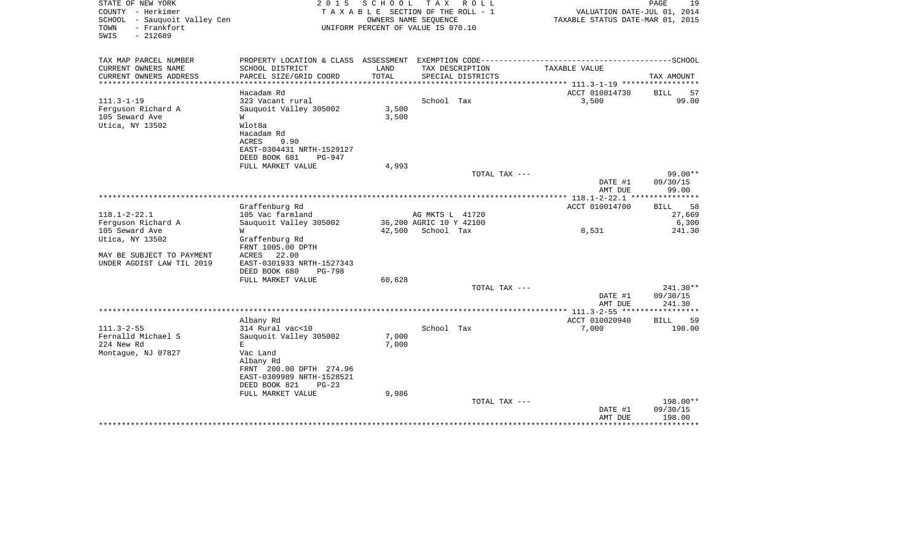| STATE OF NEW YORK<br>COUNTY - Herkimer<br>SCHOOL<br>- Sauquoit Valley Cen<br>- Frankfort<br>TOWN<br>$-212689$<br>SWIS | 2 0 1 5<br>TAXABLE SECTION OF THE ROLL - 1<br>UNIFORM PERCENT OF VALUE IS 070.10 |                | PAGE<br>19<br>VALUATION DATE-JUL 01, 2014<br>TAXABLE STATUS DATE-MAR 01, 2015 |                                      |                                                                                              |                     |
|-----------------------------------------------------------------------------------------------------------------------|----------------------------------------------------------------------------------|----------------|-------------------------------------------------------------------------------|--------------------------------------|----------------------------------------------------------------------------------------------|---------------------|
| TAX MAP PARCEL NUMBER                                                                                                 |                                                                                  |                |                                                                               |                                      | PROPERTY LOCATION & CLASS ASSESSMENT EXEMPTION CODE-----------------------------------SCHOOL |                     |
| CURRENT OWNERS NAME<br>CURRENT OWNERS ADDRESS                                                                         | SCHOOL DISTRICT<br>PARCEL SIZE/GRID COORD                                        | LAND<br>TOTAL  |                                                                               | TAX DESCRIPTION<br>SPECIAL DISTRICTS | TAXABLE VALUE                                                                                | TAX AMOUNT          |
|                                                                                                                       |                                                                                  |                |                                                                               |                                      | ************* 111.3-1-19 **********                                                          |                     |
|                                                                                                                       | Hacadam Rd                                                                       |                |                                                                               |                                      | ACCT 010014730                                                                               | BILL<br>57          |
| $111.3 - 1 - 19$                                                                                                      | 323 Vacant rural                                                                 |                | School Tax                                                                    |                                      | 3,500                                                                                        | 99.00               |
| Ferguson Richard A<br>105 Seward Ave                                                                                  | Sauquoit Valley 305002<br>W                                                      | 3,500<br>3,500 |                                                                               |                                      |                                                                                              |                     |
| Utica, NY 13502                                                                                                       | Wlot8a                                                                           |                |                                                                               |                                      |                                                                                              |                     |
|                                                                                                                       | Hacadam Rd                                                                       |                |                                                                               |                                      |                                                                                              |                     |
|                                                                                                                       | ACRES<br>9.90                                                                    |                |                                                                               |                                      |                                                                                              |                     |
|                                                                                                                       | EAST-0304431 NRTH-1529127<br>DEED BOOK 681<br>$PG-947$                           |                |                                                                               |                                      |                                                                                              |                     |
|                                                                                                                       | FULL MARKET VALUE                                                                | 4,993          |                                                                               |                                      |                                                                                              |                     |
|                                                                                                                       |                                                                                  |                |                                                                               | TOTAL TAX ---                        |                                                                                              | $99.00**$           |
|                                                                                                                       |                                                                                  |                |                                                                               |                                      | DATE #1                                                                                      | 09/30/15            |
|                                                                                                                       |                                                                                  |                |                                                                               |                                      | AMT DUE<br>****** 118.1-2-22.1 **                                                            | 99.00<br>********** |
|                                                                                                                       | Graffenburg Rd                                                                   |                |                                                                               |                                      | ACCT 010014700                                                                               | 58<br><b>BILL</b>   |
| $118.1 - 2 - 22.1$                                                                                                    | 105 Vac farmland                                                                 |                | AG MKTS L 41720                                                               |                                      |                                                                                              | 27,669              |
| Ferguson Richard A                                                                                                    | Sauguoit Valley 305002                                                           |                | 36,200 AGRIC 10 Y 42100                                                       |                                      |                                                                                              | 6,300               |
| 105 Seward Ave<br>Utica, NY 13502                                                                                     | W<br>Graffenburg Rd                                                              | 42,500         | School Tax                                                                    |                                      | 8,531                                                                                        | 241.30              |
|                                                                                                                       | FRNT 1005.00 DPTH                                                                |                |                                                                               |                                      |                                                                                              |                     |
| MAY BE SUBJECT TO PAYMENT                                                                                             | ACRES<br>22.00                                                                   |                |                                                                               |                                      |                                                                                              |                     |
| UNDER AGDIST LAW TIL 2019                                                                                             | EAST-0301933 NRTH-1527343<br>$PG-798$                                            |                |                                                                               |                                      |                                                                                              |                     |
|                                                                                                                       | DEED BOOK 680<br>FULL MARKET VALUE                                               | 60,628         |                                                                               |                                      |                                                                                              |                     |
|                                                                                                                       |                                                                                  |                |                                                                               | TOTAL TAX ---                        |                                                                                              | 241.30**            |
|                                                                                                                       |                                                                                  |                |                                                                               |                                      | DATE #1                                                                                      | 09/30/15            |
|                                                                                                                       |                                                                                  |                |                                                                               |                                      | AMT DUE<br>*************** 111.3-2-55 ******************                                     | 241.30              |
|                                                                                                                       | Albany Rd                                                                        |                |                                                                               |                                      | ACCT 010020940                                                                               | <b>BILL</b><br>59   |
| $111.3 - 2 - 55$                                                                                                      | 314 Rural vac<10                                                                 |                | School Tax                                                                    |                                      | 7,000                                                                                        | 198.00              |
| Fernalld Michael S                                                                                                    | Sauguoit Valley 305002                                                           | 7,000          |                                                                               |                                      |                                                                                              |                     |
| 224 New Rd<br>Montaque, NJ 07827                                                                                      | E<br>Vac Land                                                                    | 7,000          |                                                                               |                                      |                                                                                              |                     |
|                                                                                                                       | Albany Rd                                                                        |                |                                                                               |                                      |                                                                                              |                     |
|                                                                                                                       | FRNT 200.00 DPTH 274.96                                                          |                |                                                                               |                                      |                                                                                              |                     |
|                                                                                                                       | EAST-0309989 NRTH-1528521                                                        |                |                                                                               |                                      |                                                                                              |                     |
|                                                                                                                       | DEED BOOK 821<br>$PG-23$<br>FULL MARKET VALUE                                    | 9,986          |                                                                               |                                      |                                                                                              |                     |
|                                                                                                                       |                                                                                  |                |                                                                               | TOTAL TAX ---                        |                                                                                              | 198.00**            |
|                                                                                                                       |                                                                                  |                |                                                                               |                                      | DATE #1                                                                                      | 09/30/15            |
|                                                                                                                       |                                                                                  |                |                                                                               |                                      | AMT DUE<br>*****************************                                                     | 198.00              |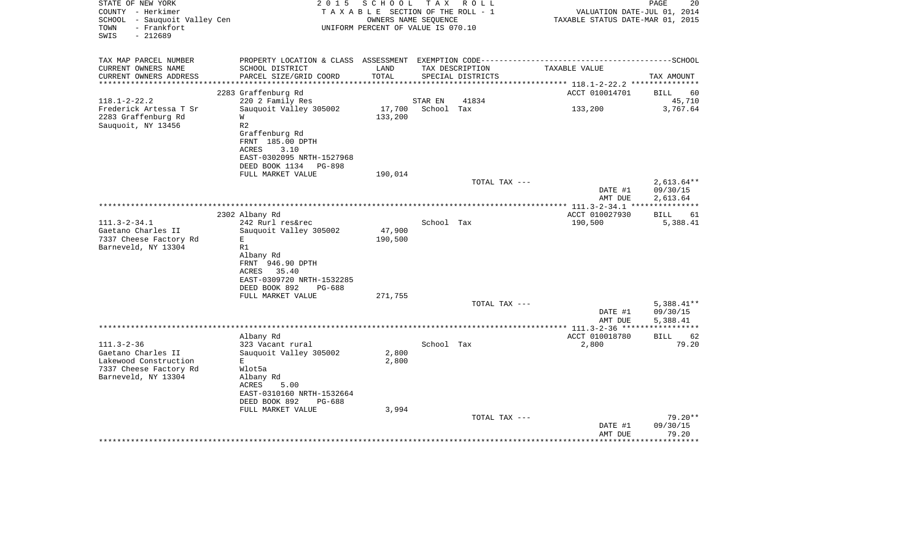| STATE OF NEW YORK<br>COUNTY - Herkimer                                   | 2 0 1 5                                                                                        | S C H O O L<br>TAXABLE SECTION OF THE ROLL - 1 | T A X      | R O L L           | VALUATION DATE-JUL 01, 2014                                                                  | PAGE<br>20        |  |  |
|--------------------------------------------------------------------------|------------------------------------------------------------------------------------------------|------------------------------------------------|------------|-------------------|----------------------------------------------------------------------------------------------|-------------------|--|--|
| SCHOOL - Sauquoit Valley Cen<br>- Frankfort<br>TOWN<br>$-212689$<br>SWIS | OWNERS NAME SEQUENCE<br>TAXABLE STATUS DATE-MAR 01, 2015<br>UNIFORM PERCENT OF VALUE IS 070.10 |                                                |            |                   |                                                                                              |                   |  |  |
| TAX MAP PARCEL NUMBER                                                    |                                                                                                |                                                |            |                   | PROPERTY LOCATION & CLASS ASSESSMENT EXEMPTION CODE-----------------------------------SCHOOL |                   |  |  |
| CURRENT OWNERS NAME                                                      | SCHOOL DISTRICT                                                                                | LAND                                           |            | TAX DESCRIPTION   | TAXABLE VALUE                                                                                |                   |  |  |
| CURRENT OWNERS ADDRESS<br>***********************                        | PARCEL SIZE/GRID COORD                                                                         | TOTAL                                          |            | SPECIAL DISTRICTS |                                                                                              | TAX AMOUNT        |  |  |
|                                                                          | 2283 Graffenburg Rd                                                                            |                                                |            |                   | ACCT 010014701                                                                               | BILL<br>60        |  |  |
| $118.1 - 2 - 22.2$                                                       | 220 2 Family Res                                                                               |                                                | STAR EN    | 41834             |                                                                                              | 45,710            |  |  |
| Frederick Artessa T Sr                                                   | Sauguoit Valley 305002                                                                         | 17,700                                         | School Tax |                   | 133,200                                                                                      | 3,767.64          |  |  |
| 2283 Graffenburg Rd                                                      | W                                                                                              | 133,200                                        |            |                   |                                                                                              |                   |  |  |
| Sauquoit, NY 13456                                                       | R <sub>2</sub>                                                                                 |                                                |            |                   |                                                                                              |                   |  |  |
|                                                                          | Graffenburg Rd                                                                                 |                                                |            |                   |                                                                                              |                   |  |  |
|                                                                          | FRNT 185.00 DPTH                                                                               |                                                |            |                   |                                                                                              |                   |  |  |
|                                                                          | <b>ACRES</b><br>3.10                                                                           |                                                |            |                   |                                                                                              |                   |  |  |
|                                                                          | EAST-0302095 NRTH-1527968<br>DEED BOOK 1134<br>PG-898                                          |                                                |            |                   |                                                                                              |                   |  |  |
|                                                                          | FULL MARKET VALUE                                                                              | 190,014                                        |            |                   |                                                                                              |                   |  |  |
|                                                                          |                                                                                                |                                                |            | TOTAL TAX ---     |                                                                                              | $2,613.64**$      |  |  |
|                                                                          |                                                                                                |                                                |            |                   | DATE #1                                                                                      | 09/30/15          |  |  |
|                                                                          |                                                                                                |                                                |            |                   | AMT DUE                                                                                      | 2,613.64          |  |  |
|                                                                          |                                                                                                |                                                |            |                   | ************** 111.3-2-34.1 ****************                                                 |                   |  |  |
|                                                                          | 2302 Albany Rd                                                                                 |                                                |            |                   | ACCT 010027930                                                                               | <b>BILL</b><br>61 |  |  |
| $111.3 - 2 - 34.1$                                                       | 242 Rurl res&rec                                                                               |                                                | School Tax |                   | 190,500                                                                                      | 5,388.41          |  |  |
| Gaetano Charles II                                                       | Sauquoit Valley 305002                                                                         | 47,900                                         |            |                   |                                                                                              |                   |  |  |
| 7337 Cheese Factory Rd                                                   | E                                                                                              | 190,500                                        |            |                   |                                                                                              |                   |  |  |
| Barneveld, NY 13304                                                      | R1                                                                                             |                                                |            |                   |                                                                                              |                   |  |  |
|                                                                          | Albany Rd<br>FRNT 946.90 DPTH                                                                  |                                                |            |                   |                                                                                              |                   |  |  |
|                                                                          | 35.40<br>ACRES                                                                                 |                                                |            |                   |                                                                                              |                   |  |  |
|                                                                          | EAST-0309720 NRTH-1532285                                                                      |                                                |            |                   |                                                                                              |                   |  |  |
|                                                                          | DEED BOOK 892<br>PG-688                                                                        |                                                |            |                   |                                                                                              |                   |  |  |
|                                                                          | FULL MARKET VALUE                                                                              | 271,755                                        |            |                   |                                                                                              |                   |  |  |
|                                                                          |                                                                                                |                                                |            | TOTAL TAX ---     |                                                                                              | $5,388.41**$      |  |  |
|                                                                          |                                                                                                |                                                |            |                   | DATE #1                                                                                      | 09/30/15          |  |  |
|                                                                          |                                                                                                |                                                |            |                   | AMT DUE                                                                                      | 5,388.41          |  |  |
|                                                                          | Albany Rd                                                                                      |                                                |            |                   | ACCT 010018780                                                                               | 62<br><b>BILL</b> |  |  |
| $111.3 - 2 - 36$                                                         | 323 Vacant rural                                                                               |                                                | School Tax |                   | 2,800                                                                                        | 79.20             |  |  |
| Gaetano Charles II                                                       | Sauquoit Valley 305002                                                                         | 2,800                                          |            |                   |                                                                                              |                   |  |  |
| Lakewood Construction                                                    | E.                                                                                             | 2,800                                          |            |                   |                                                                                              |                   |  |  |
| 7337 Cheese Factory Rd                                                   | Wlot5a                                                                                         |                                                |            |                   |                                                                                              |                   |  |  |
| Barneveld, NY 13304                                                      | Albany Rd                                                                                      |                                                |            |                   |                                                                                              |                   |  |  |
|                                                                          | ACRES<br>5.00                                                                                  |                                                |            |                   |                                                                                              |                   |  |  |
|                                                                          | EAST-0310160 NRTH-1532664                                                                      |                                                |            |                   |                                                                                              |                   |  |  |
|                                                                          | DEED BOOK 892<br>PG-688                                                                        |                                                |            |                   |                                                                                              |                   |  |  |
|                                                                          | FULL MARKET VALUE                                                                              | 3,994                                          |            | TOTAL TAX ---     |                                                                                              | $79.20**$         |  |  |
|                                                                          |                                                                                                |                                                |            |                   | DATE #1                                                                                      | 09/30/15          |  |  |
|                                                                          |                                                                                                |                                                |            |                   | AMT DUE                                                                                      | 79.20             |  |  |
|                                                                          |                                                                                                |                                                |            |                   |                                                                                              |                   |  |  |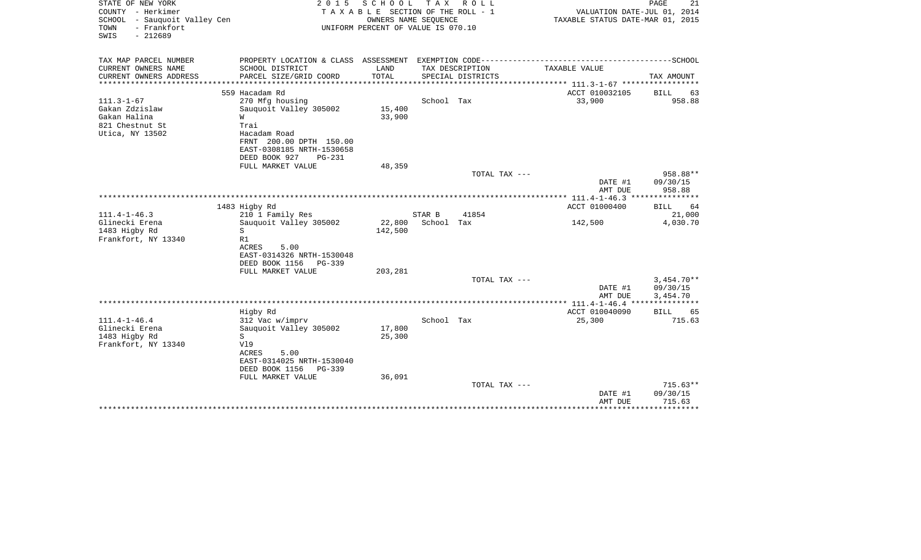| STATE OF NEW YORK                                   | 2 0 1 5                               | SCHOOL                           | T A X                     | R O L L           |                                             | PAGE<br>21                  |
|-----------------------------------------------------|---------------------------------------|----------------------------------|---------------------------|-------------------|---------------------------------------------|-----------------------------|
| COUNTY - Herkimer                                   | T A X A B L E SECTION OF THE ROLL - 1 | VALUATION DATE-JUL 01, 2014      |                           |                   |                                             |                             |
| SCHOOL - Sauquoit Valley Cen<br>- Frankfort<br>TOWN | UNIFORM PERCENT OF VALUE IS 070.10    | TAXABLE STATUS DATE-MAR 01, 2015 |                           |                   |                                             |                             |
| $-212689$<br>SWIS                                   |                                       |                                  |                           |                   |                                             |                             |
| TAX MAP PARCEL NUMBER                               |                                       |                                  |                           |                   |                                             |                             |
| CURRENT OWNERS NAME                                 | SCHOOL DISTRICT                       | LAND                             |                           | TAX DESCRIPTION   | TAXABLE VALUE                               |                             |
| CURRENT OWNERS ADDRESS                              | PARCEL SIZE/GRID COORD                | TOTAL                            |                           | SPECIAL DISTRICTS |                                             | TAX AMOUNT                  |
| *******************                                 |                                       | *************                    |                           |                   |                                             |                             |
|                                                     | 559 Hacadam Rd                        |                                  |                           |                   | ACCT 010032105                              | <b>BILL</b><br>63           |
| $111.3 - 1 - 67$                                    | 270 Mfg housing                       |                                  | School Tax                |                   | 33,900                                      | 958.88                      |
| Gakan Zdzislaw                                      | Sauquoit Valley 305002                | 15,400                           |                           |                   |                                             |                             |
| Gakan Halina                                        | W                                     | 33,900                           |                           |                   |                                             |                             |
| 821 Chestnut St                                     | Trai                                  |                                  |                           |                   |                                             |                             |
| Utica, NY 13502                                     | Hacadam Road                          |                                  |                           |                   |                                             |                             |
|                                                     | FRNT 200.00 DPTH 150.00               |                                  |                           |                   |                                             |                             |
|                                                     | EAST-0308185 NRTH-1530658             |                                  |                           |                   |                                             |                             |
|                                                     | DEED BOOK 927<br>$PG-231$             |                                  |                           |                   |                                             |                             |
|                                                     | FULL MARKET VALUE                     | 48,359                           |                           |                   |                                             |                             |
|                                                     |                                       |                                  |                           | TOTAL TAX ---     |                                             | 958.88**                    |
|                                                     |                                       |                                  |                           |                   | DATE #1                                     | 09/30/15                    |
|                                                     |                                       |                                  | ************************* |                   | AMT DUE                                     | 958.88                      |
|                                                     |                                       |                                  |                           |                   | *** 111.4-1-46.3 ***<br>ACCT 01000400       |                             |
| $111.4 - 1 - 46.3$                                  | 1483 Higby Rd<br>210 1 Family Res     |                                  | STAR B                    | 41854             |                                             | 64<br><b>BILL</b><br>21,000 |
| Glinecki Erena                                      | Sauguoit Valley 305002                | 22,800                           | School Tax                |                   | 142,500                                     | 4,030.70                    |
| 1483 Higby Rd                                       | S                                     | 142,500                          |                           |                   |                                             |                             |
| Frankfort, NY 13340                                 | R1                                    |                                  |                           |                   |                                             |                             |
|                                                     | ACRES<br>5.00                         |                                  |                           |                   |                                             |                             |
|                                                     | EAST-0314326 NRTH-1530048             |                                  |                           |                   |                                             |                             |
|                                                     | DEED BOOK 1156<br>PG-339              |                                  |                           |                   |                                             |                             |
|                                                     | FULL MARKET VALUE                     | 203,281                          |                           |                   |                                             |                             |
|                                                     |                                       |                                  |                           | TOTAL TAX ---     |                                             | $3,454.70**$                |
|                                                     |                                       |                                  |                           |                   | DATE #1                                     | 09/30/15                    |
|                                                     |                                       |                                  |                           |                   | AMT DUE                                     | 3,454.70                    |
|                                                     |                                       |                                  |                           |                   |                                             |                             |
|                                                     | Higby Rd                              |                                  |                           |                   | ACCT 010040090                              | <b>BILL</b><br>65           |
| $111.4 - 1 - 46.4$                                  | 312 Vac w/imprv                       |                                  | School Tax                |                   | 25,300                                      | 715.63                      |
| Glinecki Erena                                      | Sauquoit Valley 305002                | 17,800                           |                           |                   |                                             |                             |
| 1483 Higby Rd                                       | S                                     | 25,300                           |                           |                   |                                             |                             |
| Frankfort, NY 13340                                 | V19                                   |                                  |                           |                   |                                             |                             |
|                                                     | <b>ACRES</b><br>5.00                  |                                  |                           |                   |                                             |                             |
|                                                     | EAST-0314025 NRTH-1530040             |                                  |                           |                   |                                             |                             |
|                                                     | DEED BOOK 1156<br>PG-339              |                                  |                           |                   |                                             |                             |
|                                                     | FULL MARKET VALUE                     | 36,091                           |                           |                   |                                             |                             |
|                                                     |                                       |                                  |                           | TOTAL TAX ---     |                                             | $715.63**$                  |
|                                                     |                                       |                                  |                           |                   | DATE #1                                     | 09/30/15                    |
|                                                     |                                       |                                  |                           |                   | AMT DUE<br>******************************** | 715.63                      |
|                                                     |                                       |                                  |                           |                   |                                             |                             |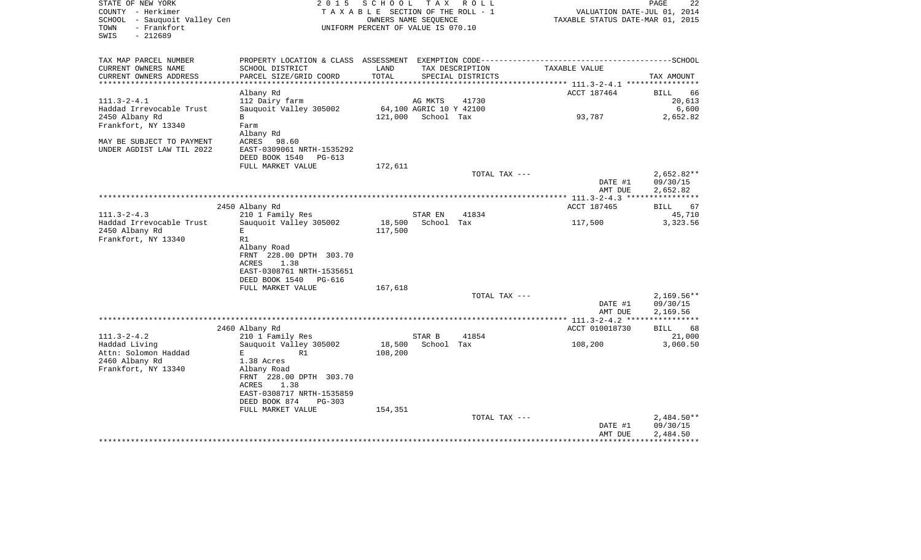| STATE OF NEW YORK<br>COUNTY - Herkimer<br>SCHOOL - Sauquoit Valley Cen<br>- Frankfort<br>TOWN<br>$-212689$<br>SWIS | 2 0 1 5                                   | S C H O O L<br>TAXABLE SECTION OF THE ROLL - 1<br>OWNERS NAME SEQUENCE<br>UNIFORM PERCENT OF VALUE IS 070.10 |                         | TAX ROLL                             | VALUATION DATE-JUL 01, 2014<br>TAXABLE STATUS DATE-MAR 01, 2015                              | 22<br>PAGE           |
|--------------------------------------------------------------------------------------------------------------------|-------------------------------------------|--------------------------------------------------------------------------------------------------------------|-------------------------|--------------------------------------|----------------------------------------------------------------------------------------------|----------------------|
| TAX MAP PARCEL NUMBER                                                                                              |                                           |                                                                                                              |                         |                                      | PROPERTY LOCATION & CLASS ASSESSMENT EXEMPTION CODE-----------------------------------SCHOOL |                      |
| CURRENT OWNERS NAME<br>CURRENT OWNERS ADDRESS                                                                      | SCHOOL DISTRICT<br>PARCEL SIZE/GRID COORD | LAND<br>TOTAL                                                                                                |                         | TAX DESCRIPTION<br>SPECIAL DISTRICTS | TAXABLE VALUE                                                                                | TAX AMOUNT           |
| *********************                                                                                              |                                           |                                                                                                              |                         |                                      | *********** 111.3-2-4.1 *****************                                                    |                      |
|                                                                                                                    | Albany Rd                                 |                                                                                                              |                         |                                      | ACCT 187464                                                                                  | <b>BILL</b><br>66    |
| $111.3 - 2 - 4.1$                                                                                                  | 112 Dairy farm                            |                                                                                                              | AG MKTS                 | 41730                                |                                                                                              | 20,613               |
| Haddad Irrevocable Trust                                                                                           | Sauquoit Valley 305002                    |                                                                                                              | 64,100 AGRIC 10 Y 42100 |                                      |                                                                                              | 6,600                |
| 2450 Albany Rd                                                                                                     | B                                         |                                                                                                              | 121,000 School Tax      |                                      | 93,787                                                                                       | 2,652.82             |
| Frankfort, NY 13340                                                                                                | Farm<br>Albany Rd                         |                                                                                                              |                         |                                      |                                                                                              |                      |
| MAY BE SUBJECT TO PAYMENT                                                                                          | ACRES<br>98.60                            |                                                                                                              |                         |                                      |                                                                                              |                      |
| UNDER AGDIST LAW TIL 2022                                                                                          | EAST-0309061 NRTH-1535292                 |                                                                                                              |                         |                                      |                                                                                              |                      |
|                                                                                                                    | DEED BOOK 1540 PG-613                     |                                                                                                              |                         |                                      |                                                                                              |                      |
|                                                                                                                    | FULL MARKET VALUE                         | 172,611                                                                                                      |                         |                                      |                                                                                              |                      |
|                                                                                                                    |                                           |                                                                                                              |                         | TOTAL TAX ---                        |                                                                                              | $2,652.82**$         |
|                                                                                                                    |                                           |                                                                                                              |                         |                                      | DATE #1                                                                                      | 09/30/15             |
|                                                                                                                    |                                           |                                                                                                              |                         |                                      | AMT DUE                                                                                      | 2,652.82             |
|                                                                                                                    |                                           |                                                                                                              |                         |                                      | ACCT 187465                                                                                  |                      |
| $111.3 - 2 - 4.3$                                                                                                  | 2450 Albany Rd<br>210 1 Family Res        |                                                                                                              | STAR EN                 | 41834                                |                                                                                              | 67<br>BILL<br>45,710 |
| Haddad Irrevocable Trust                                                                                           | Sauquoit Valley 305002                    | 18,500                                                                                                       | School Tax              |                                      | 117,500                                                                                      | 3,323.56             |
| 2450 Albany Rd                                                                                                     | E                                         | 117,500                                                                                                      |                         |                                      |                                                                                              |                      |
| Frankfort, NY 13340                                                                                                | R1                                        |                                                                                                              |                         |                                      |                                                                                              |                      |
|                                                                                                                    | Albany Road                               |                                                                                                              |                         |                                      |                                                                                              |                      |
|                                                                                                                    | FRNT 228.00 DPTH 303.70                   |                                                                                                              |                         |                                      |                                                                                              |                      |
|                                                                                                                    | 1.38<br>ACRES                             |                                                                                                              |                         |                                      |                                                                                              |                      |
|                                                                                                                    | EAST-0308761 NRTH-1535651                 |                                                                                                              |                         |                                      |                                                                                              |                      |
|                                                                                                                    | DEED BOOK 1540 PG-616                     |                                                                                                              |                         |                                      |                                                                                              |                      |
|                                                                                                                    | FULL MARKET VALUE                         | 167,618                                                                                                      |                         |                                      |                                                                                              | $2,169.56**$         |
|                                                                                                                    |                                           |                                                                                                              |                         | TOTAL TAX ---                        | DATE #1                                                                                      | 09/30/15             |
|                                                                                                                    |                                           |                                                                                                              |                         |                                      | AMT DUE                                                                                      | 2,169.56             |
|                                                                                                                    |                                           |                                                                                                              |                         |                                      |                                                                                              |                      |
|                                                                                                                    | 2460 Albany Rd                            |                                                                                                              |                         |                                      | ACCT 010018730                                                                               | BILL<br>68           |
| $111.3 - 2 - 4.2$                                                                                                  | 210 1 Family Res                          |                                                                                                              | STAR B                  | 41854                                |                                                                                              | 21,000               |
| Haddad Living                                                                                                      | Sauquoit Valley 305002                    | 18,500                                                                                                       | School Tax              |                                      | 108,200                                                                                      | 3,060.50             |
| Attn: Solomon Haddad                                                                                               | Е<br>R1                                   | 108,200                                                                                                      |                         |                                      |                                                                                              |                      |
| 2460 Albany Rd                                                                                                     | 1.38 Acres                                |                                                                                                              |                         |                                      |                                                                                              |                      |
| Frankfort, NY 13340                                                                                                | Albany Road                               |                                                                                                              |                         |                                      |                                                                                              |                      |
|                                                                                                                    | FRNT 228.00 DPTH 303.70<br>ACRES<br>1.38  |                                                                                                              |                         |                                      |                                                                                              |                      |
|                                                                                                                    | EAST-0308717 NRTH-1535859                 |                                                                                                              |                         |                                      |                                                                                              |                      |
|                                                                                                                    | DEED BOOK 874<br>PG-303                   |                                                                                                              |                         |                                      |                                                                                              |                      |
|                                                                                                                    | FULL MARKET VALUE                         | 154,351                                                                                                      |                         |                                      |                                                                                              |                      |
|                                                                                                                    |                                           |                                                                                                              |                         | TOTAL TAX ---                        |                                                                                              | $2,484.50**$         |
|                                                                                                                    |                                           |                                                                                                              |                         |                                      | DATE #1                                                                                      | 09/30/15             |
|                                                                                                                    |                                           |                                                                                                              |                         |                                      | AMT DUE                                                                                      | 2,484.50             |
|                                                                                                                    |                                           |                                                                                                              |                         |                                      |                                                                                              |                      |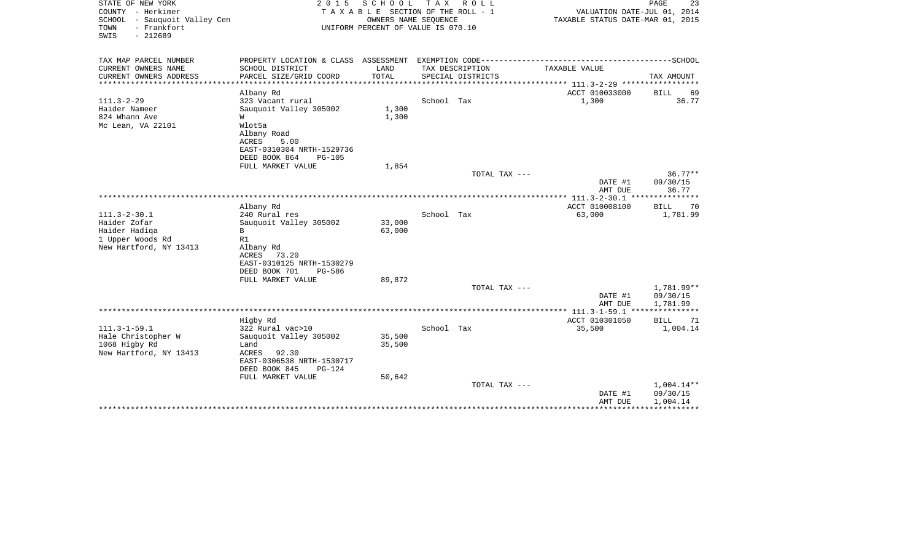| STATE OF NEW YORK<br>COUNTY - Herkimer<br>SCHOOL<br>- Sauguoit Valley Cen<br>- Frankfort<br>TOWN<br>SWIS<br>$-212689$ | 2 0 1 5<br>SCHOOL<br>T A X<br>R O L L<br>TAXABLE SECTION OF THE ROLL - 1<br>OWNERS NAME SEOUENCE<br>UNIFORM PERCENT OF VALUE IS 070.10 |               |            |                                      | $\mathop{\mathtt{PAGE}}$<br>23<br>VALUATION DATE-JUL 01, 2014<br>TAXABLE STATUS DATE-MAR 01, 2015 |                               |  |
|-----------------------------------------------------------------------------------------------------------------------|----------------------------------------------------------------------------------------------------------------------------------------|---------------|------------|--------------------------------------|---------------------------------------------------------------------------------------------------|-------------------------------|--|
| TAX MAP PARCEL NUMBER                                                                                                 | PROPERTY LOCATION & CLASS ASSESSMENT EXEMPTION CODE-----------------------------------SCHOOL                                           |               |            |                                      |                                                                                                   |                               |  |
| CURRENT OWNERS NAME<br>CURRENT OWNERS ADDRESS<br>********************                                                 | SCHOOL DISTRICT<br>PARCEL SIZE/GRID COORD                                                                                              | LAND<br>TOTAL |            | TAX DESCRIPTION<br>SPECIAL DISTRICTS | TAXABLE VALUE                                                                                     | TAX AMOUNT                    |  |
|                                                                                                                       | Albany Rd                                                                                                                              |               |            |                                      | ACCT 010033000                                                                                    | <b>BILL</b><br>69             |  |
| $111.3 - 2 - 29$<br>Haider Nameer<br>824 Whann Ave                                                                    | 323 Vacant rural<br>Sauquoit Valley 305002<br>W                                                                                        | 1,300         | School Tax |                                      | 1,300                                                                                             | 36.77                         |  |
| Mc Lean, VA 22101                                                                                                     | Wlot5a<br>Albany Road<br>ACRES<br>5.00<br>EAST-0310304 NRTH-1529736<br>DEED BOOK 864<br><b>PG-105</b>                                  | 1,300         |            |                                      |                                                                                                   |                               |  |
|                                                                                                                       | FULL MARKET VALUE                                                                                                                      | 1,854         |            |                                      |                                                                                                   |                               |  |
|                                                                                                                       |                                                                                                                                        |               |            | TOTAL TAX ---                        | DATE #1                                                                                           | $36.77**$<br>09/30/15         |  |
|                                                                                                                       |                                                                                                                                        |               |            |                                      | AMT DUE                                                                                           | 36.77                         |  |
|                                                                                                                       | Albany Rd                                                                                                                              |               |            |                                      | ACCT 010008100                                                                                    | <b>BILL</b><br>70             |  |
| $111.3 - 2 - 30.1$                                                                                                    | 240 Rural res                                                                                                                          |               | School Tax |                                      | 63,000                                                                                            | 1,781.99                      |  |
| Haider Zofar                                                                                                          | Sauquoit Valley 305002                                                                                                                 | 33,000        |            |                                      |                                                                                                   |                               |  |
| Haider Hadiga                                                                                                         | B                                                                                                                                      | 63,000        |            |                                      |                                                                                                   |                               |  |
| 1 Upper Woods Rd<br>New Hartford, NY 13413                                                                            | R1<br>Albany Rd                                                                                                                        |               |            |                                      |                                                                                                   |                               |  |
|                                                                                                                       | 73.20<br>ACRES                                                                                                                         |               |            |                                      |                                                                                                   |                               |  |
|                                                                                                                       | EAST-0310125 NRTH-1530279                                                                                                              |               |            |                                      |                                                                                                   |                               |  |
|                                                                                                                       | DEED BOOK 701<br>PG-586                                                                                                                |               |            |                                      |                                                                                                   |                               |  |
|                                                                                                                       | FULL MARKET VALUE                                                                                                                      | 89,872        |            | TOTAL TAX ---                        |                                                                                                   | 1,781.99**                    |  |
|                                                                                                                       |                                                                                                                                        |               |            |                                      | DATE #1                                                                                           | 09/30/15                      |  |
|                                                                                                                       |                                                                                                                                        |               |            |                                      | AMT DUE                                                                                           | 1,781.99                      |  |
|                                                                                                                       |                                                                                                                                        |               |            |                                      |                                                                                                   |                               |  |
| $111.3 - 1 - 59.1$                                                                                                    | Higby Rd<br>322 Rural vac>10                                                                                                           |               | School Tax |                                      | ACCT 010301050<br>35,500                                                                          | <b>BILL</b><br>71<br>1,004.14 |  |
| Hale Christopher W                                                                                                    | Sauquoit Valley 305002                                                                                                                 | 35,500        |            |                                      |                                                                                                   |                               |  |
| 1068 Higby Rd                                                                                                         | Land                                                                                                                                   | 35,500        |            |                                      |                                                                                                   |                               |  |
| New Hartford, NY 13413                                                                                                | ACRES<br>92.30                                                                                                                         |               |            |                                      |                                                                                                   |                               |  |
|                                                                                                                       | EAST-0306538 NRTH-1530717<br>DEED BOOK 845<br>PG-124                                                                                   |               |            |                                      |                                                                                                   |                               |  |
|                                                                                                                       | FULL MARKET VALUE                                                                                                                      | 50,642        |            |                                      |                                                                                                   |                               |  |
|                                                                                                                       |                                                                                                                                        |               |            | TOTAL TAX ---                        |                                                                                                   | $1,004.14**$                  |  |
|                                                                                                                       |                                                                                                                                        |               |            |                                      | DATE #1                                                                                           | 09/30/15                      |  |
|                                                                                                                       |                                                                                                                                        |               |            |                                      | AMT DUE                                                                                           | 1,004.14                      |  |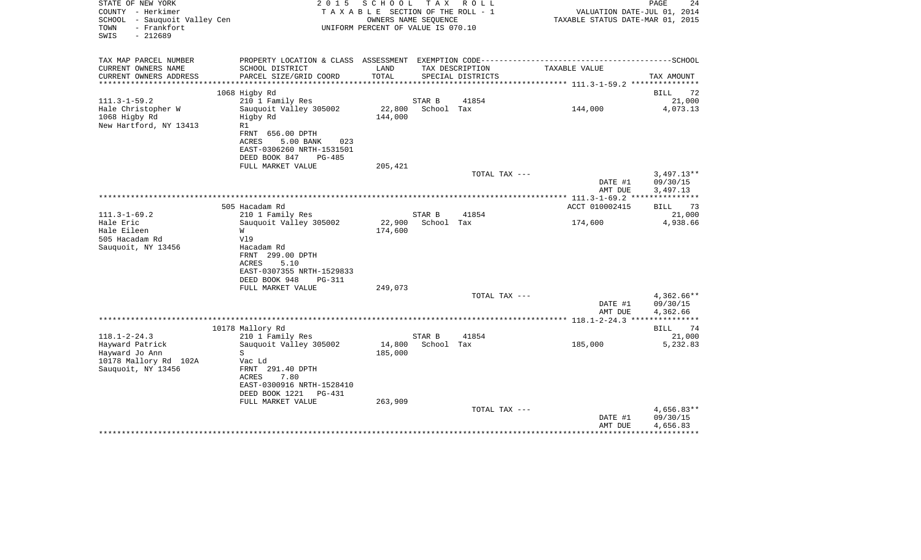| STATE OF NEW YORK<br>COUNTY - Herkimer<br>SCHOOL - Sauquoit Valley Cen<br>- Frankfort<br>TOWN<br>$-212689$<br>SWIS | 2 0 1 5<br>TAXABLE SECTION OF THE ROLL - 1<br>UNIFORM PERCENT OF VALUE IS 070.10 |                   | PAGE<br>24<br>VALUATION DATE-JUL 01, 2014<br>TAXABLE STATUS DATE-MAR 01, 2015 |                   |                                                                                              |                        |
|--------------------------------------------------------------------------------------------------------------------|----------------------------------------------------------------------------------|-------------------|-------------------------------------------------------------------------------|-------------------|----------------------------------------------------------------------------------------------|------------------------|
| TAX MAP PARCEL NUMBER                                                                                              |                                                                                  |                   |                                                                               |                   | PROPERTY LOCATION & CLASS ASSESSMENT EXEMPTION CODE-----------------------------------SCHOOL |                        |
| CURRENT OWNERS NAME                                                                                                | SCHOOL DISTRICT                                                                  | LAND              |                                                                               | TAX DESCRIPTION   | TAXABLE VALUE                                                                                |                        |
| CURRENT OWNERS ADDRESS<br>***********************                                                                  | PARCEL SIZE/GRID COORD                                                           | TOTAL             |                                                                               | SPECIAL DISTRICTS |                                                                                              | TAX AMOUNT             |
|                                                                                                                    |                                                                                  |                   |                                                                               |                   |                                                                                              |                        |
| $111.3 - 1 - 59.2$                                                                                                 | 1068 Higby Rd<br>210 1 Family Res                                                |                   | STAR B                                                                        | 41854             |                                                                                              | 72<br>BILL<br>21,000   |
| Hale Christopher W                                                                                                 | Sauquoit Valley 305002                                                           | 22,800            | School Tax                                                                    |                   | 144,000                                                                                      | 4,073.13               |
| 1068 Higby Rd                                                                                                      | Higby Rd                                                                         | 144,000           |                                                                               |                   |                                                                                              |                        |
| New Hartford, NY 13413                                                                                             | R1                                                                               |                   |                                                                               |                   |                                                                                              |                        |
|                                                                                                                    | FRNT 656.00 DPTH                                                                 |                   |                                                                               |                   |                                                                                              |                        |
|                                                                                                                    | ACRES<br>5.00 BANK<br>023                                                        |                   |                                                                               |                   |                                                                                              |                        |
|                                                                                                                    | EAST-0306260 NRTH-1531501<br>DEED BOOK 847<br>PG-485                             |                   |                                                                               |                   |                                                                                              |                        |
|                                                                                                                    | FULL MARKET VALUE                                                                | 205,421           |                                                                               |                   |                                                                                              |                        |
|                                                                                                                    |                                                                                  |                   |                                                                               | TOTAL TAX ---     |                                                                                              | $3,497.13**$           |
|                                                                                                                    |                                                                                  |                   |                                                                               |                   | DATE #1                                                                                      | 09/30/15               |
|                                                                                                                    |                                                                                  |                   |                                                                               |                   | AMT DUE                                                                                      | 3,497.13               |
|                                                                                                                    |                                                                                  |                   |                                                                               |                   |                                                                                              |                        |
|                                                                                                                    | 505 Hacadam Rd                                                                   |                   |                                                                               |                   | ACCT 010002415                                                                               | 73<br><b>BILL</b>      |
| $111.3 - 1 - 69.2$<br>Hale Eric                                                                                    | 210 1 Family Res<br>Sauquoit Valley 305002                                       | 22,900            | STAR B<br>School Tax                                                          | 41854             | 174,600                                                                                      | 21,000<br>4,938.66     |
| Hale Eileen                                                                                                        | W                                                                                | 174,600           |                                                                               |                   |                                                                                              |                        |
| 505 Hacadam Rd                                                                                                     | V19                                                                              |                   |                                                                               |                   |                                                                                              |                        |
| Sauquoit, NY 13456                                                                                                 | Hacadam Rd                                                                       |                   |                                                                               |                   |                                                                                              |                        |
|                                                                                                                    | FRNT 299.00 DPTH                                                                 |                   |                                                                               |                   |                                                                                              |                        |
|                                                                                                                    | ACRES<br>5.10                                                                    |                   |                                                                               |                   |                                                                                              |                        |
|                                                                                                                    | EAST-0307355 NRTH-1529833                                                        |                   |                                                                               |                   |                                                                                              |                        |
|                                                                                                                    | DEED BOOK 948<br><b>PG-311</b><br>FULL MARKET VALUE                              | 249,073           |                                                                               |                   |                                                                                              |                        |
|                                                                                                                    |                                                                                  |                   |                                                                               | TOTAL TAX ---     |                                                                                              | 4,362.66**             |
|                                                                                                                    |                                                                                  |                   |                                                                               |                   | DATE #1                                                                                      | 09/30/15               |
|                                                                                                                    |                                                                                  |                   |                                                                               |                   | AMT DUE                                                                                      | 4,362.66               |
|                                                                                                                    |                                                                                  |                   |                                                                               |                   |                                                                                              |                        |
|                                                                                                                    | 10178 Mallory Rd                                                                 |                   |                                                                               |                   |                                                                                              | <b>BILL</b><br>-74     |
| $118.1 - 2 - 24.3$                                                                                                 | 210 1 Family Res                                                                 |                   | STAR B                                                                        | 41854             |                                                                                              | 21,000                 |
| Hayward Patrick<br>Hayward Jo Ann                                                                                  | Sauquoit Valley 305002<br>S                                                      | 14,800<br>185,000 | School Tax                                                                    |                   | 185,000                                                                                      | 5,232.83               |
| 10178 Mallory Rd 102A                                                                                              | Vac Ld                                                                           |                   |                                                                               |                   |                                                                                              |                        |
| Sauquoit, NY 13456                                                                                                 | FRNT 291.40 DPTH                                                                 |                   |                                                                               |                   |                                                                                              |                        |
|                                                                                                                    | 7.80<br>ACRES                                                                    |                   |                                                                               |                   |                                                                                              |                        |
|                                                                                                                    | EAST-0300916 NRTH-1528410                                                        |                   |                                                                               |                   |                                                                                              |                        |
|                                                                                                                    | DEED BOOK 1221<br>PG-431                                                         |                   |                                                                               |                   |                                                                                              |                        |
|                                                                                                                    | FULL MARKET VALUE                                                                | 263,909           |                                                                               |                   |                                                                                              |                        |
|                                                                                                                    |                                                                                  |                   |                                                                               | TOTAL TAX ---     | DATE #1                                                                                      | 4,656.83**<br>09/30/15 |
|                                                                                                                    |                                                                                  |                   |                                                                               |                   | AMT DUE                                                                                      | 4,656.83               |
|                                                                                                                    |                                                                                  |                   |                                                                               |                   |                                                                                              |                        |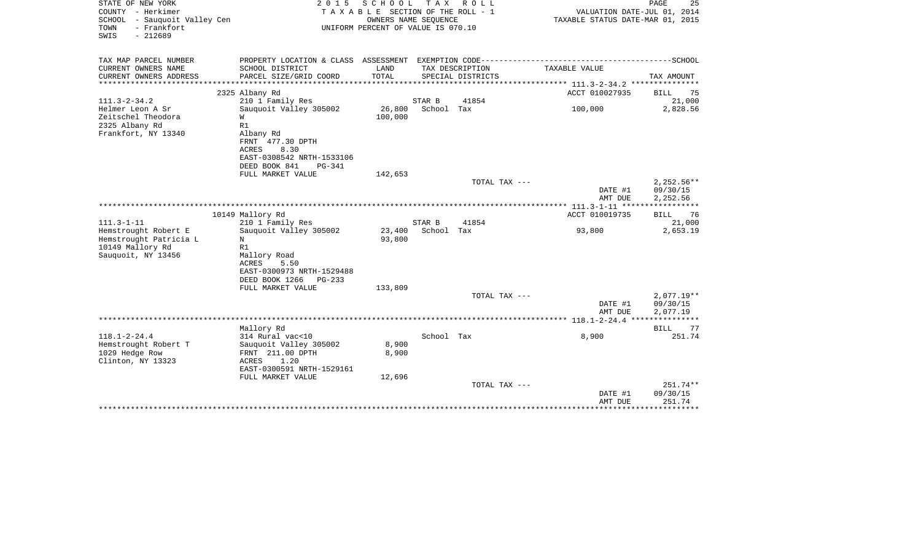| STATE OF NEW YORK<br>COUNTY - Herkimer<br>SCHOOL - Sauquoit Valley Cen<br>- Frankfort<br>TOWN<br>$-212689$<br>SWIS | 2 0 1 5                                                                                                       | SCHOOL<br>TAXABLE SECTION OF THE ROLL - 1<br>OWNERS NAME SEQUENCE<br>UNIFORM PERCENT OF VALUE IS 070.10 | T A X      | R O L L                              | VALUATION DATE-JUL 01, 2014<br>TAXABLE STATUS DATE-MAR 01, 2015 | PAGE<br>25           |
|--------------------------------------------------------------------------------------------------------------------|---------------------------------------------------------------------------------------------------------------|---------------------------------------------------------------------------------------------------------|------------|--------------------------------------|-----------------------------------------------------------------|----------------------|
| TAX MAP PARCEL NUMBER                                                                                              |                                                                                                               |                                                                                                         |            |                                      |                                                                 |                      |
| CURRENT OWNERS NAME<br>CURRENT OWNERS ADDRESS<br>******************                                                | SCHOOL DISTRICT<br>PARCEL SIZE/GRID COORD                                                                     | LAND<br>TOTAL                                                                                           |            | TAX DESCRIPTION<br>SPECIAL DISTRICTS | TAXABLE VALUE                                                   | TAX AMOUNT           |
|                                                                                                                    | 2325 Albany Rd                                                                                                |                                                                                                         |            |                                      | ACCT 010027935                                                  | <b>BILL</b><br>75    |
| $111.3 - 2 - 34.2$                                                                                                 | 210 1 Family Res                                                                                              |                                                                                                         | STAR B     | 41854                                |                                                                 | 21,000               |
| Helmer Leon A Sr<br>Zeitschel Theodora<br>2325 Albany Rd                                                           | Sauquoit Valley 305002<br>W<br>R1                                                                             | 26,800<br>100,000                                                                                       | School Tax |                                      | 100,000                                                         | 2,828.56             |
| Frankfort, NY 13340                                                                                                | Albany Rd<br>FRNT 477.30 DPTH<br>8.30<br>ACRES<br>EAST-0308542 NRTH-1533106<br>DEED BOOK 841<br><b>PG-341</b> |                                                                                                         |            |                                      |                                                                 |                      |
|                                                                                                                    | FULL MARKET VALUE                                                                                             | 142,653                                                                                                 |            |                                      |                                                                 |                      |
|                                                                                                                    |                                                                                                               |                                                                                                         |            | TOTAL TAX ---                        |                                                                 | $2,252.56**$         |
|                                                                                                                    |                                                                                                               |                                                                                                         |            |                                      | DATE #1                                                         | 09/30/15             |
|                                                                                                                    |                                                                                                               |                                                                                                         |            |                                      | AMT DUE                                                         | 2,252.56             |
|                                                                                                                    | 10149 Mallory Rd                                                                                              |                                                                                                         |            |                                      | ACCT 010019735                                                  | 76<br>BILL           |
| $111.3 - 1 - 11$                                                                                                   | 210 1 Family Res                                                                                              |                                                                                                         | STAR B     | 41854                                |                                                                 | 21,000               |
| Hemstrought Robert E                                                                                               | Sauquoit Valley 305002                                                                                        | 23,400                                                                                                  | School Tax |                                      | 93,800                                                          | 2,653.19             |
| Hemstrought Patricia L                                                                                             | N                                                                                                             | 93,800                                                                                                  |            |                                      |                                                                 |                      |
| 10149 Mallory Rd                                                                                                   | R1                                                                                                            |                                                                                                         |            |                                      |                                                                 |                      |
| Sauquoit, NY 13456                                                                                                 | Mallory Road                                                                                                  |                                                                                                         |            |                                      |                                                                 |                      |
|                                                                                                                    | ACRES<br>5.50                                                                                                 |                                                                                                         |            |                                      |                                                                 |                      |
|                                                                                                                    | EAST-0300973 NRTH-1529488                                                                                     |                                                                                                         |            |                                      |                                                                 |                      |
|                                                                                                                    | DEED BOOK 1266<br>PG-233                                                                                      |                                                                                                         |            |                                      |                                                                 |                      |
|                                                                                                                    | FULL MARKET VALUE                                                                                             | 133,809                                                                                                 |            |                                      |                                                                 |                      |
|                                                                                                                    |                                                                                                               |                                                                                                         |            | TOTAL TAX ---                        |                                                                 | $2,077.19**$         |
|                                                                                                                    |                                                                                                               |                                                                                                         |            |                                      | DATE #1<br>AMT DUE                                              | 09/30/15<br>2,077.19 |
|                                                                                                                    |                                                                                                               |                                                                                                         |            |                                      |                                                                 |                      |
|                                                                                                                    | Mallory Rd                                                                                                    |                                                                                                         |            |                                      |                                                                 | BILL<br>77           |
| $118.1 - 2 - 24.4$                                                                                                 | 314 Rural vac<10                                                                                              |                                                                                                         | School Tax |                                      | 8,900                                                           | 251.74               |
| Hemstrought Robert T                                                                                               | Sauquoit Valley 305002                                                                                        | 8,900                                                                                                   |            |                                      |                                                                 |                      |
| 1029 Hedge Row                                                                                                     | FRNT 211.00 DPTH                                                                                              | 8,900                                                                                                   |            |                                      |                                                                 |                      |
| Clinton, NY 13323                                                                                                  | 1.20<br>ACRES                                                                                                 |                                                                                                         |            |                                      |                                                                 |                      |
|                                                                                                                    | EAST-0300591 NRTH-1529161                                                                                     |                                                                                                         |            |                                      |                                                                 |                      |
|                                                                                                                    | FULL MARKET VALUE                                                                                             | 12,696                                                                                                  |            |                                      |                                                                 |                      |
|                                                                                                                    |                                                                                                               |                                                                                                         |            | TOTAL TAX ---                        |                                                                 | 251.74**             |
|                                                                                                                    |                                                                                                               |                                                                                                         |            |                                      | DATE #1                                                         | 09/30/15             |
|                                                                                                                    |                                                                                                               |                                                                                                         |            |                                      | AMT DUE                                                         | 251.74               |
|                                                                                                                    |                                                                                                               |                                                                                                         |            |                                      |                                                                 | ********             |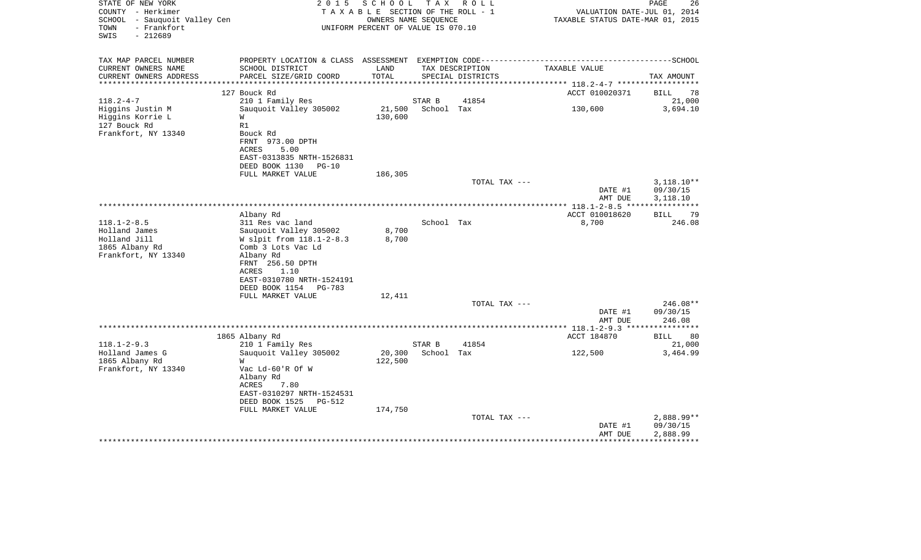| STATE OF NEW YORK<br>COUNTY - Herkimer<br>SCHOOL - Sauquoit Valley Cen<br>- Frankfort<br>TOWN<br>$-212689$<br>SWIS | 2 0 1 5                                                                                      | SCHOOL<br>TAXABLE SECTION OF THE ROLL - 1<br>OWNERS NAME SEQUENCE<br>UNIFORM PERCENT OF VALUE IS 070.10 |            | TAX ROLL          | TAXABLE STATUS DATE-MAR 01, 2015 | VALUATION DATE-JUL 01, 2014 | PAGE<br>26           |
|--------------------------------------------------------------------------------------------------------------------|----------------------------------------------------------------------------------------------|---------------------------------------------------------------------------------------------------------|------------|-------------------|----------------------------------|-----------------------------|----------------------|
| TAX MAP PARCEL NUMBER                                                                                              | PROPERTY LOCATION & CLASS ASSESSMENT EXEMPTION CODE-----------------------------------SCHOOL |                                                                                                         |            |                   |                                  |                             |                      |
| CURRENT OWNERS NAME                                                                                                | SCHOOL DISTRICT                                                                              | LAND                                                                                                    |            | TAX DESCRIPTION   | TAXABLE VALUE                    |                             |                      |
| CURRENT OWNERS ADDRESS<br>***********************                                                                  | PARCEL SIZE/GRID COORD                                                                       | TOTAL                                                                                                   |            | SPECIAL DISTRICTS |                                  |                             | TAX AMOUNT           |
|                                                                                                                    | 127 Bouck Rd                                                                                 |                                                                                                         |            |                   | ACCT 010020371                   |                             | BILL<br>78           |
| $118.2 - 4 - 7$                                                                                                    | 210 1 Family Res                                                                             |                                                                                                         | STAR B     | 41854             |                                  |                             | 21,000               |
| Higgins Justin M                                                                                                   | Sauquoit Valley 305002                                                                       | 21,500                                                                                                  | School Tax |                   | 130,600                          |                             | 3,694.10             |
| Higgins Korrie L                                                                                                   | W                                                                                            | 130,600                                                                                                 |            |                   |                                  |                             |                      |
| 127 Bouck Rd                                                                                                       | R1                                                                                           |                                                                                                         |            |                   |                                  |                             |                      |
| Frankfort, NY 13340                                                                                                | Bouck Rd<br>FRNT 973.00 DPTH                                                                 |                                                                                                         |            |                   |                                  |                             |                      |
|                                                                                                                    | ACRES<br>5.00                                                                                |                                                                                                         |            |                   |                                  |                             |                      |
|                                                                                                                    | EAST-0313835 NRTH-1526831                                                                    |                                                                                                         |            |                   |                                  |                             |                      |
|                                                                                                                    | DEED BOOK 1130 PG-10                                                                         |                                                                                                         |            |                   |                                  |                             |                      |
|                                                                                                                    | FULL MARKET VALUE                                                                            | 186,305                                                                                                 |            |                   |                                  |                             |                      |
|                                                                                                                    |                                                                                              |                                                                                                         |            | TOTAL TAX ---     |                                  |                             | $3,118.10**$         |
|                                                                                                                    |                                                                                              |                                                                                                         |            |                   |                                  | DATE #1<br>AMT DUE          | 09/30/15<br>3,118.10 |
|                                                                                                                    |                                                                                              |                                                                                                         |            |                   |                                  |                             |                      |
|                                                                                                                    | Albany Rd                                                                                    |                                                                                                         |            |                   | ACCT 010018620                   |                             | 79<br>BILL           |
| $118.1 - 2 - 8.5$                                                                                                  | 311 Res vac land                                                                             |                                                                                                         | School Tax |                   | 8,700                            |                             | 246.08               |
| Holland James                                                                                                      | Sauguoit Valley 305002                                                                       | 8,700                                                                                                   |            |                   |                                  |                             |                      |
| Holland Jill                                                                                                       | W slpit from 118.1-2-8.3                                                                     | 8,700                                                                                                   |            |                   |                                  |                             |                      |
| 1865 Albany Rd                                                                                                     | Comb 3 Lots Vac Ld                                                                           |                                                                                                         |            |                   |                                  |                             |                      |
| Frankfort, NY 13340                                                                                                | Albany Rd<br>FRNT 256.50 DPTH                                                                |                                                                                                         |            |                   |                                  |                             |                      |
|                                                                                                                    | 1.10<br>ACRES                                                                                |                                                                                                         |            |                   |                                  |                             |                      |
|                                                                                                                    | EAST-0310780 NRTH-1524191                                                                    |                                                                                                         |            |                   |                                  |                             |                      |
|                                                                                                                    | DEED BOOK 1154 PG-783                                                                        |                                                                                                         |            |                   |                                  |                             |                      |
|                                                                                                                    | FULL MARKET VALUE                                                                            | 12,411                                                                                                  |            |                   |                                  |                             |                      |
|                                                                                                                    |                                                                                              |                                                                                                         |            | TOTAL TAX ---     |                                  |                             | $246.08**$           |
|                                                                                                                    |                                                                                              |                                                                                                         |            |                   |                                  | DATE #1                     | 09/30/15<br>246.08   |
|                                                                                                                    |                                                                                              |                                                                                                         |            |                   |                                  | AMT DUE                     |                      |
|                                                                                                                    | 1865 Albany Rd                                                                               |                                                                                                         |            |                   | ACCT 184870                      |                             | <b>BILL</b><br>80    |
| $118.1 - 2 - 9.3$                                                                                                  | 210 1 Family Res                                                                             |                                                                                                         | STAR B     | 41854             |                                  |                             | 21,000               |
| Holland James G                                                                                                    | Sauquoit Valley 305002                                                                       | 20,300                                                                                                  | School Tax |                   | 122,500                          |                             | 3,464.99             |
| 1865 Albany Rd                                                                                                     | W                                                                                            | 122,500                                                                                                 |            |                   |                                  |                             |                      |
| Frankfort, NY 13340                                                                                                | Vac Ld-60'R Of W                                                                             |                                                                                                         |            |                   |                                  |                             |                      |
|                                                                                                                    | Albany Rd<br>ACRES<br>7.80                                                                   |                                                                                                         |            |                   |                                  |                             |                      |
|                                                                                                                    | EAST-0310297 NRTH-1524531                                                                    |                                                                                                         |            |                   |                                  |                             |                      |
|                                                                                                                    | DEED BOOK 1525<br>PG-512                                                                     |                                                                                                         |            |                   |                                  |                             |                      |
|                                                                                                                    | FULL MARKET VALUE                                                                            | 174,750                                                                                                 |            |                   |                                  |                             |                      |
|                                                                                                                    |                                                                                              |                                                                                                         |            | TOTAL TAX ---     |                                  |                             | $2,888.99**$         |
|                                                                                                                    |                                                                                              |                                                                                                         |            |                   |                                  | DATE #1                     | 09/30/15<br>2,888.99 |
|                                                                                                                    |                                                                                              |                                                                                                         |            |                   |                                  | AMT DUE                     |                      |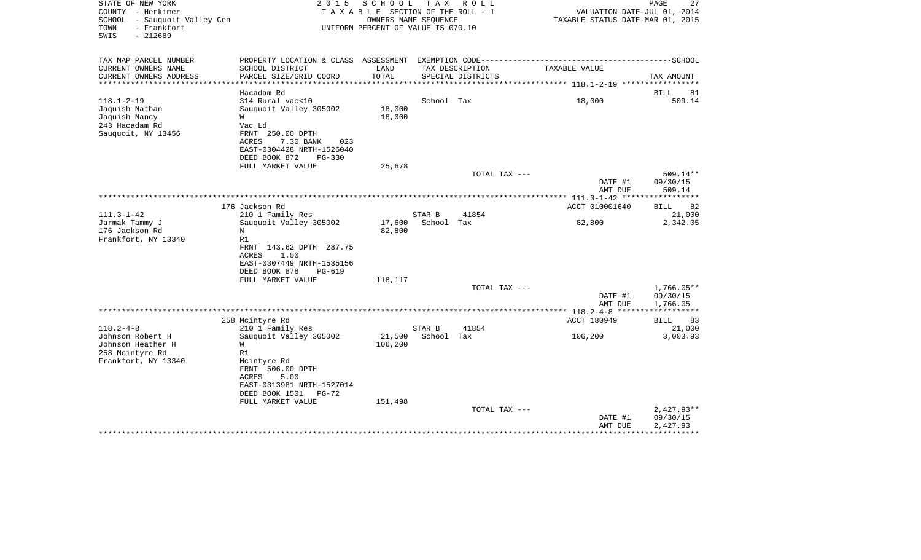| STATE OF NEW YORK<br>COUNTY - Herkimer<br>SCHOOL - Sauquoit Valley Cen<br>- Frankfort<br>TOWN<br>$-212689$<br>SWIS | 2 0 1 5                                                                                                                                                              | SCHOOL<br>TAXABLE SECTION OF THE ROLL - 1<br>OWNERS NAME SEQUENCE<br>UNIFORM PERCENT OF VALUE IS 070.10 | T A X                | R O L L                              | VALUATION DATE-JUL 01, 2014<br>TAXABLE STATUS DATE-MAR 01, 2015 | PAGE<br>27                           |
|--------------------------------------------------------------------------------------------------------------------|----------------------------------------------------------------------------------------------------------------------------------------------------------------------|---------------------------------------------------------------------------------------------------------|----------------------|--------------------------------------|-----------------------------------------------------------------|--------------------------------------|
| TAX MAP PARCEL NUMBER                                                                                              | PROPERTY LOCATION & CLASS ASSESSMENT                                                                                                                                 |                                                                                                         |                      | EXEMPTION CODE---------------------  |                                                                 | ------------------SCHOOL             |
| CURRENT OWNERS NAME<br>CURRENT OWNERS ADDRESS<br>**************                                                    | SCHOOL DISTRICT<br>PARCEL SIZE/GRID COORD<br>***********************************                                                                                     | LAND<br>TOTAL                                                                                           |                      | TAX DESCRIPTION<br>SPECIAL DISTRICTS | TAXABLE VALUE                                                   | TAX AMOUNT                           |
|                                                                                                                    | Hacadam Rd                                                                                                                                                           |                                                                                                         |                      |                                      |                                                                 | BILL<br>81                           |
| $118.1 - 2 - 19$<br>Jaquish Nathan<br>Jaquish Nancy<br>243 Hacadam Rd<br>Sauquoit, NY 13456                        | 314 Rural vac<10<br>Sauquoit Valley 305002<br>W<br>Vac Ld<br>FRNT 250.00 DPTH<br>ACRES<br>7.30 BANK<br>023<br>EAST-0304428 NRTH-1526040<br>DEED BOOK 872<br>$PG-330$ | 18,000<br>18,000                                                                                        | School Tax           |                                      | 18,000                                                          | 509.14                               |
|                                                                                                                    | FULL MARKET VALUE                                                                                                                                                    | 25,678                                                                                                  |                      |                                      |                                                                 |                                      |
|                                                                                                                    |                                                                                                                                                                      |                                                                                                         |                      | TOTAL TAX ---                        | DATE #1<br>AMT DUE                                              | 509.14**<br>09/30/15<br>509.14       |
|                                                                                                                    |                                                                                                                                                                      |                                                                                                         |                      |                                      |                                                                 |                                      |
|                                                                                                                    | 176 Jackson Rd                                                                                                                                                       |                                                                                                         |                      |                                      | ACCT 010001640                                                  | 82<br>BILL                           |
| $111.3 - 1 - 42$<br>Jarmak Tammy J<br>176 Jackson Rd<br>Frankfort, NY 13340                                        | 210 1 Family Res<br>Sauquoit Valley 305002<br>N<br>R1<br>FRNT 143.62 DPTH 287.75<br>1.00<br>ACRES<br>EAST-0307449 NRTH-1535156<br>DEED BOOK 878<br>PG-619            | 17,600<br>82,800                                                                                        | STAR B<br>School Tax | 41854                                | 82,800                                                          | 21,000<br>2,342.05                   |
|                                                                                                                    | FULL MARKET VALUE                                                                                                                                                    | 118,117                                                                                                 |                      |                                      |                                                                 |                                      |
|                                                                                                                    |                                                                                                                                                                      |                                                                                                         |                      | TOTAL TAX ---                        | DATE #1<br>AMT DUE                                              | $1,766.05**$<br>09/30/15<br>1,766.05 |
|                                                                                                                    |                                                                                                                                                                      |                                                                                                         |                      |                                      | ************ 118.2-4-8 ******                                   | * * * * * * * * * * *                |
| $118.2 - 4 - 8$                                                                                                    | 258 Mcintyre Rd<br>210 1 Family Res                                                                                                                                  |                                                                                                         | STAR B               | 41854                                | ACCT 180949                                                     | 83<br>BILL<br>21,000                 |
| Johnson Robert H<br>Johnson Heather H<br>258 Mcintyre Rd<br>Frankfort, NY 13340                                    | Sauquoit Valley 305002<br>W<br>R1<br>Mcintyre Rd<br>FRNT 506.00 DPTH<br>ACRES<br>5.00<br>EAST-0313981 NRTH-1527014<br>PG-72                                          | 21,500<br>106,200                                                                                       | School Tax           |                                      | 106,200                                                         | 3,003.93                             |
|                                                                                                                    | DEED BOOK 1501<br>FULL MARKET VALUE                                                                                                                                  | 151,498                                                                                                 |                      |                                      |                                                                 |                                      |
|                                                                                                                    |                                                                                                                                                                      |                                                                                                         |                      | TOTAL TAX ---                        | DATE #1<br>AMT DUE                                              | $2,427.93**$<br>09/30/15<br>2,427.93 |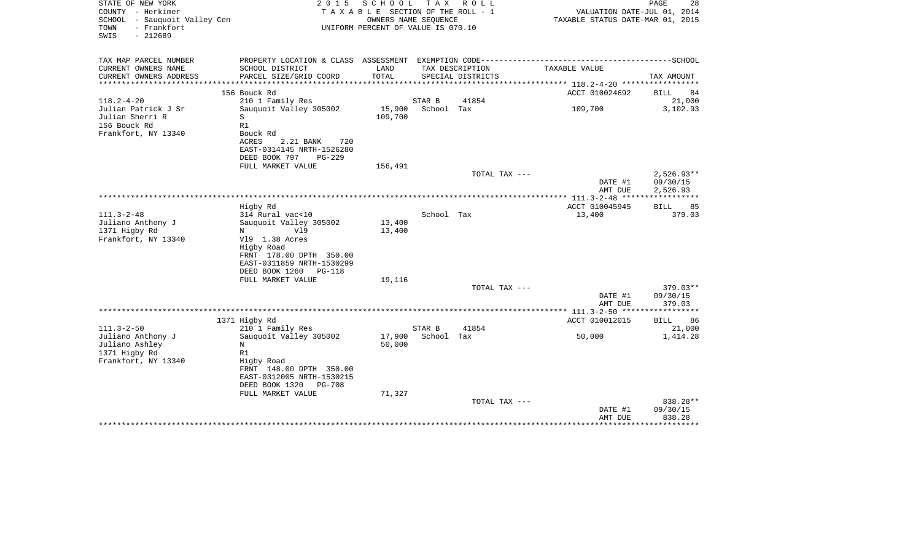| STATE OF NEW YORK<br>COUNTY - Herkimer<br>SCHOOL<br>- Sauquoit Valley Cen<br>- Frankfort<br>TOWN<br>SWIS<br>$-212689$ | 2 0 1 5                                                                                                                                                                    | SCHOOL<br>TAXABLE SECTION OF THE ROLL - 1<br>OWNERS NAME SEQUENCE<br>UNIFORM PERCENT OF VALUE IS 070.10 |            | TAX ROLL          | VALUATION DATE-JUL 01, 2014<br>TAXABLE STATUS DATE-MAR 01, 2015 | 28<br>PAGE                           |
|-----------------------------------------------------------------------------------------------------------------------|----------------------------------------------------------------------------------------------------------------------------------------------------------------------------|---------------------------------------------------------------------------------------------------------|------------|-------------------|-----------------------------------------------------------------|--------------------------------------|
| TAX MAP PARCEL NUMBER<br>CURRENT OWNERS NAME                                                                          | SCHOOL DISTRICT                                                                                                                                                            | LAND                                                                                                    |            | TAX DESCRIPTION   | TAXABLE VALUE                                                   |                                      |
| CURRENT OWNERS ADDRESS<br>**************                                                                              | PARCEL SIZE/GRID COORD                                                                                                                                                     | TOTAL<br>***************************                                                                    |            | SPECIAL DISTRICTS |                                                                 | TAX AMOUNT                           |
|                                                                                                                       | 156 Bouck Rd                                                                                                                                                               |                                                                                                         |            |                   | ************ 118.2-4-20 ***********<br>ACCT 010024692           | <b>BILL</b><br>84                    |
| $118.2 - 4 - 20$                                                                                                      | 210 1 Family Res                                                                                                                                                           |                                                                                                         | STAR B     | 41854             |                                                                 | 21,000                               |
| Julian Patrick J Sr<br>Julian Sherri R<br>156 Bouck Rd                                                                | Sauquoit Valley 305002<br>S<br>R1<br>Bouck Rd                                                                                                                              | 15,900<br>109,700                                                                                       | School Tax |                   | 109,700                                                         | 3,102.93                             |
| Frankfort, NY 13340                                                                                                   | ACRES<br>2.21 BANK<br>720<br>EAST-0314145 NRTH-1526280<br>DEED BOOK 797<br>$PG-229$                                                                                        |                                                                                                         |            |                   |                                                                 |                                      |
|                                                                                                                       | FULL MARKET VALUE                                                                                                                                                          | 156,491                                                                                                 |            |                   |                                                                 |                                      |
|                                                                                                                       |                                                                                                                                                                            |                                                                                                         |            | TOTAL TAX ---     | DATE #1<br>AMT DUE                                              | $2,526.93**$<br>09/30/15<br>2,526.93 |
|                                                                                                                       | Higby Rd                                                                                                                                                                   |                                                                                                         |            |                   | ACCT 010045945                                                  | 85<br>BILL                           |
| $111.3 - 2 - 48$<br>Juliano Anthony J<br>1371 Higby Rd<br>Frankfort, NY 13340                                         | 314 Rural vac<10<br>Sauquoit Valley 305002<br>Vl9<br>N<br>V19 1.38 Acres<br>Higby Road<br>FRNT 178.00 DPTH 350.00<br>EAST-0311859 NRTH-1530299<br>DEED BOOK 1260<br>PG-118 | 13,400<br>13,400                                                                                        | School Tax |                   | 13,400                                                          | 379.03                               |
|                                                                                                                       | FULL MARKET VALUE                                                                                                                                                          | 19,116                                                                                                  |            |                   |                                                                 |                                      |
|                                                                                                                       |                                                                                                                                                                            |                                                                                                         |            | TOTAL TAX ---     | DATE #1<br>AMT DUE                                              | $379.03**$<br>09/30/15<br>379.03     |
|                                                                                                                       |                                                                                                                                                                            |                                                                                                         |            |                   |                                                                 |                                      |
| $111.3 - 2 - 50$                                                                                                      | 1371 Higby Rd<br>210 1 Family Res                                                                                                                                          |                                                                                                         | STAR B     | 41854             | ACCT 010012015                                                  | <b>BILL</b><br>86<br>21,000          |
| Juliano Anthony J<br>Juliano Ashley<br>1371 Higby Rd<br>Frankfort, NY 13340                                           | Sauquoit Valley 305002<br>N<br>R1<br>Higby Road<br>FRNT 148.00 DPTH 350.00<br>EAST-0312005 NRTH-1530215<br>DEED BOOK 1320<br><b>PG-708</b><br>FULL MARKET VALUE            | 17,900<br>50,000<br>71,327                                                                              | School Tax |                   | 50,000                                                          | 1,414.28                             |
|                                                                                                                       |                                                                                                                                                                            |                                                                                                         |            | TOTAL TAX ---     | DATE #1                                                         | 838.28**<br>09/30/15                 |
|                                                                                                                       |                                                                                                                                                                            |                                                                                                         |            |                   | AMT DUE                                                         | 838.28                               |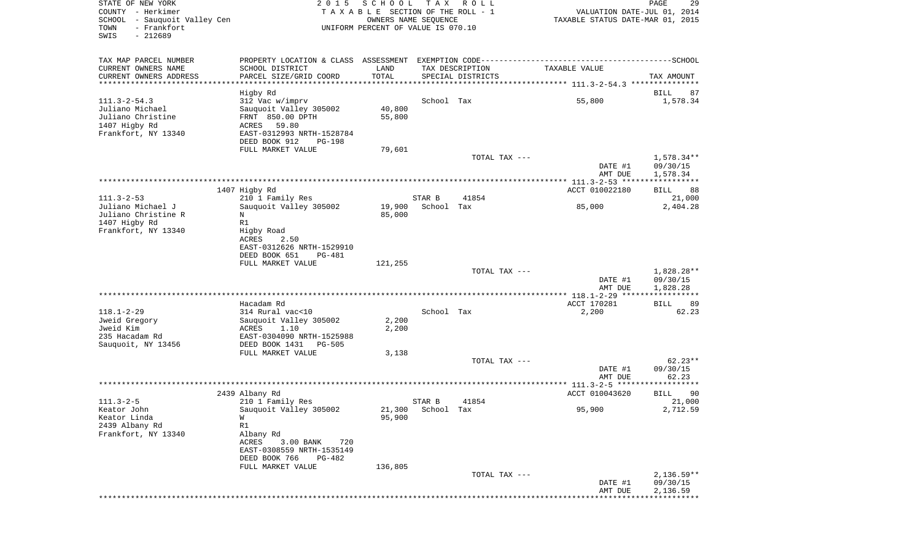| STATE OF NEW YORK<br>COUNTY - Herkimer<br>SCHOOL - Sauquoit Valley Cen<br>- Frankfort<br>TOWN<br>SWIS<br>$-212689$ | 2 0 1 5                                                                                      | SCHOOL<br>TAXABLE SECTION OF THE ROLL - 1<br>OWNERS NAME SEQUENCE<br>UNIFORM PERCENT OF VALUE IS 070.10 | T A X                       | R O L L                              | VALUATION DATE-JUL 01, 2014<br>TAXABLE STATUS DATE-MAR 01, 2015 | PAGE<br>29         |
|--------------------------------------------------------------------------------------------------------------------|----------------------------------------------------------------------------------------------|---------------------------------------------------------------------------------------------------------|-----------------------------|--------------------------------------|-----------------------------------------------------------------|--------------------|
| TAX MAP PARCEL NUMBER                                                                                              | PROPERTY LOCATION & CLASS ASSESSMENT EXEMPTION CODE-----------------------------------SCHOOL |                                                                                                         |                             |                                      |                                                                 |                    |
| CURRENT OWNERS NAME<br>CURRENT OWNERS ADDRESS                                                                      | SCHOOL DISTRICT<br>PARCEL SIZE/GRID COORD                                                    | LAND<br>TOTAL                                                                                           |                             | TAX DESCRIPTION<br>SPECIAL DISTRICTS | TAXABLE VALUE                                                   | TAX AMOUNT         |
| **********************                                                                                             |                                                                                              |                                                                                                         |                             |                                      |                                                                 |                    |
|                                                                                                                    | Higby Rd                                                                                     |                                                                                                         |                             |                                      |                                                                 | BILL<br>87         |
| $111.3 - 2 - 54.3$<br>Juliano Michael                                                                              | 312 Vac w/imprv                                                                              | 40,800                                                                                                  | School Tax                  |                                      | 55,800                                                          | 1,578.34           |
| Juliano Christine                                                                                                  | Sauquoit Valley 305002<br>FRNT 850.00 DPTH                                                   | 55,800                                                                                                  |                             |                                      |                                                                 |                    |
| 1407 Higby Rd                                                                                                      | 59.80<br>ACRES                                                                               |                                                                                                         |                             |                                      |                                                                 |                    |
| Frankfort, NY 13340                                                                                                | EAST-0312993 NRTH-1528784                                                                    |                                                                                                         |                             |                                      |                                                                 |                    |
|                                                                                                                    | DEED BOOK 912<br>PG-198                                                                      |                                                                                                         |                             |                                      |                                                                 |                    |
|                                                                                                                    | FULL MARKET VALUE                                                                            | 79,601                                                                                                  |                             |                                      |                                                                 |                    |
|                                                                                                                    |                                                                                              |                                                                                                         |                             | TOTAL TAX ---                        |                                                                 | $1,578.34**$       |
|                                                                                                                    |                                                                                              |                                                                                                         |                             |                                      | DATE #1                                                         | 09/30/15           |
|                                                                                                                    |                                                                                              |                                                                                                         |                             |                                      | AMT DUE                                                         | 1,578.34           |
|                                                                                                                    | 1407 Higby Rd                                                                                |                                                                                                         |                             |                                      | ACCT 010022180                                                  | 88<br>BILL         |
| $111.3 - 2 - 53$                                                                                                   | 210 1 Family Res                                                                             |                                                                                                         | STAR B                      | 41854                                |                                                                 | 21,000             |
| Juliano Michael J                                                                                                  | Sauquoit Valley 305002                                                                       | 19,900                                                                                                  | School Tax                  |                                      | 85,000                                                          | 2,404.28           |
| Juliano Christine R                                                                                                | N                                                                                            | 85,000                                                                                                  |                             |                                      |                                                                 |                    |
| 1407 Higby Rd                                                                                                      | R1                                                                                           |                                                                                                         |                             |                                      |                                                                 |                    |
| Frankfort, NY 13340                                                                                                | Higby Road<br>ACRES<br>2.50                                                                  |                                                                                                         |                             |                                      |                                                                 |                    |
|                                                                                                                    | EAST-0312626 NRTH-1529910                                                                    |                                                                                                         |                             |                                      |                                                                 |                    |
|                                                                                                                    | DEED BOOK 651<br><b>PG-481</b>                                                               |                                                                                                         |                             |                                      |                                                                 |                    |
|                                                                                                                    | FULL MARKET VALUE                                                                            | 121,255                                                                                                 |                             |                                      |                                                                 |                    |
|                                                                                                                    |                                                                                              |                                                                                                         |                             | TOTAL TAX ---                        |                                                                 | 1,828.28**         |
|                                                                                                                    |                                                                                              |                                                                                                         |                             |                                      | DATE #1                                                         | 09/30/15           |
|                                                                                                                    |                                                                                              |                                                                                                         |                             |                                      | AMT DUE                                                         | 1,828.28           |
|                                                                                                                    | Hacadam Rd                                                                                   |                                                                                                         |                             |                                      | ACCT 170281                                                     | 89<br>BILL         |
| $118.1 - 2 - 29$                                                                                                   | 314 Rural vac<10                                                                             |                                                                                                         | School Tax                  |                                      | 2,200                                                           | 62.23              |
| Jweid Gregory                                                                                                      | Sauquoit Valley 305002                                                                       | 2,200                                                                                                   |                             |                                      |                                                                 |                    |
| Jweid Kim                                                                                                          | ACRES<br>1.10                                                                                | 2,200                                                                                                   |                             |                                      |                                                                 |                    |
| 235 Hacadam Rd                                                                                                     | EAST-0304090 NRTH-1525988                                                                    |                                                                                                         |                             |                                      |                                                                 |                    |
| Sauquoit, NY 13456                                                                                                 | DEED BOOK 1431<br>PG-505                                                                     |                                                                                                         |                             |                                      |                                                                 |                    |
|                                                                                                                    | FULL MARKET VALUE                                                                            | 3,138                                                                                                   |                             | TOTAL TAX ---                        |                                                                 | $62.23**$          |
|                                                                                                                    |                                                                                              |                                                                                                         |                             |                                      | DATE #1                                                         | 09/30/15           |
|                                                                                                                    |                                                                                              |                                                                                                         |                             |                                      | AMT DUE                                                         | 62.23              |
|                                                                                                                    |                                                                                              |                                                                                                         |                             |                                      |                                                                 |                    |
|                                                                                                                    | 2439 Albany Rd                                                                               |                                                                                                         |                             |                                      | ACCT 010043620                                                  | BILL<br>90         |
| $111.3 - 2 - 5$<br>Keator John                                                                                     | 210 1 Family Res<br>Sauquoit Valley 305002                                                   |                                                                                                         | STAR B<br>21,300 School Tax | 41854                                | 95,900                                                          | 21,000<br>2,712.59 |
| Keator Linda                                                                                                       | W                                                                                            | 95,900                                                                                                  |                             |                                      |                                                                 |                    |
| 2439 Albany Rd                                                                                                     | R1                                                                                           |                                                                                                         |                             |                                      |                                                                 |                    |
| Frankfort, NY 13340                                                                                                | Albany Rd                                                                                    |                                                                                                         |                             |                                      |                                                                 |                    |
|                                                                                                                    | ACRES<br>3.00 BANK<br>720                                                                    |                                                                                                         |                             |                                      |                                                                 |                    |
|                                                                                                                    | EAST-0308559 NRTH-1535149                                                                    |                                                                                                         |                             |                                      |                                                                 |                    |
|                                                                                                                    | DEED BOOK 766<br><b>PG-482</b>                                                               |                                                                                                         |                             |                                      |                                                                 |                    |
|                                                                                                                    | FULL MARKET VALUE                                                                            | 136,805                                                                                                 |                             | TOTAL TAX ---                        |                                                                 | $2,136.59**$       |
|                                                                                                                    |                                                                                              |                                                                                                         |                             |                                      | DATE #1                                                         | 09/30/15           |
|                                                                                                                    |                                                                                              |                                                                                                         |                             |                                      | AMT DUE                                                         | 2,136.59           |
|                                                                                                                    |                                                                                              |                                                                                                         |                             |                                      |                                                                 |                    |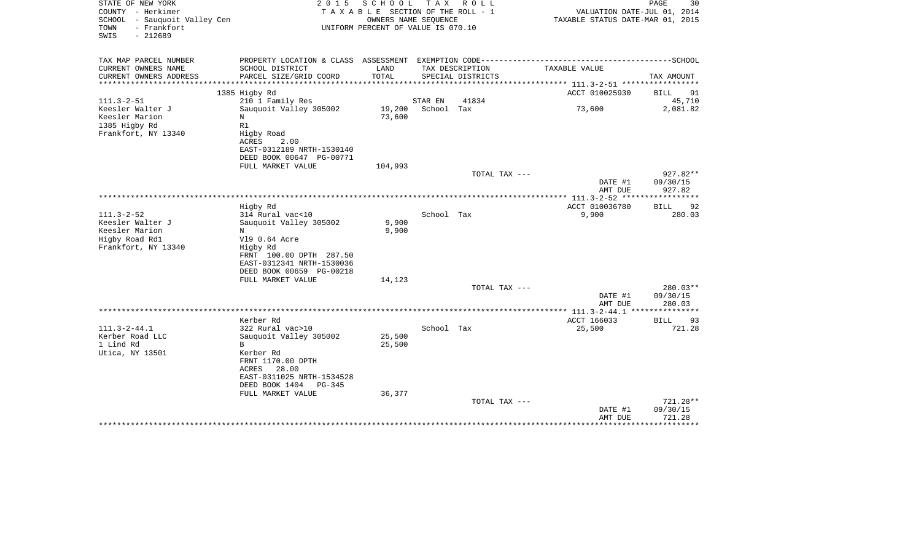| STATE OF NEW YORK<br>COUNTY - Herkimer<br>SCHOOL<br>- Sauquoit Valley Cen<br>- Frankfort<br>TOWN<br>SWIS<br>$-212689$ | 2 0 1 5                                               | SCHOOL<br>TAXABLE SECTION OF THE ROLL - 1<br>OWNERS NAME SEQUENCE<br>UNIFORM PERCENT OF VALUE IS 070.10 | T A X                 | R O L L           |                                       |                    | PAGE<br>30<br>VALUATION DATE-JUL 01, 2014<br>TAXABLE STATUS DATE-MAR 01, 2015 |
|-----------------------------------------------------------------------------------------------------------------------|-------------------------------------------------------|---------------------------------------------------------------------------------------------------------|-----------------------|-------------------|---------------------------------------|--------------------|-------------------------------------------------------------------------------|
| TAX MAP PARCEL NUMBER<br>CURRENT OWNERS NAME                                                                          | SCHOOL DISTRICT                                       | LAND                                                                                                    |                       | TAX DESCRIPTION   | TAXABLE VALUE                         |                    |                                                                               |
| CURRENT OWNERS ADDRESS                                                                                                | PARCEL SIZE/GRID COORD                                | TOTAL                                                                                                   |                       | SPECIAL DISTRICTS |                                       |                    | TAX AMOUNT                                                                    |
|                                                                                                                       |                                                       | ****************                                                                                        |                       |                   | ************* 111.3-2-51 ************ |                    |                                                                               |
|                                                                                                                       | 1385 Higby Rd                                         |                                                                                                         |                       |                   |                                       | ACCT 010025930     | BILL<br>91                                                                    |
| $111.3 - 2 - 51$<br>Keesler Walter J                                                                                  | 210 1 Family Res<br>Sauquoit Valley 305002            | 19,200                                                                                                  | STAR EN<br>School Tax | 41834             |                                       | 73,600             | 45,710<br>2,081.82                                                            |
| Keesler Marion                                                                                                        | N                                                     | 73,600                                                                                                  |                       |                   |                                       |                    |                                                                               |
| 1385 Higby Rd                                                                                                         | R1                                                    |                                                                                                         |                       |                   |                                       |                    |                                                                               |
| Frankfort, NY 13340                                                                                                   | Higby Road                                            |                                                                                                         |                       |                   |                                       |                    |                                                                               |
|                                                                                                                       | ACRES<br>2.00                                         |                                                                                                         |                       |                   |                                       |                    |                                                                               |
|                                                                                                                       | EAST-0312189 NRTH-1530140<br>DEED BOOK 00647 PG-00771 |                                                                                                         |                       |                   |                                       |                    |                                                                               |
|                                                                                                                       | FULL MARKET VALUE                                     | 104,993                                                                                                 |                       |                   |                                       |                    |                                                                               |
|                                                                                                                       |                                                       |                                                                                                         |                       | TOTAL TAX ---     |                                       |                    | 927.82**                                                                      |
|                                                                                                                       |                                                       |                                                                                                         |                       |                   |                                       | DATE #1            | 09/30/15                                                                      |
|                                                                                                                       |                                                       |                                                                                                         |                       |                   |                                       | AMT DUE            | 927.82                                                                        |
|                                                                                                                       | Higby Rd                                              |                                                                                                         |                       |                   | **************** 111.3-2-52 *****     | ACCT 010036780     | ************<br><b>BILL</b><br>92                                             |
| $111.3 - 2 - 52$                                                                                                      | 314 Rural vac<10                                      |                                                                                                         | School Tax            |                   |                                       | 9,900              | 280.03                                                                        |
| Keesler Walter J                                                                                                      | Sauquoit Valley 305002                                | 9,900                                                                                                   |                       |                   |                                       |                    |                                                                               |
| Keesler Marion                                                                                                        | N                                                     | 9,900                                                                                                   |                       |                   |                                       |                    |                                                                               |
| Higby Road Rd1                                                                                                        | V19 0.64 Acre                                         |                                                                                                         |                       |                   |                                       |                    |                                                                               |
| Frankfort, NY 13340                                                                                                   | Higby Rd                                              |                                                                                                         |                       |                   |                                       |                    |                                                                               |
|                                                                                                                       | FRNT 100.00 DPTH 287.50<br>EAST-0312341 NRTH-1530036  |                                                                                                         |                       |                   |                                       |                    |                                                                               |
|                                                                                                                       | DEED BOOK 00659 PG-00218                              |                                                                                                         |                       |                   |                                       |                    |                                                                               |
|                                                                                                                       | FULL MARKET VALUE                                     | 14,123                                                                                                  |                       |                   |                                       |                    |                                                                               |
|                                                                                                                       |                                                       |                                                                                                         |                       | TOTAL TAX ---     |                                       |                    | $280.03**$                                                                    |
|                                                                                                                       |                                                       |                                                                                                         |                       |                   |                                       | DATE #1            | 09/30/15                                                                      |
|                                                                                                                       |                                                       |                                                                                                         |                       |                   |                                       | AMT DUE            | 280.03                                                                        |
|                                                                                                                       | Kerber Rd                                             |                                                                                                         |                       |                   |                                       | ACCT 166033        | BILL<br>93                                                                    |
| $111.3 - 2 - 44.1$                                                                                                    | 322 Rural vac>10                                      |                                                                                                         | School Tax            |                   |                                       | 25,500             | 721.28                                                                        |
| Kerber Road LLC                                                                                                       | Sauquoit Valley 305002                                | 25,500                                                                                                  |                       |                   |                                       |                    |                                                                               |
| 1 Lind Rd                                                                                                             | $\mathbf{B}$                                          | 25,500                                                                                                  |                       |                   |                                       |                    |                                                                               |
| Utica, NY 13501                                                                                                       | Kerber Rd<br>FRNT 1170.00 DPTH                        |                                                                                                         |                       |                   |                                       |                    |                                                                               |
|                                                                                                                       | 28.00<br>ACRES                                        |                                                                                                         |                       |                   |                                       |                    |                                                                               |
|                                                                                                                       | EAST-0311025 NRTH-1534528                             |                                                                                                         |                       |                   |                                       |                    |                                                                               |
|                                                                                                                       | DEED BOOK 1404<br>$PG-345$                            |                                                                                                         |                       |                   |                                       |                    |                                                                               |
|                                                                                                                       | FULL MARKET VALUE                                     | 36,377                                                                                                  |                       |                   |                                       |                    |                                                                               |
|                                                                                                                       |                                                       |                                                                                                         |                       | TOTAL TAX ---     |                                       |                    | 721.28**<br>09/30/15                                                          |
|                                                                                                                       |                                                       |                                                                                                         |                       |                   |                                       | DATE #1<br>AMT DUE | 721.28                                                                        |
|                                                                                                                       |                                                       |                                                                                                         |                       |                   |                                       |                    | ********                                                                      |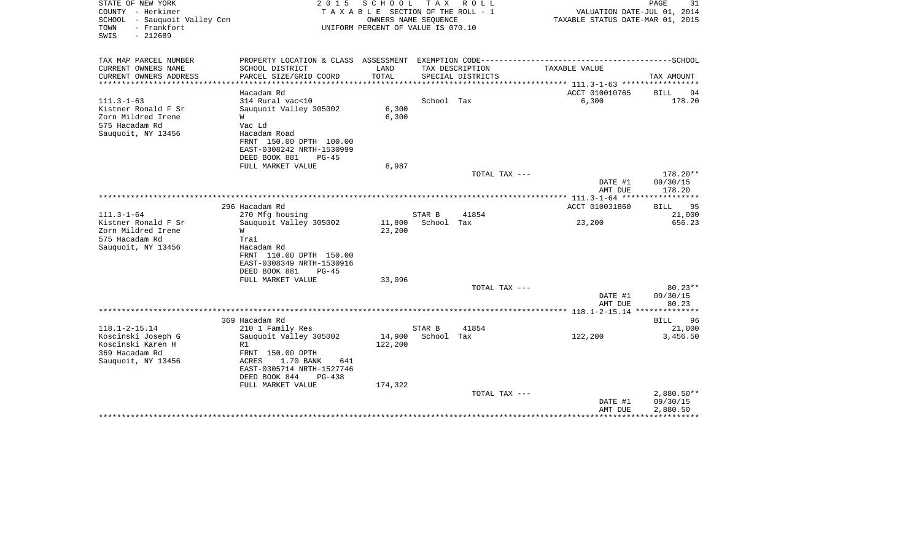| STATE OF NEW YORK<br>COUNTY - Herkimer<br>SCHOOL - Sauquoit Valley Cen<br>- Frankfort<br>TOWN<br>SWIS<br>$-212689$ | 2 0 1 5                                                                                                                                                                                 | SCHOOL<br>T A X A B L E SECTION OF THE ROLL - 1<br>OWNERS NAME SEQUENCE<br>UNIFORM PERCENT OF VALUE IS 070.10 | T A X                | R O L L           | VALUATION DATE-JUL 01, 2014<br>TAXABLE STATUS DATE-MAR 01, 2015 | PAGE<br>31                           |
|--------------------------------------------------------------------------------------------------------------------|-----------------------------------------------------------------------------------------------------------------------------------------------------------------------------------------|---------------------------------------------------------------------------------------------------------------|----------------------|-------------------|-----------------------------------------------------------------|--------------------------------------|
| TAX MAP PARCEL NUMBER<br>CURRENT OWNERS NAME                                                                       | PROPERTY LOCATION & CLASS ASSESSMENT EXEMPTION CODE-----------------------------------SCHOOL<br>SCHOOL DISTRICT                                                                         | LAND                                                                                                          |                      | TAX DESCRIPTION   | TAXABLE VALUE                                                   |                                      |
| CURRENT OWNERS ADDRESS<br>*******************                                                                      | PARCEL SIZE/GRID COORD<br>                                                                                                                                                              | TOTAL<br>***********                                                                                          |                      | SPECIAL DISTRICTS | **************************** 111.3-1-63 *****************       | TAX AMOUNT                           |
|                                                                                                                    | Hacadam Rd                                                                                                                                                                              |                                                                                                               |                      |                   | ACCT 010010765                                                  | <b>BILL</b><br>94                    |
| $111.3 - 1 - 63$<br>Kistner Ronald F Sr<br>Zorn Mildred Irene<br>575 Hacadam Rd<br>Sauquoit, NY 13456              | 314 Rural vac<10<br>Sauquoit Valley 305002<br>W<br>Vac Ld<br>Hacadam Road<br>FRNT 150.00 DPTH 100.00<br>EAST-0308242 NRTH-1530999                                                       | 6,300<br>6,300                                                                                                | School Tax           |                   | 6,300                                                           | 178.20                               |
|                                                                                                                    | DEED BOOK 881<br>$PG-45$                                                                                                                                                                |                                                                                                               |                      |                   |                                                                 |                                      |
|                                                                                                                    | FULL MARKET VALUE                                                                                                                                                                       | 8,987                                                                                                         |                      | TOTAL TAX ---     | DATE #1<br>AMT DUE                                              | 178.20**<br>09/30/15<br>178.20       |
|                                                                                                                    |                                                                                                                                                                                         |                                                                                                               |                      |                   |                                                                 | **********                           |
|                                                                                                                    | 296 Hacadam Rd                                                                                                                                                                          |                                                                                                               |                      |                   | ACCT 010031860                                                  | 95<br><b>BILL</b>                    |
| $111.3 - 1 - 64$<br>Kistner Ronald F Sr                                                                            | 270 Mfg housing                                                                                                                                                                         |                                                                                                               | STAR B               | 41854             |                                                                 | 21,000                               |
| Zorn Mildred Irene<br>575 Hacadam Rd<br>Sauquoit, NY 13456                                                         | Sauguoit Valley 305002<br>W<br>Trai<br>Hacadam Rd<br>FRNT 110.00 DPTH 150.00<br>EAST-0308349 NRTH-1530916<br>DEED BOOK 881<br>$PG-45$                                                   | 11,800<br>23,200                                                                                              | School Tax           |                   | 23,200                                                          | 656.23                               |
|                                                                                                                    | FULL MARKET VALUE                                                                                                                                                                       | 33,096                                                                                                        |                      |                   |                                                                 |                                      |
|                                                                                                                    |                                                                                                                                                                                         |                                                                                                               |                      | TOTAL TAX ---     | DATE #1<br>AMT DUE                                              | $80.23**$<br>09/30/15<br>80.23       |
|                                                                                                                    |                                                                                                                                                                                         |                                                                                                               |                      |                   |                                                                 |                                      |
|                                                                                                                    | 369 Hacadam Rd                                                                                                                                                                          |                                                                                                               |                      |                   |                                                                 | 96<br>BILL                           |
| $118.1 - 2 - 15.14$<br>Koscinski Joseph G<br>Koscinski Karen H<br>369 Hacadam Rd<br>Sauquoit, NY 13456             | 210 1 Family Res<br>Sauquoit Valley 305002<br>R1<br>FRNT 150.00 DPTH<br>1.70 BANK<br><b>ACRES</b><br>641<br>EAST-0305714 NRTH-1527746<br>DEED BOOK 844<br>$PG-438$<br>FULL MARKET VALUE | 14,900<br>122,200<br>174,322                                                                                  | STAR B<br>School Tax | 41854             | 122,200                                                         | 21,000<br>3,456.50                   |
|                                                                                                                    |                                                                                                                                                                                         |                                                                                                               |                      | TOTAL TAX ---     | DATE #1<br>AMT DUE                                              | $2,880.50**$<br>09/30/15<br>2,880.50 |
|                                                                                                                    |                                                                                                                                                                                         |                                                                                                               |                      |                   |                                                                 |                                      |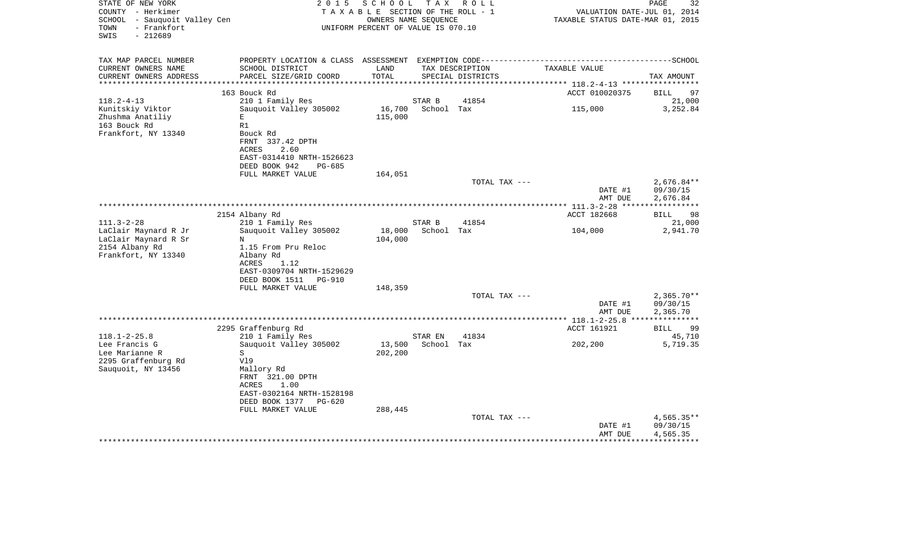| STATE OF NEW YORK<br>COUNTY - Herkimer                                   | 2 0 1 5                                                                                      | SCHOOL<br>T A X A B L E SECTION OF THE ROLL - 1            | T A X                | R O L L           | VALUATION DATE-JUL 01, 2014      | $\mathop{\mathtt{PAGE}}$<br>32 |
|--------------------------------------------------------------------------|----------------------------------------------------------------------------------------------|------------------------------------------------------------|----------------------|-------------------|----------------------------------|--------------------------------|
| SCHOOL - Sauquoit Valley Cen<br>- Frankfort<br>TOWN<br>$-212689$<br>SWIS |                                                                                              | OWNERS NAME SEQUENCE<br>UNIFORM PERCENT OF VALUE IS 070.10 |                      |                   | TAXABLE STATUS DATE-MAR 01, 2015 |                                |
| TAX MAP PARCEL NUMBER                                                    | PROPERTY LOCATION & CLASS ASSESSMENT EXEMPTION CODE-----------------------------------SCHOOL |                                                            |                      |                   |                                  |                                |
| CURRENT OWNERS NAME                                                      | SCHOOL DISTRICT                                                                              | LAND                                                       |                      | TAX DESCRIPTION   | TAXABLE VALUE                    |                                |
| CURRENT OWNERS ADDRESS<br>**********************                         | PARCEL SIZE/GRID COORD                                                                       | TOTAL                                                      |                      | SPECIAL DISTRICTS |                                  | TAX AMOUNT                     |
|                                                                          | 163 Bouck Rd                                                                                 |                                                            |                      |                   | ACCT 010020375                   | <b>BILL</b><br>97              |
| $118.2 - 4 - 13$                                                         | 210 1 Family Res                                                                             |                                                            | STAR B               | 41854             |                                  | 21,000                         |
| Kunitskiy Viktor                                                         | Sauquoit Valley 305002                                                                       | 16,700                                                     | School Tax           |                   | 115,000                          | 3,252.84                       |
| Zhushma Anatiliy                                                         | Е                                                                                            | 115,000                                                    |                      |                   |                                  |                                |
| 163 Bouck Rd<br>Frankfort, NY 13340                                      | R1<br>Bouck Rd                                                                               |                                                            |                      |                   |                                  |                                |
|                                                                          | FRNT 337.42 DPTH                                                                             |                                                            |                      |                   |                                  |                                |
|                                                                          | ACRES<br>2.60                                                                                |                                                            |                      |                   |                                  |                                |
|                                                                          | EAST-0314410 NRTH-1526623                                                                    |                                                            |                      |                   |                                  |                                |
|                                                                          | DEED BOOK 942<br>PG-685                                                                      |                                                            |                      |                   |                                  |                                |
|                                                                          | FULL MARKET VALUE                                                                            | 164,051                                                    |                      | TOTAL TAX ---     |                                  | $2,676.84**$                   |
|                                                                          |                                                                                              |                                                            |                      |                   | DATE #1                          | 09/30/15                       |
|                                                                          |                                                                                              |                                                            |                      |                   | AMT DUE                          | 2,676.84                       |
|                                                                          |                                                                                              |                                                            |                      |                   | ************ 111.3-2-28 ****     | ***********                    |
|                                                                          | 2154 Albany Rd                                                                               |                                                            |                      |                   | ACCT 182668                      | 98<br>BILL                     |
| $111.3 - 2 - 28$<br>LaClair Maynard R Jr                                 | 210 1 Family Res<br>Sauquoit Valley 305002                                                   | 18,000                                                     | STAR B<br>School Tax | 41854             | 104,000                          | 21,000<br>2,941.70             |
| LaClair Maynard R Sr                                                     | N                                                                                            | 104,000                                                    |                      |                   |                                  |                                |
| 2154 Albany Rd                                                           | 1.15 From Pru Reloc                                                                          |                                                            |                      |                   |                                  |                                |
| Frankfort, NY 13340                                                      | Albany Rd                                                                                    |                                                            |                      |                   |                                  |                                |
|                                                                          | ACRES<br>1.12                                                                                |                                                            |                      |                   |                                  |                                |
|                                                                          | EAST-0309704 NRTH-1529629<br>DEED BOOK 1511<br><b>PG-910</b>                                 |                                                            |                      |                   |                                  |                                |
|                                                                          | FULL MARKET VALUE                                                                            | 148,359                                                    |                      |                   |                                  |                                |
|                                                                          |                                                                                              |                                                            |                      | TOTAL TAX ---     |                                  | $2,365.70**$                   |
|                                                                          |                                                                                              |                                                            |                      |                   | DATE #1                          | 09/30/15                       |
|                                                                          |                                                                                              |                                                            |                      |                   | AMT DUE                          | 2,365.70                       |
|                                                                          | 2295 Graffenburg Rd                                                                          |                                                            |                      |                   | ACCT 161921                      | 99<br>BILL                     |
| $118.1 - 2 - 25.8$                                                       | 210 1 Family Res                                                                             |                                                            | STAR EN              | 41834             |                                  | 45,710                         |
| Lee Francis G                                                            | Sauquoit Valley 305002                                                                       | 13,500                                                     | School Tax           |                   | 202,200                          | 5,719.35                       |
| Lee Marianne R                                                           | S                                                                                            | 202,200                                                    |                      |                   |                                  |                                |
| 2295 Graffenburg Rd                                                      | V19                                                                                          |                                                            |                      |                   |                                  |                                |
| Sauquoit, NY 13456                                                       | Mallory Rd<br>FRNT 321.00 DPTH                                                               |                                                            |                      |                   |                                  |                                |
|                                                                          | ACRES<br>1.00                                                                                |                                                            |                      |                   |                                  |                                |
|                                                                          | EAST-0302164 NRTH-1528198                                                                    |                                                            |                      |                   |                                  |                                |
|                                                                          | DEED BOOK 1377<br>PG-620                                                                     |                                                            |                      |                   |                                  |                                |
|                                                                          | FULL MARKET VALUE                                                                            | 288,445                                                    |                      |                   |                                  |                                |
|                                                                          |                                                                                              |                                                            |                      | TOTAL TAX ---     | DATE #1                          | $4,565.35**$<br>09/30/15       |
|                                                                          |                                                                                              |                                                            |                      |                   | AMT DUE                          | 4,565.35                       |
|                                                                          |                                                                                              |                                                            |                      |                   |                                  |                                |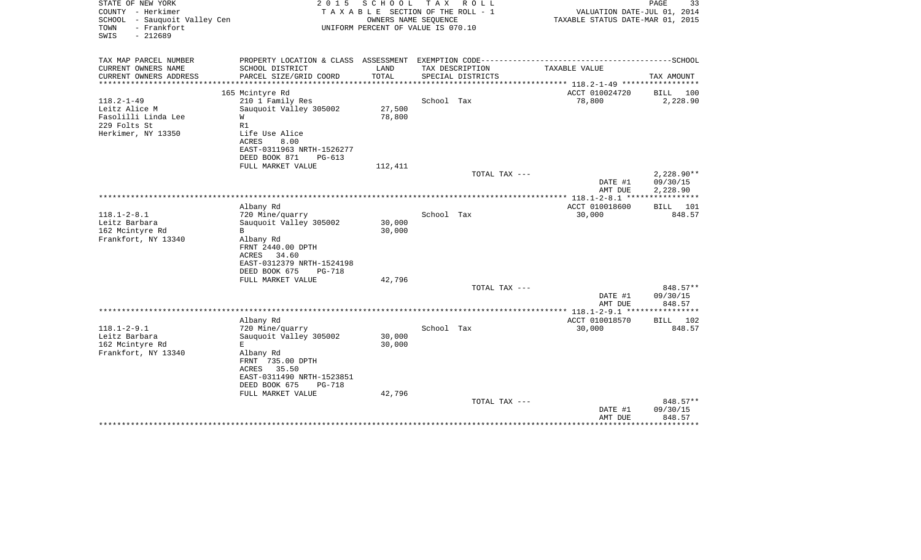| STATE OF NEW YORK<br>COUNTY - Herkimer<br>SCHOOL<br>- Sauquoit Valley Cen<br>- Frankfort<br>TOWN | 2 0 1 5                                                                                      | SCHOOL<br>TAXABLE SECTION OF THE ROLL - 1<br>UNIFORM PERCENT OF VALUE IS 070.10 | T A X<br>OWNERS NAME SEQUENCE        | R O L L       | VALUATION DATE-JUL 01, 2014<br>TAXABLE STATUS DATE-MAR 01, 2015 | PAGE<br>33           |
|--------------------------------------------------------------------------------------------------|----------------------------------------------------------------------------------------------|---------------------------------------------------------------------------------|--------------------------------------|---------------|-----------------------------------------------------------------|----------------------|
| SWIS<br>$-212689$                                                                                |                                                                                              |                                                                                 |                                      |               |                                                                 |                      |
| TAX MAP PARCEL NUMBER                                                                            | PROPERTY LOCATION & CLASS ASSESSMENT EXEMPTION CODE-----------------------------------SCHOOL |                                                                                 |                                      |               |                                                                 |                      |
| CURRENT OWNERS NAME<br>CURRENT OWNERS ADDRESS                                                    | SCHOOL DISTRICT<br>PARCEL SIZE/GRID COORD                                                    | LAND<br>TOTAL                                                                   | TAX DESCRIPTION<br>SPECIAL DISTRICTS |               | TAXABLE VALUE                                                   | TAX AMOUNT           |
| *************                                                                                    | **************************                                                                   | ***************************                                                     |                                      |               | **************** 118.2-1-49 ******************                  |                      |
|                                                                                                  | 165 Mcintyre Rd                                                                              |                                                                                 |                                      |               | ACCT 010024720                                                  | BILL<br>100          |
| $118.2 - 1 - 49$                                                                                 | 210 1 Family Res                                                                             |                                                                                 | School Tax                           |               | 78,800                                                          | 2,228.90             |
| Leitz Alice M                                                                                    | Sauquoit Valley 305002                                                                       | 27,500                                                                          |                                      |               |                                                                 |                      |
| Fasolilli Linda Lee                                                                              | W                                                                                            | 78,800                                                                          |                                      |               |                                                                 |                      |
| 229 Folts St<br>Herkimer, NY 13350                                                               | R1<br>Life Use Alice                                                                         |                                                                                 |                                      |               |                                                                 |                      |
|                                                                                                  | ACRES<br>8.00                                                                                |                                                                                 |                                      |               |                                                                 |                      |
|                                                                                                  | EAST-0311963 NRTH-1526277                                                                    |                                                                                 |                                      |               |                                                                 |                      |
|                                                                                                  | DEED BOOK 871<br>$PG-613$                                                                    |                                                                                 |                                      |               |                                                                 |                      |
|                                                                                                  | FULL MARKET VALUE                                                                            | 112,411                                                                         |                                      |               |                                                                 |                      |
|                                                                                                  |                                                                                              |                                                                                 |                                      | TOTAL TAX --- |                                                                 | $2,228.90**$         |
|                                                                                                  |                                                                                              |                                                                                 |                                      |               | DATE #1<br>AMT DUE                                              | 09/30/15<br>2,228.90 |
|                                                                                                  |                                                                                              |                                                                                 |                                      |               | ************ 118.1-2-8.1 ****                                   | ***********          |
|                                                                                                  | Albany Rd                                                                                    |                                                                                 |                                      |               | ACCT 010018600                                                  | BILL 101             |
| $118.1 - 2 - 8.1$                                                                                | 720 Mine/quarry                                                                              |                                                                                 | School Tax                           |               | 30,000                                                          | 848.57               |
| Leitz Barbara                                                                                    | Sauquoit Valley 305002                                                                       | 30,000                                                                          |                                      |               |                                                                 |                      |
| 162 Mcintyre Rd                                                                                  | B                                                                                            | 30,000                                                                          |                                      |               |                                                                 |                      |
| Frankfort, NY 13340                                                                              | Albany Rd                                                                                    |                                                                                 |                                      |               |                                                                 |                      |
|                                                                                                  | FRNT 2440.00 DPTH<br>34.60<br>ACRES                                                          |                                                                                 |                                      |               |                                                                 |                      |
|                                                                                                  | EAST-0312379 NRTH-1524198                                                                    |                                                                                 |                                      |               |                                                                 |                      |
|                                                                                                  | DEED BOOK 675<br>PG-718                                                                      |                                                                                 |                                      |               |                                                                 |                      |
|                                                                                                  | FULL MARKET VALUE                                                                            | 42,796                                                                          |                                      |               |                                                                 |                      |
|                                                                                                  |                                                                                              |                                                                                 |                                      | TOTAL TAX --- |                                                                 | 848.57**             |
|                                                                                                  |                                                                                              |                                                                                 |                                      |               | DATE #1                                                         | 09/30/15             |
|                                                                                                  |                                                                                              |                                                                                 |                                      |               | AMT DUE                                                         | 848.57               |
|                                                                                                  | Albany Rd                                                                                    |                                                                                 |                                      |               | ACCT 010018570                                                  | BILL 102             |
| $118.1 - 2 - 9.1$                                                                                | 720 Mine/quarry                                                                              |                                                                                 | School Tax                           |               | 30,000                                                          | 848.57               |
| Leitz Barbara                                                                                    | Sauguoit Valley 305002                                                                       | 30,000                                                                          |                                      |               |                                                                 |                      |
| 162 Mcintyre Rd                                                                                  | E.                                                                                           | 30,000                                                                          |                                      |               |                                                                 |                      |
| Frankfort, NY 13340                                                                              | Albany Rd                                                                                    |                                                                                 |                                      |               |                                                                 |                      |
|                                                                                                  | FRNT 735.00 DPTH<br>ACRES<br>35.50                                                           |                                                                                 |                                      |               |                                                                 |                      |
|                                                                                                  | EAST-0311490 NRTH-1523851                                                                    |                                                                                 |                                      |               |                                                                 |                      |
|                                                                                                  | DEED BOOK 675<br><b>PG-718</b>                                                               |                                                                                 |                                      |               |                                                                 |                      |
|                                                                                                  | FULL MARKET VALUE                                                                            | 42,796                                                                          |                                      |               |                                                                 |                      |
|                                                                                                  |                                                                                              |                                                                                 |                                      | TOTAL TAX --- |                                                                 | 848.57**             |
|                                                                                                  |                                                                                              |                                                                                 |                                      |               | DATE #1                                                         | 09/30/15             |
|                                                                                                  |                                                                                              |                                                                                 |                                      |               | AMT DUE                                                         | 848.57               |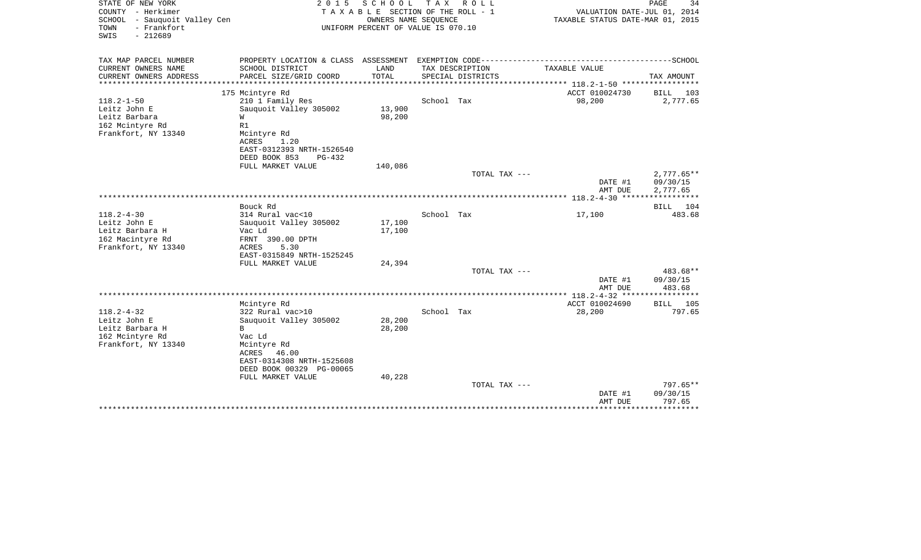| STATE OF NEW YORK<br>COUNTY - Herkimer<br>SCHOOL - Sauquoit Valley Cen<br>- Frankfort<br>TOWN<br>SWIS<br>$-212689$ | 2 0 1 5                                                                                      | SCHOOL<br>TAXABLE SECTION OF THE ROLL - 1<br>OWNERS NAME SEQUENCE<br>UNIFORM PERCENT OF VALUE IS 070.10 | T A X      | R O L L                              | VALUATION DATE-JUL 01, 2014<br>TAXABLE STATUS DATE-MAR 01, 2015 | PAGE<br>34   |
|--------------------------------------------------------------------------------------------------------------------|----------------------------------------------------------------------------------------------|---------------------------------------------------------------------------------------------------------|------------|--------------------------------------|-----------------------------------------------------------------|--------------|
| TAX MAP PARCEL NUMBER                                                                                              | PROPERTY LOCATION & CLASS ASSESSMENT EXEMPTION CODE-----------------------------------SCHOOL |                                                                                                         |            |                                      |                                                                 |              |
| CURRENT OWNERS NAME<br>CURRENT OWNERS ADDRESS                                                                      | SCHOOL DISTRICT<br>PARCEL SIZE/GRID COORD                                                    | LAND<br>TOTAL                                                                                           |            | TAX DESCRIPTION<br>SPECIAL DISTRICTS | TAXABLE VALUE                                                   | TAX AMOUNT   |
| ******************                                                                                                 |                                                                                              | * * * * * * * * * * *                                                                                   |            |                                      |                                                                 |              |
|                                                                                                                    | 175 Mcintyre Rd                                                                              |                                                                                                         |            |                                      | ACCT 010024730                                                  | BILL<br>103  |
| $118.2 - 1 - 50$                                                                                                   | 210 1 Family Res                                                                             |                                                                                                         | School Tax |                                      | 98,200                                                          | 2,777.65     |
| Leitz John E                                                                                                       | Sauquoit Valley 305002                                                                       | 13,900                                                                                                  |            |                                      |                                                                 |              |
| Leitz Barbara                                                                                                      | W                                                                                            | 98,200                                                                                                  |            |                                      |                                                                 |              |
| 162 Mcintyre Rd                                                                                                    | R1                                                                                           |                                                                                                         |            |                                      |                                                                 |              |
| Frankfort, NY 13340                                                                                                | Mcintyre Rd                                                                                  |                                                                                                         |            |                                      |                                                                 |              |
|                                                                                                                    | ACRES<br>1.20                                                                                |                                                                                                         |            |                                      |                                                                 |              |
|                                                                                                                    | EAST-0312393 NRTH-1526540                                                                    |                                                                                                         |            |                                      |                                                                 |              |
|                                                                                                                    | DEED BOOK 853<br>PG-432<br>FULL MARKET VALUE                                                 | 140,086                                                                                                 |            |                                      |                                                                 |              |
|                                                                                                                    |                                                                                              |                                                                                                         |            | TOTAL TAX ---                        |                                                                 | $2,777.65**$ |
|                                                                                                                    |                                                                                              |                                                                                                         |            |                                      | DATE #1                                                         | 09/30/15     |
|                                                                                                                    |                                                                                              |                                                                                                         |            |                                      | AMT DUE                                                         | 2,777.65     |
|                                                                                                                    |                                                                                              |                                                                                                         |            |                                      |                                                                 |              |
|                                                                                                                    | Bouck Rd                                                                                     |                                                                                                         |            |                                      |                                                                 | 104<br>BILL  |
| $118.2 - 4 - 30$                                                                                                   | 314 Rural vac<10                                                                             |                                                                                                         | School Tax |                                      | 17,100                                                          | 483.68       |
| Leitz John E                                                                                                       | Sauquoit Valley 305002                                                                       | 17,100                                                                                                  |            |                                      |                                                                 |              |
| Leitz Barbara H                                                                                                    | Vac Ld                                                                                       | 17,100                                                                                                  |            |                                      |                                                                 |              |
| 162 Macintyre Rd                                                                                                   | FRNT 390.00 DPTH                                                                             |                                                                                                         |            |                                      |                                                                 |              |
| Frankfort, NY 13340                                                                                                | ACRES<br>5.30                                                                                |                                                                                                         |            |                                      |                                                                 |              |
|                                                                                                                    | EAST-0315849 NRTH-1525245                                                                    |                                                                                                         |            |                                      |                                                                 |              |
|                                                                                                                    | FULL MARKET VALUE                                                                            | 24,394                                                                                                  |            | TOTAL TAX ---                        |                                                                 | 483.68**     |
|                                                                                                                    |                                                                                              |                                                                                                         |            |                                      | DATE #1                                                         | 09/30/15     |
|                                                                                                                    |                                                                                              |                                                                                                         |            |                                      | AMT DUE                                                         | 483.68       |
|                                                                                                                    |                                                                                              |                                                                                                         |            |                                      |                                                                 |              |
|                                                                                                                    | Mcintyre Rd                                                                                  |                                                                                                         |            |                                      | ACCT 010024690                                                  | BILL 105     |
| $118.2 - 4 - 32$                                                                                                   | 322 Rural vac>10                                                                             |                                                                                                         | School Tax |                                      | 28,200                                                          | 797.65       |
| Leitz John E                                                                                                       | Sauquoit Valley 305002                                                                       | 28,200                                                                                                  |            |                                      |                                                                 |              |
| Leitz Barbara H                                                                                                    | В                                                                                            | 28,200                                                                                                  |            |                                      |                                                                 |              |
| 162 Mcintyre Rd                                                                                                    | Vac Ld                                                                                       |                                                                                                         |            |                                      |                                                                 |              |
| Frankfort, NY 13340                                                                                                | Mcintyre Rd                                                                                  |                                                                                                         |            |                                      |                                                                 |              |
|                                                                                                                    | ACRES<br>46.00                                                                               |                                                                                                         |            |                                      |                                                                 |              |
|                                                                                                                    | EAST-0314308 NRTH-1525608                                                                    |                                                                                                         |            |                                      |                                                                 |              |
|                                                                                                                    | DEED BOOK 00329 PG-00065<br>FULL MARKET VALUE                                                | 40,228                                                                                                  |            |                                      |                                                                 |              |
|                                                                                                                    |                                                                                              |                                                                                                         |            | TOTAL TAX ---                        |                                                                 | 797.65**     |
|                                                                                                                    |                                                                                              |                                                                                                         |            |                                      | DATE #1                                                         | 09/30/15     |
|                                                                                                                    |                                                                                              |                                                                                                         |            |                                      | AMT DUE                                                         | 797.65       |
|                                                                                                                    | ******************************                                                               |                                                                                                         |            |                                      |                                                                 | ********     |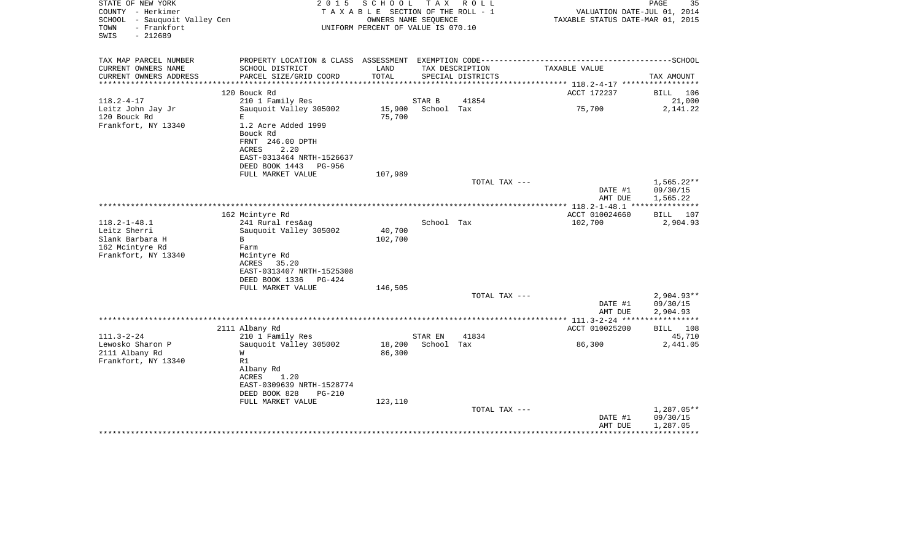| STATE OF NEW YORK<br>COUNTY - Herkimer<br>SCHOOL - Sauquoit Valley Cen<br>- Frankfort<br>TOWN<br>$-212689$<br>SWIS | 2 0 1 5                                                 | SCHOOL<br>TAXABLE SECTION OF THE ROLL - 1<br>OWNERS NAME SEQUENCE<br>UNIFORM PERCENT OF VALUE IS 070.10 |            | TAX ROLL                             | TAXABLE STATUS DATE-MAR 01, 2015           | PAGE<br>35<br>VALUATION DATE-JUL 01, 2014 |
|--------------------------------------------------------------------------------------------------------------------|---------------------------------------------------------|---------------------------------------------------------------------------------------------------------|------------|--------------------------------------|--------------------------------------------|-------------------------------------------|
| TAX MAP PARCEL NUMBER                                                                                              |                                                         |                                                                                                         |            |                                      |                                            |                                           |
| CURRENT OWNERS NAME<br>CURRENT OWNERS ADDRESS                                                                      | SCHOOL DISTRICT<br>PARCEL SIZE/GRID COORD               | LAND<br>TOTAL                                                                                           |            | TAX DESCRIPTION<br>SPECIAL DISTRICTS | TAXABLE VALUE                              | TAX AMOUNT                                |
| **********************                                                                                             |                                                         |                                                                                                         |            |                                      |                                            |                                           |
|                                                                                                                    | 120 Bouck Rd                                            |                                                                                                         |            |                                      | ACCT 172237                                | <b>BILL</b><br>106                        |
| $118.2 - 4 - 17$                                                                                                   | 210 1 Family Res                                        |                                                                                                         | STAR B     | 41854                                |                                            | 21,000                                    |
| Leitz John Jay Jr                                                                                                  | Sauquoit Valley 305002                                  | 15,900                                                                                                  | School Tax |                                      | 75,700                                     | 2,141.22                                  |
| 120 Bouck Rd<br>Frankfort, NY 13340                                                                                | E.<br>1.2 Acre Added 1999                               | 75,700                                                                                                  |            |                                      |                                            |                                           |
|                                                                                                                    | Bouck Rd                                                |                                                                                                         |            |                                      |                                            |                                           |
|                                                                                                                    | FRNT 246.00 DPTH                                        |                                                                                                         |            |                                      |                                            |                                           |
|                                                                                                                    | 2.20<br>ACRES                                           |                                                                                                         |            |                                      |                                            |                                           |
|                                                                                                                    | EAST-0313464 NRTH-1526637                               |                                                                                                         |            |                                      |                                            |                                           |
|                                                                                                                    | DEED BOOK 1443 PG-956<br>FULL MARKET VALUE              | 107,989                                                                                                 |            |                                      |                                            |                                           |
|                                                                                                                    |                                                         |                                                                                                         |            | TOTAL TAX ---                        |                                            | $1,565.22**$                              |
|                                                                                                                    |                                                         |                                                                                                         |            |                                      | DATE #1                                    | 09/30/15                                  |
|                                                                                                                    |                                                         |                                                                                                         |            |                                      | AMT DUE                                    | 1,565.22                                  |
|                                                                                                                    |                                                         |                                                                                                         |            |                                      | ************ 118.2-1-48.1 **************** |                                           |
| $118.2 - 1 - 48.1$                                                                                                 | 162 Mcintyre Rd<br>241 Rural res&ag                     |                                                                                                         | School Tax |                                      | ACCT 010024660<br>102,700                  | BILL<br>107<br>2,904.93                   |
| Leitz Sherri                                                                                                       | Sauquoit Valley 305002                                  | 40,700                                                                                                  |            |                                      |                                            |                                           |
| Slank Barbara H                                                                                                    | B                                                       | 102,700                                                                                                 |            |                                      |                                            |                                           |
| 162 Mcintyre Rd                                                                                                    | Farm                                                    |                                                                                                         |            |                                      |                                            |                                           |
| Frankfort, NY 13340                                                                                                | Mcintyre Rd                                             |                                                                                                         |            |                                      |                                            |                                           |
|                                                                                                                    | ACRES<br>35.20                                          |                                                                                                         |            |                                      |                                            |                                           |
|                                                                                                                    | EAST-0313407 NRTH-1525308<br>DEED BOOK 1336<br>$PG-424$ |                                                                                                         |            |                                      |                                            |                                           |
|                                                                                                                    | FULL MARKET VALUE                                       | 146,505                                                                                                 |            |                                      |                                            |                                           |
|                                                                                                                    |                                                         |                                                                                                         |            | TOTAL TAX ---                        |                                            | $2,904.93**$                              |
|                                                                                                                    |                                                         |                                                                                                         |            |                                      | DATE #1                                    | 09/30/15                                  |
|                                                                                                                    |                                                         |                                                                                                         |            |                                      | AMT DUE                                    | 2,904.93                                  |
|                                                                                                                    | 2111 Albany Rd                                          |                                                                                                         |            |                                      | ACCT 010025200                             | BILL 108                                  |
| $111.3 - 2 - 24$                                                                                                   | 210 1 Family Res                                        |                                                                                                         | STAR EN    | 41834                                |                                            | 45,710                                    |
| Lewosko Sharon P                                                                                                   | Sauquoit Valley 305002                                  | 18,200                                                                                                  | School Tax |                                      | 86,300                                     | 2,441.05                                  |
| 2111 Albany Rd                                                                                                     | W                                                       | 86,300                                                                                                  |            |                                      |                                            |                                           |
| Frankfort, NY 13340                                                                                                | R1                                                      |                                                                                                         |            |                                      |                                            |                                           |
|                                                                                                                    | Albany Rd<br>1.20<br>ACRES                              |                                                                                                         |            |                                      |                                            |                                           |
|                                                                                                                    | EAST-0309639 NRTH-1528774                               |                                                                                                         |            |                                      |                                            |                                           |
|                                                                                                                    | DEED BOOK 828<br>PG-210                                 |                                                                                                         |            |                                      |                                            |                                           |
|                                                                                                                    | FULL MARKET VALUE                                       | 123,110                                                                                                 |            |                                      |                                            |                                           |
|                                                                                                                    |                                                         |                                                                                                         |            | TOTAL TAX ---                        |                                            | 1,287.05**                                |
|                                                                                                                    |                                                         |                                                                                                         |            |                                      | DATE #1<br>AMT DUE                         | 09/30/15<br>1,287.05                      |
|                                                                                                                    |                                                         |                                                                                                         |            |                                      |                                            |                                           |
|                                                                                                                    |                                                         |                                                                                                         |            |                                      |                                            |                                           |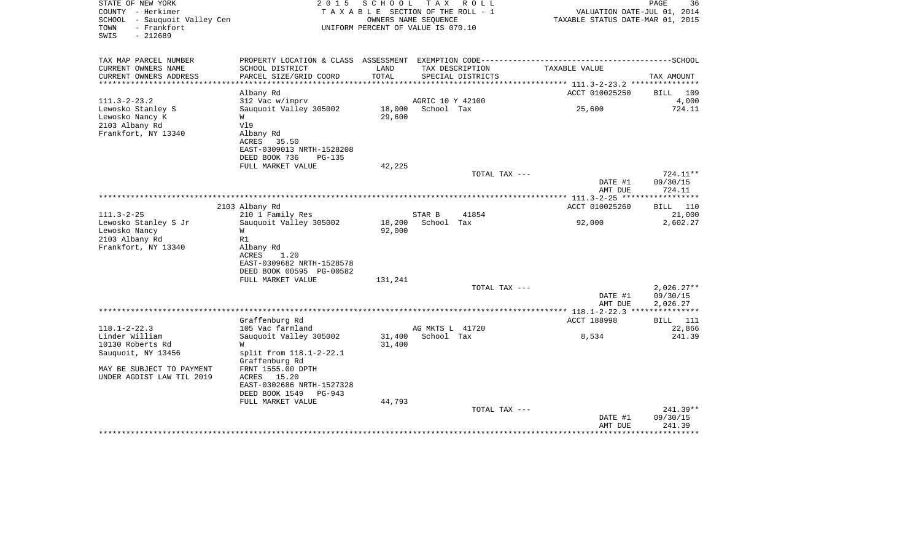| COUNTY<br>– Herkimer<br><b>SCHOOL</b><br>- Sauquoit Valley Cen<br>- Frankfort<br>TOWN<br>SWIS<br>$-212689$ |                                           | TAXABLE SECTION OF THE ROLL - 1<br>OWNERS NAME SEQUENCE<br>UNIFORM PERCENT OF VALUE IS 070.10 |                                |                   | VALUATION DATE-JUL 01, 2014<br>TAXABLE STATUS DATE-MAR 01, 2015 |                              |  |
|------------------------------------------------------------------------------------------------------------|-------------------------------------------|-----------------------------------------------------------------------------------------------|--------------------------------|-------------------|-----------------------------------------------------------------|------------------------------|--|
| TAX MAP PARCEL NUMBER                                                                                      |                                           |                                                                                               |                                |                   |                                                                 |                              |  |
| CURRENT OWNERS NAME                                                                                        | SCHOOL DISTRICT                           | LAND                                                                                          |                                | TAX DESCRIPTION   | TAXABLE VALUE                                                   |                              |  |
| CURRENT OWNERS ADDRESS                                                                                     | PARCEL SIZE/GRID COORD                    | TOTAL<br>********                                                                             |                                | SPECIAL DISTRICTS |                                                                 | TAX AMOUNT                   |  |
|                                                                                                            |                                           |                                                                                               |                                |                   | ********* 111.3-2-23.2 ****************                         |                              |  |
|                                                                                                            | Albany Rd                                 |                                                                                               |                                |                   | ACCT 010025250                                                  | 109<br><b>BILL</b>           |  |
| $111.3 - 2 - 23.2$<br>Lewosko Stanley S                                                                    | 312 Vac w/imprv<br>Sauquoit Valley 305002 | 18,000                                                                                        | AGRIC 10 Y 42100<br>School Tax |                   | 25,600                                                          | 4,000<br>724.11              |  |
| Lewosko Nancy K                                                                                            | W                                         | 29,600                                                                                        |                                |                   |                                                                 |                              |  |
| 2103 Albany Rd                                                                                             | V19                                       |                                                                                               |                                |                   |                                                                 |                              |  |
| Frankfort, NY 13340                                                                                        | Albany Rd                                 |                                                                                               |                                |                   |                                                                 |                              |  |
|                                                                                                            | ACRES<br>35.50                            |                                                                                               |                                |                   |                                                                 |                              |  |
|                                                                                                            | EAST-0309013 NRTH-1528208                 |                                                                                               |                                |                   |                                                                 |                              |  |
|                                                                                                            | DEED BOOK 736<br><b>PG-135</b>            |                                                                                               |                                |                   |                                                                 |                              |  |
|                                                                                                            | FULL MARKET VALUE                         | 42,225                                                                                        |                                |                   |                                                                 |                              |  |
|                                                                                                            |                                           |                                                                                               |                                | TOTAL TAX ---     |                                                                 | $724.11**$                   |  |
|                                                                                                            |                                           |                                                                                               |                                |                   | DATE #1                                                         | 09/30/15                     |  |
|                                                                                                            |                                           |                                                                                               |                                |                   | AMT DUE                                                         | 724.11<br>***********        |  |
|                                                                                                            |                                           |                                                                                               |                                |                   |                                                                 |                              |  |
| $111.3 - 2 - 25$                                                                                           | 2103 Albany Rd<br>210 1 Family Res        |                                                                                               | STAR B                         | 41854             | ACCT 010025260                                                  | 110<br><b>BILL</b><br>21,000 |  |
| Lewosko Stanley S Jr                                                                                       | Sauquoit Valley 305002                    | 18,200                                                                                        | School Tax                     |                   | 92,000                                                          | 2,602.27                     |  |
| Lewosko Nancy                                                                                              | W                                         | 92,000                                                                                        |                                |                   |                                                                 |                              |  |
| 2103 Albany Rd                                                                                             | R1                                        |                                                                                               |                                |                   |                                                                 |                              |  |
| Frankfort, NY 13340                                                                                        | Albany Rd                                 |                                                                                               |                                |                   |                                                                 |                              |  |
|                                                                                                            | ACRES<br>1.20                             |                                                                                               |                                |                   |                                                                 |                              |  |
|                                                                                                            | EAST-0309682 NRTH-1528578                 |                                                                                               |                                |                   |                                                                 |                              |  |
|                                                                                                            | DEED BOOK 00595 PG-00582                  |                                                                                               |                                |                   |                                                                 |                              |  |
|                                                                                                            | FULL MARKET VALUE                         | 131,241                                                                                       |                                |                   |                                                                 |                              |  |
|                                                                                                            |                                           |                                                                                               |                                | TOTAL TAX ---     |                                                                 | $2,026.27**$                 |  |
|                                                                                                            |                                           |                                                                                               |                                |                   | DATE #1                                                         | 09/30/15                     |  |
|                                                                                                            |                                           |                                                                                               |                                |                   | AMT DUE                                                         | 2,026.27                     |  |
|                                                                                                            | Graffenburg Rd                            |                                                                                               |                                |                   | ACCT 188998                                                     | <b>BILL</b><br>- 111         |  |
| $118.1 - 2 - 22.3$                                                                                         | 105 Vac farmland                          |                                                                                               | AG MKTS L 41720                |                   |                                                                 | 22,866                       |  |
| Linder William                                                                                             | Sauquoit Valley 305002                    | 31,400                                                                                        | School Tax                     |                   | 8,534                                                           | 241.39                       |  |
| 10130 Roberts Rd                                                                                           |                                           | 31,400                                                                                        |                                |                   |                                                                 |                              |  |
| Sauquoit, NY 13456                                                                                         | split from 118.1-2-22.1                   |                                                                                               |                                |                   |                                                                 |                              |  |
|                                                                                                            | Graffenburg Rd                            |                                                                                               |                                |                   |                                                                 |                              |  |
| MAY BE SUBJECT TO PAYMENT                                                                                  | FRNT 1555.00 DPTH                         |                                                                                               |                                |                   |                                                                 |                              |  |
| UNDER AGDIST LAW TIL 2019                                                                                  | ACRES<br>15.20                            |                                                                                               |                                |                   |                                                                 |                              |  |
|                                                                                                            | EAST-0302686 NRTH-1527328                 |                                                                                               |                                |                   |                                                                 |                              |  |
|                                                                                                            | DEED BOOK 1549<br>$PG-943$                |                                                                                               |                                |                   |                                                                 |                              |  |
|                                                                                                            | FULL MARKET VALUE                         | 44,793                                                                                        |                                | TOTAL TAX ---     |                                                                 | $241.39**$                   |  |
|                                                                                                            |                                           |                                                                                               |                                |                   | DATE #1                                                         | 09/30/15                     |  |
|                                                                                                            |                                           |                                                                                               |                                |                   | AMT DUE                                                         | 241.39                       |  |
|                                                                                                            |                                           |                                                                                               |                                |                   |                                                                 |                              |  |

PAGE 36

STATE OF NEW YORK 2 0 1 5 S C H O O L T A X R O L L PAGE 36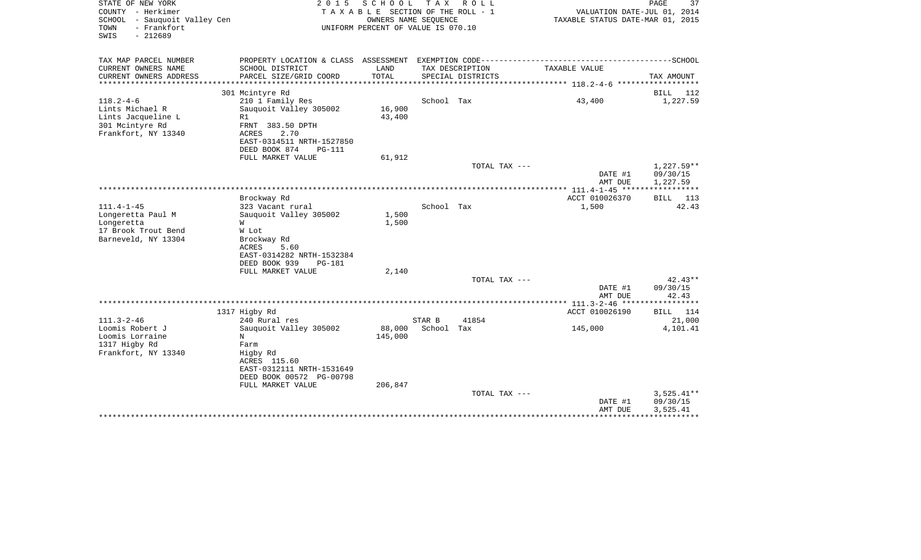| STATE OF NEW YORK<br>COUNTY - Herkimer<br>SCHOOL<br>- Sauquoit Valley Cen<br>- Frankfort<br>TOWN<br>$-212689$<br>SWIS | 2 0 1 5                                                                                                                                                                          | SCHOOL<br>TAXABLE SECTION OF THE ROLL - 1<br>OWNERS NAME SEQUENCE<br>UNIFORM PERCENT OF VALUE IS 070.10 | T A X                | R O L L           | VALUATION DATE-JUL 01, 2014<br>TAXABLE STATUS DATE-MAR 01, 2015 | PAGE<br>37                           |
|-----------------------------------------------------------------------------------------------------------------------|----------------------------------------------------------------------------------------------------------------------------------------------------------------------------------|---------------------------------------------------------------------------------------------------------|----------------------|-------------------|-----------------------------------------------------------------|--------------------------------------|
| TAX MAP PARCEL NUMBER<br>CURRENT OWNERS NAME                                                                          | SCHOOL DISTRICT                                                                                                                                                                  | LAND                                                                                                    |                      | TAX DESCRIPTION   | TAXABLE VALUE                                                   |                                      |
| CURRENT OWNERS ADDRESS<br>**********************                                                                      | PARCEL SIZE/GRID COORD                                                                                                                                                           | TOTAL                                                                                                   |                      | SPECIAL DISTRICTS |                                                                 | TAX AMOUNT                           |
|                                                                                                                       | 301 Mcintyre Rd                                                                                                                                                                  |                                                                                                         |                      |                   |                                                                 | 112<br>BILL                          |
| $118.2 - 4 - 6$<br>Lints Michael R<br>Lints Jacqueline L<br>301 Mcintyre Rd<br>Frankfort, NY 13340                    | 210 1 Family Res<br>Sauquoit Valley 305002<br>R1<br>FRNT 383.50 DPTH<br><b>ACRES</b><br>2.70<br>EAST-0314511 NRTH-1527850<br>DEED BOOK 874<br><b>PG-111</b><br>FULL MARKET VALUE | 16,900<br>43,400<br>61,912                                                                              | School Tax           |                   | 43,400                                                          | 1,227.59                             |
|                                                                                                                       |                                                                                                                                                                                  |                                                                                                         |                      | TOTAL TAX ---     | DATE #1<br>AMT DUE                                              | 1,227.59**<br>09/30/15<br>1,227.59   |
| *****************************                                                                                         |                                                                                                                                                                                  |                                                                                                         |                      |                   |                                                                 | * * * * * * * * * * *                |
|                                                                                                                       | Brockway Rd                                                                                                                                                                      |                                                                                                         |                      |                   | ACCT 010026370                                                  | 113<br>BILL                          |
| $111.4 - 1 - 45$<br>Longeretta Paul M<br>Longeretta<br>17 Brook Trout Bend<br>Barneveld, NY 13304                     | 323 Vacant rural<br>Sauquoit Valley 305002<br>W<br>W Lot<br>Brockway Rd<br>ACRES<br>5.60<br>EAST-0314282 NRTH-1532384<br>DEED BOOK 939<br><b>PG-181</b>                          | 1,500<br>1,500                                                                                          | School Tax           |                   | 1,500                                                           | 42.43                                |
|                                                                                                                       | FULL MARKET VALUE                                                                                                                                                                | 2,140                                                                                                   |                      | TOTAL TAX ---     |                                                                 | $42.43**$                            |
|                                                                                                                       |                                                                                                                                                                                  |                                                                                                         |                      |                   | DATE #1<br>AMT DUE                                              | 09/30/15<br>42.43                    |
|                                                                                                                       |                                                                                                                                                                                  |                                                                                                         |                      |                   | ***************** 111.3-2-46 ******************                 |                                      |
|                                                                                                                       | 1317 Higby Rd                                                                                                                                                                    |                                                                                                         |                      |                   | ACCT 010026190                                                  | BILL<br>114                          |
| $111.3 - 2 - 46$<br>Loomis Robert J<br>Loomis Lorraine<br>1317 Higby Rd<br>Frankfort, NY 13340                        | 240 Rural res<br>Sauquoit Valley 305002<br>N<br>Farm<br>Higby Rd<br>ACRES 115.60<br>EAST-0312111 NRTH-1531649<br>DEED BOOK 00572 PG-00798                                        | 88,000<br>145,000                                                                                       | STAR B<br>School Tax | 41854             | 145,000                                                         | 21,000<br>4,101.41                   |
|                                                                                                                       | FULL MARKET VALUE                                                                                                                                                                | 206,847                                                                                                 |                      | TOTAL TAX ---     | DATE #1<br>AMT DUE                                              | $3,525.41**$<br>09/30/15<br>3,525.41 |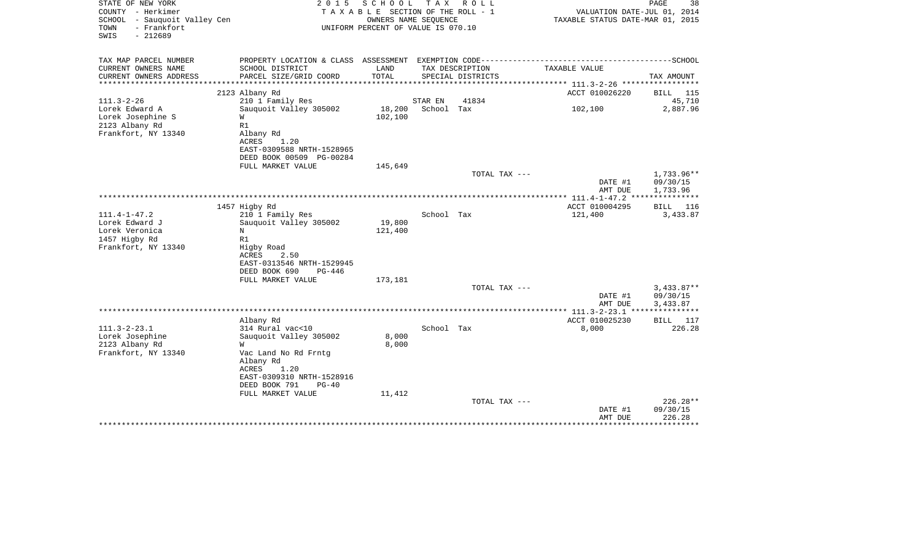| STATE OF NEW YORK<br>COUNTY - Herkimer<br>- Sauquoit Valley Cen<br>SCHOOL<br>- Frankfort<br>TOWN<br>SWIS<br>$-212689$ | 2 0 1 5                                                                                                                                               | SCHOOL<br>TAXABLE SECTION OF THE ROLL - 1<br>OWNERS NAME SEOUENCE<br>UNIFORM PERCENT OF VALUE IS 070.10 |                       | TAX ROLL          | VALUATION DATE-JUL 01, 2014<br>TAXABLE STATUS DATE-MAR 01, 2015 | PAGE<br>38                           |
|-----------------------------------------------------------------------------------------------------------------------|-------------------------------------------------------------------------------------------------------------------------------------------------------|---------------------------------------------------------------------------------------------------------|-----------------------|-------------------|-----------------------------------------------------------------|--------------------------------------|
| TAX MAP PARCEL NUMBER<br>CURRENT OWNERS NAME                                                                          | SCHOOL DISTRICT                                                                                                                                       | LAND                                                                                                    |                       | TAX DESCRIPTION   | TAXABLE VALUE                                                   |                                      |
| CURRENT OWNERS ADDRESS<br>*******************                                                                         | PARCEL SIZE/GRID COORD                                                                                                                                | TOTAL                                                                                                   |                       | SPECIAL DISTRICTS | **************** 111.3-2-26 ******************                  | TAX AMOUNT                           |
|                                                                                                                       | 2123 Albany Rd                                                                                                                                        |                                                                                                         |                       |                   | ACCT 010026220                                                  | <b>BILL</b> 115                      |
| $111.3 - 2 - 26$<br>Lorek Edward A<br>Lorek Josephine S<br>2123 Albany Rd<br>Frankfort, NY 13340                      | 210 1 Family Res<br>Sauquoit Valley 305002<br>W<br>R1<br>Albany Rd<br>ACRES<br>1.20<br>EAST-0309588 NRTH-1528965                                      | 18,200<br>102,100                                                                                       | STAR EN<br>School Tax | 41834             | 102,100                                                         | 45,710<br>2,887.96                   |
|                                                                                                                       | DEED BOOK 00509 PG-00284                                                                                                                              |                                                                                                         |                       |                   |                                                                 |                                      |
|                                                                                                                       | FULL MARKET VALUE                                                                                                                                     | 145,649                                                                                                 |                       |                   |                                                                 |                                      |
|                                                                                                                       |                                                                                                                                                       |                                                                                                         |                       | TOTAL TAX ---     | DATE #1<br>AMT DUE                                              | 1,733.96**<br>09/30/15<br>1,733.96   |
|                                                                                                                       | 1457 Higby Rd                                                                                                                                         |                                                                                                         |                       |                   | ACCT 010004295                                                  | BILL<br>116                          |
| $111.4 - 1 - 47.2$<br>Lorek Edward J<br>Lorek Veronica<br>1457 Higby Rd<br>Frankfort, NY 13340                        | 210 1 Family Res<br>Sauquoit Valley 305002<br>N<br>R1<br>Higby Road<br><b>ACRES</b><br>2.50<br>EAST-0313546 NRTH-1529945<br>DEED BOOK 690<br>$PG-446$ | 19,800<br>121,400                                                                                       | School Tax            |                   | 121,400                                                         | 3,433.87                             |
|                                                                                                                       | FULL MARKET VALUE                                                                                                                                     | 173,181                                                                                                 |                       |                   |                                                                 |                                      |
|                                                                                                                       |                                                                                                                                                       |                                                                                                         |                       | TOTAL TAX ---     | DATE #1<br>AMT DUE                                              | $3,433.87**$<br>09/30/15<br>3,433.87 |
|                                                                                                                       |                                                                                                                                                       |                                                                                                         |                       |                   | **************** 111.3-2-23.1 ****************                  |                                      |
| $111.3 - 2 - 23.1$<br>Lorek Josephine<br>2123 Albany Rd<br>Frankfort, NY 13340                                        | Albany Rd<br>314 Rural vac<10<br>Sauquoit Valley 305002<br>W<br>Vac Land No Rd Frntg<br>Albany Rd<br>ACRES<br>1.20<br>EAST-0309310 NRTH-1528916       | 8,000<br>8,000                                                                                          | School Tax            |                   | ACCT 010025230<br>8,000                                         | BILL<br>117<br>226.28                |
|                                                                                                                       | DEED BOOK 791<br>$PG-40$                                                                                                                              |                                                                                                         |                       |                   |                                                                 |                                      |
|                                                                                                                       | FULL MARKET VALUE                                                                                                                                     | 11,412                                                                                                  |                       | TOTAL TAX ---     | DATE #1                                                         | 226.28**<br>09/30/15                 |
|                                                                                                                       | *************************                                                                                                                             |                                                                                                         |                       |                   | AMT DUE                                                         | 226.28<br>***********                |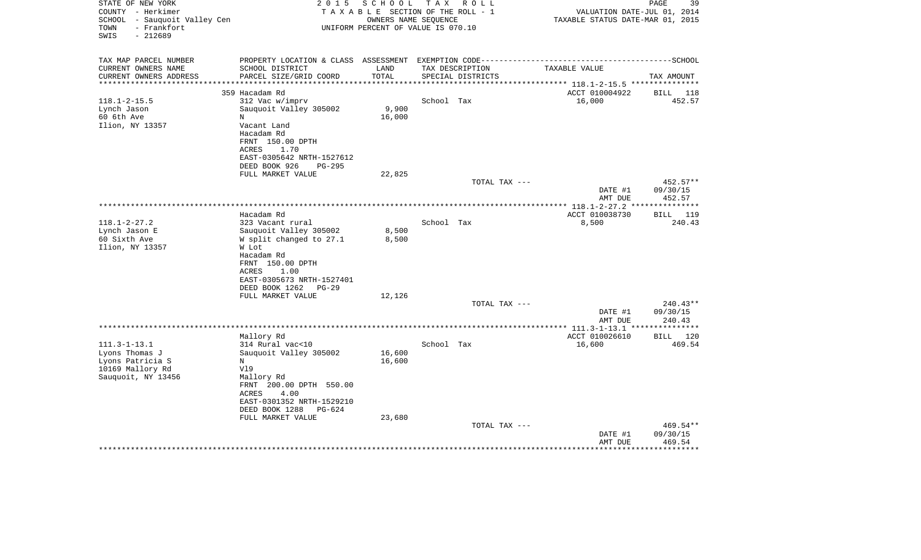| STATE OF NEW YORK<br>COUNTY - Herkimer<br>SCHOOL - Sauquoit Valley Cen<br>- Frankfort<br>TOWN<br>$-212689$<br>SWIS | 2 0 1 5<br>TAXABLE SECTION OF THE ROLL - 1<br>UNIFORM PERCENT OF VALUE IS 070.10   |                | PAGE<br>39<br>VALUATION DATE-JUL 01, 2014<br>TAXABLE STATUS DATE-MAR 01, 2015 |                   |                    |                        |
|--------------------------------------------------------------------------------------------------------------------|------------------------------------------------------------------------------------|----------------|-------------------------------------------------------------------------------|-------------------|--------------------|------------------------|
| TAX MAP PARCEL NUMBER<br>CURRENT OWNERS NAME                                                                       | PROPERTY LOCATION & CLASS ASSESSMENT EXEMPTION CODE------------<br>SCHOOL DISTRICT | LAND           |                                                                               | TAX DESCRIPTION   | TAXABLE VALUE      | ----------------SCHOOL |
| CURRENT OWNERS ADDRESS                                                                                             | PARCEL SIZE/GRID COORD                                                             | TOTAL          |                                                                               | SPECIAL DISTRICTS |                    | TAX AMOUNT             |
| **********************                                                                                             |                                                                                    |                |                                                                               |                   |                    |                        |
|                                                                                                                    | 359 Hacadam Rd                                                                     |                |                                                                               |                   | ACCT 010004922     | BILL 118               |
| $118.1 - 2 - 15.5$                                                                                                 | 312 Vac w/imprv                                                                    | 9,900          | School Tax                                                                    |                   | 16,000             | 452.57                 |
| Lynch Jason<br>60 6th Ave                                                                                          | Sauquoit Valley 305002<br>N                                                        | 16,000         |                                                                               |                   |                    |                        |
| Ilion, NY 13357                                                                                                    | Vacant Land                                                                        |                |                                                                               |                   |                    |                        |
|                                                                                                                    | Hacadam Rd                                                                         |                |                                                                               |                   |                    |                        |
|                                                                                                                    | FRNT 150.00 DPTH                                                                   |                |                                                                               |                   |                    |                        |
|                                                                                                                    | ACRES<br>1.70                                                                      |                |                                                                               |                   |                    |                        |
|                                                                                                                    | EAST-0305642 NRTH-1527612                                                          |                |                                                                               |                   |                    |                        |
|                                                                                                                    | DEED BOOK 926<br><b>PG-295</b>                                                     |                |                                                                               |                   |                    |                        |
|                                                                                                                    | FULL MARKET VALUE                                                                  | 22,825         |                                                                               | TOTAL TAX ---     |                    | 452.57**               |
|                                                                                                                    |                                                                                    |                |                                                                               |                   | DATE #1            | 09/30/15               |
|                                                                                                                    |                                                                                    |                |                                                                               |                   | AMT DUE            | 452.57                 |
|                                                                                                                    |                                                                                    |                |                                                                               |                   |                    |                        |
|                                                                                                                    | Hacadam Rd                                                                         |                |                                                                               |                   | ACCT 010038730     | 119<br>BILL            |
| $118.1 - 2 - 27.2$                                                                                                 | 323 Vacant rural                                                                   |                | School Tax                                                                    |                   | 8,500              | 240.43                 |
| Lynch Jason E<br>60 Sixth Ave                                                                                      | Sauguoit Valley 305002<br>W split changed to 27.1                                  | 8,500<br>8,500 |                                                                               |                   |                    |                        |
| Ilion, NY 13357                                                                                                    | W Lot                                                                              |                |                                                                               |                   |                    |                        |
|                                                                                                                    | Hacadam Rd                                                                         |                |                                                                               |                   |                    |                        |
|                                                                                                                    | FRNT 150.00 DPTH                                                                   |                |                                                                               |                   |                    |                        |
|                                                                                                                    | <b>ACRES</b><br>1.00                                                               |                |                                                                               |                   |                    |                        |
|                                                                                                                    | EAST-0305673 NRTH-1527401                                                          |                |                                                                               |                   |                    |                        |
|                                                                                                                    | DEED BOOK 1262<br>PG-29                                                            |                |                                                                               |                   |                    |                        |
|                                                                                                                    | FULL MARKET VALUE                                                                  | 12,126         |                                                                               |                   |                    |                        |
|                                                                                                                    |                                                                                    |                |                                                                               | TOTAL TAX ---     | DATE #1            | $240.43**$<br>09/30/15 |
|                                                                                                                    |                                                                                    |                |                                                                               |                   | AMT DUE            | 240.43                 |
| ********************                                                                                               |                                                                                    |                |                                                                               |                   |                    | *********              |
|                                                                                                                    | Mallory Rd                                                                         |                |                                                                               |                   | ACCT 010026610     | 120<br>BILL            |
| $111.3 - 1 - 13.1$                                                                                                 | 314 Rural vac<10                                                                   |                | School Tax                                                                    |                   | 16,600             | 469.54                 |
| Lyons Thomas J                                                                                                     | Sauquoit Valley 305002                                                             | 16,600         |                                                                               |                   |                    |                        |
| Lyons Patricia S                                                                                                   | N<br>V19                                                                           | 16,600         |                                                                               |                   |                    |                        |
| 10169 Mallory Rd<br>Sauquoit, NY 13456                                                                             | Mallory Rd                                                                         |                |                                                                               |                   |                    |                        |
|                                                                                                                    | FRNT 200.00 DPTH 550.00                                                            |                |                                                                               |                   |                    |                        |
|                                                                                                                    | 4.00<br>ACRES                                                                      |                |                                                                               |                   |                    |                        |
|                                                                                                                    | EAST-0301352 NRTH-1529210                                                          |                |                                                                               |                   |                    |                        |
|                                                                                                                    | DEED BOOK 1288<br>$PG-624$                                                         |                |                                                                               |                   |                    |                        |
|                                                                                                                    | FULL MARKET VALUE                                                                  | 23,680         |                                                                               |                   |                    |                        |
|                                                                                                                    |                                                                                    |                |                                                                               | TOTAL TAX ---     |                    | 469.54**               |
|                                                                                                                    |                                                                                    |                |                                                                               |                   | DATE #1<br>AMT DUE | 09/30/15<br>469.54     |
|                                                                                                                    |                                                                                    |                |                                                                               |                   |                    |                        |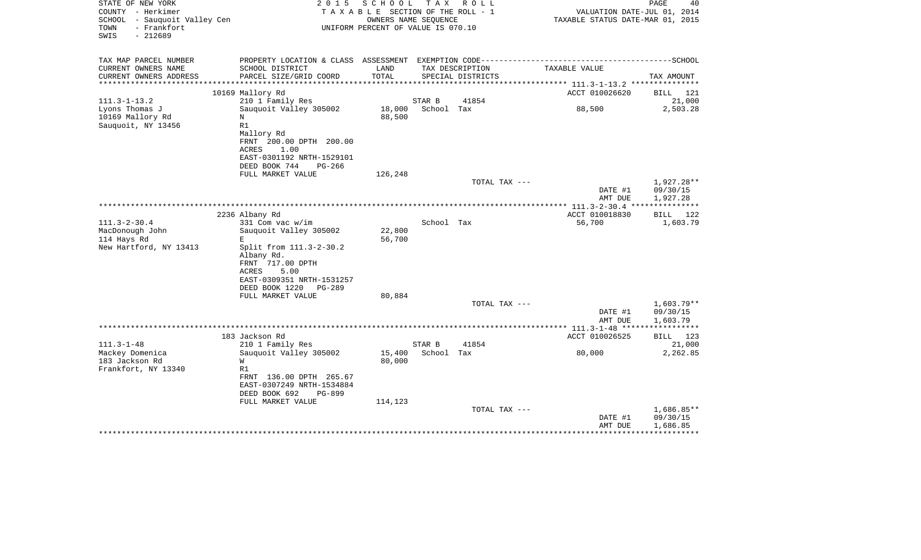| STATE OF NEW YORK<br>COUNTY - Herkimer<br>SCHOOL - Sauquoit Valley Cen<br>TOWN<br>- Frankfort<br>$-212689$<br>SWIS | 2 0 1 5                                                                  | SCHOOL<br>TAXABLE SECTION OF THE ROLL - 1<br>OWNERS NAME SEQUENCE<br>UNIFORM PERCENT OF VALUE IS 070.10 |            | TAX ROLL          | VALUATION DATE-JUL 01, 2014<br>TAXABLE STATUS DATE-MAR 01, 2015 | PAGE<br>40                |
|--------------------------------------------------------------------------------------------------------------------|--------------------------------------------------------------------------|---------------------------------------------------------------------------------------------------------|------------|-------------------|-----------------------------------------------------------------|---------------------------|
| TAX MAP PARCEL NUMBER                                                                                              | PROPERTY LOCATION & CLASS ASSESSMENT EXEMPTION CODE--------------------- |                                                                                                         |            |                   |                                                                 | -------------------SCHOOL |
| CURRENT OWNERS NAME                                                                                                | SCHOOL DISTRICT                                                          | LAND                                                                                                    |            | TAX DESCRIPTION   | TAXABLE VALUE                                                   |                           |
| CURRENT OWNERS ADDRESS<br>*********************                                                                    | PARCEL SIZE/GRID COORD                                                   | TOTAL                                                                                                   |            | SPECIAL DISTRICTS |                                                                 | TAX AMOUNT                |
|                                                                                                                    | 10169 Mallory Rd                                                         |                                                                                                         |            |                   | ACCT 010026620                                                  | BILL 121                  |
| $111.3 - 1 - 13.2$                                                                                                 | 210 1 Family Res                                                         |                                                                                                         | STAR B     | 41854             |                                                                 | 21,000                    |
| Lyons Thomas J                                                                                                     | Sauguoit Valley 305002                                                   | 18,000                                                                                                  | School Tax |                   | 88,500                                                          | 2,503.28                  |
| 10169 Mallory Rd                                                                                                   | $\, {\rm N}$                                                             | 88,500                                                                                                  |            |                   |                                                                 |                           |
| Sauquoit, NY 13456                                                                                                 | R1<br>Mallory Rd                                                         |                                                                                                         |            |                   |                                                                 |                           |
|                                                                                                                    | FRNT 200.00 DPTH 200.00                                                  |                                                                                                         |            |                   |                                                                 |                           |
|                                                                                                                    | 1.00<br>ACRES                                                            |                                                                                                         |            |                   |                                                                 |                           |
|                                                                                                                    | EAST-0301192 NRTH-1529101                                                |                                                                                                         |            |                   |                                                                 |                           |
|                                                                                                                    | DEED BOOK 744<br>PG-266                                                  |                                                                                                         |            |                   |                                                                 |                           |
|                                                                                                                    | FULL MARKET VALUE                                                        | 126,248                                                                                                 |            | TOTAL TAX ---     |                                                                 | 1,927.28**                |
|                                                                                                                    |                                                                          |                                                                                                         |            |                   | DATE #1<br>AMT DUE                                              | 09/30/15<br>1,927.28      |
|                                                                                                                    |                                                                          |                                                                                                         |            |                   |                                                                 |                           |
|                                                                                                                    | 2236 Albany Rd                                                           |                                                                                                         |            |                   | ACCT 010018830                                                  | BILL 122                  |
| $111.3 - 2 - 30.4$<br>MacDonough John                                                                              | 331 Com vac w/im<br>Sauquoit Valley 305002                               | 22,800                                                                                                  | School Tax |                   | 56,700                                                          | 1,603.79                  |
| 114 Hays Rd                                                                                                        | E                                                                        | 56,700                                                                                                  |            |                   |                                                                 |                           |
| New Hartford, NY 13413                                                                                             | Split from 111.3-2-30.2                                                  |                                                                                                         |            |                   |                                                                 |                           |
|                                                                                                                    | Albany Rd.                                                               |                                                                                                         |            |                   |                                                                 |                           |
|                                                                                                                    | FRNT 717.00 DPTH                                                         |                                                                                                         |            |                   |                                                                 |                           |
|                                                                                                                    | ACRES<br>5.00<br>EAST-0309351 NRTH-1531257                               |                                                                                                         |            |                   |                                                                 |                           |
|                                                                                                                    | DEED BOOK 1220<br><b>PG-289</b>                                          |                                                                                                         |            |                   |                                                                 |                           |
|                                                                                                                    | FULL MARKET VALUE                                                        | 80,884                                                                                                  |            |                   |                                                                 |                           |
|                                                                                                                    |                                                                          |                                                                                                         |            | TOTAL TAX ---     |                                                                 | $1,603.79**$              |
|                                                                                                                    |                                                                          |                                                                                                         |            |                   | DATE #1                                                         | 09/30/15                  |
|                                                                                                                    |                                                                          |                                                                                                         |            |                   | AMT DUE                                                         | 1,603.79<br>************  |
|                                                                                                                    | 183 Jackson Rd                                                           |                                                                                                         |            |                   | ACCT 010026525                                                  | BILL 123                  |
| $111.3 - 1 - 48$                                                                                                   | 210 1 Family Res                                                         |                                                                                                         | STAR B     | 41854             |                                                                 | 21,000                    |
| Mackey Domenica                                                                                                    | Sauquoit Valley 305002                                                   | 15,400                                                                                                  | School Tax |                   | 80,000                                                          | 2,262.85                  |
| 183 Jackson Rd                                                                                                     | W                                                                        | 80,000                                                                                                  |            |                   |                                                                 |                           |
| Frankfort, NY 13340                                                                                                | R1                                                                       |                                                                                                         |            |                   |                                                                 |                           |
|                                                                                                                    | FRNT 136.00 DPTH 265.67<br>EAST-0307249 NRTH-1534884                     |                                                                                                         |            |                   |                                                                 |                           |
|                                                                                                                    | DEED BOOK 692<br>PG-899                                                  |                                                                                                         |            |                   |                                                                 |                           |
|                                                                                                                    | FULL MARKET VALUE                                                        | 114,123                                                                                                 |            |                   |                                                                 |                           |
|                                                                                                                    |                                                                          |                                                                                                         |            | TOTAL TAX ---     |                                                                 | $1,686.85**$              |
|                                                                                                                    |                                                                          |                                                                                                         |            |                   | DATE #1<br>AMT DUE                                              | 09/30/15                  |
|                                                                                                                    |                                                                          |                                                                                                         |            |                   |                                                                 | 1,686.85                  |
|                                                                                                                    |                                                                          |                                                                                                         |            |                   |                                                                 |                           |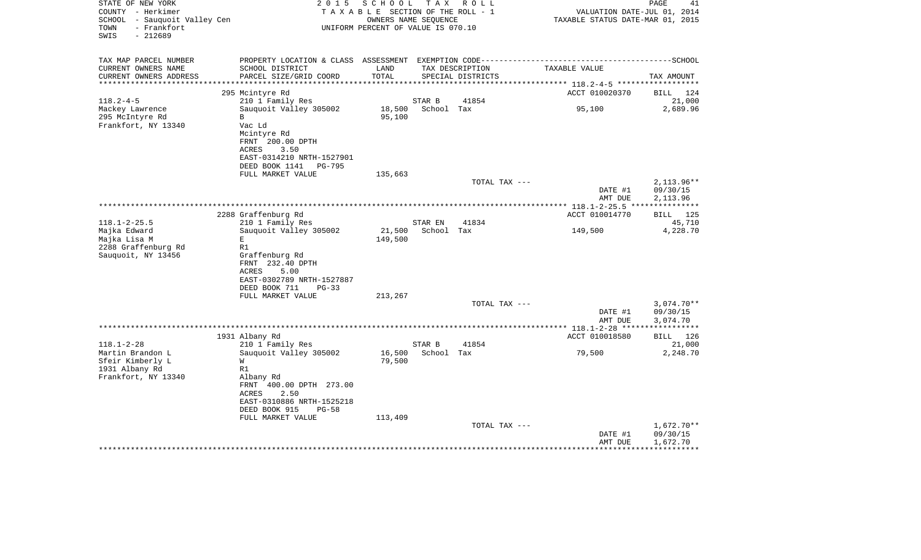| STATE OF NEW YORK<br>COUNTY - Herkimer<br>SCHOOL - Sauquoit Valley Cen<br>- Frankfort<br>TOWN<br>$-212689$<br>SWIS | 2 0 1 5<br>TAXABLE SECTION OF THE ROLL - 1<br>UNIFORM PERCENT OF VALUE IS 070.10 |                  | PAGE<br>41<br>VALUATION DATE-JUL 01, 2014<br>TAXABLE STATUS DATE-MAR 01, 2015 |                                      |                    |                          |
|--------------------------------------------------------------------------------------------------------------------|----------------------------------------------------------------------------------|------------------|-------------------------------------------------------------------------------|--------------------------------------|--------------------|--------------------------|
| TAX MAP PARCEL NUMBER                                                                                              |                                                                                  |                  |                                                                               |                                      |                    |                          |
| CURRENT OWNERS NAME<br>CURRENT OWNERS ADDRESS                                                                      | SCHOOL DISTRICT<br>PARCEL SIZE/GRID COORD                                        | LAND<br>TOTAL    |                                                                               | TAX DESCRIPTION<br>SPECIAL DISTRICTS | TAXABLE VALUE      | TAX AMOUNT               |
| ***********************                                                                                            |                                                                                  |                  |                                                                               |                                      |                    |                          |
|                                                                                                                    | 295 Mcintyre Rd                                                                  |                  |                                                                               |                                      | ACCT 010020370     | <b>BILL</b><br>124       |
| $118.2 - 4 - 5$                                                                                                    | 210 1 Family Res                                                                 |                  | STAR B                                                                        | 41854                                |                    | 21,000                   |
| Mackey Lawrence                                                                                                    | Sauquoit Valley 305002<br>$\mathbf B$                                            | 18,500<br>95,100 | School Tax                                                                    |                                      | 95,100             | 2,689.96                 |
| 295 McIntyre Rd<br>Frankfort, NY 13340                                                                             | Vac Ld                                                                           |                  |                                                                               |                                      |                    |                          |
|                                                                                                                    | Mcintyre Rd                                                                      |                  |                                                                               |                                      |                    |                          |
|                                                                                                                    | FRNT 200.00 DPTH                                                                 |                  |                                                                               |                                      |                    |                          |
|                                                                                                                    | ACRES<br>3.50                                                                    |                  |                                                                               |                                      |                    |                          |
|                                                                                                                    | EAST-0314210 NRTH-1527901                                                        |                  |                                                                               |                                      |                    |                          |
|                                                                                                                    | DEED BOOK 1141<br><b>PG-795</b>                                                  |                  |                                                                               |                                      |                    |                          |
|                                                                                                                    | FULL MARKET VALUE                                                                | 135,663          |                                                                               |                                      |                    | $2,113.96**$             |
|                                                                                                                    |                                                                                  |                  |                                                                               | TOTAL TAX ---                        | DATE #1            | 09/30/15                 |
|                                                                                                                    |                                                                                  |                  |                                                                               |                                      | AMT DUE            | 2,113.96                 |
|                                                                                                                    |                                                                                  |                  |                                                                               |                                      |                    |                          |
|                                                                                                                    | 2288 Graffenburg Rd                                                              |                  |                                                                               |                                      | ACCT 010014770     | 125<br>BILL              |
| $118.1 - 2 - 25.5$                                                                                                 | 210 1 Family Res                                                                 |                  | STAR EN                                                                       | 41834                                |                    | 45,710                   |
| Majka Edward                                                                                                       | Sauguoit Valley 305002                                                           | 21,500           | School Tax                                                                    |                                      | 149,500            | 4,228.70                 |
| Majka Lisa M<br>2288 Graffenburg Rd                                                                                | E.<br>R1                                                                         | 149,500          |                                                                               |                                      |                    |                          |
| Sauquoit, NY 13456                                                                                                 | Graffenburg Rd                                                                   |                  |                                                                               |                                      |                    |                          |
|                                                                                                                    | FRNT 232.40 DPTH                                                                 |                  |                                                                               |                                      |                    |                          |
|                                                                                                                    | <b>ACRES</b><br>5.00                                                             |                  |                                                                               |                                      |                    |                          |
|                                                                                                                    | EAST-0302789 NRTH-1527887                                                        |                  |                                                                               |                                      |                    |                          |
|                                                                                                                    | DEED BOOK 711<br>$PG-33$                                                         |                  |                                                                               |                                      |                    |                          |
|                                                                                                                    | FULL MARKET VALUE                                                                | 213,267          |                                                                               |                                      |                    |                          |
|                                                                                                                    |                                                                                  |                  |                                                                               | TOTAL TAX ---                        | DATE #1            | $3,074.70**$<br>09/30/15 |
|                                                                                                                    |                                                                                  |                  |                                                                               |                                      | AMT DUE            | 3,074.70                 |
|                                                                                                                    |                                                                                  |                  |                                                                               |                                      |                    | ************             |
|                                                                                                                    | 1931 Albany Rd                                                                   |                  |                                                                               |                                      | ACCT 010018580     | <b>BILL</b><br>126       |
| $118.1 - 2 - 28$                                                                                                   | 210 1 Family Res                                                                 |                  | STAR B                                                                        | 41854                                |                    | 21,000                   |
| Martin Brandon L                                                                                                   | Sauquoit Valley 305002                                                           | 16,500           | School Tax                                                                    |                                      | 79,500             | 2,248.70                 |
| Sfeir Kimberly L                                                                                                   | W                                                                                | 79,500           |                                                                               |                                      |                    |                          |
| 1931 Albany Rd                                                                                                     | R1                                                                               |                  |                                                                               |                                      |                    |                          |
| Frankfort, NY 13340                                                                                                | Albany Rd<br>FRNT 400.00 DPTH 273.00                                             |                  |                                                                               |                                      |                    |                          |
|                                                                                                                    | <b>ACRES</b><br>2.50                                                             |                  |                                                                               |                                      |                    |                          |
|                                                                                                                    | EAST-0310886 NRTH-1525218                                                        |                  |                                                                               |                                      |                    |                          |
|                                                                                                                    | DEED BOOK 915<br>$PG-58$                                                         |                  |                                                                               |                                      |                    |                          |
|                                                                                                                    | FULL MARKET VALUE                                                                | 113,409          |                                                                               |                                      |                    |                          |
|                                                                                                                    |                                                                                  |                  |                                                                               | TOTAL TAX ---                        |                    | $1,672.70**$             |
|                                                                                                                    |                                                                                  |                  |                                                                               |                                      | DATE #1<br>AMT DUE | 09/30/15<br>1,672.70     |
|                                                                                                                    |                                                                                  |                  |                                                                               |                                      |                    |                          |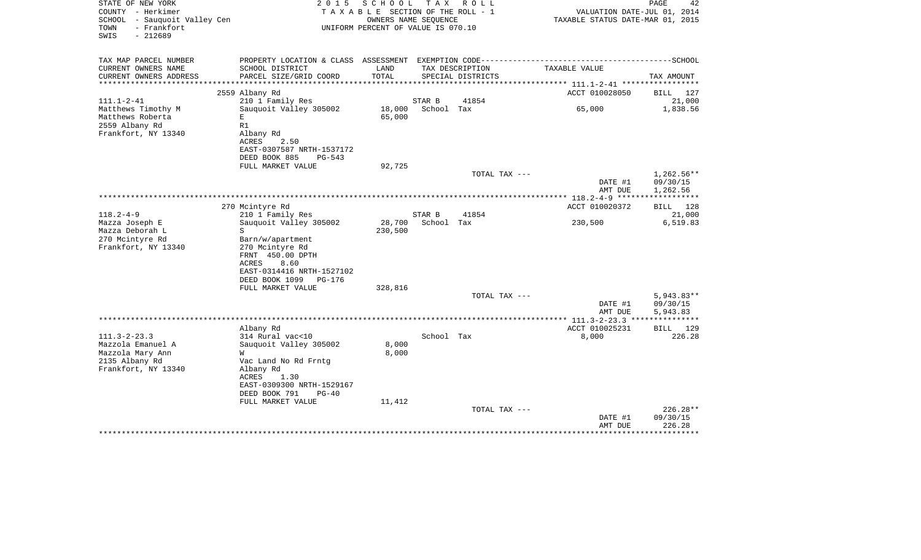| STATE OF NEW YORK<br>COUNTY - Herkimer<br>SCHOOL - Sauquoit Valley Cen<br>- Frankfort<br>TOWN<br>SWIS<br>$-212689$ | 2 0 1 5<br>TAXABLE SECTION OF THE ROLL - 1<br>UNIFORM PERCENT OF VALUE IS 070.10 |         | PAGE<br>42<br>VALUATION DATE-JUL 01, 2014<br>TAXABLE STATUS DATE-MAR 01, 2015 |                   |                                    |                           |
|--------------------------------------------------------------------------------------------------------------------|----------------------------------------------------------------------------------|---------|-------------------------------------------------------------------------------|-------------------|------------------------------------|---------------------------|
| TAX MAP PARCEL NUMBER                                                                                              | PROPERTY LOCATION & CLASS ASSESSMENT EXEMPTION CODE---------------------         |         |                                                                               |                   |                                    | -------------------SCHOOL |
| CURRENT OWNERS NAME                                                                                                | SCHOOL DISTRICT                                                                  | LAND    |                                                                               | TAX DESCRIPTION   | TAXABLE VALUE                      |                           |
| CURRENT OWNERS ADDRESS<br>*********************                                                                    | PARCEL SIZE/GRID COORD                                                           | TOTAL   |                                                                               | SPECIAL DISTRICTS |                                    | TAX AMOUNT                |
|                                                                                                                    |                                                                                  |         |                                                                               |                   |                                    |                           |
| $111.1 - 2 - 41$                                                                                                   | 2559 Albany Rd<br>210 1 Family Res                                               |         | STAR B                                                                        | 41854             | ACCT 010028050                     | BILL 127<br>21,000        |
| Matthews Timothy M                                                                                                 | Sauguoit Valley 305002                                                           | 18,000  | School Tax                                                                    |                   | 65,000                             | 1,838.56                  |
| Matthews Roberta                                                                                                   | Е                                                                                | 65,000  |                                                                               |                   |                                    |                           |
| 2559 Albany Rd                                                                                                     | R1                                                                               |         |                                                                               |                   |                                    |                           |
| Frankfort, NY 13340                                                                                                | Albany Rd<br>2.50<br>ACRES                                                       |         |                                                                               |                   |                                    |                           |
|                                                                                                                    | EAST-0307587 NRTH-1537172                                                        |         |                                                                               |                   |                                    |                           |
|                                                                                                                    | DEED BOOK 885<br>$PG-543$                                                        |         |                                                                               |                   |                                    |                           |
|                                                                                                                    | FULL MARKET VALUE                                                                | 92,725  |                                                                               |                   |                                    |                           |
|                                                                                                                    |                                                                                  |         |                                                                               | TOTAL TAX ---     |                                    | $1,262.56**$              |
|                                                                                                                    |                                                                                  |         |                                                                               |                   | DATE #1                            | 09/30/15                  |
|                                                                                                                    |                                                                                  |         |                                                                               |                   | AMT DUE                            | 1,262.56<br>************  |
|                                                                                                                    | 270 Mcintyre Rd                                                                  |         |                                                                               |                   | ACCT 010020372                     | BILL 128                  |
| $118.2 - 4 - 9$                                                                                                    | 210 1 Family Res                                                                 |         | STAR B                                                                        | 41854             |                                    | 21,000                    |
| Mazza Joseph E                                                                                                     | Sauquoit Valley 305002                                                           | 28,700  | School Tax                                                                    |                   | 230,500                            | 6,519.83                  |
| Mazza Deborah L                                                                                                    | S                                                                                | 230,500 |                                                                               |                   |                                    |                           |
| 270 Mcintyre Rd                                                                                                    | Barn/w/apartment                                                                 |         |                                                                               |                   |                                    |                           |
| Frankfort, NY 13340                                                                                                | 270 Mcintyre Rd                                                                  |         |                                                                               |                   |                                    |                           |
|                                                                                                                    | FRNT 450.00 DPTH                                                                 |         |                                                                               |                   |                                    |                           |
|                                                                                                                    | ACRES<br>8.60                                                                    |         |                                                                               |                   |                                    |                           |
|                                                                                                                    | EAST-0314416 NRTH-1527102                                                        |         |                                                                               |                   |                                    |                           |
|                                                                                                                    | DEED BOOK 1099<br>PG-176                                                         |         |                                                                               |                   |                                    |                           |
|                                                                                                                    | FULL MARKET VALUE                                                                | 328,816 |                                                                               |                   |                                    |                           |
|                                                                                                                    |                                                                                  |         |                                                                               | TOTAL TAX ---     | DATE #1                            | $5,943.83**$<br>09/30/15  |
|                                                                                                                    |                                                                                  |         |                                                                               |                   | AMT DUE                            | 5,943.83                  |
|                                                                                                                    |                                                                                  |         |                                                                               |                   | ***************** 111.3-2-23.3 *** | ************              |
|                                                                                                                    | Albany Rd                                                                        |         |                                                                               |                   | ACCT 010025231                     | BILL 129                  |
| $111.3 - 2 - 23.3$                                                                                                 | 314 Rural vac<10                                                                 |         | School Tax                                                                    |                   | 8,000                              | 226.28                    |
| Mazzola Emanuel A                                                                                                  | Sauquoit Valley 305002                                                           | 8,000   |                                                                               |                   |                                    |                           |
| Mazzola Mary Ann                                                                                                   | W                                                                                | 8,000   |                                                                               |                   |                                    |                           |
| 2135 Albany Rd                                                                                                     | Vac Land No Rd Frntg                                                             |         |                                                                               |                   |                                    |                           |
| Frankfort, NY 13340                                                                                                | Albany Rd                                                                        |         |                                                                               |                   |                                    |                           |
|                                                                                                                    | ACRES<br>1.30                                                                    |         |                                                                               |                   |                                    |                           |
|                                                                                                                    | EAST-0309300 NRTH-1529167                                                        |         |                                                                               |                   |                                    |                           |
|                                                                                                                    | DEED BOOK 791<br>$PG-40$                                                         |         |                                                                               |                   |                                    |                           |
|                                                                                                                    | FULL MARKET VALUE                                                                | 11,412  |                                                                               | TOTAL TAX ---     |                                    | 226.28**                  |
|                                                                                                                    |                                                                                  |         |                                                                               |                   | DATE #1                            | 09/30/15                  |
|                                                                                                                    |                                                                                  |         |                                                                               |                   | AMT DUE                            | 226.28                    |
|                                                                                                                    |                                                                                  |         |                                                                               |                   |                                    | ********                  |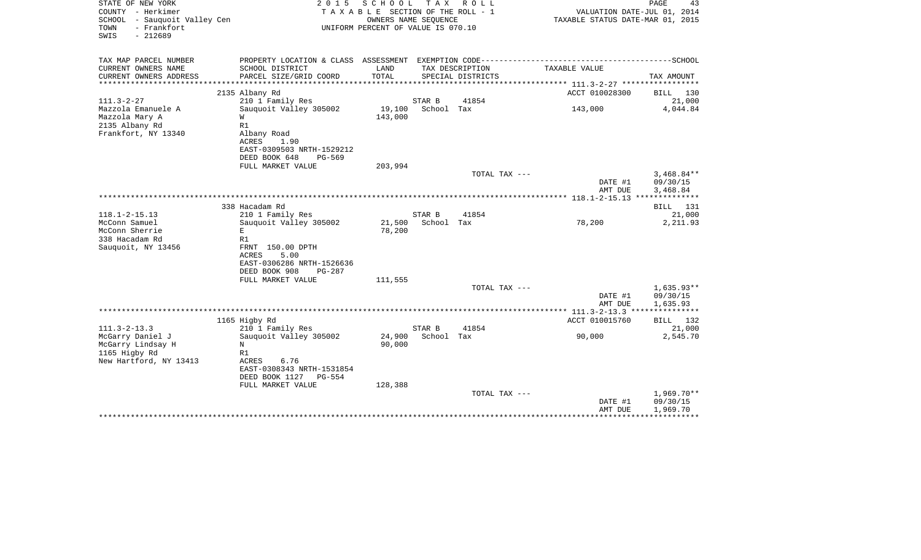| STATE OF NEW YORK<br>COUNTY - Herkimer<br>SCHOOL - Sauquoit Valley Cen<br>- Frankfort<br>TOWN<br>SWIS<br>$-212689$ | 2 0 1 5                                                                                                                         | SCHOOL<br>T A X A B L E SECTION OF THE ROLL - 1<br>OWNERS NAME SEQUENCE<br>UNIFORM PERCENT OF VALUE IS 070.10 | T A X                | R O L L           | VALUATION DATE-JUL 01, 2014<br>TAXABLE STATUS DATE-MAR 01, 2015 | PAGE<br>43                           |
|--------------------------------------------------------------------------------------------------------------------|---------------------------------------------------------------------------------------------------------------------------------|---------------------------------------------------------------------------------------------------------------|----------------------|-------------------|-----------------------------------------------------------------|--------------------------------------|
| TAX MAP PARCEL NUMBER<br>CURRENT OWNERS NAME                                                                       | PROPERTY LOCATION & CLASS ASSESSMENT EXEMPTION CODE-----------------------------------SCHOOL<br>SCHOOL DISTRICT                 | LAND                                                                                                          |                      | TAX DESCRIPTION   | TAXABLE VALUE                                                   |                                      |
| CURRENT OWNERS ADDRESS<br>********************                                                                     | PARCEL SIZE/GRID COORD<br>***********************                                                                               | TOTAL                                                                                                         |                      | SPECIAL DISTRICTS |                                                                 | TAX AMOUNT                           |
|                                                                                                                    | 2135 Albany Rd                                                                                                                  |                                                                                                               |                      |                   | ACCT 010028300                                                  | <b>BILL</b><br>130                   |
| $111.3 - 2 - 27$                                                                                                   | 210 1 Family Res                                                                                                                |                                                                                                               | STAR B               | 41854             |                                                                 | 21,000                               |
| Mazzola Emanuele A<br>Mazzola Mary A<br>2135 Albany Rd<br>Frankfort, NY 13340                                      | Sauquoit Valley 305002<br>W<br>R1<br>Albany Road<br>ACRES<br>1.90<br>EAST-0309503 NRTH-1529212                                  | 19,100<br>143,000                                                                                             | School Tax           |                   | 143,000                                                         | 4,044.84                             |
|                                                                                                                    | DEED BOOK 648<br>PG-569                                                                                                         |                                                                                                               |                      |                   |                                                                 |                                      |
|                                                                                                                    | FULL MARKET VALUE                                                                                                               | 203,994                                                                                                       |                      | TOTAL TAX ---     | DATE #1<br>AMT DUE                                              | $3,468.84**$<br>09/30/15<br>3,468.84 |
|                                                                                                                    |                                                                                                                                 |                                                                                                               |                      |                   |                                                                 |                                      |
|                                                                                                                    | 338 Hacadam Rd                                                                                                                  |                                                                                                               |                      |                   |                                                                 | 131<br>BILL                          |
| $118.1 - 2 - 15.13$                                                                                                | 210 1 Family Res                                                                                                                |                                                                                                               | STAR B               | 41854             |                                                                 | 21,000                               |
| McConn Samuel<br>McConn Sherrie<br>338 Hacadam Rd<br>Sauquoit, NY 13456                                            | Sauguoit Valley 305002<br>E<br>R1<br>FRNT 150.00 DPTH<br>5.00<br><b>ACRES</b>                                                   | 21,500<br>78,200                                                                                              | School Tax           |                   | 78,200                                                          | 2,211.93                             |
|                                                                                                                    | EAST-0306286 NRTH-1526636<br>DEED BOOK 908<br>$PG-287$                                                                          |                                                                                                               |                      |                   |                                                                 |                                      |
|                                                                                                                    | FULL MARKET VALUE                                                                                                               | 111,555                                                                                                       |                      |                   |                                                                 |                                      |
|                                                                                                                    |                                                                                                                                 |                                                                                                               |                      | TOTAL TAX ---     | DATE #1<br>AMT DUE                                              | $1,635.93**$<br>09/30/15<br>1,635.93 |
|                                                                                                                    |                                                                                                                                 |                                                                                                               |                      |                   |                                                                 |                                      |
|                                                                                                                    | 1165 Higby Rd                                                                                                                   |                                                                                                               |                      |                   | ACCT 010015760                                                  | <b>BILL</b> 132                      |
| $111.3 - 2 - 13.3$<br>McGarry Daniel J<br>McGarry Lindsay H<br>1165 Higby Rd<br>New Hartford, NY 13413             | 210 1 Family Res<br>Sauquoit Valley 305002<br>N<br>R1<br>ACRES<br>6.76<br>EAST-0308343 NRTH-1531854<br>DEED BOOK 1127<br>PG-554 | 24,900<br>90,000                                                                                              | STAR B<br>School Tax | 41854             | 90,000                                                          | 21,000<br>2,545.70                   |
|                                                                                                                    | FULL MARKET VALUE                                                                                                               | 128,388                                                                                                       |                      | TOTAL TAX ---     |                                                                 | $1,969.70**$                         |
|                                                                                                                    |                                                                                                                                 |                                                                                                               |                      |                   | DATE #1<br>AMT DUE                                              | 09/30/15<br>1,969.70                 |
|                                                                                                                    |                                                                                                                                 |                                                                                                               |                      |                   |                                                                 |                                      |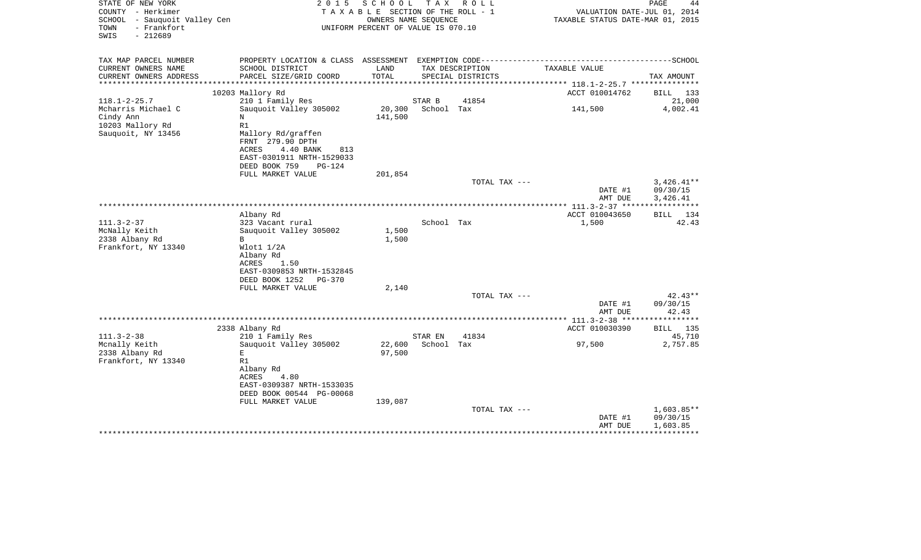| STATE OF NEW YORK<br>COUNTY - Herkimer<br>SCHOOL - Sauquoit Valley Cen<br>- Frankfort<br>TOWN<br>$-212689$<br>SWIS | 2 0 1 5                                       | SCHOOL<br>TAXABLE SECTION OF THE ROLL - 1<br>OWNERS NAME SEQUENCE<br>UNIFORM PERCENT OF VALUE IS 070.10 |                   | TAX ROLL          | VALUATION DATE-JUL 01, 2014<br>TAXABLE STATUS DATE-MAR 01, 2015                              | PAGE<br>44           |
|--------------------------------------------------------------------------------------------------------------------|-----------------------------------------------|---------------------------------------------------------------------------------------------------------|-------------------|-------------------|----------------------------------------------------------------------------------------------|----------------------|
| TAX MAP PARCEL NUMBER                                                                                              |                                               |                                                                                                         |                   |                   | PROPERTY LOCATION & CLASS ASSESSMENT EXEMPTION CODE-----------------------------------SCHOOL |                      |
| CURRENT OWNERS NAME                                                                                                | SCHOOL DISTRICT                               | LAND                                                                                                    |                   | TAX DESCRIPTION   | TAXABLE VALUE                                                                                |                      |
| CURRENT OWNERS ADDRESS<br>*********************                                                                    | PARCEL SIZE/GRID COORD                        | TOTAL                                                                                                   |                   | SPECIAL DISTRICTS |                                                                                              | TAX AMOUNT           |
|                                                                                                                    | 10203 Mallory Rd                              |                                                                                                         |                   |                   | ACCT 010014762                                                                               | BILL 133             |
| $118.1 - 2 - 25.7$                                                                                                 | 210 1 Family Res                              |                                                                                                         | STAR B            | 41854             |                                                                                              | 21,000               |
| Mcharris Michael C                                                                                                 | Sauguoit Valley 305002                        | 20,300                                                                                                  | School Tax        |                   | 141,500                                                                                      | 4,002.41             |
| Cindy Ann                                                                                                          | N                                             | 141,500                                                                                                 |                   |                   |                                                                                              |                      |
| 10203 Mallory Rd                                                                                                   | R1                                            |                                                                                                         |                   |                   |                                                                                              |                      |
| Sauquoit, NY 13456                                                                                                 | Mallory Rd/graffen                            |                                                                                                         |                   |                   |                                                                                              |                      |
|                                                                                                                    | FRNT 279.90 DPTH<br>4.40 BANK<br>ACRES<br>813 |                                                                                                         |                   |                   |                                                                                              |                      |
|                                                                                                                    | EAST-0301911 NRTH-1529033                     |                                                                                                         |                   |                   |                                                                                              |                      |
|                                                                                                                    | DEED BOOK 759<br>PG-124                       |                                                                                                         |                   |                   |                                                                                              |                      |
|                                                                                                                    | FULL MARKET VALUE                             | 201,854                                                                                                 |                   |                   |                                                                                              |                      |
|                                                                                                                    |                                               |                                                                                                         |                   | TOTAL TAX ---     |                                                                                              | $3,426.41**$         |
|                                                                                                                    |                                               |                                                                                                         |                   |                   | DATE #1<br>AMT DUE                                                                           | 09/30/15<br>3,426.41 |
|                                                                                                                    |                                               |                                                                                                         |                   |                   |                                                                                              |                      |
|                                                                                                                    | Albany Rd                                     |                                                                                                         |                   |                   | ACCT 010043650                                                                               | BILL 134             |
| $111.3 - 2 - 37$                                                                                                   | 323 Vacant rural                              |                                                                                                         | School Tax        |                   | 1,500                                                                                        | 42.43                |
| McNally Keith                                                                                                      | Sauquoit Valley 305002                        | 1,500                                                                                                   |                   |                   |                                                                                              |                      |
| 2338 Albany Rd                                                                                                     | B                                             | 1,500                                                                                                   |                   |                   |                                                                                              |                      |
| Frankfort, NY 13340                                                                                                | Wlot1 1/2A                                    |                                                                                                         |                   |                   |                                                                                              |                      |
|                                                                                                                    | Albany Rd<br>ACRES<br>1.50                    |                                                                                                         |                   |                   |                                                                                              |                      |
|                                                                                                                    | EAST-0309853 NRTH-1532845                     |                                                                                                         |                   |                   |                                                                                              |                      |
|                                                                                                                    | DEED BOOK 1252<br>PG-370                      |                                                                                                         |                   |                   |                                                                                              |                      |
|                                                                                                                    | FULL MARKET VALUE                             | 2,140                                                                                                   |                   |                   |                                                                                              |                      |
|                                                                                                                    |                                               |                                                                                                         |                   | TOTAL TAX ---     |                                                                                              | $42.43**$            |
|                                                                                                                    |                                               |                                                                                                         |                   |                   | DATE #1                                                                                      | 09/30/15             |
|                                                                                                                    |                                               |                                                                                                         |                   |                   | AMT DUE                                                                                      | 42.43                |
|                                                                                                                    | 2338 Albany Rd                                |                                                                                                         |                   |                   | ACCT 010030390                                                                               | <b>BILL</b> 135      |
| $111.3 - 2 - 38$                                                                                                   | 210 1 Family Res                              |                                                                                                         | STAR EN           | 41834             |                                                                                              | 45,710               |
| Mcnally Keith                                                                                                      | Sauquoit Valley 305002                        |                                                                                                         | 22,600 School Tax |                   | 97,500                                                                                       | 2,757.85             |
| 2338 Albany Rd                                                                                                     | E                                             | 97,500                                                                                                  |                   |                   |                                                                                              |                      |
| Frankfort, NY 13340                                                                                                | R1                                            |                                                                                                         |                   |                   |                                                                                              |                      |
|                                                                                                                    | Albany Rd<br>ACRES<br>4.80                    |                                                                                                         |                   |                   |                                                                                              |                      |
|                                                                                                                    | EAST-0309387 NRTH-1533035                     |                                                                                                         |                   |                   |                                                                                              |                      |
|                                                                                                                    | DEED BOOK 00544 PG-00068                      |                                                                                                         |                   |                   |                                                                                              |                      |
|                                                                                                                    | FULL MARKET VALUE                             | 139,087                                                                                                 |                   |                   |                                                                                              |                      |
|                                                                                                                    |                                               |                                                                                                         |                   | TOTAL TAX ---     |                                                                                              | $1,603.85**$         |
|                                                                                                                    |                                               |                                                                                                         |                   |                   | DATE #1                                                                                      | 09/30/15             |
|                                                                                                                    |                                               |                                                                                                         |                   |                   | AMT DUE                                                                                      | 1,603.85             |
|                                                                                                                    |                                               |                                                                                                         |                   |                   |                                                                                              |                      |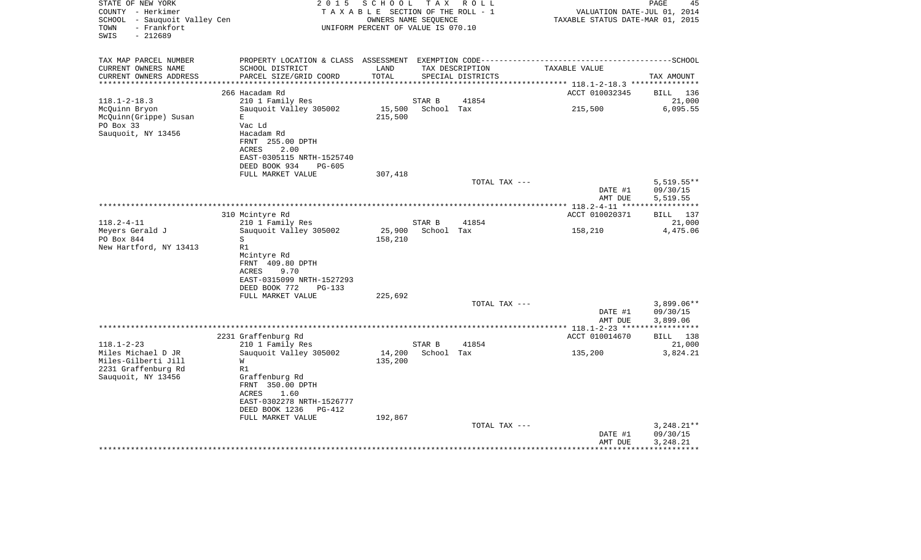| STATE OF NEW YORK<br>COUNTY - Herkimer<br>SCHOOL - Sauquoit Valley Cen<br>- Frankfort<br>TOWN<br>$-212689$<br>SWIS | 2 0 1 5                                           | SCHOOL<br>TAXABLE SECTION OF THE ROLL - 1<br>OWNERS NAME SEQUENCE<br>UNIFORM PERCENT OF VALUE IS 070.10 | T A X      | R O L L                              | VALUATION DATE-JUL 01, 2014<br>TAXABLE STATUS DATE-MAR 01, 2015 | PAGE<br>45         |
|--------------------------------------------------------------------------------------------------------------------|---------------------------------------------------|---------------------------------------------------------------------------------------------------------|------------|--------------------------------------|-----------------------------------------------------------------|--------------------|
| TAX MAP PARCEL NUMBER                                                                                              |                                                   |                                                                                                         |            |                                      |                                                                 |                    |
| CURRENT OWNERS NAME<br>CURRENT OWNERS ADDRESS                                                                      | SCHOOL DISTRICT<br>PARCEL SIZE/GRID COORD         | LAND<br>TOTAL                                                                                           |            | TAX DESCRIPTION<br>SPECIAL DISTRICTS | TAXABLE VALUE                                                   | TAX AMOUNT         |
| ***********************                                                                                            |                                                   |                                                                                                         |            |                                      |                                                                 |                    |
| $118.1 - 2 - 18.3$                                                                                                 | 266 Hacadam Rd                                    |                                                                                                         | STAR B     | 41854                                | ACCT 010032345                                                  | BILL 136<br>21,000 |
| McQuinn Bryon                                                                                                      | 210 1 Family Res<br>Sauquoit Valley 305002        | 15,500                                                                                                  | School Tax |                                      | 215,500                                                         | 6,095.55           |
| McQuinn(Grippe) Susan                                                                                              | Е                                                 | 215,500                                                                                                 |            |                                      |                                                                 |                    |
| PO Box 33                                                                                                          | Vac Ld                                            |                                                                                                         |            |                                      |                                                                 |                    |
| Sauquoit, NY 13456                                                                                                 | Hacadam Rd                                        |                                                                                                         |            |                                      |                                                                 |                    |
|                                                                                                                    | FRNT 255.00 DPTH                                  |                                                                                                         |            |                                      |                                                                 |                    |
|                                                                                                                    | 2.00<br>ACRES                                     |                                                                                                         |            |                                      |                                                                 |                    |
|                                                                                                                    | EAST-0305115 NRTH-1525740                         |                                                                                                         |            |                                      |                                                                 |                    |
|                                                                                                                    | DEED BOOK 934<br>PG-605                           |                                                                                                         |            |                                      |                                                                 |                    |
|                                                                                                                    | FULL MARKET VALUE                                 | 307,418                                                                                                 |            | TOTAL TAX ---                        |                                                                 | $5,519.55**$       |
|                                                                                                                    |                                                   |                                                                                                         |            |                                      | DATE #1                                                         | 09/30/15           |
|                                                                                                                    |                                                   |                                                                                                         |            |                                      | AMT DUE                                                         | 5,519.55           |
|                                                                                                                    |                                                   |                                                                                                         |            |                                      |                                                                 |                    |
|                                                                                                                    | 310 Mcintyre Rd                                   |                                                                                                         |            |                                      | ACCT 010020371                                                  | BILL 137           |
| $118.2 - 4 - 11$                                                                                                   | 210 1 Family Res                                  |                                                                                                         | STAR B     | 41854                                |                                                                 | 21,000             |
| Meyers Gerald J                                                                                                    | Sauquoit Valley 305002                            | 25,900                                                                                                  | School Tax |                                      | 158,210                                                         | 4,475.06           |
| PO Box 844                                                                                                         | S<br>R1                                           | 158,210                                                                                                 |            |                                      |                                                                 |                    |
| New Hartford, NY 13413                                                                                             | Mcintyre Rd                                       |                                                                                                         |            |                                      |                                                                 |                    |
|                                                                                                                    | FRNT 409.80 DPTH                                  |                                                                                                         |            |                                      |                                                                 |                    |
|                                                                                                                    | ACRES<br>9.70                                     |                                                                                                         |            |                                      |                                                                 |                    |
|                                                                                                                    | EAST-0315099 NRTH-1527293                         |                                                                                                         |            |                                      |                                                                 |                    |
|                                                                                                                    | DEED BOOK 772<br>$PG-133$                         |                                                                                                         |            |                                      |                                                                 |                    |
|                                                                                                                    | FULL MARKET VALUE                                 | 225,692                                                                                                 |            |                                      |                                                                 |                    |
|                                                                                                                    |                                                   |                                                                                                         |            | TOTAL TAX ---                        |                                                                 | $3,899.06**$       |
|                                                                                                                    |                                                   |                                                                                                         |            |                                      | DATE #1                                                         | 09/30/15           |
|                                                                                                                    |                                                   |                                                                                                         |            |                                      | AMT DUE                                                         | 3,899.06           |
|                                                                                                                    | 2231 Graffenburg Rd                               |                                                                                                         |            |                                      | ACCT 010014670                                                  | BILL 138           |
| $118.1 - 2 - 23$                                                                                                   | 210 1 Family Res                                  |                                                                                                         | STAR B     | 41854                                |                                                                 | 21,000             |
| Miles Michael D JR                                                                                                 | Sauquoit Valley 305002                            | 14,200                                                                                                  | School Tax |                                      | 135,200                                                         | 3,824.21           |
| Miles-Gilberti Jill                                                                                                | W                                                 | 135,200                                                                                                 |            |                                      |                                                                 |                    |
| 2231 Graffenburg Rd                                                                                                | R1                                                |                                                                                                         |            |                                      |                                                                 |                    |
| Sauquoit, NY 13456                                                                                                 | Graffenburg Rd                                    |                                                                                                         |            |                                      |                                                                 |                    |
|                                                                                                                    | FRNT 350.00 DPTH                                  |                                                                                                         |            |                                      |                                                                 |                    |
|                                                                                                                    | <b>ACRES</b><br>1.60<br>EAST-0302278 NRTH-1526777 |                                                                                                         |            |                                      |                                                                 |                    |
|                                                                                                                    | DEED BOOK 1236<br>$PG-412$                        |                                                                                                         |            |                                      |                                                                 |                    |
|                                                                                                                    | FULL MARKET VALUE                                 | 192,867                                                                                                 |            |                                      |                                                                 |                    |
|                                                                                                                    |                                                   |                                                                                                         |            | TOTAL TAX ---                        |                                                                 | $3,248.21**$       |
|                                                                                                                    |                                                   |                                                                                                         |            |                                      | DATE #1                                                         | 09/30/15           |
|                                                                                                                    |                                                   |                                                                                                         |            |                                      | AMT DUE                                                         | 3,248.21           |
|                                                                                                                    |                                                   |                                                                                                         |            |                                      |                                                                 | **********         |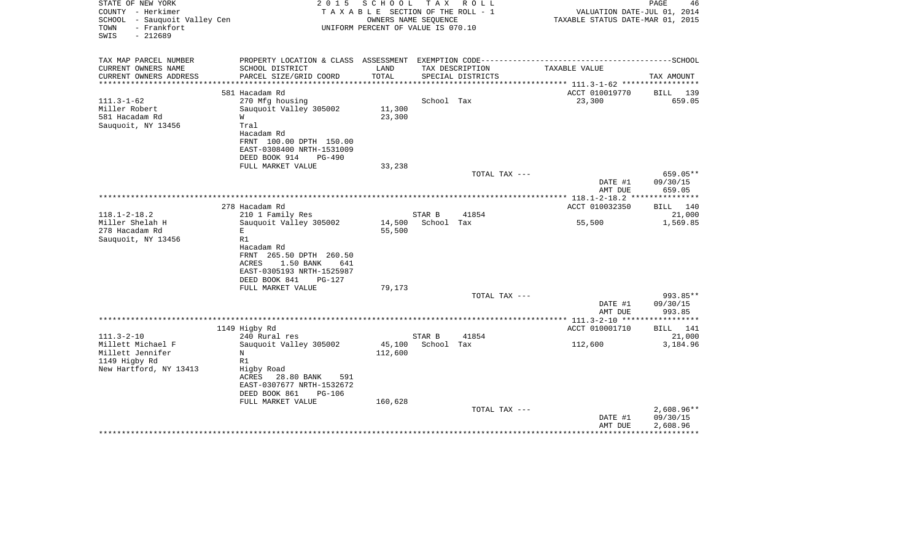| STATE OF NEW YORK<br>COUNTY - Herkimer<br>SCHOOL - Sauquoit Valley Cen<br>- Frankfort<br>TOWN<br>SWIS<br>$-212689$ | 2 0 1 5                                                                                                                                                                                                        | SCHOOL<br>TAXABLE SECTION OF THE ROLL - 1<br>OWNERS NAME SEOUENCE<br>UNIFORM PERCENT OF VALUE IS 070.10 | T A X                | R O L L                              | VALUATION DATE-JUL 01, 2014<br>TAXABLE STATUS DATE-MAR 01, 2015 | PAGE<br>46                           |
|--------------------------------------------------------------------------------------------------------------------|----------------------------------------------------------------------------------------------------------------------------------------------------------------------------------------------------------------|---------------------------------------------------------------------------------------------------------|----------------------|--------------------------------------|-----------------------------------------------------------------|--------------------------------------|
| TAX MAP PARCEL NUMBER<br>CURRENT OWNERS NAME<br>CURRENT OWNERS ADDRESS<br>*******************                      | PROPERTY LOCATION & CLASS ASSESSMENT EXEMPTION CODE-----------------------------------SCHOOL<br>SCHOOL DISTRICT<br>PARCEL SIZE/GRID COORD                                                                      | LAND<br>TOTAL<br>************                                                                           |                      | TAX DESCRIPTION<br>SPECIAL DISTRICTS | TAXABLE VALUE<br>******************** 111.3-1-62 ************   | TAX AMOUNT                           |
| $111.3 - 1 - 62$<br>Miller Robert<br>581 Hacadam Rd<br>Sauquoit, NY 13456                                          | 581 Hacadam Rd<br>270 Mfg housing<br>Sauquoit Valley 305002<br>W<br>Tral<br>Hacadam Rd<br>FRNT 100.00 DPTH 150.00<br>EAST-0308400 NRTH-1531009<br>DEED BOOK 914<br>PG-490<br>FULL MARKET VALUE                 | 11,300<br>23,300<br>33,238                                                                              | School Tax           |                                      | ACCT 010019770<br>23,300                                        | 139<br>BILL<br>659.05                |
|                                                                                                                    |                                                                                                                                                                                                                |                                                                                                         |                      | TOTAL TAX ---                        | DATE #1<br>AMT DUE                                              | 659.05**<br>09/30/15<br>659.05       |
| $118.1 - 2 - 18.2$<br>Miller Shelah H<br>278 Hacadam Rd<br>Sauquoit, NY 13456                                      | 278 Hacadam Rd<br>210 1 Family Res<br>Sauquoit Valley 305002<br>E<br>R1<br>Hacadam Rd<br>FRNT 265.50 DPTH 260.50<br><b>ACRES</b><br>1.50 BANK<br>641<br>EAST-0305193 NRTH-1525987<br>DEED BOOK 841<br>$PG-127$ | 14,500<br>55,500                                                                                        | STAR B<br>School Tax | 41854                                | ************ 118.1-2-18.2 **<br>ACCT 010032350<br>55,500        | BILL 140<br>21,000<br>1,569.85       |
|                                                                                                                    | FULL MARKET VALUE                                                                                                                                                                                              | 79,173                                                                                                  |                      | TOTAL TAX ---                        | DATE #1<br>AMT DUE                                              | 993.85**<br>09/30/15<br>993.85       |
| $111.3 - 2 - 10$<br>Millett Michael F<br>Millett Jennifer<br>1149 Higby Rd<br>New Hartford, NY 13413               | 1149 Higby Rd<br>240 Rural res<br>Sauquoit Valley 305002<br>N<br>R1<br>Higby Road<br>ACRES<br>28.80 BANK<br>591<br>EAST-0307677 NRTH-1532672<br>DEED BOOK 861<br>PG-106                                        | 45,100<br>112,600                                                                                       | STAR B<br>School Tax | 41854                                | ACCT 010001710<br>112,600                                       | BILL 141<br>21,000<br>3,184.96       |
|                                                                                                                    | FULL MARKET VALUE                                                                                                                                                                                              | 160,628                                                                                                 |                      | TOTAL TAX ---                        | DATE #1<br>AMT DUE                                              | $2,608.96**$<br>09/30/15<br>2,608.96 |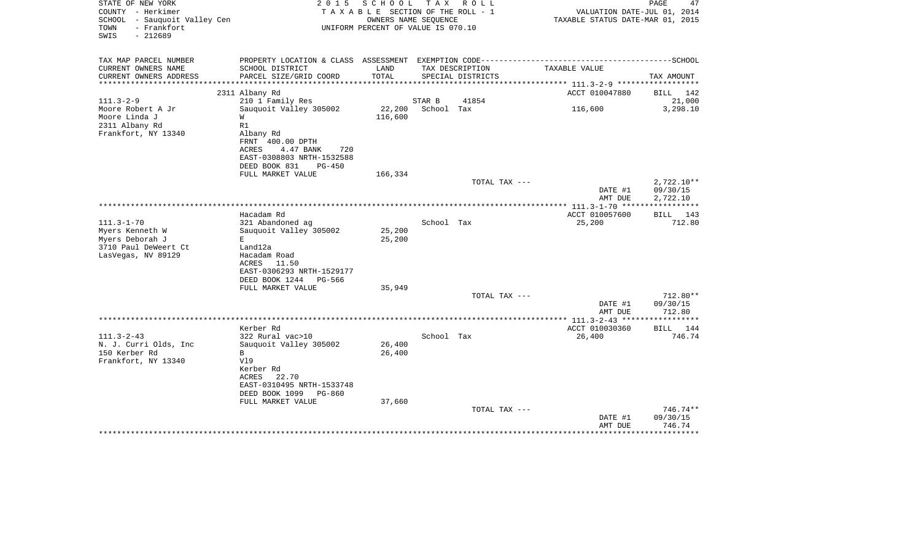| STATE OF NEW YORK<br>COUNTY - Herkimer<br>SCHOOL - Sauquoit Valley Cen<br>TOWN<br>- Frankfort<br>$-212689$<br>SWIS | 2 0 1 5<br>TAXABLE SECTION OF THE ROLL - 1<br>UNIFORM PERCENT OF VALUE IS 070.10 |                  | PAGE<br>47<br>VALUATION DATE-JUL 01, 2014<br>TAXABLE STATUS DATE-MAR 01, 2015 |                                      |                                                                                              |                    |
|--------------------------------------------------------------------------------------------------------------------|----------------------------------------------------------------------------------|------------------|-------------------------------------------------------------------------------|--------------------------------------|----------------------------------------------------------------------------------------------|--------------------|
| TAX MAP PARCEL NUMBER                                                                                              |                                                                                  |                  |                                                                               |                                      | PROPERTY LOCATION & CLASS ASSESSMENT EXEMPTION CODE-----------------------------------SCHOOL |                    |
| CURRENT OWNERS NAME<br>CURRENT OWNERS ADDRESS                                                                      | SCHOOL DISTRICT<br>PARCEL SIZE/GRID COORD                                        | LAND<br>TOTAL    |                                                                               | TAX DESCRIPTION<br>SPECIAL DISTRICTS | TAXABLE VALUE                                                                                | TAX AMOUNT         |
| **********************                                                                                             |                                                                                  |                  |                                                                               |                                      |                                                                                              |                    |
|                                                                                                                    | 2311 Albany Rd                                                                   |                  |                                                                               |                                      | ACCT 010047880                                                                               | BILL 142           |
| $111.3 - 2 - 9$                                                                                                    | 210 1 Family Res                                                                 |                  | STAR B                                                                        | 41854                                |                                                                                              | 21,000             |
| Moore Robert A Jr                                                                                                  | Sauquoit Valley 305002                                                           | 22,200           | School Tax                                                                    |                                      | 116,600                                                                                      | 3,298.10           |
| Moore Linda J<br>2311 Albany Rd                                                                                    | W<br>R1                                                                          | 116,600          |                                                                               |                                      |                                                                                              |                    |
| Frankfort, NY 13340                                                                                                | Albany Rd                                                                        |                  |                                                                               |                                      |                                                                                              |                    |
|                                                                                                                    | FRNT 400.00 DPTH                                                                 |                  |                                                                               |                                      |                                                                                              |                    |
|                                                                                                                    | ACRES<br>4.47 BANK<br>720                                                        |                  |                                                                               |                                      |                                                                                              |                    |
|                                                                                                                    | EAST-0308803 NRTH-1532588<br>DEED BOOK 831<br>$PG-450$                           |                  |                                                                               |                                      |                                                                                              |                    |
|                                                                                                                    | FULL MARKET VALUE                                                                | 166,334          |                                                                               |                                      |                                                                                              |                    |
|                                                                                                                    |                                                                                  |                  |                                                                               | TOTAL TAX ---                        |                                                                                              | $2,722.10**$       |
|                                                                                                                    |                                                                                  |                  |                                                                               |                                      | DATE #1                                                                                      | 09/30/15           |
|                                                                                                                    |                                                                                  |                  |                                                                               |                                      | AMT DUE                                                                                      | 2,722.10           |
|                                                                                                                    |                                                                                  |                  |                                                                               |                                      | *********** 111.3-1-70 ******************                                                    |                    |
|                                                                                                                    | Hacadam Rd                                                                       |                  |                                                                               |                                      | ACCT 010057600                                                                               | <b>BILL</b><br>143 |
| $111.3 - 1 - 70$                                                                                                   | 321 Abandoned ag                                                                 |                  | School Tax                                                                    |                                      | 25,200                                                                                       | 712.80             |
| Myers Kenneth W                                                                                                    | Sauquoit Valley 305002                                                           | 25,200           |                                                                               |                                      |                                                                                              |                    |
| Myers Deborah J                                                                                                    | Е                                                                                | 25,200           |                                                                               |                                      |                                                                                              |                    |
| 3710 Paul DeWeert Ct                                                                                               | Land12a                                                                          |                  |                                                                               |                                      |                                                                                              |                    |
| LasVegas, NV 89129                                                                                                 | Hacadam Road<br>ACRES<br>11.50                                                   |                  |                                                                               |                                      |                                                                                              |                    |
|                                                                                                                    | EAST-0306293 NRTH-1529177                                                        |                  |                                                                               |                                      |                                                                                              |                    |
|                                                                                                                    | DEED BOOK 1244<br>PG-566                                                         |                  |                                                                               |                                      |                                                                                              |                    |
|                                                                                                                    | FULL MARKET VALUE                                                                | 35,949           |                                                                               |                                      |                                                                                              |                    |
|                                                                                                                    |                                                                                  |                  |                                                                               | TOTAL TAX ---                        |                                                                                              | 712.80**           |
|                                                                                                                    |                                                                                  |                  |                                                                               |                                      | DATE #1                                                                                      | 09/30/15           |
|                                                                                                                    |                                                                                  |                  |                                                                               |                                      | AMT DUE                                                                                      | 712.80             |
|                                                                                                                    |                                                                                  |                  |                                                                               |                                      |                                                                                              |                    |
|                                                                                                                    | Kerber Rd                                                                        |                  |                                                                               |                                      | ACCT 010030360                                                                               | BILL 144           |
| $111.3 - 2 - 43$                                                                                                   | 322 Rural vac>10                                                                 |                  | School Tax                                                                    |                                      | 26,400                                                                                       | 746.74             |
| N. J. Curri Olds, Inc<br>150 Kerber Rd                                                                             | Sauquoit Valley 305002<br>B                                                      | 26,400<br>26,400 |                                                                               |                                      |                                                                                              |                    |
| Frankfort, NY 13340                                                                                                | V19                                                                              |                  |                                                                               |                                      |                                                                                              |                    |
|                                                                                                                    | Kerber Rd                                                                        |                  |                                                                               |                                      |                                                                                              |                    |
|                                                                                                                    | 22.70<br>ACRES                                                                   |                  |                                                                               |                                      |                                                                                              |                    |
|                                                                                                                    | EAST-0310495 NRTH-1533748                                                        |                  |                                                                               |                                      |                                                                                              |                    |
|                                                                                                                    | DEED BOOK 1099<br>PG-860                                                         |                  |                                                                               |                                      |                                                                                              |                    |
|                                                                                                                    | FULL MARKET VALUE                                                                | 37,660           |                                                                               |                                      |                                                                                              |                    |
|                                                                                                                    |                                                                                  |                  |                                                                               | TOTAL TAX ---                        |                                                                                              | 746.74**           |
|                                                                                                                    |                                                                                  |                  |                                                                               |                                      | DATE #1                                                                                      | 09/30/15           |
|                                                                                                                    |                                                                                  |                  |                                                                               |                                      | AMT DUE<br>**********************************                                                | 746.74             |
|                                                                                                                    |                                                                                  |                  |                                                                               |                                      |                                                                                              |                    |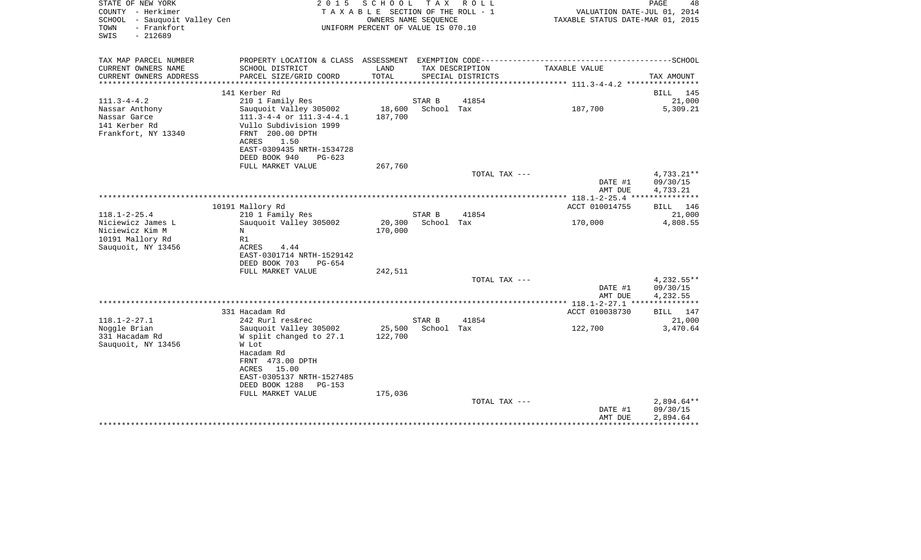| STATE OF NEW YORK                                   | 2015                                                                                         | SCHOOL TAX ROLL                                            |            |                   |                                  | PAGE<br>48   |
|-----------------------------------------------------|----------------------------------------------------------------------------------------------|------------------------------------------------------------|------------|-------------------|----------------------------------|--------------|
| COUNTY - Herkimer                                   |                                                                                              | TAXABLE SECTION OF THE ROLL - 1                            |            |                   | VALUATION DATE-JUL 01, 2014      |              |
| SCHOOL - Sauquoit Valley Cen<br>- Frankfort<br>TOWN |                                                                                              | OWNERS NAME SEQUENCE<br>UNIFORM PERCENT OF VALUE IS 070.10 |            |                   | TAXABLE STATUS DATE-MAR 01, 2015 |              |
| $-212689$<br>SWIS                                   |                                                                                              |                                                            |            |                   |                                  |              |
| TAX MAP PARCEL NUMBER                               | PROPERTY LOCATION & CLASS ASSESSMENT EXEMPTION CODE-----------------------------------SCHOOL |                                                            |            |                   |                                  |              |
| CURRENT OWNERS NAME                                 | SCHOOL DISTRICT                                                                              | LAND                                                       |            | TAX DESCRIPTION   | TAXABLE VALUE                    |              |
| CURRENT OWNERS ADDRESS<br>************************* | PARCEL SIZE/GRID COORD                                                                       | TOTAL                                                      |            | SPECIAL DISTRICTS |                                  | TAX AMOUNT   |
|                                                     | 141 Kerber Rd                                                                                |                                                            |            |                   |                                  | BILL 145     |
| $111.3 - 4 - 4.2$                                   | 210 1 Family Res                                                                             |                                                            | STAR B     | 41854             |                                  | 21,000       |
| Nassar Anthony                                      | Sauquoit Valley 305002                                                                       | 18,600                                                     | School Tax |                   | 187,700                          | 5,309.21     |
| Nassar Garce                                        | $111.3-4-4$ or $111.3-4-4.1$                                                                 | 187,700                                                    |            |                   |                                  |              |
| 141 Kerber Rd                                       | Vullo Subdivision 1999                                                                       |                                                            |            |                   |                                  |              |
| Frankfort, NY 13340                                 | FRNT 200.00 DPTH                                                                             |                                                            |            |                   |                                  |              |
|                                                     | ACRES<br>1.50                                                                                |                                                            |            |                   |                                  |              |
|                                                     | EAST-0309435 NRTH-1534728                                                                    |                                                            |            |                   |                                  |              |
|                                                     | DEED BOOK 940<br>$PG-623$                                                                    |                                                            |            |                   |                                  |              |
|                                                     | FULL MARKET VALUE                                                                            | 267,760                                                    |            |                   |                                  |              |
|                                                     |                                                                                              |                                                            |            | TOTAL TAX ---     |                                  | 4,733.21**   |
|                                                     |                                                                                              |                                                            |            |                   | DATE #1                          | 09/30/15     |
|                                                     |                                                                                              |                                                            |            |                   | AMT DUE                          | 4,733.21     |
|                                                     |                                                                                              |                                                            |            |                   |                                  |              |
|                                                     | 10191 Mallory Rd                                                                             |                                                            |            |                   | ACCT 010014755                   | BILL 146     |
| $118.1 - 2 - 25.4$                                  | 210 1 Family Res                                                                             |                                                            | STAR B     | 41854             |                                  | 21,000       |
| Niciewicz James L                                   | Sauquoit Valley 305002                                                                       | 20,300                                                     | School Tax |                   | 170,000                          | 4,808.55     |
| Niciewicz Kim M                                     | N                                                                                            | 170,000                                                    |            |                   |                                  |              |
| 10191 Mallory Rd                                    | R1                                                                                           |                                                            |            |                   |                                  |              |
| Sauquoit, NY 13456                                  | ACRES<br>4.44                                                                                |                                                            |            |                   |                                  |              |
|                                                     | EAST-0301714 NRTH-1529142                                                                    |                                                            |            |                   |                                  |              |
|                                                     | DEED BOOK 703<br>$PG-654$                                                                    |                                                            |            |                   |                                  |              |
|                                                     | FULL MARKET VALUE                                                                            | 242,511                                                    |            |                   |                                  |              |
|                                                     |                                                                                              |                                                            |            | TOTAL TAX ---     |                                  | 4,232.55**   |
|                                                     |                                                                                              |                                                            |            |                   | DATE #1                          | 09/30/15     |
|                                                     |                                                                                              |                                                            |            |                   | AMT DUE                          | 4,232.55     |
|                                                     |                                                                                              |                                                            |            |                   |                                  |              |
|                                                     | 331 Hacadam Rd                                                                               |                                                            |            |                   | ACCT 010038730                   | BILL 147     |
| $118.1 - 2 - 27.1$                                  | 242 Rurl res&rec                                                                             |                                                            | STAR B     | 41854             |                                  | 21,000       |
| Noggle Brian                                        | Sauquoit Valley 305002                                                                       | 25,500                                                     | School Tax |                   | 122,700                          | 3,470.64     |
| 331 Hacadam Rd                                      | W split changed to 27.1                                                                      | 122,700                                                    |            |                   |                                  |              |
| Sauquoit, NY 13456                                  | W Lot                                                                                        |                                                            |            |                   |                                  |              |
|                                                     | Hacadam Rd                                                                                   |                                                            |            |                   |                                  |              |
|                                                     | FRNT 473.00 DPTH                                                                             |                                                            |            |                   |                                  |              |
|                                                     | ACRES 15.00                                                                                  |                                                            |            |                   |                                  |              |
|                                                     | EAST-0305137 NRTH-1527485                                                                    |                                                            |            |                   |                                  |              |
|                                                     | DEED BOOK 1288<br>PG-153                                                                     |                                                            |            |                   |                                  |              |
|                                                     | FULL MARKET VALUE                                                                            | 175,036                                                    |            |                   |                                  |              |
|                                                     |                                                                                              |                                                            |            | TOTAL TAX ---     |                                  | $2,894.64**$ |
|                                                     |                                                                                              |                                                            |            |                   | DATE #1                          | 09/30/15     |
|                                                     |                                                                                              |                                                            |            |                   | AMT DUE                          | 2,894.64     |
|                                                     |                                                                                              |                                                            |            |                   |                                  |              |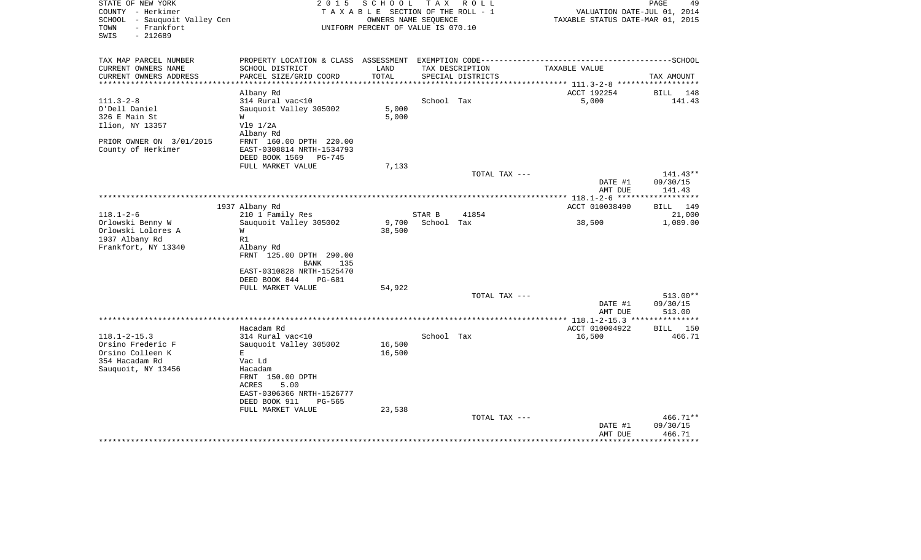| STATE OF NEW YORK<br>COUNTY - Herkimer                                   | 2 0 1 5                                                          | SCHOOL<br>TAXABLE SECTION OF THE ROLL - 1                  | T A X      | R O L L           | VALUATION DATE-JUL 01, 2014                        | PAGE<br>49             |
|--------------------------------------------------------------------------|------------------------------------------------------------------|------------------------------------------------------------|------------|-------------------|----------------------------------------------------|------------------------|
| SCHOOL - Sauquoit Valley Cen<br>- Frankfort<br>TOWN<br>SWIS<br>$-212689$ |                                                                  | OWNERS NAME SEQUENCE<br>UNIFORM PERCENT OF VALUE IS 070.10 |            |                   | TAXABLE STATUS DATE-MAR 01, 2015                   |                        |
| TAX MAP PARCEL NUMBER                                                    | PROPERTY LOCATION & CLASS ASSESSMENT EXEMPTION CODE------------- |                                                            |            |                   |                                                    | ----------------SCHOOL |
| CURRENT OWNERS NAME                                                      | SCHOOL DISTRICT                                                  | LAND                                                       |            | TAX DESCRIPTION   | TAXABLE VALUE                                      |                        |
| CURRENT OWNERS ADDRESS<br>****************                               | PARCEL SIZE/GRID COORD                                           | TOTAL<br>*************                                     |            | SPECIAL DISTRICTS | ******************** 111.3-2-8 ******************* | TAX AMOUNT             |
|                                                                          | Albany Rd                                                        |                                                            |            |                   | ACCT 192254                                        | 148<br>BILL            |
| $111.3 - 2 - 8$                                                          | 314 Rural vac<10                                                 |                                                            | School Tax |                   | 5,000                                              | 141.43                 |
| O'Dell Daniel                                                            | Sauquoit Valley 305002                                           | 5,000                                                      |            |                   |                                                    |                        |
| 326 E Main St                                                            | W                                                                | 5,000                                                      |            |                   |                                                    |                        |
| Ilion, NY 13357                                                          | V19 1/2A<br>Albany Rd                                            |                                                            |            |                   |                                                    |                        |
| PRIOR OWNER ON 3/01/2015                                                 | FRNT 160.00 DPTH 220.00                                          |                                                            |            |                   |                                                    |                        |
| County of Herkimer                                                       | EAST-0308814 NRTH-1534793                                        |                                                            |            |                   |                                                    |                        |
|                                                                          | DEED BOOK 1569<br>PG-745                                         |                                                            |            |                   |                                                    |                        |
|                                                                          | FULL MARKET VALUE                                                | 7,133                                                      |            |                   |                                                    |                        |
|                                                                          |                                                                  |                                                            |            | TOTAL TAX ---     | DATE #1                                            | $141.43**$<br>09/30/15 |
|                                                                          |                                                                  |                                                            |            |                   | AMT DUE                                            | 141.43                 |
|                                                                          |                                                                  |                                                            |            |                   |                                                    | *******                |
|                                                                          | 1937 Albany Rd                                                   |                                                            |            |                   | ACCT 010038490                                     | 149<br><b>BILL</b>     |
| $118.1 - 2 - 6$                                                          | 210 1 Family Res                                                 |                                                            | STAR B     | 41854             |                                                    | 21,000                 |
| Orlowski Benny W                                                         | Sauquoit Valley 305002                                           | 9,700                                                      | School Tax |                   | 38,500                                             | 1,089.00               |
| Orlowski Lolores A                                                       | M                                                                | 38,500                                                     |            |                   |                                                    |                        |
| 1937 Albany Rd                                                           | R1                                                               |                                                            |            |                   |                                                    |                        |
| Frankfort, NY 13340                                                      | Albany Rd                                                        |                                                            |            |                   |                                                    |                        |
|                                                                          | FRNT 125.00 DPTH 290.00                                          |                                                            |            |                   |                                                    |                        |
|                                                                          | BANK<br>135<br>EAST-0310828 NRTH-1525470                         |                                                            |            |                   |                                                    |                        |
|                                                                          | DEED BOOK 844<br>PG-681                                          |                                                            |            |                   |                                                    |                        |
|                                                                          | FULL MARKET VALUE                                                | 54,922                                                     |            |                   |                                                    |                        |
|                                                                          |                                                                  |                                                            |            | TOTAL TAX ---     |                                                    | 513.00**               |
|                                                                          |                                                                  |                                                            |            |                   | DATE #1                                            | 09/30/15               |
|                                                                          |                                                                  |                                                            |            |                   | AMT DUE                                            | 513.00                 |
|                                                                          |                                                                  |                                                            |            |                   |                                                    | ***********            |
|                                                                          | Hacadam Rd                                                       |                                                            |            |                   | ACCT 010004922                                     | 150<br>BILL            |
| $118.1 - 2 - 15.3$                                                       | 314 Rural vac<10                                                 |                                                            | School Tax |                   | 16,500                                             | 466.71                 |
| Orsino Frederic F                                                        | Sauquoit Valley 305002                                           | 16,500                                                     |            |                   |                                                    |                        |
| Orsino Colleen K<br>354 Hacadam Rd                                       | E<br>Vac Ld                                                      | 16,500                                                     |            |                   |                                                    |                        |
| Sauquoit, NY 13456                                                       | Hacadam                                                          |                                                            |            |                   |                                                    |                        |
|                                                                          | FRNT 150.00 DPTH                                                 |                                                            |            |                   |                                                    |                        |
|                                                                          | 5.00<br><b>ACRES</b>                                             |                                                            |            |                   |                                                    |                        |
|                                                                          | EAST-0306366 NRTH-1526777                                        |                                                            |            |                   |                                                    |                        |
|                                                                          | DEED BOOK 911<br>PG-565                                          |                                                            |            |                   |                                                    |                        |
|                                                                          | FULL MARKET VALUE                                                | 23,538                                                     |            |                   |                                                    |                        |
|                                                                          |                                                                  |                                                            |            | TOTAL TAX ---     |                                                    | $466.71**$             |
|                                                                          |                                                                  |                                                            |            |                   | DATE #1                                            | 09/30/15               |
|                                                                          |                                                                  |                                                            |            |                   | AMT DUE                                            | 466.71                 |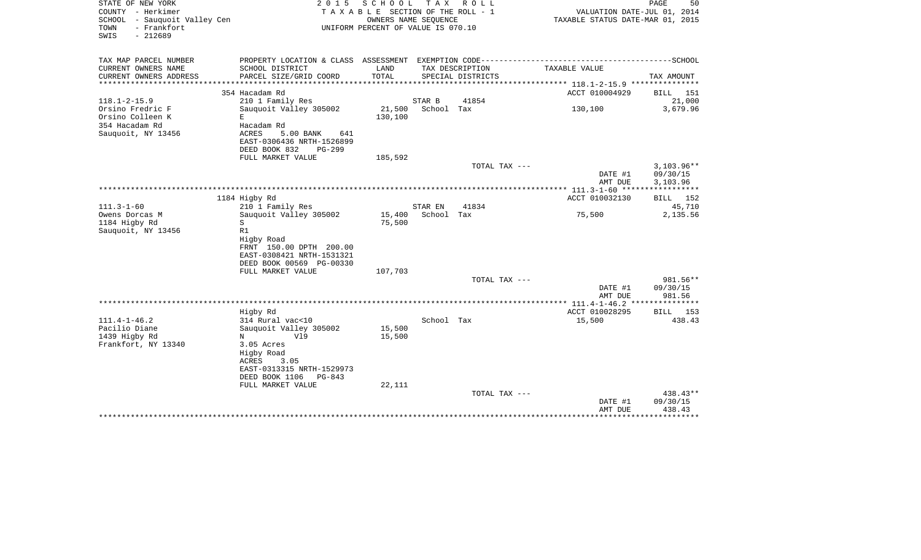| STATE OF NEW YORK<br>COUNTY - Herkimer<br>- Sauquoit Valley Cen<br>SCHOOL<br>- Frankfort<br>TOWN<br>SWIS<br>$-212689$ | 2 0 1 5                                                                                                                               | SCHOOL<br>T A X A B L E SECTION OF THE ROLL - 1<br>OWNERS NAME SEQUENCE<br>UNIFORM PERCENT OF VALUE IS 070.10 | T A X                 | R O L L                                             | VALUATION DATE-JUL 01, 2014<br>TAXABLE STATUS DATE-MAR 01, 2015 | PAGE<br>50                           |
|-----------------------------------------------------------------------------------------------------------------------|---------------------------------------------------------------------------------------------------------------------------------------|---------------------------------------------------------------------------------------------------------------|-----------------------|-----------------------------------------------------|-----------------------------------------------------------------|--------------------------------------|
| TAX MAP PARCEL NUMBER<br>CURRENT OWNERS NAME                                                                          | SCHOOL DISTRICT                                                                                                                       | LAND                                                                                                          |                       | TAX DESCRIPTION                                     | TAXABLE VALUE                                                   |                                      |
| CURRENT OWNERS ADDRESS<br>*******************                                                                         | PARCEL SIZE/GRID COORD<br>*******************                                                                                         | TOTAL                                                                                                         |                       | SPECIAL DISTRICTS<br>****************************** | ************* 118.1-2-15.9 ****************                     | TAX AMOUNT                           |
|                                                                                                                       | 354 Hacadam Rd                                                                                                                        |                                                                                                               |                       |                                                     | ACCT 010004929                                                  | BILL<br>151                          |
| $118.1 - 2 - 15.9$                                                                                                    | 210 1 Family Res                                                                                                                      |                                                                                                               | STAR B                | 41854                                               |                                                                 | 21,000                               |
| Orsino Fredric F<br>Orsino Colleen K<br>354 Hacadam Rd<br>Sauquoit, NY 13456                                          | Sauquoit Valley 305002<br>E<br>Hacadam Rd<br>ACRES<br>5.00 BANK<br>641<br>EAST-0306436 NRTH-1526899<br>DEED BOOK 832<br><b>PG-299</b> | 21,500<br>130,100                                                                                             | School Tax            |                                                     | 130,100                                                         | 3,679.96                             |
|                                                                                                                       | FULL MARKET VALUE                                                                                                                     | 185,592                                                                                                       |                       |                                                     |                                                                 |                                      |
|                                                                                                                       |                                                                                                                                       |                                                                                                               |                       | TOTAL TAX ---                                       | DATE #1<br>AMT DUE                                              | $3,103.96**$<br>09/30/15<br>3,103.96 |
|                                                                                                                       |                                                                                                                                       |                                                                                                               |                       |                                                     |                                                                 |                                      |
| $111.3 - 1 - 60$                                                                                                      | 1184 Higby Rd                                                                                                                         |                                                                                                               |                       |                                                     | ACCT 010032130                                                  | 152<br>BILL                          |
| Owens Dorcas M                                                                                                        | 210 1 Family Res<br>Sauquoit Valley 305002                                                                                            | 15,400                                                                                                        | STAR EN<br>School Tax | 41834                                               | 75,500                                                          | 45,710<br>2,135.56                   |
| 1184 Higby Rd<br>Sauquoit, NY 13456                                                                                   | S<br>R1<br>Higby Road<br>FRNT 150.00 DPTH 200.00<br>EAST-0308421 NRTH-1531321<br>DEED BOOK 00569 PG-00330<br>FULL MARKET VALUE        | 75,500<br>107,703                                                                                             |                       |                                                     |                                                                 |                                      |
|                                                                                                                       |                                                                                                                                       |                                                                                                               |                       | TOTAL TAX ---                                       |                                                                 | 981.56**                             |
|                                                                                                                       |                                                                                                                                       |                                                                                                               |                       |                                                     | DATE #1<br>AMT DUE                                              | 09/30/15<br>981.56                   |
|                                                                                                                       |                                                                                                                                       |                                                                                                               |                       |                                                     |                                                                 | **********                           |
|                                                                                                                       | Higby Rd                                                                                                                              |                                                                                                               |                       |                                                     | ACCT 010028295                                                  | 153<br>BILL                          |
| $111.4 - 1 - 46.2$                                                                                                    | 314 Rural vac<10                                                                                                                      |                                                                                                               | School Tax            |                                                     | 15,500                                                          | 438.43                               |
| Pacilio Diane<br>1439 Higby Rd                                                                                        | Sauguoit Valley 305002<br>V19<br>N                                                                                                    | 15,500<br>15,500                                                                                              |                       |                                                     |                                                                 |                                      |
| Frankfort, NY 13340                                                                                                   | 3.05 Acres<br>Higby Road<br>3.05<br>ACRES<br>EAST-0313315 NRTH-1529973<br>DEED BOOK 1106<br>PG-843                                    |                                                                                                               |                       |                                                     |                                                                 |                                      |
|                                                                                                                       | FULL MARKET VALUE                                                                                                                     | 22,111                                                                                                        |                       | TOTAL TAX ---                                       |                                                                 | 438.43**                             |
|                                                                                                                       |                                                                                                                                       |                                                                                                               |                       |                                                     | DATE #1<br>AMT DUE                                              | 09/30/15<br>438.43                   |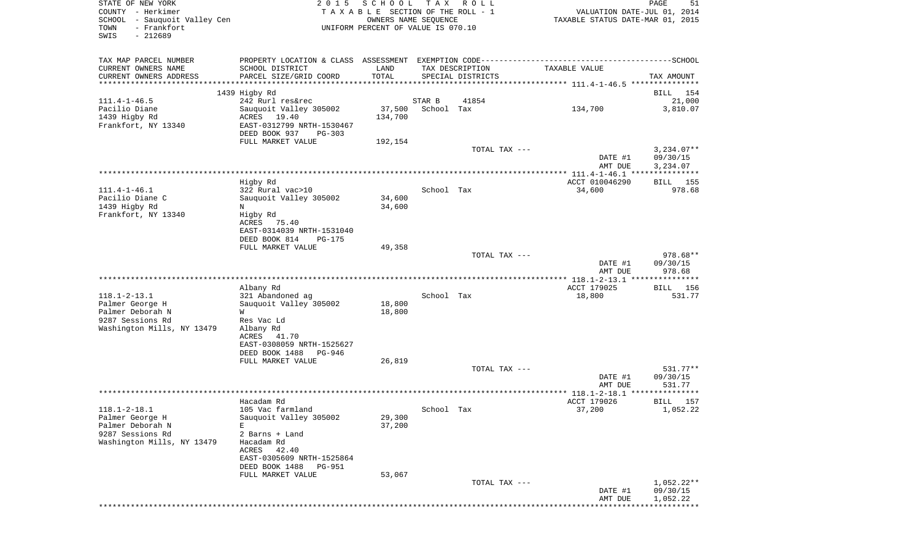| STATE OF NEW YORK<br>COUNTY - Herkimer<br>- Sauquoit Valley Cen<br>SCHOOL<br>- Frankfort<br>TOWN<br>$-212689$<br>SWIS | 2 0 1 5                                                                                                             | SCHOOL TAX ROLL<br>TAXABLE SECTION OF THE ROLL - 1<br>OWNERS NAME SEQUENCE<br>UNIFORM PERCENT OF VALUE IS 070.10 |                             |                                      |                                                                                              |                          |  |
|-----------------------------------------------------------------------------------------------------------------------|---------------------------------------------------------------------------------------------------------------------|------------------------------------------------------------------------------------------------------------------|-----------------------------|--------------------------------------|----------------------------------------------------------------------------------------------|--------------------------|--|
| TAX MAP PARCEL NUMBER                                                                                                 |                                                                                                                     |                                                                                                                  |                             |                                      | PROPERTY LOCATION & CLASS ASSESSMENT EXEMPTION CODE-----------------------------------SCHOOL |                          |  |
| CURRENT OWNERS NAME<br>CURRENT OWNERS ADDRESS                                                                         | SCHOOL DISTRICT<br>PARCEL SIZE/GRID COORD                                                                           | LAND<br>TOTAL                                                                                                    |                             | TAX DESCRIPTION<br>SPECIAL DISTRICTS | TAXABLE VALUE                                                                                | TAX AMOUNT               |  |
| **********************                                                                                                |                                                                                                                     |                                                                                                                  |                             |                                      |                                                                                              |                          |  |
|                                                                                                                       | 1439 Higby Rd                                                                                                       |                                                                                                                  |                             |                                      |                                                                                              | BILL 154                 |  |
| $111.4 - 1 - 46.5$<br>Pacilio Diane<br>1439 Higby Rd<br>Frankfort, NY 13340                                           | 242 Rurl res&rec<br>Sauquoit Valley 305002<br>ACRES 19.40<br>EAST-0312799 NRTH-1530467<br>DEED BOOK 937<br>$PG-303$ | 134,700                                                                                                          | STAR B<br>37,500 School Tax | 41854                                | 134,700                                                                                      | 21,000<br>3,810.07       |  |
|                                                                                                                       | FULL MARKET VALUE                                                                                                   | 192,154                                                                                                          |                             |                                      |                                                                                              |                          |  |
|                                                                                                                       |                                                                                                                     |                                                                                                                  |                             | TOTAL TAX ---                        | DATE #1                                                                                      | $3,234.07**$<br>09/30/15 |  |
|                                                                                                                       |                                                                                                                     |                                                                                                                  |                             |                                      | AMT DUE                                                                                      | 3,234.07                 |  |
|                                                                                                                       |                                                                                                                     |                                                                                                                  |                             |                                      |                                                                                              |                          |  |
| $111.4 - 1 - 46.1$                                                                                                    | Higby Rd<br>322 Rural vac>10                                                                                        |                                                                                                                  | School Tax                  |                                      | ACCT 010046290<br>34,600                                                                     | BILL 155<br>978.68       |  |
| Pacilio Diane C<br>1439 Higby Rd<br>Frankfort, NY 13340                                                               | Sauquoit Valley 305002<br>N<br>Higby Rd                                                                             | 34,600<br>34,600                                                                                                 |                             |                                      |                                                                                              |                          |  |
|                                                                                                                       | ACRES<br>75.40<br>EAST-0314039 NRTH-1531040                                                                         |                                                                                                                  |                             |                                      |                                                                                              |                          |  |
|                                                                                                                       | DEED BOOK 814<br><b>PG-175</b><br>FULL MARKET VALUE                                                                 |                                                                                                                  |                             |                                      |                                                                                              |                          |  |
|                                                                                                                       |                                                                                                                     | 49,358                                                                                                           |                             | TOTAL TAX ---                        |                                                                                              | 978.68**                 |  |
|                                                                                                                       |                                                                                                                     |                                                                                                                  |                             |                                      | DATE #1<br>AMT DUE                                                                           | 09/30/15<br>978.68       |  |
|                                                                                                                       |                                                                                                                     |                                                                                                                  |                             |                                      |                                                                                              |                          |  |
|                                                                                                                       | Albany Rd                                                                                                           |                                                                                                                  |                             |                                      | ACCT 179025                                                                                  | BILL 156                 |  |
| $118.1 - 2 - 13.1$<br>Palmer George H                                                                                 | 321 Abandoned ag<br>Sauquoit Valley 305002                                                                          | 18,800                                                                                                           | School Tax                  |                                      | 18,800                                                                                       | 531.77                   |  |
| Palmer Deborah N                                                                                                      | W                                                                                                                   | 18,800                                                                                                           |                             |                                      |                                                                                              |                          |  |
| 9287 Sessions Rd<br>Washington Mills, NY 13479                                                                        | Res Vac Ld<br>Albany Rd                                                                                             |                                                                                                                  |                             |                                      |                                                                                              |                          |  |
|                                                                                                                       | ACRES<br>41.70<br>EAST-0308059 NRTH-1525627                                                                         |                                                                                                                  |                             |                                      |                                                                                              |                          |  |
|                                                                                                                       | DEED BOOK 1488 PG-946                                                                                               |                                                                                                                  |                             |                                      |                                                                                              |                          |  |
|                                                                                                                       | FULL MARKET VALUE                                                                                                   | 26,819                                                                                                           |                             | TOTAL TAX ---                        |                                                                                              | $531.77**$               |  |
|                                                                                                                       |                                                                                                                     |                                                                                                                  |                             |                                      | DATE #1<br>AMT DUE                                                                           | 09/30/15<br>531.77       |  |
|                                                                                                                       |                                                                                                                     |                                                                                                                  |                             |                                      |                                                                                              |                          |  |
|                                                                                                                       | Hacadam Rd                                                                                                          |                                                                                                                  |                             |                                      | ACCT 179026                                                                                  | BILL 157                 |  |
| $118.1 - 2 - 18.1$<br>Palmer George H<br>Palmer Deborah N                                                             | 105 Vac farmland<br>Sauguoit Valley 305002<br>E                                                                     | 29,300<br>37,200                                                                                                 | School Tax                  |                                      | 37,200                                                                                       | 1,052.22                 |  |
| 9287 Sessions Rd<br>Washington Mills, NY 13479                                                                        | 2 Barns + Land<br>Hacadam Rd                                                                                        |                                                                                                                  |                             |                                      |                                                                                              |                          |  |
|                                                                                                                       | ACRES 42.40<br>EAST-0305609 NRTH-1525864                                                                            |                                                                                                                  |                             |                                      |                                                                                              |                          |  |
|                                                                                                                       | DEED BOOK 1488 PG-951<br>FULL MARKET VALUE                                                                          |                                                                                                                  |                             |                                      |                                                                                              |                          |  |
|                                                                                                                       |                                                                                                                     | 53,067                                                                                                           |                             | TOTAL TAX ---                        | DATE #1                                                                                      | $1,052.22**$<br>09/30/15 |  |
|                                                                                                                       |                                                                                                                     |                                                                                                                  |                             |                                      |                                                                                              |                          |  |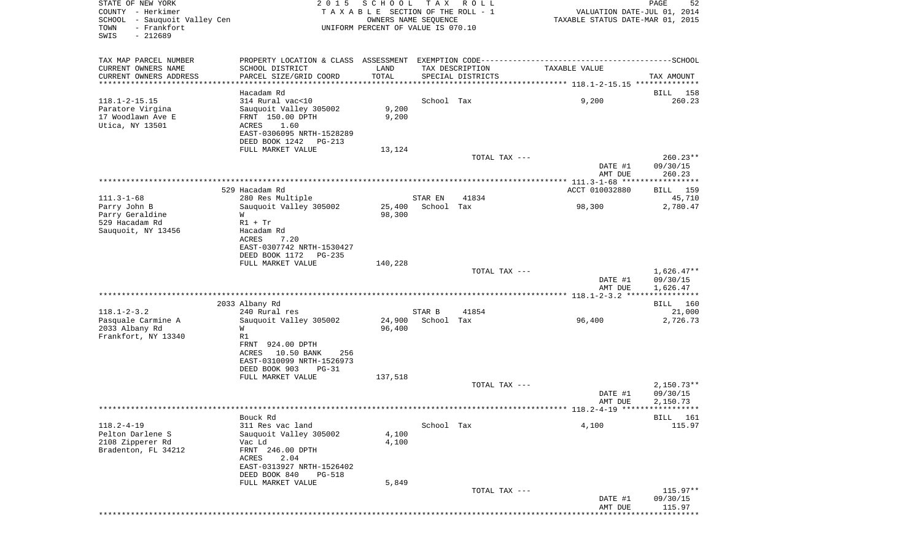| STATE OF NEW YORK<br>COUNTY - Herkimer<br>SCHOOL - Sauquoit Valley Cen<br>- Frankfort<br>TOWN<br>SWIS<br>$-212689$ | 2 0 1 5                                                                                                                                                | SCHOOL<br>TAXABLE SECTION OF THE ROLL - 1<br>OWNERS NAME SEQUENCE<br>UNIFORM PERCENT OF VALUE IS 070.10 | T A X                | R O L L                              | VALUATION DATE-JUL 01, 2014<br>TAXABLE STATUS DATE-MAR 01, 2015 | PAGE<br>52                           |
|--------------------------------------------------------------------------------------------------------------------|--------------------------------------------------------------------------------------------------------------------------------------------------------|---------------------------------------------------------------------------------------------------------|----------------------|--------------------------------------|-----------------------------------------------------------------|--------------------------------------|
| TAX MAP PARCEL NUMBER<br>CURRENT OWNERS NAME<br>CURRENT OWNERS ADDRESS                                             | SCHOOL DISTRICT<br>PARCEL SIZE/GRID COORD                                                                                                              | LAND<br>TOTAL                                                                                           |                      | TAX DESCRIPTION<br>SPECIAL DISTRICTS | TAXABLE VALUE                                                   | TAX AMOUNT                           |
| *********************                                                                                              |                                                                                                                                                        |                                                                                                         |                      |                                      |                                                                 |                                      |
| $118.1 - 2 - 15.15$<br>Paratore Virgina<br>17 Woodlawn Ave E<br>Utica, NY 13501                                    | Hacadam Rd<br>314 Rural vac<10<br>Sauquoit Valley 305002<br>FRNT 150.00 DPTH<br>ACRES<br>1.60<br>EAST-0306095 NRTH-1528289<br>DEED BOOK 1242<br>PG-213 | 9,200<br>9,200                                                                                          | School Tax           |                                      | 9,200                                                           | 158<br>BILL<br>260.23                |
|                                                                                                                    | FULL MARKET VALUE                                                                                                                                      | 13,124                                                                                                  |                      |                                      |                                                                 |                                      |
|                                                                                                                    |                                                                                                                                                        |                                                                                                         |                      | TOTAL TAX ---                        | DATE #1<br>AMT DUE                                              | $260.23**$<br>09/30/15<br>260.23     |
|                                                                                                                    |                                                                                                                                                        |                                                                                                         |                      |                                      |                                                                 |                                      |
| $111.3 - 1 - 68$                                                                                                   | 529 Hacadam Rd<br>280 Res Multiple                                                                                                                     |                                                                                                         | STAR EN              | 41834                                | ACCT 010032880                                                  | BILL 159<br>45,710                   |
| Parry John B<br>Parry Geraldine<br>529 Hacadam Rd                                                                  | Sauquoit Valley 305002<br>W<br>$R1 + Tr$                                                                                                               | 25,400<br>98,300                                                                                        | School Tax           |                                      | 98,300                                                          | 2,780.47                             |
| Sauquoit, NY 13456                                                                                                 | Hacadam Rd<br>ACRES<br>7.20<br>EAST-0307742 NRTH-1530427<br>DEED BOOK 1172<br><b>PG-235</b>                                                            |                                                                                                         |                      |                                      |                                                                 |                                      |
|                                                                                                                    | FULL MARKET VALUE                                                                                                                                      | 140,228                                                                                                 |                      | TOTAL TAX ---                        | DATE #1<br>AMT DUE                                              | $1,626.47**$<br>09/30/15<br>1,626.47 |
|                                                                                                                    |                                                                                                                                                        |                                                                                                         |                      |                                      |                                                                 |                                      |
|                                                                                                                    | 2033 Albany Rd                                                                                                                                         |                                                                                                         |                      |                                      |                                                                 | BILL 160                             |
| $118.1 - 2 - 3.2$<br>Pasquale Carmine A<br>2033 Albany Rd                                                          | 240 Rural res<br>Sauquoit Valley 305002<br>W                                                                                                           | 24,900<br>96,400                                                                                        | STAR B<br>School Tax | 41854                                | 96,400                                                          | 21,000<br>2,726.73                   |
| Frankfort, NY 13340                                                                                                | R1<br>FRNT 924.00 DPTH<br>10.50 BANK<br>ACRES<br>256<br>EAST-0310099 NRTH-1526973<br>DEED BOOK 903<br>$PG-31$                                          |                                                                                                         |                      |                                      |                                                                 |                                      |
|                                                                                                                    | FULL MARKET VALUE                                                                                                                                      | 137,518                                                                                                 |                      |                                      |                                                                 |                                      |
|                                                                                                                    |                                                                                                                                                        |                                                                                                         |                      | TOTAL TAX ---                        | DATE #1<br>AMT DUE                                              | $2,150.73**$<br>09/30/15<br>2,150.73 |
|                                                                                                                    |                                                                                                                                                        |                                                                                                         |                      |                                      |                                                                 |                                      |
| $118.2 - 4 - 19$<br>Pelton Darlene S<br>2108 Zipperer Rd<br>Bradenton, FL 34212                                    | Bouck Rd<br>311 Res vac land<br>Sauquoit Valley 305002<br>Vac Ld<br>FRNT 246.00 DPTH<br>2.04<br>ACRES<br>EAST-0313927 NRTH-1526402                     | 4,100<br>4,100                                                                                          | School Tax           |                                      | 4,100                                                           | BILL 161<br>115.97                   |
|                                                                                                                    | DEED BOOK 840<br>PG-518                                                                                                                                |                                                                                                         |                      |                                      |                                                                 |                                      |
|                                                                                                                    | FULL MARKET VALUE                                                                                                                                      | 5,849                                                                                                   |                      | TOTAL TAX ---                        | DATE #1                                                         | $115.97**$<br>09/30/15               |
|                                                                                                                    |                                                                                                                                                        |                                                                                                         |                      |                                      | AMT DUE                                                         | 115.97                               |
|                                                                                                                    |                                                                                                                                                        |                                                                                                         |                      |                                      |                                                                 |                                      |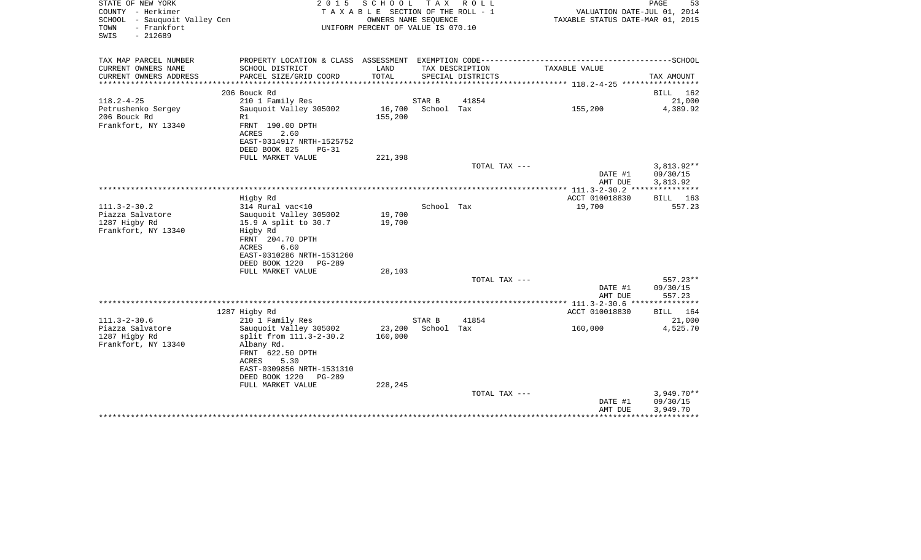| STATE OF NEW YORK<br>COUNTY - Herkimer<br>SCHOOL - Sauquoit Valley Cen<br>- Frankfort<br>TOWN<br>$-212689$<br>SWIS | 2 0 1 5                                                                                                                                                                       | SCHOOL<br>T A X A B L E SECTION OF THE ROLL - 1<br>OWNERS NAME SEQUENCE<br>UNIFORM PERCENT OF VALUE IS 070.10 | T A X                | R O L L           | VALUATION DATE-JUL 01, 2014<br>TAXABLE STATUS DATE-MAR 01, 2015 | PAGE<br>53                           |
|--------------------------------------------------------------------------------------------------------------------|-------------------------------------------------------------------------------------------------------------------------------------------------------------------------------|---------------------------------------------------------------------------------------------------------------|----------------------|-------------------|-----------------------------------------------------------------|--------------------------------------|
| TAX MAP PARCEL NUMBER<br>CURRENT OWNERS NAME                                                                       | SCHOOL DISTRICT                                                                                                                                                               | LAND                                                                                                          |                      | TAX DESCRIPTION   | TAXABLE VALUE                                                   |                                      |
| CURRENT OWNERS ADDRESS<br>********************                                                                     | PARCEL SIZE/GRID COORD<br>************************                                                                                                                            | TOTAL                                                                                                         |                      | SPECIAL DISTRICTS |                                                                 | TAX AMOUNT                           |
|                                                                                                                    | 206 Bouck Rd                                                                                                                                                                  |                                                                                                               |                      |                   |                                                                 | <b>BILL</b><br>162                   |
| $118.2 - 4 - 25$                                                                                                   | 210 1 Family Res                                                                                                                                                              |                                                                                                               | STAR B               | 41854             |                                                                 | 21,000                               |
| Petrushenko Sergey<br>206 Bouck Rd<br>Frankfort, NY 13340                                                          | Sauquoit Valley 305002<br>R1<br>FRNT 190.00 DPTH<br><b>ACRES</b><br>2.60<br>EAST-0314917 NRTH-1525752<br>DEED BOOK 825<br>$PG-31$                                             | 16,700<br>155,200                                                                                             | School Tax           |                   | 155,200                                                         | 4,389.92                             |
|                                                                                                                    | FULL MARKET VALUE                                                                                                                                                             | 221,398                                                                                                       |                      |                   |                                                                 |                                      |
|                                                                                                                    |                                                                                                                                                                               |                                                                                                               |                      | TOTAL TAX ---     | DATE #1<br>AMT DUE                                              | $3,813.92**$<br>09/30/15<br>3,813.92 |
|                                                                                                                    |                                                                                                                                                                               |                                                                                                               |                      |                   |                                                                 | ***********                          |
|                                                                                                                    | Higby Rd                                                                                                                                                                      |                                                                                                               |                      |                   | ACCT 010018830                                                  | BILL 163                             |
| $111.3 - 2 - 30.2$<br>Piazza Salvatore                                                                             | 314 Rural vac<10                                                                                                                                                              | 19,700                                                                                                        | School Tax           |                   | 19,700                                                          | 557.23                               |
| 1287 Higby Rd<br>Frankfort, NY 13340                                                                               | Sauquoit Valley 305002<br>15.9 A split to 30.7<br>Higby Rd<br>FRNT 204.70 DPTH<br>6.60<br>ACRES<br>EAST-0310286 NRTH-1531260<br>DEED BOOK 1220<br>PG-289<br>FULL MARKET VALUE | 19,700<br>28,103                                                                                              |                      |                   |                                                                 |                                      |
|                                                                                                                    |                                                                                                                                                                               |                                                                                                               |                      | TOTAL TAX ---     |                                                                 | 557.23**                             |
|                                                                                                                    |                                                                                                                                                                               |                                                                                                               |                      |                   | DATE #1<br>AMT DUE                                              | 09/30/15<br>557.23                   |
|                                                                                                                    |                                                                                                                                                                               |                                                                                                               |                      |                   | *** $111.3 - 2 - 30.6$ *                                        | ********                             |
|                                                                                                                    | 1287 Higby Rd                                                                                                                                                                 |                                                                                                               |                      |                   | ACCT 010018830                                                  | 164<br>BILL                          |
| $111.3 - 2 - 30.6$<br>Piazza Salvatore<br>1287 Higby Rd                                                            | 210 1 Family Res<br>Sauguoit Valley 305002<br>split from 111.3-2-30.2                                                                                                         | 23,200<br>160,000                                                                                             | STAR B<br>School Tax | 41854             | 160,000                                                         | 21,000<br>4,525.70                   |
| Frankfort, NY 13340                                                                                                | Albany Rd.<br>FRNT 622.50 DPTH<br>5.30<br>ACRES<br>EAST-0309856 NRTH-1531310<br>DEED BOOK 1220<br>$PG-289$<br>FULL MARKET VALUE                                               | 228,245                                                                                                       |                      |                   |                                                                 |                                      |
|                                                                                                                    |                                                                                                                                                                               |                                                                                                               |                      | TOTAL TAX ---     |                                                                 | $3,949.70**$                         |
|                                                                                                                    |                                                                                                                                                                               |                                                                                                               |                      |                   | DATE #1<br>AMT DUE                                              | 09/30/15<br>3,949.70                 |
|                                                                                                                    |                                                                                                                                                                               |                                                                                                               |                      |                   |                                                                 |                                      |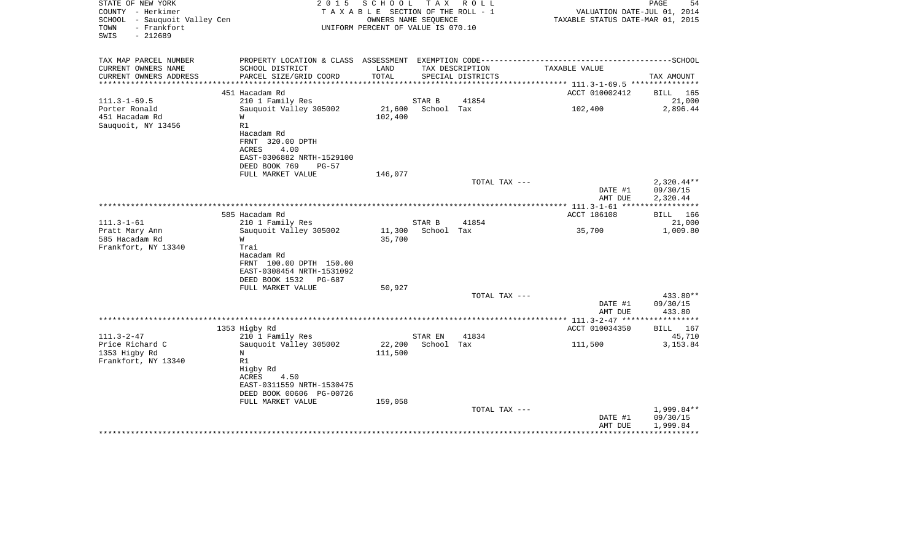| STATE OF NEW YORK<br>COUNTY - Herkimer<br>SCHOOL - Sauquoit Valley Cen<br>TOWN<br>- Frankfort<br>$-212689$<br>SWIS | 2 0 1 5                                                                  | SCHOOL<br>TAXABLE SECTION OF THE ROLL - 1<br>OWNERS NAME SEQUENCE<br>UNIFORM PERCENT OF VALUE IS 070.10 |                      | TAX ROLL          | VALUATION DATE-JUL 01, 2014<br>TAXABLE STATUS DATE-MAR 01, 2015 | PAGE<br>54                |
|--------------------------------------------------------------------------------------------------------------------|--------------------------------------------------------------------------|---------------------------------------------------------------------------------------------------------|----------------------|-------------------|-----------------------------------------------------------------|---------------------------|
| TAX MAP PARCEL NUMBER                                                                                              | PROPERTY LOCATION & CLASS ASSESSMENT EXEMPTION CODE--------------------- |                                                                                                         |                      |                   |                                                                 | -------------------SCHOOL |
| CURRENT OWNERS NAME                                                                                                | SCHOOL DISTRICT                                                          | LAND                                                                                                    |                      | TAX DESCRIPTION   | TAXABLE VALUE                                                   |                           |
| CURRENT OWNERS ADDRESS<br>*********************                                                                    | PARCEL SIZE/GRID COORD                                                   | TOTAL                                                                                                   |                      | SPECIAL DISTRICTS |                                                                 | TAX AMOUNT                |
|                                                                                                                    | 451 Hacadam Rd                                                           |                                                                                                         |                      |                   | ACCT 010002412                                                  | <b>BILL</b> 165           |
| $111.3 - 1 - 69.5$                                                                                                 | 210 1 Family Res                                                         |                                                                                                         | STAR B               | 41854             |                                                                 | 21,000                    |
| Porter Ronald                                                                                                      | Sauquoit Valley 305002                                                   | 21,600                                                                                                  | School Tax           |                   | 102,400                                                         | 2,896.44                  |
| 451 Hacadam Rd                                                                                                     | W                                                                        | 102,400                                                                                                 |                      |                   |                                                                 |                           |
| Sauquoit, NY 13456                                                                                                 | R1                                                                       |                                                                                                         |                      |                   |                                                                 |                           |
|                                                                                                                    | Hacadam Rd                                                               |                                                                                                         |                      |                   |                                                                 |                           |
|                                                                                                                    | FRNT 320.00 DPTH                                                         |                                                                                                         |                      |                   |                                                                 |                           |
|                                                                                                                    | 4.00<br>ACRES                                                            |                                                                                                         |                      |                   |                                                                 |                           |
|                                                                                                                    | EAST-0306882 NRTH-1529100<br>DEED BOOK 769<br>$PG-57$                    |                                                                                                         |                      |                   |                                                                 |                           |
|                                                                                                                    | FULL MARKET VALUE                                                        | 146,077                                                                                                 |                      |                   |                                                                 |                           |
|                                                                                                                    |                                                                          |                                                                                                         |                      | TOTAL TAX ---     |                                                                 | $2,320.44**$              |
|                                                                                                                    |                                                                          |                                                                                                         |                      |                   | DATE #1                                                         | 09/30/15                  |
|                                                                                                                    |                                                                          |                                                                                                         |                      |                   | AMT DUE                                                         | 2,320.44                  |
|                                                                                                                    |                                                                          |                                                                                                         |                      |                   |                                                                 |                           |
|                                                                                                                    | 585 Hacadam Rd                                                           |                                                                                                         |                      | 41854             | ACCT 186108                                                     | BILL 166                  |
| $111.3 - 1 - 61$<br>Pratt Mary Ann                                                                                 | 210 1 Family Res<br>Sauquoit Valley 305002                               | 11,300                                                                                                  | STAR B<br>School Tax |                   | 35,700                                                          | 21,000<br>1,009.80        |
| 585 Hacadam Rd                                                                                                     | W                                                                        | 35,700                                                                                                  |                      |                   |                                                                 |                           |
| Frankfort, NY 13340                                                                                                | Trai                                                                     |                                                                                                         |                      |                   |                                                                 |                           |
|                                                                                                                    | Hacadam Rd                                                               |                                                                                                         |                      |                   |                                                                 |                           |
|                                                                                                                    | FRNT 100.00 DPTH 150.00                                                  |                                                                                                         |                      |                   |                                                                 |                           |
|                                                                                                                    | EAST-0308454 NRTH-1531092                                                |                                                                                                         |                      |                   |                                                                 |                           |
|                                                                                                                    | DEED BOOK 1532<br>PG-687                                                 |                                                                                                         |                      |                   |                                                                 |                           |
|                                                                                                                    | FULL MARKET VALUE                                                        | 50,927                                                                                                  |                      | TOTAL TAX ---     |                                                                 | 433.80**                  |
|                                                                                                                    |                                                                          |                                                                                                         |                      |                   | DATE #1                                                         | 09/30/15                  |
|                                                                                                                    |                                                                          |                                                                                                         |                      |                   | AMT DUE                                                         | 433.80                    |
|                                                                                                                    |                                                                          |                                                                                                         |                      |                   |                                                                 |                           |
|                                                                                                                    | 1353 Higby Rd                                                            |                                                                                                         |                      |                   | ACCT 010034350                                                  | BILL 167                  |
| $111.3 - 2 - 47$                                                                                                   | 210 1 Family Res                                                         |                                                                                                         | STAR EN              | 41834             |                                                                 | 45,710                    |
| Price Richard C                                                                                                    | Sauquoit Valley 305002                                                   | 22,200                                                                                                  | School Tax           |                   | 111,500                                                         | 3,153.84                  |
| 1353 Higby Rd                                                                                                      | N                                                                        | 111,500                                                                                                 |                      |                   |                                                                 |                           |
| Frankfort, NY 13340                                                                                                | R1<br>Higby Rd                                                           |                                                                                                         |                      |                   |                                                                 |                           |
|                                                                                                                    | ACRES<br>4.50                                                            |                                                                                                         |                      |                   |                                                                 |                           |
|                                                                                                                    | EAST-0311559 NRTH-1530475                                                |                                                                                                         |                      |                   |                                                                 |                           |
|                                                                                                                    | DEED BOOK 00606 PG-00726                                                 |                                                                                                         |                      |                   |                                                                 |                           |
|                                                                                                                    | FULL MARKET VALUE                                                        | 159,058                                                                                                 |                      |                   |                                                                 |                           |
|                                                                                                                    |                                                                          |                                                                                                         |                      | TOTAL TAX ---     |                                                                 | 1,999.84**                |
|                                                                                                                    |                                                                          |                                                                                                         |                      |                   | DATE #1                                                         | 09/30/15                  |
|                                                                                                                    |                                                                          |                                                                                                         |                      |                   | AMT DUE                                                         | 1,999.84                  |
|                                                                                                                    |                                                                          |                                                                                                         |                      |                   |                                                                 |                           |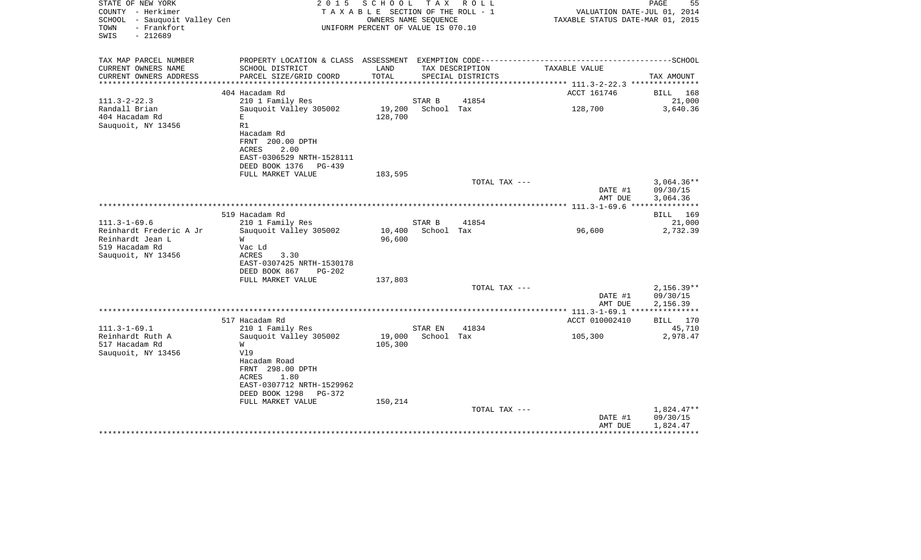| STATE OF NEW YORK<br>COUNTY - Herkimer<br>SCHOOL - Sauquoit Valley Cen<br>TOWN<br>- Frankfort<br>$-212689$<br>SWIS | 2 0 1 5                           | SCHOOL TAX ROLL<br>TAXABLE SECTION OF THE ROLL - 1<br>OWNERS NAME SEQUENCE<br>UNIFORM PERCENT OF VALUE IS 070.10 |            |                   | VALUATION DATE-JUL 01, 2014<br>TAXABLE STATUS DATE-MAR 01, 2015 | PAGE<br>55           |
|--------------------------------------------------------------------------------------------------------------------|-----------------------------------|------------------------------------------------------------------------------------------------------------------|------------|-------------------|-----------------------------------------------------------------|----------------------|
| TAX MAP PARCEL NUMBER                                                                                              |                                   |                                                                                                                  |            |                   |                                                                 |                      |
| CURRENT OWNERS NAME                                                                                                | SCHOOL DISTRICT                   | LAND                                                                                                             |            | TAX DESCRIPTION   | TAXABLE VALUE                                                   |                      |
| CURRENT OWNERS ADDRESS<br>**********************                                                                   | PARCEL SIZE/GRID COORD            | TOTAL                                                                                                            |            | SPECIAL DISTRICTS |                                                                 | TAX AMOUNT           |
|                                                                                                                    | 404 Hacadam Rd                    |                                                                                                                  |            |                   | ACCT 161746                                                     | BILL 168             |
| $111.3 - 2 - 22.3$                                                                                                 | 210 1 Family Res                  |                                                                                                                  | STAR B     | 41854             |                                                                 | 21,000               |
| Randall Brian                                                                                                      | Sauguoit Valley 305002            | 19,200                                                                                                           | School Tax |                   | 128,700                                                         | 3,640.36             |
| 404 Hacadam Rd                                                                                                     | E                                 | 128,700                                                                                                          |            |                   |                                                                 |                      |
| Sauquoit, NY 13456                                                                                                 | R1                                |                                                                                                                  |            |                   |                                                                 |                      |
|                                                                                                                    | Hacadam Rd                        |                                                                                                                  |            |                   |                                                                 |                      |
|                                                                                                                    | FRNT 200.00 DPTH<br>2.00<br>ACRES |                                                                                                                  |            |                   |                                                                 |                      |
|                                                                                                                    | EAST-0306529 NRTH-1528111         |                                                                                                                  |            |                   |                                                                 |                      |
|                                                                                                                    | DEED BOOK 1376<br>PG-439          |                                                                                                                  |            |                   |                                                                 |                      |
|                                                                                                                    | FULL MARKET VALUE                 | 183,595                                                                                                          |            |                   |                                                                 |                      |
|                                                                                                                    |                                   |                                                                                                                  |            | TOTAL TAX ---     |                                                                 | $3.064.36**$         |
|                                                                                                                    |                                   |                                                                                                                  |            |                   | DATE #1<br>AMT DUE                                              | 09/30/15<br>3,064.36 |
|                                                                                                                    |                                   |                                                                                                                  |            |                   |                                                                 |                      |
|                                                                                                                    | 519 Hacadam Rd                    |                                                                                                                  |            |                   |                                                                 | BILL 169             |
| $111.3 - 1 - 69.6$                                                                                                 | 210 1 Family Res                  |                                                                                                                  | STAR B     | 41854             |                                                                 | 21,000               |
| Reinhardt Frederic A Jr                                                                                            | Sauquoit Valley 305002            | 10,400                                                                                                           | School Tax |                   | 96,600                                                          | 2,732.39             |
| Reinhardt Jean L                                                                                                   | W                                 | 96,600                                                                                                           |            |                   |                                                                 |                      |
| 519 Hacadam Rd                                                                                                     | Vac Ld<br>3.30<br>ACRES           |                                                                                                                  |            |                   |                                                                 |                      |
| Sauquoit, NY 13456                                                                                                 | EAST-0307425 NRTH-1530178         |                                                                                                                  |            |                   |                                                                 |                      |
|                                                                                                                    | DEED BOOK 867<br>$PG-202$         |                                                                                                                  |            |                   |                                                                 |                      |
|                                                                                                                    | FULL MARKET VALUE                 | 137,803                                                                                                          |            |                   |                                                                 |                      |
|                                                                                                                    |                                   |                                                                                                                  |            | TOTAL TAX ---     |                                                                 | $2,156.39**$         |
|                                                                                                                    |                                   |                                                                                                                  |            |                   | DATE #1                                                         | 09/30/15             |
|                                                                                                                    |                                   |                                                                                                                  |            |                   | AMT DUE<br>**** 111.3-1-69.1 ****************                   | 2,156.39             |
|                                                                                                                    | 517 Hacadam Rd                    |                                                                                                                  |            |                   | ACCT 010002410                                                  | BILL<br>170          |
| $111.3 - 1 - 69.1$                                                                                                 | 210 1 Family Res                  |                                                                                                                  | STAR EN    | 41834             |                                                                 | 45,710               |
| Reinhardt Ruth A                                                                                                   | Sauquoit Valley 305002            | 19,000                                                                                                           | School Tax |                   | 105,300                                                         | 2,978.47             |
| 517 Hacadam Rd                                                                                                     | W                                 | 105,300                                                                                                          |            |                   |                                                                 |                      |
| Sauquoit, NY 13456                                                                                                 | V19                               |                                                                                                                  |            |                   |                                                                 |                      |
|                                                                                                                    | Hacadam Road<br>FRNT 298.00 DPTH  |                                                                                                                  |            |                   |                                                                 |                      |
|                                                                                                                    | ACRES<br>1.80                     |                                                                                                                  |            |                   |                                                                 |                      |
|                                                                                                                    | EAST-0307712 NRTH-1529962         |                                                                                                                  |            |                   |                                                                 |                      |
|                                                                                                                    | DEED BOOK 1298<br>PG-372          |                                                                                                                  |            |                   |                                                                 |                      |
|                                                                                                                    | FULL MARKET VALUE                 | 150,214                                                                                                          |            |                   |                                                                 |                      |
|                                                                                                                    |                                   |                                                                                                                  |            | TOTAL TAX ---     |                                                                 | 1,824.47**           |
|                                                                                                                    |                                   |                                                                                                                  |            |                   | DATE #1<br>AMT DUE                                              | 09/30/15<br>1,824.47 |
|                                                                                                                    |                                   |                                                                                                                  |            |                   |                                                                 |                      |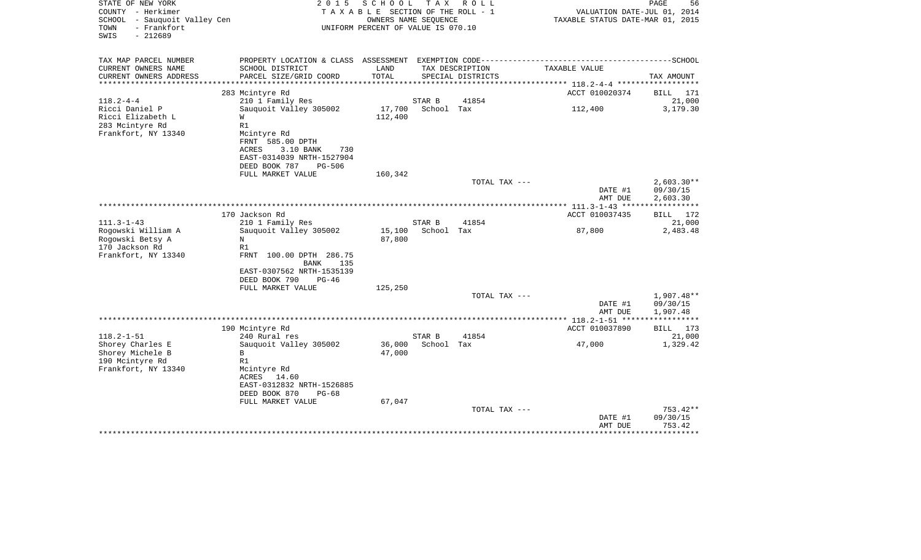| STATE OF NEW YORK<br>COUNTY - Herkimer<br>- Sauquoit Valley Cen<br>SCHOOL<br>- Frankfort<br>TOWN<br>$-212689$<br>SWIS | 2 0 1 5                                                                                                                     | SCHOOL<br>TAXABLE SECTION OF THE ROLL - 1<br>UNIFORM PERCENT OF VALUE IS 070.10 | T A X<br>OWNERS NAME SEQUENCE | R O L L                              | VALUATION DATE-JUL 01, 2014<br>TAXABLE STATUS DATE-MAR 01, 2015                              | PAGE<br>56                           |
|-----------------------------------------------------------------------------------------------------------------------|-----------------------------------------------------------------------------------------------------------------------------|---------------------------------------------------------------------------------|-------------------------------|--------------------------------------|----------------------------------------------------------------------------------------------|--------------------------------------|
| TAX MAP PARCEL NUMBER                                                                                                 |                                                                                                                             |                                                                                 |                               |                                      | PROPERTY LOCATION & CLASS ASSESSMENT EXEMPTION CODE-----------------------------------SCHOOL |                                      |
| CURRENT OWNERS NAME<br>CURRENT OWNERS ADDRESS<br>*********************                                                | SCHOOL DISTRICT<br>PARCEL SIZE/GRID COORD                                                                                   | LAND<br>TOTAL                                                                   |                               | TAX DESCRIPTION<br>SPECIAL DISTRICTS | TAXABLE VALUE                                                                                | TAX AMOUNT                           |
|                                                                                                                       |                                                                                                                             |                                                                                 |                               |                                      |                                                                                              |                                      |
|                                                                                                                       | 283 Mcintyre Rd                                                                                                             |                                                                                 | STAR B                        | 41854                                | ACCT 010020374                                                                               | 171<br>BILL<br>21,000                |
| $118.2 - 4 - 4$<br>Ricci Daniel P                                                                                     | 210 1 Family Res<br>Sauquoit Valley 305002                                                                                  | 17,700                                                                          | School Tax                    |                                      | 112,400                                                                                      | 3,179.30                             |
| Ricci Elizabeth L                                                                                                     | W                                                                                                                           | 112,400                                                                         |                               |                                      |                                                                                              |                                      |
| 283 Mcintyre Rd                                                                                                       | R1                                                                                                                          |                                                                                 |                               |                                      |                                                                                              |                                      |
| Frankfort, NY 13340                                                                                                   | Mcintyre Rd<br>FRNT 585.00 DPTH<br><b>ACRES</b><br>3.10 BANK<br>730<br>EAST-0314039 NRTH-1527904<br>DEED BOOK 787<br>PG-506 |                                                                                 |                               |                                      |                                                                                              |                                      |
|                                                                                                                       | FULL MARKET VALUE                                                                                                           | 160,342                                                                         |                               |                                      |                                                                                              |                                      |
|                                                                                                                       |                                                                                                                             |                                                                                 |                               | TOTAL TAX ---                        | DATE #1<br>AMT DUE                                                                           | $2,603.30**$<br>09/30/15<br>2,603.30 |
|                                                                                                                       | **************************************                                                                                      |                                                                                 |                               |                                      | ** $111.3 - 1 - 43$ ******                                                                   | ***********                          |
|                                                                                                                       | 170 Jackson Rd                                                                                                              |                                                                                 |                               |                                      | ACCT 010037435                                                                               | 172<br><b>BILL</b>                   |
| $111.3 - 1 - 43$                                                                                                      | 210 1 Family Res                                                                                                            |                                                                                 | STAR B                        | 41854                                |                                                                                              | 21,000                               |
| Rogowski William A                                                                                                    | Sauquoit Valley 305002                                                                                                      | 15,100                                                                          | School Tax                    |                                      | 87,800                                                                                       | 2,483.48                             |
| Rogowski Betsy A                                                                                                      | N                                                                                                                           | 87,800                                                                          |                               |                                      |                                                                                              |                                      |
| 170 Jackson Rd                                                                                                        | R1                                                                                                                          |                                                                                 |                               |                                      |                                                                                              |                                      |
| Frankfort, NY 13340                                                                                                   | FRNT 100.00 DPTH 286.75<br><b>BANK</b><br>135                                                                               |                                                                                 |                               |                                      |                                                                                              |                                      |
|                                                                                                                       | EAST-0307562 NRTH-1535139                                                                                                   |                                                                                 |                               |                                      |                                                                                              |                                      |
|                                                                                                                       | DEED BOOK 790<br>$PG-46$                                                                                                    |                                                                                 |                               |                                      |                                                                                              |                                      |
|                                                                                                                       | FULL MARKET VALUE                                                                                                           | 125,250                                                                         |                               |                                      |                                                                                              |                                      |
|                                                                                                                       |                                                                                                                             |                                                                                 |                               | TOTAL TAX ---                        |                                                                                              | 1,907.48**                           |
|                                                                                                                       |                                                                                                                             |                                                                                 |                               |                                      | DATE #1                                                                                      | 09/30/15                             |
|                                                                                                                       |                                                                                                                             |                                                                                 |                               |                                      | AMT DUE                                                                                      | 1,907.48                             |
|                                                                                                                       |                                                                                                                             |                                                                                 |                               |                                      |                                                                                              |                                      |
|                                                                                                                       | 190 Mcintyre Rd                                                                                                             |                                                                                 |                               |                                      | ACCT 010037890                                                                               | BILL 173                             |
| $118.2 - 1 - 51$                                                                                                      | 240 Rural res                                                                                                               | 36,000                                                                          | STAR B<br>School Tax          | 41854                                |                                                                                              | 21,000                               |
| Shorey Charles E<br>Shorey Michele B                                                                                  | Sauquoit Valley 305002<br>$\mathbf{B}$                                                                                      | 47,000                                                                          |                               |                                      | 47,000                                                                                       | 1,329.42                             |
| 190 Mcintyre Rd                                                                                                       | R1                                                                                                                          |                                                                                 |                               |                                      |                                                                                              |                                      |
| Frankfort, NY 13340                                                                                                   | Mcintyre Rd                                                                                                                 |                                                                                 |                               |                                      |                                                                                              |                                      |
|                                                                                                                       | 14.60<br>ACRES                                                                                                              |                                                                                 |                               |                                      |                                                                                              |                                      |
|                                                                                                                       | EAST-0312832 NRTH-1526885                                                                                                   |                                                                                 |                               |                                      |                                                                                              |                                      |
|                                                                                                                       | DEED BOOK 870<br>$PG-68$                                                                                                    |                                                                                 |                               |                                      |                                                                                              |                                      |
|                                                                                                                       | FULL MARKET VALUE                                                                                                           | 67,047                                                                          |                               |                                      |                                                                                              |                                      |
|                                                                                                                       |                                                                                                                             |                                                                                 |                               | TOTAL TAX ---                        |                                                                                              | $753.42**$                           |
|                                                                                                                       |                                                                                                                             |                                                                                 |                               |                                      | DATE #1                                                                                      | 09/30/15                             |
|                                                                                                                       |                                                                                                                             |                                                                                 |                               |                                      | AMT DUE<br>********************************                                                  | 753.42                               |
|                                                                                                                       |                                                                                                                             |                                                                                 |                               |                                      |                                                                                              |                                      |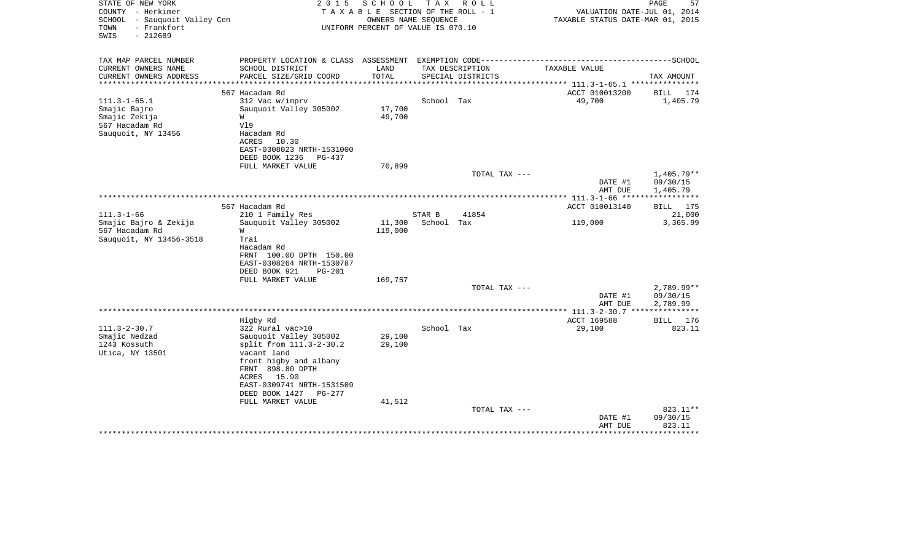| STATE OF NEW YORK<br>COUNTY - Herkimer<br>SCHOOL - Sauquoit Valley Cen<br>- Frankfort<br>TOWN<br>$-212689$<br>SWIS | 2 0 1 5                                                                                                                                                                                                       | S C H O O L<br>TAXABLE SECTION OF THE ROLL - 1<br>OWNERS NAME SEQUENCE<br>UNIFORM PERCENT OF VALUE IS 070.10 | T A X                | R O L L           | VALUATION DATE-JUL 01, 2014<br>TAXABLE STATUS DATE-MAR 01, 2015 | PAGE<br>57                         |
|--------------------------------------------------------------------------------------------------------------------|---------------------------------------------------------------------------------------------------------------------------------------------------------------------------------------------------------------|--------------------------------------------------------------------------------------------------------------|----------------------|-------------------|-----------------------------------------------------------------|------------------------------------|
| TAX MAP PARCEL NUMBER<br>CURRENT OWNERS NAME                                                                       | PROPERTY LOCATION & CLASS ASSESSMENT EXEMPTION CODE----------------<br>SCHOOL DISTRICT                                                                                                                        | LAND                                                                                                         |                      | TAX DESCRIPTION   | TAXABLE VALUE                                                   | ---------------SCHOOL              |
| CURRENT OWNERS ADDRESS                                                                                             | PARCEL SIZE/GRID COORD<br>******************                                                                                                                                                                  | TOTAL<br>* * * * * * * * * * *                                                                               |                      | SPECIAL DISTRICTS | .**************** 111.3-1-65.1 ****************                 | TAX AMOUNT                         |
|                                                                                                                    | 567 Hacadam Rd                                                                                                                                                                                                |                                                                                                              |                      |                   | ACCT 010013200                                                  | BILL<br>174                        |
| $111.3 - 1 - 65.1$<br>Smajic Bajro<br>Smajic Zekija<br>567 Hacadam Rd<br>Sauquoit, NY 13456                        | 312 Vac w/imprv<br>Sauquoit Valley 305002<br>W<br>V19<br>Hacadam Rd<br>ACRES<br>10.30<br>EAST-0308023 NRTH-1531000<br>DEED BOOK 1236<br>PG-437                                                                | 17,700<br>49,700                                                                                             | School Tax           |                   | 49,700                                                          | 1,405.79                           |
|                                                                                                                    | FULL MARKET VALUE                                                                                                                                                                                             | 70,899                                                                                                       |                      |                   |                                                                 |                                    |
|                                                                                                                    |                                                                                                                                                                                                               |                                                                                                              |                      | TOTAL TAX ---     | DATE #1<br>AMT DUE                                              | 1,405.79**<br>09/30/15<br>1,405.79 |
|                                                                                                                    |                                                                                                                                                                                                               |                                                                                                              |                      |                   | ************* 111.3-1-66 *****                                  | * * * * * * * * * * *              |
|                                                                                                                    | 567 Hacadam Rd                                                                                                                                                                                                |                                                                                                              |                      |                   | ACCT 010013140                                                  | BILL<br>175                        |
| $111.3 - 1 - 66$<br>Smajic Bajro & Zekija<br>567 Hacadam Rd<br>Sauquoit, NY 13456-3518                             | 210 1 Family Res<br>Sauquoit Valley 305002<br>W<br>Trai<br>Hacadam Rd<br>FRNT 100.00 DPTH 150.00<br>EAST-0308264 NRTH-1530787<br>DEED BOOK 921<br>$PG-201$                                                    | 11,300<br>119,000                                                                                            | STAR B<br>School Tax | 41854             | 119,000                                                         | 21,000<br>3,365.99                 |
|                                                                                                                    | FULL MARKET VALUE                                                                                                                                                                                             | 169,757                                                                                                      |                      |                   |                                                                 |                                    |
|                                                                                                                    |                                                                                                                                                                                                               |                                                                                                              |                      | TOTAL TAX ---     | DATE #1<br>AMT DUE                                              | 2,789.99**<br>09/30/15<br>2,789.99 |
|                                                                                                                    | Higby Rd                                                                                                                                                                                                      |                                                                                                              |                      |                   | *********** 111.3-2-30.7 ****************<br>ACCT 169588        | 176                                |
| $111.3 - 2 - 30.7$<br>Smajic Nedzad<br>1243 Kossuth<br>Utica, NY 13501                                             | 322 Rural vac>10<br>Sauguoit Valley 305002<br>split from 111.3-2-30.2<br>vacant land<br>front higby and albany<br>FRNT 898.80 DPTH<br>15.90<br>ACRES<br>EAST-0309741 NRTH-1531509<br>DEED BOOK 1427<br>PG-277 | 29,100<br>29,100                                                                                             | School Tax           |                   | 29,100                                                          | BILL<br>823.11                     |
|                                                                                                                    | FULL MARKET VALUE                                                                                                                                                                                             | 41,512                                                                                                       |                      |                   |                                                                 |                                    |
|                                                                                                                    |                                                                                                                                                                                                               |                                                                                                              |                      | TOTAL TAX ---     | DATE #1<br>AMT DUE                                              | $823.11**$<br>09/30/15<br>823.11   |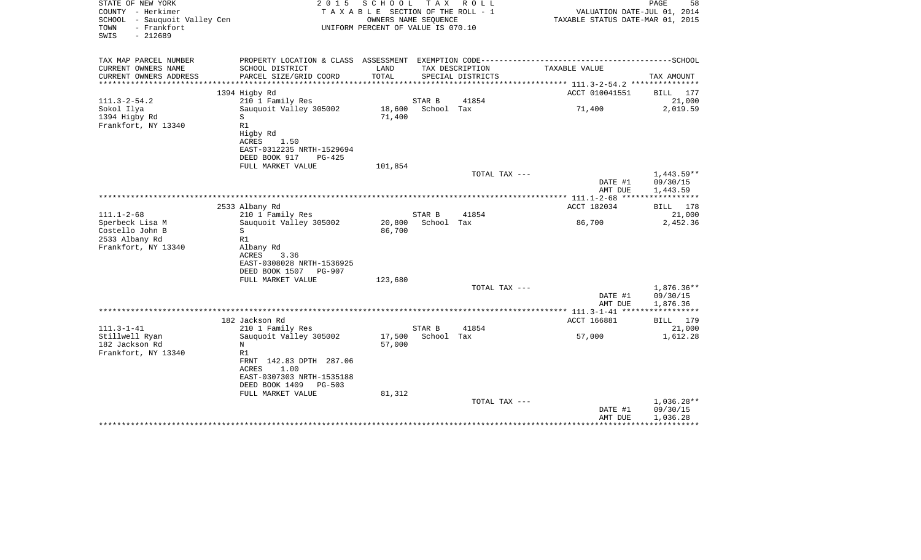| STATE OF NEW YORK<br>COUNTY - Herkimer<br>SCHOOL<br>- Sauquoit Valley Cen<br>- Frankfort<br>TOWN<br>$-212689$<br>SWIS | 2 0 1 5                                         | SCHOOL<br>TAXABLE SECTION OF THE ROLL - 1<br>OWNERS NAME SEQUENCE<br>UNIFORM PERCENT OF VALUE IS 070.10 | T A X      | R O L L                        | VALUATION DATE-JUL 01, 2014<br>TAXABLE STATUS DATE-MAR 01, 2015                                               | PAGE<br>58               |
|-----------------------------------------------------------------------------------------------------------------------|-------------------------------------------------|---------------------------------------------------------------------------------------------------------|------------|--------------------------------|---------------------------------------------------------------------------------------------------------------|--------------------------|
| TAX MAP PARCEL NUMBER<br>CURRENT OWNERS NAME                                                                          | SCHOOL DISTRICT                                 | LAND                                                                                                    |            | TAX DESCRIPTION                | PROPERTY LOCATION & CLASS ASSESSMENT EXEMPTION CODE-----------------------------------SCHOOL<br>TAXABLE VALUE |                          |
| CURRENT OWNERS ADDRESS                                                                                                | PARCEL SIZE/GRID COORD                          | TOTAL                                                                                                   |            | SPECIAL DISTRICTS              |                                                                                                               | TAX AMOUNT               |
|                                                                                                                       |                                                 | ******************************                                                                          |            |                                | ***************** 111.3-2-54.2 ****************                                                               |                          |
|                                                                                                                       | 1394 Higby Rd                                   |                                                                                                         |            |                                | ACCT 010041551                                                                                                | BILL 177                 |
| $111.3 - 2 - 54.2$                                                                                                    | 210 1 Family Res                                |                                                                                                         | STAR B     | 41854                          |                                                                                                               | 21,000                   |
| Sokol Ilya<br>1394 Higby Rd                                                                                           | Sauquoit Valley 305002<br>S                     | 18,600<br>71,400                                                                                        | School Tax |                                | 71,400                                                                                                        | 2,019.59                 |
| Frankfort, NY 13340                                                                                                   | R1                                              |                                                                                                         |            |                                |                                                                                                               |                          |
|                                                                                                                       | Higby Rd                                        |                                                                                                         |            |                                |                                                                                                               |                          |
|                                                                                                                       | ACRES<br>1.50                                   |                                                                                                         |            |                                |                                                                                                               |                          |
|                                                                                                                       | EAST-0312235 NRTH-1529694                       |                                                                                                         |            |                                |                                                                                                               |                          |
|                                                                                                                       | DEED BOOK 917<br>PG-425<br>FULL MARKET VALUE    | 101,854                                                                                                 |            |                                |                                                                                                               |                          |
|                                                                                                                       |                                                 |                                                                                                         |            | TOTAL TAX ---                  |                                                                                                               | $1,443.59**$             |
|                                                                                                                       |                                                 |                                                                                                         |            |                                | DATE #1                                                                                                       | 09/30/15                 |
|                                                                                                                       |                                                 |                                                                                                         |            |                                | AMT DUE                                                                                                       | 1,443.59                 |
|                                                                                                                       | 2533 Albany Rd                                  |                                                                                                         |            |                                | ***************** 111.1-2-68 *****<br>ACCT 182034                                                             | ************<br>BILL 178 |
| $111.1 - 2 - 68$                                                                                                      | 210 1 Family Res                                |                                                                                                         | STAR B     | 41854                          |                                                                                                               | 21,000                   |
| Sperbeck Lisa M                                                                                                       | Sauquoit Valley 305002                          | 20,800                                                                                                  | School Tax |                                | 86,700                                                                                                        | 2,452.36                 |
| Costello John B                                                                                                       | S                                               | 86,700                                                                                                  |            |                                |                                                                                                               |                          |
| 2533 Albany Rd                                                                                                        | R1                                              |                                                                                                         |            |                                |                                                                                                               |                          |
| Frankfort, NY 13340                                                                                                   | Albany Rd<br>ACRES<br>3.36                      |                                                                                                         |            |                                |                                                                                                               |                          |
|                                                                                                                       | EAST-0308028 NRTH-1536925                       |                                                                                                         |            |                                |                                                                                                               |                          |
|                                                                                                                       | DEED BOOK 1507<br>PG-907                        |                                                                                                         |            |                                |                                                                                                               |                          |
|                                                                                                                       | FULL MARKET VALUE                               | 123,680                                                                                                 |            |                                |                                                                                                               |                          |
|                                                                                                                       |                                                 |                                                                                                         |            | TOTAL TAX ---                  |                                                                                                               | 1,876.36**               |
|                                                                                                                       |                                                 |                                                                                                         |            |                                | DATE #1<br>AMT DUE                                                                                            | 09/30/15<br>1,876.36     |
|                                                                                                                       |                                                 |                                                                                                         |            |                                | ************** 111.3-1-41 *****                                                                               | * * * * * * * * * * * *  |
|                                                                                                                       | 182 Jackson Rd                                  |                                                                                                         |            |                                | ACCT 166881                                                                                                   | BILL 179                 |
| $111.3 - 1 - 41$                                                                                                      | 210 1 Family Res                                |                                                                                                         | STAR B     | 41854                          |                                                                                                               | 21,000                   |
| Stillwell Ryan<br>182 Jackson Rd                                                                                      | Sauquoit Valley 305002<br>N                     | 17,500<br>57,000                                                                                        | School Tax |                                | 57,000                                                                                                        | 1,612.28                 |
| Frankfort, NY 13340                                                                                                   | R1                                              |                                                                                                         |            |                                |                                                                                                               |                          |
|                                                                                                                       | FRNT 142.83 DPTH 287.06                         |                                                                                                         |            |                                |                                                                                                               |                          |
|                                                                                                                       | ACRES<br>1.00                                   |                                                                                                         |            |                                |                                                                                                               |                          |
|                                                                                                                       | EAST-0307303 NRTH-1535188                       |                                                                                                         |            |                                |                                                                                                               |                          |
|                                                                                                                       | DEED BOOK 1409<br>$PG-503$<br>FULL MARKET VALUE | 81,312                                                                                                  |            |                                |                                                                                                               |                          |
|                                                                                                                       |                                                 |                                                                                                         |            | TOTAL TAX ---                  |                                                                                                               | 1,036.28**               |
|                                                                                                                       |                                                 |                                                                                                         |            |                                | DATE #1                                                                                                       | 09/30/15                 |
|                                                                                                                       |                                                 |                                                                                                         |            | ****************************** | AMT DUE<br>******************                                                                                 | 1,036.28<br>************ |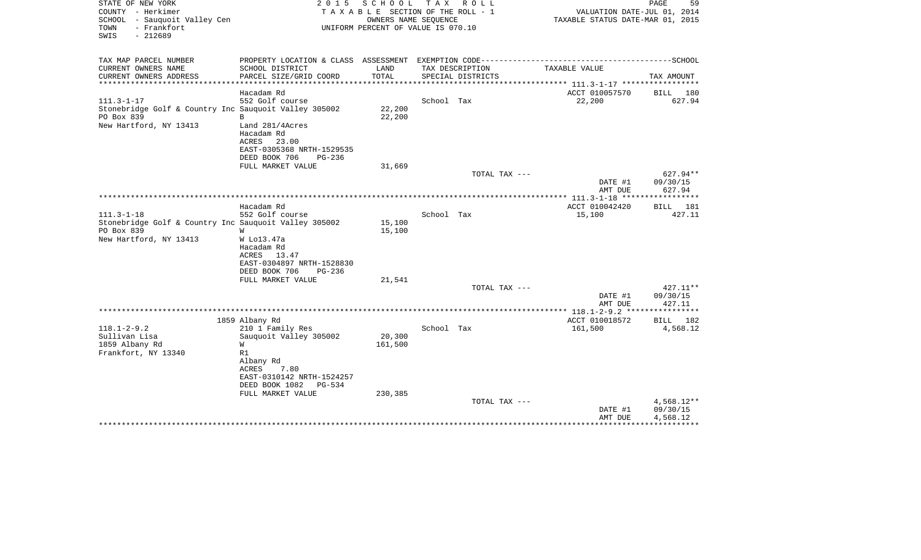| STATE OF NEW YORK<br>COUNTY - Herkimer<br>SCHOOL - Sauquoit Valley Cen<br>- Frankfort<br>TOWN<br>$-212689$<br>SWIS | 2 0 1 5<br>SCHOOL<br>TAXABLE SECTION OF THE ROLL - 1<br>UNIFORM PERCENT OF VALUE IS 070.10 | T A X<br>R O L L<br>OWNERS NAME SEQUENCE |                                                                                              | PAGE<br>59<br>VALUATION DATE-JUL 01, 2014<br>TAXABLE STATUS DATE-MAR 01, 2015 |  |  |
|--------------------------------------------------------------------------------------------------------------------|--------------------------------------------------------------------------------------------|------------------------------------------|----------------------------------------------------------------------------------------------|-------------------------------------------------------------------------------|--|--|
| TAX MAP PARCEL NUMBER                                                                                              |                                                                                            |                                          | PROPERTY LOCATION & CLASS ASSESSMENT EXEMPTION CODE-----------------------------------SCHOOL |                                                                               |  |  |
| CURRENT OWNERS NAME<br>SCHOOL DISTRICT<br>PARCEL SIZE/GRID COORD<br>CURRENT OWNERS ADDRESS                         | LAND<br>TOTAL                                                                              | TAX DESCRIPTION<br>SPECIAL DISTRICTS     | TAXABLE VALUE                                                                                | TAX AMOUNT                                                                    |  |  |
|                                                                                                                    | ******************                                                                         |                                          | ************** 111.3-1-17 ******************                                                 |                                                                               |  |  |
| Hacadam Rd                                                                                                         |                                                                                            |                                          | ACCT 010057570                                                                               | BILL 180                                                                      |  |  |
| $111.3 - 1 - 17$<br>552 Golf course                                                                                |                                                                                            | School Tax                               | 22,200                                                                                       | 627.94                                                                        |  |  |
| Stonebridge Golf & Country Inc Sauquoit Valley 305002<br>PO Box 839<br>B                                           | 22,200<br>22,200                                                                           |                                          |                                                                                              |                                                                               |  |  |
| New Hartford, NY 13413<br>Land 281/4Acres                                                                          |                                                                                            |                                          |                                                                                              |                                                                               |  |  |
| Hacadam Rd<br>ACRES<br>23.00                                                                                       |                                                                                            |                                          |                                                                                              |                                                                               |  |  |
| EAST-0305368 NRTH-1529535                                                                                          |                                                                                            |                                          |                                                                                              |                                                                               |  |  |
| DEED BOOK 706                                                                                                      | $PG-236$                                                                                   |                                          |                                                                                              |                                                                               |  |  |
| FULL MARKET VALUE                                                                                                  | 31,669                                                                                     |                                          |                                                                                              |                                                                               |  |  |
|                                                                                                                    |                                                                                            | TOTAL TAX ---                            |                                                                                              | 627.94**                                                                      |  |  |
|                                                                                                                    |                                                                                            |                                          | DATE #1                                                                                      | 09/30/15                                                                      |  |  |
|                                                                                                                    |                                                                                            | ********************                     | AMT DUE<br>************* 111.3-1-18 *****                                                    | 627.94<br>************                                                        |  |  |
| Hacadam Rd                                                                                                         |                                                                                            |                                          | ACCT 010042420                                                                               | BILL 181                                                                      |  |  |
| $111.3 - 1 - 18$<br>552 Golf course                                                                                |                                                                                            | School Tax                               | 15,100                                                                                       | 427.11                                                                        |  |  |
| Stonebridge Golf & Country Inc Sauquoit Valley 305002                                                              | 15,100                                                                                     |                                          |                                                                                              |                                                                               |  |  |
| PO Box 839<br>W                                                                                                    | 15,100                                                                                     |                                          |                                                                                              |                                                                               |  |  |
| New Hartford, NY 13413<br>W Lo13.47a                                                                               |                                                                                            |                                          |                                                                                              |                                                                               |  |  |
| Hacadam Rd                                                                                                         |                                                                                            |                                          |                                                                                              |                                                                               |  |  |
| ACRES<br>13.47<br>EAST-0304897 NRTH-1528830                                                                        |                                                                                            |                                          |                                                                                              |                                                                               |  |  |
| DEED BOOK 706                                                                                                      | $PG-236$                                                                                   |                                          |                                                                                              |                                                                               |  |  |
| FULL MARKET VALUE                                                                                                  | 21,541                                                                                     |                                          |                                                                                              |                                                                               |  |  |
|                                                                                                                    |                                                                                            | TOTAL TAX ---                            |                                                                                              | 427.11**                                                                      |  |  |
|                                                                                                                    |                                                                                            |                                          | DATE #1                                                                                      | 09/30/15                                                                      |  |  |
|                                                                                                                    |                                                                                            |                                          | AMT DUE                                                                                      | 427.11                                                                        |  |  |
| 1859 Albany Rd                                                                                                     |                                                                                            |                                          | ACCT 010018572                                                                               | BILL 182                                                                      |  |  |
| $118.1 - 2 - 9.2$<br>210 1 Family Res                                                                              |                                                                                            | School Tax                               | 161,500                                                                                      | 4,568.12                                                                      |  |  |
| Sullivan Lisa<br>Sauguoit Valley 305002                                                                            | 20,300                                                                                     |                                          |                                                                                              |                                                                               |  |  |
| 1859 Albany Rd<br>W                                                                                                | 161,500                                                                                    |                                          |                                                                                              |                                                                               |  |  |
| Frankfort, NY 13340<br>R1                                                                                          |                                                                                            |                                          |                                                                                              |                                                                               |  |  |
| Albany Rd                                                                                                          |                                                                                            |                                          |                                                                                              |                                                                               |  |  |
| ACRES<br>7.80<br>EAST-0310142 NRTH-1524257                                                                         |                                                                                            |                                          |                                                                                              |                                                                               |  |  |
| DEED BOOK 1082                                                                                                     | $PG-534$                                                                                   |                                          |                                                                                              |                                                                               |  |  |
| FULL MARKET VALUE                                                                                                  | 230,385                                                                                    |                                          |                                                                                              |                                                                               |  |  |
|                                                                                                                    |                                                                                            | TOTAL TAX ---                            |                                                                                              | $4,568.12**$                                                                  |  |  |
|                                                                                                                    |                                                                                            |                                          | DATE #1                                                                                      | 09/30/15                                                                      |  |  |
|                                                                                                                    |                                                                                            |                                          | AMT DUE                                                                                      | 4,568.12                                                                      |  |  |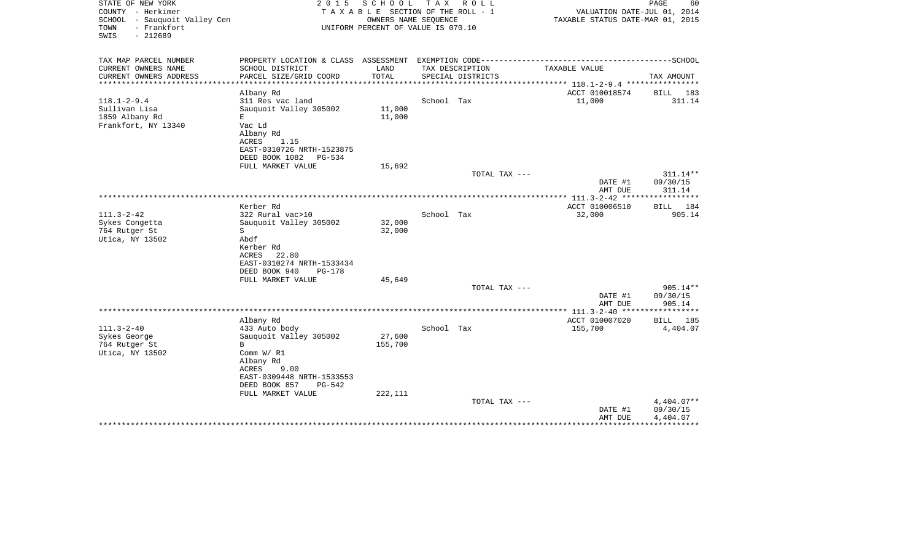| STATE OF NEW YORK<br>COUNTY - Herkimer<br>SCHOOL<br>- Sauquoit Valley Cen<br>- Frankfort<br>TOWN<br>SWIS<br>$-212689$ | 2 0 1 5                                                                                                                                                         | SCHOOL<br>OWNERS NAME SEQUENCE | T A X<br>R O L L<br>TAXABLE SECTION OF THE ROLL - 1<br>UNIFORM PERCENT OF VALUE IS 070.10 |               | VALUATION DATE-JUL 01, 2014<br>TAXABLE STATUS DATE-MAR 01, 2015 | PAGE<br>60                           |
|-----------------------------------------------------------------------------------------------------------------------|-----------------------------------------------------------------------------------------------------------------------------------------------------------------|--------------------------------|-------------------------------------------------------------------------------------------|---------------|-----------------------------------------------------------------|--------------------------------------|
| TAX MAP PARCEL NUMBER<br>CURRENT OWNERS NAME                                                                          | PROPERTY LOCATION & CLASS ASSESSMENT EXEMPTION CODE-----------------------------------SCHOOL<br>SCHOOL DISTRICT                                                 | LAND                           | TAX DESCRIPTION                                                                           |               | TAXABLE VALUE                                                   |                                      |
| CURRENT OWNERS ADDRESS                                                                                                | PARCEL SIZE/GRID COORD                                                                                                                                          | TOTAL                          | SPECIAL DISTRICTS                                                                         |               |                                                                 | TAX AMOUNT                           |
| *******************                                                                                                   |                                                                                                                                                                 | **********                     |                                                                                           |               | ************** 118.1-2-9.4 *****************                    |                                      |
|                                                                                                                       | Albany Rd                                                                                                                                                       |                                |                                                                                           |               | ACCT 010018574                                                  | BILL 183                             |
| $118.1 - 2 - 9.4$<br>Sullivan Lisa<br>1859 Albany Rd<br>Frankfort, NY 13340                                           | 311 Res vac land<br>Sauguoit Valley 305002<br>E<br>Vac Ld<br>Albany Rd<br>ACRES<br>1.15<br>EAST-0310726 NRTH-1523875                                            | 11,000<br>11,000               | School Tax                                                                                |               | 11,000                                                          | 311.14                               |
|                                                                                                                       | DEED BOOK 1082<br>$PG-534$<br>FULL MARKET VALUE                                                                                                                 | 15,692                         |                                                                                           |               |                                                                 |                                      |
|                                                                                                                       |                                                                                                                                                                 |                                |                                                                                           | TOTAL TAX --- |                                                                 | 311.14**                             |
|                                                                                                                       |                                                                                                                                                                 |                                |                                                                                           |               | DATE #1<br>AMT DUE                                              | 09/30/15<br>311.14                   |
|                                                                                                                       | Kerber Rd                                                                                                                                                       |                                |                                                                                           |               | ACCT 010006510                                                  | BILL 184                             |
| $111.3 - 2 - 42$<br>Sykes Congetta<br>764 Rutger St<br>Utica, NY 13502                                                | 322 Rural vac>10<br>Sauguoit Valley 305002<br>S<br>Abdf<br>Kerber Rd<br>22.80<br>ACRES<br>EAST-0310274 NRTH-1533434<br>DEED BOOK 940<br>$PG-178$                | 32,000<br>32,000               | School Tax                                                                                |               | 32,000                                                          | 905.14                               |
|                                                                                                                       | FULL MARKET VALUE                                                                                                                                               | 45,649                         |                                                                                           |               |                                                                 |                                      |
|                                                                                                                       |                                                                                                                                                                 |                                |                                                                                           | TOTAL TAX --- | DATE #1<br>AMT DUE                                              | 905.14**<br>09/30/15<br>905.14       |
|                                                                                                                       |                                                                                                                                                                 |                                |                                                                                           |               |                                                                 |                                      |
| $111.3 - 2 - 40$<br>Sykes George<br>764 Rutger St<br>Utica, NY 13502                                                  | Albany Rd<br>433 Auto body<br>Sauquoit Valley 305002<br>B<br>Comm $W/$ R1<br>Albany Rd<br>ACRES<br>9.00<br>EAST-0309448 NRTH-1533553<br>DEED BOOK 857<br>PG-542 | 27,600<br>155,700              | School Tax                                                                                |               | ACCT 010007020<br>155,700                                       | BILL 185<br>4,404.07                 |
|                                                                                                                       | FULL MARKET VALUE<br>*********************                                                                                                                      | 222,111                        |                                                                                           | TOTAL TAX --- | DATE #1<br>AMT DUE                                              | $4,404.07**$<br>09/30/15<br>4,404.07 |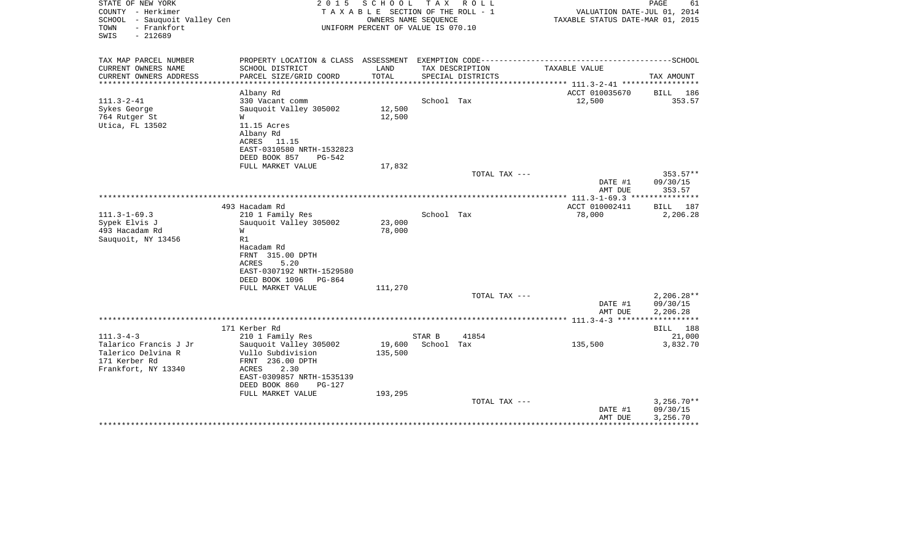| STATE OF NEW YORK<br>COUNTY - Herkimer                                   | 2015                                                                                         | SCHOOL TAX<br>TAXABLE SECTION OF THE ROLL - 1              |            | R O L L           | VALUATION DATE-JUL 01, 2014                                      | PAGE<br>61              |
|--------------------------------------------------------------------------|----------------------------------------------------------------------------------------------|------------------------------------------------------------|------------|-------------------|------------------------------------------------------------------|-------------------------|
| SCHOOL - Sauquoit Valley Cen<br>- Frankfort<br>TOWN<br>SWIS<br>$-212689$ |                                                                                              | OWNERS NAME SEQUENCE<br>UNIFORM PERCENT OF VALUE IS 070.10 |            |                   | TAXABLE STATUS DATE-MAR 01, 2015                                 |                         |
| TAX MAP PARCEL NUMBER                                                    | PROPERTY LOCATION & CLASS ASSESSMENT EXEMPTION CODE---------------------                     |                                                            |            |                   |                                                                  | -----------------SCHOOL |
| CURRENT OWNERS NAME                                                      | SCHOOL DISTRICT                                                                              | LAND                                                       |            | TAX DESCRIPTION   | TAXABLE VALUE                                                    |                         |
| CURRENT OWNERS ADDRESS                                                   | PARCEL SIZE/GRID COORD                                                                       | TOTAL                                                      |            | SPECIAL DISTRICTS | ********************************** 111.3-2-41 ****************** | TAX AMOUNT              |
|                                                                          | Albany Rd                                                                                    |                                                            |            |                   | ACCT 010035670                                                   | BILL 186                |
| $111.3 - 2 - 41$                                                         | 330 Vacant comm                                                                              |                                                            | School Tax |                   | 12,500                                                           | 353.57                  |
| Sykes George                                                             | Sauquoit Valley 305002                                                                       | 12,500                                                     |            |                   |                                                                  |                         |
| 764 Rutger St<br>Utica, FL 13502                                         | W<br>11.15 Acres                                                                             | 12,500                                                     |            |                   |                                                                  |                         |
|                                                                          | Albany Rd                                                                                    |                                                            |            |                   |                                                                  |                         |
|                                                                          | ACRES<br>11.15                                                                               |                                                            |            |                   |                                                                  |                         |
|                                                                          | EAST-0310580 NRTH-1532823                                                                    |                                                            |            |                   |                                                                  |                         |
|                                                                          | DEED BOOK 857<br>PG-542                                                                      |                                                            |            |                   |                                                                  |                         |
|                                                                          | FULL MARKET VALUE                                                                            | 17,832                                                     |            |                   |                                                                  |                         |
|                                                                          |                                                                                              |                                                            |            | TOTAL TAX ---     |                                                                  | $353.57**$              |
|                                                                          |                                                                                              |                                                            |            |                   | DATE #1<br>AMT DUE                                               | 09/30/15<br>353.57      |
|                                                                          |                                                                                              |                                                            |            |                   |                                                                  |                         |
|                                                                          | 493 Hacadam Rd                                                                               |                                                            |            |                   | ACCT 010002411                                                   | BILL 187                |
| $111.3 - 1 - 69.3$                                                       | 210 1 Family Res                                                                             |                                                            | School Tax |                   | 78,000                                                           | 2,206.28                |
| Sypek Elvis J                                                            | Sauquoit Valley 305002                                                                       | 23,000                                                     |            |                   |                                                                  |                         |
| 493 Hacadam Rd                                                           | W                                                                                            | 78,000                                                     |            |                   |                                                                  |                         |
| Sauquoit, NY 13456                                                       | R1                                                                                           |                                                            |            |                   |                                                                  |                         |
|                                                                          | Hacadam Rd<br>FRNT 315.00 DPTH                                                               |                                                            |            |                   |                                                                  |                         |
|                                                                          | 5.20<br>ACRES                                                                                |                                                            |            |                   |                                                                  |                         |
|                                                                          | EAST-0307192 NRTH-1529580                                                                    |                                                            |            |                   |                                                                  |                         |
|                                                                          | DEED BOOK 1096<br>PG-864                                                                     |                                                            |            |                   |                                                                  |                         |
|                                                                          | FULL MARKET VALUE                                                                            | 111,270                                                    |            |                   |                                                                  |                         |
|                                                                          |                                                                                              |                                                            |            | TOTAL TAX ---     |                                                                  | $2,206.28**$            |
|                                                                          |                                                                                              |                                                            |            |                   | DATE #1                                                          | 09/30/15                |
|                                                                          |                                                                                              |                                                            |            |                   | AMT DUE                                                          | 2,206.28<br>*********** |
|                                                                          | 171 Kerber Rd                                                                                |                                                            |            |                   |                                                                  | BILL 188                |
| $111.3 - 4 - 3$                                                          | 210 1 Family Res                                                                             |                                                            | STAR B     | 41854             |                                                                  | 21,000                  |
| Talarico Francis J Jr                                                    | Sauquoit Valley 305002                                                                       | 19,600                                                     | School Tax |                   | 135,500                                                          | 3,832.70                |
| Talerico Delvina R                                                       | Vullo Subdivision                                                                            | 135,500                                                    |            |                   |                                                                  |                         |
| 171 Kerber Rd                                                            | FRNT 236.00 DPTH                                                                             |                                                            |            |                   |                                                                  |                         |
|                                                                          |                                                                                              |                                                            |            |                   |                                                                  |                         |
|                                                                          |                                                                                              |                                                            |            |                   |                                                                  |                         |
|                                                                          |                                                                                              |                                                            |            |                   |                                                                  |                         |
|                                                                          |                                                                                              |                                                            |            | TOTAL TAX ---     |                                                                  | $3,256.70**$            |
|                                                                          |                                                                                              |                                                            |            |                   | DATE #1                                                          | 09/30/15                |
|                                                                          |                                                                                              |                                                            |            |                   | AMT DUE                                                          | 3,256.70                |
| Frankfort, NY 13340                                                      | 2.30<br>ACRES<br>EAST-0309857 NRTH-1535139<br>DEED BOOK 860<br>$PG-127$<br>FULL MARKET VALUE | 193,295                                                    |            |                   |                                                                  |                         |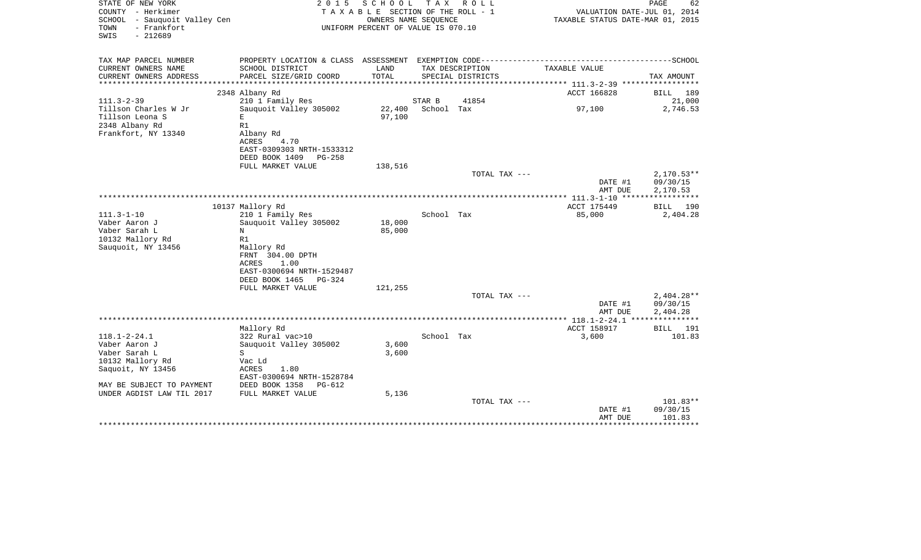| STATE OF NEW YORK<br>COUNTY - Herkimer<br>SCHOOL<br>- Sauquoit Valley Cen<br>- Frankfort<br>TOWN<br>SWIS<br>$-212689$ | 2 0 1 5                                                                                                  | SCHOOL<br>TAXABLE SECTION OF THE ROLL - 1<br>OWNERS NAME SEQUENCE<br>UNIFORM PERCENT OF VALUE IS 070.10 | T A X      | R O L L           | VALUATION DATE-JUL 01, 2014<br>TAXABLE STATUS DATE-MAR 01, 2015 | PAGE<br>62                           |
|-----------------------------------------------------------------------------------------------------------------------|----------------------------------------------------------------------------------------------------------|---------------------------------------------------------------------------------------------------------|------------|-------------------|-----------------------------------------------------------------|--------------------------------------|
| TAX MAP PARCEL NUMBER<br>CURRENT OWNERS NAME                                                                          | SCHOOL DISTRICT                                                                                          | LAND                                                                                                    |            | TAX DESCRIPTION   | TAXABLE VALUE                                                   |                                      |
| CURRENT OWNERS ADDRESS                                                                                                | PARCEL SIZE/GRID COORD                                                                                   | TOTAL                                                                                                   |            | SPECIAL DISTRICTS |                                                                 | TAX AMOUNT                           |
| *****************                                                                                                     |                                                                                                          |                                                                                                         |            |                   | ************** 111.3-2-39 ************                          |                                      |
| $111.3 - 2 - 39$                                                                                                      | 2348 Albany Rd<br>210 1 Family Res                                                                       |                                                                                                         | STAR B     | 41854             | ACCT 166828                                                     | BILL<br>189<br>21,000                |
| Tillson Charles W Jr<br>Tillson Leona S<br>2348 Albany Rd<br>Frankfort, NY 13340                                      | Sauquoit Valley 305002<br>E<br>R1<br>Albany Rd                                                           | 22,400<br>97,100                                                                                        | School Tax |                   | 97,100                                                          | 2,746.53                             |
|                                                                                                                       | <b>ACRES</b><br>4.70<br>EAST-0309303 NRTH-1533312<br>DEED BOOK 1409<br>$PG-258$<br>FULL MARKET VALUE     | 138,516                                                                                                 |            |                   |                                                                 |                                      |
|                                                                                                                       |                                                                                                          |                                                                                                         |            | TOTAL TAX ---     |                                                                 | $2,170.53**$                         |
|                                                                                                                       |                                                                                                          |                                                                                                         |            |                   | DATE #1<br>AMT DUE<br>********* 111.3-1-10 *****                | 09/30/15<br>2,170.53<br>***********  |
|                                                                                                                       | 10137 Mallory Rd                                                                                         |                                                                                                         |            |                   | ACCT 175449                                                     | BILL<br>190                          |
| $111.3 - 1 - 10$<br>Vaber Aaron J<br>Vaber Sarah L<br>10132 Mallory Rd<br>Sauquoit, NY 13456                          | 210 1 Family Res<br>Sauquoit Valley 305002<br>N<br>R1<br>Mallory Rd<br>FRNT 304.00 DPTH<br>ACRES<br>1.00 | 18,000<br>85,000                                                                                        | School Tax |                   | 85,000                                                          | 2,404.28                             |
|                                                                                                                       | EAST-0300694 NRTH-1529487<br>DEED BOOK 1465<br><b>PG-324</b><br>FULL MARKET VALUE                        |                                                                                                         |            |                   |                                                                 |                                      |
|                                                                                                                       |                                                                                                          | 121,255                                                                                                 |            | TOTAL TAX ---     | DATE #1<br>AMT DUE                                              | $2,404.28**$<br>09/30/15<br>2,404.28 |
|                                                                                                                       |                                                                                                          |                                                                                                         |            |                   |                                                                 |                                      |
| $118.1 - 2 - 24.1$<br>Vaber Aaron J<br>Vaber Sarah L<br>10132 Mallory Rd                                              | Mallory Rd<br>322 Rural vac>10<br>Sauquoit Valley 305002<br>S<br>Vac Ld                                  | 3,600<br>3,600                                                                                          | School Tax |                   | ACCT 158917<br>3,600                                            | BILL 191<br>101.83                   |
| Saquoit, NY 13456<br>MAY BE SUBJECT TO PAYMENT                                                                        | ACRES<br>1.80<br>EAST-0300694 NRTH-1528784<br>DEED BOOK 1358<br>$PG-612$                                 |                                                                                                         |            |                   |                                                                 |                                      |
| UNDER AGDIST LAW TIL 2017                                                                                             | FULL MARKET VALUE                                                                                        | 5,136                                                                                                   |            |                   |                                                                 |                                      |
|                                                                                                                       |                                                                                                          |                                                                                                         |            | TOTAL TAX ---     | DATE #1<br>AMT DUE                                              | 101.83**<br>09/30/15<br>101.83       |
|                                                                                                                       |                                                                                                          |                                                                                                         |            |                   |                                                                 |                                      |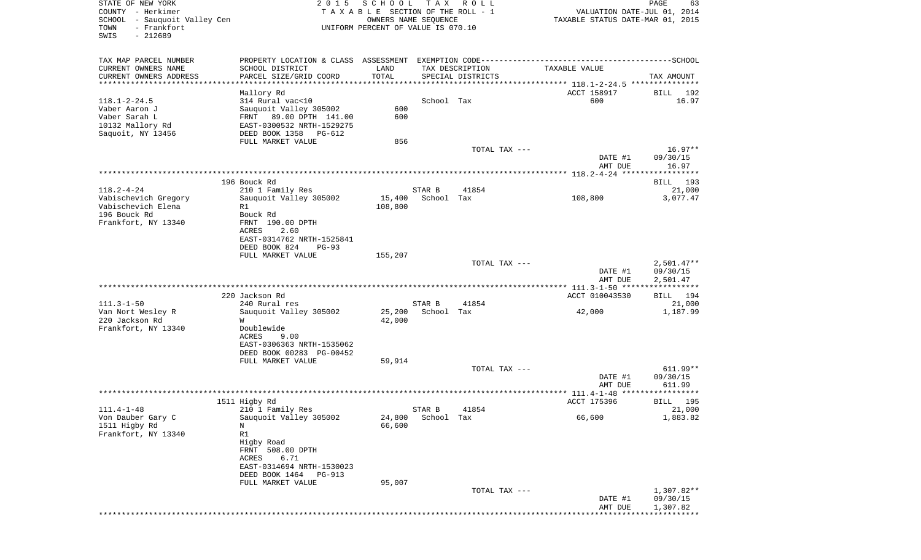| SCHOOL - Sauquoit Valley Cen             |                                                  | OWNERS NAME SEQUENCE               |                      |                   | TAXABLE STATUS DATE-MAR 01, 2015               |                        |
|------------------------------------------|--------------------------------------------------|------------------------------------|----------------------|-------------------|------------------------------------------------|------------------------|
| - Frankfort<br>TOWN<br>SWIS<br>$-212689$ |                                                  | UNIFORM PERCENT OF VALUE IS 070.10 |                      |                   |                                                |                        |
| TAX MAP PARCEL NUMBER                    |                                                  |                                    |                      |                   |                                                |                        |
| CURRENT OWNERS NAME                      | SCHOOL DISTRICT                                  | LAND                               |                      | TAX DESCRIPTION   | TAXABLE VALUE                                  |                        |
| CURRENT OWNERS ADDRESS                   | PARCEL SIZE/GRID COORD                           | TOTAL                              |                      | SPECIAL DISTRICTS |                                                | TAX AMOUNT             |
| *************************                |                                                  |                                    |                      |                   |                                                |                        |
|                                          | Mallory Rd                                       |                                    |                      |                   | ACCT 158917                                    | BILL                   |
| $118.1 - 2 - 24.5$<br>Vaber Aaron J      | 314 Rural vac<10                                 | 600                                | School Tax           |                   | 600                                            |                        |
| Vaber Sarah L                            | Sauquoit Valley 305002<br>FRNT 89.00 DPTH 141.00 | 600                                |                      |                   |                                                |                        |
| 10132 Mallory Rd                         | EAST-0300532 NRTH-1529275                        |                                    |                      |                   |                                                |                        |
| Saquoit, NY 13456                        | DEED BOOK 1358 PG-612                            |                                    |                      |                   |                                                |                        |
|                                          | FULL MARKET VALUE                                | 856                                |                      |                   |                                                |                        |
|                                          |                                                  |                                    |                      | TOTAL TAX ---     |                                                | $16.97**$              |
|                                          |                                                  |                                    |                      |                   | DATE #1                                        | 09/30/15               |
|                                          |                                                  |                                    |                      |                   | AMT DUE                                        | 16.97                  |
|                                          | 196 Bouck Rd                                     |                                    |                      |                   |                                                | BILL 193               |
| $118.2 - 4 - 24$                         | 210 1 Family Res                                 |                                    | STAR B               | 41854             |                                                | 21,000                 |
| Vabischevich Gregory                     | Sauguoit Valley 305002                           | 15,400                             | School Tax           |                   | 108,800                                        | 3,077.47               |
| Vabischevich Elena                       | R1                                               | 108,800                            |                      |                   |                                                |                        |
| 196 Bouck Rd                             | Bouck Rd                                         |                                    |                      |                   |                                                |                        |
| Frankfort, NY 13340                      | FRNT 190.00 DPTH                                 |                                    |                      |                   |                                                |                        |
|                                          | 2.60<br>ACRES<br>EAST-0314762 NRTH-1525841       |                                    |                      |                   |                                                |                        |
|                                          | DEED BOOK 824<br>$PG-93$                         |                                    |                      |                   |                                                |                        |
|                                          | FULL MARKET VALUE                                | 155,207                            |                      |                   |                                                |                        |
|                                          |                                                  |                                    |                      | TOTAL TAX ---     |                                                | $2,501.47**$           |
|                                          |                                                  |                                    |                      |                   | DATE #1                                        | 09/30/15               |
|                                          |                                                  |                                    |                      |                   | AMT DUE                                        | 2,501.47               |
|                                          | 220 Jackson Rd                                   |                                    |                      |                   | ACCT 010043530                                 | BILL 194               |
| $111.3 - 1 - 50$                         | 240 Rural res                                    |                                    | STAR B               | 41854             |                                                | 21,000                 |
| Van Nort Wesley R                        | Sauquoit Valley 305002                           | 25,200                             | School Tax           |                   | 42,000                                         | 1,187.99               |
| 220 Jackson Rd                           | W                                                | 42,000                             |                      |                   |                                                |                        |
| Frankfort, NY 13340                      | Doublewide                                       |                                    |                      |                   |                                                |                        |
|                                          | ACRES<br>9.00                                    |                                    |                      |                   |                                                |                        |
|                                          | EAST-0306363 NRTH-1535062                        |                                    |                      |                   |                                                |                        |
|                                          | DEED BOOK 00283 PG-00452<br>FULL MARKET VALUE    | 59,914                             |                      |                   |                                                |                        |
|                                          |                                                  |                                    |                      | TOTAL TAX ---     |                                                | $611.99**$             |
|                                          |                                                  |                                    |                      |                   | DATE #1                                        | 09/30/15               |
|                                          |                                                  |                                    |                      |                   | AMT DUE                                        | 611.99                 |
|                                          |                                                  |                                    |                      |                   | ***************** 111.4-1-48 ***************** |                        |
|                                          | 1511 Higby Rd                                    |                                    |                      |                   | ACCT 175396                                    | BILL                   |
| $111.4 - 1 - 48$<br>Von Dauber Gary C    | 210 1 Family Res<br>Sauguoit Valley 305002       | 24,800                             | STAR B<br>School Tax | 41854             | 66,600                                         | 1,883.82               |
| 1511 Higby Rd                            | N                                                | 66,600                             |                      |                   |                                                |                        |
|                                          | R1                                               |                                    |                      |                   |                                                |                        |
| Frankfort, NY 13340                      | Higby Road                                       |                                    |                      |                   |                                                |                        |
|                                          |                                                  |                                    |                      |                   |                                                |                        |
|                                          | FRNT 508.00 DPTH                                 |                                    |                      |                   |                                                |                        |
|                                          | ACRES<br>6.71                                    |                                    |                      |                   |                                                |                        |
|                                          | EAST-0314694 NRTH-1530023                        |                                    |                      |                   |                                                |                        |
|                                          | DEED BOOK 1464 PG-913                            |                                    |                      |                   |                                                |                        |
|                                          | FULL MARKET VALUE                                | 95,007                             |                      |                   |                                                |                        |
|                                          |                                                  |                                    |                      | TOTAL TAX ---     | DATE #1                                        | 1,307.82**<br>09/30/15 |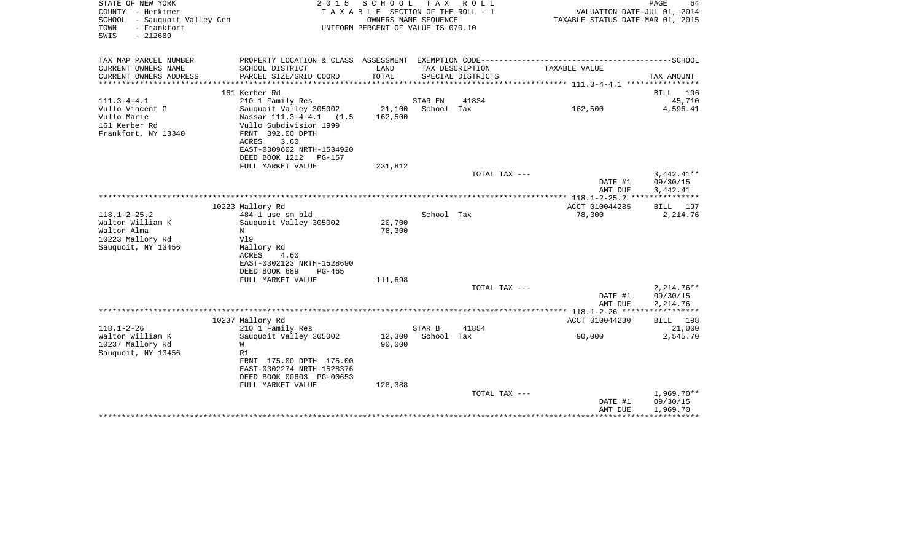| STATE OF NEW YORK<br>COUNTY - Herkimer<br>SCHOOL - Sauquoit Valley Cen<br>- Frankfort<br>TOWN<br>SWIS<br>$-212689$ | 2 0 1 5                                                                                                                                                                    | SCHOOL<br>TAXABLE SECTION OF THE ROLL - 1<br>OWNERS NAME SEQUENCE<br>UNIFORM PERCENT OF VALUE IS 070.10 | T A X      | R O L L           | VALUATION DATE-JUL 01, 2014<br>TAXABLE STATUS DATE-MAR 01, 2015 | PAGE<br>64                           |
|--------------------------------------------------------------------------------------------------------------------|----------------------------------------------------------------------------------------------------------------------------------------------------------------------------|---------------------------------------------------------------------------------------------------------|------------|-------------------|-----------------------------------------------------------------|--------------------------------------|
| TAX MAP PARCEL NUMBER<br>CURRENT OWNERS NAME                                                                       | SCHOOL DISTRICT                                                                                                                                                            | LAND                                                                                                    |            | TAX DESCRIPTION   | TAXABLE VALUE                                                   |                                      |
| CURRENT OWNERS ADDRESS<br>*********************                                                                    | PARCEL SIZE/GRID COORD<br>************************                                                                                                                         | TOTAL                                                                                                   |            | SPECIAL DISTRICTS |                                                                 | TAX AMOUNT                           |
|                                                                                                                    | 161 Kerber Rd                                                                                                                                                              |                                                                                                         |            |                   |                                                                 | 196<br><b>BILL</b>                   |
| $111.3 - 4 - 4.1$                                                                                                  | 210 1 Family Res                                                                                                                                                           |                                                                                                         | STAR EN    | 41834             |                                                                 | 45,710                               |
| Vullo Vincent G<br>Vullo Marie<br>161 Kerber Rd<br>Frankfort, NY 13340                                             | Sauquoit Valley 305002<br>Nassar 111.3-4-4.1 (1.5)<br>Vullo Subdivision 1999<br>FRNT 392.00 DPTH<br>ACRES<br>3.60<br>EAST-0309602 NRTH-1534920<br>DEED BOOK 1212<br>PG-157 | 21,100<br>162,500                                                                                       | School Tax |                   | 162,500                                                         | 4,596.41                             |
|                                                                                                                    | FULL MARKET VALUE                                                                                                                                                          | 231,812                                                                                                 |            |                   |                                                                 |                                      |
|                                                                                                                    |                                                                                                                                                                            |                                                                                                         |            | TOTAL TAX ---     | DATE #1<br>AMT DUE                                              | $3,442.41**$<br>09/30/15<br>3,442.41 |
|                                                                                                                    |                                                                                                                                                                            |                                                                                                         |            |                   |                                                                 | * * * * * *                          |
| $118.1 - 2 - 25.2$                                                                                                 | 10223 Mallory Rd<br>484 1 use sm bld                                                                                                                                       |                                                                                                         | School Tax |                   | ACCT 010044285<br>78,300                                        | <b>BILL</b><br>197<br>2,214.76       |
| Walton William K<br>Walton Alma<br>10223 Mallory Rd<br>Sauquoit, NY 13456                                          | Sauquoit Valley 305002<br>N<br>Vl9<br>Mallory Rd<br>ACRES<br>4.60<br>EAST-0302123 NRTH-1528690<br>DEED BOOK 689<br>PG-465                                                  | 20,700<br>78,300                                                                                        |            |                   |                                                                 |                                      |
|                                                                                                                    | FULL MARKET VALUE                                                                                                                                                          | 111,698                                                                                                 |            |                   |                                                                 |                                      |
|                                                                                                                    |                                                                                                                                                                            |                                                                                                         |            | TOTAL TAX ---     | DATE #1<br>AMT DUE                                              | $2,214.76**$<br>09/30/15<br>2,214.76 |
|                                                                                                                    |                                                                                                                                                                            |                                                                                                         |            |                   | *************** 118.1-2-26 *****                                | ***********                          |
| $118.1 - 2 - 26$                                                                                                   | 10237 Mallory Rd<br>210 1 Family Res                                                                                                                                       |                                                                                                         | STAR B     | 41854             | ACCT 010044280                                                  | BILL 198<br>21,000                   |
| Walton William K<br>10237 Mallory Rd<br>Sauquoit, NY 13456                                                         | Sauguoit Valley 305002<br>W<br>R1<br>FRNT 175.00 DPTH 175.00<br>EAST-0302274 NRTH-1528376<br>DEED BOOK 00603 PG-00653                                                      | 12,300<br>90,000                                                                                        | School Tax |                   | 90,000                                                          | 2,545.70                             |
|                                                                                                                    | FULL MARKET VALUE                                                                                                                                                          | 128,388                                                                                                 |            |                   |                                                                 |                                      |
|                                                                                                                    |                                                                                                                                                                            |                                                                                                         |            | TOTAL TAX ---     | DATE #1<br>AMT DUE                                              | 1,969.70**<br>09/30/15<br>1,969.70   |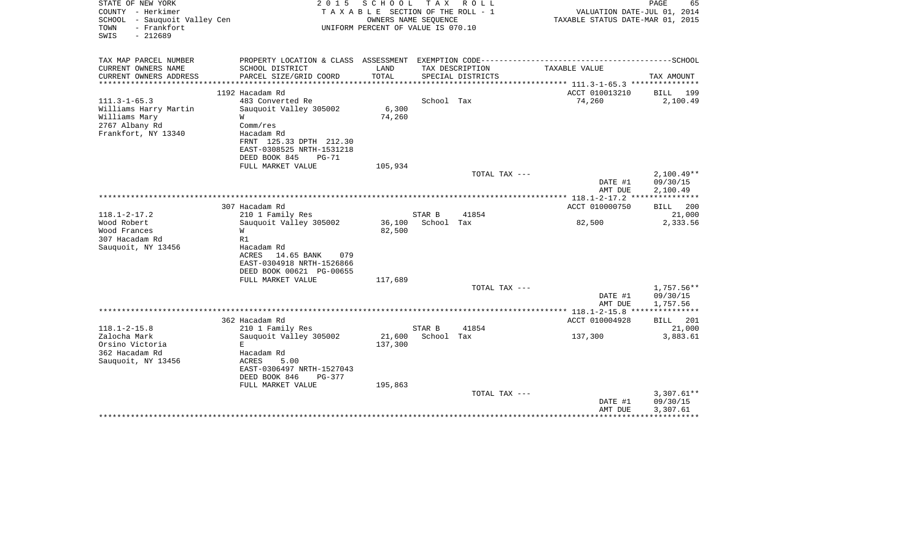| STATE OF NEW YORK<br>COUNTY - Herkimer<br>SCHOOL - Sauquoit Valley Cen<br>- Frankfort<br>TOWN<br>SWIS<br>$-212689$ | 2 0 1 5                                                        | SCHOOL<br>T A X A B L E SECTION OF THE ROLL - 1<br>OWNERS NAME SEQUENCE<br>UNIFORM PERCENT OF VALUE IS 070.10 | T A X      | R O L L           | VALUATION DATE-JUL 01, 2014<br>TAXABLE STATUS DATE-MAR 01, 2015 | PAGE<br>65         |
|--------------------------------------------------------------------------------------------------------------------|----------------------------------------------------------------|---------------------------------------------------------------------------------------------------------------|------------|-------------------|-----------------------------------------------------------------|--------------------|
| TAX MAP PARCEL NUMBER<br>CURRENT OWNERS NAME                                                                       | PROPERTY LOCATION & CLASS ASSESSMENT<br>SCHOOL DISTRICT        | LAND                                                                                                          |            | TAX DESCRIPTION   | TAXABLE VALUE                                                   |                    |
| CURRENT OWNERS ADDRESS<br>*********************                                                                    | PARCEL SIZE/GRID COORD<br>********************                 | TOTAL<br>***********                                                                                          |            | SPECIAL DISTRICTS | ********************************* 111.3-1-65.3 ***************  | TAX AMOUNT         |
|                                                                                                                    | 1192 Hacadam Rd                                                |                                                                                                               |            |                   | ACCT 010013210                                                  | <b>BILL</b><br>199 |
| $111.3 - 1 - 65.3$                                                                                                 | 483 Converted Re                                               |                                                                                                               | School Tax |                   | 74,260                                                          | 2,100.49           |
| Williams Harry Martin                                                                                              | Sauquoit Valley 305002                                         | 6,300                                                                                                         |            |                   |                                                                 |                    |
| Williams Mary                                                                                                      | W                                                              | 74,260                                                                                                        |            |                   |                                                                 |                    |
| 2767 Albany Rd                                                                                                     | Comm/res                                                       |                                                                                                               |            |                   |                                                                 |                    |
| Frankfort, NY 13340                                                                                                | Hacadam Rd<br>FRNT 125.33 DPTH 212.30                          |                                                                                                               |            |                   |                                                                 |                    |
|                                                                                                                    | EAST-0308525 NRTH-1531218                                      |                                                                                                               |            |                   |                                                                 |                    |
|                                                                                                                    | DEED BOOK 845<br>$PG-71$                                       |                                                                                                               |            |                   |                                                                 |                    |
|                                                                                                                    | FULL MARKET VALUE                                              | 105,934                                                                                                       |            |                   |                                                                 |                    |
|                                                                                                                    |                                                                |                                                                                                               |            | TOTAL TAX ---     |                                                                 | $2,100.49**$       |
|                                                                                                                    |                                                                |                                                                                                               |            |                   | DATE #1                                                         | 09/30/15           |
|                                                                                                                    |                                                                |                                                                                                               |            |                   | AMT DUE<br>************ 118.1-2-17.2 ****************           | 2,100.49           |
|                                                                                                                    | 307 Hacadam Rd                                                 |                                                                                                               |            |                   | ACCT 010000750                                                  | 200<br>BILL        |
| $118.1 - 2 - 17.2$                                                                                                 | 210 1 Family Res                                               |                                                                                                               | STAR B     | 41854             |                                                                 | 21,000             |
| Wood Robert                                                                                                        | Sauguoit Valley 305002                                         | 36,100                                                                                                        | School Tax |                   | 82,500                                                          | 2,333.56           |
| Wood Frances                                                                                                       | W                                                              | 82,500                                                                                                        |            |                   |                                                                 |                    |
| 307 Hacadam Rd                                                                                                     | R1                                                             |                                                                                                               |            |                   |                                                                 |                    |
| Sauquoit, NY 13456                                                                                                 | Hacadam Rd                                                     |                                                                                                               |            |                   |                                                                 |                    |
|                                                                                                                    | <b>ACRES</b><br>14.65 BANK<br>079<br>EAST-0304918 NRTH-1526866 |                                                                                                               |            |                   |                                                                 |                    |
|                                                                                                                    | DEED BOOK 00621 PG-00655                                       |                                                                                                               |            |                   |                                                                 |                    |
|                                                                                                                    | FULL MARKET VALUE                                              | 117,689                                                                                                       |            |                   |                                                                 |                    |
|                                                                                                                    |                                                                |                                                                                                               |            | TOTAL TAX ---     |                                                                 | 1,757.56**         |
|                                                                                                                    |                                                                |                                                                                                               |            |                   | DATE #1                                                         | 09/30/15           |
|                                                                                                                    |                                                                |                                                                                                               |            |                   | AMT DUE                                                         | 1,757.56           |
|                                                                                                                    | 362 Hacadam Rd                                                 |                                                                                                               |            |                   | ACCT 010004928                                                  | 201                |
| $118.1 - 2 - 15.8$                                                                                                 | 210 1 Family Res                                               |                                                                                                               | STAR B     | 41854             |                                                                 | BILL<br>21,000     |
| Zalocha Mark                                                                                                       | Sauquoit Valley 305002                                         | 21,600                                                                                                        | School Tax |                   | 137,300                                                         | 3,883.61           |
| Orsino Victoria                                                                                                    | E.                                                             | 137,300                                                                                                       |            |                   |                                                                 |                    |
| 362 Hacadam Rd                                                                                                     | Hacadam Rd                                                     |                                                                                                               |            |                   |                                                                 |                    |
| Sauquoit, NY 13456                                                                                                 | <b>ACRES</b><br>5.00                                           |                                                                                                               |            |                   |                                                                 |                    |
|                                                                                                                    | EAST-0306497 NRTH-1527043                                      |                                                                                                               |            |                   |                                                                 |                    |
|                                                                                                                    | DEED BOOK 846<br>PG-377                                        |                                                                                                               |            |                   |                                                                 |                    |
|                                                                                                                    | FULL MARKET VALUE                                              | 195,863                                                                                                       |            | TOTAL TAX ---     |                                                                 | $3,307.61**$       |
|                                                                                                                    |                                                                |                                                                                                               |            |                   | DATE #1                                                         | 09/30/15           |
|                                                                                                                    |                                                                |                                                                                                               |            |                   | AMT DUE                                                         | 3,307.61           |
|                                                                                                                    |                                                                |                                                                                                               |            |                   |                                                                 |                    |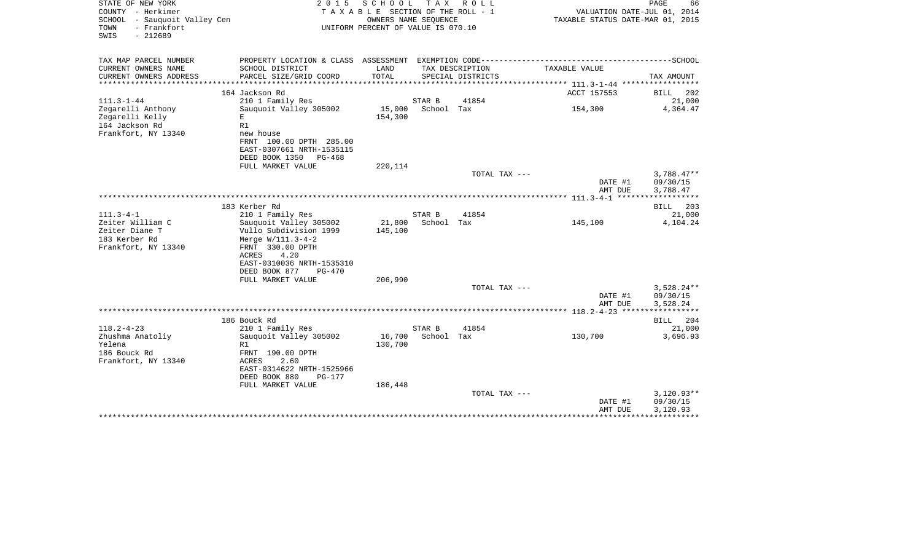| STATE OF NEW YORK<br>COUNTY - Herkimer<br>SCHOOL - Sauquoit Valley Cen<br>- Frankfort<br>TOWN<br>SWIS<br>$-212689$ | 2 0 1 5                                                                                                                                                                     | SCHOOL<br>T A X A B L E SECTION OF THE ROLL - 1<br>OWNERS NAME SEQUENCE<br>UNIFORM PERCENT OF VALUE IS 070.10 |                      | TAX ROLL          | TAXABLE STATUS DATE-MAR 01, 2015 | PAGE<br>66<br>VALUATION DATE-JUL 01, 2014 |
|--------------------------------------------------------------------------------------------------------------------|-----------------------------------------------------------------------------------------------------------------------------------------------------------------------------|---------------------------------------------------------------------------------------------------------------|----------------------|-------------------|----------------------------------|-------------------------------------------|
| TAX MAP PARCEL NUMBER<br>CURRENT OWNERS NAME                                                                       | SCHOOL DISTRICT                                                                                                                                                             | LAND                                                                                                          |                      | TAX DESCRIPTION   | TAXABLE VALUE                    |                                           |
| CURRENT OWNERS ADDRESS<br>**********************                                                                   | PARCEL SIZE/GRID COORD<br>***************************                                                                                                                       | <b>TOTAL</b>                                                                                                  |                      | SPECIAL DISTRICTS |                                  | TAX AMOUNT                                |
|                                                                                                                    | 164 Jackson Rd                                                                                                                                                              |                                                                                                               |                      |                   | ACCT 157553                      | BILL<br>202                               |
| $111.3 - 1 - 44$                                                                                                   | 210 1 Family Res                                                                                                                                                            |                                                                                                               | STAR B               | 41854             |                                  | 21,000                                    |
| Zegarelli Anthony<br>Zegarelli Kelly<br>164 Jackson Rd<br>Frankfort, NY 13340                                      | Sauquoit Valley 305002<br>E.<br>R1<br>new house<br>FRNT 100.00 DPTH 285.00<br>EAST-0307661 NRTH-1535115<br>DEED BOOK 1350 PG-468                                            | 15,000<br>154,300                                                                                             | School Tax           |                   | 154,300                          | 4,364.47                                  |
|                                                                                                                    | FULL MARKET VALUE                                                                                                                                                           | 220,114                                                                                                       |                      |                   |                                  |                                           |
|                                                                                                                    |                                                                                                                                                                             |                                                                                                               |                      | TOTAL TAX ---     | DATE #1<br>AMT DUE               | $3,788.47**$<br>09/30/15<br>3,788.47      |
|                                                                                                                    |                                                                                                                                                                             |                                                                                                               |                      |                   |                                  | ***********                               |
|                                                                                                                    | 183 Kerber Rd                                                                                                                                                               |                                                                                                               |                      |                   |                                  | 203<br><b>BILL</b>                        |
| $111.3 - 4 - 1$<br>Zeiter William C                                                                                | 210 1 Family Res                                                                                                                                                            |                                                                                                               | STAR B<br>School Tax | 41854             |                                  | 21,000                                    |
| Zeiter Diane T<br>183 Kerber Rd<br>Frankfort, NY 13340                                                             | Sauguoit Valley 305002<br>Vullo Subdivision 1999<br>Merge W/111.3-4-2<br>FRNT 330.00 DPTH<br><b>ACRES</b><br>4.20<br>EAST-0310036 NRTH-1535310<br>DEED BOOK 877<br>$PG-470$ | 21,800<br>145,100                                                                                             |                      |                   | 145,100                          | 4,104.24                                  |
|                                                                                                                    | FULL MARKET VALUE                                                                                                                                                           | 206,990                                                                                                       |                      |                   |                                  |                                           |
|                                                                                                                    |                                                                                                                                                                             |                                                                                                               |                      | TOTAL TAX ---     | DATE #1<br>AMT DUE               | $3,528.24**$<br>09/30/15<br>3,528.24      |
|                                                                                                                    |                                                                                                                                                                             |                                                                                                               |                      |                   |                                  | ***********                               |
|                                                                                                                    | 186 Bouck Rd                                                                                                                                                                |                                                                                                               |                      |                   |                                  | BILL 204                                  |
| $118.2 - 4 - 23$<br>Zhushma Anatoliy<br>Yelena<br>186 Bouck Rd<br>Frankfort, NY 13340                              | 210 1 Family Res<br>Sauquoit Valley 305002<br>R1<br>FRNT 190.00 DPTH<br><b>ACRES</b><br>2.60<br>EAST-0314622 NRTH-1525966<br>DEED BOOK 880<br><b>PG-177</b>                 | 16,700<br>130,700                                                                                             | STAR B<br>School Tax | 41854             | 130,700                          | 21,000<br>3,696.93                        |
|                                                                                                                    | FULL MARKET VALUE                                                                                                                                                           | 186,448                                                                                                       |                      | TOTAL TAX ---     | DATE #1<br>AMT DUE               | $3,120.93**$<br>09/30/15<br>3,120.93      |
|                                                                                                                    |                                                                                                                                                                             |                                                                                                               |                      |                   |                                  |                                           |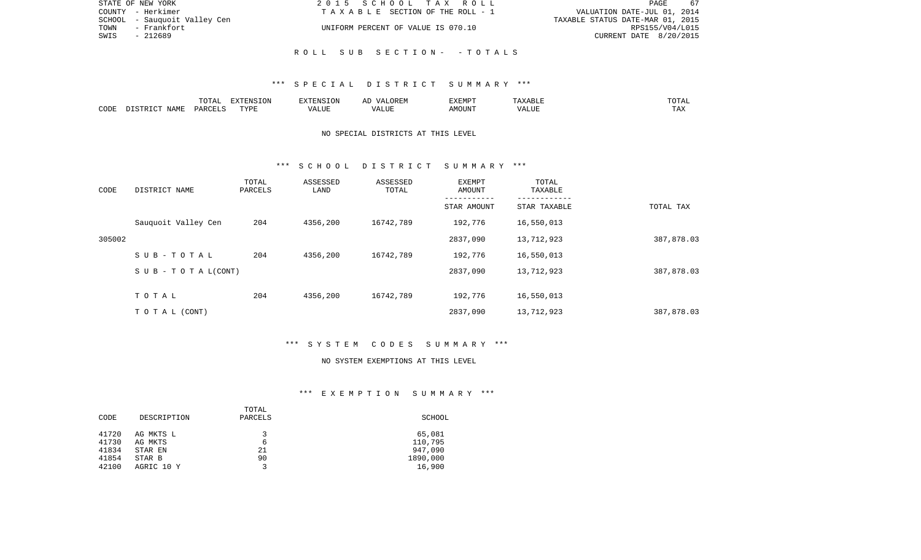| STATE OF NEW YORK            | 2015 SCHOOL TAX ROLL               | - 67<br>PAGE                     |
|------------------------------|------------------------------------|----------------------------------|
| COUNTY - Herkimer            | TAXABLE SECTION OF THE ROLL - 1    | VALUATION DATE-JUL 01, 2014      |
| SCHOOL - Sauquoit Valley Cen |                                    | TAXABLE STATUS DATE-MAR 01, 2015 |
| - Frankfort<br>TOWN          | UNIFORM PERCENT OF VALUE IS 070.10 | RPS155/V04/L015                  |
| SWIS<br>- 212689             |                                    | CURRENT DATE 8/20/2015           |
|                              |                                    |                                  |
|                              | ROLL SUB SECTION- -TOTALS          |                                  |

### \*\*\* S P E C I A L D I S T R I C T S U M M A R Y \*\*\*

|      |      | 10m <sub>3</sub><br>∸<br>- 777 | EXTENSION |                   |                 | :XEMPT |      | ۰д<br>____ |
|------|------|--------------------------------|-----------|-------------------|-----------------|--------|------|------------|
| CODE | IAMF | ، ب ۱۵ د                       | TVDI<br>. | $\cdots$<br>. LUP | ,,,<br>E U LL . | OUN".  | ---- | - ∠⊿       |

## NO SPECIAL DISTRICTS AT THIS LEVEL

#### \*\*\* S C H O O L D I S T R I C T S U M M A R Y \*\*\*

| CODE   | DISTRICT NAME                    | TOTAL<br>PARCELS | ASSESSED<br>LAND | ASSESSED<br>TOTAL | EXEMPT<br>AMOUNT | TOTAL<br>TAXABLE |            |
|--------|----------------------------------|------------------|------------------|-------------------|------------------|------------------|------------|
|        |                                  |                  |                  |                   | STAR AMOUNT      | STAR TAXABLE     | TOTAL TAX  |
|        | Sauquoit Valley Cen              | 204              | 4356,200         | 16742,789         | 192,776          | 16,550,013       |            |
| 305002 |                                  |                  |                  |                   | 2837,090         | 13,712,923       | 387,878.03 |
|        | SUB-TOTAL                        | 204              | 4356,200         | 16742,789         | 192,776          | 16,550,013       |            |
|        | $S \cup B - T \cup T A L (CONT)$ |                  |                  |                   | 2837,090         | 13,712,923       | 387,878.03 |
|        | TOTAL                            | 204              | 4356,200         | 16742,789         | 192,776          | 16,550,013       |            |
|        |                                  |                  |                  |                   |                  |                  |            |
|        | TO TAL (CONT)                    |                  |                  |                   | 2837,090         | 13,712,923       | 387,878.03 |

### \*\*\* S Y S T E M C O D E S S U M M A R Y \*\*\*

#### NO SYSTEM EXEMPTIONS AT THIS LEVEL

# \*\*\* E X E M P T I O N S U M M A R Y \*\*\*

|       |             | TOTAL        |          |
|-------|-------------|--------------|----------|
| CODE  | DESCRIPTION | PARCELS      | SCHOOL   |
|       |             |              |          |
| 41720 | AG MKTS L   | ર            | 65,081   |
| 41730 | AG MKTS     | 6            | 110,795  |
| 41834 | STAR EN     | 21           | 947,090  |
| 41854 | STAR B      | 90           | 1890,000 |
| 42100 | AGRIC 10 Y  | $\mathbf{z}$ | 16,900   |
|       |             |              |          |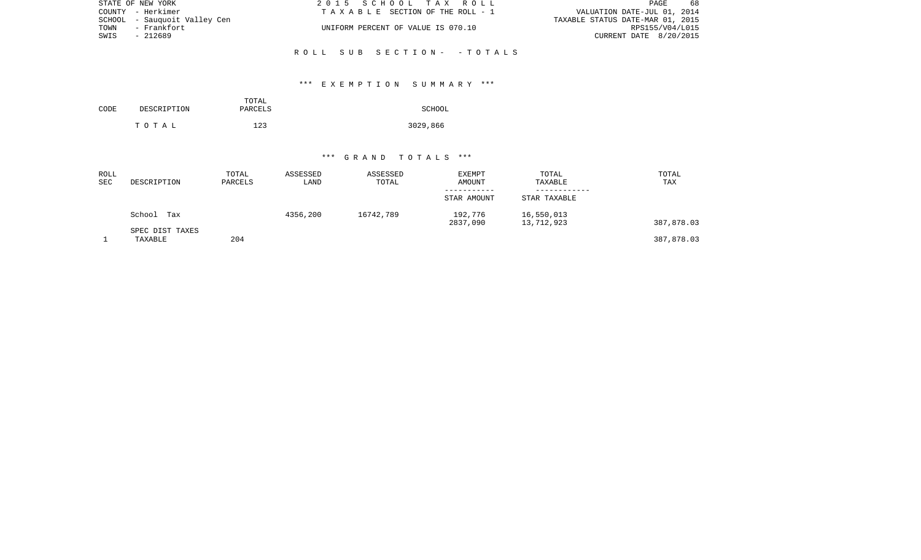| STATE OF NEW YORK            | 2015 SCHOOL TAX ROLL               | 68<br>PAGE                       |
|------------------------------|------------------------------------|----------------------------------|
| COUNTY - Herkimer            | TAXABLE SECTION OF THE ROLL - 1    | VALUATION DATE-JUL 01, 2014      |
| SCHOOL - Sauguoit Valley Cen |                                    | TAXABLE STATUS DATE-MAR 01, 2015 |
| TOWN<br>– Frankfort          | UNIFORM PERCENT OF VALUE IS 070.10 | RPS155/V04/L015                  |
| SWIS<br>- 212689             |                                    | CURRENT DATE 8/20/2015           |
|                              |                                    |                                  |

## \*\*\* E X E M P T I O N S U M M A R Y \*\*\*

R O L L S U B S E C T I O N - - T O T A L S

|      |             | TOTAL   |          |
|------|-------------|---------|----------|
| CODE | DESCRIPTION | PARCELS | SCHOOL   |
|      |             |         |          |
|      | тотаь       | 123     | 3029,866 |

### \*\*\* G R A N D T O T A L S \*\*\*

| ROLL<br>SEC | DESCRIPTION                | TOTAL<br>PARCELS | ASSESSED<br>LAND | ASSESSED<br>TOTAL | <b>EXEMPT</b><br>AMOUNT | TOTAL<br>TAXABLE         | TOTAL<br>TAX |
|-------------|----------------------------|------------------|------------------|-------------------|-------------------------|--------------------------|--------------|
|             |                            |                  |                  |                   | STAR AMOUNT             | STAR TAXABLE             |              |
|             | School<br>Tax              |                  | 4356,200         | 16742,789         | 192,776<br>2837,090     | 16,550,013<br>13,712,923 | 387,878.03   |
|             | SPEC DIST TAXES<br>TAXABLE | 204              |                  |                   |                         |                          | 387,878.03   |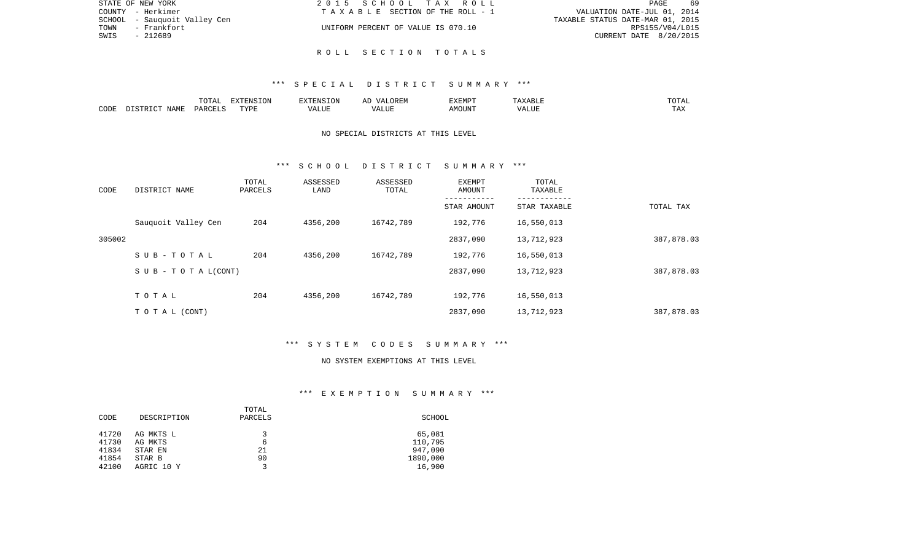| STATE OF NEW YORK            | 2015 SCHOOL TAX ROLL               | 69<br>PAGE                       |
|------------------------------|------------------------------------|----------------------------------|
| COUNTY - Herkimer            | TAXABLE SECTION OF THE ROLL - 1    | VALUATION DATE-JUL 01, 2014      |
| SCHOOL - Sauguoit Valley Cen |                                    | TAXABLE STATUS DATE-MAR 01, 2015 |
| TOWN - Frankfort             | UNIFORM PERCENT OF VALUE IS 070.10 | RPS155/V04/L015                  |
| SWIS<br>- 212689             |                                    | CURRENT DATE 8/20/2015           |
|                              | ROLL SECTION TOTALS                |                                  |
|                              |                                    |                                  |

### \*\*\* S P E C I A L D I S T R I C T S U M M A R Y \*\*\*

|      |      | י המרי<br>$\cdot$<br>. U 1 1 1 1 | <b>EXTENSION</b> |       | $\cdots$ | <b>EXEMPT</b>         |       | $\overline{A}$<br>◡⊥ェ┒ |
|------|------|----------------------------------|------------------|-------|----------|-----------------------|-------|------------------------|
| CODE | NAMF | PARCELS                          | <b>TITT</b><br>. | T.TTF |          | $. 156$ $\cap$ $T137$ | un di | ---<br>. H.A           |

## NO SPECIAL DISTRICTS AT THIS LEVEL

#### \*\*\* S C H O O L D I S T R I C T S U M M A R Y \*\*\*

| CODE   | DISTRICT NAME                    | TOTAL<br>PARCELS | ASSESSED<br>LAND | ASSESSED<br>TOTAL | EXEMPT<br>AMOUNT | TOTAL<br>TAXABLE |            |
|--------|----------------------------------|------------------|------------------|-------------------|------------------|------------------|------------|
|        |                                  |                  |                  |                   | STAR AMOUNT      | STAR TAXABLE     | TOTAL TAX  |
|        | Sauquoit Valley Cen              | 204              | 4356,200         | 16742,789         | 192,776          | 16,550,013       |            |
| 305002 |                                  |                  |                  |                   | 2837,090         | 13,712,923       | 387,878.03 |
|        | SUB-TOTAL                        | 204              | 4356,200         | 16742,789         | 192,776          | 16,550,013       |            |
|        | $S \cup B - T \cup T A L (CONT)$ |                  |                  |                   | 2837,090         | 13,712,923       | 387,878.03 |
|        | TOTAL                            | 204              | 4356,200         | 16742,789         | 192,776          | 16,550,013       |            |
|        |                                  |                  |                  |                   |                  |                  |            |
|        | TO TAL (CONT)                    |                  |                  |                   | 2837,090         | 13,712,923       | 387,878.03 |

# \*\*\* S Y S T E M C O D E S S U M M A R Y \*\*\*

#### NO SYSTEM EXEMPTIONS AT THIS LEVEL

# \*\*\* E X E M P T I O N S U M M A R Y \*\*\*

| CODE  | DESCRIPTION | TOTAL<br>PARCELS | SCHOOL   |
|-------|-------------|------------------|----------|
| 41720 | AG MKTS L   | ર                | 65,081   |
| 41730 | AG MKTS     | 6                | 110,795  |
| 41834 | STAR EN     | 21               | 947,090  |
| 41854 | STAR B      | 90               | 1890,000 |
| 42100 | AGRIC 10 Y  | $\mathbf{z}$     | 16,900   |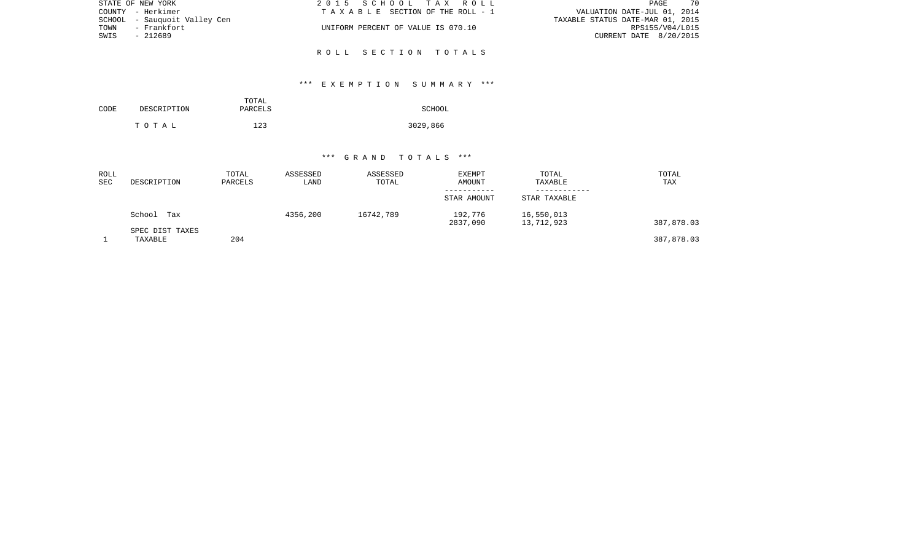| 2015 SCHOOL TAX ROLL               | 70<br>PAGE                       |
|------------------------------------|----------------------------------|
| TAXABLE SECTION OF THE ROLL - 1    | VALUATION DATE-JUL 01, 2014      |
|                                    | TAXABLE STATUS DATE-MAR 01, 2015 |
| UNIFORM PERCENT OF VALUE IS 070.10 | RPS155/V04/L015                  |
|                                    | CURRENT DATE 8/20/2015           |
|                                    |                                  |
|                                    | ROLL SECTION TOTALS              |

## \*\*\* E X E M P T I O N S U M M A R Y \*\*\*

|      |             | TOTAL   |          |
|------|-------------|---------|----------|
| CODE | DESCRIPTION | PARCELS | SCHOOL   |
|      | тотаь       | 123     | 3029,866 |

### \*\*\* G R A N D T O T A L S \*\*\*

| ROLL<br>SEC | DESCRIPTION                | TOTAL<br>PARCELS | ASSESSED<br>LAND | ASSESSED<br>TOTAL | <b>EXEMPT</b><br>AMOUNT | TOTAL<br>TAXABLE         | TOTAL<br>TAX |
|-------------|----------------------------|------------------|------------------|-------------------|-------------------------|--------------------------|--------------|
|             |                            |                  |                  |                   | STAR AMOUNT             | STAR TAXABLE             |              |
|             | School<br>Tax              |                  | 4356,200         | 16742,789         | 192,776<br>2837,090     | 16,550,013<br>13,712,923 | 387,878.03   |
|             | SPEC DIST TAXES<br>TAXABLE | 204              |                  |                   |                         |                          | 387,878.03   |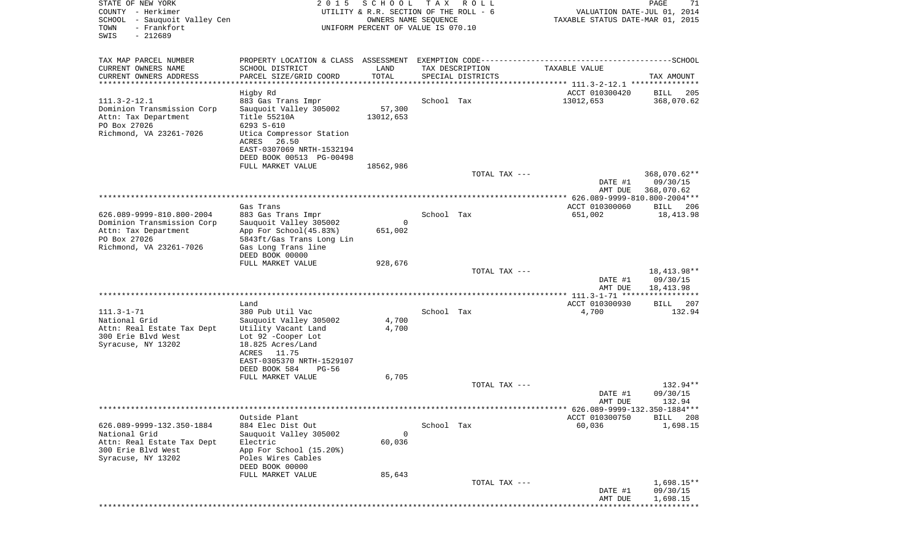| STATE OF NEW YORK<br>COUNTY - Herkimer<br>SCHOOL<br>- Sauquoit Valley Cen<br>- Frankfort<br>TOWN<br>$-212689$<br>SWIS | 2 0 1 5                                                                                                                                                                                                | SCHOOL<br>UTILITY & R.R. SECTION OF THE ROLL - 6<br>OWNERS NAME SEQUENCE<br>UNIFORM PERCENT OF VALUE IS 070.10 | T A X      | R O L L           | VALUATION DATE-JUL 01, 2014<br>TAXABLE STATUS DATE-MAR 01, 2015 | PAGE<br>71                             |
|-----------------------------------------------------------------------------------------------------------------------|--------------------------------------------------------------------------------------------------------------------------------------------------------------------------------------------------------|----------------------------------------------------------------------------------------------------------------|------------|-------------------|-----------------------------------------------------------------|----------------------------------------|
| TAX MAP PARCEL NUMBER                                                                                                 |                                                                                                                                                                                                        |                                                                                                                |            |                   |                                                                 |                                        |
| CURRENT OWNERS NAME                                                                                                   | SCHOOL DISTRICT                                                                                                                                                                                        | LAND<br>TOTAL                                                                                                  |            | TAX DESCRIPTION   | TAXABLE VALUE                                                   |                                        |
| CURRENT OWNERS ADDRESS<br>*********************                                                                       | PARCEL SIZE/GRID COORD<br>************************                                                                                                                                                     |                                                                                                                |            | SPECIAL DISTRICTS |                                                                 | TAX AMOUNT                             |
|                                                                                                                       | Higby Rd                                                                                                                                                                                               |                                                                                                                |            |                   | ACCT 010300420                                                  | BILL<br>205                            |
| $111.3 - 2 - 12.1$<br>Dominion Transmission Corp<br>Attn: Tax Department<br>PO Box 27026<br>Richmond, VA 23261-7026   | 883 Gas Trans Impr<br>Sauquoit Valley 305002<br>Title 55210A<br>6293 S-610<br>Utica Compressor Station<br>ACRES<br>26.50<br>EAST-0307069 NRTH-1532194<br>DEED BOOK 00513 PG-00498<br>FULL MARKET VALUE | 57,300<br>13012,653<br>18562,986                                                                               | School Tax |                   | 13012,653                                                       | 368,070.62                             |
|                                                                                                                       |                                                                                                                                                                                                        |                                                                                                                |            | TOTAL TAX ---     |                                                                 | 368,070.62**                           |
|                                                                                                                       |                                                                                                                                                                                                        |                                                                                                                |            |                   | DATE #1<br>AMT DUE                                              | 09/30/15<br>368,070.62                 |
|                                                                                                                       | Gas Trans                                                                                                                                                                                              |                                                                                                                |            |                   | ACCT 010300060                                                  | BILL 206                               |
| 626.089-9999-810.800-2004<br>Dominion Transmission Corp<br>Attn: Tax Department<br>PO Box 27026                       | 883 Gas Trans Impr<br>Sauquoit Valley 305002<br>App For School(45.83%)<br>5843ft/Gas Trans Long Lin                                                                                                    | 0<br>651,002                                                                                                   | School Tax |                   | 651,002                                                         | 18,413.98                              |
| Richmond, VA 23261-7026                                                                                               | Gas Long Trans line<br>DEED BOOK 00000                                                                                                                                                                 |                                                                                                                |            |                   |                                                                 |                                        |
|                                                                                                                       | FULL MARKET VALUE                                                                                                                                                                                      | 928,676                                                                                                        |            | TOTAL TAX ---     | DATE #1<br>AMT DUE                                              | 18, 413. 98**<br>09/30/15<br>18,413.98 |
|                                                                                                                       |                                                                                                                                                                                                        |                                                                                                                |            |                   |                                                                 |                                        |
| $111.3 - 1 - 71$<br>National Grid<br>Attn: Real Estate Tax Dept<br>300 Erie Blvd West<br>Syracuse, NY 13202           | Land<br>380 Pub Util Vac<br>Sauquoit Valley 305002<br>Utility Vacant Land<br>Lot 92 -Cooper Lot<br>18.825 Acres/Land<br>ACRES<br>11.75<br>EAST-0305370 NRTH-1529107                                    | 4,700<br>4,700                                                                                                 | School Tax |                   | ACCT 010300930<br>4,700                                         | BILL<br>207<br>132.94                  |
|                                                                                                                       | DEED BOOK 584<br>$PG-56$<br>FULL MARKET VALUE                                                                                                                                                          | 6,705                                                                                                          |            |                   |                                                                 |                                        |
|                                                                                                                       |                                                                                                                                                                                                        |                                                                                                                |            | TOTAL TAX ---     | DATE #1                                                         | 132.94**<br>09/30/15                   |
|                                                                                                                       |                                                                                                                                                                                                        |                                                                                                                |            |                   | AMT DUE<br>******* 626.089-9999-132.350-1884***                 | 132.94                                 |
|                                                                                                                       | Outside Plant                                                                                                                                                                                          |                                                                                                                |            |                   | ACCT 010300750                                                  | BILL 208                               |
| 626.089-9999-132.350-1884<br>National Grid<br>Attn: Real Estate Tax Dept<br>300 Erie Blvd West<br>Syracuse, NY 13202  | 884 Elec Dist Out<br>Sauquoit Valley 305002<br>Electric<br>App For School (15.20%)<br>Poles Wires Cables<br>DEED BOOK 00000                                                                            | 0<br>60,036                                                                                                    | School Tax |                   | 60,036                                                          | 1,698.15                               |
|                                                                                                                       | FULL MARKET VALUE                                                                                                                                                                                      | 85,643                                                                                                         |            | TOTAL TAX ---     |                                                                 | 1,698.15**                             |
|                                                                                                                       |                                                                                                                                                                                                        |                                                                                                                |            |                   | DATE #1<br>AMT DUE                                              | 09/30/15<br>1,698.15                   |
|                                                                                                                       |                                                                                                                                                                                                        |                                                                                                                |            |                   |                                                                 | * * * * * * * * * * *                  |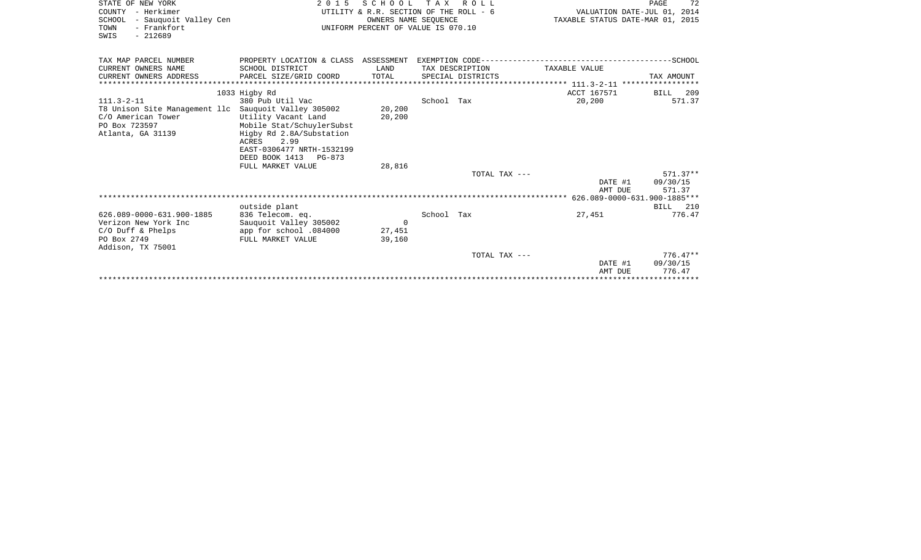| 72<br>PAGE                               | R O L L                                | 2015 SCHOOL TAX          |                                                                                                                      | STATE OF NEW YORK                                                                                            |
|------------------------------------------|----------------------------------------|--------------------------|----------------------------------------------------------------------------------------------------------------------|--------------------------------------------------------------------------------------------------------------|
| VALUATION DATE-JUL 01, 2014              | UTILITY & R.R. SECTION OF THE ROLL - 6 |                          |                                                                                                                      | COUNTY - Herkimer                                                                                            |
| TAXABLE STATUS DATE-MAR 01, 2015         |                                        | OWNERS NAME SEQUENCE     |                                                                                                                      | - Sauquoit Valley Cen<br>SCHOOL                                                                              |
|                                          | UNIFORM PERCENT OF VALUE IS 070.10     |                          | TOWN<br>- Frankfort<br>$-212689$<br>SWIS                                                                             |                                                                                                              |
|                                          |                                        |                          |                                                                                                                      | TAX MAP PARCEL NUMBER                                                                                        |
| TAXABLE VALUE                            | TAX DESCRIPTION                        | LAND                     | SCHOOL DISTRICT                                                                                                      | CURRENT OWNERS NAME                                                                                          |
| TAX AMOUNT                               | SPECIAL DISTRICTS                      | TOTAL                    | PARCEL SIZE/GRID COORD                                                                                               | CURRENT OWNERS ADDRESS<br>********************                                                               |
| ACCT 167571<br>BILL 209                  |                                        |                          | 1033 Higby Rd                                                                                                        |                                                                                                              |
| 20,200<br>571.37                         | School Tax                             |                          | 380 Pub Util Vac                                                                                                     | $111.3 - 2 - 11$                                                                                             |
|                                          |                                        | 20,200<br>20,200         | Utility Vacant Land<br>Mobile Stat/SchuylerSubst                                                                     | T8 Unison Site Management llc Sauquoit Valley 305002<br>C/O American Tower<br>PO Box 723597                  |
|                                          |                                        | 28,816                   | Higby Rd 2.8A/Substation<br>ACRES 2.99<br>EAST-0306477 NRTH-1532199<br>DEED BOOK 1413<br>PG-873<br>FULL MARKET VALUE | Atlanta, GA 31139                                                                                            |
| $571.37**$                               | TOTAL TAX ---                          |                          |                                                                                                                      |                                                                                                              |
| 09/30/15<br>DATE #1<br>AMT DUE<br>571.37 |                                        |                          |                                                                                                                      |                                                                                                              |
|                                          |                                        |                          |                                                                                                                      |                                                                                                              |
| <b>BILL</b> 210                          |                                        |                          | outside plant                                                                                                        |                                                                                                              |
| 776.47                                   | School Tax                             |                          | 836 Telecom. eq.                                                                                                     |                                                                                                              |
|                                          |                                        |                          |                                                                                                                      |                                                                                                              |
|                                          |                                        | 39,160                   | FULL MARKET VALUE                                                                                                    |                                                                                                              |
| $776.47**$                               | TOTAL TAX ---                          |                          |                                                                                                                      |                                                                                                              |
| DATE #1<br>09/30/15<br>776.47<br>AMT DUE |                                        |                          |                                                                                                                      |                                                                                                              |
| 27,451                                   |                                        | $\overline{0}$<br>27,451 | Sauquoit Valley 305002<br>app for school .084000                                                                     | 626.089-0000-631.900-1885<br>Verizon New York Inc<br>$C/O$ Duff & Phelps<br>PO Box 2749<br>Addison, TX 75001 |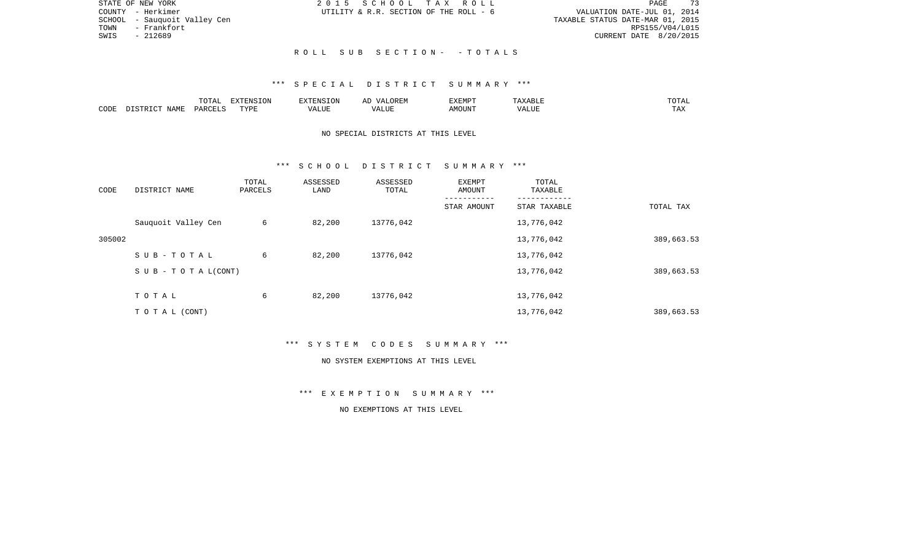|      | STATE OF NEW YORK            | 2015 SCHOOL TAX ROLL |                                        |  |                                  |                        | PAGE | 73 |
|------|------------------------------|----------------------|----------------------------------------|--|----------------------------------|------------------------|------|----|
|      | COUNTY - Herkimer            |                      | UTILITY & R.R. SECTION OF THE ROLL - 6 |  | VALUATION DATE-JUL 01, 2014      |                        |      |    |
|      | SCHOOL - Sauquoit Valley Cen |                      |                                        |  | TAXABLE STATUS DATE-MAR 01, 2015 |                        |      |    |
| TOWN | - Frankfort                  |                      |                                        |  |                                  | RPS155/V04/L015        |      |    |
| SWIS | - 212689                     |                      |                                        |  |                                  | CURRENT DATE 8/20/2015 |      |    |
|      |                              |                      |                                        |  |                                  |                        |      |    |

## R O L L S U B S E C T I O N - - T O T A L S

#### \*\*\* S P E C I A L D I S T R I C T S U M M A R Y \*\*\*

|      |               | ------ | pumpun tau<br>$\left(11\right)$ |        |            | 'YEMPT         | .             | ◡▴▱▴            |
|------|---------------|--------|---------------------------------|--------|------------|----------------|---------------|-----------------|
| CODE | A BAT<br>NAMP | リハト    | <b>TVDT</b>                     | . LIUP | ,,,<br>LUP | IOUN'.<br>ـ MC | $- - - - - -$ | $- - -$<br>L A∡ |

## NO SPECIAL DISTRICTS AT THIS LEVEL

#### \*\*\* S C H O O L D I S T R I C T S U M M A R Y \*\*\*

| CODE   | DISTRICT NAME                    | TOTAL<br>PARCELS | ASSESSED<br>LAND | ASSESSED<br>TOTAL | EXEMPT<br>AMOUNT | TOTAL<br>TAXABLE |            |
|--------|----------------------------------|------------------|------------------|-------------------|------------------|------------------|------------|
|        |                                  |                  |                  |                   | STAR AMOUNT      | STAR TAXABLE     | TOTAL TAX  |
|        | Sauquoit Valley Cen              | 6                | 82,200           | 13776,042         |                  | 13,776,042       |            |
| 305002 |                                  |                  |                  |                   |                  | 13,776,042       | 389,663.53 |
|        | SUB-TOTAL                        | 6                | 82,200           | 13776,042         |                  | 13,776,042       |            |
|        | $S \cup B - T \cup T A L (CONT)$ |                  |                  |                   |                  | 13,776,042       | 389,663.53 |
|        | TOTAL                            | 6                | 82,200           | 13776,042         |                  | 13,776,042       |            |
|        | TO TAL (CONT)                    |                  |                  |                   |                  | 13,776,042       | 389,663.53 |

\*\*\* S Y S T E M C O D E S S U M M A R Y \*\*\*

#### NO SYSTEM EXEMPTIONS AT THIS LEVEL

\*\*\* E X E M P T I O N S U M M A R Y \*\*\*

## NO EXEMPTIONS AT THIS LEVEL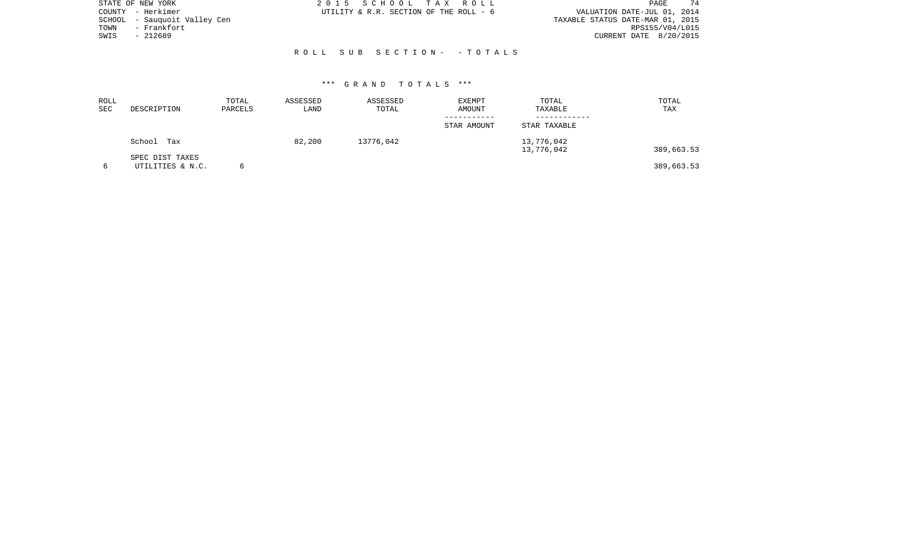| STATE OF NEW YORK |                       | 2015 SCHOOL TAX ROLL                   |                            | PAGE                             | 74 |
|-------------------|-----------------------|----------------------------------------|----------------------------|----------------------------------|----|
| COUNTY - Herkimer |                       | UTILITY & R.R. SECTION OF THE ROLL - 6 |                            | VALUATION DATE-JUL 01, 2014      |    |
| SCHOOL            | - Sauquoit Valley Cen |                                        |                            | TAXABLE STATUS DATE-MAR 01, 2015 |    |
| TOWN              | - Frankfort           |                                        |                            | RPS155/V04/L015                  |    |
| SWIS<br>- 212689  |                       |                                        |                            | CURRENT DATE 8/20/2015           |    |
|                   |                       |                                        |                            |                                  |    |
|                   |                       |                                        | ROLL SUB SECTION- - TOTALS |                                  |    |

| ROLL<br><b>SEC</b> | DESCRIPTION                         | TOTAL<br>PARCELS | ASSESSED<br>LAND | ASSESSED<br>TOTAL | <b>EXEMPT</b><br>AMOUNT | TOTAL<br>TAXABLE         | TOTAL<br>TAX |
|--------------------|-------------------------------------|------------------|------------------|-------------------|-------------------------|--------------------------|--------------|
|                    |                                     |                  |                  |                   | STAR AMOUNT             | STAR TAXABLE             |              |
|                    | School<br>Tax                       |                  | 82,200           | 13776,042         |                         | 13,776,042<br>13,776,042 | 389,663.53   |
| 6                  | SPEC DIST TAXES<br>UTILITIES & N.C. | 6                |                  |                   |                         |                          | 389,663.53   |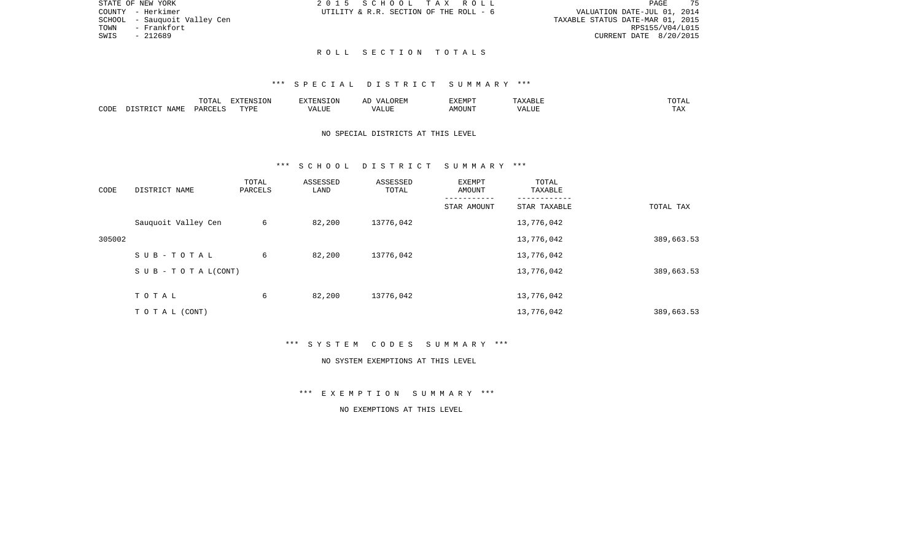| STATE OF NEW YORK             | 2015 SCHOOL TAX ROLL                   | 75<br><b>PAGE</b>                |
|-------------------------------|----------------------------------------|----------------------------------|
| COUNTY - Herkimer             | UTILITY & R.R. SECTION OF THE ROLL - 6 | VALUATION DATE-JUL 01, 2014      |
| SCHOOL  – Sauquoit Valley Cen |                                        | TAXABLE STATUS DATE-MAR 01, 2015 |
| TOWN<br>- Frankfort           |                                        | RPS155/V04/L015                  |
| SWIS<br>- 212689              |                                        | CURRENT DATE 8/20/2015           |
|                               |                                        |                                  |

75

# R O L L S E C T I O N T O T A L S

#### \*\*\* S P E C I A L D I S T R I C T S U M M A R Y \*\*\*

|      |                    | T<br>$\Delta$<br>10111 | .ON       | $ -$  | $H: \mathbb{R}^n$<br>ΑI | <b>DIEDIS</b><br>-XEMP |           | ◡∸ェℶ                 |
|------|--------------------|------------------------|-----------|-------|-------------------------|------------------------|-----------|----------------------|
| CODE | IAME<br>$\sqrt{2}$ |                        | TVDF<br>. | L.TTF | TTT.                    |                        | $- - - -$ | ᇚᆪ<br>L <i>I</i> 14. |

## NO SPECIAL DISTRICTS AT THIS LEVEL

#### \*\*\* S C H O O L D I S T R I C T S U M M A R Y \*\*\*

| CODE   | DISTRICT NAME                    | TOTAL<br>PARCELS | ASSESSED<br>LAND | ASSESSED<br>TOTAL | EXEMPT<br>AMOUNT | TOTAL<br>TAXABLE |            |
|--------|----------------------------------|------------------|------------------|-------------------|------------------|------------------|------------|
|        |                                  |                  |                  |                   | STAR AMOUNT      | STAR TAXABLE     | TOTAL TAX  |
|        | Sauquoit Valley Cen              | 6                | 82,200           | 13776,042         |                  | 13,776,042       |            |
| 305002 |                                  |                  |                  |                   |                  | 13,776,042       | 389,663.53 |
|        | SUB-TOTAL                        | 6                | 82,200           | 13776,042         |                  | 13,776,042       |            |
|        | $S \cup B - T \cup T A L (CONT)$ |                  |                  |                   |                  | 13,776,042       | 389,663.53 |
|        | TOTAL                            | 6                | 82,200           | 13776,042         |                  | 13,776,042       |            |
|        | T O T A L (CONT)                 |                  |                  |                   |                  | 13,776,042       | 389,663.53 |

\*\*\* S Y S T E M C O D E S S U M M A R Y \*\*\*

#### NO SYSTEM EXEMPTIONS AT THIS LEVEL

\*\*\* E X E M P T I O N S U M M A R Y \*\*\*

## NO EXEMPTIONS AT THIS LEVEL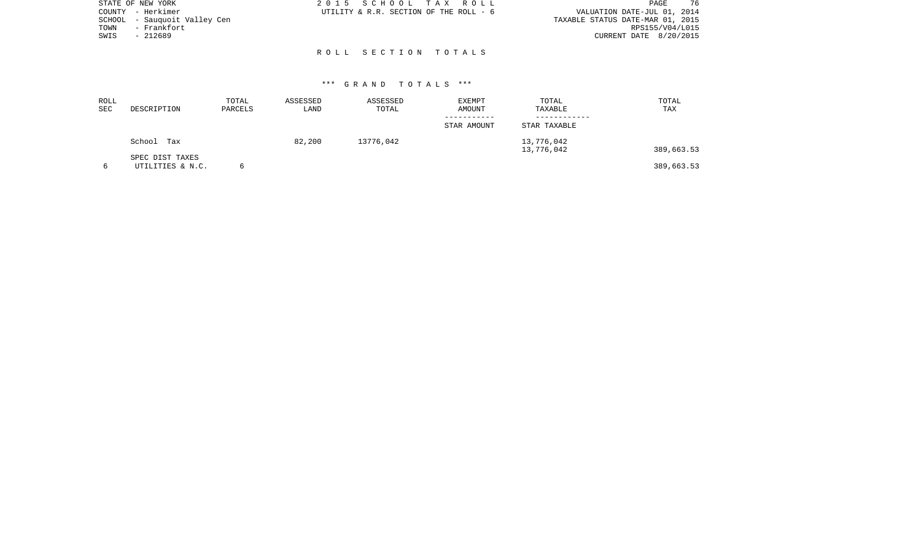| STATE OF NEW YORK            | 2015 SCHOOL TAX ROLL                   | -76<br>PAGE                      |
|------------------------------|----------------------------------------|----------------------------------|
| COUNTY - Herkimer            | UTILITY & R.R. SECTION OF THE ROLL - 6 | VALUATION DATE-JUL 01, 2014      |
| SCHOOL - Sauquoit Valley Cen |                                        | TAXABLE STATUS DATE-MAR 01, 2015 |
| - Frankfort<br>TOWN          |                                        | RPS155/V04/L015                  |
| SWIS<br>$-212689$            |                                        | CURRENT DATE 8/20/2015           |
|                              |                                        |                                  |
|                              | ROLL SECTION TOTALS                    |                                  |

| ROLL<br><b>SEC</b> | DESCRIPTION                         | TOTAL<br>PARCELS | ASSESSED<br>LAND | ASSESSED<br>TOTAL | <b>EXEMPT</b><br>AMOUNT | TOTAL<br>TAXABLE         | TOTAL<br>TAX |
|--------------------|-------------------------------------|------------------|------------------|-------------------|-------------------------|--------------------------|--------------|
|                    |                                     |                  |                  |                   | STAR AMOUNT             | STAR TAXABLE             |              |
|                    | School<br>Tax                       |                  | 82,200           | 13776,042         |                         | 13,776,042<br>13,776,042 | 389,663.53   |
| 6                  | SPEC DIST TAXES<br>UTILITIES & N.C. | 6                |                  |                   |                         |                          | 389,663.53   |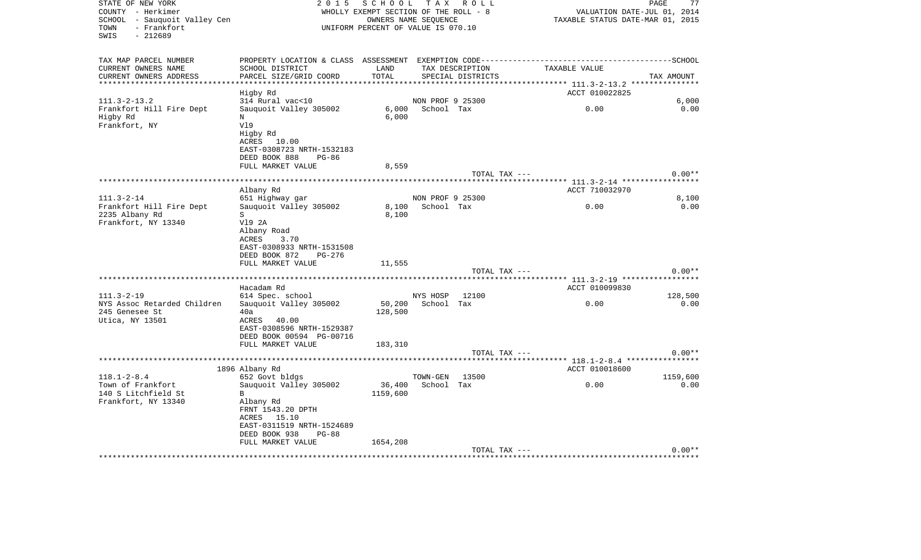| STATE OF NEW YORK<br>COUNTY - Herkimer<br>SCHOOL - Sauquoit Valley Cen<br>- Frankfort<br>TOWN<br>SWIS<br>$-212689$ | SCHOOL<br>TAX ROLL<br>2 0 1 5<br>WHOLLY EXEMPT SECTION OF THE ROLL - 8<br>OWNERS NAME SEQUENCE<br>UNIFORM PERCENT OF VALUE IS 070.10                                                                         |                                |                                |                                      | PAGE<br>VALUATION DATE-JUL 01, 2014<br>TAXABLE STATUS DATE-MAR 01, 2015 |                  |  |  |
|--------------------------------------------------------------------------------------------------------------------|--------------------------------------------------------------------------------------------------------------------------------------------------------------------------------------------------------------|--------------------------------|--------------------------------|--------------------------------------|-------------------------------------------------------------------------|------------------|--|--|
| TAX MAP PARCEL NUMBER<br>CURRENT OWNERS NAME<br>CURRENT OWNERS ADDRESS                                             | SCHOOL DISTRICT<br>PARCEL SIZE/GRID COORD                                                                                                                                                                    | LAND<br>TOTAL                  |                                | TAX DESCRIPTION<br>SPECIAL DISTRICTS | TAXABLE VALUE                                                           | TAX AMOUNT       |  |  |
| *********************                                                                                              | Higby Rd                                                                                                                                                                                                     |                                |                                |                                      | ACCT 010022825                                                          |                  |  |  |
| $111.3 - 2 - 13.2$<br>Frankfort Hill Fire Dept<br>Higby Rd<br>Frankfort, NY                                        | 314 Rural vac<10<br>Sauquoit Valley 305002<br>N<br>V19<br>Higby Rd<br>ACRES<br>10.00                                                                                                                         | 6,000<br>6,000                 | NON PROF 9 25300<br>School Tax |                                      | 0.00                                                                    | 6,000<br>0.00    |  |  |
|                                                                                                                    | EAST-0308723 NRTH-1532183<br>DEED BOOK 888<br>PG-86<br>FULL MARKET VALUE                                                                                                                                     | 8,559                          |                                | TOTAL TAX ---                        |                                                                         | $0.00**$         |  |  |
|                                                                                                                    |                                                                                                                                                                                                              |                                |                                |                                      |                                                                         |                  |  |  |
| $111.3 - 2 - 14$                                                                                                   | Albany Rd<br>651 Highway gar                                                                                                                                                                                 |                                | NON PROF 9 25300               |                                      | ACCT 710032970                                                          | 8,100            |  |  |
| Frankfort Hill Fire Dept<br>2235 Albany Rd<br>Frankfort, NY 13340                                                  | Sauquoit Valley 305002<br>S<br>V19 2A<br>Albany Road<br>ACRES<br>3.70<br>EAST-0308933 NRTH-1531508<br>DEED BOOK 872<br>PG-276                                                                                | 8,100<br>8,100                 | School Tax                     |                                      | 0.00                                                                    | 0.00             |  |  |
|                                                                                                                    | FULL MARKET VALUE                                                                                                                                                                                            | 11,555                         |                                | TOTAL TAX ---                        |                                                                         | $0.00**$         |  |  |
| ***************************                                                                                        | Hacadam Rd                                                                                                                                                                                                   |                                |                                |                                      | ACCT 010099830                                                          |                  |  |  |
| $111.3 - 2 - 19$<br>NYS Assoc Retarded Children<br>245 Genesee St<br>Utica, NY 13501                               | 614 Spec. school<br>Sauquoit Valley 305002<br>40a<br>ACRES<br>40.00<br>EAST-0308596 NRTH-1529387<br>DEED BOOK 00594 PG-00716<br>FULL MARKET VALUE                                                            | 50,200<br>128,500<br>183,310   | NYS HOSP<br>School Tax         | 12100                                | 0.00                                                                    | 128,500<br>0.00  |  |  |
|                                                                                                                    |                                                                                                                                                                                                              |                                |                                | TOTAL TAX ---                        | ***** 118.1-2-8.4 *****************                                     | $0.00**$         |  |  |
| $118.1 - 2 - 8.4$<br>Town of Frankfort<br>140 S Litchfield St<br>Frankfort, NY 13340                               | 1896 Albany Rd<br>652 Govt bldgs<br>Sauguoit Valley 305002<br>$\mathbf{B}$<br>Albany Rd<br>FRNT 1543.20 DPTH<br>ACRES<br>15.10<br>EAST-0311519 NRTH-1524689<br>DEED BOOK 938<br>$PG-88$<br>FULL MARKET VALUE | 36,400<br>1159,600<br>1654,208 | TOWN-GEN<br>School Tax         | 13500                                | ACCT 010018600<br>0.00                                                  | 1159,600<br>0.00 |  |  |
| ********************                                                                                               |                                                                                                                                                                                                              |                                |                                | TOTAL TAX ---                        |                                                                         | $0.00**$         |  |  |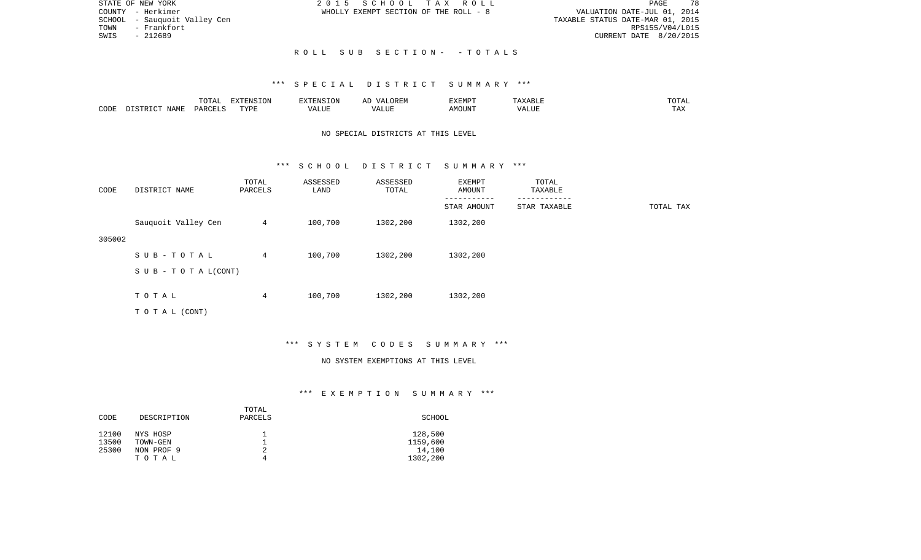|      | STATE OF NEW YORK            |  |  | 2015 SCHOOL TAX ROLL                  |                                  |                        | <b>PAGE</b> | 78 |
|------|------------------------------|--|--|---------------------------------------|----------------------------------|------------------------|-------------|----|
|      | COUNTY - Herkimer            |  |  | WHOLLY EXEMPT SECTION OF THE ROLL - 8 | VALUATION DATE-JUL 01, 2014      |                        |             |    |
|      | SCHOOL - Sauguoit Valley Cen |  |  |                                       | TAXABLE STATUS DATE-MAR 01, 2015 |                        |             |    |
| TOWN | - Frankfort                  |  |  |                                       |                                  | RPS155/V04/L015        |             |    |
| SWIS | $-212689$                    |  |  |                                       |                                  | CURRENT DATE 8/20/2015 |             |    |
|      |                              |  |  |                                       |                                  |                        |             |    |
|      |                              |  |  | ROLL SUB SECTION- - TOTALS            |                                  |                        |             |    |

#### \*\*\* S P E C I A L D I S T R I C T S U M M A R Y \*\*\*

|      |      | ----                    | EXTENSION   |          | $\cdots$ | יסו היד אי                   |   |                   |
|------|------|-------------------------|-------------|----------|----------|------------------------------|---|-------------------|
| CODE | NAME | $\triangle$ AR $\cap$ T | <b>TIZE</b> | ا نانله. | بادف     | $M$ $\cap$ $T$ $\cap$ $\cap$ | ▱ | $- - - -$<br>171. |

## NO SPECIAL DISTRICTS AT THIS LEVEL

#### \*\*\* S C H O O L D I S T R I C T S U M M A R Y \*\*\*

| CODE   | DISTRICT NAME                    | TOTAL<br>PARCELS | ASSESSED<br>LAND | ASSESSED<br>TOTAL | EXEMPT<br>AMOUNT | TOTAL<br>TAXABLE |           |
|--------|----------------------------------|------------------|------------------|-------------------|------------------|------------------|-----------|
|        |                                  |                  |                  |                   | STAR AMOUNT      | STAR TAXABLE     | TOTAL TAX |
|        | Sauquoit Valley Cen              | $4\overline{ }$  | 100,700          | 1302,200          | 1302,200         |                  |           |
| 305002 |                                  |                  |                  |                   |                  |                  |           |
|        | SUB-TOTAL                        | $\overline{4}$   | 100,700          | 1302,200          | 1302,200         |                  |           |
|        | $S \cup B - T \cup T A L (CONT)$ |                  |                  |                   |                  |                  |           |
|        |                                  |                  |                  |                   |                  |                  |           |
|        | TOTAL                            | $\overline{4}$   | 100,700          | 1302,200          | 1302,200         |                  |           |
|        | TO TAL (CONT)                    |                  |                  |                   |                  |                  |           |

## \*\*\* S Y S T E M C O D E S S U M M A R Y \*\*\*

#### NO SYSTEM EXEMPTIONS AT THIS LEVEL

## \*\*\* E X E M P T I O N S U M M A R Y \*\*\*

| CODE           | DESCRIPTION          | TOTAL<br>PARCELS | SCHOOL              |
|----------------|----------------------|------------------|---------------------|
| 12100<br>13500 | NYS HOSP<br>TOWN-GEN |                  | 128,500<br>1159,600 |
| 25300          | NON PROF 9           | 2                | 14,100              |
|                | TOTAL                | 4                | 1302,200            |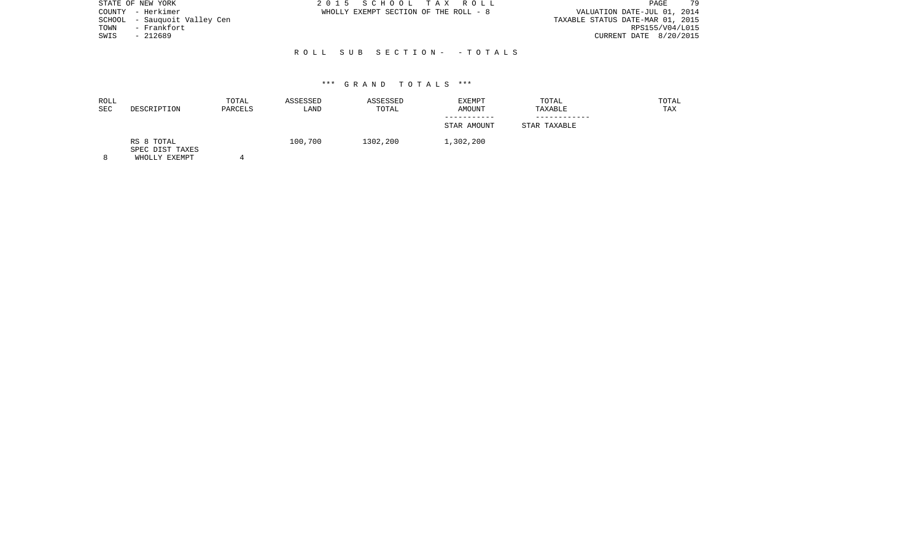|      | STATE OF NEW YORK            | 2015 SCHOOL TAX ROLL                  | 79<br>PAGE                       |
|------|------------------------------|---------------------------------------|----------------------------------|
|      | COUNTY - Herkimer            | WHOLLY EXEMPT SECTION OF THE ROLL - 8 | VALUATION DATE-JUL 01, 2014      |
|      | SCHOOL - Sauquoit Valley Cen |                                       | TAXABLE STATUS DATE-MAR 01, 2015 |
| TOWN | - Frankfort                  |                                       | RPS155/V04/L015                  |
| SWIS | - 212689                     |                                       | CURRENT DATE 8/20/2015           |
|      |                              |                                       |                                  |
|      |                              | ROLL SUB SECTION- - TOTALS            |                                  |

| ROLL<br>SEC | DESCRIPTION                   | TOTAL<br>PARCELS | ASSESSED<br>LAND | ASSESSED<br>TOTAL | EXEMPT<br>AMOUNT | TOTAL<br>TAXABLE | TOTAL<br>TAX |
|-------------|-------------------------------|------------------|------------------|-------------------|------------------|------------------|--------------|
|             |                               |                  |                  |                   | STAR AMOUNT      | STAR TAXABLE     |              |
|             | RS 8 TOTAL<br>SPEC DIST TAXES |                  | 100,700          | 1302,200          | 1,302,200        |                  |              |

8 WHOLLY EXEMPT 4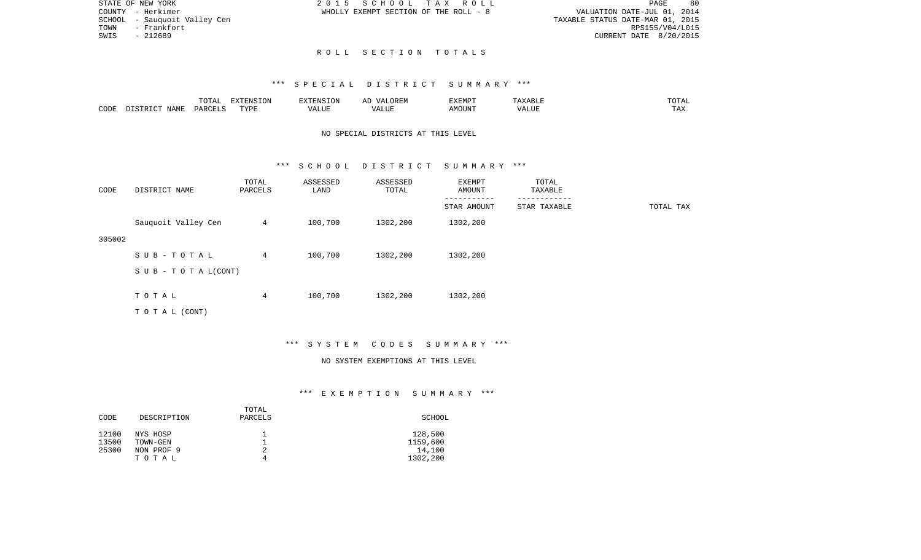| DLL  |  |                                  | PAGE. | 80 |
|------|--|----------------------------------|-------|----|
| $-8$ |  | VALUATION DATE-JUL 01, 2014      |       |    |
|      |  | TAXABLE STATUS DATE-MAR 01, 2015 |       |    |
|      |  | RPS155/V04/L015                  |       |    |
|      |  | CURRENT DATE 8/20/2015           |       |    |

STATE OF NEW YORK **2015** SCHOOL TAX RO

COUNTY - Herkimer WHOLLY EXEMPT SECTION OF THE ROLL SCHOOL - Sauquoit Valley Cen  $TOWN$  -  $Frankfort$ SWIS - 212689

#### R O L L S E C T I O N T O T A L S

#### \*\*\* S P E C I A L D I S T R I C T S U M M A R Y \*\*\*

|      |      | ----<br>◡∸⊷       | ־סוותידעים<br>ION |       | 'XEMPT           | $\cdot$ 4511.   | $m \wedge m$<br>. |
|------|------|-------------------|-------------------|-------|------------------|-----------------|-------------------|
| CODE | NAME | $\triangle$ ARCET | <b>TIZE</b>       | - --- | IOUN".<br>⊾ IVI⊦ | $   -$<br>ں سدہ | $- - -$<br>. Ал   |

## NO SPECIAL DISTRICTS AT THIS LEVEL

#### \*\*\* S C H O O L D I S T R I C T S U M M A R Y \*\*\*

| CODE   | DISTRICT NAME                    | TOTAL<br>PARCELS | ASSESSED<br>LAND | ASSESSED<br>TOTAL | EXEMPT<br>AMOUNT | TOTAL<br>TAXABLE |           |
|--------|----------------------------------|------------------|------------------|-------------------|------------------|------------------|-----------|
|        |                                  |                  |                  |                   | STAR AMOUNT      | STAR TAXABLE     | TOTAL TAX |
|        | Sauquoit Valley Cen              | $\overline{4}$   | 100,700          | 1302,200          | 1302,200         |                  |           |
| 305002 |                                  |                  |                  |                   |                  |                  |           |
|        | SUB-TOTAL                        | $\overline{4}$   | 100,700          | 1302,200          | 1302,200         |                  |           |
|        | $S \cup B - T \cup T A L (CONT)$ |                  |                  |                   |                  |                  |           |
|        |                                  |                  |                  |                   |                  |                  |           |
|        | TOTAL                            | 4                | 100,700          | 1302,200          | 1302,200         |                  |           |
|        | TOTAL (CONT)                     |                  |                  |                   |                  |                  |           |

## \*\*\* S Y S T E M C O D E S S U M M A R Y \*\*\*

#### NO SYSTEM EXEMPTIONS AT THIS LEVEL

#### \*\*\* E X E M P T I O N S U M M A R Y \*\*\*

| CODE           | DESCRIPTION          | TOTAL<br>PARCELS | SCHOOL              |
|----------------|----------------------|------------------|---------------------|
| 12100<br>13500 | NYS HOSP<br>TOWN-GEN |                  | 128,500<br>1159,600 |
| 25300          | NON PROF 9           | 2                | 14,100              |
|                | TOTAL                | 4                | 1302,200            |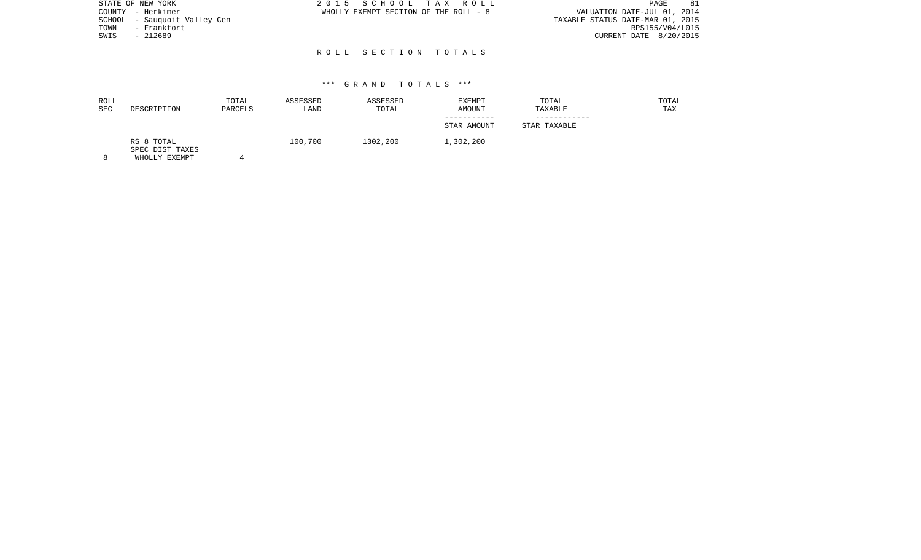| STATE OF NEW YORK            | 2015 SCHOOL TAX ROLL                  | 81<br>PAGE                       |
|------------------------------|---------------------------------------|----------------------------------|
| COUNTY - Herkimer            | WHOLLY EXEMPT SECTION OF THE ROLL - 8 | VALUATION DATE-JUL 01, 2014      |
| SCHOOL - Sauguoit Valley Cen |                                       | TAXABLE STATUS DATE-MAR 01, 2015 |
| - Frankfort<br>TOWN          |                                       | RPS155/V04/L015                  |
| SWIS<br>$-212689$            |                                       | CURRENT DATE 8/20/2015           |
|                              |                                       |                                  |
|                              | ROLL SECTION TOTALS                   |                                  |

| ROLL<br>SEC | DESCRIPTION                   | TOTAL<br>PARCELS | ASSESSED<br>LAND | ASSESSED<br>TOTAL | EXEMPT<br>AMOUNT | TOTAL<br>TAXABLE | TOTAL<br>TAX |
|-------------|-------------------------------|------------------|------------------|-------------------|------------------|------------------|--------------|
|             |                               |                  |                  |                   | STAR AMOUNT      | STAR TAXABLE     |              |
|             | RS 8 TOTAL<br>SPEC DIST TAXES |                  | 100,700          | 1302,200          | 1,302,200        |                  |              |

8 WHOLLY EXEMPT 4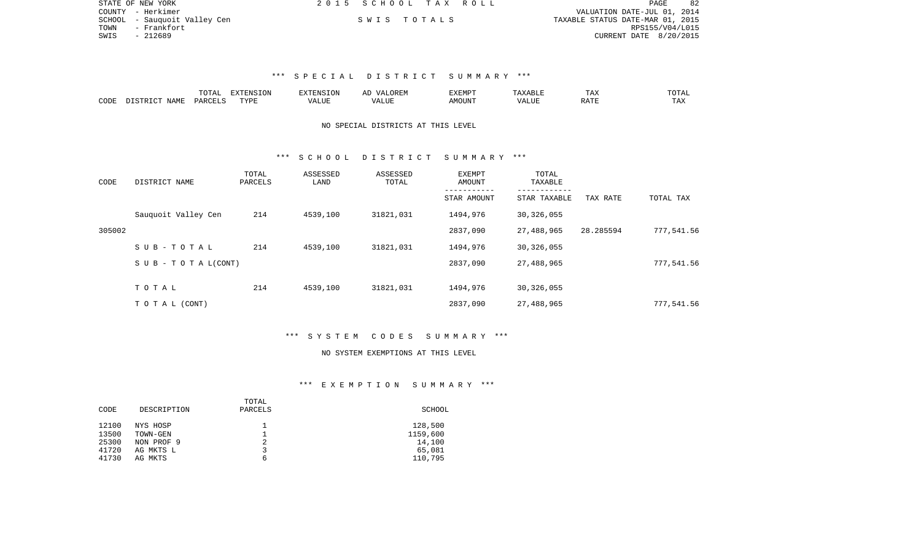| STATE OF NEW YORK |                              | 2015 SCHOOL TAX ROLL |  | <b>PAGE</b>                      |
|-------------------|------------------------------|----------------------|--|----------------------------------|
|                   | COUNTY - Herkimer            |                      |  | VALUATION DATE-JUL 01, 2014      |
|                   | SCHOOL - Sauguoit Valley Cen | SWIS TOTALS          |  | TAXABLE STATUS DATE-MAR 01, 2015 |
| TOWN              | – Frankfort                  |                      |  | RPS155/V04/L015                  |
| SWIS              | - 212689                     |                      |  | CURRENT DATE 8/20/2015           |

## \*\*\* S P E C I A L D I S T R I C T S U M M A R Y \*\*\*

|      |                     | $m \wedge m$   | ----<br><b><i>SNSION</i></b> | 'ENSION | ΑD<br>JREP | 377717777<br>חות בעי |      | ⊥ ∠ער                  | <b>TOTAL</b> |
|------|---------------------|----------------|------------------------------|---------|------------|----------------------|------|------------------------|--------------|
| CODE | NAMF<br>$ \sim$ $-$ | <b>DARCELS</b> | TVDF                         | $   -$  | $-11111$   | <b>MOUNT</b>         | JU H | $\cdot$ 7 $\pi$ $\tau$ |              |

## NO SPECIAL DISTRICTS AT THIS LEVEL

#### \*\*\* S C H O O L D I S T R I C T S U M M A R Y \*\*\*

| CODE   | DISTRICT NAME                    | TOTAL<br>PARCELS | ASSESSED<br>LAND | ASSESSED<br>TOTAL | EXEMPT<br>AMOUNT | TOTAL<br>TAXABLE |           |            |
|--------|----------------------------------|------------------|------------------|-------------------|------------------|------------------|-----------|------------|
|        |                                  |                  |                  |                   | STAR AMOUNT      | STAR TAXABLE     | TAX RATE  | TOTAL TAX  |
|        | Sauguoit Valley Cen              | 214              | 4539,100         | 31821,031         | 1494,976         | 30,326,055       |           |            |
| 305002 |                                  |                  |                  |                   | 2837,090         | 27,488,965       | 28.285594 | 777,541.56 |
|        | SUB-TOTAL                        | 214              | 4539,100         | 31821,031         | 1494,976         | 30,326,055       |           |            |
|        | $S \cup B - T \cup T A L (CONT)$ |                  |                  |                   | 2837,090         | 27,488,965       |           | 777,541.56 |
|        | TOTAL                            | 214              | 4539,100         | 31821,031         | 1494,976         | 30,326,055       |           |            |
|        |                                  |                  |                  |                   |                  |                  |           |            |
|        | TO TAL (CONT)                    |                  |                  |                   | 2837,090         | 27,488,965       |           | 777,541.56 |

#### \*\*\* S Y S T E M C O D E S S U M M A R Y \*\*\*

#### NO SYSTEM EXEMPTIONS AT THIS LEVEL

#### \*\*\* E X E M P T I O N S U M M A R Y \*\*\*

|             | TOTAL   |          |
|-------------|---------|----------|
| DESCRIPTION | PARCELS | SCHOOL   |
|             |         |          |
| NYS HOSP    |         | 128,500  |
| TOWN-GEN    |         | 1159,600 |
| NON PROF 9  | 2       | 14,100   |
| AG MKTS L   |         | 65,081   |
| AG MKTS     | 6       | 110,795  |
|             |         |          |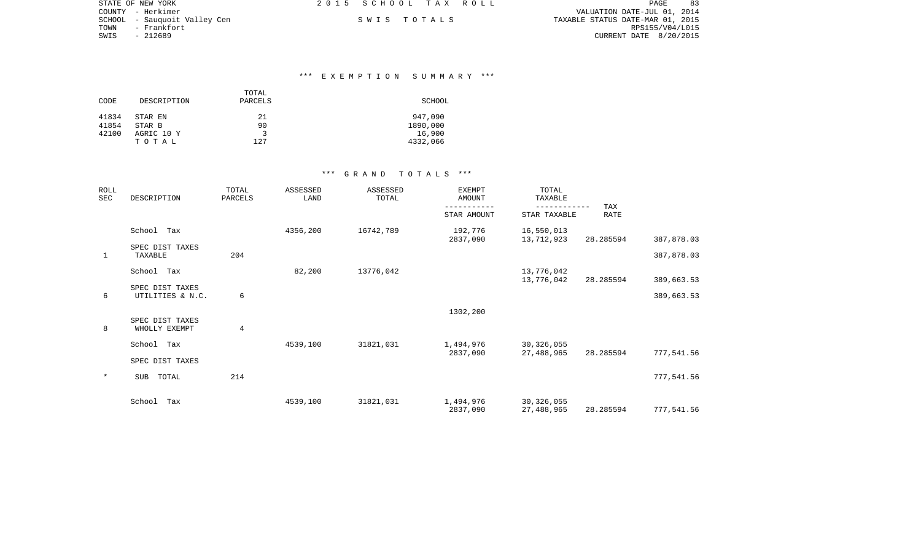|      | STATE OF NEW YORK            | 2015 SCHOOL TAX ROLL |             | PAGE                             | 83 |
|------|------------------------------|----------------------|-------------|----------------------------------|----|
|      | COUNTY - Herkimer            |                      |             | VALUATION DATE-JUL 01, 2014      |    |
|      | SCHOOL - Sauguoit Valley Cen |                      | SWIS TOTALS | TAXABLE STATUS DATE-MAR 01, 2015 |    |
| TOWN | - Frankfort                  |                      |             | RPS155/V04/L015                  |    |
| SWIS | - 212689                     |                      |             | CURRENT DATE 8/20/2015           |    |

#### \*\*\* E X E M P T I O N S U M M A R Y \*\*\*

|       |             | TOTAL   |          |
|-------|-------------|---------|----------|
| CODE  | DESCRIPTION | PARCELS | SCHOOL   |
| 41834 | STAR EN     | 21      | 947,090  |
| 41854 | STAR B      | 90      | 1890,000 |
| 42100 | AGRIC 10 Y  | 3       | 16,900   |
|       | TOTAL       | 127     | 4332,066 |

### \*\*\* G R A N D T O T A L S \*\*\*

| ROLL<br><b>SEC</b> | DESCRIPTION                         | TOTAL<br>PARCELS | ASSESSED<br>LAND | ASSESSED<br>TOTAL | <b>EXEMPT</b><br><b>AMOUNT</b> | TOTAL<br>TAXABLE           |                    |            |
|--------------------|-------------------------------------|------------------|------------------|-------------------|--------------------------------|----------------------------|--------------------|------------|
|                    |                                     |                  |                  |                   | STAR AMOUNT                    | STAR TAXABLE               | TAX<br><b>RATE</b> |            |
|                    | School<br>Tax                       |                  | 4356,200         | 16742,789         | 192,776<br>2837,090            | 16,550,013<br>13,712,923   | 28.285594          | 387,878.03 |
| $\mathbf{1}$       | SPEC DIST TAXES<br>TAXABLE          | 204              |                  |                   |                                |                            |                    | 387,878.03 |
|                    | School Tax                          |                  | 82,200           | 13776,042         |                                | 13,776,042<br>13,776,042   | 28.285594          | 389,663.53 |
| 6                  | SPEC DIST TAXES<br>UTILITIES & N.C. | 6                |                  |                   |                                |                            |                    | 389,663.53 |
|                    |                                     |                  |                  |                   | 1302,200                       |                            |                    |            |
| 8                  | SPEC DIST TAXES<br>WHOLLY EXEMPT    | $\overline{4}$   |                  |                   |                                |                            |                    |            |
|                    | School<br>Tax                       |                  | 4539,100         | 31821,031         | 1,494,976                      | 30, 326, 055               |                    |            |
|                    | SPEC DIST TAXES                     |                  |                  |                   | 2837,090                       | 27,488,965                 | 28.285594          | 777,541.56 |
| $\star$            | TOTAL<br><b>SUB</b>                 | 214              |                  |                   |                                |                            |                    | 777,541.56 |
|                    | School<br>Tax                       |                  | 4539,100         | 31821,031         | 1,494,976<br>2837,090          | 30, 326, 055<br>27,488,965 | 28.285594          | 777,541.56 |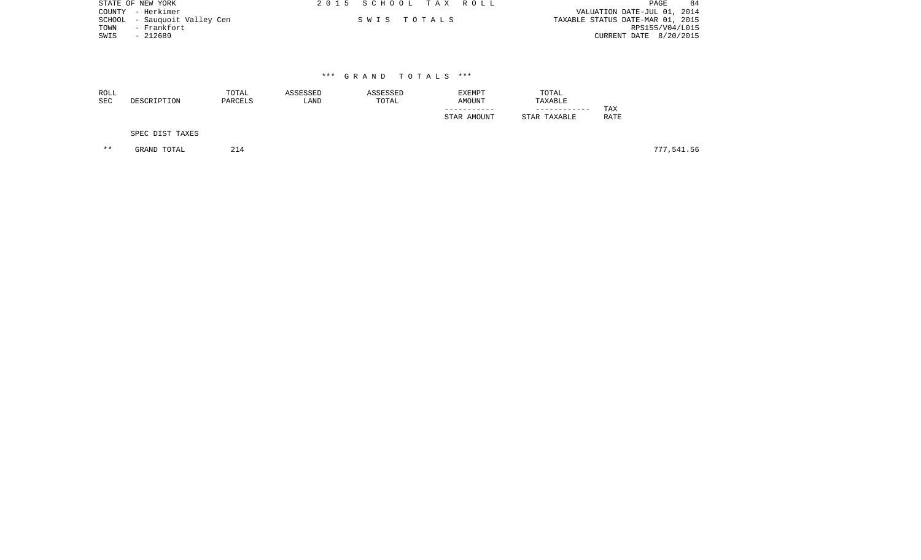|      | STATE OF NEW YORK            | 2015 SCHOOL TAX ROLL |             |                                  | PAGE            | 84 |
|------|------------------------------|----------------------|-------------|----------------------------------|-----------------|----|
|      | COUNTY - Herkimer            |                      |             | VALUATION DATE-JUL 01, 2014      |                 |    |
|      | SCHOOL - Sauguoit Valley Cen |                      | SWIS TOTALS | TAXABLE STATUS DATE-MAR 01, 2015 |                 |    |
| TOWN | – Frankfort                  |                      |             |                                  | RPS155/V04/L015 |    |
| SWIS | - 212689                     |                      |             | CURRENT DATE 8/20/2015           |                 |    |
|      |                              |                      |             |                                  |                 |    |

| <b>ROLL</b><br><b>SEC</b> | DESCRIPTION     | TOTAL<br>PARCELS | ASSESSED<br>LAND | ASSESSED<br>TOTAL | EXEMPT<br>AMOUNT<br>STAR AMOUNT | TOTAL<br>TAXABLE<br>STAR TAXABLE | TAX<br><b>RATE</b> |
|---------------------------|-----------------|------------------|------------------|-------------------|---------------------------------|----------------------------------|--------------------|
|                           | SPEC DIST TAXES |                  |                  |                   |                                 |                                  |                    |

\*\* GRAND TOTAL 214 777,541.56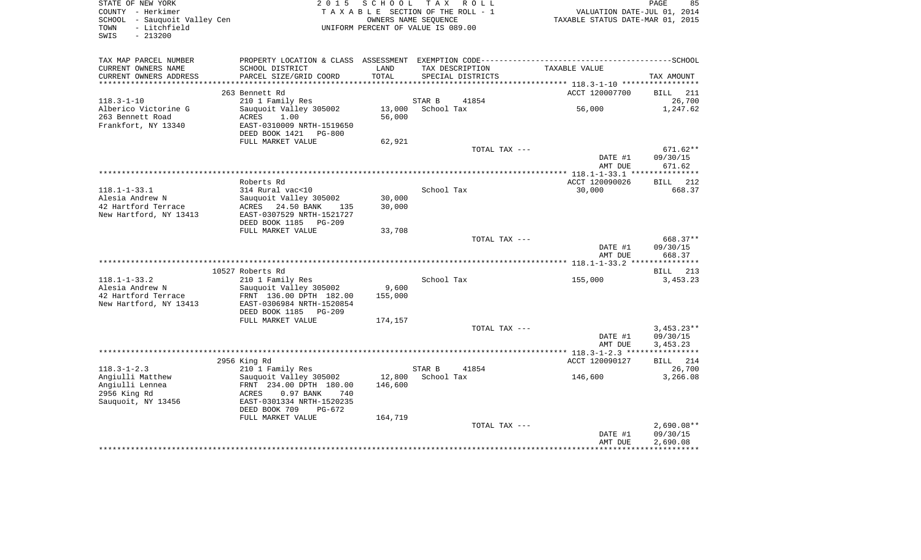| TAX MAP PARCEL NUMBER<br>CURRENT OWNERS NAME<br>SCHOOL DISTRICT<br>LAND<br>TAX DESCRIPTION<br>TAXABLE VALUE<br>PARCEL SIZE/GRID COORD<br>TOTAL<br>CURRENT OWNERS ADDRESS<br>SPECIAL DISTRICTS<br>TAX AMOUNT<br>ACCT 120007700<br>263 Bennett Rd<br>211<br>BILL<br>26,700<br>$118.3 - 1 - 10$<br>210 1 Family Res<br>STAR B<br>41854<br>Alberico Victorine G<br>Sauquoit Valley 305002<br>13,000<br>School Tax<br>56,000<br>1,247.62<br>263 Bennett Road<br>ACRES<br>1.00<br>56,000<br>Frankfort, NY 13340<br>EAST-0310009 NRTH-1519650<br>DEED BOOK 1421 PG-800<br>FULL MARKET VALUE<br>62,921<br>TOTAL TAX ---<br>$671.62**$<br>DATE #1<br>09/30/15<br>671.62<br>AMT DUE<br>ACCT 120090026<br>212<br>Roberts Rd<br>BILL<br>$118.1 - 1 - 33.1$<br>314 Rural vac<10<br>School Tax<br>30,000<br>668.37<br>Sauguoit Valley 305002<br>30,000<br>Alesia Andrew N<br>42 Hartford Terrace<br>24.50 BANK<br>30,000<br>ACRES<br>135<br>New Hartford, NY 13413<br>EAST-0307529 NRTH-1521727<br>DEED BOOK 1185 PG-209<br>FULL MARKET VALUE<br>33,708<br>TOTAL TAX ---<br>668.37**<br>DATE #1<br>09/30/15<br>AMT DUE<br>668.37<br>10527 Roberts Rd<br>BILL 213<br>$118.1 - 1 - 33.2$<br>210 1 Family Res<br>School Tax<br>155,000<br>3,453.23<br>9,600<br>Alesia Andrew N<br>Sauquoit Valley 305002<br>42 Hartford Terrace<br>FRNT 136.00 DPTH 182.00<br>155,000<br>New Hartford, NY 13413<br>EAST-0306984 NRTH-1520854<br>DEED BOOK 1185 PG-209<br>FULL MARKET VALUE<br>174,157<br>TOTAL TAX ---<br>$3,453.23**$<br>09/30/15<br>DATE #1<br>AMT DUE<br>3,453.23<br>2956 King Rd<br>ACCT 120090127<br>BILL 214<br>$118.3 - 1 - 2.3$<br>210 1 Family Res<br>STAR B<br>41854<br>26,700<br>Angiulli Matthew<br>Sauguoit Valley 305002<br>12,800<br>3,266.08<br>School Tax<br>146,600<br>Angiulli Lennea<br>FRNT 234.00 DPTH 180.00<br>146,600<br>2956 King Rd<br>ACRES<br>$0.97$ BANK<br>740<br>Sauquoit, NY 13456<br>EAST-0301334 NRTH-1520235<br>DEED BOOK 709<br>$PG-672$<br>FULL MARKET VALUE<br>164,719<br>TOTAL TAX ---<br>$2.690.08**$<br>09/30/15<br>DATE #1<br>AMT DUE<br>2,690.08 | STATE OF NEW YORK<br>COUNTY - Herkimer<br>SCHOOL - Sauquoit Valley Cen<br>- Litchfield<br>TOWN<br>$-213200$<br>SWIS | 2 0 1 5 | SCHOOL TAX ROLL<br>TAXABLE SECTION OF THE ROLL - 1<br>OWNERS NAME SEQUENCE<br>UNIFORM PERCENT OF VALUE IS 089.00 |  | VALUATION DATE-JUL 01, 2014<br>TAXABLE STATUS DATE-MAR 01, 2015 | PAGE<br>85 |
|-----------------------------------------------------------------------------------------------------------------------------------------------------------------------------------------------------------------------------------------------------------------------------------------------------------------------------------------------------------------------------------------------------------------------------------------------------------------------------------------------------------------------------------------------------------------------------------------------------------------------------------------------------------------------------------------------------------------------------------------------------------------------------------------------------------------------------------------------------------------------------------------------------------------------------------------------------------------------------------------------------------------------------------------------------------------------------------------------------------------------------------------------------------------------------------------------------------------------------------------------------------------------------------------------------------------------------------------------------------------------------------------------------------------------------------------------------------------------------------------------------------------------------------------------------------------------------------------------------------------------------------------------------------------------------------------------------------------------------------------------------------------------------------------------------------------------------------------------------------------------------------------------------------------------------------------------------------------------------------------------------------------------------------------------------------------------------|---------------------------------------------------------------------------------------------------------------------|---------|------------------------------------------------------------------------------------------------------------------|--|-----------------------------------------------------------------|------------|
|                                                                                                                                                                                                                                                                                                                                                                                                                                                                                                                                                                                                                                                                                                                                                                                                                                                                                                                                                                                                                                                                                                                                                                                                                                                                                                                                                                                                                                                                                                                                                                                                                                                                                                                                                                                                                                                                                                                                                                                                                                                                             |                                                                                                                     |         |                                                                                                                  |  |                                                                 |            |
|                                                                                                                                                                                                                                                                                                                                                                                                                                                                                                                                                                                                                                                                                                                                                                                                                                                                                                                                                                                                                                                                                                                                                                                                                                                                                                                                                                                                                                                                                                                                                                                                                                                                                                                                                                                                                                                                                                                                                                                                                                                                             |                                                                                                                     |         |                                                                                                                  |  |                                                                 |            |
|                                                                                                                                                                                                                                                                                                                                                                                                                                                                                                                                                                                                                                                                                                                                                                                                                                                                                                                                                                                                                                                                                                                                                                                                                                                                                                                                                                                                                                                                                                                                                                                                                                                                                                                                                                                                                                                                                                                                                                                                                                                                             |                                                                                                                     |         |                                                                                                                  |  |                                                                 |            |
|                                                                                                                                                                                                                                                                                                                                                                                                                                                                                                                                                                                                                                                                                                                                                                                                                                                                                                                                                                                                                                                                                                                                                                                                                                                                                                                                                                                                                                                                                                                                                                                                                                                                                                                                                                                                                                                                                                                                                                                                                                                                             |                                                                                                                     |         |                                                                                                                  |  |                                                                 |            |
|                                                                                                                                                                                                                                                                                                                                                                                                                                                                                                                                                                                                                                                                                                                                                                                                                                                                                                                                                                                                                                                                                                                                                                                                                                                                                                                                                                                                                                                                                                                                                                                                                                                                                                                                                                                                                                                                                                                                                                                                                                                                             |                                                                                                                     |         |                                                                                                                  |  |                                                                 |            |
|                                                                                                                                                                                                                                                                                                                                                                                                                                                                                                                                                                                                                                                                                                                                                                                                                                                                                                                                                                                                                                                                                                                                                                                                                                                                                                                                                                                                                                                                                                                                                                                                                                                                                                                                                                                                                                                                                                                                                                                                                                                                             |                                                                                                                     |         |                                                                                                                  |  |                                                                 |            |
|                                                                                                                                                                                                                                                                                                                                                                                                                                                                                                                                                                                                                                                                                                                                                                                                                                                                                                                                                                                                                                                                                                                                                                                                                                                                                                                                                                                                                                                                                                                                                                                                                                                                                                                                                                                                                                                                                                                                                                                                                                                                             |                                                                                                                     |         |                                                                                                                  |  |                                                                 |            |
|                                                                                                                                                                                                                                                                                                                                                                                                                                                                                                                                                                                                                                                                                                                                                                                                                                                                                                                                                                                                                                                                                                                                                                                                                                                                                                                                                                                                                                                                                                                                                                                                                                                                                                                                                                                                                                                                                                                                                                                                                                                                             |                                                                                                                     |         |                                                                                                                  |  |                                                                 |            |
|                                                                                                                                                                                                                                                                                                                                                                                                                                                                                                                                                                                                                                                                                                                                                                                                                                                                                                                                                                                                                                                                                                                                                                                                                                                                                                                                                                                                                                                                                                                                                                                                                                                                                                                                                                                                                                                                                                                                                                                                                                                                             |                                                                                                                     |         |                                                                                                                  |  |                                                                 |            |
|                                                                                                                                                                                                                                                                                                                                                                                                                                                                                                                                                                                                                                                                                                                                                                                                                                                                                                                                                                                                                                                                                                                                                                                                                                                                                                                                                                                                                                                                                                                                                                                                                                                                                                                                                                                                                                                                                                                                                                                                                                                                             |                                                                                                                     |         |                                                                                                                  |  |                                                                 |            |
|                                                                                                                                                                                                                                                                                                                                                                                                                                                                                                                                                                                                                                                                                                                                                                                                                                                                                                                                                                                                                                                                                                                                                                                                                                                                                                                                                                                                                                                                                                                                                                                                                                                                                                                                                                                                                                                                                                                                                                                                                                                                             |                                                                                                                     |         |                                                                                                                  |  |                                                                 |            |
|                                                                                                                                                                                                                                                                                                                                                                                                                                                                                                                                                                                                                                                                                                                                                                                                                                                                                                                                                                                                                                                                                                                                                                                                                                                                                                                                                                                                                                                                                                                                                                                                                                                                                                                                                                                                                                                                                                                                                                                                                                                                             |                                                                                                                     |         |                                                                                                                  |  |                                                                 |            |
|                                                                                                                                                                                                                                                                                                                                                                                                                                                                                                                                                                                                                                                                                                                                                                                                                                                                                                                                                                                                                                                                                                                                                                                                                                                                                                                                                                                                                                                                                                                                                                                                                                                                                                                                                                                                                                                                                                                                                                                                                                                                             |                                                                                                                     |         |                                                                                                                  |  |                                                                 |            |
|                                                                                                                                                                                                                                                                                                                                                                                                                                                                                                                                                                                                                                                                                                                                                                                                                                                                                                                                                                                                                                                                                                                                                                                                                                                                                                                                                                                                                                                                                                                                                                                                                                                                                                                                                                                                                                                                                                                                                                                                                                                                             |                                                                                                                     |         |                                                                                                                  |  |                                                                 |            |
|                                                                                                                                                                                                                                                                                                                                                                                                                                                                                                                                                                                                                                                                                                                                                                                                                                                                                                                                                                                                                                                                                                                                                                                                                                                                                                                                                                                                                                                                                                                                                                                                                                                                                                                                                                                                                                                                                                                                                                                                                                                                             |                                                                                                                     |         |                                                                                                                  |  |                                                                 |            |
|                                                                                                                                                                                                                                                                                                                                                                                                                                                                                                                                                                                                                                                                                                                                                                                                                                                                                                                                                                                                                                                                                                                                                                                                                                                                                                                                                                                                                                                                                                                                                                                                                                                                                                                                                                                                                                                                                                                                                                                                                                                                             |                                                                                                                     |         |                                                                                                                  |  |                                                                 |            |
|                                                                                                                                                                                                                                                                                                                                                                                                                                                                                                                                                                                                                                                                                                                                                                                                                                                                                                                                                                                                                                                                                                                                                                                                                                                                                                                                                                                                                                                                                                                                                                                                                                                                                                                                                                                                                                                                                                                                                                                                                                                                             |                                                                                                                     |         |                                                                                                                  |  |                                                                 |            |
|                                                                                                                                                                                                                                                                                                                                                                                                                                                                                                                                                                                                                                                                                                                                                                                                                                                                                                                                                                                                                                                                                                                                                                                                                                                                                                                                                                                                                                                                                                                                                                                                                                                                                                                                                                                                                                                                                                                                                                                                                                                                             |                                                                                                                     |         |                                                                                                                  |  |                                                                 |            |
|                                                                                                                                                                                                                                                                                                                                                                                                                                                                                                                                                                                                                                                                                                                                                                                                                                                                                                                                                                                                                                                                                                                                                                                                                                                                                                                                                                                                                                                                                                                                                                                                                                                                                                                                                                                                                                                                                                                                                                                                                                                                             |                                                                                                                     |         |                                                                                                                  |  |                                                                 |            |
|                                                                                                                                                                                                                                                                                                                                                                                                                                                                                                                                                                                                                                                                                                                                                                                                                                                                                                                                                                                                                                                                                                                                                                                                                                                                                                                                                                                                                                                                                                                                                                                                                                                                                                                                                                                                                                                                                                                                                                                                                                                                             |                                                                                                                     |         |                                                                                                                  |  |                                                                 |            |
|                                                                                                                                                                                                                                                                                                                                                                                                                                                                                                                                                                                                                                                                                                                                                                                                                                                                                                                                                                                                                                                                                                                                                                                                                                                                                                                                                                                                                                                                                                                                                                                                                                                                                                                                                                                                                                                                                                                                                                                                                                                                             |                                                                                                                     |         |                                                                                                                  |  |                                                                 |            |
|                                                                                                                                                                                                                                                                                                                                                                                                                                                                                                                                                                                                                                                                                                                                                                                                                                                                                                                                                                                                                                                                                                                                                                                                                                                                                                                                                                                                                                                                                                                                                                                                                                                                                                                                                                                                                                                                                                                                                                                                                                                                             |                                                                                                                     |         |                                                                                                                  |  |                                                                 |            |
|                                                                                                                                                                                                                                                                                                                                                                                                                                                                                                                                                                                                                                                                                                                                                                                                                                                                                                                                                                                                                                                                                                                                                                                                                                                                                                                                                                                                                                                                                                                                                                                                                                                                                                                                                                                                                                                                                                                                                                                                                                                                             |                                                                                                                     |         |                                                                                                                  |  |                                                                 |            |
|                                                                                                                                                                                                                                                                                                                                                                                                                                                                                                                                                                                                                                                                                                                                                                                                                                                                                                                                                                                                                                                                                                                                                                                                                                                                                                                                                                                                                                                                                                                                                                                                                                                                                                                                                                                                                                                                                                                                                                                                                                                                             |                                                                                                                     |         |                                                                                                                  |  |                                                                 |            |
|                                                                                                                                                                                                                                                                                                                                                                                                                                                                                                                                                                                                                                                                                                                                                                                                                                                                                                                                                                                                                                                                                                                                                                                                                                                                                                                                                                                                                                                                                                                                                                                                                                                                                                                                                                                                                                                                                                                                                                                                                                                                             |                                                                                                                     |         |                                                                                                                  |  |                                                                 |            |
|                                                                                                                                                                                                                                                                                                                                                                                                                                                                                                                                                                                                                                                                                                                                                                                                                                                                                                                                                                                                                                                                                                                                                                                                                                                                                                                                                                                                                                                                                                                                                                                                                                                                                                                                                                                                                                                                                                                                                                                                                                                                             |                                                                                                                     |         |                                                                                                                  |  |                                                                 |            |
|                                                                                                                                                                                                                                                                                                                                                                                                                                                                                                                                                                                                                                                                                                                                                                                                                                                                                                                                                                                                                                                                                                                                                                                                                                                                                                                                                                                                                                                                                                                                                                                                                                                                                                                                                                                                                                                                                                                                                                                                                                                                             |                                                                                                                     |         |                                                                                                                  |  |                                                                 |            |
|                                                                                                                                                                                                                                                                                                                                                                                                                                                                                                                                                                                                                                                                                                                                                                                                                                                                                                                                                                                                                                                                                                                                                                                                                                                                                                                                                                                                                                                                                                                                                                                                                                                                                                                                                                                                                                                                                                                                                                                                                                                                             |                                                                                                                     |         |                                                                                                                  |  |                                                                 |            |
|                                                                                                                                                                                                                                                                                                                                                                                                                                                                                                                                                                                                                                                                                                                                                                                                                                                                                                                                                                                                                                                                                                                                                                                                                                                                                                                                                                                                                                                                                                                                                                                                                                                                                                                                                                                                                                                                                                                                                                                                                                                                             |                                                                                                                     |         |                                                                                                                  |  |                                                                 |            |
|                                                                                                                                                                                                                                                                                                                                                                                                                                                                                                                                                                                                                                                                                                                                                                                                                                                                                                                                                                                                                                                                                                                                                                                                                                                                                                                                                                                                                                                                                                                                                                                                                                                                                                                                                                                                                                                                                                                                                                                                                                                                             |                                                                                                                     |         |                                                                                                                  |  |                                                                 |            |
|                                                                                                                                                                                                                                                                                                                                                                                                                                                                                                                                                                                                                                                                                                                                                                                                                                                                                                                                                                                                                                                                                                                                                                                                                                                                                                                                                                                                                                                                                                                                                                                                                                                                                                                                                                                                                                                                                                                                                                                                                                                                             |                                                                                                                     |         |                                                                                                                  |  |                                                                 |            |
|                                                                                                                                                                                                                                                                                                                                                                                                                                                                                                                                                                                                                                                                                                                                                                                                                                                                                                                                                                                                                                                                                                                                                                                                                                                                                                                                                                                                                                                                                                                                                                                                                                                                                                                                                                                                                                                                                                                                                                                                                                                                             |                                                                                                                     |         |                                                                                                                  |  |                                                                 |            |
|                                                                                                                                                                                                                                                                                                                                                                                                                                                                                                                                                                                                                                                                                                                                                                                                                                                                                                                                                                                                                                                                                                                                                                                                                                                                                                                                                                                                                                                                                                                                                                                                                                                                                                                                                                                                                                                                                                                                                                                                                                                                             |                                                                                                                     |         |                                                                                                                  |  |                                                                 |            |
|                                                                                                                                                                                                                                                                                                                                                                                                                                                                                                                                                                                                                                                                                                                                                                                                                                                                                                                                                                                                                                                                                                                                                                                                                                                                                                                                                                                                                                                                                                                                                                                                                                                                                                                                                                                                                                                                                                                                                                                                                                                                             |                                                                                                                     |         |                                                                                                                  |  |                                                                 |            |
|                                                                                                                                                                                                                                                                                                                                                                                                                                                                                                                                                                                                                                                                                                                                                                                                                                                                                                                                                                                                                                                                                                                                                                                                                                                                                                                                                                                                                                                                                                                                                                                                                                                                                                                                                                                                                                                                                                                                                                                                                                                                             |                                                                                                                     |         |                                                                                                                  |  |                                                                 |            |
|                                                                                                                                                                                                                                                                                                                                                                                                                                                                                                                                                                                                                                                                                                                                                                                                                                                                                                                                                                                                                                                                                                                                                                                                                                                                                                                                                                                                                                                                                                                                                                                                                                                                                                                                                                                                                                                                                                                                                                                                                                                                             |                                                                                                                     |         |                                                                                                                  |  |                                                                 |            |
|                                                                                                                                                                                                                                                                                                                                                                                                                                                                                                                                                                                                                                                                                                                                                                                                                                                                                                                                                                                                                                                                                                                                                                                                                                                                                                                                                                                                                                                                                                                                                                                                                                                                                                                                                                                                                                                                                                                                                                                                                                                                             |                                                                                                                     |         |                                                                                                                  |  |                                                                 |            |
|                                                                                                                                                                                                                                                                                                                                                                                                                                                                                                                                                                                                                                                                                                                                                                                                                                                                                                                                                                                                                                                                                                                                                                                                                                                                                                                                                                                                                                                                                                                                                                                                                                                                                                                                                                                                                                                                                                                                                                                                                                                                             |                                                                                                                     |         |                                                                                                                  |  |                                                                 |            |
|                                                                                                                                                                                                                                                                                                                                                                                                                                                                                                                                                                                                                                                                                                                                                                                                                                                                                                                                                                                                                                                                                                                                                                                                                                                                                                                                                                                                                                                                                                                                                                                                                                                                                                                                                                                                                                                                                                                                                                                                                                                                             |                                                                                                                     |         |                                                                                                                  |  |                                                                 |            |
|                                                                                                                                                                                                                                                                                                                                                                                                                                                                                                                                                                                                                                                                                                                                                                                                                                                                                                                                                                                                                                                                                                                                                                                                                                                                                                                                                                                                                                                                                                                                                                                                                                                                                                                                                                                                                                                                                                                                                                                                                                                                             |                                                                                                                     |         |                                                                                                                  |  |                                                                 |            |
|                                                                                                                                                                                                                                                                                                                                                                                                                                                                                                                                                                                                                                                                                                                                                                                                                                                                                                                                                                                                                                                                                                                                                                                                                                                                                                                                                                                                                                                                                                                                                                                                                                                                                                                                                                                                                                                                                                                                                                                                                                                                             |                                                                                                                     |         |                                                                                                                  |  |                                                                 |            |
|                                                                                                                                                                                                                                                                                                                                                                                                                                                                                                                                                                                                                                                                                                                                                                                                                                                                                                                                                                                                                                                                                                                                                                                                                                                                                                                                                                                                                                                                                                                                                                                                                                                                                                                                                                                                                                                                                                                                                                                                                                                                             |                                                                                                                     |         |                                                                                                                  |  |                                                                 |            |
|                                                                                                                                                                                                                                                                                                                                                                                                                                                                                                                                                                                                                                                                                                                                                                                                                                                                                                                                                                                                                                                                                                                                                                                                                                                                                                                                                                                                                                                                                                                                                                                                                                                                                                                                                                                                                                                                                                                                                                                                                                                                             |                                                                                                                     |         |                                                                                                                  |  |                                                                 |            |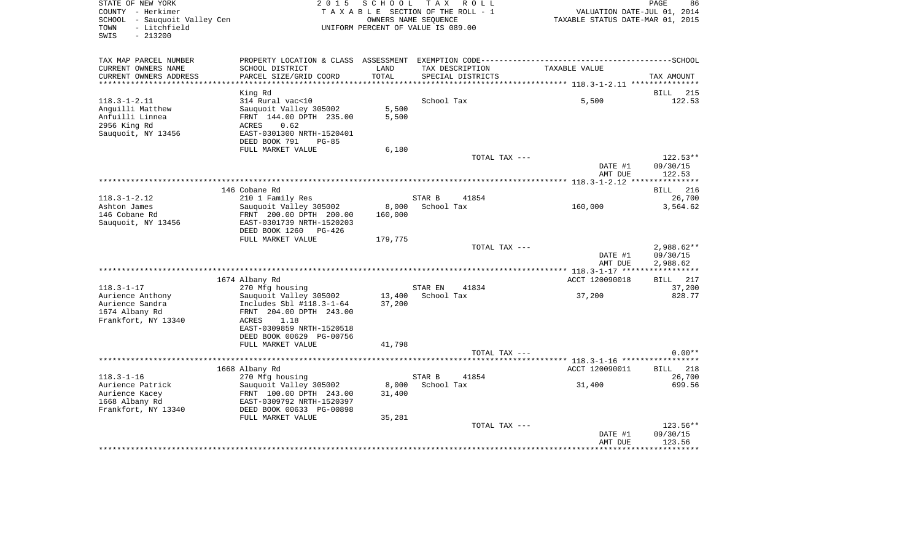| STATE OF NEW YORK<br>COUNTY - Herkimer<br>SCHOOL - Sauguoit Valley Cen<br>- Litchfield<br>TOWN<br>SWIS<br>$-213200$ | 2 0 1 5                                                                                                                                                    | SCHOOL TAX<br>TAXABLE SECTION OF THE ROLL - 1<br>OWNERS NAME SEOUENCE<br>UNIFORM PERCENT OF VALUE IS 089.00 |                      | R O L L                              |                | PAGE<br>86<br>VALUATION DATE-JUL 01, 2014<br>TAXABLE STATUS DATE-MAR 01, 2015 |
|---------------------------------------------------------------------------------------------------------------------|------------------------------------------------------------------------------------------------------------------------------------------------------------|-------------------------------------------------------------------------------------------------------------|----------------------|--------------------------------------|----------------|-------------------------------------------------------------------------------|
| TAX MAP PARCEL NUMBER                                                                                               | PROPERTY LOCATION & CLASS ASSESSMENT EXEMPTION CODE-----------------------------------SCHOOL                                                               |                                                                                                             |                      |                                      |                |                                                                               |
| CURRENT OWNERS NAME<br>CURRENT OWNERS ADDRESS<br>*********************                                              | SCHOOL DISTRICT<br>PARCEL SIZE/GRID COORD                                                                                                                  | LAND<br>TOTAL                                                                                               |                      | TAX DESCRIPTION<br>SPECIAL DISTRICTS | TAXABLE VALUE  | TAX AMOUNT                                                                    |
|                                                                                                                     |                                                                                                                                                            |                                                                                                             |                      |                                      |                |                                                                               |
| $118.3 - 1 - 2.11$<br>Anguilli Matthew<br>Anfuilli Linnea<br>2956 King Rd<br>Sauquoit, NY 13456                     | King Rd<br>314 Rural vac<10<br>Sauquoit Valley 305002<br>FRNT 144.00 DPTH 235.00<br>0.62<br>ACRES<br>EAST-0301300 NRTH-1520401<br>DEED BOOK 791<br>$PG-85$ | 5,500<br>5,500                                                                                              | School Tax           |                                      | 5,500          | BILL<br>215<br>122.53                                                         |
|                                                                                                                     | FULL MARKET VALUE                                                                                                                                          | 6,180                                                                                                       |                      |                                      |                |                                                                               |
|                                                                                                                     |                                                                                                                                                            |                                                                                                             |                      | TOTAL TAX ---                        |                | $122.53**$<br>DATE #1<br>09/30/15<br>AMT DUE<br>122.53                        |
|                                                                                                                     |                                                                                                                                                            |                                                                                                             |                      |                                      |                |                                                                               |
|                                                                                                                     | 146 Cobane Rd                                                                                                                                              |                                                                                                             |                      |                                      |                | <b>BILL</b> 216                                                               |
| $118.3 - 1 - 2.12$<br>Ashton James<br>146 Cobane Rd<br>Sauguoit, NY 13456                                           | 210 1 Family Res<br>Sauquoit Valley 305002<br>FRNT 200.00 DPTH 200.00<br>EAST-0301739 NRTH-1520203                                                         | 8,000<br>160,000                                                                                            | STAR B<br>School Tax | 41854                                | 160,000        | 26,700<br>3,564.62                                                            |
|                                                                                                                     | DEED BOOK 1260<br>$PG-426$<br>FULL MARKET VALUE                                                                                                            | 179,775                                                                                                     |                      |                                      |                |                                                                               |
|                                                                                                                     |                                                                                                                                                            |                                                                                                             |                      | TOTAL TAX ---                        |                | $2,988.62**$<br>DATE #1<br>09/30/15<br>AMT DUE<br>2,988.62                    |
|                                                                                                                     |                                                                                                                                                            |                                                                                                             |                      |                                      | ACCT 120090018 | BILL 217                                                                      |
| $118.3 - 1 - 17$                                                                                                    | 1674 Albany Rd<br>270 Mfg housing                                                                                                                          |                                                                                                             | STAR EN              | 41834                                |                | 37,200                                                                        |
| Aurience Anthony<br>Aurience Sandra<br>1674 Albany Rd<br>Frankfort, NY 13340                                        | Sauquoit Valley 305002<br>Includes Sbl #118.3-1-64<br>FRNT 204.00 DPTH 243.00<br>1.18<br>ACRES<br>EAST-0309859 NRTH-1520518<br>DEED BOOK 00629 PG-00756    | 13,400<br>37,200                                                                                            | School Tax           |                                      | 37,200         | 828.77                                                                        |
|                                                                                                                     | FULL MARKET VALUE                                                                                                                                          | 41,798                                                                                                      |                      |                                      |                |                                                                               |
|                                                                                                                     |                                                                                                                                                            |                                                                                                             |                      | TOTAL TAX ---                        |                | $0.00**$                                                                      |
|                                                                                                                     | 1668 Albany Rd                                                                                                                                             |                                                                                                             |                      |                                      | ACCT 120090011 | BILL 218                                                                      |
| $118.3 - 1 - 16$                                                                                                    | 270 Mfg housing                                                                                                                                            |                                                                                                             | STAR B               | 41854                                |                | 26,700                                                                        |
| Aurience Patrick<br>Aurience Kacey<br>1668 Albany Rd<br>Frankfort, NY 13340                                         | Sauquoit Valley 305002<br>FRNT 100.00 DPTH 243.00<br>EAST-0309792 NRTH-1520397<br>DEED BOOK 00633 PG-00898                                                 | 8,000<br>31,400                                                                                             | School Tax           |                                      | 31,400         | 699.56                                                                        |
|                                                                                                                     | FULL MARKET VALUE                                                                                                                                          | 35,281                                                                                                      |                      |                                      |                |                                                                               |
|                                                                                                                     |                                                                                                                                                            |                                                                                                             |                      | TOTAL TAX ---                        |                | 123.56**<br>09/30/15<br>DATE #1<br>AMT DUE<br>123.56                          |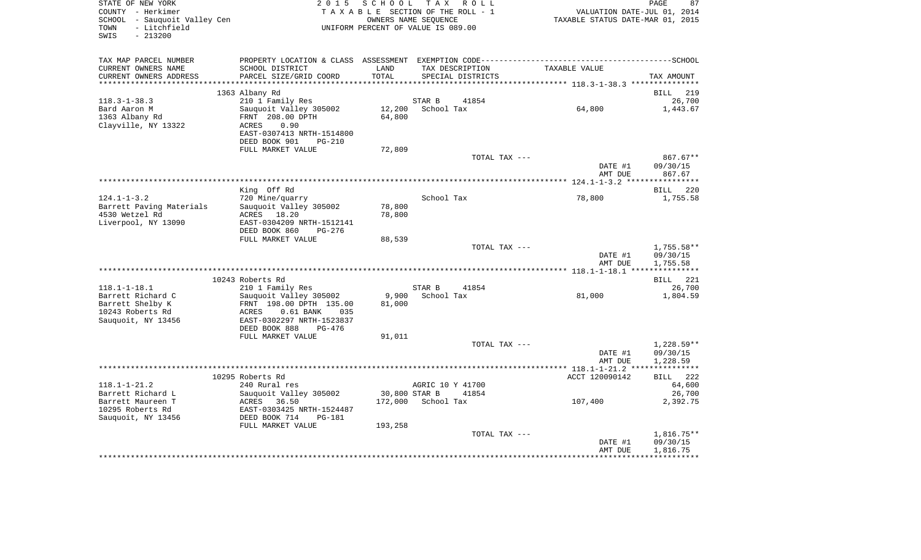| COUNTY - Herkimer<br>SCHOOL - Sauquoit Valley Cen<br>TOWN<br>- Litchfield<br>$-213200$<br>SWIS |                                           |               | TAXABLE SECTION OF THE ROLL - 1<br>OWNERS NAME SEQUENCE<br>UNIFORM PERCENT OF VALUE IS 089.00 | PAGE 87<br>VALUATION DATE-JUL 01, 2014<br>TAXABLE STATUS DATE-MAR 01, 2015 |                      |  |
|------------------------------------------------------------------------------------------------|-------------------------------------------|---------------|-----------------------------------------------------------------------------------------------|----------------------------------------------------------------------------|----------------------|--|
| TAX MAP PARCEL NUMBER                                                                          |                                           |               |                                                                                               |                                                                            |                      |  |
| CURRENT OWNERS NAME<br>CURRENT OWNERS ADDRESS                                                  | SCHOOL DISTRICT<br>PARCEL SIZE/GRID COORD | LAND<br>TOTAL | TAX DESCRIPTION<br>SPECIAL DISTRICTS                                                          | TAXABLE VALUE                                                              | TAX AMOUNT           |  |
|                                                                                                |                                           |               |                                                                                               |                                                                            |                      |  |
|                                                                                                | 1363 Albany Rd                            |               |                                                                                               |                                                                            | <b>BILL</b> 219      |  |
| $118.3 - 1 - 38.3$                                                                             | 210 1 Family Res                          |               | STAR B<br>41854                                                                               |                                                                            | 26,700               |  |
| Bard Aaron M                                                                                   | Sauquoit Valley 305002                    |               | 12,200 School Tax                                                                             | 64,800                                                                     | 1,443.67             |  |
| 1363 Albany Rd                                                                                 | FRNT 208.00 DPTH                          | 64,800        |                                                                                               |                                                                            |                      |  |
| Clayville, NY 13322                                                                            | 0.90<br>ACRES                             |               |                                                                                               |                                                                            |                      |  |
|                                                                                                | EAST-0307413 NRTH-1514800                 |               |                                                                                               |                                                                            |                      |  |
|                                                                                                | DEED BOOK 901 PG-210                      |               |                                                                                               |                                                                            |                      |  |
|                                                                                                | FULL MARKET VALUE                         | 72,809        |                                                                                               |                                                                            |                      |  |
|                                                                                                |                                           |               | TOTAL TAX ---                                                                                 |                                                                            | $867.67**$           |  |
|                                                                                                |                                           |               |                                                                                               | DATE #1                                                                    | 09/30/15             |  |
|                                                                                                |                                           |               |                                                                                               | AMT DUE                                                                    | 867.67               |  |
|                                                                                                | King Off Rd                               |               |                                                                                               |                                                                            | 220<br>BILL          |  |
| $124.1 - 1 - 3.2$                                                                              | 720 Mine/quarry                           |               | School Tax                                                                                    | 78,800                                                                     | 1,755.58             |  |
| Barrett Paving Materials                                                                       | Sauquoit Valley 305002                    | 78,800        |                                                                                               |                                                                            |                      |  |
| 4530 Wetzel Rd                                                                                 | ACRES 18.20                               | 78,800        |                                                                                               |                                                                            |                      |  |
| Liverpool, NY 13090                                                                            | EAST-0304209 NRTH-1512141                 |               |                                                                                               |                                                                            |                      |  |
|                                                                                                | DEED BOOK 860<br>PG-276                   |               |                                                                                               |                                                                            |                      |  |
|                                                                                                | FULL MARKET VALUE                         | 88,539        |                                                                                               |                                                                            |                      |  |
|                                                                                                |                                           |               | TOTAL TAX ---                                                                                 |                                                                            | 1,755.58**           |  |
|                                                                                                |                                           |               |                                                                                               | DATE #1                                                                    | 09/30/15             |  |
|                                                                                                |                                           |               |                                                                                               | AMT DUE                                                                    | 1,755.58             |  |
|                                                                                                |                                           |               |                                                                                               |                                                                            |                      |  |
| $118.1 - 1 - 18.1$                                                                             | 10243 Roberts Rd<br>210 1 Family Res      |               | STAR B<br>41854                                                                               |                                                                            | BILL 221<br>26,700   |  |
| Barrett Richard C                                                                              | Sauquoit Valley 305002                    |               | 9,900    School Tax                                                                           | 81,000                                                                     | 1,804.59             |  |
| Barrett Shelby K                                                                               | FRNT 198.00 DPTH 135.00                   | 81,000        |                                                                                               |                                                                            |                      |  |
| 10243 Roberts Rd                                                                               | ACRES<br>$0.61$ BANK<br>035               |               |                                                                                               |                                                                            |                      |  |
| Sauquoit, NY 13456                                                                             | EAST-0302297 NRTH-1523837                 |               |                                                                                               |                                                                            |                      |  |
|                                                                                                | DEED BOOK 888<br>PG-476                   |               |                                                                                               |                                                                            |                      |  |
|                                                                                                | FULL MARKET VALUE                         | 91,011        |                                                                                               |                                                                            |                      |  |
|                                                                                                |                                           |               | TOTAL TAX ---                                                                                 |                                                                            | 1,228.59**           |  |
|                                                                                                |                                           |               |                                                                                               | DATE #1                                                                    | 09/30/15             |  |
|                                                                                                |                                           |               |                                                                                               | AMT DUE                                                                    | 1,228.59             |  |
|                                                                                                |                                           |               |                                                                                               |                                                                            |                      |  |
|                                                                                                | 10295 Roberts Rd                          |               |                                                                                               | ACCT 120090142                                                             | <b>BILL</b> 222      |  |
| $118.1 - 1 - 21.2$                                                                             | 240 Rural res                             |               | AGRIC 10 Y 41700                                                                              |                                                                            | 64,600               |  |
| Barrett Richard L                                                                              | Sauquoit Valley 305002                    | 30,800 STAR B | 41854                                                                                         |                                                                            | 26,700               |  |
| Barrett Maureen T                                                                              | ACRES 36.50                               |               | 172,000 School Tax                                                                            | 107,400                                                                    | 2,392.75             |  |
| 10295 Roberts Rd                                                                               | EAST-0303425 NRTH-1524487                 |               |                                                                                               |                                                                            |                      |  |
| Sauquoit, NY 13456                                                                             | DEED BOOK 714<br>PG-181                   |               |                                                                                               |                                                                            |                      |  |
|                                                                                                | FULL MARKET VALUE                         | 193,258       |                                                                                               |                                                                            |                      |  |
|                                                                                                |                                           |               | TOTAL TAX ---                                                                                 |                                                                            | $1,816.75**$         |  |
|                                                                                                |                                           |               |                                                                                               | DATE #1                                                                    | 09/30/15<br>1,816.75 |  |
|                                                                                                |                                           |               |                                                                                               | AMT DUE                                                                    |                      |  |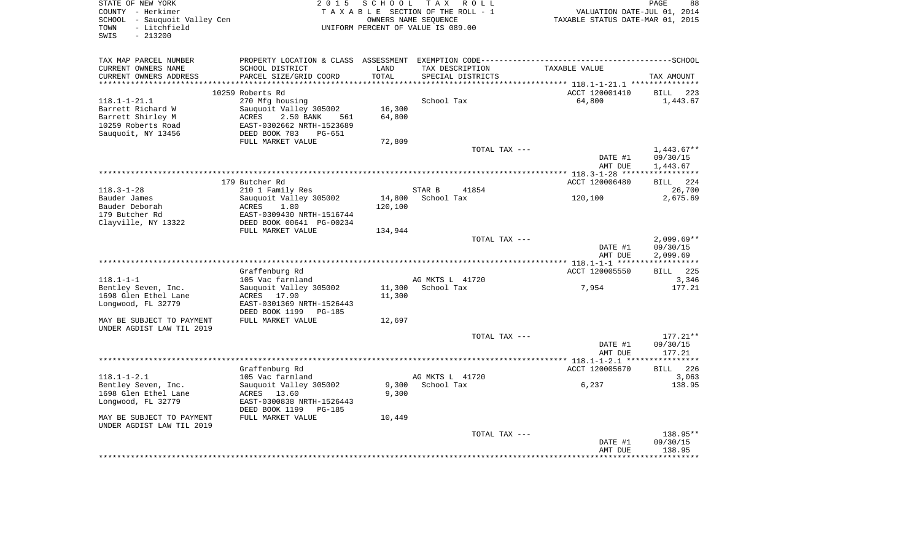| STATE OF NEW YORK<br>COUNTY<br>- Herkimer<br>SCHOOL<br>- Sauquoit Valley Cen<br>TOWN<br>- Litchfield<br>$-213200$<br>SWIS | 2 0 1 5                                                                                                                                                    | SCHOOL TAX<br>OWNERS NAME SEQUENCE | R O L L<br>TAXABLE SECTION OF THE ROLL - 1<br>UNIFORM PERCENT OF VALUE IS 089.00 | VALUATION DATE-JUL 01, 2014<br>TAXABLE STATUS DATE-MAR 01, 2015 | PAGE<br>88               |
|---------------------------------------------------------------------------------------------------------------------------|------------------------------------------------------------------------------------------------------------------------------------------------------------|------------------------------------|----------------------------------------------------------------------------------|-----------------------------------------------------------------|--------------------------|
| TAX MAP PARCEL NUMBER<br>CURRENT OWNERS NAME<br>CURRENT OWNERS ADDRESS<br>***********************                         | SCHOOL DISTRICT<br>PARCEL SIZE/GRID COORD<br>************************                                                                                      | LAND<br>TOTAL                      | TAX DESCRIPTION<br>SPECIAL DISTRICTS                                             | TAXABLE VALUE                                                   | TAX AMOUNT               |
|                                                                                                                           | 10259 Roberts Rd                                                                                                                                           |                                    |                                                                                  | ACCT 120001410                                                  | 223<br>BILL              |
| $118.1 - 1 - 21.1$<br>Barrett Richard W<br>Barrett Shirley M<br>10259 Roberts Road<br>Sauquoit, NY 13456                  | 270 Mfg housing<br>Sauquoit Valley 305002<br>2.50 BANK<br>ACRES<br>561<br>EAST-0302662 NRTH-1523689<br>DEED BOOK 783<br><b>PG-651</b><br>FULL MARKET VALUE | 16,300<br>64,800<br>72,809         | School Tax                                                                       | 64,800                                                          | 1,443.67                 |
|                                                                                                                           |                                                                                                                                                            |                                    | TOTAL TAX ---                                                                    |                                                                 | $1,443.67**$             |
|                                                                                                                           |                                                                                                                                                            |                                    |                                                                                  | DATE #1<br>AMT DUE                                              | 09/30/15<br>1,443.67     |
|                                                                                                                           |                                                                                                                                                            |                                    |                                                                                  |                                                                 |                          |
| $118.3 - 1 - 28$                                                                                                          | 179 Butcher Rd<br>210 1 Family Res                                                                                                                         |                                    | 41854<br>STAR B                                                                  | ACCT 120006480                                                  | BILL 224<br>26,700       |
| Bauder James                                                                                                              | Sauquoit Valley 305002                                                                                                                                     | 14,800                             | School Tax                                                                       | 120,100                                                         | 2,675.69                 |
| Bauder Deborah                                                                                                            | ACRES<br>1.80                                                                                                                                              | 120,100                            |                                                                                  |                                                                 |                          |
| 179 Butcher Rd                                                                                                            | EAST-0309430 NRTH-1516744                                                                                                                                  |                                    |                                                                                  |                                                                 |                          |
| Clayville, NY 13322                                                                                                       | DEED BOOK 00641 PG-00234                                                                                                                                   |                                    |                                                                                  |                                                                 |                          |
|                                                                                                                           | FULL MARKET VALUE                                                                                                                                          | 134,944                            | TOTAL TAX ---                                                                    | DATE #1                                                         | $2,099.69**$<br>09/30/15 |
|                                                                                                                           |                                                                                                                                                            |                                    |                                                                                  | AMT DUE                                                         | 2,099.69                 |
|                                                                                                                           | Graffenburg Rd                                                                                                                                             |                                    |                                                                                  | ACCT 120005550                                                  | BILL 225                 |
| $118.1 - 1 - 1$                                                                                                           | 105 Vac farmland                                                                                                                                           |                                    | AG MKTS L 41720                                                                  |                                                                 | 3,346                    |
| Bentley Seven, Inc.                                                                                                       | Sauquoit Valley 305002                                                                                                                                     | 11,300                             | School Tax                                                                       | 7,954                                                           | 177.21                   |
| 1698 Glen Ethel Lane                                                                                                      | ACRES 17.90                                                                                                                                                | 11,300                             |                                                                                  |                                                                 |                          |
| Longwood, FL 32779                                                                                                        | EAST-0301369 NRTH-1526443<br>DEED BOOK 1199<br>PG-185                                                                                                      |                                    |                                                                                  |                                                                 |                          |
| MAY BE SUBJECT TO PAYMENT<br>UNDER AGDIST LAW TIL 2019                                                                    | FULL MARKET VALUE                                                                                                                                          | 12,697                             |                                                                                  |                                                                 |                          |
|                                                                                                                           |                                                                                                                                                            |                                    | TOTAL TAX ---                                                                    |                                                                 | $177.21**$               |
|                                                                                                                           |                                                                                                                                                            |                                    |                                                                                  | DATE #1<br>AMT DUE                                              | 09/30/15<br>177.21       |
|                                                                                                                           |                                                                                                                                                            |                                    |                                                                                  |                                                                 |                          |
|                                                                                                                           | Graffenburg Rd                                                                                                                                             |                                    |                                                                                  | ACCT 120005670                                                  | 226<br>BILL              |
| $118.1 - 1 - 2.1$<br>Bentley Seven, Inc.                                                                                  | 105 Vac farmland<br>Sauguoit Valley 305002                                                                                                                 | 9,300                              | AG MKTS L 41720<br>School Tax                                                    | 6,237                                                           | 3,063<br>138.95          |
| 1698 Glen Ethel Lane<br>Longwood, FL 32779                                                                                | ACRES 13.60<br>EAST-0300838 NRTH-1526443<br>DEED BOOK 1199<br>PG-185                                                                                       | 9,300                              |                                                                                  |                                                                 |                          |
| MAY BE SUBJECT TO PAYMENT<br>UNDER AGDIST LAW TIL 2019                                                                    | FULL MARKET VALUE                                                                                                                                          | 10,449                             |                                                                                  |                                                                 |                          |
|                                                                                                                           |                                                                                                                                                            |                                    | TOTAL TAX ---                                                                    |                                                                 | 138.95**                 |
|                                                                                                                           |                                                                                                                                                            |                                    |                                                                                  | DATE #1<br>AMT DUE                                              | 09/30/15<br>138.95       |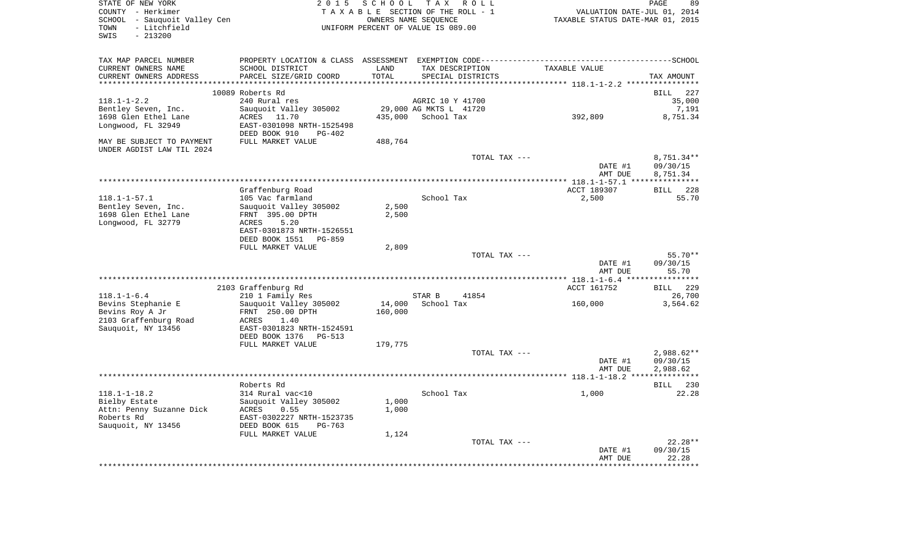STATE OF NEW YORK 2 0 1 5 S C H O O L T A X R O L L PAGE 89COUNTY - Herkimer  $T A X A B L E$  SECTION OF THE ROLL - 1 SCHOOL - Sauquoit Valley Cen OWNERS NAME SEQUENCE TAXABLE STATUS DATE-MAR 01, 2015 TOWN - Litchfield UNIFORM PERCENT OF VALUE IS 089.00 SWIS - 213200

PAGE 89

| TAX MAP PARCEL NUMBER<br>CURRENT OWNERS NAME<br>CURRENT OWNERS ADDRESS                              | SCHOOL DISTRICT<br>PARCEL SIZE/GRID COORD                                                                            | LAND<br>TOTAL     | PROPERTY LOCATION & CLASS ASSESSMENT EXEMPTION CODE----------------------------<br>TAX DESCRIPTION<br>SPECIAL DISTRICTS | TAXABLE VALUE      | -------------SCHOOL<br>TAX AMOUNT     |
|-----------------------------------------------------------------------------------------------------|----------------------------------------------------------------------------------------------------------------------|-------------------|-------------------------------------------------------------------------------------------------------------------------|--------------------|---------------------------------------|
| ************************                                                                            |                                                                                                                      |                   |                                                                                                                         |                    |                                       |
| $118.1 - 1 - 2.2$<br>Bentley Seven, Inc.                                                            | 10089 Roberts Rd<br>240 Rural res<br>Sauquoit Valley 305002                                                          |                   | AGRIC 10 Y 41700<br>29,000 AG MKTS L 41720                                                                              |                    | <b>BILL</b><br>227<br>35,000<br>7,191 |
| 1698 Glen Ethel Lane<br>Longwood, FL 32949                                                          | ACRES 11.70<br>EAST-0301098 NRTH-1525498<br>DEED BOOK 910<br>PG-402                                                  | 435,000           | School Tax                                                                                                              | 392,809            | 8,751.34                              |
| MAY BE SUBJECT TO PAYMENT<br>UNDER AGDIST LAW TIL 2024                                              | FULL MARKET VALUE                                                                                                    | 488,764           |                                                                                                                         |                    |                                       |
|                                                                                                     |                                                                                                                      |                   | TOTAL TAX ---                                                                                                           | DATE #1<br>AMT DUE | $8,751.34**$<br>09/30/15<br>8,751.34  |
|                                                                                                     | Graffenburg Road                                                                                                     |                   |                                                                                                                         | ACCT 189307        | <b>BILL</b><br>228                    |
| $118.1 - 1 - 57.1$                                                                                  | 105 Vac farmland                                                                                                     |                   | School Tax                                                                                                              | 2,500              | 55.70                                 |
| Bentley Seven, Inc.<br>1698 Glen Ethel Lane<br>Longwood, FL 32779                                   | Sauguoit Valley 305002<br>FRNT 395.00 DPTH<br>ACRES<br>5.20<br>EAST-0301873 NRTH-1526551<br>DEED BOOK 1551<br>PG-859 | 2,500<br>2,500    |                                                                                                                         |                    |                                       |
|                                                                                                     | FULL MARKET VALUE                                                                                                    | 2,809             |                                                                                                                         |                    |                                       |
|                                                                                                     |                                                                                                                      |                   | TOTAL TAX ---                                                                                                           | DATE #1<br>AMT DUE | $55.70**$<br>09/30/15<br>55.70        |
|                                                                                                     |                                                                                                                      |                   |                                                                                                                         |                    |                                       |
| $118.1 - 1 - 6.4$                                                                                   | 2103 Graffenburg Rd<br>210 1 Family Res                                                                              |                   | STAR B<br>41854                                                                                                         | ACCT 161752        | <b>BILL</b><br>229<br>26,700          |
| Bevins Stephanie E<br>Bevins Roy A Jr<br>2103 Graffenburg Road<br>Sauquoit, NY 13456                | Sauquoit Valley 305002<br>FRNT 250.00 DPTH<br>1.40<br>ACRES<br>EAST-0301823 NRTH-1524591                             | 14,000<br>160,000 | School Tax                                                                                                              | 160,000            | 3,564.62                              |
|                                                                                                     | DEED BOOK 1376 PG-513                                                                                                |                   |                                                                                                                         |                    |                                       |
|                                                                                                     | FULL MARKET VALUE                                                                                                    | 179,775           | TOTAL TAX ---                                                                                                           |                    | $2,988.62**$                          |
|                                                                                                     |                                                                                                                      |                   |                                                                                                                         | DATE #1<br>AMT DUE | 09/30/15<br>2,988.62                  |
|                                                                                                     |                                                                                                                      |                   |                                                                                                                         |                    |                                       |
|                                                                                                     | Roberts Rd                                                                                                           |                   |                                                                                                                         |                    | 230<br>BILL                           |
| $118.1 - 1 - 18.2$<br>Bielby Estate<br>Attn: Penny Suzanne Dick<br>Roberts Rd<br>Sauquoit, NY 13456 | 314 Rural vac<10<br>Sauquoit Valley 305002<br>ACRES<br>0.55<br>EAST-0302227 NRTH-1523735<br>DEED BOOK 615<br>PG-763  | 1,000<br>1,000    | School Tax                                                                                                              | 1,000              | 22.28                                 |
|                                                                                                     | FULL MARKET VALUE                                                                                                    | 1,124             | TOTAL TAX ---                                                                                                           |                    | $22.28**$                             |
|                                                                                                     |                                                                                                                      |                   |                                                                                                                         | DATE #1<br>AMT DUE | 09/30/15<br>22.28                     |
|                                                                                                     |                                                                                                                      |                   |                                                                                                                         |                    | ********                              |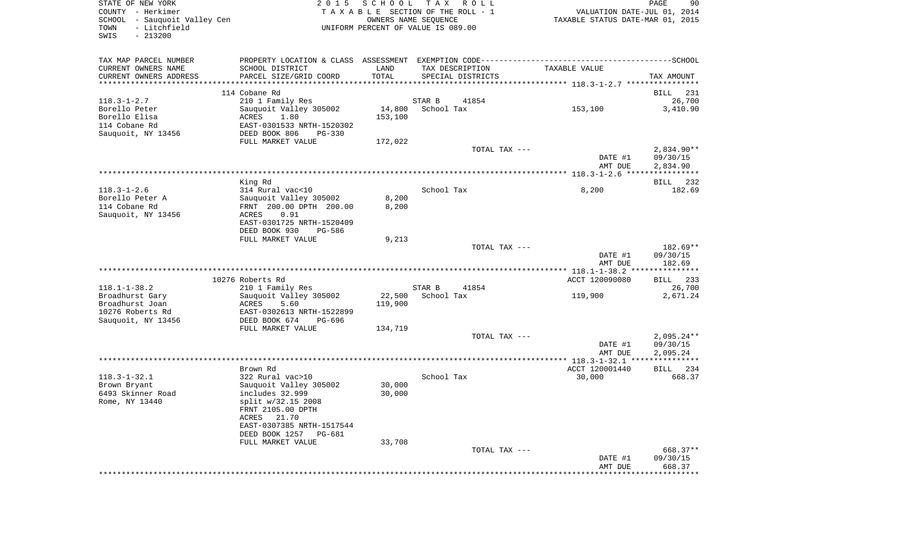| STATE OF NEW YORK<br>COUNTY - Herkimer<br>SCHOOL - Sauquoit Valley Cen |                                            |                   | 2015 SCHOOL TAX ROLL<br>TAXABLE SECTION OF THE ROLL - 1<br>OWNERS NAME SEQUENCE | VALUATION DATE-JUL 01, 2014<br>TAXABLE STATUS DATE-MAR 01, 2015 | PAGE               |
|------------------------------------------------------------------------|--------------------------------------------|-------------------|---------------------------------------------------------------------------------|-----------------------------------------------------------------|--------------------|
| - Litchfield<br>TOWN<br>SWIS<br>$-213200$                              |                                            |                   | UNIFORM PERCENT OF VALUE IS 089.00                                              |                                                                 |                    |
| TAX MAP PARCEL NUMBER                                                  |                                            |                   |                                                                                 |                                                                 |                    |
| CURRENT OWNERS NAME                                                    | SCHOOL DISTRICT                            | LAND              | TAX DESCRIPTION                                                                 | TAXABLE VALUE                                                   |                    |
| CURRENT OWNERS ADDRESS                                                 | PARCEL SIZE/GRID COORD                     | TOTAL             | SPECIAL DISTRICTS                                                               |                                                                 | TAX AMOUNT         |
| ***********************                                                |                                            |                   |                                                                                 |                                                                 |                    |
|                                                                        | 114 Cobane Rd                              |                   |                                                                                 |                                                                 | BILL               |
| $118.3 - 1 - 2.7$<br>Borello Peter                                     | 210 1 Family Res<br>Sauquoit Valley 305002 |                   | STAR B<br>41854<br>14,800 School Tax                                            | 153,100                                                         | 3,410.90           |
| Borello Elisa                                                          | ACRES<br>1.80                              | 153,100           |                                                                                 |                                                                 |                    |
| 114 Cobane Rd                                                          | EAST-0301533 NRTH-1520302                  |                   |                                                                                 |                                                                 |                    |
| Sauquoit, NY 13456                                                     | DEED BOOK 806<br>PG-330                    |                   |                                                                                 |                                                                 |                    |
|                                                                        | FULL MARKET VALUE                          | 172,022           |                                                                                 |                                                                 |                    |
|                                                                        |                                            |                   | TOTAL TAX ---                                                                   |                                                                 | $2,834.90**$       |
|                                                                        |                                            |                   |                                                                                 | DATE #1                                                         | 09/30/15           |
|                                                                        |                                            |                   |                                                                                 | AMT DUE                                                         | 2,834.90           |
|                                                                        |                                            |                   |                                                                                 |                                                                 |                    |
|                                                                        | King Rd                                    |                   |                                                                                 |                                                                 | BILL 232           |
| $118.3 - 1 - 2.6$                                                      | 314 Rural vac<10                           |                   | School Tax                                                                      | 8,200                                                           | 182.69             |
| Borello Peter A                                                        | Sauquoit Valley 305002                     | 8,200             |                                                                                 |                                                                 |                    |
| 114 Cobane Rd                                                          | FRNT 200.00 DPTH 200.00                    | 8,200             |                                                                                 |                                                                 |                    |
| Sauquoit, NY 13456                                                     | 0.91<br>ACRES<br>EAST-0301725 NRTH-1520409 |                   |                                                                                 |                                                                 |                    |
|                                                                        | DEED BOOK 930<br>PG-586                    |                   |                                                                                 |                                                                 |                    |
|                                                                        | FULL MARKET VALUE                          | 9,213             |                                                                                 |                                                                 |                    |
|                                                                        |                                            |                   | TOTAL TAX ---                                                                   |                                                                 | 182.69**           |
|                                                                        |                                            |                   |                                                                                 | DATE #1                                                         | 09/30/15           |
|                                                                        |                                            |                   |                                                                                 | AMT DUE                                                         | 182.69             |
|                                                                        |                                            |                   |                                                                                 |                                                                 |                    |
|                                                                        | 10276 Roberts Rd                           |                   |                                                                                 | ACCT 120090080                                                  | BILL 233           |
| $118.1 - 1 - 38.2$                                                     | 210 1 Family Res                           |                   | STAR B<br>41854                                                                 |                                                                 |                    |
| Broadhurst Gary<br>Broadhurst Joan                                     | Sauquoit Valley 305002<br>ACRES<br>5.60    | 22,500<br>119,900 | School Tax                                                                      | 119,900                                                         | 2,671.24           |
| 10276 Roberts Rd                                                       | EAST-0302613 NRTH-1522899                  |                   |                                                                                 |                                                                 |                    |
| Sauquoit, NY 13456                                                     | DEED BOOK 674<br>PG-696                    |                   |                                                                                 |                                                                 |                    |
|                                                                        | FULL MARKET VALUE                          | 134,719           |                                                                                 |                                                                 |                    |
|                                                                        |                                            |                   | TOTAL TAX ---                                                                   |                                                                 | $2,095.24**$       |
|                                                                        |                                            |                   |                                                                                 | DATE #1                                                         | 09/30/15           |
|                                                                        |                                            |                   |                                                                                 | AMT DUE                                                         | 2,095.24           |
|                                                                        |                                            |                   |                                                                                 |                                                                 |                    |
|                                                                        | Brown Rd                                   |                   |                                                                                 | ACCT 120001440                                                  | BILL 234           |
| $118.3 - 1 - 32.1$                                                     | 322 Rural vac>10                           |                   | School Tax                                                                      | 30,000                                                          | 668.37             |
| Brown Bryant                                                           | Sauquoit Valley 305002                     | 30,000            |                                                                                 |                                                                 |                    |
| 6493 Skinner Road<br>Rome, NY 13440                                    | includes 32.999<br>split w/32.15 2008      | 30,000            |                                                                                 |                                                                 |                    |
|                                                                        | FRNT 2105.00 DPTH                          |                   |                                                                                 |                                                                 |                    |
|                                                                        | ACRES 21.70                                |                   |                                                                                 |                                                                 |                    |
|                                                                        | EAST-0307385 NRTH-1517544                  |                   |                                                                                 |                                                                 |                    |
|                                                                        | DEED BOOK 1257<br>PG-681                   |                   |                                                                                 |                                                                 |                    |
|                                                                        | FULL MARKET VALUE                          | 33,708            |                                                                                 |                                                                 |                    |
|                                                                        |                                            |                   |                                                                                 |                                                                 | 668.37**           |
|                                                                        |                                            |                   | TOTAL TAX ---                                                                   |                                                                 |                    |
|                                                                        |                                            |                   |                                                                                 | DATE #1<br>AMT DUE                                              | 09/30/15<br>668.37 |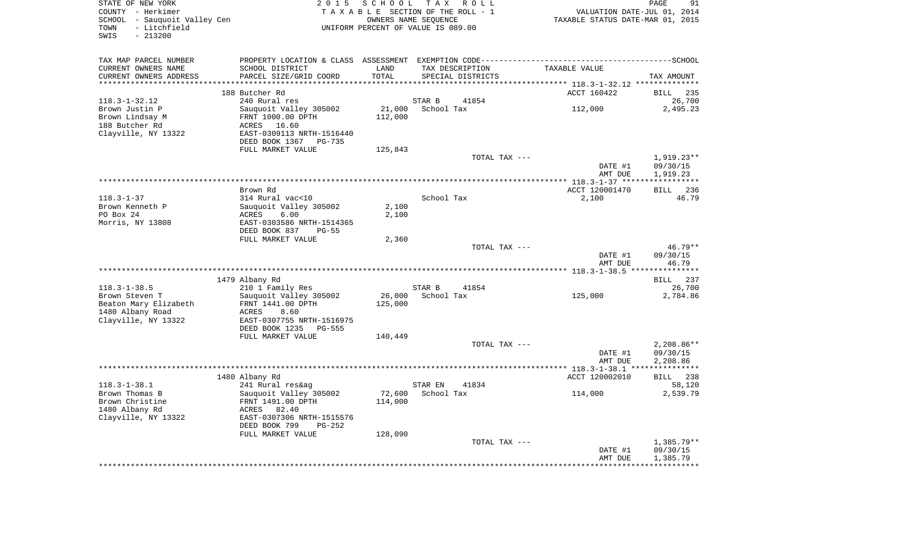| STATE OF NEW YORK<br>COUNTY - Herkimer<br>SCHOOL - Sauquoit Valley Cen<br>- Litchfield<br>TOWN<br>$-213200$<br>SWIS | 2015 SCHOOL TAX ROLL<br>TAXABLE SECTION OF THE ROLL - 1<br>OWNERS NAME SEQUENCE<br>UNIFORM PERCENT OF VALUE IS 089.00                  |                   |                                       | VALUATION DATE-JUL 01, 2014<br>TAXABLE STATUS DATE-MAR 01, 2015 | PAGE<br>91                           |
|---------------------------------------------------------------------------------------------------------------------|----------------------------------------------------------------------------------------------------------------------------------------|-------------------|---------------------------------------|-----------------------------------------------------------------|--------------------------------------|
| TAX MAP PARCEL NUMBER                                                                                               |                                                                                                                                        |                   |                                       |                                                                 |                                      |
| CURRENT OWNERS NAME                                                                                                 | SCHOOL DISTRICT                                                                                                                        | LAND              | TAX DESCRIPTION                       | TAXABLE VALUE                                                   |                                      |
| CURRENT OWNERS ADDRESS                                                                                              | PARCEL SIZE/GRID COORD                                                                                                                 | TOTAL             | SPECIAL DISTRICTS                     |                                                                 | TAX AMOUNT                           |
| ********************                                                                                                | 188 Butcher Rd                                                                                                                         |                   |                                       | ACCT 160422                                                     | <b>BILL</b><br>235                   |
| $118.3 - 1 - 32.12$                                                                                                 | 240 Rural res                                                                                                                          |                   | STAR B<br>41854                       |                                                                 | 26,700                               |
| Brown Justin P<br>Brown Lindsay M<br>188 Butcher Rd<br>Clayville, NY 13322                                          | Sauquoit Valley 305002<br>FRNT 1000.00 DPTH<br>ACRES 16.60<br>EAST-0309113 NRTH-1516440                                                | 21,000<br>112,000 | School Tax                            | 112,000                                                         | 2,495.23                             |
|                                                                                                                     | DEED BOOK 1367 PG-735<br>FULL MARKET VALUE                                                                                             | 125,843           |                                       |                                                                 |                                      |
|                                                                                                                     |                                                                                                                                        |                   | TOTAL TAX ---                         | DATE #1                                                         | 1,919.23**<br>09/30/15               |
|                                                                                                                     |                                                                                                                                        |                   |                                       | AMT DUE                                                         | 1,919.23                             |
|                                                                                                                     | Brown Rd                                                                                                                               |                   |                                       | ACCT 120001470                                                  | BILL 236                             |
| $118.3 - 1 - 37$<br>Brown Kenneth P<br>PO Box 24<br>Morris, NY 13808                                                | 314 Rural vac<10<br>Sauquoit Valley 305002<br>6.00<br>ACRES<br>EAST-0303586 NRTH-1514365                                               | 2,100<br>2,100    | School Tax                            | 2,100                                                           | 46.79                                |
|                                                                                                                     | DEED BOOK 837<br>$PG-55$<br>FULL MARKET VALUE                                                                                          | 2,360             |                                       |                                                                 |                                      |
|                                                                                                                     |                                                                                                                                        |                   | TOTAL TAX ---                         | DATE #1<br>AMT DUE                                              | $46.79**$<br>09/30/15<br>46.79       |
|                                                                                                                     |                                                                                                                                        |                   |                                       |                                                                 |                                      |
| $118.3 - 1 - 38.5$                                                                                                  | 1479 Albany Rd<br>210 1 Family Res                                                                                                     |                   | STAR B<br>41854                       |                                                                 | BILL 237<br>26,700                   |
| Brown Steven T<br>Beaton Mary Elizabeth<br>1480 Albany Road<br>Clayville, NY 13322                                  | Sauquoit Valley 305002<br>FRNT 1441.00 DPTH<br>ACRES<br>8.60<br>EAST-0307755 NRTH-1516975<br>DEED BOOK 1235 PG-555                     | 125,000           | 26,000 School Tax                     | 125,000                                                         | 2,784.86                             |
|                                                                                                                     | FULL MARKET VALUE                                                                                                                      | 140,449           |                                       |                                                                 |                                      |
|                                                                                                                     |                                                                                                                                        |                   | TOTAL TAX ---                         | DATE #1<br>AMT DUE                                              | $2,208.86**$<br>09/30/15<br>2,208.86 |
|                                                                                                                     | 1480 Albany Rd                                                                                                                         |                   |                                       | ACCT 120002010                                                  | BILL 238                             |
| $118.3 - 1 - 38.1$<br>Brown Thomas B<br>Brown Christine<br>1480 Albany Rd<br>Clayville, NY 13322                    | 241 Rural res&ag<br>Sauquoit Valley 305002<br>FRNT 1491.00 DPTH<br>ACRES 82.40<br>EAST-0307306 NRTH-1515576<br>DEED BOOK 799<br>PG-252 | 114,000           | STAR EN<br>41834<br>72,600 School Tax | 114,000                                                         | 58,120<br>2,539.79                   |
|                                                                                                                     | FULL MARKET VALUE                                                                                                                      | 128,090           | TOTAL TAX ---                         | DATE #1<br>AMT DUE                                              | $1.385.79**$<br>09/30/15<br>1,385.79 |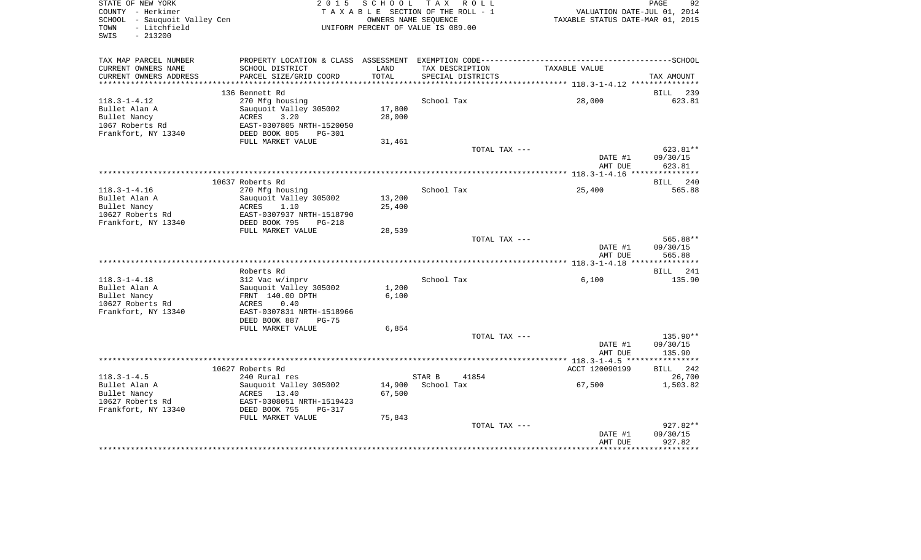| STATE OF NEW YORK<br>COUNTY - Herkimer<br>SCHOOL - Sauquoit Valley Cen<br>- Litchfield<br>TOWN<br>SWIS<br>$-213200$ | 2 0 1 5                                                                                                         | SCHOOL<br>OWNERS NAME SEQUENCE | T A X<br>R O L L<br>TAXABLE SECTION OF THE ROLL - 1<br>UNIFORM PERCENT OF VALUE IS 089.00 | VALUATION DATE-JUL 01, 2014<br>TAXABLE STATUS DATE-MAR 01, 2015 | PAGE<br>92           |
|---------------------------------------------------------------------------------------------------------------------|-----------------------------------------------------------------------------------------------------------------|--------------------------------|-------------------------------------------------------------------------------------------|-----------------------------------------------------------------|----------------------|
| TAX MAP PARCEL NUMBER<br>CURRENT OWNERS NAME                                                                        | PROPERTY LOCATION & CLASS ASSESSMENT EXEMPTION CODE-----------------------------------SCHOOL<br>SCHOOL DISTRICT | LAND                           | TAX DESCRIPTION                                                                           | TAXABLE VALUE                                                   |                      |
| CURRENT OWNERS ADDRESS                                                                                              | PARCEL SIZE/GRID COORD                                                                                          | TOTAL                          | SPECIAL DISTRICTS                                                                         |                                                                 | TAX AMOUNT           |
|                                                                                                                     |                                                                                                                 |                                |                                                                                           |                                                                 |                      |
| $118.3 - 1 - 4.12$                                                                                                  | 136 Bennett Rd<br>270 Mfg housing                                                                               |                                | School Tax                                                                                | 28,000                                                          | BILL 239<br>623.81   |
| Bullet Alan A                                                                                                       | Sauquoit Valley 305002                                                                                          | 17,800                         |                                                                                           |                                                                 |                      |
| Bullet Nancy                                                                                                        | ACRES<br>3.20                                                                                                   | 28,000                         |                                                                                           |                                                                 |                      |
| 1067 Roberts Rd                                                                                                     | EAST-0307805 NRTH-1520050                                                                                       |                                |                                                                                           |                                                                 |                      |
| Frankfort, NY 13340                                                                                                 | DEED BOOK 805<br>PG-301                                                                                         |                                |                                                                                           |                                                                 |                      |
|                                                                                                                     | FULL MARKET VALUE                                                                                               | 31,461                         |                                                                                           |                                                                 |                      |
|                                                                                                                     |                                                                                                                 |                                | TOTAL TAX ---                                                                             |                                                                 | 623.81**             |
|                                                                                                                     |                                                                                                                 |                                |                                                                                           | DATE #1                                                         | 09/30/15             |
|                                                                                                                     |                                                                                                                 |                                |                                                                                           | AMT DUE                                                         | 623.81               |
|                                                                                                                     |                                                                                                                 |                                |                                                                                           |                                                                 | BILL 240             |
| $118.3 - 1 - 4.16$                                                                                                  | 10637 Roberts Rd<br>270 Mfg housing                                                                             |                                | School Tax                                                                                | 25,400                                                          | 565.88               |
| Bullet Alan A                                                                                                       | Sauquoit Valley 305002                                                                                          | 13,200                         |                                                                                           |                                                                 |                      |
| Bullet Nancy                                                                                                        | ACRES<br>1.10                                                                                                   | 25,400                         |                                                                                           |                                                                 |                      |
| 10627 Roberts Rd                                                                                                    | EAST-0307937 NRTH-1518790                                                                                       |                                |                                                                                           |                                                                 |                      |
| Frankfort, NY 13340                                                                                                 | DEED BOOK 795<br>$PG-218$                                                                                       |                                |                                                                                           |                                                                 |                      |
|                                                                                                                     | FULL MARKET VALUE                                                                                               | 28,539                         |                                                                                           |                                                                 |                      |
|                                                                                                                     |                                                                                                                 |                                | TOTAL TAX ---                                                                             |                                                                 | 565.88**             |
|                                                                                                                     |                                                                                                                 |                                |                                                                                           | DATE #1                                                         | 09/30/15             |
|                                                                                                                     |                                                                                                                 |                                |                                                                                           | AMT DUE                                                         | 565.88               |
|                                                                                                                     | Roberts Rd                                                                                                      |                                |                                                                                           |                                                                 | 241<br><b>BILL</b>   |
| $118.3 - 1 - 4.18$                                                                                                  | 312 Vac w/imprv                                                                                                 |                                | School Tax                                                                                | 6,100                                                           | 135.90               |
| Bullet Alan A                                                                                                       | Sauquoit Valley 305002                                                                                          | 1,200                          |                                                                                           |                                                                 |                      |
| Bullet Nancy                                                                                                        | FRNT 140.00 DPTH                                                                                                | 6,100                          |                                                                                           |                                                                 |                      |
| 10627 Roberts Rd                                                                                                    | ACRES<br>0.40                                                                                                   |                                |                                                                                           |                                                                 |                      |
| Frankfort, NY 13340                                                                                                 | EAST-0307831 NRTH-1518966                                                                                       |                                |                                                                                           |                                                                 |                      |
|                                                                                                                     | DEED BOOK 887<br>$PG-75$                                                                                        |                                |                                                                                           |                                                                 |                      |
|                                                                                                                     | FULL MARKET VALUE                                                                                               | 6,854                          |                                                                                           |                                                                 |                      |
|                                                                                                                     |                                                                                                                 |                                | TOTAL TAX ---                                                                             | DATE #1                                                         | 135.90**<br>09/30/15 |
|                                                                                                                     |                                                                                                                 |                                |                                                                                           | AMT DUE                                                         | 135.90               |
|                                                                                                                     |                                                                                                                 |                                |                                                                                           |                                                                 |                      |
|                                                                                                                     | 10627 Roberts Rd                                                                                                |                                |                                                                                           | ACCT 120090199                                                  | BILL 242             |
| $118.3 - 1 - 4.5$                                                                                                   | 240 Rural res                                                                                                   |                                | STAR B<br>41854                                                                           |                                                                 | 26,700               |
| Bullet Alan A                                                                                                       | Sauquoit Valley 305002                                                                                          | 14,900                         | School Tax                                                                                | 67,500                                                          | 1,503.82             |
| Bullet Nancy                                                                                                        | ACRES<br>13.40                                                                                                  | 67,500                         |                                                                                           |                                                                 |                      |
| 10627 Roberts Rd                                                                                                    | EAST-0308051 NRTH-1519423                                                                                       |                                |                                                                                           |                                                                 |                      |
| Frankfort, NY 13340                                                                                                 | DEED BOOK 755<br>$PG-317$                                                                                       |                                |                                                                                           |                                                                 |                      |
|                                                                                                                     | FULL MARKET VALUE                                                                                               | 75,843                         | TOTAL TAX ---                                                                             |                                                                 | 927.82**             |
|                                                                                                                     |                                                                                                                 |                                |                                                                                           | DATE #1                                                         | 09/30/15             |
|                                                                                                                     |                                                                                                                 |                                |                                                                                           | AMT DUE                                                         | 927.82               |
|                                                                                                                     |                                                                                                                 |                                |                                                                                           |                                                                 | ************         |
|                                                                                                                     |                                                                                                                 |                                |                                                                                           |                                                                 |                      |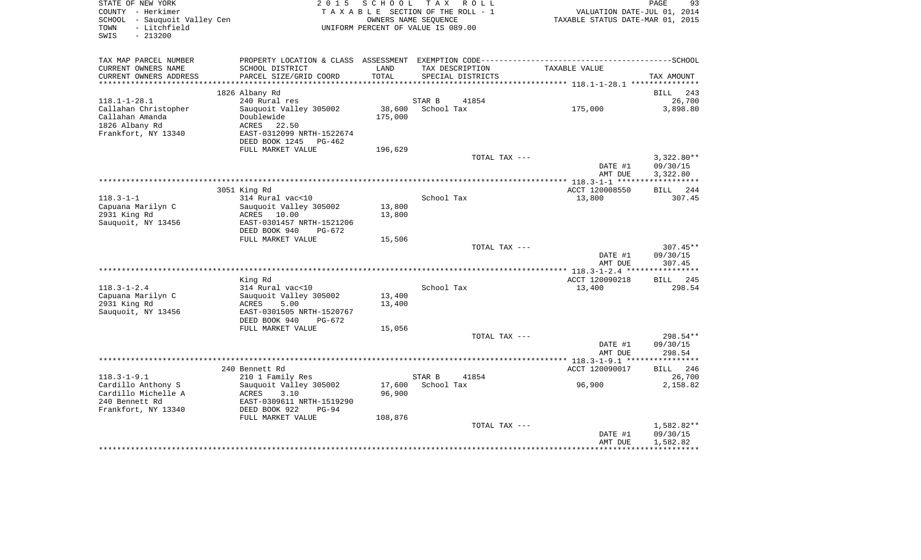| STATE OF NEW YORK                             | 2 0 1 5                                                                                      | SCHOOL  | T A X<br>R O L L                     |                                  | PAGE<br>93   |
|-----------------------------------------------|----------------------------------------------------------------------------------------------|---------|--------------------------------------|----------------------------------|--------------|
| COUNTY - Herkimer                             |                                                                                              |         | TAXABLE SECTION OF THE ROLL - 1      | VALUATION DATE-JUL 01, 2014      |              |
| SCHOOL - Sauquoit Valley Cen                  |                                                                                              |         | OWNERS NAME SEQUENCE                 | TAXABLE STATUS DATE-MAR 01, 2015 |              |
| - Litchfield<br>TOWN<br>SWIS<br>$-213200$     |                                                                                              |         | UNIFORM PERCENT OF VALUE IS 089.00   |                                  |              |
|                                               |                                                                                              |         |                                      |                                  |              |
|                                               |                                                                                              |         |                                      |                                  |              |
| TAX MAP PARCEL NUMBER                         | PROPERTY LOCATION & CLASS ASSESSMENT EXEMPTION CODE-----------------------------------SCHOOL | LAND    |                                      |                                  |              |
| CURRENT OWNERS NAME<br>CURRENT OWNERS ADDRESS | SCHOOL DISTRICT<br>PARCEL SIZE/GRID COORD                                                    | TOTAL   | TAX DESCRIPTION<br>SPECIAL DISTRICTS | TAXABLE VALUE                    | TAX AMOUNT   |
|                                               |                                                                                              |         |                                      |                                  |              |
|                                               | 1826 Albany Rd                                                                               |         |                                      |                                  | 243<br>BILL  |
| $118.1 - 1 - 28.1$                            | 240 Rural res                                                                                |         | STAR B<br>41854                      |                                  | 26,700       |
| Callahan Christopher                          | Sauquoit Valley 305002                                                                       | 38,600  | School Tax                           | 175,000                          | 3,898.80     |
| Callahan Amanda                               | Doublewide                                                                                   | 175,000 |                                      |                                  |              |
| 1826 Albany Rd                                | ACRES<br>22.50                                                                               |         |                                      |                                  |              |
| Frankfort, NY 13340                           | EAST-0312099 NRTH-1522674                                                                    |         |                                      |                                  |              |
|                                               | DEED BOOK 1245<br>PG-462                                                                     |         |                                      |                                  |              |
|                                               | FULL MARKET VALUE                                                                            | 196,629 |                                      |                                  |              |
|                                               |                                                                                              |         | TOTAL TAX ---                        |                                  | $3,322.80**$ |
|                                               |                                                                                              |         |                                      | DATE #1                          | 09/30/15     |
|                                               |                                                                                              |         |                                      | AMT DUE                          | 3,322.80     |
|                                               |                                                                                              |         |                                      |                                  | ***********  |
|                                               | 3051 King Rd                                                                                 |         |                                      | ACCT 120008550                   | BILL<br>244  |
| $118.3 - 1 - 1$                               | 314 Rural vac<10<br>Sauguoit Valley 305002                                                   | 13,800  | School Tax                           | 13,800                           | 307.45       |
| Capuana Marilyn C<br>2931 King Rd             | ACRES 10.00                                                                                  | 13,800  |                                      |                                  |              |
| Sauquoit, NY 13456                            | EAST-0301457 NRTH-1521206                                                                    |         |                                      |                                  |              |
|                                               | DEED BOOK 940<br>PG-672                                                                      |         |                                      |                                  |              |
|                                               | FULL MARKET VALUE                                                                            | 15,506  |                                      |                                  |              |
|                                               |                                                                                              |         | TOTAL TAX ---                        |                                  | $307.45**$   |
|                                               |                                                                                              |         |                                      | DATE #1                          | 09/30/15     |
|                                               |                                                                                              |         |                                      | AMT DUE                          | 307.45       |
|                                               |                                                                                              |         |                                      |                                  |              |
|                                               | King Rd                                                                                      |         |                                      | ACCT 120090218                   | BILL 245     |
| $118.3 - 1 - 2.4$                             | 314 Rural vac<10                                                                             |         | School Tax                           | 13,400                           | 298.54       |
| Capuana Marilyn C                             | Sauquoit Valley 305002                                                                       | 13,400  |                                      |                                  |              |
| 2931 King Rd                                  | ACRES<br>5.00                                                                                | 13,400  |                                      |                                  |              |
| Sauquoit, NY 13456                            | EAST-0301505 NRTH-1520767                                                                    |         |                                      |                                  |              |
|                                               | DEED BOOK 940<br>PG-672                                                                      |         |                                      |                                  |              |
|                                               | FULL MARKET VALUE                                                                            | 15,056  | TOTAL TAX ---                        |                                  | 298.54**     |
|                                               |                                                                                              |         |                                      | DATE #1                          | 09/30/15     |
|                                               |                                                                                              |         |                                      | AMT DUE                          | 298.54       |
|                                               |                                                                                              |         |                                      |                                  |              |
|                                               | 240 Bennett Rd                                                                               |         |                                      | ACCT 120090017                   | 246<br>BILL  |
| $118.3 - 1 - 9.1$                             | 210 1 Family Res                                                                             |         | STAR B<br>41854                      |                                  | 26,700       |
| Cardillo Anthony S                            | Sauquoit Valley 305002                                                                       | 17,600  | School Tax                           | 96,900                           | 2,158.82     |
| Cardillo Michelle A                           | ACRES<br>3.10                                                                                | 96,900  |                                      |                                  |              |
| 240 Bennett Rd                                | EAST-0309611 NRTH-1519290                                                                    |         |                                      |                                  |              |
| Frankfort, NY 13340                           | DEED BOOK 922<br>$PG-94$                                                                     |         |                                      |                                  |              |
|                                               | FULL MARKET VALUE                                                                            | 108,876 |                                      |                                  |              |
|                                               |                                                                                              |         | TOTAL TAX ---                        |                                  | 1,582.82**   |
|                                               |                                                                                              |         |                                      | DATE #1                          | 09/30/15     |
|                                               |                                                                                              |         |                                      | AMT DUE                          | 1,582.82     |
|                                               |                                                                                              |         |                                      |                                  |              |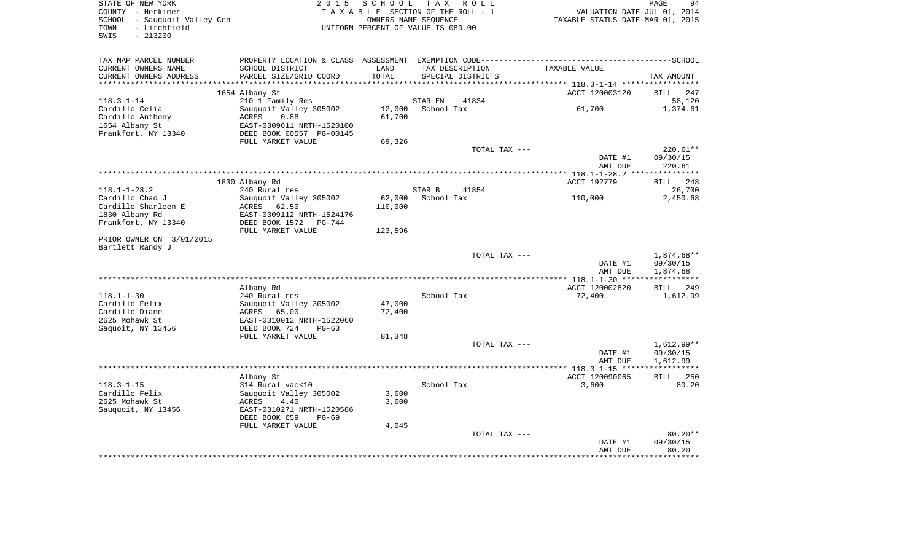| COUNTY - Herkimer<br>SCHOOL - Sauquoit Valley Cen<br>- Litchfield<br>TOWN<br>$-213200$<br>SWIS |                                               | TAXABLE SECTION OF THE ROLL - 1<br>OWNERS NAME SEQUENCE<br>UNIFORM PERCENT OF VALUE IS 089.00 |                       |                   | VALUATION DATE-JUL 01, 2014<br>TAXABLE STATUS DATE-MAR 01, 2015 |                         |
|------------------------------------------------------------------------------------------------|-----------------------------------------------|-----------------------------------------------------------------------------------------------|-----------------------|-------------------|-----------------------------------------------------------------|-------------------------|
| TAX MAP PARCEL NUMBER                                                                          |                                               |                                                                                               |                       |                   |                                                                 |                         |
| CURRENT OWNERS NAME                                                                            | SCHOOL DISTRICT                               | LAND                                                                                          |                       | TAX DESCRIPTION   | TAXABLE VALUE                                                   |                         |
| CURRENT OWNERS ADDRESS<br>***********************                                              | PARCEL SIZE/GRID COORD                        | TOTAL                                                                                         |                       | SPECIAL DISTRICTS |                                                                 | TAX AMOUNT              |
|                                                                                                |                                               |                                                                                               |                       |                   |                                                                 |                         |
|                                                                                                | 1654 Albany St                                |                                                                                               |                       | 41834             | ACCT 120003120                                                  | <b>BILL</b>             |
| $118.3 - 1 - 14$<br>Cardillo Celia                                                             | 210 1 Family Res<br>Sauquoit Valley 305002    | 12,000                                                                                        | STAR EN<br>School Tax |                   | 61,700                                                          | 58,120<br>1,374.61      |
| Cardillo Anthony                                                                               | ACRES<br>0.88                                 | 61,700                                                                                        |                       |                   |                                                                 |                         |
| 1654 Albany St                                                                                 | EAST-0309611 NRTH-1520100                     |                                                                                               |                       |                   |                                                                 |                         |
| Frankfort, NY 13340                                                                            | DEED BOOK 00557 PG-00145                      |                                                                                               |                       |                   |                                                                 |                         |
|                                                                                                | FULL MARKET VALUE                             | 69,326                                                                                        |                       |                   |                                                                 |                         |
|                                                                                                |                                               |                                                                                               |                       | TOTAL TAX ---     |                                                                 | $220.61**$              |
|                                                                                                |                                               |                                                                                               |                       |                   | DATE #1                                                         | 09/30/15                |
|                                                                                                |                                               |                                                                                               |                       |                   | AMT DUE                                                         | 220.61                  |
|                                                                                                |                                               |                                                                                               |                       |                   |                                                                 |                         |
|                                                                                                | 1830 Albany Rd                                |                                                                                               |                       |                   | ACCT 192779                                                     | BILL 248                |
| $118.1 - 1 - 28.2$                                                                             | 240 Rural res                                 |                                                                                               | STAR B                | 41854             |                                                                 | 26,700                  |
| Cardillo Chad J                                                                                | Sauquoit Valley 305002                        |                                                                                               | 62,000 School Tax     |                   | 110,000                                                         | 2,450.68                |
| Cardillo Sharleen E                                                                            | ACRES 62.50                                   | 110,000                                                                                       |                       |                   |                                                                 |                         |
| 1830 Albany Rd                                                                                 | EAST-0309112 NRTH-1524176                     |                                                                                               |                       |                   |                                                                 |                         |
| Frankfort, NY 13340                                                                            | DEED BOOK 1572    PG-744<br>FULL MARKET VALUE | 123,596                                                                                       |                       |                   |                                                                 |                         |
| PRIOR OWNER ON 3/01/2015<br>Bartlett Randy J                                                   |                                               |                                                                                               |                       |                   |                                                                 |                         |
|                                                                                                |                                               |                                                                                               |                       | TOTAL TAX ---     |                                                                 | 1,874.68**              |
|                                                                                                |                                               |                                                                                               |                       |                   | DATE #1                                                         | 09/30/15                |
|                                                                                                |                                               |                                                                                               |                       |                   | AMT DUE                                                         | 1,874.68                |
|                                                                                                |                                               |                                                                                               |                       |                   |                                                                 |                         |
|                                                                                                | Albany Rd                                     |                                                                                               |                       |                   | ACCT 120002820                                                  | BILL 249                |
| $118.1 - 1 - 30$                                                                               | 240 Rural res                                 |                                                                                               | School Tax            |                   | 72,400                                                          | 1,612.99                |
| Cardillo Felix                                                                                 | Sauquoit Valley 305002                        | 47,000                                                                                        |                       |                   |                                                                 |                         |
| Cardillo Diane                                                                                 | ACRES 65.00                                   | 72,400                                                                                        |                       |                   |                                                                 |                         |
| 2625 Mohawk St                                                                                 | EAST-0310012 NRTH-1522060                     |                                                                                               |                       |                   |                                                                 |                         |
| Saquoit, NY 13456                                                                              | DEED BOOK 724<br>$PG-63$                      |                                                                                               |                       |                   |                                                                 |                         |
|                                                                                                | FULL MARKET VALUE                             | 81,348                                                                                        |                       |                   |                                                                 |                         |
|                                                                                                |                                               |                                                                                               |                       | TOTAL TAX ---     |                                                                 | $1,612.99**$            |
|                                                                                                |                                               |                                                                                               |                       |                   | DATE #1                                                         | 09/30/15                |
|                                                                                                |                                               |                                                                                               |                       |                   | AMT DUE                                                         | 1,612.99<br>*********** |
|                                                                                                | Albany St                                     |                                                                                               |                       |                   | ACCT 120090065                                                  | BILL                    |
| $118.3 - 1 - 15$                                                                               | 314 Rural vac<10                              |                                                                                               | School Tax            |                   | 3,600                                                           |                         |
| Cardillo Felix                                                                                 | Sauquoit Valley 305002                        | 3,600                                                                                         |                       |                   |                                                                 |                         |
| 2625 Mohawk St                                                                                 | ACRES<br>4.40                                 | 3,600                                                                                         |                       |                   |                                                                 |                         |
| Sauquoit, NY 13456                                                                             | EAST-0310271 NRTH-1520586                     |                                                                                               |                       |                   |                                                                 |                         |
|                                                                                                | DEED BOOK 659<br>$PG-69$                      |                                                                                               |                       |                   |                                                                 |                         |
|                                                                                                | FULL MARKET VALUE                             | 4,045                                                                                         |                       |                   |                                                                 |                         |
|                                                                                                |                                               |                                                                                               |                       | TOTAL TAX ---     |                                                                 | $80.20**$               |
|                                                                                                |                                               |                                                                                               |                       |                   | DATE #1                                                         | 09/30/15                |
|                                                                                                |                                               |                                                                                               |                       |                   |                                                                 |                         |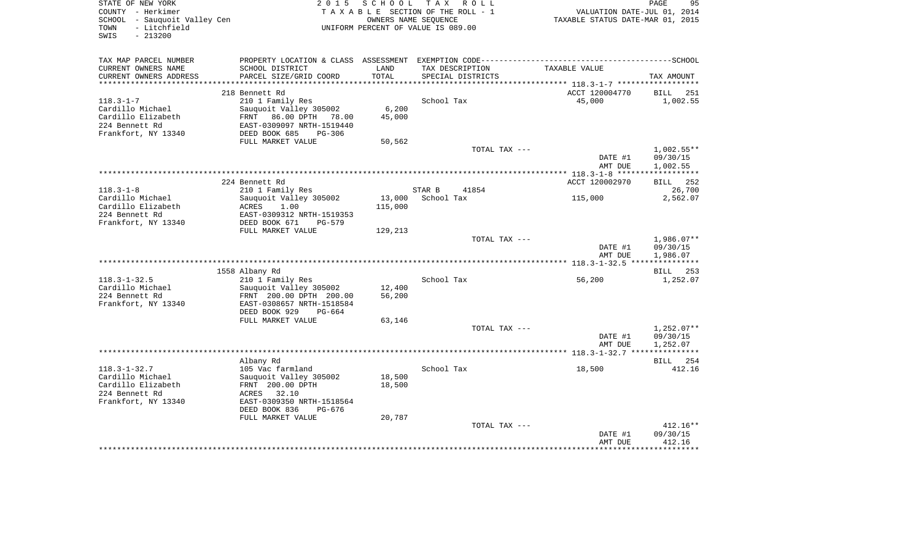| STATE OF NEW YORK                                 | 2 0 1 5                                                                                     |         | SCHOOL TAX ROLL                                         |                                                                 | PAGE<br>95             |
|---------------------------------------------------|---------------------------------------------------------------------------------------------|---------|---------------------------------------------------------|-----------------------------------------------------------------|------------------------|
| COUNTY - Herkimer<br>SCHOOL - Sauquoit Valley Cen |                                                                                             |         | TAXABLE SECTION OF THE ROLL - 1<br>OWNERS NAME SEQUENCE | VALUATION DATE-JUL 01, 2014<br>TAXABLE STATUS DATE-MAR 01, 2015 |                        |
| TOWN<br>- Litchfield<br>SWIS<br>$-213200$         |                                                                                             |         | UNIFORM PERCENT OF VALUE IS 089.00                      |                                                                 |                        |
| TAX MAP PARCEL NUMBER                             | PROPERTY LOCATION & CLASS ASSESSMENT EXEMPTION CODE----------------------------------SCHOOL |         |                                                         |                                                                 |                        |
| CURRENT OWNERS NAME                               | SCHOOL DISTRICT                                                                             | LAND    | TAX DESCRIPTION                                         | TAXABLE VALUE                                                   |                        |
| CURRENT OWNERS ADDRESS                            | PARCEL SIZE/GRID COORD                                                                      | TOTAL   | SPECIAL DISTRICTS                                       |                                                                 | TAX AMOUNT             |
|                                                   |                                                                                             |         |                                                         |                                                                 |                        |
| 118.3-1-7                                         | 218 Bennett Rd<br>210 1 Family Res                                                          |         | School Tax                                              | ACCT 120004770<br>45,000                                        | BILL 251<br>1,002.55   |
| Cardillo Michael                                  | Sauquoit Valley 305002                                                                      | 6,200   |                                                         |                                                                 |                        |
| Cardillo Elizabeth                                | FRNT 86.00 DPTH 78.00                                                                       | 45,000  |                                                         |                                                                 |                        |
| 224 Bennett Rd                                    | EAST-0309097 NRTH-1519440                                                                   |         |                                                         |                                                                 |                        |
| Frankfort, NY 13340                               | DEED BOOK 685<br>PG-306                                                                     |         |                                                         |                                                                 |                        |
|                                                   | FULL MARKET VALUE                                                                           | 50,562  |                                                         |                                                                 |                        |
|                                                   |                                                                                             |         | TOTAL TAX ---                                           |                                                                 | $1,002.55**$           |
|                                                   |                                                                                             |         |                                                         | DATE #1                                                         | 09/30/15               |
|                                                   |                                                                                             |         |                                                         | AMT DUE                                                         | 1,002.55               |
|                                                   | 224 Bennett Rd                                                                              |         |                                                         | ACCT 120002970                                                  | BILL 252               |
| $118.3 - 1 - 8$                                   | 210 1 Family Res                                                                            |         | STAR B<br>41854                                         |                                                                 | 26,700                 |
| Cardillo Michael                                  | Sauquoit Valley 305002                                                                      | 13,000  | School Tax                                              | 115,000                                                         | 2,562.07               |
| Cardillo Elizabeth                                | 1.00<br>ACRES                                                                               | 115,000 |                                                         |                                                                 |                        |
| 224 Bennett Rd                                    | EAST-0309312 NRTH-1519353                                                                   |         |                                                         |                                                                 |                        |
| Frankfort, NY 13340                               | DEED BOOK 671<br>PG-579                                                                     |         |                                                         |                                                                 |                        |
|                                                   | FULL MARKET VALUE                                                                           | 129,213 |                                                         |                                                                 |                        |
|                                                   |                                                                                             |         | TOTAL TAX ---                                           | DATE #1                                                         | 1,986.07**<br>09/30/15 |
|                                                   |                                                                                             |         |                                                         | AMT DUE                                                         | 1,986.07               |
|                                                   |                                                                                             |         |                                                         |                                                                 |                        |
|                                                   | 1558 Albany Rd                                                                              |         |                                                         |                                                                 | BILL 253               |
| $118.3 - 1 - 32.5$                                | 210 1 Family Res                                                                            |         | School Tax                                              | 56,200                                                          | 1,252.07               |
| Cardillo Michael                                  | Sauquoit Valley 305002                                                                      | 12,400  |                                                         |                                                                 |                        |
| 224 Bennett Rd                                    | FRNT 200.00 DPTH 200.00                                                                     | 56,200  |                                                         |                                                                 |                        |
| Frankfort, NY 13340                               | EAST-0308657 NRTH-1518584                                                                   |         |                                                         |                                                                 |                        |
|                                                   | DEED BOOK 929<br>PG-664<br>FULL MARKET VALUE                                                | 63,146  |                                                         |                                                                 |                        |
|                                                   |                                                                                             |         | TOTAL TAX ---                                           |                                                                 | $1,252.07**$           |
|                                                   |                                                                                             |         |                                                         | DATE #1                                                         | 09/30/15               |
|                                                   |                                                                                             |         |                                                         | AMT DUE                                                         | 1,252.07               |
|                                                   |                                                                                             |         |                                                         |                                                                 |                        |
|                                                   | Albany Rd                                                                                   |         |                                                         |                                                                 | BILL 254               |
| 118.3-1-32.7                                      | 105 Vac farmland                                                                            |         | School Tax                                              | 18,500                                                          | 412.16                 |
| Cardillo Michael                                  | Sauquoit Valley 305002                                                                      | 18,500  |                                                         |                                                                 |                        |
| Cardillo Elizabeth<br>224 Bennett Rd              | FRNT 200.00 DPTH<br>32.10<br>ACRES                                                          | 18,500  |                                                         |                                                                 |                        |
| Frankfort, NY 13340                               | EAST-0309350 NRTH-1518564                                                                   |         |                                                         |                                                                 |                        |
|                                                   | DEED BOOK 836<br>PG-676                                                                     |         |                                                         |                                                                 |                        |
|                                                   | FULL MARKET VALUE                                                                           | 20,787  |                                                         |                                                                 |                        |
|                                                   |                                                                                             |         | TOTAL TAX ---                                           |                                                                 | $412.16**$             |
|                                                   |                                                                                             |         |                                                         | DATE #1                                                         | 09/30/15               |
|                                                   |                                                                                             |         |                                                         | AMT DUE                                                         | 412.16                 |
|                                                   |                                                                                             |         |                                                         |                                                                 |                        |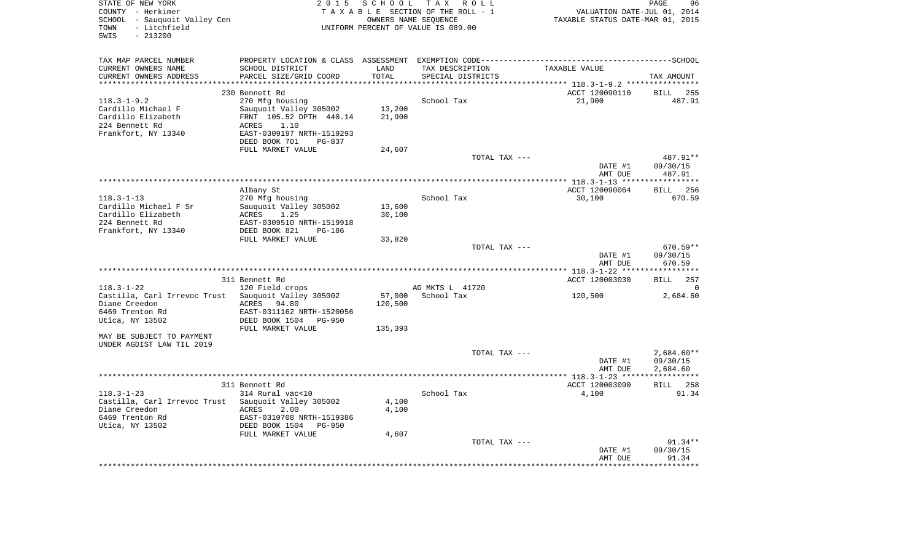| STATE OF NEW YORK<br>COUNTY - Herkimer                                  | 2 0 1 5                                                                                      | SCHOOL TAX           | R O L L<br>TAXABLE SECTION OF THE ROLL - 1 | VALUATION DATE-JUL 01, 2014                         | PAGE<br>96                      |
|-------------------------------------------------------------------------|----------------------------------------------------------------------------------------------|----------------------|--------------------------------------------|-----------------------------------------------------|---------------------------------|
| SCHOOL - Sauquoit Valley Cen                                            |                                                                                              | OWNERS NAME SEOUENCE |                                            | TAXABLE STATUS DATE-MAR 01, 2015                    |                                 |
| TOWN<br>- Litchfield<br>SWIS<br>$-213200$                               |                                                                                              |                      | UNIFORM PERCENT OF VALUE IS 089.00         |                                                     |                                 |
|                                                                         |                                                                                              |                      |                                            |                                                     |                                 |
| TAX MAP PARCEL NUMBER                                                   | PROPERTY LOCATION & CLASS ASSESSMENT EXEMPTION CODE-----------------------------------SCHOOL |                      |                                            |                                                     |                                 |
| CURRENT OWNERS NAME                                                     | SCHOOL DISTRICT                                                                              | LAND                 | TAX DESCRIPTION                            | TAXABLE VALUE                                       |                                 |
| CURRENT OWNERS ADDRESS                                                  | PARCEL SIZE/GRID COORD                                                                       | TOTAL                | SPECIAL DISTRICTS                          |                                                     | TAX AMOUNT                      |
| *********************                                                   |                                                                                              |                      |                                            |                                                     |                                 |
|                                                                         | 230 Bennett Rd                                                                               |                      |                                            | ACCT 120090110                                      | BILL 255                        |
| $118.3 - 1 - 9.2$                                                       | 270 Mfg housing                                                                              |                      | School Tax                                 | 21,900                                              | 487.91                          |
| Cardillo Michael F                                                      | Sauquoit Valley 305002                                                                       | 13,200               |                                            |                                                     |                                 |
| Cardillo Elizabeth                                                      | FRNT 105.52 DPTH 440.14                                                                      | 21,900               |                                            |                                                     |                                 |
| 224 Bennett Rd                                                          | 1.10<br>ACRES                                                                                |                      |                                            |                                                     |                                 |
| Frankfort, NY 13340                                                     | EAST-0309197 NRTH-1519293                                                                    |                      |                                            |                                                     |                                 |
|                                                                         | DEED BOOK 701<br>PG-837                                                                      |                      |                                            |                                                     |                                 |
|                                                                         | FULL MARKET VALUE                                                                            | 24,607               |                                            |                                                     |                                 |
|                                                                         |                                                                                              |                      | TOTAL TAX ---                              |                                                     | 487.91**                        |
|                                                                         |                                                                                              |                      |                                            | DATE #1                                             | 09/30/15                        |
|                                                                         |                                                                                              |                      |                                            | AMT DUE                                             | 487.91<br>* * * * * * * * * * * |
|                                                                         | Albany St                                                                                    |                      |                                            | ***************** 118.3-1-13 ****<br>ACCT 120090064 | BILL 256                        |
| $118.3 - 1 - 13$                                                        | 270 Mfg housing                                                                              |                      | School Tax                                 | 30,100                                              | 670.59                          |
| Cardillo Michael F Sr                                                   | Sauquoit Valley 305002                                                                       | 13,600               |                                            |                                                     |                                 |
| Cardillo Elizabeth                                                      | ACRES<br>1.25                                                                                | 30,100               |                                            |                                                     |                                 |
| 224 Bennett Rd                                                          | EAST-0309510 NRTH-1519918                                                                    |                      |                                            |                                                     |                                 |
| Frankfort, NY 13340                                                     | DEED BOOK 821<br>PG-186                                                                      |                      |                                            |                                                     |                                 |
|                                                                         | FULL MARKET VALUE                                                                            | 33,820               |                                            |                                                     |                                 |
|                                                                         |                                                                                              |                      | TOTAL TAX ---                              |                                                     | $670.59**$                      |
|                                                                         |                                                                                              |                      |                                            | DATE #1                                             | 09/30/15                        |
|                                                                         |                                                                                              |                      |                                            | AMT DUE                                             | 670.59                          |
|                                                                         |                                                                                              |                      |                                            |                                                     |                                 |
| $118.3 - 1 - 22$                                                        | 311 Bennett Rd                                                                               |                      | AG MKTS L 41720                            | ACCT 120003030                                      | <b>BILL</b><br>257<br>0         |
|                                                                         | 120 Field crops<br>Sauquoit Valley 305002                                                    | 57,000               | School Tax                                 | 120,500                                             | 2,684.60                        |
| Castilla, Carl Irrevoc Trust<br>Diane Creedon                           | ACRES 94.80                                                                                  | 120,500              |                                            |                                                     |                                 |
| 6469 Trenton Rd                                                         | EAST-0311162 NRTH-1520056                                                                    |                      |                                            |                                                     |                                 |
| Utica, NY 13502                                                         | DEED BOOK 1504 PG-950                                                                        |                      |                                            |                                                     |                                 |
|                                                                         | FULL MARKET VALUE                                                                            | 135,393              |                                            |                                                     |                                 |
| MAY BE SUBJECT TO PAYMENT                                               |                                                                                              |                      |                                            |                                                     |                                 |
| UNDER AGDIST LAW TIL 2019                                               |                                                                                              |                      |                                            |                                                     |                                 |
|                                                                         |                                                                                              |                      | TOTAL TAX ---                              |                                                     | $2,684.60**$                    |
|                                                                         |                                                                                              |                      |                                            | DATE #1                                             | 09/30/15                        |
|                                                                         |                                                                                              |                      |                                            | AMT DUE                                             | 2,684.60                        |
|                                                                         |                                                                                              |                      |                                            |                                                     | * * * * * * * * * * * *         |
|                                                                         | 311 Bennett Rd                                                                               |                      | School Tax                                 | ACCT 120003090<br>4,100                             | BILL 258<br>91.34               |
| $118.3 - 1 - 23$<br>Castilla, Carl Irrevoc Trust Sauquoit Valley 305002 | 314 Rural vac<10                                                                             | 4,100                |                                            |                                                     |                                 |
| Diane Creedon                                                           | ACRES<br>2.00                                                                                | 4,100                |                                            |                                                     |                                 |
| 6469 Trenton Rd                                                         | EAST-0310708 NRTH-1519386                                                                    |                      |                                            |                                                     |                                 |
| Utica, NY 13502                                                         | DEED BOOK 1504<br>PG-950                                                                     |                      |                                            |                                                     |                                 |
|                                                                         | FULL MARKET VALUE                                                                            | 4,607                |                                            |                                                     |                                 |
|                                                                         |                                                                                              |                      | TOTAL TAX ---                              |                                                     | $91.34**$                       |
|                                                                         |                                                                                              |                      |                                            | DATE #1                                             | 09/30/15                        |
|                                                                         |                                                                                              |                      |                                            | AMT DUE                                             | 91.34                           |
|                                                                         |                                                                                              |                      |                                            |                                                     | ********                        |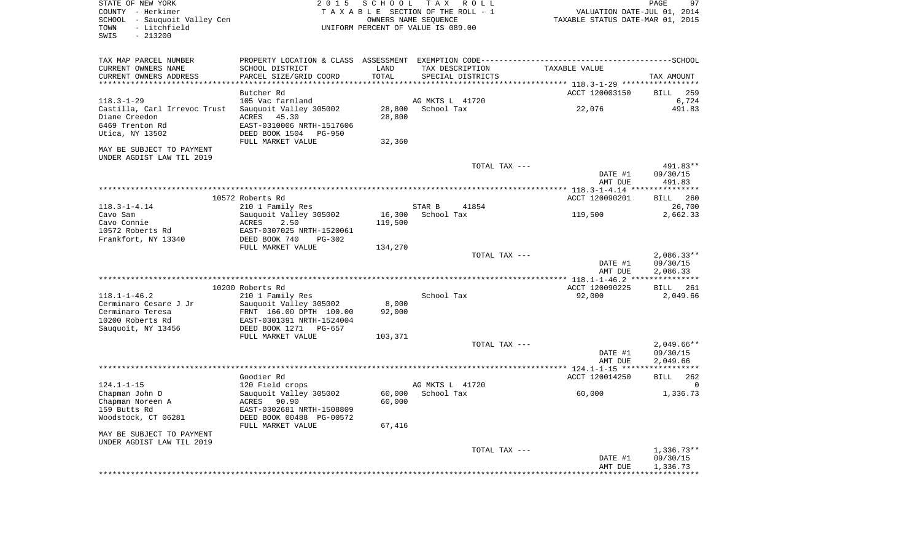| STATE OF NEW YORK<br>COUNTY - Herkimer<br>SCHOOL - Sauquoit Valley Cen<br>- Litchfield<br>TOWN<br>SWIS<br>$-213200$ | 2 0 1 5                    | SCHOOL            | T A X<br>R O L L<br>TAXABLE SECTION OF THE ROLL - 1<br>OWNERS NAME SEQUENCE<br>UNIFORM PERCENT OF VALUE IS 089.00 | VALUATION DATE-JUL 01, 2014<br>TAXABLE STATUS DATE-MAR 01, 2015 | 97<br>PAGE                        |
|---------------------------------------------------------------------------------------------------------------------|----------------------------|-------------------|-------------------------------------------------------------------------------------------------------------------|-----------------------------------------------------------------|-----------------------------------|
| TAX MAP PARCEL NUMBER                                                                                               |                            |                   |                                                                                                                   |                                                                 |                                   |
| CURRENT OWNERS NAME                                                                                                 | SCHOOL DISTRICT            | LAND              | TAX DESCRIPTION                                                                                                   | TAXABLE VALUE                                                   |                                   |
| CURRENT OWNERS ADDRESS<br>********************                                                                      | PARCEL SIZE/GRID COORD     | TOTAL<br>******** | SPECIAL DISTRICTS                                                                                                 | ********** 118.3-1-29 *****                                     | TAX AMOUNT                        |
|                                                                                                                     | Butcher Rd                 |                   |                                                                                                                   | ACCT 120003150                                                  | 259<br><b>BILL</b>                |
| $118.3 - 1 - 29$                                                                                                    | 105 Vac farmland           |                   | AG MKTS L 41720                                                                                                   |                                                                 | 6,724                             |
| Castilla, Carl Irrevoc Trust                                                                                        | Sauguoit Valley 305002     | 28,800            | School Tax                                                                                                        | 22,076                                                          | 491.83                            |
| Diane Creedon                                                                                                       | 45.30<br>ACRES             | 28,800            |                                                                                                                   |                                                                 |                                   |
| 6469 Trenton Rd                                                                                                     | EAST-0310006 NRTH-1517606  |                   |                                                                                                                   |                                                                 |                                   |
| Utica, NY 13502                                                                                                     | DEED BOOK 1504 PG-950      |                   |                                                                                                                   |                                                                 |                                   |
|                                                                                                                     | FULL MARKET VALUE          | 32,360            |                                                                                                                   |                                                                 |                                   |
| MAY BE SUBJECT TO PAYMENT                                                                                           |                            |                   |                                                                                                                   |                                                                 |                                   |
| UNDER AGDIST LAW TIL 2019                                                                                           |                            |                   |                                                                                                                   |                                                                 |                                   |
|                                                                                                                     |                            |                   | TOTAL TAX ---                                                                                                     |                                                                 | 491.83**                          |
|                                                                                                                     |                            |                   |                                                                                                                   | DATE #1                                                         | 09/30/15                          |
|                                                                                                                     |                            |                   |                                                                                                                   | AMT DUE                                                         | 491.83                            |
|                                                                                                                     | 10572 Roberts Rd           |                   |                                                                                                                   | ACCT 120090201                                                  | 260<br><b>BILL</b>                |
| $118.3 - 1 - 4.14$                                                                                                  | 210 1 Family Res           |                   | STAR B<br>41854                                                                                                   |                                                                 | 26,700                            |
| Cavo Sam                                                                                                            | Sauquoit Valley 305002     | 16,300            | School Tax                                                                                                        | 119,500                                                         | 2,662.33                          |
| Cavo Connie                                                                                                         | ACRES<br>2.50              | 119,500           |                                                                                                                   |                                                                 |                                   |
| 10572 Roberts Rd                                                                                                    | EAST-0307025 NRTH-1520061  |                   |                                                                                                                   |                                                                 |                                   |
| Frankfort, NY 13340                                                                                                 | DEED BOOK 740<br>$PG-302$  |                   |                                                                                                                   |                                                                 |                                   |
|                                                                                                                     | FULL MARKET VALUE          | 134,270           |                                                                                                                   |                                                                 |                                   |
|                                                                                                                     |                            |                   | TOTAL TAX ---                                                                                                     |                                                                 | $2,086.33**$                      |
|                                                                                                                     |                            |                   |                                                                                                                   | DATE #1                                                         | 09/30/15                          |
|                                                                                                                     |                            |                   |                                                                                                                   | AMT DUE                                                         | 2,086.33<br>***********           |
|                                                                                                                     | 10200 Roberts Rd           |                   |                                                                                                                   | ACCT 120090225                                                  | 261<br>BILL                       |
| $118.1 - 1 - 46.2$                                                                                                  | 210 1 Family Res           |                   | School Tax                                                                                                        | 92,000                                                          | 2,049.66                          |
| Cerminaro Cesare J Jr                                                                                               | Sauquoit Valley 305002     | 8,000             |                                                                                                                   |                                                                 |                                   |
| Cerminaro Teresa                                                                                                    | FRNT 166.00 DPTH 100.00    | 92,000            |                                                                                                                   |                                                                 |                                   |
| 10200 Roberts Rd                                                                                                    | EAST-0301391 NRTH-1524004  |                   |                                                                                                                   |                                                                 |                                   |
| Sauquoit, NY 13456                                                                                                  | DEED BOOK 1271<br>$PG-657$ |                   |                                                                                                                   |                                                                 |                                   |
|                                                                                                                     | FULL MARKET VALUE          | 103,371           |                                                                                                                   |                                                                 |                                   |
|                                                                                                                     |                            |                   | TOTAL TAX ---                                                                                                     |                                                                 | $2,049.66**$                      |
|                                                                                                                     |                            |                   |                                                                                                                   | DATE #1                                                         | 09/30/15                          |
|                                                                                                                     |                            |                   |                                                                                                                   | AMT DUE                                                         | 2,049.66<br>* * * * * * * * * * * |
|                                                                                                                     | Goodier Rd                 |                   |                                                                                                                   | ACCT 120014250                                                  | 262<br><b>BILL</b>                |
| $124.1 - 1 - 15$                                                                                                    | 120 Field crops            |                   | AG MKTS L 41720                                                                                                   |                                                                 | $\Omega$                          |
| Chapman John D                                                                                                      | Sauquoit Valley 305002     | 60,000            | School Tax                                                                                                        | 60,000                                                          | 1,336.73                          |
| Chapman Noreen A                                                                                                    | ACRES 90.90                | 60,000            |                                                                                                                   |                                                                 |                                   |
| 159 Butts Rd                                                                                                        | EAST-0302681 NRTH-1508809  |                   |                                                                                                                   |                                                                 |                                   |
| Woodstock, CT 06281                                                                                                 | DEED BOOK 00488 PG-00572   |                   |                                                                                                                   |                                                                 |                                   |
|                                                                                                                     | FULL MARKET VALUE          | 67,416            |                                                                                                                   |                                                                 |                                   |
| MAY BE SUBJECT TO PAYMENT                                                                                           |                            |                   |                                                                                                                   |                                                                 |                                   |
| UNDER AGDIST LAW TIL 2019                                                                                           |                            |                   |                                                                                                                   |                                                                 | $1,336.73**$                      |
|                                                                                                                     |                            |                   | TOTAL TAX ---                                                                                                     | DATE #1                                                         | 09/30/15                          |
|                                                                                                                     |                            |                   |                                                                                                                   | AMT DUE                                                         | 1,336.73                          |
|                                                                                                                     |                            |                   |                                                                                                                   |                                                                 |                                   |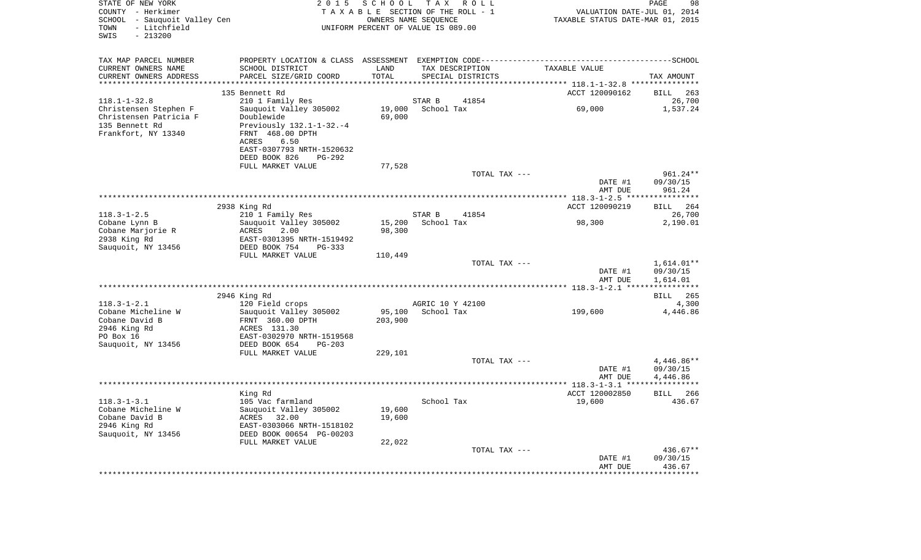| STATE OF NEW YORK<br>COUNTY - Herkimer<br>SCHOOL - Sauquoit Valley Cen<br>- Litchfield<br>TOWN<br>SWIS<br>$-213200$ | 2 0 1 5                                        | SCHOOL           | T A X<br>R O L L<br>TAXABLE SECTION OF THE ROLL - 1<br>OWNERS NAME SEQUENCE<br>UNIFORM PERCENT OF VALUE IS 089.00 | VALUATION DATE-JUL 01, 2014<br>TAXABLE STATUS DATE-MAR 01, 2015 | 98<br>PAGE                   |
|---------------------------------------------------------------------------------------------------------------------|------------------------------------------------|------------------|-------------------------------------------------------------------------------------------------------------------|-----------------------------------------------------------------|------------------------------|
| TAX MAP PARCEL NUMBER                                                                                               |                                                |                  |                                                                                                                   |                                                                 |                              |
| CURRENT OWNERS NAME                                                                                                 | SCHOOL DISTRICT                                | LAND<br>TOTAL    | TAX DESCRIPTION                                                                                                   | TAXABLE VALUE                                                   |                              |
| CURRENT OWNERS ADDRESS                                                                                              | PARCEL SIZE/GRID COORD                         | ********         | SPECIAL DISTRICTS                                                                                                 | *********** 118.1-1-32.8 ***********                            | TAX AMOUNT                   |
|                                                                                                                     | 135 Bennett Rd                                 |                  |                                                                                                                   | ACCT 120090162                                                  | <b>BILL</b><br>263           |
| $118.1 - 1 - 32.8$                                                                                                  | 210 1 Family Res                               |                  | STAR B<br>41854                                                                                                   |                                                                 | 26,700                       |
| Christensen Stephen F<br>Christensen Patricia F                                                                     | Sauquoit Valley 305002<br>Doublewide           | 19,000<br>69,000 | School Tax                                                                                                        | 69,000                                                          | 1,537.24                     |
| 135 Bennett Rd                                                                                                      | Previously 132.1-1-32.-4                       |                  |                                                                                                                   |                                                                 |                              |
| Frankfort, NY 13340                                                                                                 | FRNT 468.00 DPTH                               |                  |                                                                                                                   |                                                                 |                              |
|                                                                                                                     | ACRES<br>6.50                                  |                  |                                                                                                                   |                                                                 |                              |
|                                                                                                                     | EAST-0307793 NRTH-1520632                      |                  |                                                                                                                   |                                                                 |                              |
|                                                                                                                     | DEED BOOK 826<br>PG-292<br>FULL MARKET VALUE   | 77,528           |                                                                                                                   |                                                                 |                              |
|                                                                                                                     |                                                |                  | TOTAL TAX ---                                                                                                     |                                                                 | 961.24**                     |
|                                                                                                                     |                                                |                  |                                                                                                                   | DATE #1                                                         | 09/30/15                     |
|                                                                                                                     |                                                |                  |                                                                                                                   | AMT DUE                                                         | 961.24                       |
|                                                                                                                     |                                                |                  |                                                                                                                   |                                                                 |                              |
| $118.3 - 1 - 2.5$                                                                                                   | 2938 King Rd<br>210 1 Family Res               |                  | STAR B<br>41854                                                                                                   | ACCT 120090219                                                  | 264<br><b>BILL</b><br>26,700 |
| Cobane Lynn B                                                                                                       | Sauquoit Valley 305002                         | 15,200           | School Tax                                                                                                        | 98,300                                                          | 2,190.01                     |
| Cobane Marjorie R                                                                                                   | ACRES<br>2.00                                  | 98,300           |                                                                                                                   |                                                                 |                              |
| 2938 King Rd                                                                                                        | EAST-0301395 NRTH-1519492                      |                  |                                                                                                                   |                                                                 |                              |
| Sauquoit, NY 13456                                                                                                  | DEED BOOK 754<br>PG-333                        |                  |                                                                                                                   |                                                                 |                              |
|                                                                                                                     | FULL MARKET VALUE                              | 110,449          | TOTAL TAX ---                                                                                                     |                                                                 | 1,614.01**                   |
|                                                                                                                     |                                                |                  |                                                                                                                   | DATE #1                                                         | 09/30/15                     |
|                                                                                                                     |                                                |                  |                                                                                                                   | AMT DUE                                                         | 1,614.01                     |
|                                                                                                                     |                                                |                  |                                                                                                                   |                                                                 |                              |
| $118.3 - 1 - 2.1$                                                                                                   | 2946 King Rd<br>120 Field crops                |                  | AGRIC 10 Y 42100                                                                                                  |                                                                 | <b>BILL</b><br>265<br>4,300  |
| Cobane Micheline W                                                                                                  | Sauquoit Valley 305002                         | 95,100           | School Tax                                                                                                        | 199,600                                                         | 4,446.86                     |
| Cobane David B                                                                                                      | FRNT 360.00 DPTH                               | 203,900          |                                                                                                                   |                                                                 |                              |
| 2946 King Rd                                                                                                        | ACRES 131.30                                   |                  |                                                                                                                   |                                                                 |                              |
| PO Box 16                                                                                                           | EAST-0302970 NRTH-1519568                      |                  |                                                                                                                   |                                                                 |                              |
| Sauquoit, NY 13456                                                                                                  | DEED BOOK 654<br>$PG-203$<br>FULL MARKET VALUE | 229,101          |                                                                                                                   |                                                                 |                              |
|                                                                                                                     |                                                |                  | TOTAL TAX ---                                                                                                     |                                                                 | 4,446.86**                   |
|                                                                                                                     |                                                |                  |                                                                                                                   | DATE #1                                                         | 09/30/15                     |
|                                                                                                                     |                                                |                  |                                                                                                                   | AMT DUE                                                         | 4,446.86                     |
|                                                                                                                     |                                                |                  |                                                                                                                   |                                                                 |                              |
| $118.3 - 1 - 3.1$                                                                                                   | King Rd<br>105 Vac farmland                    |                  | School Tax                                                                                                        | ACCT 120002850<br>19,600                                        | <b>BILL</b><br>266<br>436.67 |
| Cobane Micheline W                                                                                                  | Sauguoit Valley 305002                         | 19,600           |                                                                                                                   |                                                                 |                              |
| Cobane David B                                                                                                      | ACRES<br>32.00                                 | 19,600           |                                                                                                                   |                                                                 |                              |
| 2946 King Rd                                                                                                        | EAST-0303066 NRTH-1518102                      |                  |                                                                                                                   |                                                                 |                              |
| Sauquoit, NY 13456                                                                                                  | DEED BOOK 00654 PG-00203                       |                  |                                                                                                                   |                                                                 |                              |
|                                                                                                                     | FULL MARKET VALUE                              | 22,022           | TOTAL TAX ---                                                                                                     |                                                                 | 436.67**                     |
|                                                                                                                     |                                                |                  |                                                                                                                   | DATE #1                                                         | 09/30/15                     |
|                                                                                                                     |                                                |                  |                                                                                                                   | AMT DUE                                                         | 436.67                       |
|                                                                                                                     | *****************                              |                  |                                                                                                                   |                                                                 | *********                    |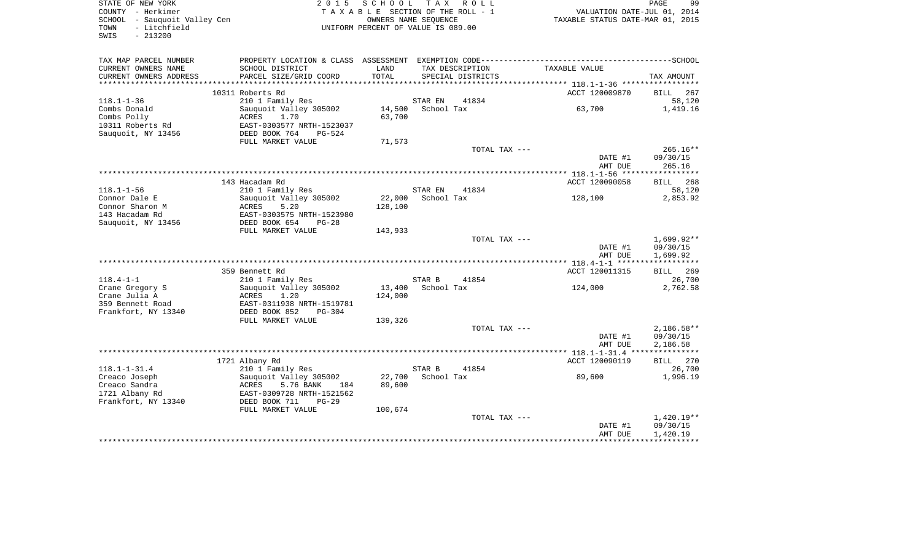| STATE OF NEW YORK<br>COUNTY - Herkimer<br>SCHOOL - Sauquoit Valley Cen<br>- Litchfield<br>TOWN<br>SWIS<br>$-213200$ | 2 0 1 5                                                                                      | S C H O O L<br>TAXABLE SECTION OF THE ROLL - 1<br>OWNERS NAME SEQUENCE<br>UNIFORM PERCENT OF VALUE IS 089.00 |            | TAX ROLL                             | VALUATION DATE-JUL 01, 2014<br>TAXABLE STATUS DATE-MAR 01, 2015 | PAGE<br>99   |
|---------------------------------------------------------------------------------------------------------------------|----------------------------------------------------------------------------------------------|--------------------------------------------------------------------------------------------------------------|------------|--------------------------------------|-----------------------------------------------------------------|--------------|
| TAX MAP PARCEL NUMBER                                                                                               | PROPERTY LOCATION & CLASS ASSESSMENT EXEMPTION CODE-----------------------------------SCHOOL |                                                                                                              |            |                                      |                                                                 |              |
| CURRENT OWNERS NAME<br>CURRENT OWNERS ADDRESS                                                                       | SCHOOL DISTRICT<br>PARCEL SIZE/GRID COORD                                                    | LAND<br>TOTAL                                                                                                |            | TAX DESCRIPTION<br>SPECIAL DISTRICTS | TAXABLE VALUE                                                   | TAX AMOUNT   |
|                                                                                                                     |                                                                                              |                                                                                                              |            |                                      |                                                                 |              |
|                                                                                                                     | 10311 Roberts Rd                                                                             |                                                                                                              |            |                                      | ACCT 120009870                                                  | BILL 267     |
| $118.1 - 1 - 36$                                                                                                    | 210 1 Family Res                                                                             |                                                                                                              | STAR EN    | 41834                                | 63,700                                                          | 58,120       |
| Combs Donald                                                                                                        | Sauquoit Valley 305002                                                                       | 14,500                                                                                                       | School Tax |                                      |                                                                 | 1,419.16     |
| Combs Polly                                                                                                         | ACRES<br>1.70<br>EAST-0303577 NRTH-1523037                                                   | 63,700                                                                                                       |            |                                      |                                                                 |              |
| 10311 Roberts Rd<br>Sauquoit, NY 13456                                                                              | DEED BOOK 764<br>PG-524                                                                      |                                                                                                              |            |                                      |                                                                 |              |
|                                                                                                                     | FULL MARKET VALUE                                                                            | 71,573                                                                                                       |            |                                      |                                                                 |              |
|                                                                                                                     |                                                                                              |                                                                                                              |            | TOTAL TAX ---                        |                                                                 | $265.16**$   |
|                                                                                                                     |                                                                                              |                                                                                                              |            |                                      | DATE #1                                                         | 09/30/15     |
|                                                                                                                     |                                                                                              |                                                                                                              |            |                                      | AMT DUE                                                         | 265.16       |
|                                                                                                                     |                                                                                              |                                                                                                              |            |                                      | ************* 118.1-1-56 ******************                     |              |
|                                                                                                                     | 143 Hacadam Rd                                                                               |                                                                                                              |            |                                      | ACCT 120090058                                                  | BILL 268     |
| $118.1 - 1 - 56$                                                                                                    | 210 1 Family Res                                                                             |                                                                                                              | STAR EN    | 41834                                |                                                                 | 58,120       |
| Connor Dale E                                                                                                       | Sauquoit Valley 305002                                                                       | 22,000                                                                                                       | School Tax |                                      | 128,100                                                         | 2,853.92     |
| Connor Sharon M                                                                                                     | ACRES<br>5.20                                                                                | 128,100                                                                                                      |            |                                      |                                                                 |              |
| 143 Hacadam Rd                                                                                                      | EAST-0303575 NRTH-1523980                                                                    |                                                                                                              |            |                                      |                                                                 |              |
| Sauquoit, NY 13456                                                                                                  | DEED BOOK 654<br>$PG-28$                                                                     |                                                                                                              |            |                                      |                                                                 |              |
|                                                                                                                     | FULL MARKET VALUE                                                                            | 143,933                                                                                                      |            |                                      |                                                                 |              |
|                                                                                                                     |                                                                                              |                                                                                                              |            | TOTAL TAX ---                        |                                                                 | 1,699.92**   |
|                                                                                                                     |                                                                                              |                                                                                                              |            |                                      | DATE #1                                                         | 09/30/15     |
|                                                                                                                     |                                                                                              |                                                                                                              |            |                                      | AMT DUE                                                         | 1,699.92     |
|                                                                                                                     |                                                                                              |                                                                                                              |            |                                      |                                                                 |              |
|                                                                                                                     | 359 Bennett Rd                                                                               |                                                                                                              |            |                                      | ACCT 120011315                                                  | BILL 269     |
| $118.4 - 1 - 1$                                                                                                     | 210 1 Family Res                                                                             |                                                                                                              | STAR B     | 41854                                |                                                                 | 26,700       |
| Crane Gregory S                                                                                                     | Sauquoit Valley 305002                                                                       | 13,400                                                                                                       | School Tax |                                      | 124,000                                                         | 2,762.58     |
| Crane Julia A                                                                                                       | ACRES<br>1.20                                                                                | 124,000                                                                                                      |            |                                      |                                                                 |              |
| 359 Bennett Road                                                                                                    | EAST-0311938 NRTH-1519781                                                                    |                                                                                                              |            |                                      |                                                                 |              |
| Frankfort, NY 13340                                                                                                 | DEED BOOK 852<br>$PG-304$                                                                    |                                                                                                              |            |                                      |                                                                 |              |
|                                                                                                                     | FULL MARKET VALUE                                                                            | 139,326                                                                                                      |            | TOTAL TAX ---                        |                                                                 | $2,186.58**$ |
|                                                                                                                     |                                                                                              |                                                                                                              |            |                                      | DATE #1                                                         | 09/30/15     |
|                                                                                                                     |                                                                                              |                                                                                                              |            |                                      | AMT DUE                                                         | 2,186.58     |
|                                                                                                                     |                                                                                              |                                                                                                              |            |                                      |                                                                 |              |
|                                                                                                                     | 1721 Albany Rd                                                                               |                                                                                                              |            |                                      | ACCT 120090119                                                  | BILL 270     |
| $118.1 - 1 - 31.4$                                                                                                  | 210 1 Family Res                                                                             |                                                                                                              | STAR B     | 41854                                |                                                                 | 26,700       |
| Creaco Joseph                                                                                                       | Sauguoit Valley 305002                                                                       | 22,700                                                                                                       | School Tax |                                      | 89,600                                                          | 1,996.19     |
| Creaco Sandra                                                                                                       | 5.76 BANK<br>ACRES<br>184                                                                    | 89,600                                                                                                       |            |                                      |                                                                 |              |
| 1721 Albany Rd                                                                                                      | EAST-0309728 NRTH-1521562                                                                    |                                                                                                              |            |                                      |                                                                 |              |
| Frankfort, NY 13340                                                                                                 | DEED BOOK 711<br>$PG-29$                                                                     |                                                                                                              |            |                                      |                                                                 |              |
|                                                                                                                     | FULL MARKET VALUE                                                                            | 100,674                                                                                                      |            |                                      |                                                                 |              |
|                                                                                                                     |                                                                                              |                                                                                                              |            | TOTAL TAX ---                        |                                                                 | $1,420.19**$ |
|                                                                                                                     |                                                                                              |                                                                                                              |            |                                      | DATE #1                                                         | 09/30/15     |
|                                                                                                                     |                                                                                              |                                                                                                              |            |                                      | AMT DUE                                                         | 1,420.19     |
|                                                                                                                     |                                                                                              |                                                                                                              |            |                                      |                                                                 |              |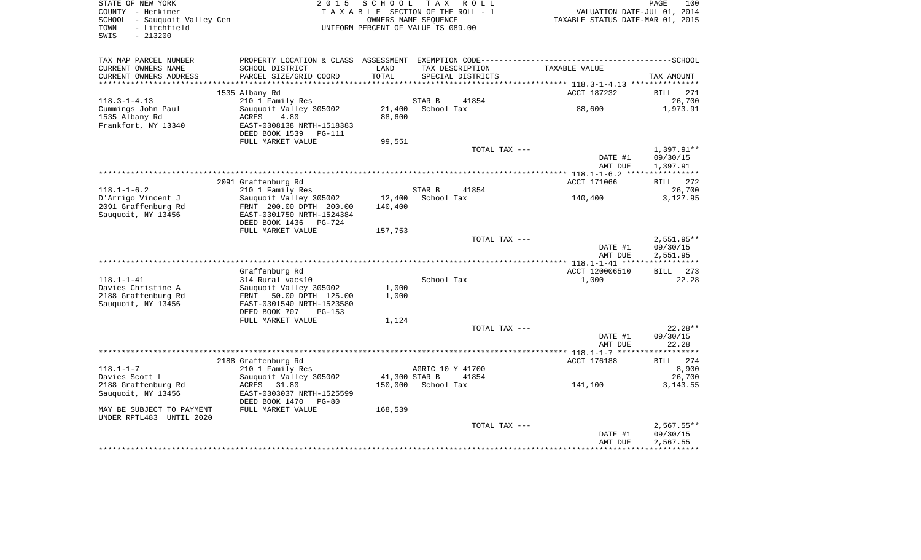| STATE OF NEW YORK<br>COUNTY - Herkimer<br>SCHOOL - Sauquoit Valley Cen |                                            | 2015 SCHOOL TAX ROLL<br>TAXABLE SECTION OF THE ROLL - 1 | OWNERS NAME SEQUENCE |                   | VALUATION DATE-JUL 01, 2014<br>TAXABLE STATUS DATE-MAR 01, 2015 | PAGE                   |
|------------------------------------------------------------------------|--------------------------------------------|---------------------------------------------------------|----------------------|-------------------|-----------------------------------------------------------------|------------------------|
| - Litchfield<br>TOWN<br>$-213200$<br>SWIS                              |                                            | UNIFORM PERCENT OF VALUE IS 089.00                      |                      |                   |                                                                 |                        |
| TAX MAP PARCEL NUMBER                                                  |                                            |                                                         |                      |                   |                                                                 |                        |
| CURRENT OWNERS NAME                                                    | SCHOOL DISTRICT                            | LAND                                                    |                      | TAX DESCRIPTION   | TAXABLE VALUE                                                   |                        |
| CURRENT OWNERS ADDRESS                                                 | PARCEL SIZE/GRID COORD                     | TOTAL                                                   |                      | SPECIAL DISTRICTS |                                                                 | TAX AMOUNT             |
|                                                                        |                                            |                                                         |                      |                   |                                                                 |                        |
|                                                                        | 1535 Albany Rd                             |                                                         |                      |                   | ACCT 187232                                                     | <b>BILL</b> 271        |
| $118.3 - 1 - 4.13$                                                     | 210 1 Family Res                           |                                                         | STAR B               | 41854             |                                                                 |                        |
| Cummings John Paul                                                     | Sauquoit Valley 305002                     |                                                         | 21,400 School Tax    |                   | 88,600                                                          | 1,973.91               |
| 1535 Albany Rd                                                         | ACRES<br>4.80                              | 88,600                                                  |                      |                   |                                                                 |                        |
| Frankfort, NY 13340                                                    | EAST-0308138 NRTH-1518383                  |                                                         |                      |                   |                                                                 |                        |
|                                                                        | DEED BOOK 1539 PG-111                      |                                                         |                      |                   |                                                                 |                        |
|                                                                        | FULL MARKET VALUE                          | 99,551                                                  |                      |                   |                                                                 |                        |
|                                                                        |                                            |                                                         |                      | TOTAL TAX ---     | DATE #1                                                         | 1,397.91**<br>09/30/15 |
|                                                                        |                                            |                                                         |                      |                   | AMT DUE                                                         | 1,397.91               |
|                                                                        |                                            |                                                         |                      |                   |                                                                 |                        |
|                                                                        | 2091 Graffenburg Rd                        |                                                         |                      |                   | ACCT 171066                                                     | BILL 272               |
| $118.1 - 1 - 6.2$                                                      | 210 1 Family Res                           |                                                         | STAR B               | 41854             |                                                                 |                        |
| D'Arrigo Vincent J                                                     | Sauquoit Valley 305002                     | 12,400                                                  | School Tax           |                   | 140,400                                                         | 3,127.95               |
| 2091 Graffenburg Rd                                                    | FRNT 200.00 DPTH 200.00                    | 140,400                                                 |                      |                   |                                                                 |                        |
| Sauquoit, NY 13456                                                     | EAST-0301750 NRTH-1524384                  |                                                         |                      |                   |                                                                 |                        |
|                                                                        | DEED BOOK 1436 PG-724                      |                                                         |                      |                   |                                                                 |                        |
|                                                                        | FULL MARKET VALUE                          | 157,753                                                 |                      |                   |                                                                 |                        |
|                                                                        |                                            |                                                         |                      | TOTAL TAX ---     |                                                                 | $2,551.95**$           |
|                                                                        |                                            |                                                         |                      |                   | DATE #1                                                         | 09/30/15               |
| *****************************                                          |                                            |                                                         |                      |                   | AMT DUE                                                         | 2,551.95               |
|                                                                        |                                            |                                                         |                      |                   |                                                                 | ***********            |
|                                                                        | Graffenburg Rd                             |                                                         |                      |                   | ACCT 120006510                                                  | BILL 273               |
| $118.1 - 1 - 41$<br>Davies Christine A                                 | 314 Rural vac<10<br>Sauquoit Valley 305002 | 1,000                                                   | School Tax           |                   | 1,000                                                           |                        |
| 2188 Graffenburg Rd                                                    | FRNT 50.00 DPTH 125.00                     | 1,000                                                   |                      |                   |                                                                 |                        |
| Sauquoit, NY 13456                                                     | EAST-0301540 NRTH-1523580                  |                                                         |                      |                   |                                                                 |                        |
|                                                                        | DEED BOOK 707<br>PG-153                    |                                                         |                      |                   |                                                                 |                        |
|                                                                        | FULL MARKET VALUE                          | 1,124                                                   |                      |                   |                                                                 |                        |
|                                                                        |                                            |                                                         |                      | TOTAL TAX ---     |                                                                 | $22.28**$              |
|                                                                        |                                            |                                                         |                      |                   | DATE #1                                                         | 09/30/15               |
|                                                                        |                                            |                                                         |                      |                   | AMT DUE                                                         | 22.28                  |
|                                                                        |                                            |                                                         |                      |                   |                                                                 |                        |
|                                                                        | 2188 Graffenburg Rd                        |                                                         |                      |                   | ACCT 176188                                                     | BILL 274               |
| $118.1 - 1 - 7$                                                        | 210 1 Family Res                           |                                                         | AGRIC 10 Y 41700     |                   |                                                                 |                        |
| Davies Scott L                                                         | Sauguoit Valley 305002                     | 41,300 STAR B                                           |                      | 41854             |                                                                 |                        |
| 2188 Graffenburg Rd                                                    | ACRES 31.80                                |                                                         | 150,000 School Tax   |                   | 141,100                                                         | 3, 143.55              |
| Sauquoit, NY 13456                                                     | EAST-0303037 NRTH-1525599                  |                                                         |                      |                   |                                                                 |                        |
|                                                                        | DEED BOOK 1470 PG-80                       |                                                         |                      |                   |                                                                 |                        |
| MAY BE SUBJECT TO PAYMENT<br>UNDER RPTL483 UNTIL 2020                  | FULL MARKET VALUE                          | 168,539                                                 |                      |                   |                                                                 |                        |
|                                                                        |                                            |                                                         |                      | TOTAL TAX ---     |                                                                 | $2,567.55**$           |
|                                                                        |                                            |                                                         |                      |                   | DATE #1                                                         | 09/30/15               |
|                                                                        |                                            |                                                         |                      |                   | AMT DUE                                                         | 2,567.55               |
|                                                                        |                                            |                                                         |                      |                   |                                                                 |                        |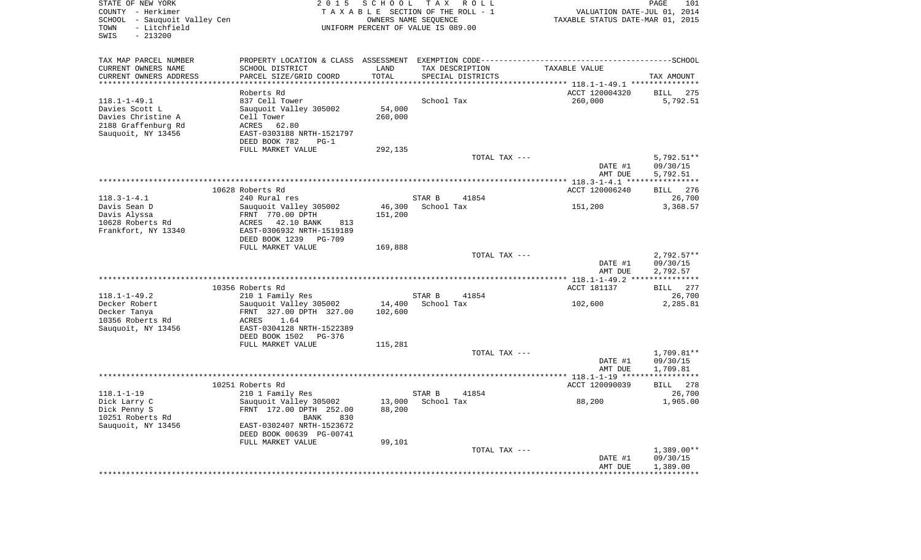| STATE OF NEW YORK<br>COUNTY - Herkimer<br>SCHOOL - Sauquoit Valley Cen<br>- Litchfield<br>TOWN<br>$-213200$<br>SWIS |                                   |         | 2015 SCHOOL TAX ROLL<br>TAXABLE SECTION OF THE ROLL - 1<br>OWNERS NAME SEQUENCE<br>UNIFORM PERCENT OF VALUE IS 089.00 | VALUATION DATE-JUL 01, 2014<br>TAXABLE STATUS DATE-MAR 01, 2015 | PAGE<br>101  |
|---------------------------------------------------------------------------------------------------------------------|-----------------------------------|---------|-----------------------------------------------------------------------------------------------------------------------|-----------------------------------------------------------------|--------------|
|                                                                                                                     |                                   |         |                                                                                                                       |                                                                 |              |
| TAX MAP PARCEL NUMBER                                                                                               |                                   |         |                                                                                                                       |                                                                 |              |
| CURRENT OWNERS NAME                                                                                                 | SCHOOL DISTRICT                   | LAND    | TAX DESCRIPTION                                                                                                       | TAXABLE VALUE                                                   |              |
| CURRENT OWNERS ADDRESS                                                                                              | PARCEL SIZE/GRID COORD            | TOTAL   | SPECIAL DISTRICTS                                                                                                     |                                                                 | TAX AMOUNT   |
| ******************************                                                                                      |                                   |         |                                                                                                                       |                                                                 |              |
|                                                                                                                     | Roberts Rd                        |         |                                                                                                                       | ACCT 120004320                                                  | BILL 275     |
| $118.1 - 1 - 49.1$                                                                                                  | 837 Cell Tower                    |         | School Tax                                                                                                            | 260,000                                                         | 5,792.51     |
| Davies Scott L                                                                                                      | Sauquoit Valley 305002            | 54,000  |                                                                                                                       |                                                                 |              |
| Davies Christine A                                                                                                  | Cell Tower                        | 260,000 |                                                                                                                       |                                                                 |              |
| 2188 Graffenburg Rd                                                                                                 | ACRES 62.80                       |         |                                                                                                                       |                                                                 |              |
| Sauquoit, NY 13456                                                                                                  | EAST-0303188 NRTH-1521797         |         |                                                                                                                       |                                                                 |              |
|                                                                                                                     | DEED BOOK 782<br>$PG-1$           |         |                                                                                                                       |                                                                 |              |
|                                                                                                                     | FULL MARKET VALUE                 | 292,135 |                                                                                                                       |                                                                 |              |
|                                                                                                                     |                                   |         | TOTAL TAX ---                                                                                                         |                                                                 | $5,792.51**$ |
|                                                                                                                     |                                   |         |                                                                                                                       | DATE #1                                                         | 09/30/15     |
|                                                                                                                     |                                   |         |                                                                                                                       | AMT DUE                                                         | 5,792.51     |
|                                                                                                                     |                                   |         |                                                                                                                       |                                                                 | BILL 276     |
| $118.3 - 1 - 4.1$                                                                                                   | 10628 Roberts Rd<br>240 Rural res |         | STAR B<br>41854                                                                                                       | ACCT 120006240                                                  | 26,700       |
| Davis Sean D                                                                                                        | Sauguoit Valley 305002            | 46,300  | School Tax                                                                                                            | 151,200                                                         | 3,368.57     |
| Davis Alyssa                                                                                                        | FRNT 770.00 DPTH                  | 151,200 |                                                                                                                       |                                                                 |              |
| 10628 Roberts Rd                                                                                                    | ACRES 42.10 BANK<br>813           |         |                                                                                                                       |                                                                 |              |
| Frankfort, NY 13340                                                                                                 | EAST-0306932 NRTH-1519189         |         |                                                                                                                       |                                                                 |              |
|                                                                                                                     | DEED BOOK 1239 PG-709             |         |                                                                                                                       |                                                                 |              |
|                                                                                                                     | FULL MARKET VALUE                 | 169,888 |                                                                                                                       |                                                                 |              |
|                                                                                                                     |                                   |         | TOTAL TAX ---                                                                                                         |                                                                 | $2,792.57**$ |
|                                                                                                                     |                                   |         |                                                                                                                       | DATE #1                                                         | 09/30/15     |
|                                                                                                                     |                                   |         |                                                                                                                       | AMT DUE                                                         | 2,792.57     |
|                                                                                                                     |                                   |         |                                                                                                                       |                                                                 |              |
|                                                                                                                     | 10356 Roberts Rd                  |         |                                                                                                                       | ACCT 181137                                                     | BILL 277     |
| $118.1 - 1 - 49.2$                                                                                                  | 210 1 Family Res                  |         | STAR B<br>41854                                                                                                       |                                                                 | 26,700       |
| Decker Robert                                                                                                       | Sauquoit Valley 305002            |         | 14,400 School Tax                                                                                                     | 102,600                                                         | 2,285.81     |
| Decker Tanya                                                                                                        | FRNT 327.00 DPTH 327.00           | 102,600 |                                                                                                                       |                                                                 |              |
| 10356 Roberts Rd                                                                                                    | ACRES 1.64                        |         |                                                                                                                       |                                                                 |              |
| Sauquoit, NY 13456                                                                                                  | EAST-0304128 NRTH-1522389         |         |                                                                                                                       |                                                                 |              |
|                                                                                                                     | DEED BOOK 1502 PG-376             |         |                                                                                                                       |                                                                 |              |
|                                                                                                                     | FULL MARKET VALUE                 | 115,281 |                                                                                                                       |                                                                 |              |
|                                                                                                                     |                                   |         | TOTAL TAX ---                                                                                                         |                                                                 | 1,709.81**   |
|                                                                                                                     |                                   |         |                                                                                                                       | DATE #1                                                         | 09/30/15     |
|                                                                                                                     |                                   |         |                                                                                                                       | AMT DUE                                                         | 1,709.81     |
|                                                                                                                     |                                   |         |                                                                                                                       |                                                                 |              |
|                                                                                                                     | 10251 Roberts Rd                  |         |                                                                                                                       | ACCT 120090039                                                  | BILL 278     |
| $118.1 - 1 - 19$                                                                                                    | 210 1 Family Res                  |         | STAR B<br>41854                                                                                                       |                                                                 | 26,700       |
| Dick Larry C                                                                                                        | Sauguoit Valley 305002            |         | 13,000 School Tax                                                                                                     | 88,200                                                          | 1,965.00     |
| Dick Penny S                                                                                                        | FRNT 172.00 DPTH 252.00           | 88,200  |                                                                                                                       |                                                                 |              |
| 10251 Roberts Rd                                                                                                    | BANK<br>830                       |         |                                                                                                                       |                                                                 |              |
| Sauquoit, NY 13456                                                                                                  | EAST-0302407 NRTH-1523672         |         |                                                                                                                       |                                                                 |              |
|                                                                                                                     | DEED BOOK 00639 PG-00741          |         |                                                                                                                       |                                                                 |              |
|                                                                                                                     | FULL MARKET VALUE                 | 99,101  |                                                                                                                       |                                                                 |              |
|                                                                                                                     |                                   |         | TOTAL TAX ---                                                                                                         |                                                                 | $1,389.00**$ |
|                                                                                                                     |                                   |         |                                                                                                                       | DATE #1                                                         | 09/30/15     |
|                                                                                                                     |                                   |         |                                                                                                                       | AMT DUE                                                         | 1,389.00     |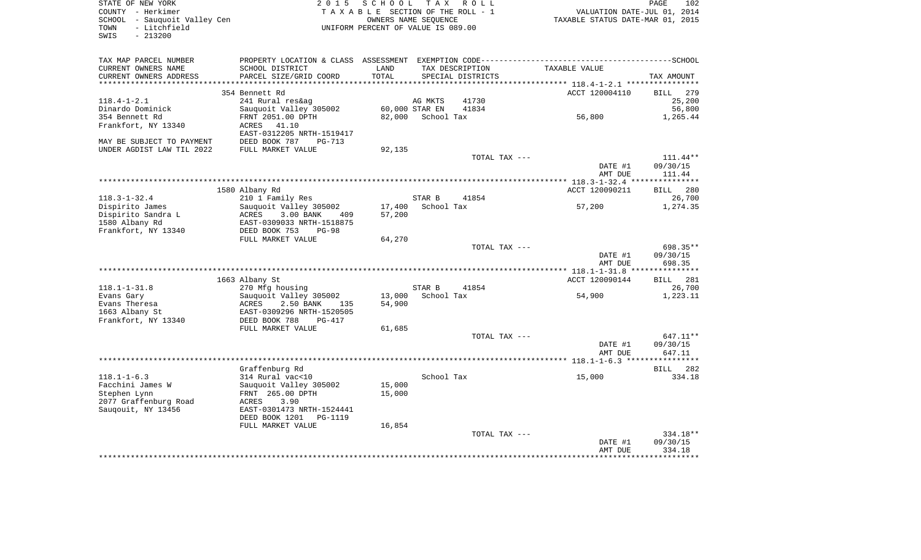| STATE OF NEW YORK            | 2015 SCHOOL TAX ROLL               | 102<br>PAGE                      |
|------------------------------|------------------------------------|----------------------------------|
| COUNTY - Herkimer            | TAXABLE SECTION OF THE ROLL - 1    | VALUATION DATE-JUL 01, 2014      |
| SCHOOL - Sauguoit Valley Cen | OWNERS NAME SEOUENCE               | TAXABLE STATUS DATE-MAR 01, 2015 |
| TOWN - Litchfield            | UNIFORM PERCENT OF VALUE IS 089.00 |                                  |
| SWIS<br>- 213200             |                                    |                                  |

| TAX MAP PARCEL NUMBER     | PROPERTY LOCATION & CLASS ASSESSMENT |                             |                   | EXEMPTION CODE---------- |                                           | ---------SCHOOL    |
|---------------------------|--------------------------------------|-----------------------------|-------------------|--------------------------|-------------------------------------------|--------------------|
| CURRENT OWNERS NAME       | SCHOOL DISTRICT                      | LAND                        |                   | TAX DESCRIPTION          | TAXABLE VALUE                             |                    |
| CURRENT OWNERS ADDRESS    | PARCEL SIZE/GRID COORD               | TOTAL                       |                   | SPECIAL DISTRICTS        |                                           | TAX AMOUNT         |
| *************             |                                      | *************************** |                   |                          | ***************** 118.4-1-2.1 *********** |                    |
|                           | 354 Bennett Rd                       |                             |                   |                          | ACCT 120004110                            | BILL<br>279        |
| $118.4 - 1 - 2.1$         | 241 Rural res&ag                     |                             | AG MKTS           | 41730                    |                                           | 25,200             |
| Dinardo Dominick          | Sauquoit Valley 305002               |                             | 60,000 STAR EN    | 41834                    |                                           | 56,800             |
| 354 Bennett Rd            | FRNT 2051.00 DPTH                    |                             | 82,000 School Tax |                          | 56,800                                    | 1,265.44           |
|                           |                                      |                             |                   |                          |                                           |                    |
| Frankfort, NY 13340       | ACRES<br>41.10                       |                             |                   |                          |                                           |                    |
|                           | EAST-0312205 NRTH-1519417            |                             |                   |                          |                                           |                    |
| MAY BE SUBJECT TO PAYMENT | DEED BOOK 787<br>$PG-713$            |                             |                   |                          |                                           |                    |
| UNDER AGDIST LAW TIL 2022 | FULL MARKET VALUE                    | 92,135                      |                   |                          |                                           |                    |
|                           |                                      |                             |                   | TOTAL TAX ---            |                                           | $111.44**$         |
|                           |                                      |                             |                   |                          | DATE #1                                   | 09/30/15           |
|                           |                                      |                             |                   |                          | AMT DUE                                   | 111.44             |
|                           |                                      |                             |                   |                          |                                           |                    |
|                           | 1580 Albany Rd                       |                             |                   |                          | ACCT 120090211                            | 280<br>BILL        |
| $118.3 - 1 - 32.4$        | 210 1 Family Res                     |                             | STAR B            | 41854                    |                                           | 26,700             |
| Dispirito James           | Sauquoit Valley 305002               | 17,400                      | School Tax        |                          | 57,200                                    | 1,274.35           |
| Dispirito Sandra L        | 3.00 BANK<br>ACRES<br>409            | 57,200                      |                   |                          |                                           |                    |
| 1580 Albany Rd            | EAST-0309033 NRTH-1518875            |                             |                   |                          |                                           |                    |
| Frankfort, NY 13340       | DEED BOOK 753<br>$PG-98$             |                             |                   |                          |                                           |                    |
|                           | FULL MARKET VALUE                    | 64,270                      |                   |                          |                                           |                    |
|                           |                                      |                             |                   |                          |                                           |                    |
|                           |                                      |                             |                   | TOTAL TAX ---            |                                           | 698.35**           |
|                           |                                      |                             |                   |                          | DATE #1                                   | 09/30/15           |
|                           |                                      |                             |                   |                          | AMT DUE                                   | 698.35             |
|                           |                                      |                             |                   |                          |                                           |                    |
|                           | 1663 Albany St                       |                             |                   |                          | ACCT 120090144                            | <b>BILL</b><br>281 |
| $118.1 - 1 - 31.8$        | 270 Mfg housing                      |                             | STAR B            | 41854                    |                                           | 26,700             |
| Evans Gary                | Sauquoit Valley 305002               | 13,000                      | School Tax        |                          | 54,900                                    | 1,223.11           |
| Evans Theresa             | 2.50 BANK<br>ACRES<br>135            | 54,900                      |                   |                          |                                           |                    |
| 1663 Albany St            | EAST-0309296 NRTH-1520505            |                             |                   |                          |                                           |                    |
| Frankfort, NY 13340       | DEED BOOK 788<br><b>PG-417</b>       |                             |                   |                          |                                           |                    |
|                           | FULL MARKET VALUE                    | 61,685                      |                   |                          |                                           |                    |
|                           |                                      |                             |                   | TOTAL TAX ---            |                                           | 647.11**           |
|                           |                                      |                             |                   |                          | DATE #1                                   | 09/30/15           |
|                           |                                      |                             |                   |                          | AMT DUE                                   | 647.11             |
|                           |                                      |                             |                   |                          |                                           |                    |
|                           | Graffenburg Rd                       |                             |                   |                          |                                           | BILL<br>282        |
| $118.1 - 1 - 6.3$         |                                      |                             |                   |                          |                                           |                    |
|                           | 314 Rural vac<10                     |                             | School Tax        |                          | 15,000                                    | 334.18             |
| Facchini James W          | Sauguoit Valley 305002               | 15,000                      |                   |                          |                                           |                    |
| Stephen Lynn              | FRNT 265.00 DPTH                     | 15,000                      |                   |                          |                                           |                    |
| 2077 Graffenburg Road     | 3.90<br>ACRES                        |                             |                   |                          |                                           |                    |
| Saugouit, NY 13456        | EAST-0301473 NRTH-1524441            |                             |                   |                          |                                           |                    |
|                           | DEED BOOK 1201<br>PG-1119            |                             |                   |                          |                                           |                    |
|                           | FULL MARKET VALUE                    | 16,854                      |                   |                          |                                           |                    |
|                           |                                      |                             |                   | TOTAL TAX ---            |                                           | 334.18**           |
|                           |                                      |                             |                   |                          | DATE #1                                   | 09/30/15           |
|                           |                                      |                             |                   |                          | AMT DUE                                   | 334.18             |
|                           |                                      |                             |                   |                          |                                           |                    |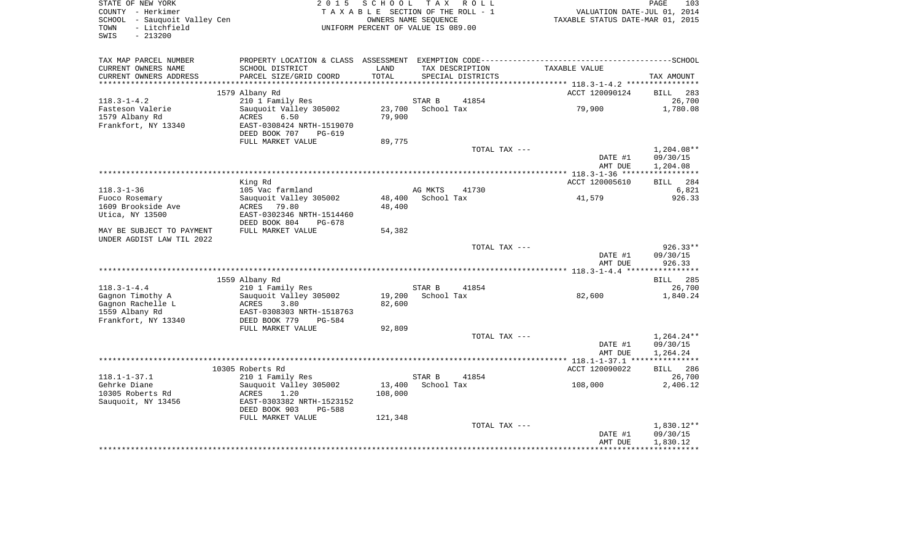| COUNTY - Herkimer<br>SCHOOL - Sauquoit Valley Cen<br>- Litchfield<br>TOWN<br>$-213200$<br>SWIS      |                                                                                                   | TAXABLE SECTION OF THE ROLL - 1<br>OWNERS NAME SEQUENCE<br>UNIFORM PERCENT OF VALUE IS 089.00 |                             |                                      | VALUATION DATE-JUL 01, 2014<br>TAXABLE STATUS DATE-MAR 01, 2015 |                                      |
|-----------------------------------------------------------------------------------------------------|---------------------------------------------------------------------------------------------------|-----------------------------------------------------------------------------------------------|-----------------------------|--------------------------------------|-----------------------------------------------------------------|--------------------------------------|
| TAX MAP PARCEL NUMBER<br>CURRENT OWNERS NAME<br>CURRENT OWNERS ADDRESS                              | SCHOOL DISTRICT<br>PARCEL SIZE/GRID COORD                                                         | LAND<br>TOTAL                                                                                 |                             | TAX DESCRIPTION<br>SPECIAL DISTRICTS | TAXABLE VALUE                                                   | TAX AMOUNT                           |
| ********************                                                                                |                                                                                                   |                                                                                               |                             |                                      |                                                                 |                                      |
|                                                                                                     | 1579 Albany Rd                                                                                    |                                                                                               |                             |                                      | ACCT 120090124                                                  | BILL                                 |
| $118.3 - 1 - 4.2$<br>Fasteson Valerie                                                               | 210 1 Family Res<br>Sauquoit Valley 305002                                                        |                                                                                               | STAR B<br>23,700 School Tax | 41854                                | 79,900                                                          | 1,780.08                             |
| 1579 Albany Rd<br>Frankfort, NY 13340                                                               | ACRES<br>6.50<br>EAST-0308424 NRTH-1519070<br>DEED BOOK 707<br>PG-619                             | 79,900                                                                                        |                             |                                      |                                                                 |                                      |
|                                                                                                     | FULL MARKET VALUE                                                                                 | 89,775                                                                                        |                             |                                      |                                                                 |                                      |
|                                                                                                     |                                                                                                   |                                                                                               |                             | TOTAL TAX ---                        | DATE #1<br>AMT DUE                                              | $1,204.08**$<br>09/30/15<br>1,204.08 |
|                                                                                                     |                                                                                                   |                                                                                               |                             |                                      |                                                                 |                                      |
|                                                                                                     | King Rd                                                                                           |                                                                                               |                             |                                      | ACCT 120005610                                                  | BILL 284                             |
| $118.3 - 1 - 36$                                                                                    | 105 Vac farmland                                                                                  |                                                                                               | AG MKTS                     | 41730                                |                                                                 |                                      |
| Fuoco Rosemary<br>1609 Brookside Ave<br>Utica, NY 13500                                             | Sauquoit Valley 305002<br>ACRES 79.80<br>EAST-0302346 NRTH-1514460<br>DEED BOOK 804<br>PG-678     | 48,400<br>48,400                                                                              | School Tax                  |                                      | 41,579                                                          |                                      |
| MAY BE SUBJECT TO PAYMENT                                                                           | FULL MARKET VALUE                                                                                 | 54,382                                                                                        |                             |                                      |                                                                 |                                      |
| UNDER AGDIST LAW TIL 2022                                                                           |                                                                                                   |                                                                                               |                             |                                      |                                                                 |                                      |
|                                                                                                     |                                                                                                   |                                                                                               |                             | TOTAL TAX ---                        | DATE #1<br>AMT DUE                                              | $926.33**$<br>09/30/15<br>926.33     |
|                                                                                                     | 1559 Albany Rd                                                                                    |                                                                                               |                             |                                      |                                                                 | <b>BILL</b>                          |
|                                                                                                     | 210 1 Family Res                                                                                  |                                                                                               | STAR B                      | 41854                                |                                                                 |                                      |
| $118.3 - 1 - 4.4$<br>Gagnon Timothy A<br>Gagnon Rachelle L<br>1559 Albany Rd<br>Frankfort, NY 13340 | Sauquoit Valley 305002<br>ACRES<br>3.80<br>EAST-0308303 NRTH-1518763<br>DEED BOOK 779<br>PG-584   | 82,600                                                                                        | 19,200 School Tax           |                                      | 82,600                                                          | 1,840.24                             |
|                                                                                                     | FULL MARKET VALUE                                                                                 | 92,809                                                                                        |                             |                                      |                                                                 |                                      |
|                                                                                                     |                                                                                                   |                                                                                               |                             | TOTAL TAX ---                        | DATE #1<br>AMT DUE                                              | 1,264.24**<br>09/30/15<br>1,264.24   |
|                                                                                                     |                                                                                                   |                                                                                               |                             |                                      |                                                                 |                                      |
|                                                                                                     | 10305 Roberts Rd                                                                                  |                                                                                               |                             |                                      | ACCT 120090022                                                  | BILL 286                             |
| $118.1 - 1 - 37.1$                                                                                  | 210 1 Family Res                                                                                  |                                                                                               | STAR B                      | 41854                                |                                                                 | 26,700                               |
| Gehrke Diane<br>10305 Roberts Rd<br>Sauguoit, NY 13456                                              | Sauguoit Valley 305002<br>ACRES<br>1.20<br>EAST-0303382 NRTH-1523152<br>DEED BOOK 903<br>$PG-588$ | 13,400<br>108,000                                                                             | School Tax                  |                                      | 108,000                                                         | 2,406.12                             |
|                                                                                                     | FULL MARKET VALUE                                                                                 | 121,348                                                                                       |                             |                                      |                                                                 |                                      |
|                                                                                                     |                                                                                                   |                                                                                               |                             | TOTAL TAX ---                        | DATE #1<br>AMT DUE                                              | 1,830.12**<br>09/30/15<br>1,830.12   |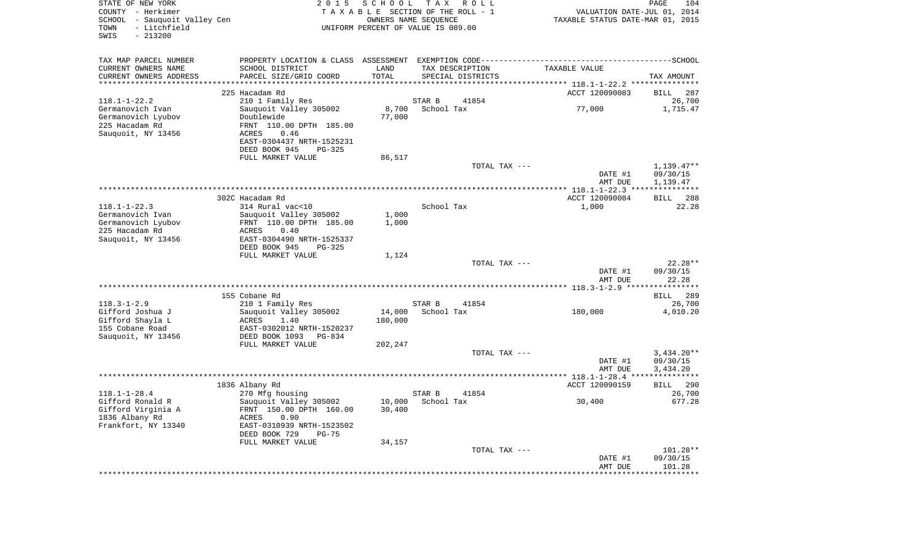| STATE OF NEW YORK<br>COUNTY - Herkimer<br>SCHOOL - Sauquoit Valley Cen<br>- Litchfield<br>TOWN<br>SWIS<br>$-213200$ | 2 0 1 5                                      | <b>SCHOOL</b>   | T A X<br>R O L L<br>TAXABLE SECTION OF THE ROLL - 1<br>OWNERS NAME SEQUENCE<br>UNIFORM PERCENT OF VALUE IS 089.00 | VALUATION DATE-JUL 01, 2014<br>TAXABLE STATUS DATE-MAR 01, 2015 | PAGE<br>104           |
|---------------------------------------------------------------------------------------------------------------------|----------------------------------------------|-----------------|-------------------------------------------------------------------------------------------------------------------|-----------------------------------------------------------------|-----------------------|
| TAX MAP PARCEL NUMBER                                                                                               |                                              |                 |                                                                                                                   |                                                                 |                       |
| CURRENT OWNERS NAME                                                                                                 | SCHOOL DISTRICT                              | LAND            | TAX DESCRIPTION                                                                                                   | TAXABLE VALUE                                                   |                       |
| CURRENT OWNERS ADDRESS                                                                                              | PARCEL SIZE/GRID COORD                       | TOTAL<br>****** | SPECIAL DISTRICTS                                                                                                 | ******* 118.1-1-22.2 **********                                 | TAX AMOUNT            |
|                                                                                                                     | 225 Hacadam Rd                               |                 |                                                                                                                   | ACCT 120090083                                                  | <b>BILL</b><br>287    |
| $118.1 - 1 - 22.2$                                                                                                  | 210 1 Family Res                             |                 | STAR B<br>41854                                                                                                   |                                                                 | 26,700                |
| Germanovich Ivan                                                                                                    | Sauquoit Valley 305002                       | 8,700           | School Tax                                                                                                        | 77,000                                                          | 1,715.47              |
| Germanovich Lyubov                                                                                                  | Doublewide                                   | 77,000          |                                                                                                                   |                                                                 |                       |
| 225 Hacadam Rd                                                                                                      | FRNT 110.00 DPTH 185.00                      |                 |                                                                                                                   |                                                                 |                       |
| Sauquoit, NY 13456                                                                                                  | 0.46<br>ACRES                                |                 |                                                                                                                   |                                                                 |                       |
|                                                                                                                     | EAST-0304437 NRTH-1525231                    |                 |                                                                                                                   |                                                                 |                       |
|                                                                                                                     | DEED BOOK 945<br>PG-325<br>FULL MARKET VALUE | 86,517          |                                                                                                                   |                                                                 |                       |
|                                                                                                                     |                                              |                 | TOTAL TAX ---                                                                                                     |                                                                 | $1,139.47**$          |
|                                                                                                                     |                                              |                 |                                                                                                                   | DATE #1                                                         | 09/30/15              |
|                                                                                                                     |                                              |                 |                                                                                                                   | AMT DUE                                                         | 1,139.47              |
|                                                                                                                     |                                              |                 |                                                                                                                   | **************** 118.1-1-22.3 **                                |                       |
| $118.1 - 1 - 22.3$                                                                                                  | 302C Hacadam Rd<br>314 Rural vac<10          |                 | School Tax                                                                                                        | ACCT 120090084<br>1,000                                         | 288<br>BILL<br>22.28  |
| Germanovich Ivan                                                                                                    | Sauquoit Valley 305002                       | 1,000           |                                                                                                                   |                                                                 |                       |
| Germanovich Lyubov                                                                                                  | FRNT 110.00 DPTH 185.00                      | 1,000           |                                                                                                                   |                                                                 |                       |
| 225 Hacadam Rd                                                                                                      | ACRES<br>0.40                                |                 |                                                                                                                   |                                                                 |                       |
| Sauquoit, NY 13456                                                                                                  | EAST-0304490 NRTH-1525337                    |                 |                                                                                                                   |                                                                 |                       |
|                                                                                                                     | DEED BOOK 945<br>PG-325                      |                 |                                                                                                                   |                                                                 |                       |
|                                                                                                                     | FULL MARKET VALUE                            | 1,124           |                                                                                                                   |                                                                 |                       |
|                                                                                                                     |                                              |                 | TOTAL TAX ---                                                                                                     | DATE #1                                                         | 22.28**<br>09/30/15   |
|                                                                                                                     |                                              |                 |                                                                                                                   | AMT DUE                                                         | 22.28                 |
|                                                                                                                     |                                              |                 |                                                                                                                   |                                                                 |                       |
|                                                                                                                     | 155 Cobane Rd                                |                 |                                                                                                                   |                                                                 | <b>BILL</b><br>289    |
| $118.3 - 1 - 2.9$                                                                                                   | 210 1 Family Res                             |                 | STAR B<br>41854                                                                                                   |                                                                 | 26,700                |
| Gifford Joshua J                                                                                                    | Sauquoit Valley 305002                       | 14,000          | School Tax                                                                                                        | 180,000                                                         | 4,010.20              |
| Gifford Shayla L<br>155 Cobane Road                                                                                 | ACRES<br>1.40<br>EAST-0302012 NRTH-1520237   | 180,000         |                                                                                                                   |                                                                 |                       |
| Sauquoit, NY 13456                                                                                                  | DEED BOOK 1093 PG-834                        |                 |                                                                                                                   |                                                                 |                       |
|                                                                                                                     | FULL MARKET VALUE                            | 202,247         |                                                                                                                   |                                                                 |                       |
|                                                                                                                     |                                              |                 | TOTAL TAX ---                                                                                                     |                                                                 | $3,434.20**$          |
|                                                                                                                     |                                              |                 |                                                                                                                   | DATE #1                                                         | 09/30/15              |
|                                                                                                                     |                                              |                 |                                                                                                                   | AMT DUE                                                         | 3,434.20              |
|                                                                                                                     | 1836 Albany Rd                               |                 |                                                                                                                   | ACCT 120090159                                                  | 290                   |
| $118.1 - 1 - 28.4$                                                                                                  | 270 Mfg housing                              |                 | STAR B<br>41854                                                                                                   |                                                                 | <b>BILL</b><br>26,700 |
| Gifford Ronald R                                                                                                    | Sauquoit Valley 305002                       | 10,000          | School Tax                                                                                                        | 30,400                                                          | 677.28                |
| Gifford Virginia A                                                                                                  | FRNT 150.00 DPTH 160.00                      | 30,400          |                                                                                                                   |                                                                 |                       |
| 1836 Albany Rd                                                                                                      | ACRES<br>0.90                                |                 |                                                                                                                   |                                                                 |                       |
| Frankfort, NY 13340                                                                                                 | EAST-0310939 NRTH-1523502                    |                 |                                                                                                                   |                                                                 |                       |
|                                                                                                                     | DEED BOOK 729<br>$PG-75$                     |                 |                                                                                                                   |                                                                 |                       |
|                                                                                                                     | FULL MARKET VALUE                            | 34,157          | TOTAL TAX ---                                                                                                     |                                                                 | 101.28**              |
|                                                                                                                     |                                              |                 |                                                                                                                   | DATE #1                                                         | 09/30/15              |
|                                                                                                                     |                                              |                 |                                                                                                                   | AMT DUE                                                         | 101.28                |
|                                                                                                                     | ******************                           |                 |                                                                                                                   |                                                                 |                       |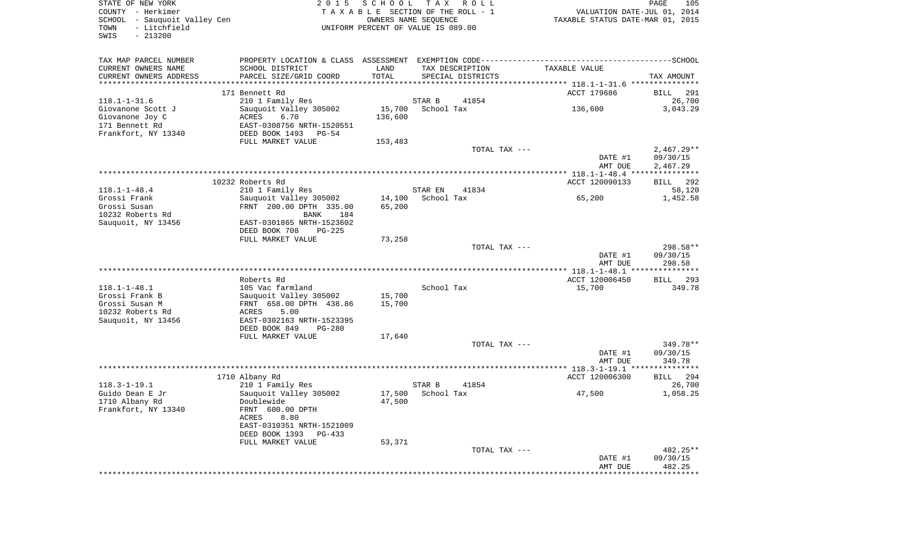| - Litchfield<br>TOWN<br>$-213200$<br>SWIS         | SCHOOL - Sauquoit Valley Cen                      |         | TAXABLE SECTION OF THE ROLL - 1<br>OWNERS NAME SEQUENCE<br>UNIFORM PERCENT OF VALUE IS 089.00 | VALUATION DATE-JUL 01, 2014<br>TAXABLE STATUS DATE-MAR 01, 2015                              |                                                                                                         |
|---------------------------------------------------|---------------------------------------------------|---------|-----------------------------------------------------------------------------------------------|----------------------------------------------------------------------------------------------|---------------------------------------------------------------------------------------------------------|
| TAX MAP PARCEL NUMBER                             |                                                   |         |                                                                                               | PROPERTY LOCATION & CLASS ASSESSMENT EXEMPTION CODE-----------------------------------SCHOOL |                                                                                                         |
| CURRENT OWNERS NAME                               | SCHOOL DISTRICT                                   | LAND    | TAX DESCRIPTION                                                                               | TAXABLE VALUE                                                                                |                                                                                                         |
| CURRENT OWNERS ADDRESS<br>*********************** | PARCEL SIZE/GRID COORD                            | TOTAL   | SPECIAL DISTRICTS                                                                             |                                                                                              | TAX AMOUNT                                                                                              |
|                                                   |                                                   |         |                                                                                               |                                                                                              |                                                                                                         |
|                                                   | 171 Bennett Rd                                    |         | 41854                                                                                         | ACCT 179686                                                                                  | BILL 291                                                                                                |
| $118.1 - 1 - 31.6$<br>Giovanone Scott J           | 210 1 Family Res<br>Sauquoit Valley 305002        | 15,700  | STAR B<br>School Tax                                                                          | 136,600                                                                                      | 26,700<br>3,043.29                                                                                      |
| Giovanone Joy C                                   | ACRES<br>6.70                                     | 136,600 |                                                                                               |                                                                                              |                                                                                                         |
| 171 Bennett Rd                                    | EAST-0308756 NRTH-1520551                         |         |                                                                                               |                                                                                              |                                                                                                         |
| Frankfort, NY 13340                               | DEED BOOK 1493 PG-54                              |         |                                                                                               |                                                                                              |                                                                                                         |
|                                                   | FULL MARKET VALUE                                 | 153,483 |                                                                                               |                                                                                              |                                                                                                         |
|                                                   |                                                   |         | TOTAL TAX ---                                                                                 |                                                                                              | $2,467.29**$                                                                                            |
|                                                   |                                                   |         |                                                                                               | DATE #1                                                                                      | 09/30/15                                                                                                |
|                                                   |                                                   |         |                                                                                               | AMT DUE                                                                                      | 2,467.29                                                                                                |
|                                                   |                                                   |         |                                                                                               |                                                                                              |                                                                                                         |
|                                                   | 10232 Roberts Rd                                  |         |                                                                                               | ACCT 120090133                                                                               | BILL 292                                                                                                |
| $118.1 - 1 - 48.4$                                | 210 1 Family Res                                  |         | STAR EN<br>41834                                                                              |                                                                                              | 58,120                                                                                                  |
| Grossi Frank                                      | Sauquoit Valley 305002                            |         | 14,100 School Tax                                                                             | 65,200                                                                                       | 1,452.58                                                                                                |
| Grossi Susan                                      | FRNT 200.00 DPTH 335.00                           | 65,200  |                                                                                               |                                                                                              |                                                                                                         |
| 10232 Roberts Rd                                  | BANK 184                                          |         |                                                                                               |                                                                                              |                                                                                                         |
| Sauquoit, NY 13456                                | EAST-0301865 NRTH-1523602                         |         |                                                                                               |                                                                                              |                                                                                                         |
|                                                   | $PG-225$<br>DEED BOOK 708                         |         |                                                                                               |                                                                                              |                                                                                                         |
|                                                   | FULL MARKET VALUE                                 | 73,258  |                                                                                               |                                                                                              |                                                                                                         |
|                                                   |                                                   |         | TOTAL TAX ---                                                                                 | DATE #1                                                                                      | 298.58**<br>09/30/15                                                                                    |
|                                                   |                                                   |         |                                                                                               | AMT DUE                                                                                      |                                                                                                         |
|                                                   |                                                   |         |                                                                                               |                                                                                              |                                                                                                         |
|                                                   |                                                   |         |                                                                                               |                                                                                              |                                                                                                         |
|                                                   | Roberts Rd                                        |         |                                                                                               |                                                                                              |                                                                                                         |
| $118.1 - 1 - 48.1$                                | 105 Vac farmland                                  |         | School Tax                                                                                    | ACCT 120006450<br>15,700                                                                     |                                                                                                         |
| Grossi Frank B                                    |                                                   | 15,700  |                                                                                               |                                                                                              |                                                                                                         |
| Grossi Susan M                                    | Sauquoit Valley 305002<br>FRNT 658.00 DPTH 438.86 | 15,700  |                                                                                               |                                                                                              |                                                                                                         |
| 10232 Roberts Rd                                  | ACRES<br>5.00                                     |         |                                                                                               |                                                                                              |                                                                                                         |
| Sauquoit, NY 13456                                | EAST-0302163 NRTH-1523395                         |         |                                                                                               |                                                                                              |                                                                                                         |
|                                                   | DEED BOOK 849<br>$PG-280$                         |         |                                                                                               |                                                                                              |                                                                                                         |
|                                                   | FULL MARKET VALUE                                 | 17,640  |                                                                                               |                                                                                              |                                                                                                         |
|                                                   |                                                   |         | TOTAL TAX ---                                                                                 |                                                                                              |                                                                                                         |
|                                                   |                                                   |         |                                                                                               | DATE #1                                                                                      |                                                                                                         |
|                                                   |                                                   |         |                                                                                               | AMT DUE                                                                                      |                                                                                                         |
|                                                   |                                                   |         |                                                                                               |                                                                                              |                                                                                                         |
|                                                   | 1710 Albany Rd                                    |         |                                                                                               | ACCT 120006300                                                                               |                                                                                                         |
| $118.3 - 1 - 19.1$                                | 210 1 Family Res                                  |         | STAR B<br>41854                                                                               |                                                                                              |                                                                                                         |
| Guido Dean E Jr                                   | Sauguoit Valley 305002                            |         | 17,500 School Tax                                                                             | 47,500                                                                                       |                                                                                                         |
| 1710 Albany Rd                                    | Doublewide                                        | 47,500  |                                                                                               |                                                                                              | 298.58<br><b>BILL</b> 293<br>349.78<br>349.78**<br>09/30/15<br>349.78<br>BILL 294<br>26,700<br>1,058.25 |
| Frankfort, NY 13340                               | FRNT 600.00 DPTH<br>ACRES<br>8.80                 |         |                                                                                               |                                                                                              |                                                                                                         |
|                                                   | EAST-0310351 NRTH-1521009                         |         |                                                                                               |                                                                                              |                                                                                                         |
|                                                   | DEED BOOK 1393 PG-433                             |         |                                                                                               |                                                                                              |                                                                                                         |
|                                                   | FULL MARKET VALUE                                 | 53,371  |                                                                                               |                                                                                              |                                                                                                         |
|                                                   |                                                   |         | TOTAL TAX ---                                                                                 |                                                                                              | 482.25**                                                                                                |
|                                                   |                                                   |         |                                                                                               | DATE #1                                                                                      | 09/30/15<br>482.25                                                                                      |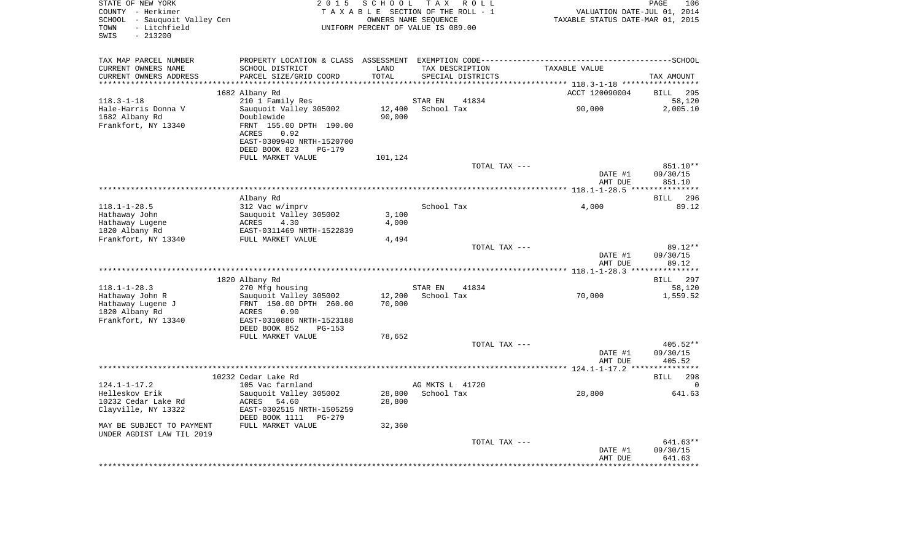| STATE OF NEW YORK<br>COUNTY - Herkimer<br>SCHOOL - Sauquoit Valley Cen<br>- Litchfield<br>TOWN<br>$-213200$<br>SWIS | 2 0 1 5                                   | S C H O O L   | T A X<br>R O L L<br>TAXABLE SECTION OF THE ROLL - 1<br>OWNERS NAME SEOUENCE<br>UNIFORM PERCENT OF VALUE IS 089.00 | TAXABLE STATUS DATE-MAR 01, 2015 | PAGE<br>106<br>VALUATION DATE-JUL 01, 2014 |
|---------------------------------------------------------------------------------------------------------------------|-------------------------------------------|---------------|-------------------------------------------------------------------------------------------------------------------|----------------------------------|--------------------------------------------|
| TAX MAP PARCEL NUMBER                                                                                               |                                           |               |                                                                                                                   |                                  |                                            |
| CURRENT OWNERS NAME<br>CURRENT OWNERS ADDRESS                                                                       | SCHOOL DISTRICT<br>PARCEL SIZE/GRID COORD | LAND<br>TOTAL | TAX DESCRIPTION<br>SPECIAL DISTRICTS                                                                              | TAXABLE VALUE                    | TAX AMOUNT                                 |
| *********************                                                                                               |                                           | **********    |                                                                                                                   |                                  |                                            |
|                                                                                                                     | 1682 Albany Rd                            |               |                                                                                                                   | ACCT 120090004                   | <b>BILL</b><br>295                         |
| $118.3 - 1 - 18$                                                                                                    | 210 1 Family Res                          |               | STAR EN<br>41834                                                                                                  |                                  | 58,120                                     |
| Hale-Harris Donna V                                                                                                 | Sauquoit Valley 305002                    | 12,400        | School Tax                                                                                                        | 90,000                           | 2,005.10                                   |
| 1682 Albany Rd                                                                                                      | Doublewide                                | 90,000        |                                                                                                                   |                                  |                                            |
| Frankfort, NY 13340                                                                                                 | FRNT 155.00 DPTH 190.00                   |               |                                                                                                                   |                                  |                                            |
|                                                                                                                     | <b>ACRES</b><br>0.92                      |               |                                                                                                                   |                                  |                                            |
|                                                                                                                     | EAST-0309940 NRTH-1520700                 |               |                                                                                                                   |                                  |                                            |
|                                                                                                                     | DEED BOOK 823<br>PG-179                   |               |                                                                                                                   |                                  |                                            |
|                                                                                                                     | FULL MARKET VALUE                         | 101,124       |                                                                                                                   |                                  |                                            |
|                                                                                                                     |                                           |               | TOTAL TAX ---                                                                                                     |                                  | 851.10**                                   |
|                                                                                                                     |                                           |               |                                                                                                                   | DATE #1                          | 09/30/15                                   |
|                                                                                                                     |                                           |               |                                                                                                                   | AMT DUE                          | 851.10                                     |
|                                                                                                                     |                                           |               |                                                                                                                   |                                  |                                            |
|                                                                                                                     | Albany Rd                                 |               | School Tax                                                                                                        | 4,000                            | BILL<br>296<br>89.12                       |
| $118.1 - 1 - 28.5$<br>Hathaway John                                                                                 | 312 Vac w/imprv<br>Sauquoit Valley 305002 | 3,100         |                                                                                                                   |                                  |                                            |
| Hathaway Lugene                                                                                                     | ACRES<br>4.30                             | 4,000         |                                                                                                                   |                                  |                                            |
| 1820 Albany Rd                                                                                                      | EAST-0311469 NRTH-1522839                 |               |                                                                                                                   |                                  |                                            |
| Frankfort, NY 13340                                                                                                 | FULL MARKET VALUE                         | 4,494         |                                                                                                                   |                                  |                                            |
|                                                                                                                     |                                           |               | TOTAL TAX ---                                                                                                     |                                  | 89.12**                                    |
|                                                                                                                     |                                           |               |                                                                                                                   | DATE #1                          | 09/30/15                                   |
|                                                                                                                     |                                           |               |                                                                                                                   | AMT DUE                          | 89.12                                      |
|                                                                                                                     |                                           |               |                                                                                                                   |                                  |                                            |
|                                                                                                                     | 1820 Albany Rd                            |               |                                                                                                                   |                                  | <b>BILL</b><br>-297                        |
| $118.1 - 1 - 28.3$                                                                                                  | 270 Mfg housing                           |               | STAR EN<br>41834                                                                                                  |                                  | 58,120                                     |
| Hathaway John R                                                                                                     | Sauquoit Valley 305002                    | 12,200        | School Tax                                                                                                        | 70,000                           | 1,559.52                                   |
| Hathaway Lugene J                                                                                                   | FRNT 150.00 DPTH 260.00                   | 70,000        |                                                                                                                   |                                  |                                            |
| 1820 Albany Rd                                                                                                      | 0.90<br>ACRES                             |               |                                                                                                                   |                                  |                                            |
| Frankfort, NY 13340                                                                                                 | EAST-0310886 NRTH-1523188                 |               |                                                                                                                   |                                  |                                            |
|                                                                                                                     | DEED BOOK 852<br>$PG-153$                 |               |                                                                                                                   |                                  |                                            |
|                                                                                                                     | FULL MARKET VALUE                         | 78,652        |                                                                                                                   |                                  |                                            |
|                                                                                                                     |                                           |               | TOTAL TAX ---                                                                                                     |                                  | 405.52**                                   |
|                                                                                                                     |                                           |               |                                                                                                                   | DATE #1                          | 09/30/15                                   |
|                                                                                                                     |                                           |               |                                                                                                                   | AMT DUE                          | 405.52                                     |
|                                                                                                                     | 10232 Cedar Lake Rd                       |               |                                                                                                                   |                                  | <b>BILL</b><br>298                         |
| $124.1 - 1 - 17.2$                                                                                                  | 105 Vac farmland                          |               | AG MKTS L 41720                                                                                                   |                                  | $\Omega$                                   |
| Helleskov Erik                                                                                                      | Sauquoit Valley 305002                    | 28,800        | School Tax                                                                                                        | 28,800                           | 641.63                                     |
| 10232 Cedar Lake Rd                                                                                                 | <b>ACRES</b><br>54.60                     | 28,800        |                                                                                                                   |                                  |                                            |
| Clayville, NY 13322                                                                                                 | EAST-0302515 NRTH-1505259                 |               |                                                                                                                   |                                  |                                            |
|                                                                                                                     | DEED BOOK 1111 PG-279                     |               |                                                                                                                   |                                  |                                            |
| MAY BE SUBJECT TO PAYMENT                                                                                           | FULL MARKET VALUE                         | 32,360        |                                                                                                                   |                                  |                                            |
| UNDER AGDIST LAW TIL 2019                                                                                           |                                           |               |                                                                                                                   |                                  |                                            |
|                                                                                                                     |                                           |               | TOTAL TAX ---                                                                                                     |                                  | 641.63**                                   |
|                                                                                                                     |                                           |               |                                                                                                                   | DATE #1                          | 09/30/15                                   |
|                                                                                                                     |                                           |               |                                                                                                                   | AMT DUE                          | 641.63                                     |
|                                                                                                                     |                                           |               |                                                                                                                   |                                  |                                            |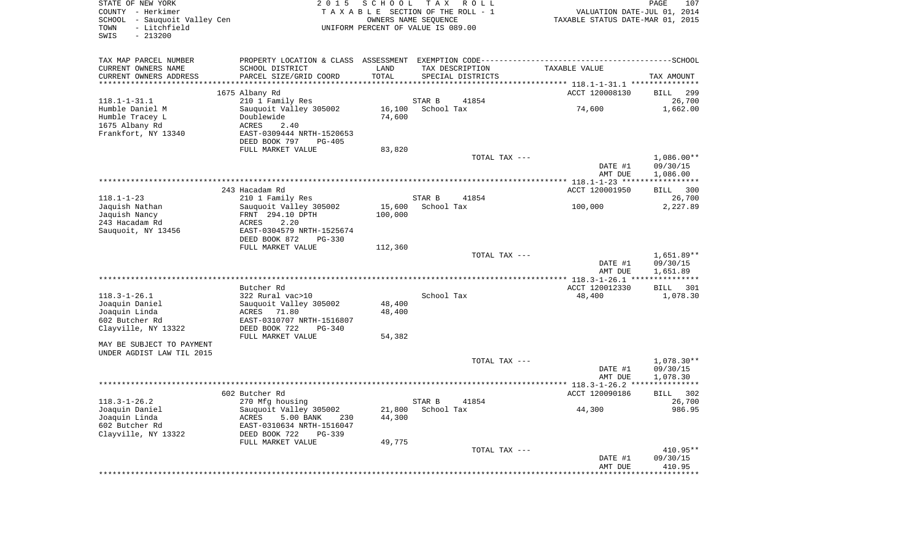| STATE OF NEW YORK                 | 2 0 1 5                               | SCHOOL TAX       | R O L L                            |                                    | 107<br>PAGE                  |
|-----------------------------------|---------------------------------------|------------------|------------------------------------|------------------------------------|------------------------------|
| COUNTY - Herkimer                 |                                       |                  | TAXABLE SECTION OF THE ROLL - 1    | VALUATION DATE-JUL 01, 2014        |                              |
| SCHOOL - Sauquoit Valley Cen      |                                       |                  | OWNERS NAME SEOUENCE               | TAXABLE STATUS DATE-MAR 01, 2015   |                              |
| - Litchfield<br>TOWN<br>$-213200$ |                                       |                  | UNIFORM PERCENT OF VALUE IS 089.00 |                                    |                              |
| SWIS                              |                                       |                  |                                    |                                    |                              |
| TAX MAP PARCEL NUMBER             |                                       |                  |                                    |                                    |                              |
| CURRENT OWNERS NAME               | SCHOOL DISTRICT                       | LAND             | TAX DESCRIPTION                    | TAXABLE VALUE                      |                              |
| CURRENT OWNERS ADDRESS            | PARCEL SIZE/GRID COORD                | TOTAL            | SPECIAL DISTRICTS                  |                                    | TAX AMOUNT                   |
| ************************          |                                       |                  |                                    |                                    |                              |
|                                   | 1675 Albany Rd                        |                  |                                    | ACCT 120008130                     | <b>BILL</b><br>299           |
| $118.1 - 1 - 31.1$                | 210 1 Family Res                      |                  | STAR B<br>41854                    |                                    | 26,700                       |
| Humble Daniel M                   | Sauquoit Valley 305002                |                  | 16,100 School Tax                  | 74,600                             | 1,662.00                     |
| Humble Tracey L                   | Doublewide                            | 74,600           |                                    |                                    |                              |
| 1675 Albany Rd                    | ACRES<br>2.40                         |                  |                                    |                                    |                              |
| Frankfort, NY 13340               | EAST-0309444 NRTH-1520653             |                  |                                    |                                    |                              |
|                                   | DEED BOOK 797<br>PG-405               |                  |                                    |                                    |                              |
|                                   | FULL MARKET VALUE                     | 83,820           |                                    |                                    |                              |
|                                   |                                       |                  | TOTAL TAX ---                      |                                    | $1,086.00**$                 |
|                                   |                                       |                  |                                    | DATE #1                            | 09/30/15                     |
|                                   |                                       |                  |                                    | AMT DUE                            | 1,086.00                     |
|                                   |                                       |                  |                                    | ACCT 120001950                     |                              |
| $118.1 - 1 - 23$                  | 243 Hacadam Rd<br>210 1 Family Res    |                  | STAR B<br>41854                    |                                    | <b>BILL</b><br>300<br>26,700 |
| Jaquish Nathan                    | Sauquoit Valley 305002                | 15,600           | School Tax                         | 100,000                            | 2,227.89                     |
| Jaquish Nancy                     | FRNT 294.10 DPTH                      | 100,000          |                                    |                                    |                              |
| 243 Hacadam Rd                    | ACRES<br>2.20                         |                  |                                    |                                    |                              |
| Sauquoit, NY 13456                | EAST-0304579 NRTH-1525674             |                  |                                    |                                    |                              |
|                                   | DEED BOOK 872<br>PG-330               |                  |                                    |                                    |                              |
|                                   | FULL MARKET VALUE                     | 112,360          |                                    |                                    |                              |
|                                   |                                       |                  | TOTAL TAX ---                      |                                    | $1,651.89**$                 |
|                                   |                                       |                  |                                    | DATE #1                            | 09/30/15                     |
|                                   |                                       |                  |                                    | AMT DUE                            | 1,651.89                     |
|                                   |                                       |                  |                                    | ***************** 118.3-1-26.1 *** | ***********                  |
|                                   | Butcher Rd                            |                  |                                    | ACCT 120012330                     | <b>BILL</b><br>301           |
| $118.3 - 1 - 26.1$                | 322 Rural vac>10                      |                  | School Tax                         | 48,400                             | 1,078.30                     |
| Joaquin Daniel<br>Joaquin Linda   | Sauquoit Valley 305002<br>ACRES 71.80 | 48,400<br>48,400 |                                    |                                    |                              |
| 602 Butcher Rd                    | EAST-0310707 NRTH-1516807             |                  |                                    |                                    |                              |
| Clayville, NY 13322               | DEED BOOK 722<br>$PG-340$             |                  |                                    |                                    |                              |
|                                   | FULL MARKET VALUE                     | 54,382           |                                    |                                    |                              |
| MAY BE SUBJECT TO PAYMENT         |                                       |                  |                                    |                                    |                              |
| UNDER AGDIST LAW TIL 2015         |                                       |                  |                                    |                                    |                              |
|                                   |                                       |                  | TOTAL TAX ---                      |                                    | $1,078.30**$                 |
|                                   |                                       |                  |                                    | DATE #1                            | 09/30/15                     |
|                                   |                                       |                  |                                    | AMT DUE                            | 1,078.30                     |
|                                   |                                       |                  |                                    |                                    |                              |
|                                   | 602 Butcher Rd                        |                  |                                    | ACCT 120090186                     | 302<br>BILL                  |
| $118.3 - 1 - 26.2$                | 270 Mfg housing                       |                  | STAR B<br>41854                    |                                    | 26,700                       |
| Joaquin Daniel                    | Sauguoit Valley 305002                | 21,800           | School Tax                         | 44,300                             | 986.95                       |
| Joaquin Linda                     | 5.00 BANK<br>ACRES<br>230             | 44,300           |                                    |                                    |                              |
| 602 Butcher Rd                    | EAST-0310634 NRTH-1516047             |                  |                                    |                                    |                              |
| Clayville, NY 13322               | DEED BOOK 722<br>$PG-339$             |                  |                                    |                                    |                              |
|                                   | FULL MARKET VALUE                     | 49,775           |                                    |                                    |                              |
|                                   |                                       |                  | TOTAL TAX ---                      |                                    | $410.95**$                   |
|                                   |                                       |                  |                                    | DATE #1                            | 09/30/15                     |
|                                   |                                       |                  |                                    | AMT DUE                            | 410.95                       |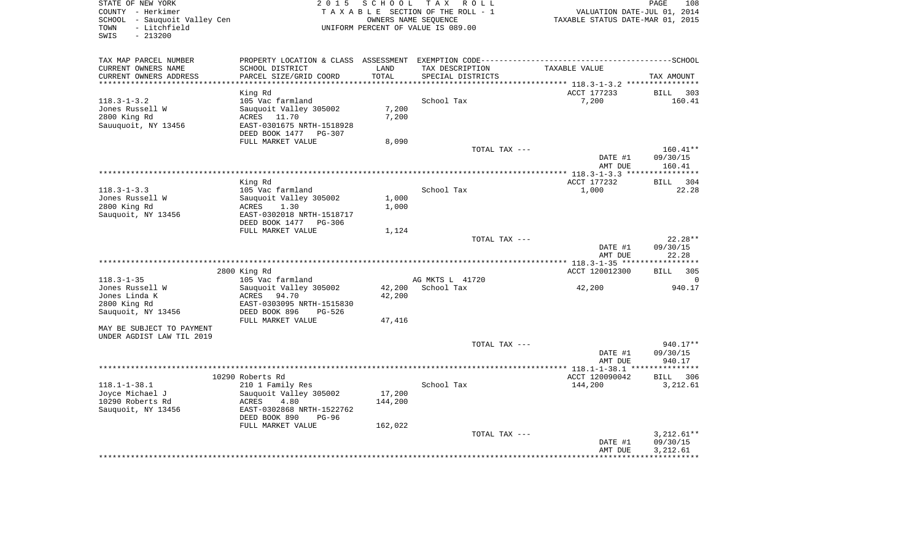| STATE OF NEW YORK<br>COUNTY - Herkimer<br>SCHOOL<br>- Sauquoit Valley Cen<br>TOWN<br>- Litchfield<br>$-213200$<br>SWIS | 2 0 1 5                                                                                                                                   | SCHOOL         | T A X<br>R O L L<br>TAXABLE SECTION OF THE ROLL - 1<br>OWNERS NAME SEQUENCE<br>UNIFORM PERCENT OF VALUE IS 089.00 | VALUATION DATE-JUL 01, 2014<br>TAXABLE STATUS DATE-MAR 01, 2015 | PAGE<br>108              |
|------------------------------------------------------------------------------------------------------------------------|-------------------------------------------------------------------------------------------------------------------------------------------|----------------|-------------------------------------------------------------------------------------------------------------------|-----------------------------------------------------------------|--------------------------|
| TAX MAP PARCEL NUMBER<br>CURRENT OWNERS NAME<br>CURRENT OWNERS ADDRESS                                                 | PROPERTY LOCATION & CLASS ASSESSMENT EXEMPTION CODE-----------------------------------SCHOOL<br>SCHOOL DISTRICT<br>PARCEL SIZE/GRID COORD | LAND<br>TOTAL  | TAX DESCRIPTION<br>SPECIAL DISTRICTS                                                                              | TAXABLE VALUE                                                   | TAX AMOUNT               |
| **************************                                                                                             |                                                                                                                                           |                |                                                                                                                   |                                                                 |                          |
|                                                                                                                        | King Rd                                                                                                                                   |                |                                                                                                                   | ACCT 177233                                                     | BILL<br>303              |
| $118.3 - 1 - 3.2$<br>Jones Russell W<br>2800 King Rd<br>Sauuquoit, NY 13456                                            | 105 Vac farmland<br>Sauquoit Valley 305002<br>ACRES<br>11.70<br>EAST-0301675 NRTH-1518928                                                 | 7,200<br>7,200 | School Tax                                                                                                        | 7,200                                                           | 160.41                   |
|                                                                                                                        | DEED BOOK 1477<br>PG-307                                                                                                                  |                |                                                                                                                   |                                                                 |                          |
|                                                                                                                        | FULL MARKET VALUE                                                                                                                         | 8,090          | TOTAL TAX ---                                                                                                     |                                                                 | 160.41**                 |
|                                                                                                                        |                                                                                                                                           |                |                                                                                                                   | DATE #1                                                         | 09/30/15<br>160.41       |
|                                                                                                                        |                                                                                                                                           |                |                                                                                                                   | AMT DUE                                                         |                          |
|                                                                                                                        | King Rd                                                                                                                                   |                |                                                                                                                   | ACCT 177232                                                     | BILL<br>304              |
| $118.3 - 1 - 3.3$                                                                                                      | 105 Vac farmland                                                                                                                          |                | School Tax                                                                                                        | 1,000                                                           | 22.28                    |
| Jones Russell W                                                                                                        | Sauquoit Valley 305002                                                                                                                    | 1,000          |                                                                                                                   |                                                                 |                          |
| 2800 King Rd                                                                                                           | 1.30<br>ACRES                                                                                                                             | 1,000          |                                                                                                                   |                                                                 |                          |
| Sauquoit, NY 13456                                                                                                     | EAST-0302018 NRTH-1518717                                                                                                                 |                |                                                                                                                   |                                                                 |                          |
|                                                                                                                        | DEED BOOK 1477<br>PG-306<br>FULL MARKET VALUE                                                                                             | 1,124          |                                                                                                                   |                                                                 |                          |
|                                                                                                                        |                                                                                                                                           |                | TOTAL TAX ---                                                                                                     |                                                                 | $22.28**$                |
|                                                                                                                        |                                                                                                                                           |                |                                                                                                                   | DATE #1<br>AMT DUE                                              | 09/30/15<br>22.28        |
|                                                                                                                        |                                                                                                                                           |                |                                                                                                                   |                                                                 |                          |
|                                                                                                                        | 2800 King Rd                                                                                                                              |                |                                                                                                                   | ACCT 120012300                                                  | 305<br>BILL              |
| $118.3 - 1 - 35$                                                                                                       | 105 Vac farmland                                                                                                                          |                | AG MKTS L 41720                                                                                                   |                                                                 | $\Omega$                 |
| Jones Russell W                                                                                                        | Sauquoit Valley 305002                                                                                                                    | 42,200         | School Tax                                                                                                        | 42,200                                                          | 940.17                   |
| Jones Linda K<br>2800 King Rd                                                                                          | ACRES<br>94.70<br>EAST-0303095 NRTH-1515830                                                                                               | 42,200         |                                                                                                                   |                                                                 |                          |
| Sauquoit, NY 13456                                                                                                     | DEED BOOK 896<br>PG-526                                                                                                                   |                |                                                                                                                   |                                                                 |                          |
|                                                                                                                        | FULL MARKET VALUE                                                                                                                         | 47,416         |                                                                                                                   |                                                                 |                          |
| MAY BE SUBJECT TO PAYMENT                                                                                              |                                                                                                                                           |                |                                                                                                                   |                                                                 |                          |
| UNDER AGDIST LAW TIL 2019                                                                                              |                                                                                                                                           |                |                                                                                                                   |                                                                 |                          |
|                                                                                                                        |                                                                                                                                           |                | TOTAL TAX ---                                                                                                     |                                                                 | 940.17**                 |
|                                                                                                                        |                                                                                                                                           |                |                                                                                                                   | DATE #1                                                         | 09/30/15                 |
|                                                                                                                        |                                                                                                                                           |                |                                                                                                                   | AMT DUE<br>****** 118.1-1-38.1 ***                              | 940.17                   |
|                                                                                                                        | 10290 Roberts Rd                                                                                                                          |                |                                                                                                                   | ACCT 120090042                                                  | 306<br>BILL              |
| $118.1 - 1 - 38.1$                                                                                                     | 210 1 Family Res                                                                                                                          |                | School Tax                                                                                                        | 144,200                                                         | 3,212.61                 |
| Joyce Michael J                                                                                                        | Sauquoit Valley 305002                                                                                                                    | 17,200         |                                                                                                                   |                                                                 |                          |
| 10290 Roberts Rd                                                                                                       | ACRES<br>4.80                                                                                                                             | 144,200        |                                                                                                                   |                                                                 |                          |
| Sauquoit, NY 13456                                                                                                     | EAST-0302868 NRTH-1522762<br>DEED BOOK 890<br>PG-96                                                                                       |                |                                                                                                                   |                                                                 |                          |
|                                                                                                                        | FULL MARKET VALUE                                                                                                                         | 162,022        |                                                                                                                   |                                                                 |                          |
|                                                                                                                        |                                                                                                                                           |                | TOTAL TAX ---                                                                                                     | DATE #1                                                         | $3.212.61**$<br>09/30/15 |
|                                                                                                                        |                                                                                                                                           |                |                                                                                                                   | AMT DUE                                                         | 3,212.61                 |
|                                                                                                                        |                                                                                                                                           |                |                                                                                                                   |                                                                 |                          |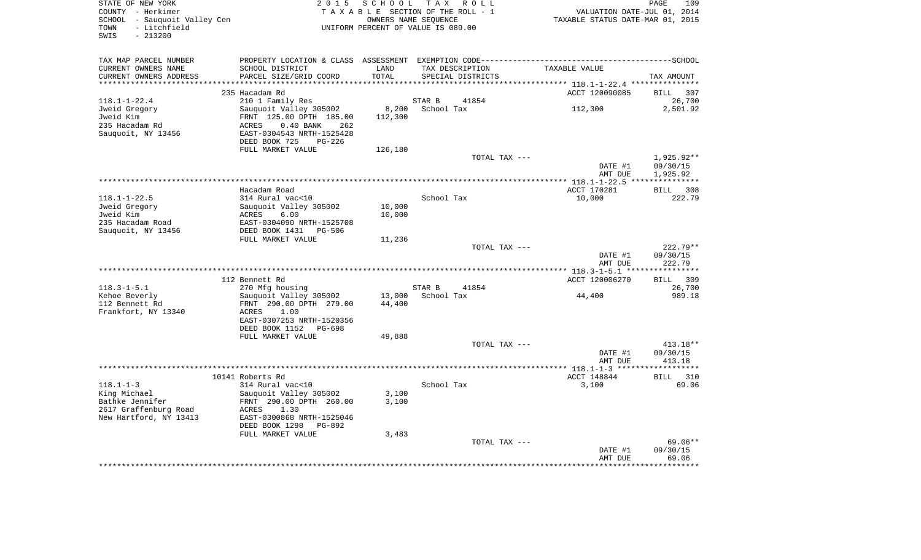| TOWN - Litchfield<br>$-213200$<br>SWIS                   | TAXABLE SECTION OF THE ROLL - 1<br>SCHOOL - Sauquoit Valley Cen<br>UNIFORM PERCENT OF VALUE IS 089.00 | VALUATION DATE-JUL 01, 2014<br>TAXABLE STATUS DATE-MAR 01, 2015 |                   |                    |                                            |
|----------------------------------------------------------|-------------------------------------------------------------------------------------------------------|-----------------------------------------------------------------|-------------------|--------------------|--------------------------------------------|
|                                                          |                                                                                                       |                                                                 |                   |                    |                                            |
| TAX MAP PARCEL NUMBER                                    |                                                                                                       |                                                                 |                   |                    |                                            |
| CURRENT OWNERS NAME                                      | SCHOOL DISTRICT                                                                                       | LAND                                                            | TAX DESCRIPTION   | TAXABLE VALUE      |                                            |
| CURRENT OWNERS ADDRESS<br>*********************          | PARCEL SIZE/GRID COORD                                                                                | TOTAL                                                           | SPECIAL DISTRICTS |                    | TAX AMOUNT                                 |
|                                                          | 235 Hacadam Rd                                                                                        |                                                                 |                   | ACCT 120090085     | <b>BILL</b><br>307                         |
| $118.1 - 1 - 22.4$                                       | 210 1 Family Res                                                                                      |                                                                 | STAR B<br>41854   |                    | 26,700                                     |
| Jweid Gregory                                            | Sauquoit Valley 305002                                                                                |                                                                 | 8,200 School Tax  | 112,300            | 2,501.92                                   |
| Jweid Kim                                                | FRNT 125.00 DPTH 185.00                                                                               | 112,300                                                         |                   |                    |                                            |
| 235 Hacadam Rd                                           | ACRES<br>0.40 BANK 262                                                                                |                                                                 |                   |                    |                                            |
| Sauquoit, NY 13456                                       | EAST-0304543 NRTH-1525428<br>DEED BOOK 725<br>$PG-226$                                                |                                                                 |                   |                    |                                            |
|                                                          | FULL MARKET VALUE                                                                                     | 126,180                                                         |                   |                    |                                            |
|                                                          |                                                                                                       |                                                                 | TOTAL TAX ---     |                    | 1,925.92**                                 |
|                                                          |                                                                                                       |                                                                 |                   | DATE #1            | 09/30/15                                   |
|                                                          |                                                                                                       |                                                                 |                   | AMT DUE            | 1,925.92                                   |
|                                                          |                                                                                                       |                                                                 |                   |                    |                                            |
| $118.1 - 1 - 22.5$                                       | Hacadam Road                                                                                          |                                                                 | School Tax        | ACCT 170281        | BILL 308<br>222.79                         |
| Jweid Gregory                                            | 314 Rural vac<10<br>Sauquoit Valley 305002                                                            | 10,000                                                          |                   | 10,000             |                                            |
| Jweid Kim                                                | ACRES<br>6.00                                                                                         | 10,000                                                          |                   |                    |                                            |
| 235 Hacadam Road                                         | EAST-0304090 NRTH-1525708                                                                             |                                                                 |                   |                    |                                            |
| Sauquoit, NY 13456                                       | DEED BOOK 1431    PG-506                                                                              |                                                                 |                   |                    |                                            |
|                                                          | FULL MARKET VALUE                                                                                     | 11,236                                                          |                   |                    |                                            |
|                                                          |                                                                                                       |                                                                 | TOTAL TAX ---     |                    | $222.79**$<br>09/30/15                     |
|                                                          |                                                                                                       |                                                                 |                   | DATE #1<br>AMT DUE | 222.79                                     |
|                                                          |                                                                                                       |                                                                 |                   |                    |                                            |
|                                                          | 112 Bennett Rd                                                                                        |                                                                 |                   |                    |                                            |
|                                                          |                                                                                                       |                                                                 |                   | ACCT 120006270     |                                            |
| $118.3 - 1 - 5.1$                                        | 270 Mfg housing                                                                                       |                                                                 | STAR B<br>41854   |                    |                                            |
| Kehoe Beverly                                            | Sauquoit Valley 305002                                                                                |                                                                 | 13,000 School Tax | 44,400             |                                            |
| 112 Bennett Rd                                           | FRNT 290.00 DPTH 279.00                                                                               | 44,400                                                          |                   |                    | BILL 309<br>26,700<br>989.18               |
| Frankfort, NY 13340                                      | ACRES 1.00                                                                                            |                                                                 |                   |                    |                                            |
|                                                          | EAST-0307253 NRTH-1520356                                                                             |                                                                 |                   |                    |                                            |
|                                                          | DEED BOOK 1152 PG-698<br>FULL MARKET VALUE                                                            | 49,888                                                          |                   |                    |                                            |
|                                                          |                                                                                                       |                                                                 | TOTAL TAX ---     |                    | $413.18**$                                 |
|                                                          |                                                                                                       |                                                                 |                   | DATE #1            | 09/30/15                                   |
|                                                          |                                                                                                       |                                                                 |                   | AMT DUE            | 413.18                                     |
|                                                          |                                                                                                       |                                                                 |                   |                    |                                            |
|                                                          | 10141 Roberts Rd                                                                                      |                                                                 |                   | ACCT 148844        |                                            |
| $118.1 - 1 - 3$                                          | 314 Rural vac<10                                                                                      |                                                                 | School Tax        | 3,100              |                                            |
|                                                          | Sauquoit Valley 305002<br>FRNT 290.00 DPTH 260.00                                                     | 3,100<br>3,100                                                  |                   |                    |                                            |
| King Michael<br>Bathke Jennifer<br>2617 Graffenburg Road | ACRES 1.30                                                                                            |                                                                 |                   |                    |                                            |
| New Hartford, NY 13413                                   | EAST-0300868 NRTH-1525046                                                                             |                                                                 |                   |                    |                                            |
|                                                          | DEED BOOK 1298 PG-892                                                                                 |                                                                 |                   |                    |                                            |
|                                                          | FULL MARKET VALUE                                                                                     | 3,483                                                           |                   |                    |                                            |
|                                                          |                                                                                                       |                                                                 | TOTAL TAX ---     | DATE #1            | BILL 310<br>69.06<br>$69.06**$<br>09/30/15 |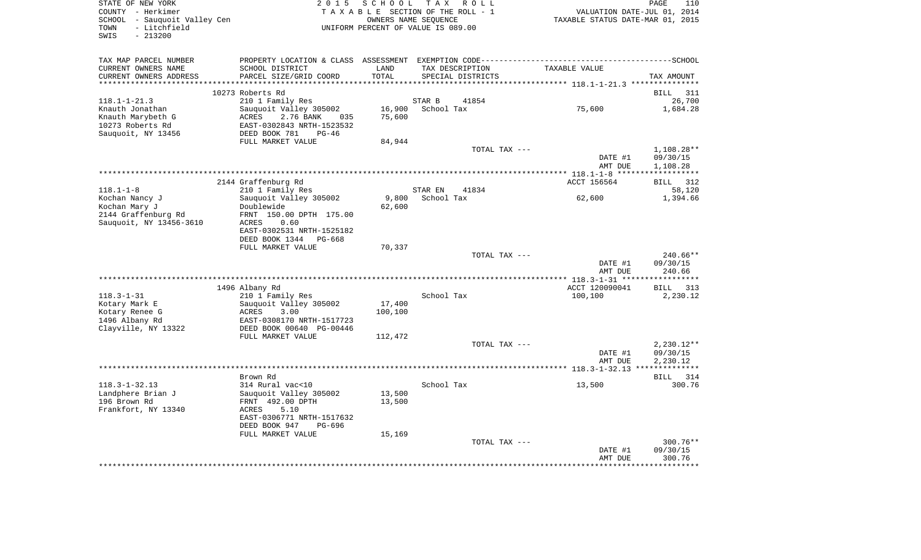|                     | STATE OF NEW YORK<br>COUNTY - Herkimer                    | 2015                                                                            | SCHOOL<br>TAXABLE SECTION OF THE ROLL - 1                  | T A X      | R O L L                        |                                            | PAGE<br>110<br>VALUATION DATE-JUL 01, 2014 |
|---------------------|-----------------------------------------------------------|---------------------------------------------------------------------------------|------------------------------------------------------------|------------|--------------------------------|--------------------------------------------|--------------------------------------------|
| TOWN<br>SWIS        | SCHOOL - Sauquoit Valley Cen<br>- Litchfield<br>$-213200$ |                                                                                 | OWNERS NAME SEQUENCE<br>UNIFORM PERCENT OF VALUE IS 089.00 |            |                                | TAXABLE STATUS DATE-MAR 01, 2015           |                                            |
|                     | TAX MAP PARCEL NUMBER                                     | PROPERTY LOCATION & CLASS ASSESSMENT EXEMPTION CODE---------------------------- |                                                            |            |                                |                                            | --------------SCHOOL                       |
|                     | CURRENT OWNERS NAME                                       | SCHOOL DISTRICT                                                                 | LAND                                                       |            | TAX DESCRIPTION                | TAXABLE VALUE                              |                                            |
|                     | CURRENT OWNERS ADDRESS<br>*******************             | PARCEL SIZE/GRID COORD                                                          | TOTAL<br>******                                            |            | SPECIAL DISTRICTS              | ****************** 118.1-1-21.3 ********** | TAX AMOUNT                                 |
|                     |                                                           | 10273 Roberts Rd                                                                |                                                            |            |                                |                                            | <b>BILL</b><br>311                         |
| $118.1 - 1 - 21.3$  |                                                           | 210 1 Family Res                                                                |                                                            | STAR B     | 41854                          |                                            | 26,700                                     |
|                     | Knauth Jonathan                                           | Sauquoit Valley 305002                                                          | 16,900                                                     | School Tax |                                | 75,600                                     | 1,684.28                                   |
|                     | Knauth Marybeth G                                         | 2.76 BANK<br>ACRES<br>035                                                       | 75,600                                                     |            |                                |                                            |                                            |
|                     | 10273 Roberts Rd                                          | EAST-0302843 NRTH-1523532                                                       |                                                            |            |                                |                                            |                                            |
|                     | Sauquoit, NY 13456                                        | DEED BOOK 781<br>$PG-46$<br>FULL MARKET VALUE                                   | 84,944                                                     |            |                                |                                            |                                            |
|                     |                                                           |                                                                                 |                                                            |            | TOTAL TAX ---                  |                                            | 1,108.28**                                 |
|                     |                                                           |                                                                                 |                                                            |            |                                | DATE #1                                    | 09/30/15                                   |
|                     |                                                           |                                                                                 |                                                            |            |                                | AMT DUE                                    | 1,108.28                                   |
|                     |                                                           |                                                                                 |                                                            |            |                                | ACCT 156564                                | <b>BILL</b><br>312                         |
| $118.1 - 1 - 8$     |                                                           | 2144 Graffenburg Rd<br>210 1 Family Res                                         |                                                            | STAR EN    | 41834                          |                                            | 58,120                                     |
| Kochan Nancy J      |                                                           | Sauquoit Valley 305002                                                          | 9,800                                                      | School Tax |                                | 62,600                                     | 1,394.66                                   |
| Kochan Mary J       |                                                           | Doublewide                                                                      | 62,600                                                     |            |                                |                                            |                                            |
|                     | 2144 Graffenburg Rd                                       | FRNT 150.00 DPTH 175.00                                                         |                                                            |            |                                |                                            |                                            |
|                     | Sauquoit, NY 13456-3610                                   | 0.60<br>ACRES<br>EAST-0302531 NRTH-1525182                                      |                                                            |            |                                |                                            |                                            |
|                     |                                                           | DEED BOOK 1344<br>PG-668                                                        |                                                            |            |                                |                                            |                                            |
|                     |                                                           | FULL MARKET VALUE                                                               | 70,337                                                     |            |                                |                                            |                                            |
|                     |                                                           |                                                                                 |                                                            |            | TOTAL TAX ---                  |                                            | $240.66**$                                 |
|                     |                                                           |                                                                                 |                                                            |            |                                | DATE #1                                    | 09/30/15                                   |
|                     |                                                           |                                                                                 |                                                            |            |                                | AMT DUE                                    | 240.66                                     |
|                     |                                                           | 1496 Albany Rd                                                                  |                                                            |            |                                | ACCT 120090041                             | BILL<br>313                                |
| $118.3 - 1 - 31$    |                                                           | 210 1 Family Res                                                                |                                                            | School Tax |                                | 100,100                                    | 2,230.12                                   |
| Kotary Mark E       |                                                           | Sauquoit Valley 305002                                                          | 17,400                                                     |            |                                |                                            |                                            |
| Kotary Renee G      |                                                           | ACRES<br>3.00                                                                   | 100,100                                                    |            |                                |                                            |                                            |
| 1496 Albany Rd      | Clayville, NY 13322                                       | EAST-0308170 NRTH-1517723<br>DEED BOOK 00640 PG-00446                           |                                                            |            |                                |                                            |                                            |
|                     |                                                           | FULL MARKET VALUE                                                               | 112,472                                                    |            |                                |                                            |                                            |
|                     |                                                           |                                                                                 |                                                            |            | TOTAL TAX ---                  |                                            | $2,230.12**$                               |
|                     |                                                           |                                                                                 |                                                            |            |                                | DATE #1                                    | 09/30/15                                   |
|                     |                                                           |                                                                                 |                                                            |            |                                | AMT DUE                                    | 2,230.12                                   |
|                     | ****************************                              | Brown Rd                                                                        |                                                            |            |                                |                                            | 314<br>BILL                                |
| $118.3 - 1 - 32.13$ |                                                           | 314 Rural vac<10                                                                |                                                            | School Tax |                                | 13,500                                     | 300.76                                     |
|                     | Landphere Brian J                                         | Sauquoit Valley 305002                                                          | 13,500                                                     |            |                                |                                            |                                            |
| 196 Brown Rd        |                                                           | FRNT 492.00 DPTH                                                                | 13,500                                                     |            |                                |                                            |                                            |
|                     | Frankfort, NY 13340                                       | 5.10<br><b>ACRES</b>                                                            |                                                            |            |                                |                                            |                                            |
|                     |                                                           | EAST-0306771 NRTH-1517632<br>DEED BOOK 947<br>PG-696                            |                                                            |            |                                |                                            |                                            |
|                     |                                                           | FULL MARKET VALUE                                                               | 15,169                                                     |            |                                |                                            |                                            |
|                     |                                                           |                                                                                 |                                                            |            | TOTAL TAX ---                  |                                            | 300.76**                                   |
|                     |                                                           |                                                                                 |                                                            |            |                                | DATE #1                                    | 09/30/15                                   |
|                     |                                                           |                                                                                 |                                                            |            | ****************************** | AMT DUE                                    | 300.76<br>.                                |
|                     |                                                           |                                                                                 |                                                            |            |                                |                                            |                                            |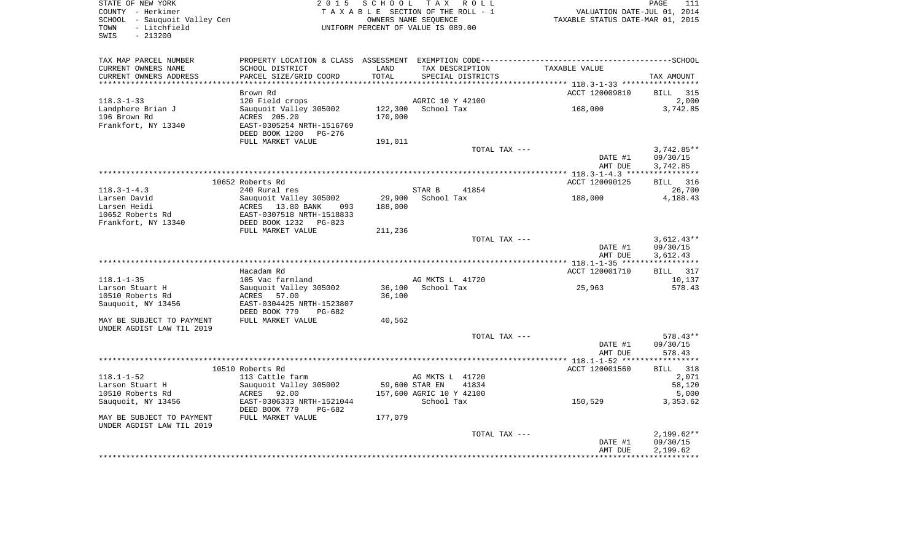| STATE OF NEW YORK<br>COUNTY - Herkimer<br>SCHOOL - Sauquoit Valley Cen<br>- Litchfield<br>TOWN<br>SWIS<br>$-213200$ | 2 0 1 5                                              | SCHOOL  | TAX ROLL<br>TAXABLE SECTION OF THE ROLL - 1<br>OWNERS NAME SEOUENCE<br>UNIFORM PERCENT OF VALUE IS 089.00 | VALUATION DATE-JUL 01, 2014<br>VALUATION DATE-JUL U1, 2014<br>TAXABLE STATUS DATE-MAR 01, 2015 | PAGE<br>111       |
|---------------------------------------------------------------------------------------------------------------------|------------------------------------------------------|---------|-----------------------------------------------------------------------------------------------------------|------------------------------------------------------------------------------------------------|-------------------|
| TAX MAP PARCEL NUMBER<br>CURRENT OWNERS NAME                                                                        | SCHOOL DISTRICT                                      | LAND    | TAX DESCRIPTION                                                                                           | TAXABLE VALUE                                                                                  |                   |
| CURRENT OWNERS ADDRESS                                                                                              | PARCEL SIZE/GRID COORD                               | TOTAL   | SPECIAL DISTRICTS                                                                                         |                                                                                                | TAX AMOUNT        |
|                                                                                                                     |                                                      |         | *************************************                                                                     | ********** 118.3-1-33 ******************                                                       |                   |
|                                                                                                                     | Brown Rd                                             |         |                                                                                                           | ACCT 120009810                                                                                 | BILL 315          |
| $118.3 - 1 - 33$                                                                                                    | 120 Field crops                                      | 122,300 | AGRIC 10 Y 42100<br>School Tax                                                                            | 168,000                                                                                        | 2,000<br>3,742.85 |
| Landphere Brian J<br>196 Brown Rd                                                                                   | Sauquoit Valley 305002<br>ACRES 205.20               | 170,000 |                                                                                                           |                                                                                                |                   |
| Frankfort, NY 13340                                                                                                 | EAST-0305254 NRTH-1516769                            |         |                                                                                                           |                                                                                                |                   |
|                                                                                                                     | DEED BOOK 1200 PG-276                                |         |                                                                                                           |                                                                                                |                   |
|                                                                                                                     | FULL MARKET VALUE                                    | 191,011 |                                                                                                           |                                                                                                |                   |
|                                                                                                                     |                                                      |         | TOTAL TAX ---                                                                                             |                                                                                                | $3,742.85**$      |
|                                                                                                                     |                                                      |         |                                                                                                           | DATE #1                                                                                        | 09/30/15          |
|                                                                                                                     |                                                      |         |                                                                                                           | AMT DUE                                                                                        | 3,742.85          |
|                                                                                                                     |                                                      |         |                                                                                                           |                                                                                                |                   |
|                                                                                                                     | 10652 Roberts Rd                                     |         |                                                                                                           | ACCT 120090125                                                                                 | BILL 316          |
| $118.3 - 1 - 4.3$                                                                                                   | 240 Rural res                                        |         | STAR B<br>41854                                                                                           |                                                                                                | 26,700            |
| Larsen David                                                                                                        | Sauquoit Valley 305002                               | 29,900  | School Tax                                                                                                | 188,000                                                                                        | 4,188.43          |
| Larsen Heidi<br>10652 Roberts Rd                                                                                    | ACRES 13.80 BANK<br>093<br>EAST-0307518 NRTH-1518833 | 188,000 |                                                                                                           |                                                                                                |                   |
| Frankfort, NY 13340                                                                                                 | DEED BOOK 1232 PG-823                                |         |                                                                                                           |                                                                                                |                   |
|                                                                                                                     | FULL MARKET VALUE                                    | 211,236 |                                                                                                           |                                                                                                |                   |
|                                                                                                                     |                                                      |         | TOTAL TAX ---                                                                                             |                                                                                                | $3,612.43**$      |
|                                                                                                                     |                                                      |         |                                                                                                           | DATE #1                                                                                        | 09/30/15          |
|                                                                                                                     |                                                      |         |                                                                                                           | AMT DUE                                                                                        | 3,612.43          |
|                                                                                                                     |                                                      |         |                                                                                                           |                                                                                                |                   |
|                                                                                                                     | Hacadam Rd                                           |         |                                                                                                           | ACCT 120001710                                                                                 | BILL 317          |
| $118.1 - 1 - 35$                                                                                                    | 105 Vac farmland                                     |         | AG MKTS L 41720                                                                                           |                                                                                                | 10,137            |
| Larson Stuart H                                                                                                     | Sauquoit Valley 305002                               | 36,100  | School Tax                                                                                                | 25,963                                                                                         | 578.43            |
| 10510 Roberts Rd                                                                                                    | ACRES 57.00                                          | 36,100  |                                                                                                           |                                                                                                |                   |
| Sauquoit, NY 13456                                                                                                  | EAST-0304425 NRTH-1523807                            |         |                                                                                                           |                                                                                                |                   |
| MAY BE SUBJECT TO PAYMENT                                                                                           | DEED BOOK 779<br>PG-682<br>FULL MARKET VALUE         | 40,562  |                                                                                                           |                                                                                                |                   |
| UNDER AGDIST LAW TIL 2019                                                                                           |                                                      |         |                                                                                                           |                                                                                                |                   |
|                                                                                                                     |                                                      |         | TOTAL TAX ---                                                                                             |                                                                                                | 578.43**          |
|                                                                                                                     |                                                      |         |                                                                                                           | DATE #1                                                                                        | 09/30/15          |
|                                                                                                                     |                                                      |         |                                                                                                           | AMT DUE                                                                                        | 578.43            |
|                                                                                                                     |                                                      |         |                                                                                                           |                                                                                                |                   |
|                                                                                                                     | 10510 Roberts Rd                                     |         |                                                                                                           | ACCT 120001560                                                                                 | BILL 318          |
| $118.1 - 1 - 52$                                                                                                    | 113 Cattle farm                                      |         | AG MKTS L 41720                                                                                           |                                                                                                | 2,071             |
| Larson Stuart H                                                                                                     | Sauquoit Valley 305002                               |         | 59,600 STAR EN<br>41834                                                                                   |                                                                                                | 58,120            |
| 10510 Roberts Rd                                                                                                    | ACRES 92.00                                          |         | 157,600 AGRIC 10 Y 42100                                                                                  |                                                                                                | 5,000             |
| Sauquoit, NY 13456                                                                                                  | EAST-0306333 NRTH-1521044                            |         | School Tax                                                                                                | 150,529                                                                                        | 3,353.62          |
|                                                                                                                     | DEED BOOK 779<br>$PG-682$                            |         |                                                                                                           |                                                                                                |                   |
| MAY BE SUBJECT TO PAYMENT<br>UNDER AGDIST LAW TIL 2019                                                              | FULL MARKET VALUE                                    | 177,079 |                                                                                                           |                                                                                                |                   |
|                                                                                                                     |                                                      |         | TOTAL TAX ---                                                                                             |                                                                                                | $2,199.62**$      |
|                                                                                                                     |                                                      |         |                                                                                                           | DATE #1                                                                                        | 09/30/15          |
|                                                                                                                     |                                                      |         |                                                                                                           | AMT DUE                                                                                        | 2,199.62          |
|                                                                                                                     |                                                      |         |                                                                                                           |                                                                                                | .                 |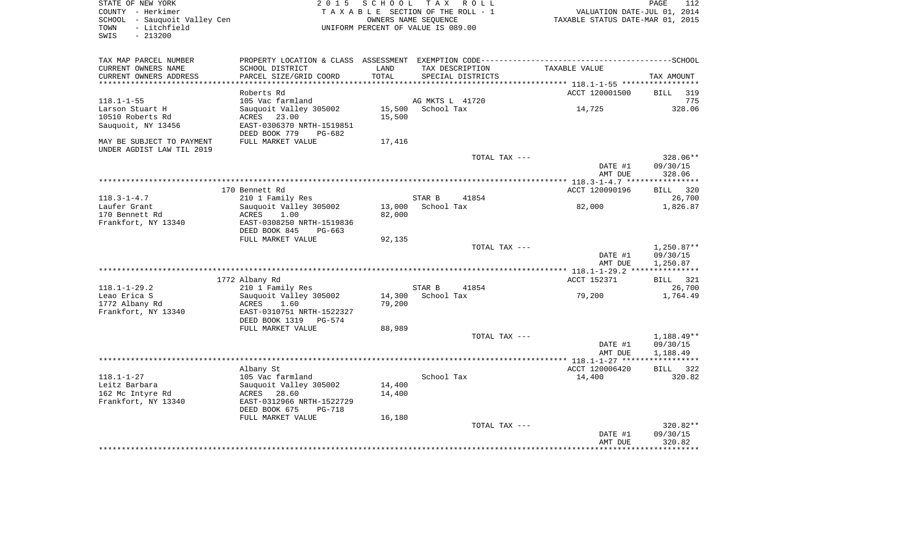| STATE OF NEW YORK<br>COUNTY - Herkimer<br>SCHOOL - Sauquoit Valley Cen<br>- Litchfield<br>TOWN<br>SWIS<br>$-213200$ | 2 0 1 5                                                             |                  | SCHOOL TAX ROLL<br>TAXABLE SECTION OF THE ROLL - 1<br>OWNERS NAME SEQUENCE<br>UNIFORM PERCENT OF VALUE IS 089.00 | VALUATION DATE-JUL 01, 2014<br>TAXABLE STATUS DATE-MAR 01, 2015                                               | PAGE<br>112                    |
|---------------------------------------------------------------------------------------------------------------------|---------------------------------------------------------------------|------------------|------------------------------------------------------------------------------------------------------------------|---------------------------------------------------------------------------------------------------------------|--------------------------------|
| TAX MAP PARCEL NUMBER<br>CURRENT OWNERS NAME<br>CURRENT OWNERS ADDRESS                                              | SCHOOL DISTRICT<br>PARCEL SIZE/GRID COORD                           | LAND<br>TOTAL    | TAX DESCRIPTION<br>SPECIAL DISTRICTS                                                                             | PROPERTY LOCATION & CLASS ASSESSMENT EXEMPTION CODE-----------------------------------SCHOOL<br>TAXABLE VALUE | TAX AMOUNT                     |
| *************************                                                                                           |                                                                     |                  |                                                                                                                  |                                                                                                               |                                |
|                                                                                                                     | Roberts Rd                                                          |                  |                                                                                                                  | ACCT 120001500                                                                                                | <b>BILL</b><br>319             |
| $118.1 - 1 - 55$                                                                                                    | 105 Vac farmland                                                    |                  | AG MKTS L 41720                                                                                                  |                                                                                                               | 775                            |
| Larson Stuart H                                                                                                     | Sauquoit Valley 305002                                              | 15,500           | School Tax                                                                                                       | 14,725                                                                                                        | 328.06                         |
| 10510 Roberts Rd<br>Sauquoit, NY 13456                                                                              | ACRES 23.00<br>EAST-0306370 NRTH-1519851<br>DEED BOOK 779<br>PG-682 | 15,500           |                                                                                                                  |                                                                                                               |                                |
| MAY BE SUBJECT TO PAYMENT<br>UNDER AGDIST LAW TIL 2019                                                              | FULL MARKET VALUE                                                   | 17,416           |                                                                                                                  |                                                                                                               |                                |
|                                                                                                                     |                                                                     |                  | TOTAL TAX ---                                                                                                    | DATE #1<br>AMT DUE                                                                                            | 328.06**<br>09/30/15<br>328.06 |
|                                                                                                                     |                                                                     |                  |                                                                                                                  | ** $118.3 - 1 - 4.7$ ******                                                                                   | **********                     |
|                                                                                                                     | 170 Bennett Rd                                                      |                  |                                                                                                                  | ACCT 120090196                                                                                                | 320<br>BILL                    |
| $118.3 - 1 - 4.7$                                                                                                   | 210 1 Family Res                                                    |                  | STAR B<br>41854                                                                                                  |                                                                                                               | 26,700                         |
| Laufer Grant<br>170 Bennett Rd                                                                                      | Sauquoit Valley 305002<br>ACRES<br>1.00                             | 13,000           | School Tax                                                                                                       | 82,000                                                                                                        | 1,826.87                       |
| Frankfort, NY 13340                                                                                                 | EAST-0308250 NRTH-1519836                                           | 82,000           |                                                                                                                  |                                                                                                               |                                |
|                                                                                                                     | DEED BOOK 845<br>PG-663                                             |                  |                                                                                                                  |                                                                                                               |                                |
|                                                                                                                     | FULL MARKET VALUE                                                   | 92,135           |                                                                                                                  |                                                                                                               |                                |
|                                                                                                                     |                                                                     |                  | TOTAL TAX ---                                                                                                    |                                                                                                               | $1,250.87**$                   |
|                                                                                                                     |                                                                     |                  |                                                                                                                  | DATE #1<br>AMT DUE                                                                                            | 09/30/15<br>1,250.87           |
|                                                                                                                     |                                                                     |                  |                                                                                                                  |                                                                                                               |                                |
|                                                                                                                     | 1772 Albany Rd                                                      |                  |                                                                                                                  | ACCT 152371                                                                                                   | <b>BILL</b><br>321             |
| $118.1 - 1 - 29.2$                                                                                                  | 210 1 Family Res                                                    |                  | STAR B<br>41854                                                                                                  |                                                                                                               | 26,700                         |
| Leao Erica S<br>1772 Albany Rd                                                                                      | Sauquoit Valley 305002                                              | 14,300<br>79,200 | School Tax                                                                                                       | 79,200                                                                                                        | 1,764.49                       |
| Frankfort, NY 13340                                                                                                 | ACRES<br>1.60<br>EAST-0310751 NRTH-1522327                          |                  |                                                                                                                  |                                                                                                               |                                |
|                                                                                                                     | DEED BOOK 1319 PG-574                                               |                  |                                                                                                                  |                                                                                                               |                                |
|                                                                                                                     | FULL MARKET VALUE                                                   | 88,989           |                                                                                                                  |                                                                                                               |                                |
|                                                                                                                     |                                                                     |                  | TOTAL TAX ---                                                                                                    | DATE #1                                                                                                       | $1,188.49**$<br>09/30/15       |
|                                                                                                                     |                                                                     |                  |                                                                                                                  | AMT DUE                                                                                                       | 1,188.49                       |
|                                                                                                                     |                                                                     |                  |                                                                                                                  |                                                                                                               |                                |
| $118.1 - 1 - 27$                                                                                                    | Albany St                                                           |                  |                                                                                                                  | ACCT 120006420                                                                                                | BILL 322                       |
| Leitz Barbara                                                                                                       | 105 Vac farmland<br>Sauquoit Valley 305002                          | 14,400           | School Tax                                                                                                       | 14,400                                                                                                        | 320.82                         |
| 162 Mc Intyre Rd                                                                                                    | ACRES<br>28.60                                                      | 14,400           |                                                                                                                  |                                                                                                               |                                |
| Frankfort, NY 13340                                                                                                 | EAST-0312966 NRTH-1522729                                           |                  |                                                                                                                  |                                                                                                               |                                |
|                                                                                                                     | DEED BOOK 675<br>PG-718                                             |                  |                                                                                                                  |                                                                                                               |                                |
|                                                                                                                     | FULL MARKET VALUE                                                   | 16,180           |                                                                                                                  |                                                                                                               |                                |
|                                                                                                                     |                                                                     |                  | TOTAL TAX ---                                                                                                    |                                                                                                               | 320.82**                       |
|                                                                                                                     |                                                                     |                  |                                                                                                                  | DATE #1                                                                                                       | 09/30/15                       |
|                                                                                                                     |                                                                     |                  |                                                                                                                  | AMT DUE<br>* * * * * * * * * * * * * * * * * *                                                                | 320.82<br>***********          |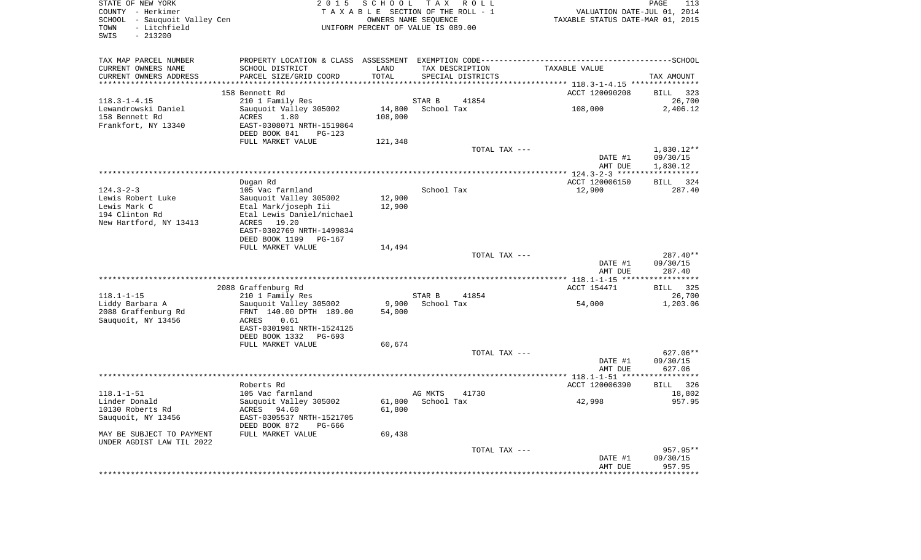| STATE OF NEW YORK<br>COUNTY - Herkimer<br>SCHOOL - Sauquoit Valley Cen<br>TOWN<br>- Litchfield<br>SWIS<br>$-213200$ | 2 0 1 5                                                                                                                                                 | SCHOOL                    | T A X<br>R O L L<br>TAXABLE SECTION OF THE ROLL - 1<br>OWNERS NAME SEQUENCE<br>UNIFORM PERCENT OF VALUE IS 089.00 | VALUATION DATE-JUL 01, 2014<br>TAXABLE STATUS DATE-MAR 01, 2015 | PAGE<br>113                                       |
|---------------------------------------------------------------------------------------------------------------------|---------------------------------------------------------------------------------------------------------------------------------------------------------|---------------------------|-------------------------------------------------------------------------------------------------------------------|-----------------------------------------------------------------|---------------------------------------------------|
| TAX MAP PARCEL NUMBER<br>CURRENT OWNERS NAME<br>CURRENT OWNERS ADDRESS                                              | SCHOOL DISTRICT<br>PARCEL SIZE/GRID COORD                                                                                                               | LAND<br>TOTAL             | TAX DESCRIPTION<br>SPECIAL DISTRICTS                                                                              | TAXABLE VALUE                                                   | TAX AMOUNT                                        |
| *******************                                                                                                 |                                                                                                                                                         | *********                 |                                                                                                                   | ********************* 118.3-1-4.15 ****************             |                                                   |
| $118.3 - 1 - 4.15$<br>Lewandrowski Daniel<br>158 Bennett Rd                                                         | 158 Bennett Rd<br>210 1 Family Res<br>Sauquoit Valley 305002<br>ACRES<br>1.80                                                                           | 14,800<br>108,000         | STAR B<br>41854<br>School Tax                                                                                     | ACCT 120090208<br>108,000                                       | <b>BILL</b><br>323<br>26,700<br>2,406.12          |
| Frankfort, NY 13340                                                                                                 | EAST-0308071 NRTH-1519864<br>DEED BOOK 841<br>PG-123<br>FULL MARKET VALUE                                                                               | 121,348                   |                                                                                                                   |                                                                 |                                                   |
|                                                                                                                     | **************<br>**************************************                                                                                                |                           | TOTAL TAX ---                                                                                                     | DATE #1<br>AMT DUE                                              | 1,830.12**<br>09/30/15<br>1,830.12<br>*********** |
| $124.3 - 2 - 3$<br>Lewis Robert Luke<br>Lewis Mark C<br>194 Clinton Rd<br>New Hartford, NY 13413                    | Dugan Rd<br>105 Vac farmland<br>Sauquoit Valley 305002<br>Etal Mark/joseph Iii<br>Etal Lewis Daniel/michael<br>ACRES 19.20<br>EAST-0302769 NRTH-1499834 | 12,900<br>12,900          | School Tax                                                                                                        | ************* 124.3-2-3 ****<br>ACCT 120006150<br>12,900        | <b>BILL</b><br>324<br>287.40                      |
|                                                                                                                     | DEED BOOK 1199<br><b>PG-167</b><br>FULL MARKET VALUE                                                                                                    | 14,494                    | TOTAL TAX ---                                                                                                     | DATE #1<br>AMT DUE                                              | 287.40**<br>09/30/15<br>287.40                    |
|                                                                                                                     |                                                                                                                                                         |                           |                                                                                                                   | ************** 118.1-1-15 ****                                  |                                                   |
|                                                                                                                     | 2088 Graffenburg Rd                                                                                                                                     |                           |                                                                                                                   | ACCT 154471                                                     | 325<br><b>BILL</b>                                |
| $118.1 - 1 - 15$                                                                                                    | 210 1 Family Res                                                                                                                                        |                           | STAR B<br>41854                                                                                                   |                                                                 | 26,700                                            |
| Liddy Barbara A<br>2088 Graffenburg Rd<br>Sauquoit, NY 13456                                                        | Sauquoit Valley 305002<br>FRNT 140.00 DPTH 189.00<br>ACRES<br>0.61<br>EAST-0301901 NRTH-1524125<br>DEED BOOK 1332<br>PG-693<br>FULL MARKET VALUE        | 9,900<br>54,000<br>60,674 | School Tax                                                                                                        | 54,000                                                          | 1,203.06                                          |
|                                                                                                                     |                                                                                                                                                         |                           | TOTAL TAX ---                                                                                                     |                                                                 | 627.06**                                          |
|                                                                                                                     |                                                                                                                                                         |                           |                                                                                                                   | DATE #1<br>AMT DUE                                              | 09/30/15<br>627.06                                |
|                                                                                                                     | Roberts Rd                                                                                                                                              |                           |                                                                                                                   | ACCT 120006390                                                  | BILL<br>326                                       |
| $118.1 - 1 - 51$<br>Linder Donald<br>10130 Roberts Rd<br>Sauquoit, NY 13456                                         | 105 Vac farmland<br>Sauquoit Valley 305002<br>ACRES<br>94.60<br>EAST-0305537 NRTH-1521705<br>DEED BOOK 872<br>PG-666                                    | 61,800<br>61,800          | AG MKTS<br>41730<br>School Tax                                                                                    | 42,998                                                          | 18,802<br>957.95                                  |
| MAY BE SUBJECT TO PAYMENT                                                                                           | FULL MARKET VALUE                                                                                                                                       | 69,438                    |                                                                                                                   |                                                                 |                                                   |
| UNDER AGDIST LAW TIL 2022                                                                                           |                                                                                                                                                         |                           | TOTAL TAX ---                                                                                                     | DATE #1<br>AMT DUE                                              | 957.95**<br>09/30/15<br>957.95                    |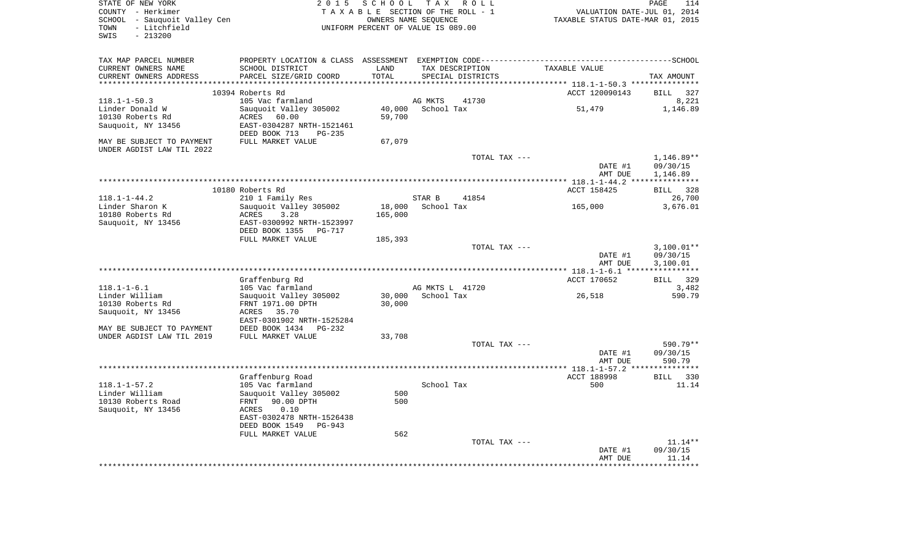| STATE OF NEW YORK<br>COUNTY - Herkimer<br>SCHOOL - Sauquoit Valley Cen<br>- Litchfield<br>TOWN<br>SWIS<br>$-213200$ | 2 0 1 5                                                      | SCHOOL     | T A X<br>R O L L<br>TAXABLE SECTION OF THE ROLL - 1<br>OWNERS NAME SEQUENCE<br>UNIFORM PERCENT OF VALUE IS 089.00 | TAXABLE STATUS DATE-MAR 01, 2015             | PAGE<br>114<br>VALUATION DATE-JUL 01, 2014 |
|---------------------------------------------------------------------------------------------------------------------|--------------------------------------------------------------|------------|-------------------------------------------------------------------------------------------------------------------|----------------------------------------------|--------------------------------------------|
| TAX MAP PARCEL NUMBER<br>CURRENT OWNERS NAME                                                                        | SCHOOL DISTRICT                                              | LAND       | TAX DESCRIPTION                                                                                                   | TAXABLE VALUE                                |                                            |
| CURRENT OWNERS ADDRESS<br>*************************                                                                 | PARCEL SIZE/GRID COORD                                       | TOTAL      | SPECIAL DISTRICTS                                                                                                 |                                              | TAX AMOUNT                                 |
|                                                                                                                     | 10394 Roberts Rd                                             |            |                                                                                                                   | ACCT 120090143                               | <b>BILL</b><br>327                         |
| $118.1 - 1 - 50.3$                                                                                                  | 105 Vac farmland                                             |            | 41730<br>AG MKTS                                                                                                  |                                              | 8,221                                      |
| Linder Donald W                                                                                                     | Sauquoit Valley 305002                                       | 40,000     | School Tax                                                                                                        | 51,479                                       | 1,146.89                                   |
| 10130 Roberts Rd                                                                                                    | ACRES<br>60.00                                               | 59,700     |                                                                                                                   |                                              |                                            |
| Sauquoit, NY 13456                                                                                                  | EAST-0304287 NRTH-1521461<br>DEED BOOK 713<br>$PG-235$       |            |                                                                                                                   |                                              |                                            |
| MAY BE SUBJECT TO PAYMENT<br>UNDER AGDIST LAW TIL 2022                                                              | FULL MARKET VALUE                                            | 67,079     |                                                                                                                   |                                              |                                            |
|                                                                                                                     |                                                              |            | TOTAL TAX ---                                                                                                     | DATE #1<br>AMT DUE                           | 1,146.89**<br>09/30/15<br>1,146.89         |
|                                                                                                                     |                                                              |            |                                                                                                                   |                                              |                                            |
| $118.1 - 1 - 44.2$                                                                                                  | 10180 Roberts Rd<br>210 1 Family Res                         |            | STAR B<br>41854                                                                                                   | ACCT 158425                                  | <b>BILL</b><br>328<br>26,700               |
| Linder Sharon K                                                                                                     | Sauquoit Valley 305002                                       | 18,000     | School Tax                                                                                                        | 165,000                                      | 3,676.01                                   |
| 10180 Roberts Rd                                                                                                    | ACRES<br>3.28                                                | 165,000    |                                                                                                                   |                                              |                                            |
| Sauquoit, NY 13456                                                                                                  | EAST-0300992 NRTH-1523997<br>DEED BOOK 1355<br><b>PG-717</b> |            |                                                                                                                   |                                              |                                            |
|                                                                                                                     | FULL MARKET VALUE                                            | 185,393    |                                                                                                                   |                                              |                                            |
|                                                                                                                     |                                                              |            | TOTAL TAX ---                                                                                                     | DATE #1<br>AMT DUE                           | $3,100.01**$<br>09/30/15<br>3,100.01       |
|                                                                                                                     | *************************************                        |            |                                                                                                                   | ************** 118.1-1-6.1 ***************** |                                            |
|                                                                                                                     | Graffenburg Rd                                               |            |                                                                                                                   | ACCT 170652                                  | 329<br>BILL                                |
| $118.1 - 1 - 6.1$<br>Linder William                                                                                 | 105 Vac farmland<br>Sauquoit Valley 305002                   | 30,000     | AG MKTS L 41720<br>School Tax                                                                                     | 26,518                                       | 3,482<br>590.79                            |
| 10130 Roberts Rd<br>Sauquoit, NY 13456                                                                              | FRNT 1971.00 DPTH<br>35.70<br>ACRES                          | 30,000     |                                                                                                                   |                                              |                                            |
| MAY BE SUBJECT TO PAYMENT                                                                                           | EAST-0301902 NRTH-1525284<br>DEED BOOK 1434<br>$PG-232$      |            |                                                                                                                   |                                              |                                            |
| UNDER AGDIST LAW TIL 2019                                                                                           | FULL MARKET VALUE                                            | 33,708     |                                                                                                                   |                                              |                                            |
|                                                                                                                     |                                                              |            | TOTAL TAX ---                                                                                                     |                                              | 590.79**                                   |
|                                                                                                                     |                                                              |            |                                                                                                                   | DATE #1<br>AMT DUE                           | 09/30/15<br>590.79                         |
|                                                                                                                     |                                                              |            |                                                                                                                   |                                              |                                            |
|                                                                                                                     | Graffenburg Road                                             |            |                                                                                                                   | ACCT 188998                                  | BILL 330                                   |
| $118.1 - 1 - 57.2$                                                                                                  | 105 Vac farmland                                             |            | School Tax                                                                                                        | 500                                          | 11.14                                      |
| Linder William<br>10130 Roberts Road                                                                                | Sauquoit Valley 305002<br>90.00 DPTH<br>FRNT                 | 500<br>500 |                                                                                                                   |                                              |                                            |
| Sauquoit, NY 13456                                                                                                  | 0.10<br>ACRES                                                |            |                                                                                                                   |                                              |                                            |
|                                                                                                                     | EAST-0302478 NRTH-1526438                                    |            |                                                                                                                   |                                              |                                            |
|                                                                                                                     | DEED BOOK 1549<br>PG-943                                     |            |                                                                                                                   |                                              |                                            |
|                                                                                                                     | FULL MARKET VALUE                                            | 562        | TOTAL TAX ---                                                                                                     |                                              | 11.14**                                    |
|                                                                                                                     |                                                              |            |                                                                                                                   | DATE #1                                      | 09/30/15                                   |
|                                                                                                                     |                                                              |            |                                                                                                                   | AMT DUE                                      | 11.14                                      |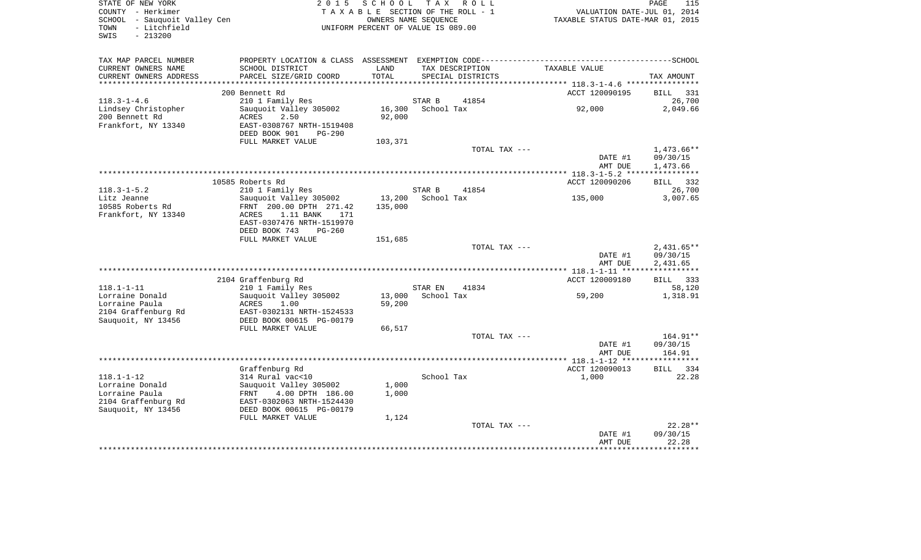| STATE OF NEW YORK<br>COUNTY - Herkimer<br>SCHOOL - Sauquoit Valley Cen<br>- Litchfield<br>TOWN<br>SWIS<br>$-213200$ | 2 0 1 5                                                                                                                                  | SCHOOL            | TAX ROLL<br>TAXABLE SECTION OF THE ROLL - 1<br>OWNERS NAME SEQUENCE<br>UNIFORM PERCENT OF VALUE IS 089.00 | VALUATION DATE-JUL 01, 2014<br>TAXABLE STATUS DATE-MAR 01, 2015 | PAGE<br>115                          |
|---------------------------------------------------------------------------------------------------------------------|------------------------------------------------------------------------------------------------------------------------------------------|-------------------|-----------------------------------------------------------------------------------------------------------|-----------------------------------------------------------------|--------------------------------------|
| TAX MAP PARCEL NUMBER<br>CURRENT OWNERS NAME<br>CURRENT OWNERS ADDRESS                                              | SCHOOL DISTRICT<br>PARCEL SIZE/GRID COORD                                                                                                | LAND<br>TOTAL     | TAX DESCRIPTION<br>SPECIAL DISTRICTS                                                                      | TAXABLE VALUE                                                   | TAX AMOUNT                           |
| ***********************                                                                                             |                                                                                                                                          |                   |                                                                                                           |                                                                 |                                      |
|                                                                                                                     | 200 Bennett Rd                                                                                                                           |                   |                                                                                                           | ACCT 120090195                                                  | <b>BILL</b><br>331                   |
| $118.3 - 1 - 4.6$                                                                                                   | 210 1 Family Res                                                                                                                         |                   | STAR B<br>41854                                                                                           |                                                                 | 26,700                               |
| Lindsey Christopher<br>200 Bennett Rd<br>Frankfort, NY 13340                                                        | Sauquoit Valley 305002<br>ACRES<br>2.50<br>EAST-0308767 NRTH-1519408<br>DEED BOOK 901<br>$PG-290$                                        | 16,300<br>92,000  | School Tax                                                                                                | 92,000                                                          | 2,049.66                             |
|                                                                                                                     | FULL MARKET VALUE                                                                                                                        | 103,371           |                                                                                                           |                                                                 |                                      |
|                                                                                                                     |                                                                                                                                          |                   | TOTAL TAX ---                                                                                             | DATE #1<br>AMT DUE                                              | 1,473.66**<br>09/30/15<br>1,473.66   |
|                                                                                                                     |                                                                                                                                          |                   |                                                                                                           |                                                                 |                                      |
|                                                                                                                     | 10585 Roberts Rd                                                                                                                         |                   |                                                                                                           | ACCT 120090206                                                  | BILL 332                             |
| $118.3 - 1 - 5.2$                                                                                                   | 210 1 Family Res                                                                                                                         |                   | STAR B<br>41854                                                                                           |                                                                 | 26,700                               |
| Litz Jeanne<br>10585 Roberts Rd<br>Frankfort, NY 13340                                                              | Sauguoit Valley 305002<br>FRNT 200.00 DPTH 271.42<br>ACRES<br>1.11 BANK<br>171<br>EAST-0307476 NRTH-1519970<br>DEED BOOK 743<br>$PG-260$ | 13,200<br>135,000 | School Tax                                                                                                | 135,000                                                         | 3,007.65                             |
|                                                                                                                     | FULL MARKET VALUE                                                                                                                        | 151,685           |                                                                                                           |                                                                 |                                      |
|                                                                                                                     |                                                                                                                                          |                   | TOTAL TAX ---                                                                                             | DATE #1<br>AMT DUE                                              | $2,431.65**$<br>09/30/15<br>2,431.65 |
|                                                                                                                     |                                                                                                                                          |                   |                                                                                                           | ACCT 120009180                                                  | BILL 333                             |
| $118.1 - 1 - 11$                                                                                                    | 2104 Graffenburg Rd<br>210 1 Family Res                                                                                                  |                   | STAR EN<br>41834                                                                                          |                                                                 | 58,120                               |
| Lorraine Donald                                                                                                     | Sauquoit Valley 305002                                                                                                                   | 13,000            | School Tax                                                                                                | 59,200                                                          | 1,318.91                             |
| Lorraine Paula<br>2104 Graffenburg Rd<br>Sauguoit, NY 13456                                                         | ACRES<br>1.00<br>EAST-0302131 NRTH-1524533<br>DEED BOOK 00615 PG-00179                                                                   | 59,200            |                                                                                                           |                                                                 |                                      |
|                                                                                                                     | FULL MARKET VALUE                                                                                                                        | 66,517            |                                                                                                           |                                                                 |                                      |
|                                                                                                                     |                                                                                                                                          |                   | TOTAL TAX ---                                                                                             |                                                                 | $164.91**$                           |
|                                                                                                                     |                                                                                                                                          |                   |                                                                                                           | DATE #1                                                         | 09/30/15                             |
|                                                                                                                     |                                                                                                                                          |                   |                                                                                                           | AMT DUE                                                         | 164.91                               |
|                                                                                                                     | Graffenburg Rd                                                                                                                           |                   |                                                                                                           | ACCT 120090013                                                  | <b>BILL</b><br>- 334                 |
| $118.1 - 1 - 12$                                                                                                    | 314 Rural vac<10                                                                                                                         |                   | School Tax                                                                                                | 1,000                                                           | 22.28                                |
| Lorraine Donald<br>Lorraine Paula<br>2104 Graffenburg Rd                                                            | Sauquoit Valley 305002<br>FRNT<br>4.00 DPTH 186.00<br>EAST-0302063 NRTH-1524430                                                          | 1,000<br>1,000    |                                                                                                           |                                                                 |                                      |
| Sauquoit, NY 13456                                                                                                  | DEED BOOK 00615 PG-00179<br>FULL MARKET VALUE                                                                                            | 1,124             |                                                                                                           |                                                                 |                                      |
|                                                                                                                     |                                                                                                                                          |                   | TOTAL TAX ---                                                                                             |                                                                 | $22.28**$                            |
|                                                                                                                     |                                                                                                                                          |                   |                                                                                                           | DATE #1                                                         | 09/30/15                             |
|                                                                                                                     |                                                                                                                                          |                   |                                                                                                           | AMT DUE                                                         | 22.28                                |
|                                                                                                                     |                                                                                                                                          |                   |                                                                                                           |                                                                 | ********                             |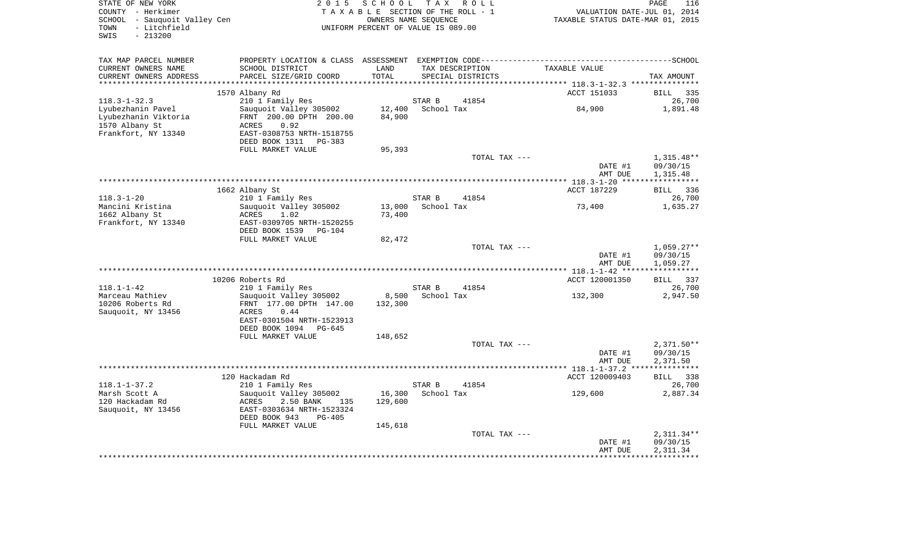| COUNTY - Herkimer<br>SCHOOL - Sauquoit Valley Cen<br>- Litchfield<br>TOWN<br>$-213200$<br>SWIS |                                                                                                                          |                   | TAXABLE SECTION OF THE ROLL - 1<br>OWNERS NAME SEQUENCE<br>UNIFORM PERCENT OF VALUE IS 089.00 | VALUATION DATE-JUL 01, 2014<br>TAXABLE STATUS DATE-MAR 01, 2015 |                                   |
|------------------------------------------------------------------------------------------------|--------------------------------------------------------------------------------------------------------------------------|-------------------|-----------------------------------------------------------------------------------------------|-----------------------------------------------------------------|-----------------------------------|
| TAX MAP PARCEL NUMBER<br>CURRENT OWNERS NAME                                                   | SCHOOL DISTRICT                                                                                                          | LAND              | TAX DESCRIPTION                                                                               | TAXABLE VALUE                                                   |                                   |
| CURRENT OWNERS ADDRESS                                                                         | PARCEL SIZE/GRID COORD                                                                                                   | TOTAL             | SPECIAL DISTRICTS                                                                             |                                                                 | TAX AMOUNT                        |
| ***********************                                                                        | 1570 Albany Rd                                                                                                           |                   |                                                                                               | ACCT 151033                                                     | <b>BILL</b><br>335                |
| $118.3 - 1 - 32.3$                                                                             | 210 1 Family Res                                                                                                         |                   | STAR B<br>41854                                                                               |                                                                 | 26,700                            |
| Lyubezhanin Pavel<br>Lyubezhanin Viktoria<br>1570 Albany St<br>Frankfort, NY 13340             | Sauquoit Valley 305002<br>FRNT 200.00 DPTH 200.00<br>0.92<br>ACRES<br>EAST-0308753 NRTH-1518755<br>DEED BOOK 1311 PG-383 | 12,400<br>84,900  | School Tax                                                                                    | 84,900                                                          | 1,891.48                          |
|                                                                                                | FULL MARKET VALUE                                                                                                        | 95,393            |                                                                                               |                                                                 |                                   |
|                                                                                                |                                                                                                                          |                   | TOTAL TAX ---                                                                                 | DATE #1                                                         | $1,315.48**$<br>09/30/15          |
|                                                                                                |                                                                                                                          |                   |                                                                                               | AMT DUE                                                         | 1,315.48                          |
|                                                                                                | 1662 Albany St                                                                                                           |                   |                                                                                               | ACCT 187229                                                     | <b>BILL</b><br>336                |
| $118.3 - 1 - 20$                                                                               | 210 1 Family Res                                                                                                         |                   | STAR B<br>41854                                                                               |                                                                 | 26,700                            |
| Mancini Kristina                                                                               | Sauquoit Valley 305002                                                                                                   | 13,000            | School Tax                                                                                    | 73,400                                                          | 1,635.27                          |
| 1662 Albany St<br>Frankfort, NY 13340                                                          | ACRES<br>1.02<br>EAST-0309705 NRTH-1520255                                                                               | 73,400            |                                                                                               |                                                                 |                                   |
|                                                                                                | DEED BOOK 1539 PG-104                                                                                                    |                   |                                                                                               |                                                                 |                                   |
|                                                                                                | FULL MARKET VALUE                                                                                                        | 82,472            | TOTAL TAX ---                                                                                 |                                                                 | $1,059.27**$                      |
|                                                                                                |                                                                                                                          |                   |                                                                                               | DATE #1<br>AMT DUE                                              | 09/30/15<br>1,059.27              |
|                                                                                                |                                                                                                                          |                   |                                                                                               |                                                                 | ***********                       |
| $118.1 - 1 - 42$                                                                               | 10206 Roberts Rd                                                                                                         |                   | STAR B                                                                                        | ACCT 120001350                                                  | BILL 337                          |
| Marceau Mathiev                                                                                | 210 1 Family Res<br>Sauguoit Valley 305002                                                                               | 8,500             | 41854<br>School Tax                                                                           | 132,300                                                         | 26,700<br>2,947.50                |
| 10206 Roberts Rd<br>Sauquoit, NY 13456                                                         | FRNT 177.00 DPTH 147.00<br>ACRES<br>0.44<br>EAST-0301504 NRTH-1523913<br>DEED BOOK 1094 PG-645                           | 132,300           |                                                                                               |                                                                 |                                   |
|                                                                                                | FULL MARKET VALUE                                                                                                        | 148,652           | TOTAL TAX ---                                                                                 |                                                                 | $2,371.50**$                      |
|                                                                                                |                                                                                                                          |                   |                                                                                               | DATE #1                                                         | 09/30/15                          |
|                                                                                                |                                                                                                                          |                   |                                                                                               | AMT DUE                                                         | 2,371.50<br>* * * * * * * * * * * |
|                                                                                                | 120 Hackadam Rd                                                                                                          |                   |                                                                                               | ACCT 120009403                                                  | 338<br>BILL                       |
| $118.1 - 1 - 37.2$                                                                             | 210 1 Family Res                                                                                                         |                   | STAR B<br>41854                                                                               |                                                                 | 26,700                            |
| Marsh Scott A<br>120 Hackadam Rd<br>Sauquoit, NY 13456                                         | Sauquoit Valley 305002<br>ACRES<br>2.50 BANK<br>135<br>EAST-0303634 NRTH-1523324<br>DEED BOOK 943<br>$PG-405$            | 16,300<br>129,600 | School Tax                                                                                    | 129,600                                                         | 2,887.34                          |
|                                                                                                | FULL MARKET VALUE                                                                                                        | 145,618           |                                                                                               |                                                                 |                                   |
|                                                                                                |                                                                                                                          |                   | TOTAL TAX ---                                                                                 | DATE #1                                                         | $2,311.34**$<br>09/30/15          |
|                                                                                                |                                                                                                                          |                   |                                                                                               | AMT DUE                                                         | 2,311.34                          |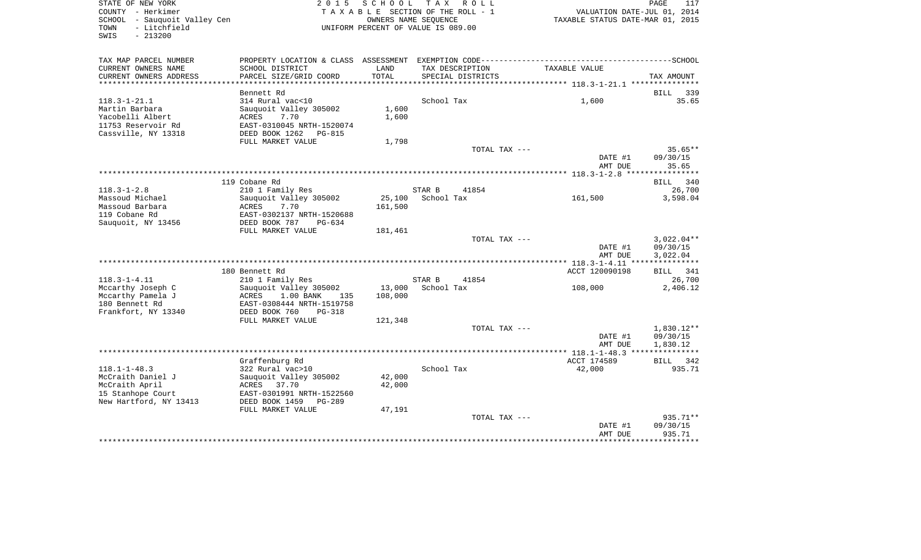| STATE OF NEW YORK<br>COUNTY - Herkimer<br>SCHOOL - Sauquoit Valley Cen<br>- Litchfield<br>TOWN<br>SWIS<br>$-213200$ | 2015                                                 |                      | SCHOOL TAX ROLL<br>TAXABLE SECTION OF THE ROLL - 1<br>OWNERS NAME SEOUENCE<br>UNIFORM PERCENT OF VALUE IS 089.00 |               | VALUATION DATE-JUL 01, 2014<br>TAXABLE STATUS DATE-MAR 01, 2015 | PAGE<br>117           |
|---------------------------------------------------------------------------------------------------------------------|------------------------------------------------------|----------------------|------------------------------------------------------------------------------------------------------------------|---------------|-----------------------------------------------------------------|-----------------------|
| TAX MAP PARCEL NUMBER                                                                                               |                                                      |                      |                                                                                                                  |               |                                                                 |                       |
| CURRENT OWNERS NAME<br>CURRENT OWNERS ADDRESS                                                                       | SCHOOL DISTRICT<br>PARCEL SIZE/GRID COORD            | LAND<br><b>TOTAL</b> | TAX DESCRIPTION<br>SPECIAL DISTRICTS                                                                             |               | TAXABLE VALUE                                                   | TAX AMOUNT            |
|                                                                                                                     |                                                      |                      |                                                                                                                  |               |                                                                 |                       |
|                                                                                                                     | Bennett Rd                                           |                      |                                                                                                                  |               |                                                                 | BILL 339              |
| $118.3 - 1 - 21.1$                                                                                                  | 314 Rural vac<10                                     |                      | School Tax                                                                                                       |               | 1,600                                                           | 35.65                 |
| Martin Barbara<br>Yacobelli Albert                                                                                  | Sauquoit Valley 305002<br>7.70                       | 1,600                |                                                                                                                  |               |                                                                 |                       |
| 11753 Reservoir Rd                                                                                                  | ACRES<br>EAST-0310045 NRTH-1520074                   | 1,600                |                                                                                                                  |               |                                                                 |                       |
| Cassville, NY 13318                                                                                                 | DEED BOOK 1262 PG-815                                |                      |                                                                                                                  |               |                                                                 |                       |
|                                                                                                                     | FULL MARKET VALUE                                    | 1,798                |                                                                                                                  |               |                                                                 |                       |
|                                                                                                                     |                                                      |                      |                                                                                                                  | TOTAL TAX --- |                                                                 | $35.65**$             |
|                                                                                                                     |                                                      |                      |                                                                                                                  |               | DATE #1                                                         | 09/30/15              |
|                                                                                                                     |                                                      |                      |                                                                                                                  |               | AMT DUE                                                         | 35.65                 |
|                                                                                                                     | 119 Cobane Rd                                        |                      |                                                                                                                  |               |                                                                 | <b>BILL</b><br>340    |
| $118.3 - 1 - 2.8$                                                                                                   | 210 1 Family Res                                     |                      | STAR B                                                                                                           | 41854         |                                                                 | 26,700                |
| Massoud Michael                                                                                                     | Sauquoit Valley 305002                               | 25,100               | School Tax                                                                                                       |               | 161,500                                                         | 3,598.04              |
| Massoud Barbara                                                                                                     | ACRES<br>7.70                                        | 161,500              |                                                                                                                  |               |                                                                 |                       |
| 119 Cobane Rd<br>Sauquoit, NY 13456                                                                                 | EAST-0302137 NRTH-1520688<br>DEED BOOK 787<br>PG-634 |                      |                                                                                                                  |               |                                                                 |                       |
|                                                                                                                     | FULL MARKET VALUE                                    | 181,461              |                                                                                                                  |               |                                                                 |                       |
|                                                                                                                     |                                                      |                      |                                                                                                                  | TOTAL TAX --- |                                                                 | $3,022.04**$          |
|                                                                                                                     |                                                      |                      |                                                                                                                  |               | DATE #1                                                         | 09/30/15              |
|                                                                                                                     |                                                      |                      |                                                                                                                  |               | AMT DUE                                                         | 3,022.04              |
|                                                                                                                     | 180 Bennett Rd                                       |                      |                                                                                                                  |               | ACCT 120090198                                                  | BILL 341              |
| $118.3 - 1 - 4.11$                                                                                                  | 210 1 Family Res                                     |                      | STAR B                                                                                                           | 41854         |                                                                 | 26,700                |
| Mccarthy Joseph C                                                                                                   | Sauquoit Valley 305002                               | 13,000               | School Tax                                                                                                       |               | 108,000                                                         | 2,406.12              |
| Mccarthy Pamela J                                                                                                   | ACRES<br>$1.00$ BANK<br>135                          | 108,000              |                                                                                                                  |               |                                                                 |                       |
| 180 Bennett Rd                                                                                                      | EAST-0308444 NRTH-1519758                            |                      |                                                                                                                  |               |                                                                 |                       |
| Frankfort, NY 13340                                                                                                 | DEED BOOK 760<br>PG-318<br>FULL MARKET VALUE         | 121,348              |                                                                                                                  |               |                                                                 |                       |
|                                                                                                                     |                                                      |                      |                                                                                                                  | TOTAL TAX --- |                                                                 | 1,830.12**            |
|                                                                                                                     |                                                      |                      |                                                                                                                  |               | DATE #1                                                         | 09/30/15              |
|                                                                                                                     |                                                      |                      |                                                                                                                  |               | AMT DUE                                                         | 1,830.12              |
|                                                                                                                     |                                                      |                      |                                                                                                                  |               |                                                                 |                       |
| $118.1 - 1 - 48.3$                                                                                                  | Graffenburg Rd<br>322 Rural vac>10                   |                      | School Tax                                                                                                       |               | ACCT 174589<br>42,000                                           | BILL<br>342<br>935.71 |
| McCraith Daniel J                                                                                                   | Sauguoit Valley 305002                               | 42,000               |                                                                                                                  |               |                                                                 |                       |
| McCraith April                                                                                                      | ACRES 37.70                                          | 42,000               |                                                                                                                  |               |                                                                 |                       |
| 15 Stanhope Court                                                                                                   | EAST-0301991 NRTH-1522560                            |                      |                                                                                                                  |               |                                                                 |                       |
| New Hartford, NY 13413                                                                                              | DEED BOOK 1459<br>PG-289                             |                      |                                                                                                                  |               |                                                                 |                       |
|                                                                                                                     | FULL MARKET VALUE                                    | 47,191               |                                                                                                                  | TOTAL TAX --- |                                                                 | $935.71**$            |
|                                                                                                                     |                                                      |                      |                                                                                                                  |               | DATE #1                                                         | 09/30/15              |
|                                                                                                                     |                                                      |                      |                                                                                                                  |               | AMT DUE                                                         | 935.71                |
|                                                                                                                     |                                                      |                      |                                                                                                                  |               |                                                                 |                       |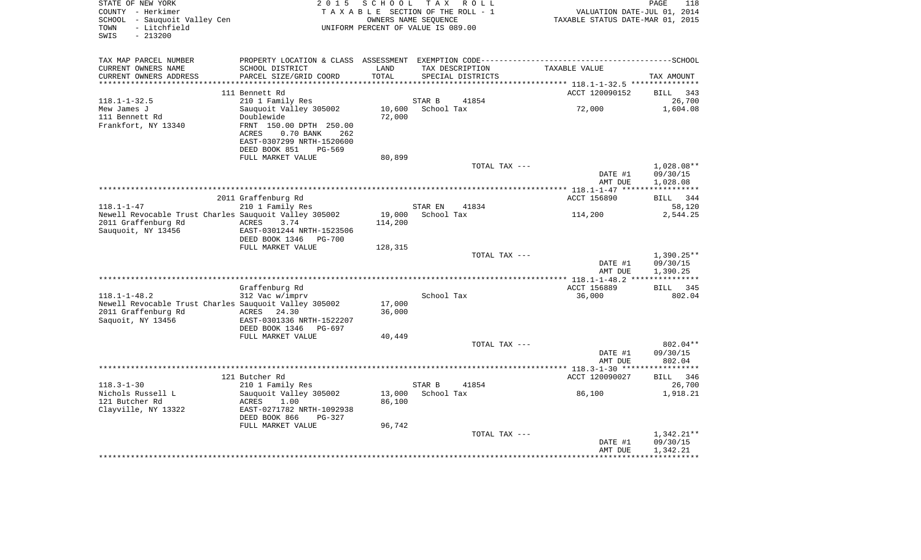| STATE OF NEW YORK<br>COUNTY - Herkimer<br>SCHOOL - Sauquoit Valley Cen<br>- Litchfield<br>TOWN<br>$-213200$<br>SWIS | 2 0 1 5                                                | S C H O O L      | T A X<br>R O L L<br>TAXABLE SECTION OF THE ROLL - 1<br>OWNERS NAME SEOUENCE<br>UNIFORM PERCENT OF VALUE IS 089.00 | VALUATION DATE-JUL 01, 2014<br>TAXABLE STATUS DATE-MAR 01, 2015 | PAGE<br>118        |
|---------------------------------------------------------------------------------------------------------------------|--------------------------------------------------------|------------------|-------------------------------------------------------------------------------------------------------------------|-----------------------------------------------------------------|--------------------|
| TAX MAP PARCEL NUMBER                                                                                               | PROPERTY LOCATION & CLASS ASSESSMENT                   |                  |                                                                                                                   |                                                                 |                    |
| CURRENT OWNERS NAME                                                                                                 | SCHOOL DISTRICT                                        | LAND             | TAX DESCRIPTION                                                                                                   | TAXABLE VALUE                                                   |                    |
| CURRENT OWNERS ADDRESS<br>*************************                                                                 | PARCEL SIZE/GRID COORD                                 | TOTAL            | SPECIAL DISTRICTS                                                                                                 |                                                                 | TAX AMOUNT         |
|                                                                                                                     | 111 Bennett Rd                                         |                  |                                                                                                                   | ACCT 120090152                                                  | 343<br>BILL        |
| $118.1 - 1 - 32.5$                                                                                                  | 210 1 Family Res                                       |                  | STAR B<br>41854                                                                                                   |                                                                 | 26,700             |
| Mew James J                                                                                                         | Sauquoit Valley 305002                                 | 10,600           | School Tax                                                                                                        | 72,000                                                          | 1,604.08           |
| 111 Bennett Rd                                                                                                      | Doublewide                                             | 72,000           |                                                                                                                   |                                                                 |                    |
| Frankfort, NY 13340                                                                                                 | FRNT 150.00 DPTH 250.00                                |                  |                                                                                                                   |                                                                 |                    |
|                                                                                                                     | ACRES<br>0.70 BANK<br>262<br>EAST-0307299 NRTH-1520600 |                  |                                                                                                                   |                                                                 |                    |
|                                                                                                                     | PG-569<br>DEED BOOK 851                                |                  |                                                                                                                   |                                                                 |                    |
|                                                                                                                     | FULL MARKET VALUE                                      | 80,899           |                                                                                                                   |                                                                 |                    |
|                                                                                                                     |                                                        |                  | TOTAL TAX ---                                                                                                     |                                                                 | $1,028.08**$       |
|                                                                                                                     |                                                        |                  |                                                                                                                   | DATE #1                                                         | 09/30/15           |
|                                                                                                                     |                                                        |                  |                                                                                                                   | AMT DUE                                                         | 1,028.08           |
|                                                                                                                     | 2011 Graffenburg Rd                                    |                  |                                                                                                                   | ACCT 156890                                                     | BILL<br>344        |
| $118.1 - 1 - 47$                                                                                                    | 210 1 Family Res                                       |                  | STAR EN<br>41834                                                                                                  |                                                                 | 58,120             |
| Newell Revocable Trust Charles Sauguoit Valley 305002                                                               |                                                        | 19,000           | School Tax                                                                                                        | 114,200                                                         | 2,544.25           |
| 2011 Graffenburg Rd                                                                                                 | ACRES<br>3.74                                          | 114,200          |                                                                                                                   |                                                                 |                    |
| Sauquoit, NY 13456                                                                                                  | EAST-0301244 NRTH-1523506                              |                  |                                                                                                                   |                                                                 |                    |
|                                                                                                                     | DEED BOOK 1346<br><b>PG-700</b>                        |                  |                                                                                                                   |                                                                 |                    |
|                                                                                                                     | FULL MARKET VALUE                                      | 128,315          | TOTAL TAX ---                                                                                                     |                                                                 | $1,390.25**$       |
|                                                                                                                     |                                                        |                  |                                                                                                                   | DATE #1                                                         | 09/30/15           |
|                                                                                                                     |                                                        |                  |                                                                                                                   | AMT DUE                                                         | 1,390.25           |
|                                                                                                                     |                                                        |                  |                                                                                                                   |                                                                 |                    |
|                                                                                                                     | Graffenburg Rd                                         |                  |                                                                                                                   | ACCT 156889                                                     | <b>BILL</b><br>345 |
| $118.1 - 1 - 48.2$                                                                                                  | 312 Vac w/imprv                                        |                  | School Tax                                                                                                        | 36,000                                                          | 802.04             |
| Newell Revocable Trust Charles Sauquoit Valley 305002<br>2011 Graffenburg Rd                                        | ACRES<br>24.30                                         | 17,000<br>36,000 |                                                                                                                   |                                                                 |                    |
| Saquoit, NY 13456                                                                                                   | EAST-0301336 NRTH-1522207                              |                  |                                                                                                                   |                                                                 |                    |
|                                                                                                                     | DEED BOOK 1346<br>PG-697                               |                  |                                                                                                                   |                                                                 |                    |
|                                                                                                                     | FULL MARKET VALUE                                      | 40,449           |                                                                                                                   |                                                                 |                    |
|                                                                                                                     |                                                        |                  | TOTAL TAX ---                                                                                                     |                                                                 | 802.04**           |
|                                                                                                                     |                                                        |                  |                                                                                                                   | DATE #1                                                         | 09/30/15           |
|                                                                                                                     |                                                        |                  |                                                                                                                   | AMT DUE                                                         | 802.04             |
|                                                                                                                     | 121 Butcher Rd                                         |                  |                                                                                                                   | ACCT 120090027                                                  | <b>BILL</b><br>346 |
| $118.3 - 1 - 30$                                                                                                    | 210 1 Family Res                                       |                  | STAR B<br>41854                                                                                                   |                                                                 | 26,700             |
| Nichols Russell L                                                                                                   | Sauquoit Valley 305002                                 | 13,000           | School Tax                                                                                                        | 86,100                                                          | 1,918.21           |
| 121 Butcher Rd                                                                                                      | ACRES<br>1.00                                          | 86,100           |                                                                                                                   |                                                                 |                    |
| Clayville, NY 13322                                                                                                 | EAST-0271782 NRTH-1092938                              |                  |                                                                                                                   |                                                                 |                    |
|                                                                                                                     | DEED BOOK 866<br>PG-327<br>FULL MARKET VALUE           |                  |                                                                                                                   |                                                                 |                    |
|                                                                                                                     |                                                        | 96,742           | TOTAL TAX ---                                                                                                     |                                                                 | $1,342.21**$       |
|                                                                                                                     |                                                        |                  |                                                                                                                   | DATE #1                                                         | 09/30/15           |
|                                                                                                                     |                                                        |                  |                                                                                                                   | AMT DUE                                                         | 1,342.21           |
|                                                                                                                     |                                                        |                  |                                                                                                                   |                                                                 |                    |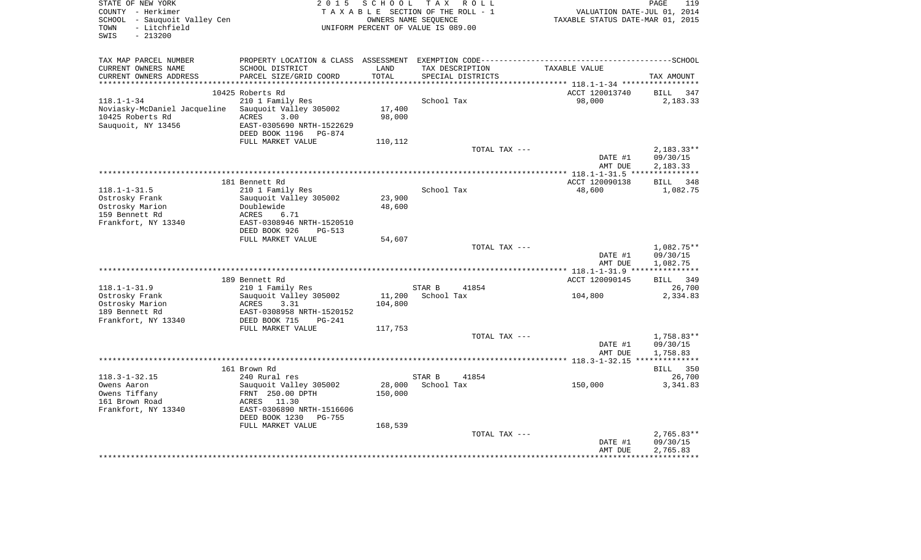| STATE OF NEW YORK<br>COUNTY - Herkimer<br>SCHOOL - Sauquoit Valley Cen<br>- Litchfield<br>TOWN<br>$-213200$<br>SWIS | 2 0 1 5                                        | SCHOOL  | T A X<br>R O L L<br>TAXABLE SECTION OF THE ROLL - 1<br>OWNERS NAME SEOUENCE<br>UNIFORM PERCENT OF VALUE IS 089.00 | VALUATION DATE-JUL 01, 2014<br>TAXABLE STATUS DATE-MAR 01, 2015 | PAGE<br>119             |
|---------------------------------------------------------------------------------------------------------------------|------------------------------------------------|---------|-------------------------------------------------------------------------------------------------------------------|-----------------------------------------------------------------|-------------------------|
| TAX MAP PARCEL NUMBER                                                                                               |                                                |         |                                                                                                                   |                                                                 |                         |
| CURRENT OWNERS NAME                                                                                                 | SCHOOL DISTRICT                                | LAND    | TAX DESCRIPTION                                                                                                   | TAXABLE VALUE                                                   |                         |
| CURRENT OWNERS ADDRESS                                                                                              | PARCEL SIZE/GRID COORD                         | TOTAL   | SPECIAL DISTRICTS                                                                                                 |                                                                 | TAX AMOUNT              |
|                                                                                                                     |                                                |         |                                                                                                                   |                                                                 |                         |
| $118.1 - 1 - 34$                                                                                                    | 10425 Roberts Rd<br>210 1 Family Res           |         | School Tax                                                                                                        | ACCT 120013740<br>98,000                                        | BILL<br>347<br>2,183.33 |
| Noviasky-McDaniel Jacqueline                                                                                        | Sauquoit Valley 305002                         | 17,400  |                                                                                                                   |                                                                 |                         |
| 10425 Roberts Rd                                                                                                    | ACRES<br>3.00                                  | 98,000  |                                                                                                                   |                                                                 |                         |
| Sauquoit, NY 13456                                                                                                  | EAST-0305690 NRTH-1522629                      |         |                                                                                                                   |                                                                 |                         |
|                                                                                                                     | DEED BOOK 1196<br>PG-874                       |         |                                                                                                                   |                                                                 |                         |
|                                                                                                                     | FULL MARKET VALUE                              | 110,112 |                                                                                                                   |                                                                 |                         |
|                                                                                                                     |                                                |         | TOTAL TAX ---                                                                                                     |                                                                 | $2,183.33**$            |
|                                                                                                                     |                                                |         |                                                                                                                   | DATE #1                                                         | 09/30/15                |
|                                                                                                                     |                                                |         |                                                                                                                   | AMT DUE                                                         | 2,183.33                |
|                                                                                                                     | 181 Bennett Rd                                 |         |                                                                                                                   | ACCT 120090138                                                  | BILL<br>348             |
| $118.1 - 1 - 31.5$                                                                                                  | 210 1 Family Res                               |         | School Tax                                                                                                        | 48,600                                                          | 1,082.75                |
| Ostrosky Frank                                                                                                      | Sauquoit Valley 305002                         | 23,900  |                                                                                                                   |                                                                 |                         |
| Ostrosky Marion                                                                                                     | Doublewide                                     | 48,600  |                                                                                                                   |                                                                 |                         |
| 159 Bennett Rd                                                                                                      | 6.71<br>ACRES                                  |         |                                                                                                                   |                                                                 |                         |
| Frankfort, NY 13340                                                                                                 | EAST-0308946 NRTH-1520510                      |         |                                                                                                                   |                                                                 |                         |
|                                                                                                                     | DEED BOOK 926<br><b>PG-513</b>                 |         |                                                                                                                   |                                                                 |                         |
|                                                                                                                     | FULL MARKET VALUE                              | 54,607  |                                                                                                                   |                                                                 |                         |
|                                                                                                                     |                                                |         | TOTAL TAX ---                                                                                                     | DATE #1                                                         | 1,082.75**<br>09/30/15  |
|                                                                                                                     |                                                |         |                                                                                                                   | AMT DUE                                                         | 1,082.75                |
|                                                                                                                     |                                                |         |                                                                                                                   | *********** 118.1-1-31.9 **:                                    | ***********             |
|                                                                                                                     | 189 Bennett Rd                                 |         |                                                                                                                   | ACCT 120090145                                                  | BILL 349                |
| $118.1 - 1 - 31.9$                                                                                                  | 210 1 Family Res                               |         | STAR B<br>41854                                                                                                   |                                                                 | 26,700                  |
| Ostrosky Frank                                                                                                      | Sauquoit Valley 305002                         | 11,200  | School Tax                                                                                                        | 104,800                                                         | 2,334.83                |
| Ostrosky Marion                                                                                                     | ACRES<br>3.31                                  | 104,800 |                                                                                                                   |                                                                 |                         |
| 189 Bennett Rd                                                                                                      | EAST-0308958 NRTH-1520152                      |         |                                                                                                                   |                                                                 |                         |
| Frankfort, NY 13340                                                                                                 | DEED BOOK 715<br>$PG-241$<br>FULL MARKET VALUE | 117,753 |                                                                                                                   |                                                                 |                         |
|                                                                                                                     |                                                |         | TOTAL TAX ---                                                                                                     |                                                                 | 1,758.83**              |
|                                                                                                                     |                                                |         |                                                                                                                   | DATE #1                                                         | 09/30/15                |
|                                                                                                                     |                                                |         |                                                                                                                   | AMT DUE                                                         | 1,758.83                |
|                                                                                                                     |                                                |         |                                                                                                                   |                                                                 |                         |
|                                                                                                                     | 161 Brown Rd                                   |         |                                                                                                                   |                                                                 | <b>BILL</b><br>350      |
| $118.3 - 1 - 32.15$                                                                                                 | 240 Rural res                                  |         | STAR B<br>41854                                                                                                   |                                                                 | 26,700                  |
| Owens Aaron                                                                                                         | Sauquoit Valley 305002                         | 28,000  | School Tax                                                                                                        | 150,000                                                         | 3,341.83                |
| Owens Tiffany                                                                                                       | FRNT 250.00 DPTH                               | 150,000 |                                                                                                                   |                                                                 |                         |
| 161 Brown Road<br>Frankfort, NY 13340                                                                               | ACRES 11.30<br>EAST-0306890 NRTH-1516606       |         |                                                                                                                   |                                                                 |                         |
|                                                                                                                     | DEED BOOK 1230<br><b>PG-755</b>                |         |                                                                                                                   |                                                                 |                         |
|                                                                                                                     | FULL MARKET VALUE                              | 168,539 |                                                                                                                   |                                                                 |                         |
|                                                                                                                     |                                                |         | TOTAL TAX ---                                                                                                     |                                                                 | $2,765.83**$            |
|                                                                                                                     |                                                |         |                                                                                                                   | DATE #1                                                         | 09/30/15                |
|                                                                                                                     |                                                |         |                                                                                                                   | AMT DUE                                                         | 2,765.83                |
|                                                                                                                     |                                                |         |                                                                                                                   |                                                                 |                         |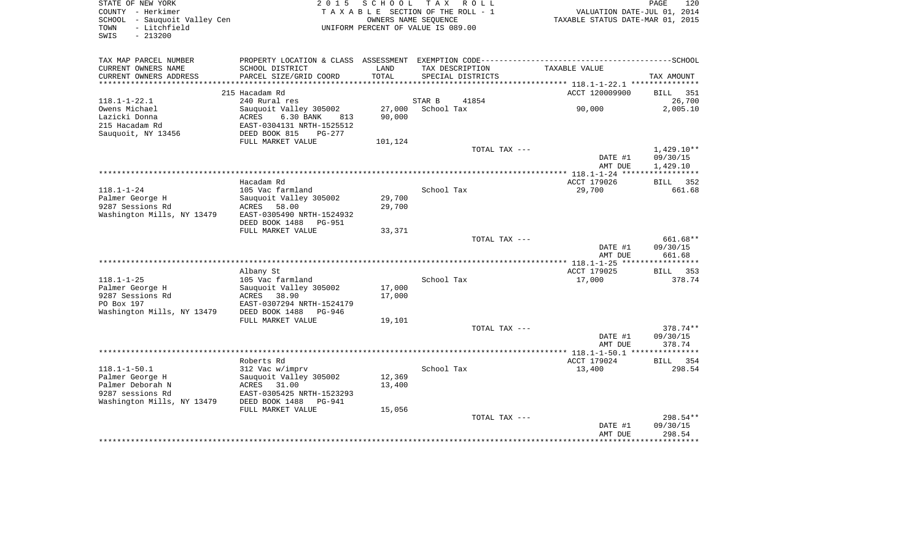| STATE OF NEW YORK<br>COUNTY - Herkimer<br>SCHOOL - Sauquoit Valley Cen | 2 0 1 5                                                                   | SCHOOL  | TAX ROLL<br>TAXABLE SECTION OF THE ROLL - 1<br>OWNERS NAME SEOUENCE | VALUATION DATE-JUL 01, 2014<br>TAXABLE STATUS DATE-MAR 01, 2015 | PAGE<br>120           |
|------------------------------------------------------------------------|---------------------------------------------------------------------------|---------|---------------------------------------------------------------------|-----------------------------------------------------------------|-----------------------|
| - Litchfield<br>TOWN<br>$-213200$<br>SWIS                              |                                                                           |         | UNIFORM PERCENT OF VALUE IS 089.00                                  |                                                                 |                       |
| TAX MAP PARCEL NUMBER                                                  | PROPERTY LOCATION & CLASS ASSESSMENT EXEMPTION CODE---------------------- |         |                                                                     |                                                                 | ---------------SCHOOL |
| CURRENT OWNERS NAME                                                    | SCHOOL DISTRICT                                                           | LAND    | TAX DESCRIPTION                                                     | TAXABLE VALUE                                                   |                       |
| CURRENT OWNERS ADDRESS<br>*******************                          | PARCEL SIZE/GRID COORD                                                    | TOTAL   | SPECIAL DISTRICTS                                                   |                                                                 | TAX AMOUNT            |
|                                                                        | 215 Hacadam Rd                                                            |         |                                                                     | ACCT 120009900                                                  | <b>BILL</b><br>351    |
| $118.1 - 1 - 22.1$                                                     | 240 Rural res                                                             |         | STAR B<br>41854                                                     |                                                                 | 26,700                |
| Owens Michael                                                          | Sauquoit Valley 305002                                                    | 27,000  | School Tax                                                          | 90,000                                                          | 2,005.10              |
| Lazicki Donna                                                          | ACRES<br>6.30 BANK<br>813                                                 | 90,000  |                                                                     |                                                                 |                       |
| 215 Hacadam Rd                                                         | EAST-0304131 NRTH-1525512                                                 |         |                                                                     |                                                                 |                       |
| Sauquoit, NY 13456                                                     | DEED BOOK 815<br>$PG-277$                                                 |         |                                                                     |                                                                 |                       |
|                                                                        | FULL MARKET VALUE                                                         | 101,124 |                                                                     |                                                                 |                       |
|                                                                        |                                                                           |         | TOTAL TAX ---                                                       |                                                                 | $1,429.10**$          |
|                                                                        |                                                                           |         |                                                                     | DATE #1<br>AMT DUE                                              | 09/30/15<br>1,429.10  |
|                                                                        | Hacadam Rd                                                                |         |                                                                     | ACCT 179026                                                     | BILL 352              |
| $118.1 - 1 - 24$                                                       | 105 Vac farmland                                                          |         | School Tax                                                          | 29,700                                                          | 661.68                |
| Palmer George H                                                        | Sauquoit Valley 305002                                                    | 29,700  |                                                                     |                                                                 |                       |
| 9287 Sessions Rd                                                       | ACRES 58.00                                                               | 29,700  |                                                                     |                                                                 |                       |
| Washington Mills, NY 13479                                             | EAST-0305490 NRTH-1524932                                                 |         |                                                                     |                                                                 |                       |
|                                                                        | DEED BOOK 1488<br><b>PG-951</b>                                           |         |                                                                     |                                                                 |                       |
|                                                                        | FULL MARKET VALUE                                                         | 33,371  |                                                                     |                                                                 |                       |
|                                                                        |                                                                           |         | TOTAL TAX ---                                                       |                                                                 | 661.68**              |
|                                                                        |                                                                           |         |                                                                     | DATE #1<br>AMT DUE                                              | 09/30/15<br>661.68    |
|                                                                        |                                                                           |         |                                                                     |                                                                 |                       |
|                                                                        | Albany St                                                                 |         |                                                                     | ACCT 179025                                                     | BILL 353              |
| $118.1 - 1 - 25$                                                       | 105 Vac farmland                                                          |         | School Tax                                                          | 17,000                                                          | 378.74                |
| Palmer George H                                                        | Sauquoit Valley 305002                                                    | 17,000  |                                                                     |                                                                 |                       |
| 9287 Sessions Rd                                                       | ACRES 38.90                                                               | 17,000  |                                                                     |                                                                 |                       |
| PO Box 197                                                             | EAST-0307294 NRTH-1524179                                                 |         |                                                                     |                                                                 |                       |
| Washington Mills, NY 13479                                             | DEED BOOK 1488<br>PG-946                                                  |         |                                                                     |                                                                 |                       |
|                                                                        | FULL MARKET VALUE                                                         | 19,101  | TOTAL TAX ---                                                       |                                                                 | 378.74**              |
|                                                                        |                                                                           |         |                                                                     | DATE #1                                                         | 09/30/15              |
|                                                                        |                                                                           |         |                                                                     | AMT DUE                                                         | 378.74                |
|                                                                        |                                                                           |         |                                                                     |                                                                 |                       |
|                                                                        | Roberts Rd                                                                |         |                                                                     | ACCT 179024                                                     | BILL 354              |
| $118.1 - 1 - 50.1$                                                     | 312 Vac w/imprv                                                           |         | School Tax                                                          | 13,400                                                          | 298.54                |
| Palmer George H                                                        | Sauquoit Valley 305002                                                    | 12,369  |                                                                     |                                                                 |                       |
| Palmer Deborah N                                                       | ACRES 31.00                                                               | 13,400  |                                                                     |                                                                 |                       |
| 9287 sessions Rd                                                       | EAST-0305425 NRTH-1523293                                                 |         |                                                                     |                                                                 |                       |
| Washington Mills, NY 13479                                             | DEED BOOK 1488<br>PG-941<br>FULL MARKET VALUE                             | 15,056  |                                                                     |                                                                 |                       |
|                                                                        |                                                                           |         | TOTAL TAX ---                                                       |                                                                 | 298.54**              |
|                                                                        |                                                                           |         |                                                                     | DATE #1                                                         | 09/30/15              |
|                                                                        |                                                                           |         |                                                                     | AMT DUE                                                         | 298.54                |
|                                                                        |                                                                           |         |                                                                     |                                                                 |                       |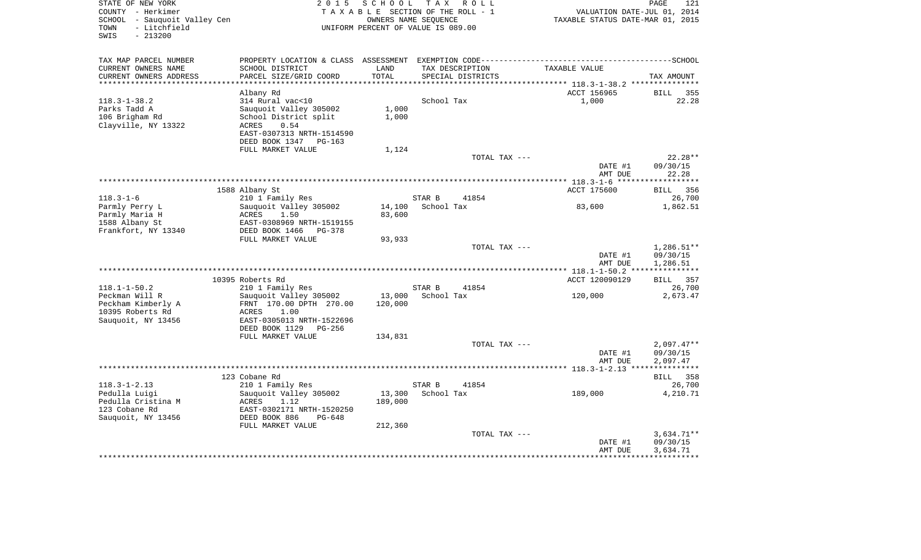| STATE OF NEW YORK<br>COUNTY - Herkimer<br>SCHOOL - Sauquoit Valley Cen<br>TOWN<br>- Litchfield<br>SWIS<br>$-213200$ | 2 0 1 5                                                                                      | SCHOOL TAX ROLL<br>TAXABLE SECTION OF THE ROLL - 1<br>OWNERS NAME SEOUENCE<br>UNIFORM PERCENT OF VALUE IS 089.00 |                      |                   | VALUATION DATE-JUL 01, 2014<br>TAXABLE STATUS DATE-MAR 01, 2015 | PAGE<br>121        |
|---------------------------------------------------------------------------------------------------------------------|----------------------------------------------------------------------------------------------|------------------------------------------------------------------------------------------------------------------|----------------------|-------------------|-----------------------------------------------------------------|--------------------|
| TAX MAP PARCEL NUMBER                                                                                               | PROPERTY LOCATION & CLASS ASSESSMENT EXEMPTION CODE-----------------------------------SCHOOL |                                                                                                                  |                      |                   |                                                                 |                    |
| CURRENT OWNERS NAME                                                                                                 | SCHOOL DISTRICT                                                                              | LAND                                                                                                             |                      | TAX DESCRIPTION   | TAXABLE VALUE                                                   |                    |
| CURRENT OWNERS ADDRESS                                                                                              | PARCEL SIZE/GRID COORD                                                                       | TOTAL                                                                                                            |                      | SPECIAL DISTRICTS |                                                                 | TAX AMOUNT         |
| ***********************                                                                                             |                                                                                              |                                                                                                                  |                      |                   |                                                                 |                    |
|                                                                                                                     | Albany Rd                                                                                    |                                                                                                                  |                      |                   | ACCT 156965                                                     | BILL<br>355        |
| 118.3-1-38.2<br>Parks Tadd A                                                                                        | 314 Rural vac<10<br>Sauquoit Valley 305002                                                   | 1,000                                                                                                            | School Tax           |                   | 1,000                                                           | 22.28              |
| 106 Brigham Rd                                                                                                      | School District split                                                                        | 1,000                                                                                                            |                      |                   |                                                                 |                    |
| Clayville, NY 13322                                                                                                 | 0.54<br>ACRES                                                                                |                                                                                                                  |                      |                   |                                                                 |                    |
|                                                                                                                     | EAST-0307313 NRTH-1514590                                                                    |                                                                                                                  |                      |                   |                                                                 |                    |
|                                                                                                                     | DEED BOOK 1347 PG-163                                                                        |                                                                                                                  |                      |                   |                                                                 |                    |
|                                                                                                                     | FULL MARKET VALUE                                                                            | 1,124                                                                                                            |                      |                   |                                                                 |                    |
|                                                                                                                     |                                                                                              |                                                                                                                  |                      | TOTAL TAX ---     |                                                                 | $22.28**$          |
|                                                                                                                     |                                                                                              |                                                                                                                  |                      |                   | DATE #1<br>AMT DUE                                              | 09/30/15<br>22.28  |
|                                                                                                                     |                                                                                              |                                                                                                                  |                      |                   |                                                                 |                    |
|                                                                                                                     | 1588 Albany St                                                                               |                                                                                                                  |                      |                   | ACCT 175600                                                     | BILL 356           |
| 118.3-1-6<br>Parmly Perry L                                                                                         | 210 1 Family Res<br>Sauquoit Valley 305002                                                   | 14,100                                                                                                           | STAR B<br>School Tax | 41854             | 83,600                                                          | 26,700<br>1,862.51 |
| Parmly Maria H                                                                                                      | ACRES<br>1.50                                                                                | 83,600                                                                                                           |                      |                   |                                                                 |                    |
| 1588 Albany St                                                                                                      | EAST-0308969 NRTH-1519155                                                                    |                                                                                                                  |                      |                   |                                                                 |                    |
| Frankfort, NY 13340                                                                                                 | DEED BOOK 1466<br>PG-378                                                                     |                                                                                                                  |                      |                   |                                                                 |                    |
|                                                                                                                     | FULL MARKET VALUE                                                                            | 93,933                                                                                                           |                      |                   |                                                                 |                    |
|                                                                                                                     |                                                                                              |                                                                                                                  |                      | TOTAL TAX ---     |                                                                 | $1,286.51**$       |
|                                                                                                                     |                                                                                              |                                                                                                                  |                      |                   | DATE #1                                                         | 09/30/15           |
|                                                                                                                     |                                                                                              |                                                                                                                  |                      |                   | AMT DUE                                                         | 1,286.51           |
|                                                                                                                     |                                                                                              |                                                                                                                  |                      |                   |                                                                 |                    |
| 118.1-1-50.2                                                                                                        | 10395 Roberts Rd<br>210 1 Family Res                                                         |                                                                                                                  | STAR B               | 41854             | ACCT 120090129                                                  | BILL 357<br>26,700 |
| Peckman Will R                                                                                                      | Sauquoit Valley 305002                                                                       | 13,000                                                                                                           | School Tax           |                   | 120,000                                                         | 2,673.47           |
| Peckham Kimberly A                                                                                                  | FRNT 170.00 DPTH 270.00                                                                      | 120,000                                                                                                          |                      |                   |                                                                 |                    |
| 10395 Roberts Rd                                                                                                    | ACRES<br>1.00                                                                                |                                                                                                                  |                      |                   |                                                                 |                    |
| Sauquoit, NY 13456                                                                                                  | EAST-0305013 NRTH-1522696                                                                    |                                                                                                                  |                      |                   |                                                                 |                    |
|                                                                                                                     | DEED BOOK 1129<br>PG-256                                                                     |                                                                                                                  |                      |                   |                                                                 |                    |
|                                                                                                                     | FULL MARKET VALUE                                                                            | 134,831                                                                                                          |                      |                   |                                                                 |                    |
|                                                                                                                     |                                                                                              |                                                                                                                  |                      | TOTAL TAX ---     |                                                                 | $2,097.47**$       |
|                                                                                                                     |                                                                                              |                                                                                                                  |                      |                   | DATE #1                                                         | 09/30/15           |
|                                                                                                                     |                                                                                              |                                                                                                                  |                      |                   | AMT DUE                                                         | 2,097.47           |
|                                                                                                                     |                                                                                              |                                                                                                                  |                      |                   |                                                                 |                    |
| $118.3 - 1 - 2.13$                                                                                                  | 123 Cobane Rd<br>210 1 Family Res                                                            |                                                                                                                  | STAR B               | 41854             |                                                                 | BILL 358<br>26,700 |
| Pedulla Luigi                                                                                                       | Sauquoit Valley 305002                                                                       | 13,300                                                                                                           | School Tax           |                   | 189,000                                                         | 4,210.71           |
| Pedulla Cristina M                                                                                                  | ACRES<br>1.12                                                                                | 189,000                                                                                                          |                      |                   |                                                                 |                    |
| 123 Cobane Rd                                                                                                       | EAST-0302171 NRTH-1520250                                                                    |                                                                                                                  |                      |                   |                                                                 |                    |
| Sauquoit, NY 13456                                                                                                  | DEED BOOK 886<br>$PG-648$                                                                    |                                                                                                                  |                      |                   |                                                                 |                    |
|                                                                                                                     | FULL MARKET VALUE                                                                            | 212,360                                                                                                          |                      |                   |                                                                 |                    |
|                                                                                                                     |                                                                                              |                                                                                                                  |                      | TOTAL TAX ---     |                                                                 | $3,634.71**$       |
|                                                                                                                     |                                                                                              |                                                                                                                  |                      |                   | DATE #1                                                         | 09/30/15           |
|                                                                                                                     |                                                                                              |                                                                                                                  |                      |                   | AMT DUE                                                         | 3,634.71           |
|                                                                                                                     |                                                                                              |                                                                                                                  |                      |                   |                                                                 |                    |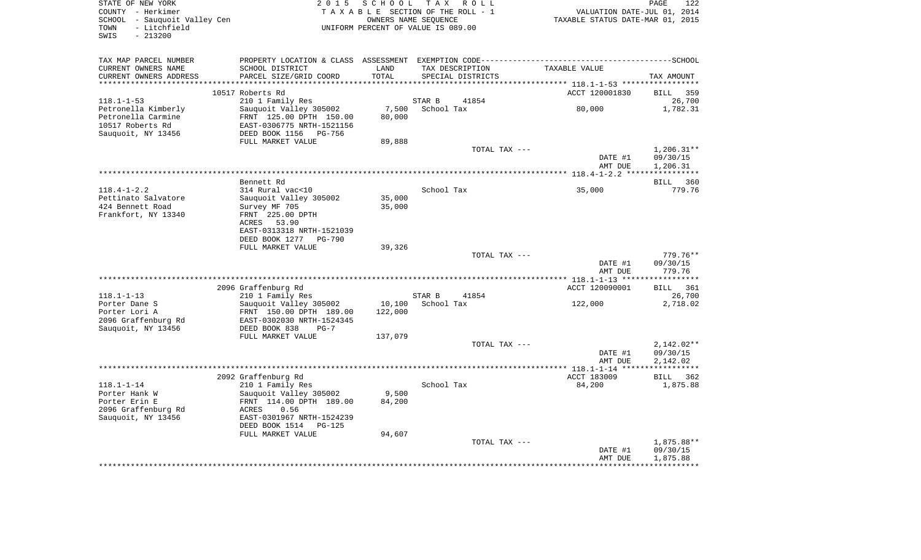| STATE OF NEW YORK<br>COUNTY - Herkimer<br>SCHOOL - Sauquoit Valley Cen<br>- Litchfield<br>TOWN<br>$-213200$<br>SWIS | 2 0 1 5                                                                                                                                                                         | SCHOOL<br>TAXABLE SECTION OF THE ROLL - 1<br>UNIFORM PERCENT OF VALUE IS 089.00 | OWNERS NAME SEOUENCE | TAX ROLL          | VALUATION DATE-JUL 01, 2014<br>TAXABLE STATUS DATE-MAR 01, 2015 | PAGE<br>122                          |
|---------------------------------------------------------------------------------------------------------------------|---------------------------------------------------------------------------------------------------------------------------------------------------------------------------------|---------------------------------------------------------------------------------|----------------------|-------------------|-----------------------------------------------------------------|--------------------------------------|
| TAX MAP PARCEL NUMBER<br>CURRENT OWNERS NAME<br>CURRENT OWNERS ADDRESS<br>***********************                   | SCHOOL DISTRICT<br>PARCEL SIZE/GRID COORD                                                                                                                                       | LAND<br>TOTAL                                                                   | TAX DESCRIPTION      | SPECIAL DISTRICTS | TAXABLE VALUE                                                   | TAX AMOUNT                           |
|                                                                                                                     | 10517 Roberts Rd                                                                                                                                                                |                                                                                 |                      |                   | ACCT 120001830                                                  | <b>BILL</b><br>359                   |
| $118.1 - 1 - 53$<br>Petronella Kimberly<br>Petronella Carmine<br>10517 Roberts Rd<br>Sauquoit, NY 13456             | 210 1 Family Res<br>Sauquoit Valley 305002<br>FRNT 125.00 DPTH 150.00<br>EAST-0306775 NRTH-1521156<br>DEED BOOK 1156<br>PG-756                                                  | 7,500<br>80,000                                                                 | STAR B<br>School Tax | 41854             | 80,000                                                          | 26,700<br>1,782.31                   |
|                                                                                                                     | FULL MARKET VALUE                                                                                                                                                               | 89,888                                                                          |                      | TOTAL TAX ---     | DATE #1<br>AMT DUE                                              | $1,206.31**$<br>09/30/15<br>1,206.31 |
|                                                                                                                     |                                                                                                                                                                                 |                                                                                 |                      |                   |                                                                 |                                      |
| $118.4 - 1 - 2.2$<br>Pettinato Salvatore<br>424 Bennett Road<br>Frankfort, NY 13340                                 | Bennett Rd<br>314 Rural vac<10<br>Sauquoit Valley 305002<br>Survey MF 705<br>FRNT 225.00 DPTH<br>53.90<br>ACRES<br>EAST-0313318 NRTH-1521039<br>DEED BOOK 1277<br><b>PG-790</b> | 35,000<br>35,000                                                                | School Tax           |                   | 35,000                                                          | 360<br>BILL<br>779.76                |
|                                                                                                                     | FULL MARKET VALUE                                                                                                                                                               | 39,326                                                                          |                      |                   |                                                                 |                                      |
|                                                                                                                     |                                                                                                                                                                                 |                                                                                 |                      | TOTAL TAX ---     | DATE #1<br>AMT DUE                                              | $779.76**$<br>09/30/15<br>779.76     |
|                                                                                                                     | 2096 Graffenburg Rd                                                                                                                                                             |                                                                                 |                      |                   | ACCT 120090001                                                  | <b>BILL</b><br>361                   |
| $118.1 - 1 - 13$<br>Porter Dane S<br>Porter Lori A<br>2096 Graffenburg Rd<br>Sauquoit, NY 13456                     | 210 1 Family Res<br>Sauquoit Valley 305002<br>FRNT 150.00 DPTH 189.00<br>EAST-0302030 NRTH-1524345<br>DEED BOOK 838<br>$PG-7$<br>FULL MARKET VALUE                              | 10,100<br>122,000<br>137,079                                                    | STAR B<br>School Tax | 41854             | 122,000                                                         | 26,700<br>2,718.02                   |
|                                                                                                                     |                                                                                                                                                                                 |                                                                                 |                      | TOTAL TAX ---     | DATE #1                                                         | $2,142.02**$<br>09/30/15             |
|                                                                                                                     |                                                                                                                                                                                 |                                                                                 |                      |                   | AMT DUE                                                         | 2,142.02<br>************             |
| $118.1 - 1 - 14$<br>Porter Hank W<br>Porter Erin E<br>2096 Graffenburg Rd<br>Sauguoit, NY 13456                     | 2092 Graffenburg Rd<br>210 1 Family Res<br>Sauquoit Valley 305002<br>FRNT 114.00 DPTH 189.00<br>0.56<br>ACRES<br>EAST-0301967 NRTH-1524239<br>DEED BOOK 1514<br>PG-125          | 9,500<br>84,200                                                                 | School Tax           |                   | ACCT 183009<br>84,200                                           | <b>BILL</b><br>362<br>1,875.88       |
|                                                                                                                     | FULL MARKET VALUE                                                                                                                                                               | 94,607                                                                          |                      | TOTAL TAX ---     | DATE #1<br>AMT DUE                                              | 1,875.88**<br>09/30/15<br>1,875.88   |
|                                                                                                                     |                                                                                                                                                                                 |                                                                                 |                      |                   |                                                                 |                                      |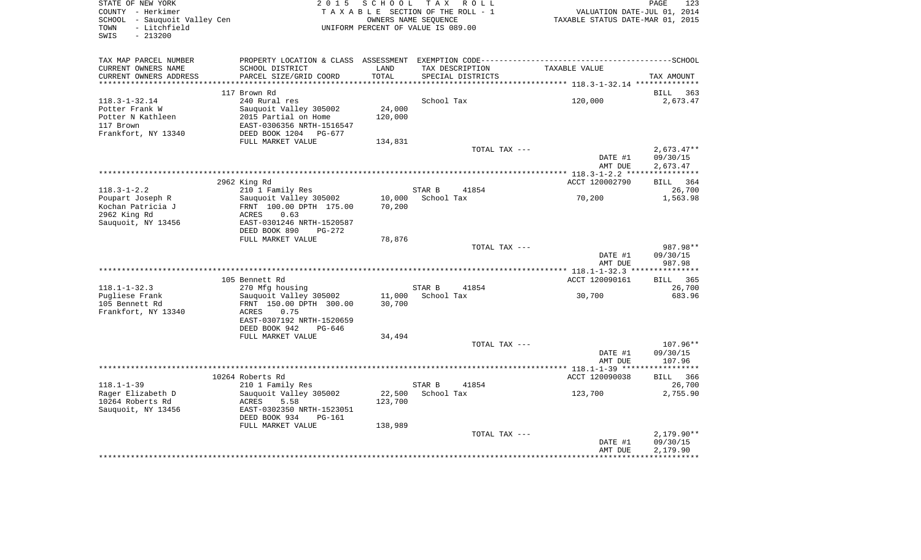| STATE OF NEW YORK<br>COUNTY - Herkimer<br>SCHOOL - Sauquoit Valley Cen<br>- Litchfield<br>TOWN<br>$-213200$<br>SWIS | 2 0 1 5                                    | SCHOOL        | TAX ROLL<br>TAXABLE SECTION OF THE ROLL - 1<br>OWNERS NAME SEOUENCE<br>UNIFORM PERCENT OF VALUE IS 089.00 | VALUATION DATE-JUL 01, 2014<br>TAXABLE STATUS DATE-MAR 01, 2015 | PAGE<br>123              |
|---------------------------------------------------------------------------------------------------------------------|--------------------------------------------|---------------|-----------------------------------------------------------------------------------------------------------|-----------------------------------------------------------------|--------------------------|
|                                                                                                                     |                                            |               |                                                                                                           |                                                                 |                          |
| TAX MAP PARCEL NUMBER                                                                                               |                                            |               |                                                                                                           |                                                                 |                          |
| CURRENT OWNERS NAME<br>CURRENT OWNERS ADDRESS                                                                       | SCHOOL DISTRICT<br>PARCEL SIZE/GRID COORD  | LAND<br>TOTAL | TAX DESCRIPTION<br>SPECIAL DISTRICTS                                                                      | TAXABLE VALUE                                                   | TAX AMOUNT               |
|                                                                                                                     |                                            |               |                                                                                                           |                                                                 |                          |
|                                                                                                                     | 117 Brown Rd                               |               |                                                                                                           |                                                                 | 363<br>BILL              |
| $118.3 - 1 - 32.14$                                                                                                 | 240 Rural res                              |               | School Tax                                                                                                | 120,000                                                         | 2,673.47                 |
| Potter Frank W                                                                                                      | Sauquoit Valley 305002                     | 24,000        |                                                                                                           |                                                                 |                          |
| Potter N Kathleen                                                                                                   | 2015 Partial on Home                       | 120,000       |                                                                                                           |                                                                 |                          |
| 117 Brown                                                                                                           | EAST-0306356 NRTH-1516547                  |               |                                                                                                           |                                                                 |                          |
| Frankfort, NY 13340                                                                                                 | DEED BOOK 1204 PG-677<br>FULL MARKET VALUE |               |                                                                                                           |                                                                 |                          |
|                                                                                                                     |                                            | 134,831       | TOTAL TAX ---                                                                                             |                                                                 | $2,673.47**$             |
|                                                                                                                     |                                            |               |                                                                                                           | DATE #1                                                         | 09/30/15                 |
|                                                                                                                     |                                            |               |                                                                                                           | AMT DUE                                                         | 2,673.47                 |
|                                                                                                                     |                                            |               |                                                                                                           |                                                                 |                          |
|                                                                                                                     | 2962 King Rd                               |               |                                                                                                           | ACCT 120002790                                                  | BILL<br>364              |
| $118.3 - 1 - 2.2$                                                                                                   | 210 1 Family Res                           |               | STAR B<br>41854                                                                                           |                                                                 | 26,700                   |
| Poupart Joseph R                                                                                                    | Sauquoit Valley 305002                     | 10,000        | School Tax                                                                                                | 70,200                                                          | 1,563.98                 |
| Kochan Patricia J<br>2962 King Rd                                                                                   | FRNT 100.00 DPTH 175.00<br>ACRES<br>0.63   | 70,200        |                                                                                                           |                                                                 |                          |
| Sauquoit, NY 13456                                                                                                  | EAST-0301246 NRTH-1520587                  |               |                                                                                                           |                                                                 |                          |
|                                                                                                                     | DEED BOOK 890<br>$PG-272$                  |               |                                                                                                           |                                                                 |                          |
|                                                                                                                     | FULL MARKET VALUE                          | 78,876        |                                                                                                           |                                                                 |                          |
|                                                                                                                     |                                            |               | TOTAL TAX ---                                                                                             |                                                                 | 987.98**                 |
|                                                                                                                     |                                            |               |                                                                                                           | DATE #1                                                         | 09/30/15                 |
|                                                                                                                     |                                            |               |                                                                                                           | AMT DUE                                                         | 987.98                   |
|                                                                                                                     |                                            |               |                                                                                                           |                                                                 |                          |
| $118.1 - 1 - 32.3$                                                                                                  | 105 Bennett Rd<br>270 Mfg housing          |               | STAR B<br>41854                                                                                           | ACCT 120090161                                                  | BILL 365<br>26,700       |
| Pugliese Frank                                                                                                      | Sauquoit Valley 305002                     | 11,000        | School Tax                                                                                                | 30,700                                                          | 683.96                   |
| 105 Bennett Rd                                                                                                      | FRNT 150.00 DPTH 300.00                    | 30,700        |                                                                                                           |                                                                 |                          |
| Frankfort, NY 13340                                                                                                 | <b>ACRES</b><br>0.75                       |               |                                                                                                           |                                                                 |                          |
|                                                                                                                     | EAST-0307192 NRTH-1520659                  |               |                                                                                                           |                                                                 |                          |
|                                                                                                                     | DEED BOOK 942<br>$PG-646$                  |               |                                                                                                           |                                                                 |                          |
|                                                                                                                     | FULL MARKET VALUE                          | 34,494        |                                                                                                           |                                                                 |                          |
|                                                                                                                     |                                            |               | TOTAL TAX ---                                                                                             |                                                                 | $107.96**$               |
|                                                                                                                     |                                            |               |                                                                                                           | DATE #1                                                         | 09/30/15                 |
|                                                                                                                     |                                            |               |                                                                                                           | AMT DUE                                                         | 107.96                   |
|                                                                                                                     | 10264 Roberts Rd                           |               |                                                                                                           | ACCT 120090038                                                  | 366<br>BILL              |
| $118.1 - 1 - 39$                                                                                                    | 210 1 Family Res                           |               | STAR B<br>41854                                                                                           |                                                                 | 26,700                   |
| Rager Elizabeth D                                                                                                   | Sauguoit Valley 305002                     | 22,500        | School Tax                                                                                                | 123,700                                                         | 2,755.90                 |
| 10264 Roberts Rd                                                                                                    | <b>ACRES</b><br>5.58                       | 123,700       |                                                                                                           |                                                                 |                          |
| Sauquoit, NY 13456                                                                                                  | EAST-0302350 NRTH-1523051                  |               |                                                                                                           |                                                                 |                          |
|                                                                                                                     | DEED BOOK 934<br>PG-161                    |               |                                                                                                           |                                                                 |                          |
|                                                                                                                     | FULL MARKET VALUE                          | 138,989       |                                                                                                           |                                                                 |                          |
|                                                                                                                     |                                            |               | TOTAL TAX ---                                                                                             | DATE #1                                                         | $2,179.90**$<br>09/30/15 |
|                                                                                                                     |                                            |               |                                                                                                           | AMT DUE                                                         | 2,179.90                 |
|                                                                                                                     |                                            |               |                                                                                                           |                                                                 |                          |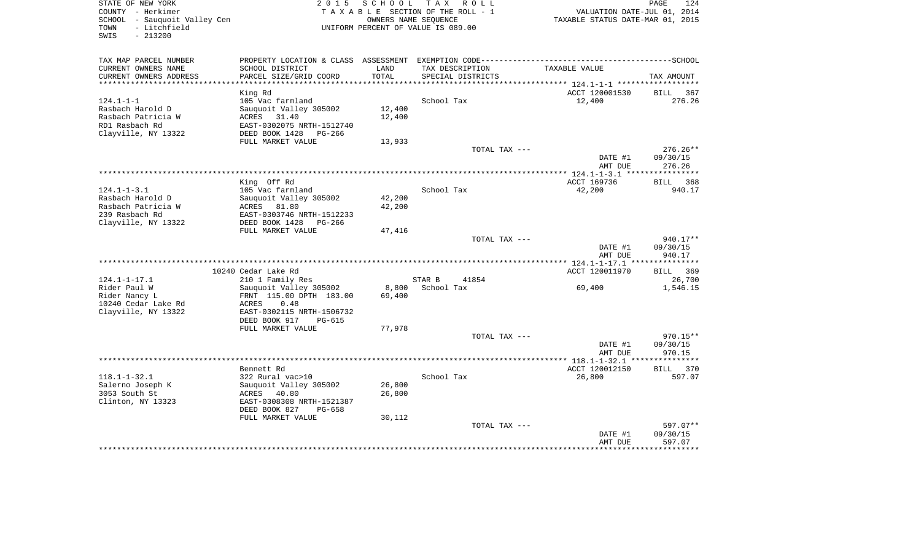| PROPERTY LOCATION & CLASS ASSESSMENT EXEMPTION CODE-----------------------------------SCHOOL<br>TAX MAP PARCEL NUMBER<br>CURRENT OWNERS NAME<br>SCHOOL DISTRICT<br>LAND<br>TAX DESCRIPTION<br>TOTAL<br>CURRENT OWNERS ADDRESS<br>PARCEL SIZE/GRID COORD<br>SPECIAL DISTRICTS<br>King Rd<br>124.1-1-1<br>School Tax<br>105 Vac farmland<br>12,400<br>Rasbach Harold D<br>Sauquoit Valley 305002<br>Rasbach Patricia W<br>ACRES<br>31.40<br>12,400 | TAXABLE VALUE<br>ACCT 120001530<br>12,400 | TAX AMOUNT<br>BILL 367 |
|--------------------------------------------------------------------------------------------------------------------------------------------------------------------------------------------------------------------------------------------------------------------------------------------------------------------------------------------------------------------------------------------------------------------------------------------------|-------------------------------------------|------------------------|
|                                                                                                                                                                                                                                                                                                                                                                                                                                                  |                                           |                        |
|                                                                                                                                                                                                                                                                                                                                                                                                                                                  |                                           |                        |
|                                                                                                                                                                                                                                                                                                                                                                                                                                                  |                                           |                        |
|                                                                                                                                                                                                                                                                                                                                                                                                                                                  |                                           |                        |
|                                                                                                                                                                                                                                                                                                                                                                                                                                                  |                                           | 276.26                 |
|                                                                                                                                                                                                                                                                                                                                                                                                                                                  |                                           |                        |
|                                                                                                                                                                                                                                                                                                                                                                                                                                                  |                                           |                        |
| EAST-0302075 NRTH-1512740<br>RD1 Rasbach Rd                                                                                                                                                                                                                                                                                                                                                                                                      |                                           |                        |
| Clayville, NY 13322<br>DEED BOOK 1428<br>PG-266                                                                                                                                                                                                                                                                                                                                                                                                  |                                           |                        |
| FULL MARKET VALUE<br>13,933                                                                                                                                                                                                                                                                                                                                                                                                                      |                                           |                        |
| TOTAL TAX ---                                                                                                                                                                                                                                                                                                                                                                                                                                    |                                           | $276.26**$             |
|                                                                                                                                                                                                                                                                                                                                                                                                                                                  | DATE #1                                   | 09/30/15               |
|                                                                                                                                                                                                                                                                                                                                                                                                                                                  | AMT DUE                                   | 276.26                 |
|                                                                                                                                                                                                                                                                                                                                                                                                                                                  |                                           |                        |
| King Off Rd                                                                                                                                                                                                                                                                                                                                                                                                                                      | ACCT 169736                               | BILL 368               |
| $124.1 - 1 - 3.1$<br>School Tax<br>105 Vac farmland                                                                                                                                                                                                                                                                                                                                                                                              | 42,200                                    | 940.17                 |
| Rasbach Harold D<br>42,200<br>Sauquoit Valley 305002                                                                                                                                                                                                                                                                                                                                                                                             |                                           |                        |
| 42,200<br>Rasbach Patricia W<br>81.80<br>ACRES                                                                                                                                                                                                                                                                                                                                                                                                   |                                           |                        |
| 239 Rasbach Rd<br>EAST-0303746 NRTH-1512233                                                                                                                                                                                                                                                                                                                                                                                                      |                                           |                        |
| Clayville, NY 13322<br>DEED BOOK 1428<br>PG-266                                                                                                                                                                                                                                                                                                                                                                                                  |                                           |                        |
| 47,416<br>FULL MARKET VALUE                                                                                                                                                                                                                                                                                                                                                                                                                      |                                           |                        |
| TOTAL TAX ---                                                                                                                                                                                                                                                                                                                                                                                                                                    |                                           | $940.17**$             |
|                                                                                                                                                                                                                                                                                                                                                                                                                                                  | DATE #1                                   | 09/30/15               |
|                                                                                                                                                                                                                                                                                                                                                                                                                                                  | AMT DUE                                   | 940.17                 |
| 10240 Cedar Lake Rd                                                                                                                                                                                                                                                                                                                                                                                                                              | ACCT 120011970                            | BILL 369               |
| STAR B<br>41854<br>124.1-1-17.1<br>210 1 Family Res                                                                                                                                                                                                                                                                                                                                                                                              |                                           | 26,700                 |
| 8,800<br>School Tax<br>Rider Paul W<br>Sauquoit Valley 305002                                                                                                                                                                                                                                                                                                                                                                                    | 69,400                                    | 1,546.15               |
| Rider Nancy L<br>FRNT 115.00 DPTH 183.00<br>69,400                                                                                                                                                                                                                                                                                                                                                                                               |                                           |                        |
| 10240 Cedar Lake Rd<br>0.48<br>ACRES                                                                                                                                                                                                                                                                                                                                                                                                             |                                           |                        |
| Clayville, NY 13322<br>EAST-0302115 NRTH-1506732                                                                                                                                                                                                                                                                                                                                                                                                 |                                           |                        |
| DEED BOOK 917<br>PG-615                                                                                                                                                                                                                                                                                                                                                                                                                          |                                           |                        |
| 77,978<br>FULL MARKET VALUE                                                                                                                                                                                                                                                                                                                                                                                                                      |                                           |                        |
| TOTAL TAX ---                                                                                                                                                                                                                                                                                                                                                                                                                                    |                                           | 970.15**               |
|                                                                                                                                                                                                                                                                                                                                                                                                                                                  | DATE #1                                   | 09/30/15               |
|                                                                                                                                                                                                                                                                                                                                                                                                                                                  | AMT DUE                                   | 970.15                 |
|                                                                                                                                                                                                                                                                                                                                                                                                                                                  |                                           |                        |
| Bennett Rd                                                                                                                                                                                                                                                                                                                                                                                                                                       | ACCT 120012150                            | BILL 370               |
| $118.1 - 1 - 32.1$<br>322 Rural vac>10<br>School Tax                                                                                                                                                                                                                                                                                                                                                                                             | 26,800                                    | 597.07                 |
| 26,800<br>Salerno Joseph K<br>Sauquoit Valley 305002                                                                                                                                                                                                                                                                                                                                                                                             |                                           |                        |
| 26,800<br>3053 South St<br>ACRES<br>40.80                                                                                                                                                                                                                                                                                                                                                                                                        |                                           |                        |
| Clinton, NY 13323<br>EAST-0308308 NRTH-1521387                                                                                                                                                                                                                                                                                                                                                                                                   |                                           |                        |
| DEED BOOK 827<br>PG-658                                                                                                                                                                                                                                                                                                                                                                                                                          |                                           |                        |
| FULL MARKET VALUE<br>30,112                                                                                                                                                                                                                                                                                                                                                                                                                      |                                           |                        |
| TOTAL TAX ---                                                                                                                                                                                                                                                                                                                                                                                                                                    |                                           | 597.07**               |
|                                                                                                                                                                                                                                                                                                                                                                                                                                                  | DATE #1                                   | 09/30/15               |
|                                                                                                                                                                                                                                                                                                                                                                                                                                                  | AMT DUE                                   | 597.07                 |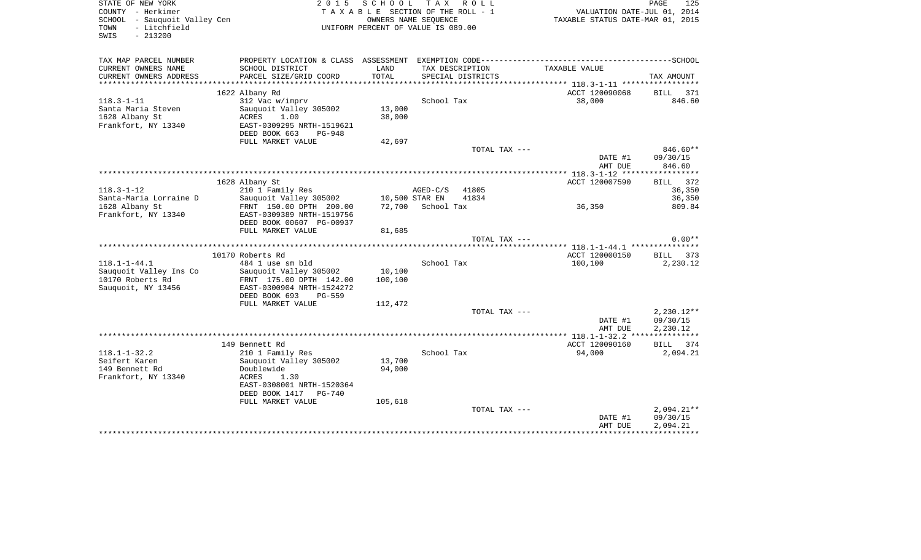| STATE OF NEW YORK<br>COUNTY - Herkimer<br>SCHOOL - Sauquoit Valley Cen<br>- Litchfield<br>TOWN<br>$-213200$<br>SWIS | 2 0 1 5                                              |         | SCHOOL TAX ROLL<br>TAXABLE SECTION OF THE ROLL - 1<br>OWNERS NAME SEOUENCE<br>UNIFORM PERCENT OF VALUE IS 089.00 | VALUATION DATE-JUL 01, 2014<br>TAXABLE STATUS DATE-MAR 01, 2015 | PAGE<br>125        |
|---------------------------------------------------------------------------------------------------------------------|------------------------------------------------------|---------|------------------------------------------------------------------------------------------------------------------|-----------------------------------------------------------------|--------------------|
| TAX MAP PARCEL NUMBER                                                                                               |                                                      |         |                                                                                                                  |                                                                 |                    |
| CURRENT OWNERS NAME                                                                                                 | SCHOOL DISTRICT                                      | LAND    | TAX DESCRIPTION                                                                                                  | TAXABLE VALUE                                                   |                    |
| CURRENT OWNERS ADDRESS                                                                                              | PARCEL SIZE/GRID COORD                               | TOTAL   | SPECIAL DISTRICTS                                                                                                |                                                                 | TAX AMOUNT         |
|                                                                                                                     | 1622 Albany Rd                                       |         |                                                                                                                  | ACCT 120090068                                                  | BILL 371           |
| $118.3 - 1 - 11$                                                                                                    | 312 Vac w/imprv                                      |         | School Tax                                                                                                       | 38,000                                                          | 846.60             |
| Santa Maria Steven                                                                                                  | Sauquoit Valley 305002                               | 13,000  |                                                                                                                  |                                                                 |                    |
| 1628 Albany St                                                                                                      | ACRES<br>1.00                                        | 38,000  |                                                                                                                  |                                                                 |                    |
| Frankfort, NY 13340                                                                                                 | EAST-0309295 NRTH-1519621<br>DEED BOOK 663<br>PG-948 |         |                                                                                                                  |                                                                 |                    |
|                                                                                                                     | FULL MARKET VALUE                                    | 42,697  |                                                                                                                  |                                                                 |                    |
|                                                                                                                     |                                                      |         | TOTAL TAX ---                                                                                                    |                                                                 | 846.60**           |
|                                                                                                                     |                                                      |         |                                                                                                                  | DATE #1<br>AMT DUE                                              | 09/30/15<br>846.60 |
|                                                                                                                     |                                                      |         |                                                                                                                  |                                                                 |                    |
|                                                                                                                     | 1628 Albany St                                       |         |                                                                                                                  | ACCT 120007590                                                  | BILL 372           |
| $118.3 - 1 - 12$                                                                                                    | 210 1 Family Res                                     |         | AGED-C/S 41805                                                                                                   |                                                                 | 36,350             |
| Santa-Maria Lorraine D                                                                                              | Sauquoit Valley 305002<br>FRNT 150.00 DPTH 200.00    |         | 10,500 STAR EN<br>41834<br>72,700 School Tax                                                                     |                                                                 | 36,350<br>809.84   |
| 1628 Albany St<br>Frankfort, NY 13340                                                                               | EAST-0309389 NRTH-1519756                            |         |                                                                                                                  | 36,350                                                          |                    |
|                                                                                                                     | DEED BOOK 00607 PG-00937                             |         |                                                                                                                  |                                                                 |                    |
|                                                                                                                     | FULL MARKET VALUE                                    | 81,685  |                                                                                                                  |                                                                 |                    |
|                                                                                                                     |                                                      |         | TOTAL TAX ---                                                                                                    |                                                                 | $0.00**$           |
|                                                                                                                     |                                                      |         |                                                                                                                  |                                                                 |                    |
|                                                                                                                     | 10170 Roberts Rd                                     |         |                                                                                                                  | ACCT 120000150                                                  | BILL 373           |
| $118.1 - 1 - 44.1$<br>Sauquoit Valley Ins Co                                                                        | 484 1 use sm bld<br>Sauquoit Valley 305002           | 10,100  | School Tax                                                                                                       | 100,100                                                         | 2,230.12           |
| 10170 Roberts Rd                                                                                                    | FRNT 175.00 DPTH 142.00                              | 100,100 |                                                                                                                  |                                                                 |                    |
| Sauquoit, NY 13456                                                                                                  | EAST-0300904 NRTH-1524272                            |         |                                                                                                                  |                                                                 |                    |
|                                                                                                                     | DEED BOOK 693<br>PG-559                              |         |                                                                                                                  |                                                                 |                    |
|                                                                                                                     | FULL MARKET VALUE                                    | 112,472 |                                                                                                                  |                                                                 |                    |
|                                                                                                                     |                                                      |         | TOTAL TAX ---                                                                                                    |                                                                 | 2,230.12**         |
|                                                                                                                     |                                                      |         |                                                                                                                  | DATE #1                                                         | 09/30/15           |
|                                                                                                                     |                                                      |         |                                                                                                                  | AMT DUE                                                         | 2,230.12           |
|                                                                                                                     | 149 Bennett Rd                                       |         |                                                                                                                  | ACCT 120090160                                                  | BILL 374           |
| $118.1 - 1 - 32.2$                                                                                                  | 210 1 Family Res                                     |         | School Tax                                                                                                       | 94,000                                                          | 2,094.21           |
| Seifert Karen                                                                                                       | Sauquoit Valley 305002                               | 13,700  |                                                                                                                  |                                                                 |                    |
| 149 Bennett Rd                                                                                                      | Doublewide                                           | 94,000  |                                                                                                                  |                                                                 |                    |
| Frankfort, NY 13340                                                                                                 | ACRES<br>1.30                                        |         |                                                                                                                  |                                                                 |                    |
|                                                                                                                     | EAST-0308001 NRTH-1520364                            |         |                                                                                                                  |                                                                 |                    |
|                                                                                                                     | DEED BOOK 1417 PG-740<br>FULL MARKET VALUE           | 105,618 |                                                                                                                  |                                                                 |                    |
|                                                                                                                     |                                                      |         | TOTAL TAX ---                                                                                                    |                                                                 | $2,094.21**$       |
|                                                                                                                     |                                                      |         |                                                                                                                  | DATE #1                                                         | 09/30/15           |
|                                                                                                                     |                                                      |         |                                                                                                                  | AMT DUE                                                         | 2,094.21           |
|                                                                                                                     |                                                      |         |                                                                                                                  |                                                                 |                    |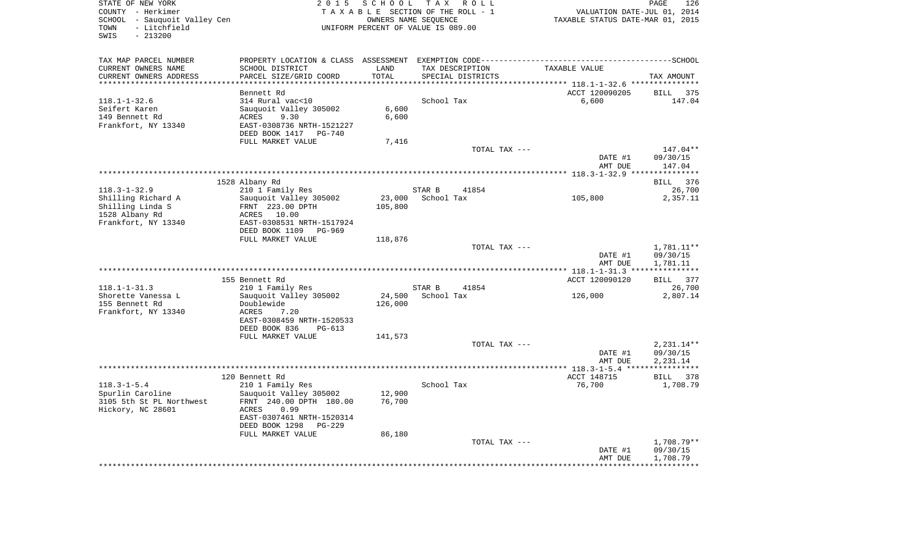| STATE OF NEW YORK<br>COUNTY - Herkimer<br>SCHOOL - Sauquoit Valley Cen<br>- Litchfield<br>TOWN<br>SWIS<br>$-213200$ | 2 0 1 5                                            | S C H O O L<br>OWNERS NAME SEOUENCE | TAX ROLL<br>TAXABLE SECTION OF THE ROLL - 1<br>UNIFORM PERCENT OF VALUE IS 089.00 | VALUATION DATE-JUL 01, 2014<br>TAXABLE STATUS DATE-MAR 01, 2015                                               | PAGE<br>126            |
|---------------------------------------------------------------------------------------------------------------------|----------------------------------------------------|-------------------------------------|-----------------------------------------------------------------------------------|---------------------------------------------------------------------------------------------------------------|------------------------|
| TAX MAP PARCEL NUMBER<br>CURRENT OWNERS NAME                                                                        | SCHOOL DISTRICT                                    | LAND                                | TAX DESCRIPTION                                                                   | PROPERTY LOCATION & CLASS ASSESSMENT EXEMPTION CODE-----------------------------------SCHOOL<br>TAXABLE VALUE |                        |
| CURRENT OWNERS ADDRESS<br>*********************                                                                     | PARCEL SIZE/GRID COORD                             | TOTAL<br>*********                  | SPECIAL DISTRICTS                                                                 | ******************************** 118.1-1-32.6 ****************                                                | TAX AMOUNT             |
|                                                                                                                     | Bennett Rd                                         |                                     |                                                                                   | ACCT 120090205                                                                                                | <b>BILL</b><br>375     |
| $118.1 - 1 - 32.6$                                                                                                  | 314 Rural vac<10                                   |                                     | School Tax                                                                        | 6,600                                                                                                         | 147.04                 |
| Seifert Karen                                                                                                       | Sauquoit Valley 305002                             | 6,600                               |                                                                                   |                                                                                                               |                        |
| 149 Bennett Rd                                                                                                      | 9.30<br>ACRES                                      | 6,600                               |                                                                                   |                                                                                                               |                        |
| Frankfort, NY 13340                                                                                                 | EAST-0308736 NRTH-1521227<br>DEED BOOK 1417 PG-740 |                                     |                                                                                   |                                                                                                               |                        |
|                                                                                                                     | FULL MARKET VALUE                                  | 7,416                               |                                                                                   |                                                                                                               |                        |
|                                                                                                                     |                                                    |                                     | TOTAL TAX ---                                                                     |                                                                                                               | 147.04**               |
|                                                                                                                     |                                                    |                                     |                                                                                   | DATE #1                                                                                                       | 09/30/15               |
|                                                                                                                     |                                                    |                                     |                                                                                   | AMT DUE                                                                                                       | 147.04                 |
|                                                                                                                     |                                                    |                                     |                                                                                   |                                                                                                               |                        |
| $118.3 - 1 - 32.9$                                                                                                  | 1528 Albany Rd<br>210 1 Family Res                 |                                     | STAR B<br>41854                                                                   |                                                                                                               | 376<br>BILL<br>26,700  |
| Shilling Richard A                                                                                                  | Sauquoit Valley 305002                             | 23,000                              | School Tax                                                                        | 105,800                                                                                                       | 2,357.11               |
| Shilling Linda S                                                                                                    | FRNT 223.00 DPTH                                   | 105,800                             |                                                                                   |                                                                                                               |                        |
| 1528 Albany Rd                                                                                                      | ACRES 10.00                                        |                                     |                                                                                   |                                                                                                               |                        |
| Frankfort, NY 13340                                                                                                 | EAST-0308531 NRTH-1517924<br>DEED BOOK 1109 PG-969 |                                     |                                                                                   |                                                                                                               |                        |
|                                                                                                                     | FULL MARKET VALUE                                  | 118,876                             |                                                                                   |                                                                                                               |                        |
|                                                                                                                     |                                                    |                                     | TOTAL TAX ---                                                                     | DATE #1                                                                                                       | 1,781.11**<br>09/30/15 |
|                                                                                                                     |                                                    |                                     |                                                                                   | AMT DUE                                                                                                       | 1,781.11               |
|                                                                                                                     | 155 Bennett Rd                                     |                                     |                                                                                   | ACCT 120090120                                                                                                | BILL 377               |
| $118.1 - 1 - 31.3$                                                                                                  | 210 1 Family Res                                   |                                     | STAR B<br>41854                                                                   |                                                                                                               | 26,700                 |
| Shorette Vanessa L                                                                                                  | Sauquoit Valley 305002                             | 24,500                              | School Tax                                                                        | 126,000                                                                                                       | 2,807.14               |
| 155 Bennett Rd                                                                                                      | Doublewide                                         | 126,000                             |                                                                                   |                                                                                                               |                        |
| Frankfort, NY 13340                                                                                                 | 7.20<br>ACRES<br>EAST-0308459 NRTH-1520533         |                                     |                                                                                   |                                                                                                               |                        |
|                                                                                                                     | DEED BOOK 836<br>PG-613                            |                                     |                                                                                   |                                                                                                               |                        |
|                                                                                                                     | FULL MARKET VALUE                                  | 141,573                             |                                                                                   |                                                                                                               |                        |
|                                                                                                                     |                                                    |                                     | TOTAL TAX ---                                                                     |                                                                                                               | 2,231.14**             |
|                                                                                                                     |                                                    |                                     |                                                                                   | DATE #1                                                                                                       | 09/30/15               |
|                                                                                                                     |                                                    |                                     |                                                                                   | AMT DUE                                                                                                       | 2,231.14               |
|                                                                                                                     | 120 Bennett Rd                                     |                                     |                                                                                   | ACCT 148715                                                                                                   | BILL 378               |
| $118.3 - 1 - 5.4$                                                                                                   | 210 1 Family Res                                   |                                     | School Tax                                                                        | 76,700                                                                                                        | 1,708.79               |
| Spurlin Caroline                                                                                                    | Sauquoit Valley 305002                             | 12,900                              |                                                                                   |                                                                                                               |                        |
| 3105 5th St PL Northwest                                                                                            | FRNT 240.00 DPTH 180.00                            | 76,700                              |                                                                                   |                                                                                                               |                        |
| Hickory, NC 28601                                                                                                   | ACRES<br>0.99                                      |                                     |                                                                                   |                                                                                                               |                        |
|                                                                                                                     | EAST-0307461 NRTH-1520314                          |                                     |                                                                                   |                                                                                                               |                        |
|                                                                                                                     | DEED BOOK 1298<br>$PG-229$<br>FULL MARKET VALUE    | 86,180                              |                                                                                   |                                                                                                               |                        |
|                                                                                                                     |                                                    |                                     | TOTAL TAX ---                                                                     |                                                                                                               | 1,708.79**             |
|                                                                                                                     |                                                    |                                     |                                                                                   | DATE #1                                                                                                       | 09/30/15               |
|                                                                                                                     |                                                    |                                     |                                                                                   | AMT DUE                                                                                                       | 1,708.79               |
|                                                                                                                     |                                                    |                                     |                                                                                   |                                                                                                               |                        |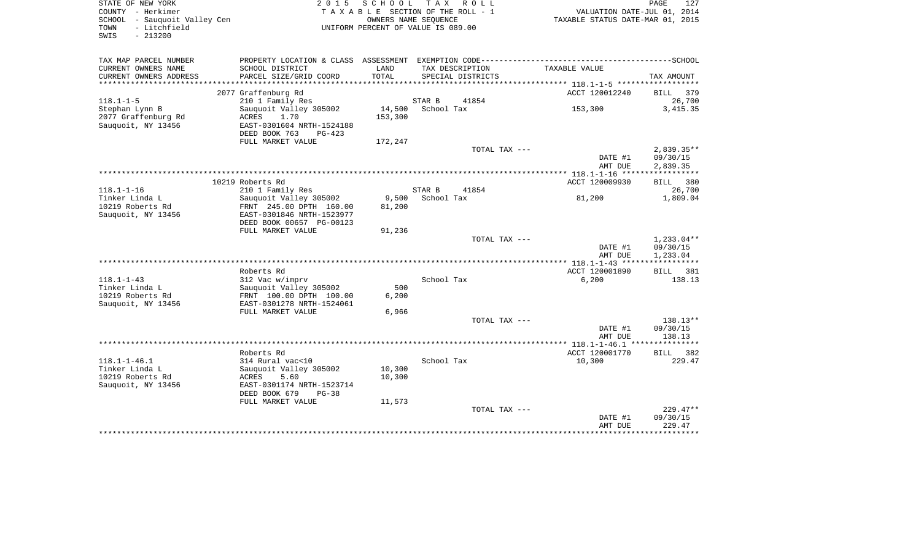| STATE OF NEW YORK<br>COUNTY - Herkimer<br>SCHOOL - Sauquoit Valley Cen<br>- Litchfield<br>TOWN |                                         |         | 2015 SCHOOL TAX ROLL<br>TAXABLE SECTION OF THE ROLL - 1<br>OWNERS NAME SEOUENCE<br>UNIFORM PERCENT OF VALUE IS 089.00 | VALUATION DATE-JUL 01, 2014<br>TAXABLE STATUS DATE-MAR 01, 2015 | PAGE         |
|------------------------------------------------------------------------------------------------|-----------------------------------------|---------|-----------------------------------------------------------------------------------------------------------------------|-----------------------------------------------------------------|--------------|
| $-213200$<br>SWIS                                                                              |                                         |         |                                                                                                                       |                                                                 |              |
| TAX MAP PARCEL NUMBER                                                                          | PROPERTY LOCATION & CLASS ASSESSMENT    |         |                                                                                                                       |                                                                 |              |
| CURRENT OWNERS NAME                                                                            | SCHOOL DISTRICT                         | LAND    | TAX DESCRIPTION                                                                                                       | TAXABLE VALUE                                                   |              |
| CURRENT OWNERS ADDRESS                                                                         | PARCEL SIZE/GRID COORD                  | TOTAL   | SPECIAL DISTRICTS                                                                                                     |                                                                 | TAX AMOUNT   |
| **********************                                                                         |                                         |         |                                                                                                                       | ACCT 120012240                                                  | BILL 379     |
| $118.1 - 1 - 5$                                                                                | 2077 Graffenburg Rd<br>210 1 Family Res |         | STAR B<br>41854                                                                                                       |                                                                 |              |
| Stephan Lynn B                                                                                 | Sauquoit Valley 305002                  | 14,500  | School Tax                                                                                                            | 153,300                                                         | 3, 415.35    |
| 2077 Graffenburg Rd                                                                            | ACRES<br>1.70                           | 153,300 |                                                                                                                       |                                                                 |              |
| Sauquoit, NY 13456                                                                             | EAST-0301604 NRTH-1524188               |         |                                                                                                                       |                                                                 |              |
|                                                                                                | DEED BOOK 763<br>$PG-423$               |         |                                                                                                                       |                                                                 |              |
|                                                                                                | FULL MARKET VALUE                       | 172,247 |                                                                                                                       |                                                                 |              |
|                                                                                                |                                         |         | TOTAL TAX ---                                                                                                         |                                                                 | $2,839.35**$ |
|                                                                                                |                                         |         |                                                                                                                       | DATE #1                                                         | 09/30/15     |
|                                                                                                |                                         |         |                                                                                                                       | AMT DUE                                                         | 2,839.35     |
|                                                                                                | 10219 Roberts Rd                        |         |                                                                                                                       | ACCT 120009930                                                  | BILL 380     |
| $118.1 - 1 - 16$                                                                               | 210 1 Family Res                        |         | STAR B<br>41854                                                                                                       |                                                                 |              |
| Tinker Linda L                                                                                 | Sauquoit Valley 305002                  | 9,500   | School Tax                                                                                                            | 81,200                                                          | 1,809.04     |
| 10219 Roberts Rd                                                                               | FRNT 245.00 DPTH 160.00                 | 81,200  |                                                                                                                       |                                                                 |              |
| Sauquoit, NY 13456                                                                             | EAST-0301846 NRTH-1523977               |         |                                                                                                                       |                                                                 |              |
|                                                                                                | DEED BOOK 00657 PG-00123                |         |                                                                                                                       |                                                                 |              |
|                                                                                                | FULL MARKET VALUE                       | 91,236  |                                                                                                                       |                                                                 |              |
|                                                                                                |                                         |         | TOTAL TAX ---                                                                                                         |                                                                 | $1,233.04**$ |
|                                                                                                |                                         |         |                                                                                                                       | DATE #1                                                         | 09/30/15     |
|                                                                                                |                                         |         |                                                                                                                       | AMT DUE                                                         | 1,233.04     |
|                                                                                                | Roberts Rd                              |         |                                                                                                                       | ACCT 120001890                                                  | BILL 381     |
| $118.1 - 1 - 43$                                                                               | 312 Vac w/imprv                         |         | School Tax                                                                                                            | 6,200                                                           |              |
| Tinker Linda L                                                                                 | Sauquoit Valley 305002                  | 500     |                                                                                                                       |                                                                 |              |
| 10219 Roberts Rd                                                                               | FRNT 100.00 DPTH 100.00                 | 6,200   |                                                                                                                       |                                                                 |              |
| Sauquoit, NY 13456                                                                             | EAST-0301278 NRTH-1524061               |         |                                                                                                                       |                                                                 |              |
|                                                                                                | FULL MARKET VALUE                       | 6,966   |                                                                                                                       |                                                                 |              |
|                                                                                                |                                         |         | TOTAL TAX ---                                                                                                         |                                                                 | $138.13**$   |
|                                                                                                |                                         |         |                                                                                                                       | DATE #1                                                         | 09/30/15     |
|                                                                                                |                                         |         |                                                                                                                       | AMT DUE                                                         | 138.13       |
|                                                                                                | Roberts Rd                              |         |                                                                                                                       | ACCT 120001770                                                  | BILL 382     |
| $118.1 - 1 - 46.1$                                                                             | 314 Rural vac<10                        |         | School Tax                                                                                                            | 10,300                                                          |              |
| Tinker Linda L                                                                                 | Sauguoit Valley 305002                  | 10,300  |                                                                                                                       |                                                                 |              |
| 10219 Roberts Rd                                                                               | 5.60<br>ACRES                           | 10,300  |                                                                                                                       |                                                                 |              |
| Sauquoit, NY 13456                                                                             | EAST-0301174 NRTH-1523714               |         |                                                                                                                       |                                                                 |              |
|                                                                                                | DEED BOOK 679<br>PG-38                  |         |                                                                                                                       |                                                                 |              |
|                                                                                                | FULL MARKET VALUE                       | 11,573  |                                                                                                                       |                                                                 |              |
|                                                                                                |                                         |         | TOTAL TAX ---                                                                                                         |                                                                 | $229.47**$   |
|                                                                                                |                                         |         |                                                                                                                       | DATE #1                                                         | 09/30/15     |
|                                                                                                |                                         |         |                                                                                                                       | AMT DUE                                                         | 229.47       |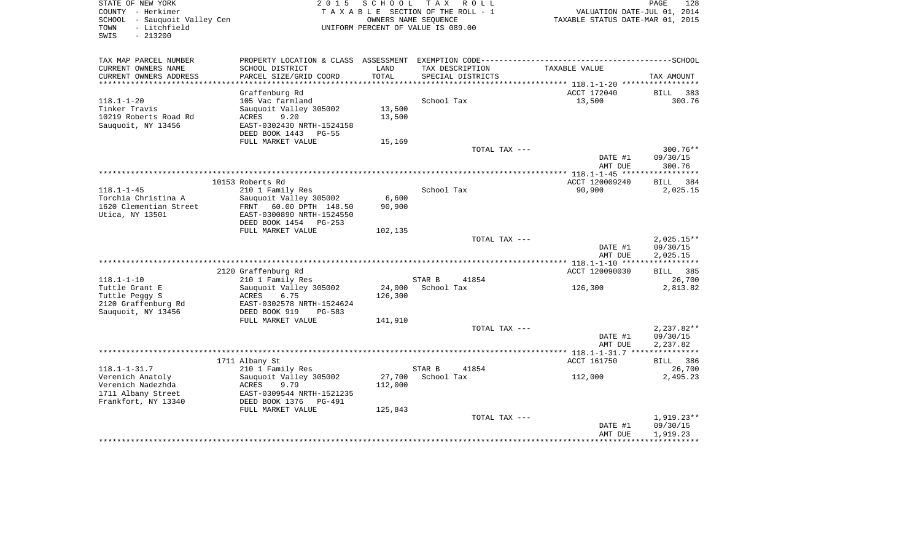| STATE OF NEW YORK<br>COUNTY - Herkimer                                    | 2 0 1 5                                                                                      | SCHOOL  | T A X<br>R O L L<br>TAXABLE SECTION OF THE ROLL - 1        | VALUATION DATE-JUL 01, 2014      | PAGE<br>128                  |
|---------------------------------------------------------------------------|----------------------------------------------------------------------------------------------|---------|------------------------------------------------------------|----------------------------------|------------------------------|
| SCHOOL - Sauquoit Valley Cen<br>- Litchfield<br>TOWN<br>SWIS<br>$-213200$ |                                                                                              |         | OWNERS NAME SEQUENCE<br>UNIFORM PERCENT OF VALUE IS 089.00 | TAXABLE STATUS DATE-MAR 01, 2015 |                              |
| TAX MAP PARCEL NUMBER                                                     | PROPERTY LOCATION & CLASS ASSESSMENT EXEMPTION CODE-----------------------------------SCHOOL |         |                                                            |                                  |                              |
| CURRENT OWNERS NAME                                                       | SCHOOL DISTRICT                                                                              | LAND    | TAX DESCRIPTION                                            | TAXABLE VALUE                    |                              |
| CURRENT OWNERS ADDRESS                                                    | PARCEL SIZE/GRID COORD                                                                       | TOTAL   | SPECIAL DISTRICTS                                          |                                  | TAX AMOUNT                   |
|                                                                           |                                                                                              |         |                                                            |                                  |                              |
| $118.1 - 1 - 20$                                                          | Graffenburg Rd<br>105 Vac farmland                                                           |         | School Tax                                                 | ACCT 172040<br>13,500            | <b>BILL</b><br>383<br>300.76 |
| Tinker Travis                                                             | Sauquoit Valley 305002                                                                       | 13,500  |                                                            |                                  |                              |
| 10219 Roberts Road Rd                                                     | 9.20<br>ACRES                                                                                | 13,500  |                                                            |                                  |                              |
| Sauquoit, NY 13456                                                        | EAST-0302430 NRTH-1524158                                                                    |         |                                                            |                                  |                              |
|                                                                           | DEED BOOK 1443 PG-55                                                                         |         |                                                            |                                  |                              |
|                                                                           | FULL MARKET VALUE                                                                            | 15,169  |                                                            |                                  |                              |
|                                                                           |                                                                                              |         | TOTAL TAX ---                                              |                                  | $300.76**$                   |
|                                                                           |                                                                                              |         |                                                            | DATE #1<br>AMT DUE               | 09/30/15<br>300.76           |
|                                                                           |                                                                                              |         |                                                            |                                  |                              |
| $118.1 - 1 - 45$                                                          | 10153 Roberts Rd<br>210 1 Family Res                                                         |         | School Tax                                                 | ACCT 120009240<br>90,900         | BILL 384<br>2,025.15         |
| Torchia Christina A                                                       | Sauguoit Valley 305002                                                                       | 6,600   |                                                            |                                  |                              |
| 1620 Clementian Street                                                    | FRNT 60.00 DPTH 148.50                                                                       | 90,900  |                                                            |                                  |                              |
| Utica, NY 13501                                                           | EAST-0300890 NRTH-1524550                                                                    |         |                                                            |                                  |                              |
|                                                                           | DEED BOOK 1454 PG-253                                                                        |         |                                                            |                                  |                              |
|                                                                           | FULL MARKET VALUE                                                                            | 102,135 |                                                            |                                  |                              |
|                                                                           |                                                                                              |         | TOTAL TAX ---                                              |                                  | $2,025.15**$                 |
|                                                                           |                                                                                              |         |                                                            | DATE #1                          | 09/30/15                     |
|                                                                           |                                                                                              |         |                                                            | AMT DUE                          | 2,025.15                     |
|                                                                           | 2120 Graffenburg Rd                                                                          |         |                                                            | ACCT 120090030                   | <b>BILL</b><br>385           |
| $118.1 - 1 - 10$                                                          | 210 1 Family Res                                                                             |         | STAR B<br>41854                                            |                                  | 26,700                       |
| Tuttle Grant E                                                            | Sauquoit Valley 305002                                                                       | 24,000  | School Tax                                                 | 126,300                          | 2,813.82                     |
| Tuttle Peggy S                                                            | ACRES<br>6.75                                                                                | 126,300 |                                                            |                                  |                              |
| 2120 Graffenburg Rd                                                       | EAST-0302578 NRTH-1524624                                                                    |         |                                                            |                                  |                              |
| Sauquoit, NY 13456                                                        | DEED BOOK 919<br>$PG-583$                                                                    |         |                                                            |                                  |                              |
|                                                                           | FULL MARKET VALUE                                                                            | 141,910 |                                                            |                                  |                              |
|                                                                           |                                                                                              |         | TOTAL TAX ---                                              |                                  | $2,237.82**$                 |
|                                                                           |                                                                                              |         |                                                            | DATE #1                          | 09/30/15                     |
|                                                                           |                                                                                              |         |                                                            | AMT DUE                          | 2,237.82                     |
|                                                                           | 1711 Albany St                                                                               |         |                                                            | ACCT 161750                      | BILL 386                     |
| $118.1 - 1 - 31.7$                                                        | 210 1 Family Res                                                                             |         | STAR B<br>41854                                            |                                  | 26,700                       |
| Verenich Anatoly                                                          | Sauquoit Valley 305002                                                                       | 27,700  | School Tax                                                 | 112,000                          | 2,495.23                     |
| Verenich Nadezhda                                                         | ACRES<br>9.79                                                                                | 112,000 |                                                            |                                  |                              |
| 1711 Albany Street                                                        | EAST-0309544 NRTH-1521235                                                                    |         |                                                            |                                  |                              |
| Frankfort, NY 13340                                                       | DEED BOOK 1376<br>PG-491                                                                     |         |                                                            |                                  |                              |
|                                                                           | FULL MARKET VALUE                                                                            | 125,843 |                                                            |                                  |                              |
|                                                                           |                                                                                              |         | TOTAL TAX ---                                              |                                  | $1,919.23**$                 |
|                                                                           |                                                                                              |         |                                                            | DATE #1                          | 09/30/15                     |
|                                                                           |                                                                                              |         |                                                            | AMT DUE                          | 1,919.23                     |
|                                                                           |                                                                                              |         |                                                            |                                  |                              |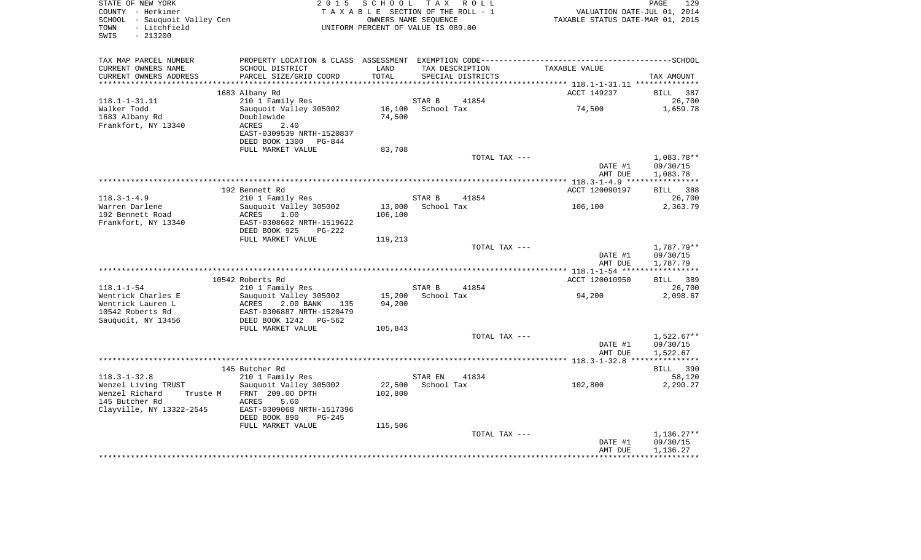| COUNTY - Herkimer<br>SCHOOL - Sauquoit Valley Cen<br>- Litchfield<br>TOWN<br>$-213200$<br>SWIS |                                                                                                             |               | TAXABLE SECTION OF THE ROLL - 1<br>OWNERS NAME SEQUENCE<br>UNIFORM PERCENT OF VALUE IS 089.00 | PAGE 129<br>101, VALUATION DATE-JUL 01, 2014<br>2015, TAXABLE STATUS DATE-MAR 01 |                          |
|------------------------------------------------------------------------------------------------|-------------------------------------------------------------------------------------------------------------|---------------|-----------------------------------------------------------------------------------------------|----------------------------------------------------------------------------------|--------------------------|
| TAX MAP PARCEL NUMBER                                                                          |                                                                                                             |               |                                                                                               |                                                                                  |                          |
| CURRENT OWNERS NAME<br>CURRENT OWNERS ADDRESS                                                  | SCHOOL DISTRICT<br>PARCEL SIZE/GRID COORD                                                                   | LAND<br>TOTAL | TAX DESCRIPTION<br>SPECIAL DISTRICTS                                                          | TAXABLE VALUE                                                                    | TAX AMOUNT               |
| *************************                                                                      |                                                                                                             |               |                                                                                               |                                                                                  |                          |
|                                                                                                | 1683 Albany Rd                                                                                              |               |                                                                                               | ACCT 149237                                                                      | BILL 387                 |
| $118.1 - 1 - 31.11$                                                                            | 210 1 Family Res                                                                                            |               | 41854<br>STAR B                                                                               | 74,500                                                                           | 26,700                   |
| Walker Todd<br>1683 Albany Rd<br>Frankfort, NY 13340                                           | Sauquoit Valley 305002<br>Doublewide<br>2.40<br>ACRES<br>EAST-0309539 NRTH-1520837<br>DEED BOOK 1300 PG-844 | 74,500        | 16,100 School Tax                                                                             |                                                                                  | 1,659.78                 |
|                                                                                                | FULL MARKET VALUE                                                                                           | 83,708        |                                                                                               |                                                                                  |                          |
|                                                                                                |                                                                                                             |               | TOTAL TAX ---                                                                                 |                                                                                  | 1,083.78**               |
|                                                                                                |                                                                                                             |               |                                                                                               | DATE #1<br>AMT DUE                                                               | 09/30/15<br>1,083.78     |
|                                                                                                |                                                                                                             |               |                                                                                               |                                                                                  |                          |
|                                                                                                | 192 Bennett Rd                                                                                              |               |                                                                                               | ACCT 120090197                                                                   | BILL 388                 |
| $118.3 - 1 - 4.9$                                                                              | 210 1 Family Res                                                                                            |               | STAR B<br>41854                                                                               |                                                                                  | 26,700                   |
| Warren Darlene                                                                                 | Sauquoit Valley 305002                                                                                      |               | 13,000 School Tax                                                                             | 106,100                                                                          | 2,363.79                 |
| 192 Bennett Road                                                                               | ACRES<br>1.00                                                                                               | 106,100       |                                                                                               |                                                                                  |                          |
| Frankfort, NY 13340                                                                            | EAST-0308602 NRTH-1519622<br>DEED BOOK 925<br>$PG-222$                                                      |               |                                                                                               |                                                                                  |                          |
|                                                                                                | FULL MARKET VALUE                                                                                           | 119,213       |                                                                                               |                                                                                  |                          |
|                                                                                                |                                                                                                             |               | TOTAL TAX ---                                                                                 | DATE #1                                                                          | 1,787.79**<br>09/30/15   |
|                                                                                                |                                                                                                             |               |                                                                                               | AMT DUE                                                                          | 1,787.79                 |
|                                                                                                | 10542 Roberts Rd                                                                                            |               |                                                                                               | ACCT 120010950                                                                   | BILL 389                 |
| $118.1 - 1 - 54$                                                                               | 210 1 Family Res                                                                                            |               | STAR B<br>41854                                                                               |                                                                                  | 26,700                   |
| Wentrick Charles E                                                                             | Sauquoit Valley 305002                                                                                      |               | 15,200 School Tax                                                                             | 94,200                                                                           | 2,098.67                 |
| Wentrick Lauren L                                                                              | ACRES 2.00 BANK 135                                                                                         | 94,200        |                                                                                               |                                                                                  |                          |
| 10542 Roberts Rd                                                                               | EAST-0306887 NRTH-1520479                                                                                   |               |                                                                                               |                                                                                  |                          |
| Sauquoit, NY 13456                                                                             | DEED BOOK 1242 PG-562                                                                                       |               |                                                                                               |                                                                                  |                          |
|                                                                                                | FULL MARKET VALUE                                                                                           | 105,843       |                                                                                               |                                                                                  |                          |
|                                                                                                |                                                                                                             |               | TOTAL TAX ---                                                                                 |                                                                                  | 1,522.67**               |
|                                                                                                |                                                                                                             |               |                                                                                               | DATE #1                                                                          | 09/30/15                 |
|                                                                                                |                                                                                                             |               |                                                                                               | AMT DUE                                                                          | 1,522.67                 |
|                                                                                                |                                                                                                             |               |                                                                                               |                                                                                  |                          |
|                                                                                                | 145 Butcher Rd                                                                                              |               |                                                                                               |                                                                                  | BILL 390                 |
| $118.3 - 1 - 32.8$                                                                             | 210 1 Family Res                                                                                            |               | STAR EN 41834                                                                                 |                                                                                  | 58,120                   |
| Wenzel Living TRUST                                                                            | Sauguoit Valley 305002                                                                                      |               | 22,500 School Tax                                                                             | 102,800                                                                          | 2,290.27                 |
| Wenzel Richard                                                                                 | Truste M FRNT 209.00 DPTH                                                                                   | 102,800       |                                                                                               |                                                                                  |                          |
| 145 Butcher Rd                                                                                 | 5.60<br>ACRES                                                                                               |               |                                                                                               |                                                                                  |                          |
| Clayville, NY 13322-2545                                                                       | EAST-0309068 NRTH-1517396<br>DEED BOOK 890<br>PG-245                                                        |               |                                                                                               |                                                                                  |                          |
|                                                                                                | FULL MARKET VALUE                                                                                           | 115,506       |                                                                                               |                                                                                  |                          |
|                                                                                                |                                                                                                             |               |                                                                                               |                                                                                  |                          |
|                                                                                                |                                                                                                             |               |                                                                                               |                                                                                  |                          |
|                                                                                                |                                                                                                             |               | TOTAL TAX ---                                                                                 | DATE #1                                                                          | $1,136.27**$<br>09/30/15 |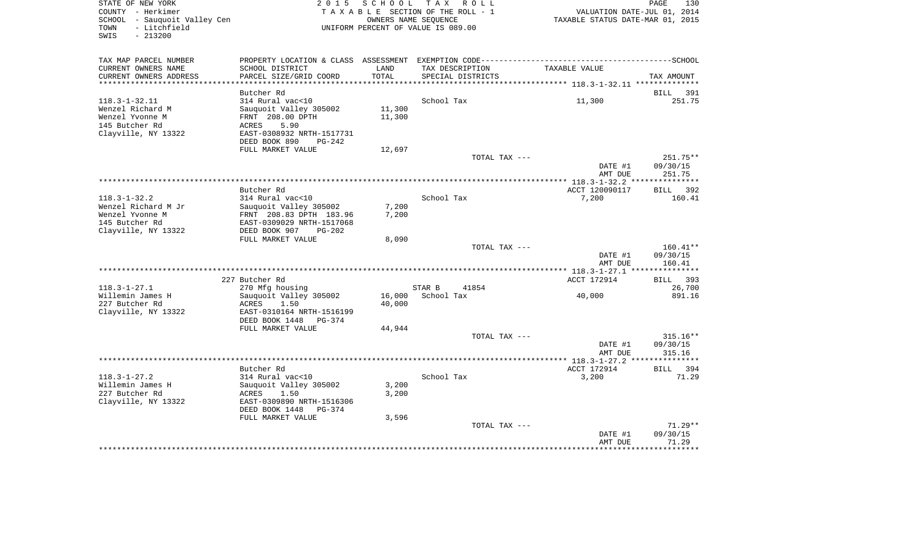| STATE OF NEW YORK<br>COUNTY - Herkimer<br>SCHOOL - Sauquoit Valley Cen<br>- Litchfield<br>TOWN | 2015                                                                                             |                  | SCHOOL TAX ROLL<br>TAXABLE SECTION OF THE ROLL - 1<br>OWNERS NAME SEQUENCE<br>UNIFORM PERCENT OF VALUE IS 089.00 | VALUATION DATE-JUL 01, 2014<br>TAXABLE STATUS DATE-MAR 01, 2015 | PAGE<br>130                    |
|------------------------------------------------------------------------------------------------|--------------------------------------------------------------------------------------------------|------------------|------------------------------------------------------------------------------------------------------------------|-----------------------------------------------------------------|--------------------------------|
| SWIS<br>$-213200$                                                                              |                                                                                                  |                  |                                                                                                                  |                                                                 |                                |
| TAX MAP PARCEL NUMBER                                                                          |                                                                                                  |                  |                                                                                                                  |                                                                 |                                |
| CURRENT OWNERS NAME<br>CURRENT OWNERS ADDRESS                                                  | SCHOOL DISTRICT<br>PARCEL SIZE/GRID COORD                                                        | LAND<br>TOTAL    | TAX DESCRIPTION<br>SPECIAL DISTRICTS                                                                             | TAXABLE VALUE                                                   | TAX AMOUNT                     |
| **********************                                                                         | Butcher Rd                                                                                       |                  |                                                                                                                  |                                                                 |                                |
| $118.3 - 1 - 32.11$<br>Wenzel Richard M<br>Wenzel Yvonne M                                     | 314 Rural vac<10<br>Sauquoit Valley 305002<br>FRNT 208.00 DPTH                                   | 11,300<br>11,300 | School Tax                                                                                                       | 11,300                                                          | - 391<br>BILL<br>251.75        |
| 145 Butcher Rd<br>Clayville, NY 13322                                                          | 5.90<br>ACRES<br>EAST-0308932 NRTH-1517731<br>DEED BOOK 890<br>$PG-242$                          |                  |                                                                                                                  |                                                                 |                                |
|                                                                                                | FULL MARKET VALUE                                                                                | 12,697           |                                                                                                                  |                                                                 |                                |
|                                                                                                |                                                                                                  |                  | TOTAL TAX ---                                                                                                    | DATE #1<br>AMT DUE                                              | 251.75**<br>09/30/15<br>251.75 |
|                                                                                                |                                                                                                  |                  |                                                                                                                  |                                                                 |                                |
|                                                                                                | Butcher Rd                                                                                       |                  |                                                                                                                  | ACCT 120090117                                                  | 392<br>BILL                    |
| $118.3 - 1 - 32.2$<br>Wenzel Richard M Jr                                                      | 314 Rural vac<10<br>Sauquoit Valley 305002                                                       | 7,200            | School Tax                                                                                                       | 7,200                                                           | 160.41                         |
| Wenzel Yvonne M                                                                                | FRNT 208.83 DPTH 183.96                                                                          | 7,200            |                                                                                                                  |                                                                 |                                |
| 145 Butcher Rd                                                                                 | EAST-0309029 NRTH-1517068                                                                        |                  |                                                                                                                  |                                                                 |                                |
| Clayville, NY 13322                                                                            | DEED BOOK 907<br>$PG-202$<br>FULL MARKET VALUE                                                   | 8,090            |                                                                                                                  |                                                                 |                                |
|                                                                                                |                                                                                                  |                  | TOTAL TAX ---                                                                                                    | DATE #1                                                         | $160.41**$<br>09/30/15         |
|                                                                                                |                                                                                                  |                  |                                                                                                                  | AMT DUE                                                         | 160.41                         |
|                                                                                                | 227 Butcher Rd                                                                                   |                  |                                                                                                                  | ACCT 172914                                                     | 393<br>BILL                    |
| $118.3 - 1 - 27.1$                                                                             | 270 Mfg housing                                                                                  |                  | STAR B<br>41854                                                                                                  |                                                                 | 26,700                         |
| Willemin James H<br>227 Butcher Rd<br>Clayville, NY 13322                                      | Sauquoit Valley 305002<br>ACRES<br>1.50<br>EAST-0310164 NRTH-1516199<br>DEED BOOK 1448<br>PG-374 | 16,000<br>40,000 | School Tax                                                                                                       | 40,000                                                          | 891.16                         |
|                                                                                                | FULL MARKET VALUE                                                                                | 44,944           |                                                                                                                  |                                                                 |                                |
|                                                                                                |                                                                                                  |                  | TOTAL TAX ---                                                                                                    |                                                                 | $315.16**$                     |
|                                                                                                |                                                                                                  |                  |                                                                                                                  | DATE #1<br>AMT DUE                                              | 09/30/15<br>315.16             |
|                                                                                                | Butcher Rd                                                                                       |                  |                                                                                                                  | ACCT 172914                                                     | <b>BILL</b><br>394             |
| $118.3 - 1 - 27.2$                                                                             | 314 Rural vac<10                                                                                 |                  | School Tax                                                                                                       | 3,200                                                           | 71.29                          |
| Willemin James H                                                                               | Sauquoit Valley 305002                                                                           | 3,200            |                                                                                                                  |                                                                 |                                |
| 227 Butcher Rd<br>Clayville, NY 13322                                                          | ACRES<br>1.50<br>EAST-0309890 NRTH-1516306<br>DEED BOOK 1448<br>PG-374                           | 3,200            |                                                                                                                  |                                                                 |                                |
|                                                                                                | FULL MARKET VALUE                                                                                | 3,596            |                                                                                                                  |                                                                 |                                |
|                                                                                                |                                                                                                  |                  | TOTAL TAX ---                                                                                                    | DATE #1                                                         | $71.29**$<br>09/30/15<br>71.29 |
|                                                                                                |                                                                                                  |                  |                                                                                                                  | AMT DUE<br>*******************************                      |                                |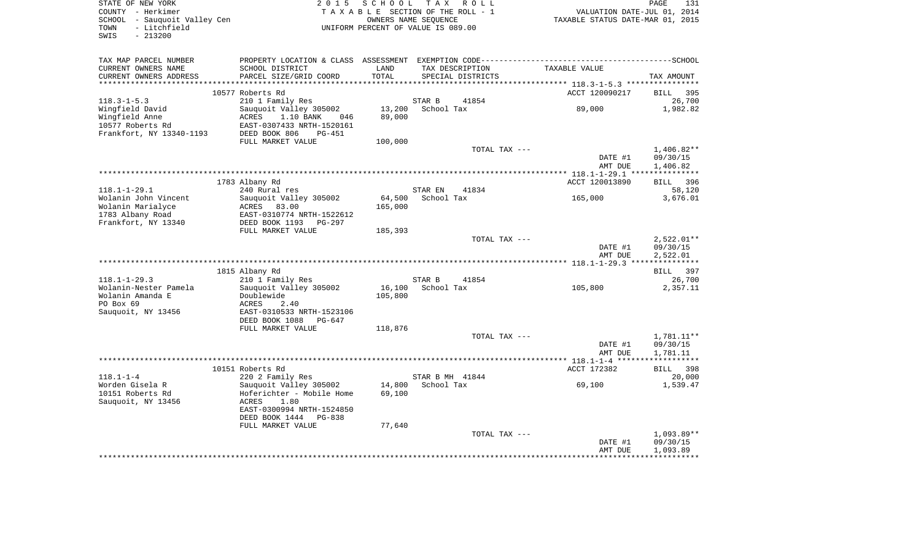| STATE OF NEW YORK<br>COUNTY - Herkimer<br>SCHOOL - Sauquoit Valley Cen<br>TOWN<br>- Litchfield<br>SWIS<br>$-213200$ | 2 0 1 5                                                                                                                                           | SCHOOL            | TAX ROLL<br>TAXABLE SECTION OF THE ROLL - 1<br>OWNERS NAME SEQUENCE<br>UNIFORM PERCENT OF VALUE IS 089.00 |               | VALUATION DATE-JUL 01,<br>TAXABLE STATUS DATE-MAR 01, 2015 | PAGE<br>131<br>2014                  |
|---------------------------------------------------------------------------------------------------------------------|---------------------------------------------------------------------------------------------------------------------------------------------------|-------------------|-----------------------------------------------------------------------------------------------------------|---------------|------------------------------------------------------------|--------------------------------------|
| TAX MAP PARCEL NUMBER<br>CURRENT OWNERS NAME<br>CURRENT OWNERS ADDRESS                                              | PROPERTY LOCATION & CLASS ASSESSMENT EXEMPTION CODE-----------------------------------SCHOOL<br>SCHOOL DISTRICT<br>PARCEL SIZE/GRID COORD         | LAND<br>TOTAL     | TAX DESCRIPTION<br>SPECIAL DISTRICTS                                                                      |               | TAXABLE VALUE                                              | TAX AMOUNT                           |
|                                                                                                                     |                                                                                                                                                   |                   |                                                                                                           |               |                                                            |                                      |
| $118.3 - 1 - 5.3$                                                                                                   | 10577 Roberts Rd<br>210 1 Family Res                                                                                                              |                   | STAR B                                                                                                    | 41854         | ACCT 120090217                                             | 395<br>BILL<br>26,700                |
| Wingfield David<br>Wingfield Anne<br>10577 Roberts Rd<br>Frankfort, NY 13340-1193                                   | Sauquoit Valley 305002<br>1.10 BANK<br>ACRES<br>046<br>EAST-0307433 NRTH-1520161<br>DEED BOOK 806<br>PG-451                                       | 13,200<br>89,000  | School Tax                                                                                                |               | 89,000                                                     | 1,982.82                             |
|                                                                                                                     | FULL MARKET VALUE                                                                                                                                 | 100,000           |                                                                                                           |               |                                                            |                                      |
|                                                                                                                     |                                                                                                                                                   |                   |                                                                                                           | TOTAL TAX --- | DATE #1<br>AMT DUE                                         | 1,406.82**<br>09/30/15<br>1,406.82   |
|                                                                                                                     |                                                                                                                                                   |                   |                                                                                                           |               |                                                            |                                      |
|                                                                                                                     | 1783 Albany Rd                                                                                                                                    |                   |                                                                                                           |               | ACCT 120013890                                             | <b>BILL</b><br>396                   |
| $118.1 - 1 - 29.1$                                                                                                  | 240 Rural res                                                                                                                                     |                   | STAR EN                                                                                                   | 41834         |                                                            | 58,120                               |
| Wolanin John Vincent<br>Wolanin Marialyce<br>1783 Albany Road<br>Frankfort, NY 13340                                | Sauquoit Valley 305002<br>ACRES<br>83.00<br>EAST-0310774 NRTH-1522612<br>DEED BOOK 1193<br>PG-297                                                 | 64,500<br>165,000 | School Tax                                                                                                |               | 165,000                                                    | 3,676.01                             |
|                                                                                                                     | FULL MARKET VALUE                                                                                                                                 | 185,393           |                                                                                                           |               |                                                            |                                      |
|                                                                                                                     |                                                                                                                                                   |                   |                                                                                                           | TOTAL TAX --- | DATE #1<br>AMT DUE                                         | $2,522.01**$<br>09/30/15<br>2,522.01 |
|                                                                                                                     |                                                                                                                                                   |                   |                                                                                                           |               |                                                            |                                      |
|                                                                                                                     | 1815 Albany Rd                                                                                                                                    |                   |                                                                                                           |               |                                                            | 397<br>BILL                          |
| $118.1 - 1 - 29.3$<br>Wolanin-Nester Pamela<br>Wolanin Amanda E<br>PO Box 69<br>Sauquoit, NY 13456                  | 210 1 Family Res<br>Sauquoit Valley 305002<br>Doublewide<br>ACRES<br>2.40<br>EAST-0310533 NRTH-1523106<br>DEED BOOK 1088<br>PG-647                | 16,100<br>105,800 | STAR B<br>School Tax                                                                                      | 41854         | 105,800                                                    | 26,700<br>2,357.11                   |
|                                                                                                                     | FULL MARKET VALUE                                                                                                                                 | 118,876           |                                                                                                           |               |                                                            |                                      |
|                                                                                                                     |                                                                                                                                                   |                   |                                                                                                           | TOTAL TAX --- | DATE #1<br>AMT DUE                                         | 1,781.11**<br>09/30/15<br>1,781.11   |
|                                                                                                                     | 10151 Roberts Rd                                                                                                                                  |                   |                                                                                                           |               | ******* 118.1-1-4 *******************<br>ACCT 172382       | <b>BILL</b><br>398                   |
| $118.1 - 1 - 4$<br>Worden Gisela R<br>10151 Roberts Rd<br>Sauquoit, NY 13456                                        | 220 2 Family Res<br>Sauquoit Valley 305002<br>Hoferichter - Mobile Home<br>ACRES<br>1.80<br>EAST-0300994 NRTH-1524850<br>DEED BOOK 1444<br>PG-838 | 14,800<br>69,100  | STAR B MH 41844<br>School Tax                                                                             |               | 69,100                                                     | 20,000<br>1,539.47                   |
|                                                                                                                     | FULL MARKET VALUE                                                                                                                                 | 77,640            |                                                                                                           | TOTAL TAX --- | DATE #1<br>AMT DUE                                         | $1.093.89**$<br>09/30/15<br>1,093.89 |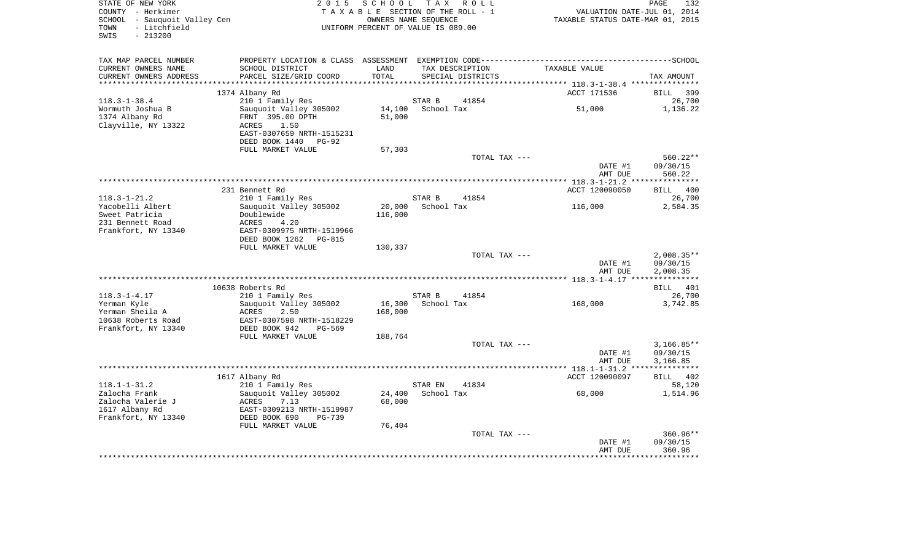| - Litchfield<br>TOWN<br>$-213200$<br>SWIS                                     | UNIFORM PERCENT OF VALUE IS 089.00                                                                                   | TAXABLE STATUS DATE-MAR 01, 2015 | VALUATION DATE-JUL 01, 2014 |                                      |                    |                                               |
|-------------------------------------------------------------------------------|----------------------------------------------------------------------------------------------------------------------|----------------------------------|-----------------------------|--------------------------------------|--------------------|-----------------------------------------------|
| TAX MAP PARCEL NUMBER                                                         |                                                                                                                      |                                  |                             |                                      |                    |                                               |
| CURRENT OWNERS NAME<br>CURRENT OWNERS ADDRESS                                 | SCHOOL DISTRICT<br>PARCEL SIZE/GRID COORD                                                                            | LAND<br>TOTAL                    |                             | TAX DESCRIPTION<br>SPECIAL DISTRICTS | TAXABLE VALUE      | TAX AMOUNT                                    |
| ***********************                                                       | 1374 Albany Rd                                                                                                       |                                  |                             |                                      | ACCT 171536        | <b>BILL</b>                                   |
| $118.3 - 1 - 38.4$                                                            | 210 1 Family Res                                                                                                     |                                  | STAR B                      | 41854                                |                    | 26,700                                        |
| Wormuth Joshua B<br>1374 Albany Rd<br>Clayville, NY 13322                     | Sauquoit Valley 305002<br>FRNT 395.00 DPTH<br>1.50<br>ACRES<br>EAST-0307659 NRTH-1515231                             | 51,000                           | 14,100 School Tax           |                                      | 51,000             | 1,136.22                                      |
|                                                                               | DEED BOOK 1440 PG-92                                                                                                 |                                  |                             |                                      |                    |                                               |
|                                                                               | FULL MARKET VALUE                                                                                                    | 57,303                           |                             | TOTAL TAX ---                        |                    | $560.22**$                                    |
|                                                                               |                                                                                                                      |                                  |                             |                                      | DATE #1<br>AMT DUE | 09/30/15<br>560.22                            |
|                                                                               |                                                                                                                      |                                  |                             |                                      |                    |                                               |
|                                                                               | 231 Bennett Rd                                                                                                       |                                  |                             |                                      | ACCT 120090050     | <b>BILL</b><br>400                            |
| $118.3 - 1 - 21.2$                                                            | 210 1 Family Res                                                                                                     |                                  | STAR B                      | 41854                                |                    | 26,700                                        |
| Yacobelli Albert<br>Sweet Patricia<br>231 Bennett Road<br>Frankfort, NY 13340 | Sauquoit Valley 305002<br>Doublewide<br>4.20<br>ACRES<br>EAST-0309975 NRTH-1519966                                   | 116,000                          | 20,000 School Tax           |                                      | 116,000            | 2,584.35                                      |
|                                                                               | DEED BOOK 1262 PG-815                                                                                                |                                  |                             |                                      |                    |                                               |
|                                                                               | FULL MARKET VALUE                                                                                                    | 130,337                          |                             |                                      |                    |                                               |
|                                                                               |                                                                                                                      |                                  |                             | TOTAL TAX ---                        | DATE #1<br>AMT DUE | $2,008.35**$<br>09/30/15<br>2,008.35          |
|                                                                               |                                                                                                                      |                                  |                             |                                      |                    |                                               |
|                                                                               | 10638 Roberts Rd                                                                                                     |                                  |                             |                                      |                    | <b>BILL</b><br>401                            |
| $118.3 - 1 - 4.17$                                                            | 210 1 Family Res                                                                                                     |                                  | STAR B                      | 41854                                |                    | 26,700                                        |
| Yerman Kyle<br>Yerman Sheila A<br>10638 Roberts Road<br>Frankfort, NY 13340   | Sauquoit Valley 305002<br>ACRES<br>2.50<br>EAST-0307598 NRTH-1518229<br>DEED BOOK 942<br>PG-569<br>FULL MARKET VALUE | 168,000<br>188,764               | 16,300 School Tax           |                                      | 168,000            | 3,742.85                                      |
|                                                                               |                                                                                                                      |                                  |                             | TOTAL TAX ---                        |                    | $3,166.85**$                                  |
|                                                                               |                                                                                                                      |                                  |                             |                                      | DATE #1<br>AMT DUE | 09/30/15<br>3,166.85<br>* * * * * * * * * * * |
|                                                                               | 1617 Albany Rd                                                                                                       |                                  |                             |                                      | ACCT 120090097     | BILL 402                                      |
| $118.1 - 1 - 31.2$                                                            | 210 1 Family Res                                                                                                     |                                  | STAR EN                     | 41834                                |                    | 58,120                                        |
| Zalocha Frank<br>Zalocha Valerie J<br>1617 Albany Rd                          | Sauquoit Valley 305002<br>ACRES<br>7.13<br>EAST-0309213 NRTH-1519987<br>DEED BOOK 690<br>PG-739                      | 24,400<br>68,000                 | School Tax                  |                                      | 68,000             | 1,514.96                                      |
| Frankfort, NY 13340                                                           | FULL MARKET VALUE                                                                                                    | 76,404                           |                             |                                      |                    |                                               |
|                                                                               |                                                                                                                      |                                  |                             | TOTAL TAX ---                        | DATE #1<br>AMT DUE | $360.96**$<br>09/30/15<br>360.96              |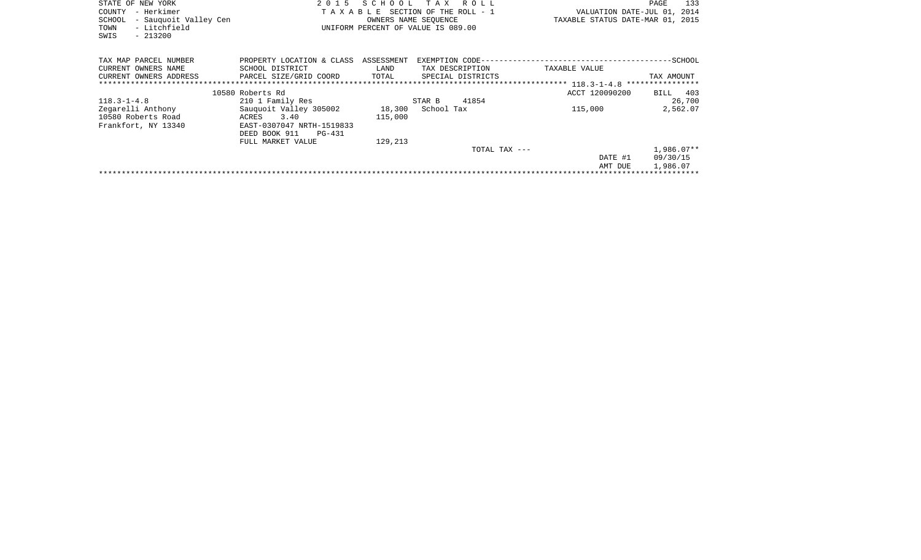| STATE OF NEW YORK<br>- Herkimer<br>COUNTY<br>- Sauquoit Valley Cen<br><b>SCHOOL</b><br>- Litchfield<br>TOWN<br>$-213200$<br>SWIS | 2 0 1 5<br>TAXABLE                                                                              | SCHOOL                      | T A X<br>R O L L<br>SECTION OF THE ROLL - 1<br>OWNERS NAME SEOUENCE<br>UNIFORM PERCENT OF VALUE IS 089.00 | VALUATION DATE-JUL 01, 2014<br>TAXABLE STATUS DATE-MAR 01, 2015 | 133<br>PAGE              |
|----------------------------------------------------------------------------------------------------------------------------------|-------------------------------------------------------------------------------------------------|-----------------------------|-----------------------------------------------------------------------------------------------------------|-----------------------------------------------------------------|--------------------------|
| TAX MAP PARCEL NUMBER<br>CURRENT OWNERS NAME<br>CURRENT OWNERS ADDRESS<br>*****************************                          | PROPERTY LOCATION & CLASS<br>SCHOOL DISTRICT<br>PARCEL SIZE/GRID COORD                          | ASSESSMENT<br>LAND<br>TOTAL | TAX DESCRIPTION<br>SPECIAL DISTRICTS                                                                      | EXEMPTION CODE-----------------------<br>TAXABLE VALUE          | $-SCH OOL$<br>TAX AMOUNT |
|                                                                                                                                  | 10580 Roberts Rd                                                                                |                             |                                                                                                           | ACCT 120090200                                                  | 403<br>BILL              |
| $118.3 - 1 - 4.8$                                                                                                                | 210 1 Family Res                                                                                |                             | 41854<br>STAR B                                                                                           |                                                                 | 26,700                   |
| Zegarelli Anthony<br>10580 Roberts Road<br>Frankfort, NY 13340                                                                   | Sauquoit Valley 305002<br>3.40<br>ACRES<br>EAST-0307047 NRTH-1519833<br>DEED BOOK 911<br>PG-431 | 18,300<br>115,000           | School Tax                                                                                                | 115,000                                                         | 2,562.07                 |
|                                                                                                                                  | FULL MARKET VALUE                                                                               | 129,213                     |                                                                                                           |                                                                 |                          |
|                                                                                                                                  |                                                                                                 |                             |                                                                                                           | TOTAL TAX ---                                                   | 1,986.07**               |
|                                                                                                                                  |                                                                                                 |                             |                                                                                                           | DATE #1                                                         | 09/30/15                 |
|                                                                                                                                  |                                                                                                 |                             |                                                                                                           | AMT DUE                                                         | 1,986.07                 |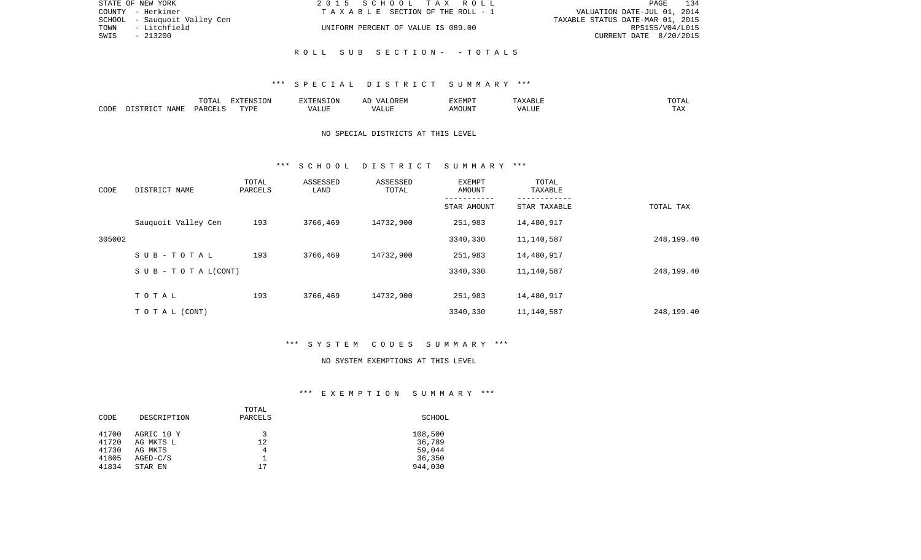| STATE OF NEW YORK            | 2015 SCHOOL TAX ROLL               | 134<br>PAGE                      |
|------------------------------|------------------------------------|----------------------------------|
| COUNTY - Herkimer            | TAXABLE SECTION OF THE ROLL - 1    | VALUATION DATE-JUL 01, 2014      |
| SCHOOL - Sauquoit Valley Cen |                                    | TAXABLE STATUS DATE-MAR 01, 2015 |
| - Litchfield<br>TOWN         | UNIFORM PERCENT OF VALUE IS 089.00 | RPS155/V04/L015                  |
| SWIS<br>- 213200             |                                    | CURRENT DATE 8/20/2015           |
|                              |                                    |                                  |
|                              | ROLL SUB SECTION- -TOTALS          |                                  |

### \*\*\* S P E C I A L D I S T R I C T S U M M A R Y \*\*\*

|      |      | 10 <sub>m</sub><br>∸<br>- 777 | EXTENSION |                   |                 | :XEMPT |      | ۰д<br>---- |
|------|------|-------------------------------|-----------|-------------------|-----------------|--------|------|------------|
| CODE | IAMF | ، حر در                       | TVDI<br>. | $\cdots$<br>. LUP | ,,,<br>E U LL . | OUN".  | ---- | - ∠⊿       |

# NO SPECIAL DISTRICTS AT THIS LEVEL

### \*\*\* S C H O O L D I S T R I C T S U M M A R Y \*\*\*

| CODE   | DISTRICT NAME                    | TOTAL<br>PARCELS | ASSESSED<br>LAND | ASSESSED<br>TOTAL | EXEMPT<br>AMOUNT | TOTAL<br>TAXABLE |            |
|--------|----------------------------------|------------------|------------------|-------------------|------------------|------------------|------------|
|        |                                  |                  |                  |                   | STAR AMOUNT      | STAR TAXABLE     | TOTAL TAX  |
|        | Sauquoit Valley Cen              | 193              | 3766,469         | 14732,900         | 251,983          | 14,480,917       |            |
| 305002 |                                  |                  |                  |                   | 3340,330         | 11,140,587       | 248,199.40 |
|        | SUB-TOTAL                        | 193              | 3766,469         | 14732,900         | 251,983          | 14,480,917       |            |
|        | $S \cup B - T \cup T A L (CONT)$ |                  |                  |                   | 3340,330         | 11,140,587       | 248,199.40 |
|        |                                  |                  |                  |                   |                  |                  |            |
|        | TOTAL                            | 193              | 3766,469         | 14732,900         | 251,983          | 14,480,917       |            |
|        | TO TAL (CONT)                    |                  |                  |                   | 3340,330         | 11,140,587       | 248,199.40 |

### \*\*\* S Y S T E M C O D E S S U M M A R Y \*\*\*

#### NO SYSTEM EXEMPTIONS AT THIS LEVEL

# \*\*\* E X E M P T I O N S U M M A R Y \*\*\*

| CODE                                                                                                     | TOTAL<br>DESCRIPTION<br>PARCELS | SCHOOL                                           |
|----------------------------------------------------------------------------------------------------------|---------------------------------|--------------------------------------------------|
| 41700<br>AGRIC 10 Y<br>41720<br>AG MKTS L<br>41730<br>AG MKTS<br>41805<br>$AGED-C/S$<br>41834<br>STAR EN | 12<br>4<br>17                   | 108,500<br>36,789<br>59,044<br>36,350<br>944,030 |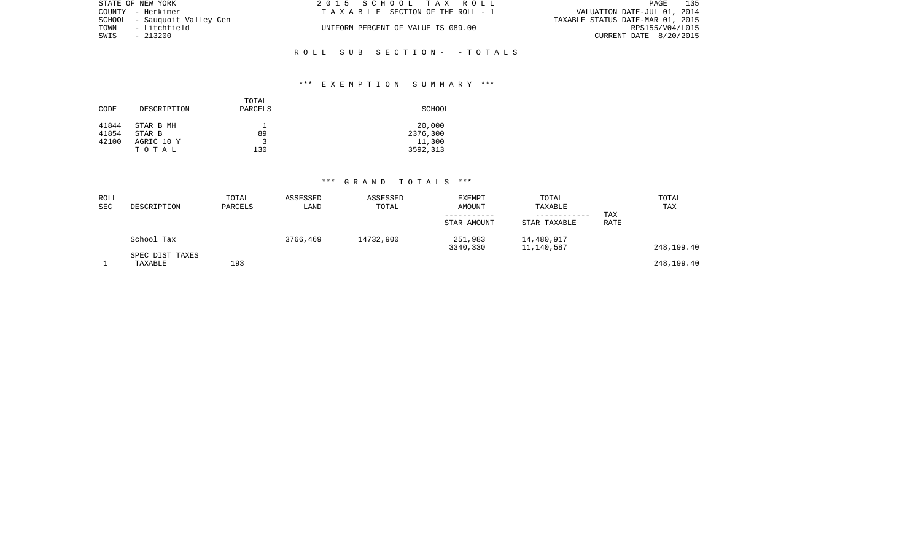|      | STATE OF NEW YORK            | 2015 SCHOOL TAX ROLL               | 135<br>PAGE                      |
|------|------------------------------|------------------------------------|----------------------------------|
|      | COUNTY - Herkimer            | TAXABLE SECTION OF THE ROLL - 1    | VALUATION DATE-JUL 01, 2014      |
|      | SCHOOL - Sauguoit Valley Cen |                                    | TAXABLE STATUS DATE-MAR 01, 2015 |
| TOWN | - Litchfield                 | UNIFORM PERCENT OF VALUE IS 089.00 | RPS155/V04/L015                  |
| SWIS | $-213200$                    |                                    | CURRENT DATE 8/20/2015           |
|      |                              |                                    |                                  |

# \*\*\* E X E M P T I O N S U M M A R Y \*\*\*

R O L L S U B S E C T I O N - - T O T A L S

| DESCRIPTION         | TOTAL<br>PARCELS | SCHOOL             |
|---------------------|------------------|--------------------|
| STAR B MH<br>STAR B | 89               | 20,000<br>2376,300 |
| AGRIC 10 Y<br>TOTAL | 130              | 11,300<br>3592,313 |
|                     |                  |                    |

| ROLL<br>SEC | DESCRIPTION                | TOTAL<br>PARCELS | ASSESSED<br>LAND | ASSESSED<br>TOTAL | EXEMPT<br>AMOUNT<br>STAR AMOUNT | TOTAL<br>TAXABLE<br>----------<br>STAR TAXABLE | TAX<br>RATE | TOTAL<br>TAX |
|-------------|----------------------------|------------------|------------------|-------------------|---------------------------------|------------------------------------------------|-------------|--------------|
|             | School Tax                 |                  | 3766,469         | 14732,900         | 251,983<br>3340,330             | 14,480,917<br>11,140,587                       |             | 248,199.40   |
|             | SPEC DIST TAXES<br>TAXABLE | 193              |                  |                   |                                 |                                                |             | 248,199.40   |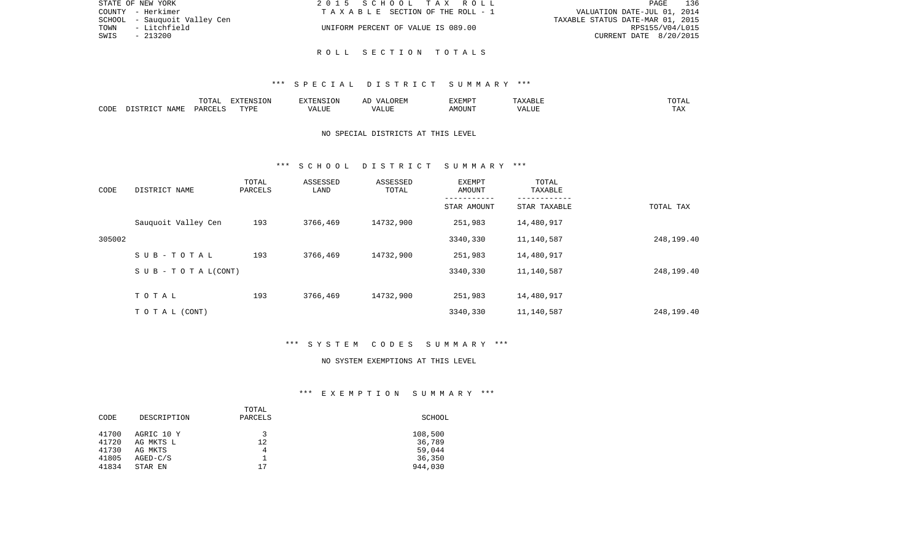| STATE OF NEW YORK            | 2015 SCHOOL TAX ROLL               | 136<br>PAGE                      |
|------------------------------|------------------------------------|----------------------------------|
| COUNTY - Herkimer            | TAXABLE SECTION OF THE ROLL - 1    | VALUATION DATE-JUL 01, 2014      |
| SCHOOL - Sauguoit Valley Cen |                                    | TAXABLE STATUS DATE-MAR 01, 2015 |
| TOWN - Litchfield            | UNIFORM PERCENT OF VALUE IS 089.00 | RPS155/V04/L015                  |
| SWIS<br>$-213200$            |                                    | CURRENT DATE 8/20/2015           |
|                              |                                    |                                  |
|                              | ROLL SECTION TOTALS                |                                  |

### \*\*\* S P E C I A L D I S T R I C T S U M M A R Y \*\*\*

|      |      | י המרי<br>$\cdot$<br>. U 1 1 1 1 | <b>EXTENSION</b> |       | $\cdots$ | <b>EXEMPT</b>         |       | $\overline{A}$<br>◡⊥ェ┒ |
|------|------|----------------------------------|------------------|-------|----------|-----------------------|-------|------------------------|
| CODE | NAMF | PARCELS                          | <b>TITT</b><br>. | T.TTF |          | $. 156$ $\cap$ $T137$ | un di | ---<br>. H.A           |

# NO SPECIAL DISTRICTS AT THIS LEVEL

### \*\*\* S C H O O L D I S T R I C T S U M M A R Y \*\*\*

| CODE   | DISTRICT NAME                    | TOTAL<br>PARCELS | ASSESSED<br>LAND | ASSESSED<br>TOTAL | EXEMPT<br>AMOUNT | TOTAL<br>TAXABLE |            |
|--------|----------------------------------|------------------|------------------|-------------------|------------------|------------------|------------|
|        |                                  |                  |                  |                   | STAR AMOUNT      | STAR TAXABLE     | TOTAL TAX  |
|        | Sauquoit Valley Cen              | 193              | 3766,469         | 14732,900         | 251,983          | 14,480,917       |            |
| 305002 |                                  |                  |                  |                   | 3340,330         | 11,140,587       | 248,199.40 |
|        | SUB-TOTAL                        | 193              | 3766,469         | 14732,900         | 251,983          | 14,480,917       |            |
|        | $S \cup B - T \cup T A L (CONT)$ |                  |                  |                   | 3340,330         | 11,140,587       | 248,199.40 |
|        |                                  |                  |                  |                   |                  |                  |            |
|        | TOTAL                            | 193              | 3766,469         | 14732,900         | 251,983          | 14,480,917       |            |
|        | TO TAL (CONT)                    |                  |                  |                   | 3340,330         | 11,140,587       | 248,199.40 |

### \*\*\* S Y S T E M C O D E S S U M M A R Y \*\*\*

#### NO SYSTEM EXEMPTIONS AT THIS LEVEL

# \*\*\* E X E M P T I O N S U M M A R Y \*\*\*

|       |             | TOTAL   |         |
|-------|-------------|---------|---------|
| CODE  | DESCRIPTION | PARCELS | SCHOOL  |
|       |             |         |         |
| 41700 | AGRIC 10 Y  | ર       | 108,500 |
| 41720 | AG MKTS L   | 12      | 36,789  |
| 41730 | AG MKTS     | 4       | 59,044  |
| 41805 | $AGED-C/S$  |         | 36,350  |
| 41834 | STAR EN     | 17      | 944,030 |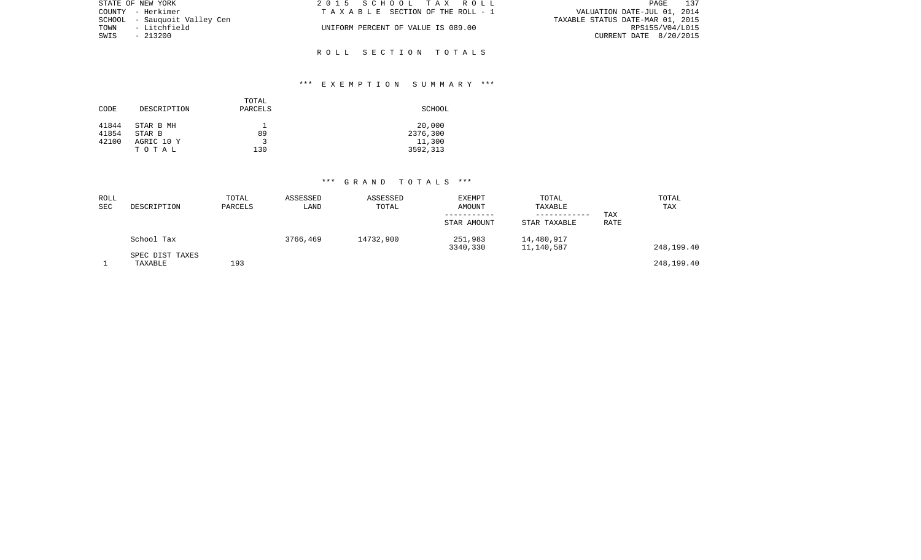| STATE OF NEW YORK            | 2015 SCHOOL TAX ROLL               | 137<br>PAGE                      |
|------------------------------|------------------------------------|----------------------------------|
| COUNTY - Herkimer            | TAXABLE SECTION OF THE ROLL - 1    | VALUATION DATE-JUL 01, 2014      |
| SCHOOL - Sauguoit Valley Cen |                                    | TAXABLE STATUS DATE-MAR 01, 2015 |
| TOWN<br>- Litchfield         | UNIFORM PERCENT OF VALUE IS 089.00 | RPS155/V04/L015                  |
| SWIS<br>$-213200$            |                                    | CURRENT DATE 8/20/2015           |
|                              |                                    |                                  |

R O L L S E C T I O N T O T A L S

## \*\*\* E X E M P T I O N S U M M A R Y \*\*\*

| CODE           | DESCRIPTION         | TOTAL<br>PARCELS | SCHOOL             |
|----------------|---------------------|------------------|--------------------|
| 41844<br>41854 | STAR B MH<br>STAR B | 89               | 20,000<br>2376,300 |
| 42100          | AGRIC 10 Y          |                  | 11,300             |
|                | TOTAL               | 130              | 3592,313           |

| ROLL<br>SEC | DESCRIPTION                | TOTAL<br>PARCELS | ASSESSED<br>LAND | ASSESSED<br>TOTAL | EXEMPT<br>AMOUNT<br>STAR AMOUNT | TOTAL<br>TAXABLE<br>----------<br>STAR TAXABLE | TAX<br>RATE | TOTAL<br>TAX |
|-------------|----------------------------|------------------|------------------|-------------------|---------------------------------|------------------------------------------------|-------------|--------------|
|             | School Tax                 |                  | 3766,469         | 14732,900         | 251,983<br>3340,330             | 14,480,917<br>11,140,587                       |             | 248,199.40   |
|             | SPEC DIST TAXES<br>TAXABLE | 193              |                  |                   |                                 |                                                |             | 248,199.40   |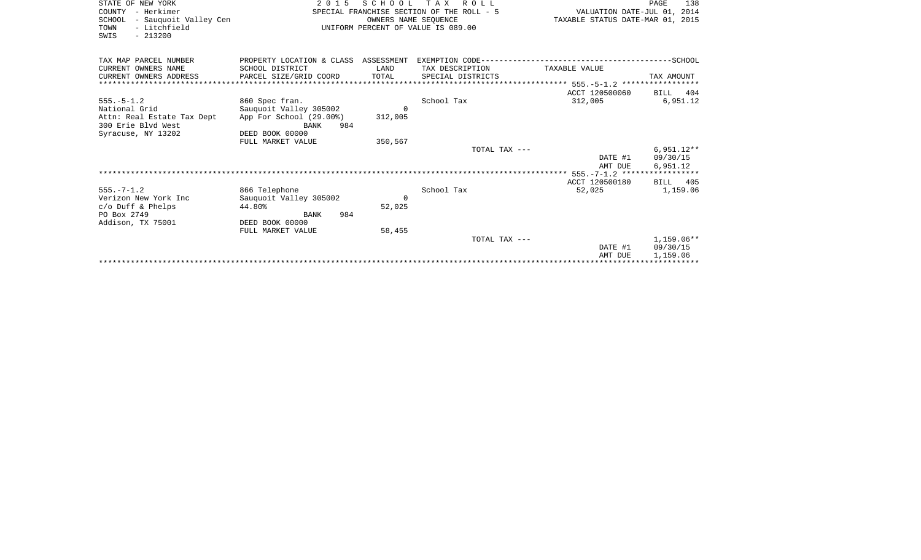| STATE OF NEW YORK<br>COUNTY - Herkimer<br>SCHOOL - Sauquoit Valley Cen<br>- Litchfield<br>TOWN<br>$-213200$<br>SWIS | 2015 SCHOOL TAX ROLL<br>SPECIAL FRANCHISE SECTION OF THE ROLL - 5<br>VALUATION DATE-JUL 01, 2014<br>OWNERS NAME SEOUENCE<br>TAXABLE STATUS DATE-MAR 01, 2015<br>UNIFORM PERCENT OF VALUE IS 089.00 |                     |                                      |                           |                                      |
|---------------------------------------------------------------------------------------------------------------------|----------------------------------------------------------------------------------------------------------------------------------------------------------------------------------------------------|---------------------|--------------------------------------|---------------------------|--------------------------------------|
| TAX MAP PARCEL NUMBER<br>CURRENT OWNERS NAME<br>CURRENT OWNERS ADDRESS                                              | SCHOOL DISTRICT<br>PARCEL SIZE/GRID COORD                                                                                                                                                          | LAND<br>TOTAL       | TAX DESCRIPTION<br>SPECIAL DISTRICTS | TAXABLE VALUE             | TAX AMOUNT                           |
|                                                                                                                     |                                                                                                                                                                                                    |                     |                                      |                           |                                      |
| $555. - 5 - 1.2$<br>National Grid<br>Attn: Real Estate Tax Dept<br>300 Erie Blvd West<br>Syracuse, NY 13202         | 860 Spec fran.<br>Sauguoit Valley 305002<br>App For School (29.00%)<br>984<br>BANK<br>DEED BOOK 00000                                                                                              | $\Omega$<br>312,005 | School Tax                           | ACCT 120500060<br>312,005 | BILL 404<br>6,951.12                 |
|                                                                                                                     | FULL MARKET VALUE                                                                                                                                                                                  | 350,567             |                                      |                           |                                      |
|                                                                                                                     |                                                                                                                                                                                                    |                     | TOTAL TAX ---                        | DATE #1<br>AMT DUE        | $6,951.12**$<br>09/30/15<br>6,951.12 |
|                                                                                                                     |                                                                                                                                                                                                    |                     |                                      | ACCT 120500180            | BILL 405                             |
| $555. - 7 - 1.2$<br>Verizon New York Inc<br>$c/O$ Duff & Phelps<br>PO Box 2749<br>Addison, TX 75001                 | 866 Telephone<br>Sauguoit Valley 305002<br>44.80%<br>984<br>BANK<br>DEED BOOK 00000                                                                                                                | $\Omega$<br>52,025  | School Tax                           | 52,025                    | 1,159.06                             |
|                                                                                                                     | FULL MARKET VALUE                                                                                                                                                                                  | 58,455              |                                      |                           |                                      |
|                                                                                                                     |                                                                                                                                                                                                    |                     | TOTAL TAX ---                        | DATE #1<br>AMT DUE        | $1.159.06**$<br>09/30/15<br>1,159.06 |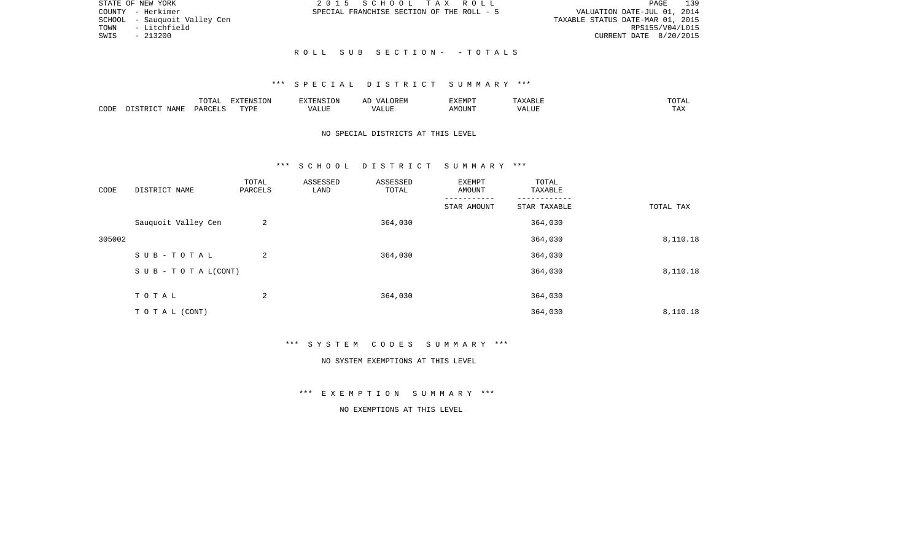| STATE OF NEW YORK |                              |  |  | 2015 SCHOOL TAX ROLL                      | 139<br>PAGE                      |
|-------------------|------------------------------|--|--|-------------------------------------------|----------------------------------|
| COUNTY - Herkimer |                              |  |  | SPECIAL FRANCHISE SECTION OF THE ROLL - 5 | VALUATION DATE-JUL 01, 2014      |
|                   | SCHOOL - Sauguoit Valley Cen |  |  |                                           | TAXABLE STATUS DATE-MAR 01, 2015 |
| TOWN              | - Litchfield                 |  |  |                                           | RPS155/V04/L015                  |
| SWIS              | $-213200$                    |  |  |                                           | CURRENT DATE 8/20/2015           |
|                   |                              |  |  |                                           |                                  |
|                   |                              |  |  | ROLL SUB SECTION- -TOTALS                 |                                  |

### \*\*\* S P E C I A L D I S T R I C T S U M M A R Y \*\*\*

|      |                    | $m \wedge m \wedge n$<br>UIAI | <b>FYTEMCTOM</b><br>LON |       | :XEMPT | ` Y A B Lite | "UTAL             |
|------|--------------------|-------------------------------|-------------------------|-------|--------|--------------|-------------------|
| CODE | <b>NAME</b><br>סיד | <b>DARCET</b>                 | <b>TVDL</b>             | ALU P | IOUN.  | 'ALUL        | $m \times n$<br>. |

# NO SPECIAL DISTRICTS AT THIS LEVEL

#### \*\*\* S C H O O L D I S T R I C T S U M M A R Y \*\*\*

| CODE   | DISTRICT NAME             | TOTAL<br>PARCELS | ASSESSED<br>LAND | ASSESSED<br>TOTAL | EXEMPT<br>AMOUNT | TOTAL<br>TAXABLE |           |
|--------|---------------------------|------------------|------------------|-------------------|------------------|------------------|-----------|
|        |                           |                  |                  |                   | STAR AMOUNT      | STAR TAXABLE     | TOTAL TAX |
|        | Sauquoit Valley Cen       | 2                |                  | 364,030           |                  | 364,030          |           |
| 305002 |                           |                  |                  |                   |                  | 364,030          | 8,110.18  |
|        | SUB-TOTAL                 | 2                |                  | 364,030           |                  | 364,030          |           |
|        | S U B - T O T A $L(CONT)$ |                  |                  |                   |                  | 364,030          | 8,110.18  |
|        |                           |                  |                  |                   |                  |                  |           |
|        | TOTAL                     | 2                |                  | 364,030           |                  | 364,030          |           |
|        | TO TAL (CONT)             |                  |                  |                   |                  | 364,030          | 8,110.18  |

\*\*\* S Y S T E M C O D E S S U M M A R Y \*\*\*

#### NO SYSTEM EXEMPTIONS AT THIS LEVEL

\*\*\* E X E M P T I O N S U M M A R Y \*\*\*

NO EXEMPTIONS AT THIS LEVEL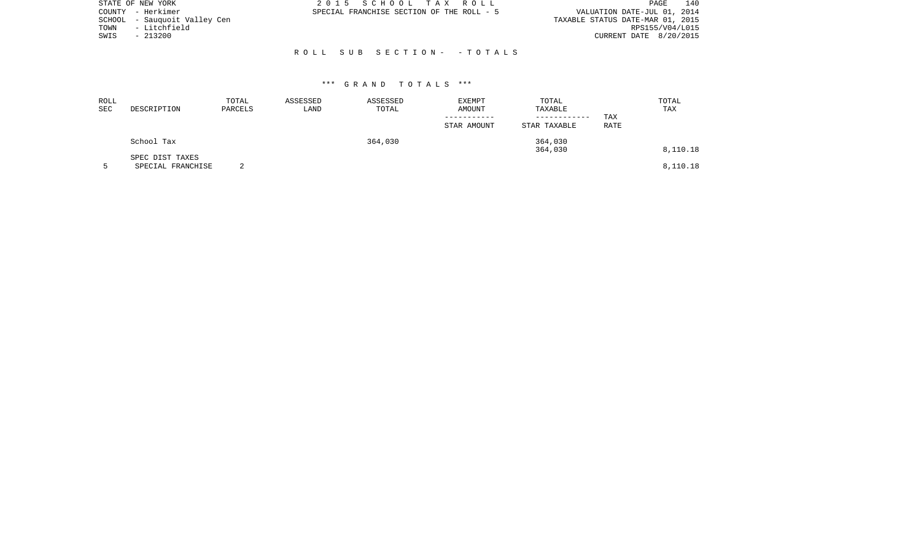|      | STATE OF NEW YORK            | 2015 SCHOOL TAX ROLL                      | 140<br>PAGE                      |
|------|------------------------------|-------------------------------------------|----------------------------------|
|      | COUNTY - Herkimer            | SPECIAL FRANCHISE SECTION OF THE ROLL - 5 | VALUATION DATE-JUL 01, 2014      |
|      | SCHOOL - Sauquoit Valley Cen |                                           | TAXABLE STATUS DATE-MAR 01, 2015 |
| TOWN | - Litchfield                 |                                           | RPS155/V04/L015                  |
| SWIS | $-213200$                    |                                           | CURRENT DATE 8/20/2015           |
|      |                              |                                           |                                  |
|      |                              | ROLL SUB SECTION- - TOTALS                |                                  |

| ROLL<br>SEC | DESCRIPTION                          | TOTAL<br>PARCELS | ASSESSED<br>LAND | ASSESSED<br>TOTAL | <b>EXEMPT</b><br>AMOUNT<br>STAR AMOUNT | TOTAL<br>TAXABLE<br>STAR TAXABLE | TAX<br>RATE | TOTAL<br>TAX |
|-------------|--------------------------------------|------------------|------------------|-------------------|----------------------------------------|----------------------------------|-------------|--------------|
|             | School Tax                           |                  |                  | 364,030           |                                        | 364,030<br>364,030               |             | 8,110.18     |
|             | SPEC DIST TAXES<br>SPECIAL FRANCHISE |                  |                  |                   |                                        |                                  |             | 8,110.18     |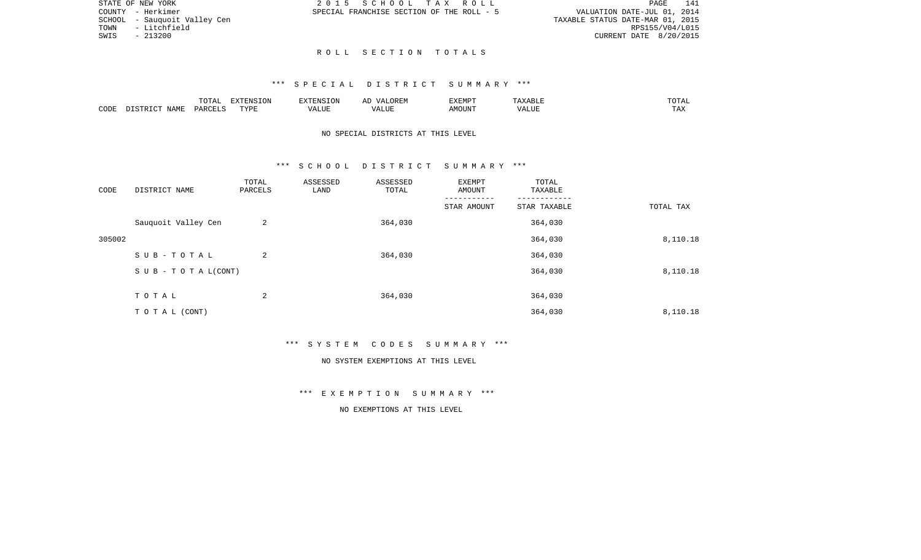|      | STATE OF NEW YORK            | 2015 SCHOOL TAX ROLL                      | 141<br>PAGE                      |
|------|------------------------------|-------------------------------------------|----------------------------------|
|      | COUNTY - Herkimer            | SPECIAL FRANCHISE SECTION OF THE ROLL - 5 | VALUATION DATE-JUL 01, 2014      |
|      | SCHOOL - Sauguoit Valley Cen |                                           | TAXABLE STATUS DATE-MAR 01, 2015 |
| TOWN | - Litchfield                 |                                           | RPS155/V04/L015                  |
| SWIS | - 213200                     |                                           | CURRENT DATE 8/20/2015           |
|      |                              |                                           |                                  |

141

### \*\*\* S P E C I A L D I S T R I C T S U M M A R Y \*\*\*

R O L L S E C T I O N T O T A L S

|      |                    | $\blacksquare \cap \blacksquare \blacksquare$<br>TOTAL | EXTENSION | -------  | $\sqrt{ }$ | EXEMPT |                | $m \wedge m$<br>$\cdot$ . $\blacksquare$<br>. |
|------|--------------------|--------------------------------------------------------|-----------|----------|------------|--------|----------------|-----------------------------------------------|
| CODE | JAMF<br>$T \cap T$ | C <sub>MT</sub><br>PAP'                                | TYPF<br>. | $\cdots$ |            | JUN    | - ---<br>'ALUL | $-1$<br>.                                     |

STATE OF NEW YORK

# NO SPECIAL DISTRICTS AT THIS LEVEL

#### \*\*\* S C H O O L D I S T R I C T S U M M A R Y \*\*\*

| CODE   | DISTRICT NAME             | TOTAL<br>PARCELS | ASSESSED<br>LAND | ASSESSED<br>TOTAL | EXEMPT<br>AMOUNT | TOTAL<br>TAXABLE |           |
|--------|---------------------------|------------------|------------------|-------------------|------------------|------------------|-----------|
|        |                           |                  |                  |                   | STAR AMOUNT      | STAR TAXABLE     | TOTAL TAX |
|        | Sauquoit Valley Cen       | 2                |                  | 364,030           |                  | 364,030          |           |
| 305002 |                           |                  |                  |                   |                  | 364,030          | 8,110.18  |
|        | SUB-TOTAL                 | 2                |                  | 364,030           |                  | 364,030          |           |
|        | S U B - T O T A $L(CONT)$ |                  |                  |                   |                  | 364,030          | 8,110.18  |
|        |                           |                  |                  |                   |                  |                  |           |
|        | TOTAL                     | 2                |                  | 364,030           |                  | 364,030          |           |
|        | TO TAL (CONT)             |                  |                  |                   |                  | 364,030          | 8,110.18  |

\*\*\* S Y S T E M C O D E S S U M M A R Y \*\*\*

#### NO SYSTEM EXEMPTIONS AT THIS LEVEL

\*\*\* E X E M P T I O N S U M M A R Y \*\*\*

NO EXEMPTIONS AT THIS LEVEL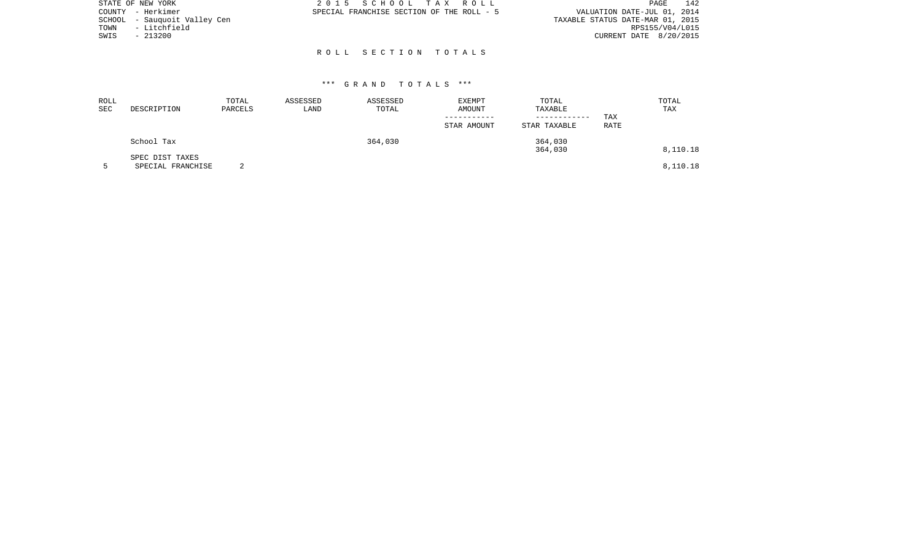|      | STATE OF NEW YORK            | 2015 SCHOOL TAX ROLL |  |                                           | 142<br>PAGE                      |
|------|------------------------------|----------------------|--|-------------------------------------------|----------------------------------|
|      | COUNTY - Herkimer            |                      |  | SPECIAL FRANCHISE SECTION OF THE ROLL - 5 | VALUATION DATE-JUL 01, 2014      |
|      | SCHOOL - Sauguoit Valley Cen |                      |  |                                           | TAXABLE STATUS DATE-MAR 01, 2015 |
| TOWN | - Litchfield                 |                      |  |                                           | RPS155/V04/L015                  |
| SWIS | $-213200$                    |                      |  |                                           | CURRENT DATE 8/20/2015           |
|      |                              |                      |  |                                           |                                  |
|      |                              | ROLL SECTION TOTALS  |  |                                           |                                  |

| ROLL<br>SEC | DESCRIPTION                          | TOTAL<br>PARCELS | ASSESSED<br>LAND | ASSESSED<br>TOTAL | EXEMPT<br>AMOUNT | TOTAL<br>TAXABLE<br>------------ | TAX  | TOTAL<br>TAX |
|-------------|--------------------------------------|------------------|------------------|-------------------|------------------|----------------------------------|------|--------------|
|             |                                      |                  |                  |                   | STAR AMOUNT      | STAR TAXABLE                     | RATE |              |
|             | School Tax                           |                  |                  | 364,030           |                  | 364,030<br>364,030               |      | 8,110.18     |
|             | SPEC DIST TAXES<br>SPECIAL FRANCHISE | $\sim$           |                  |                   |                  |                                  |      | 8,110.18     |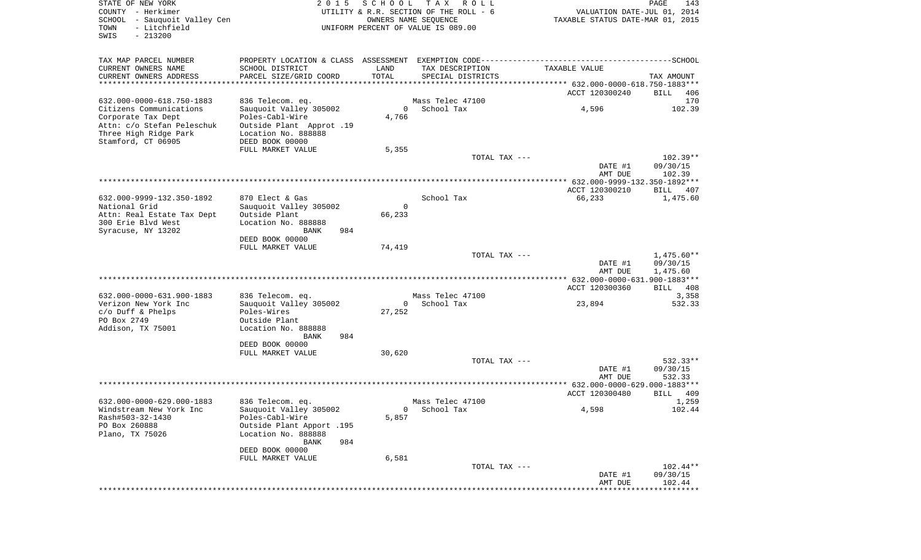| STATE OF NEW YORK<br>COUNTY - Herkimer<br>SCHOOL<br>- Sauquoit Valley Cen<br>- Litchfield<br>TOWN<br>SWIS<br>$-213200$     | 2 0 1 5                                                                                                                                             | SCHOOL        | TAX ROLL<br>UTILITY & R.R. SECTION OF THE ROLL - 6<br>OWNERS NAME SEQUENCE<br>UNIFORM PERCENT OF VALUE IS 089.00 | VALUATION DATE-JUL 01, 2014<br>TAXABLE STATUS DATE-MAR 01, 2015 | PAGE<br>143                        |
|----------------------------------------------------------------------------------------------------------------------------|-----------------------------------------------------------------------------------------------------------------------------------------------------|---------------|------------------------------------------------------------------------------------------------------------------|-----------------------------------------------------------------|------------------------------------|
| TAX MAP PARCEL NUMBER<br>CURRENT OWNERS NAME<br>CURRENT OWNERS ADDRESS<br>***********************                          | SCHOOL DISTRICT<br>PARCEL SIZE/GRID COORD                                                                                                           | LAND<br>TOTAL | TAX DESCRIPTION<br>SPECIAL DISTRICTS                                                                             | TAXABLE VALUE                                                   | TAX AMOUNT                         |
|                                                                                                                            |                                                                                                                                                     |               |                                                                                                                  | ACCT 120300240                                                  | BILL<br>406                        |
| 632.000-0000-618.750-1883                                                                                                  | 836 Telecom. eq.                                                                                                                                    |               | Mass Telec 47100                                                                                                 |                                                                 | 170                                |
| Citizens Communications<br>Corporate Tax Dept<br>Attn: c/o Stefan Peleschuk<br>Three High Ridge Park<br>Stamford, CT 06905 | Sauquoit Valley 305002<br>Poles-Cabl-Wire<br>Outside Plant Approt .19<br>Location No. 888888<br>DEED BOOK 00000                                     | 4,766         | 0 School Tax                                                                                                     | 4,596                                                           | 102.39                             |
|                                                                                                                            | FULL MARKET VALUE                                                                                                                                   | 5,355         |                                                                                                                  |                                                                 |                                    |
|                                                                                                                            |                                                                                                                                                     |               | TOTAL TAX ---                                                                                                    | DATE #1                                                         | $102.39**$<br>09/30/15             |
|                                                                                                                            |                                                                                                                                                     |               |                                                                                                                  | AMT DUE<br>ACCT 120300210                                       | 102.39<br>BILL<br>-407             |
| 632.000-9999-132.350-1892<br>National Grid<br>Attn: Real Estate Tax Dept<br>300 Erie Blvd West<br>Syracuse, NY 13202       | 870 Elect & Gas<br>Sauguoit Valley 305002<br>Outside Plant<br>Location No. 888888<br>984<br>BANK<br>DEED BOOK 00000                                 | 0<br>66,233   | School Tax                                                                                                       | 66,233                                                          | 1,475.60                           |
|                                                                                                                            | FULL MARKET VALUE                                                                                                                                   | 74,419        |                                                                                                                  |                                                                 |                                    |
|                                                                                                                            |                                                                                                                                                     |               | TOTAL TAX ---                                                                                                    | DATE #1<br>AMT DUE                                              | 1,475.60**<br>09/30/15<br>1,475.60 |
|                                                                                                                            |                                                                                                                                                     |               |                                                                                                                  | ACCT 120300360                                                  | BILL 408                           |
| 632.000-0000-631.900-1883                                                                                                  | 836 Telecom. eq.                                                                                                                                    |               | Mass Telec 47100                                                                                                 |                                                                 | 3,358                              |
| Verizon New York Inc<br>$c/O$ Duff & Phelps<br>PO Box 2749<br>Addison, TX 75001                                            | Sauquoit Valley 305002<br>Poles-Wires<br>Outside Plant<br>Location No. 888888<br><b>BANK</b><br>984<br>DEED BOOK 00000                              | 0<br>27,252   | School Tax                                                                                                       | 23,894                                                          | 532.33                             |
|                                                                                                                            | FULL MARKET VALUE                                                                                                                                   | 30,620        | TOTAL TAX ---                                                                                                    |                                                                 | 532.33**                           |
|                                                                                                                            |                                                                                                                                                     |               |                                                                                                                  | DATE #1<br>AMT DUE                                              | 09/30/15<br>532.33                 |
|                                                                                                                            |                                                                                                                                                     |               |                                                                                                                  | ACCT 120300480                                                  | BILL<br>409                        |
| 632.000-0000-629.000-1883<br>Windstream New York Inc<br>Rash#503-32-1430<br>PO Box 260888<br>Plano, TX 75026               | 836 Telecom. eq.<br>Sauquoit Valley 305002<br>Poles-Cabl-Wire<br>Outside Plant Apport .195<br>Location No. 888888<br>984<br>BANK<br>DEED BOOK 00000 | 5,857         | Mass Telec 47100<br>0 School Tax                                                                                 | 4,598                                                           | 1,259<br>102.44                    |
|                                                                                                                            | FULL MARKET VALUE                                                                                                                                   | 6,581         |                                                                                                                  |                                                                 |                                    |
|                                                                                                                            |                                                                                                                                                     |               | TOTAL TAX ---                                                                                                    |                                                                 | $102.44**$                         |
|                                                                                                                            |                                                                                                                                                     |               |                                                                                                                  | DATE #1                                                         | 09/30/15                           |
|                                                                                                                            |                                                                                                                                                     |               |                                                                                                                  | AMT DUE<br>***************************                          | 102.44                             |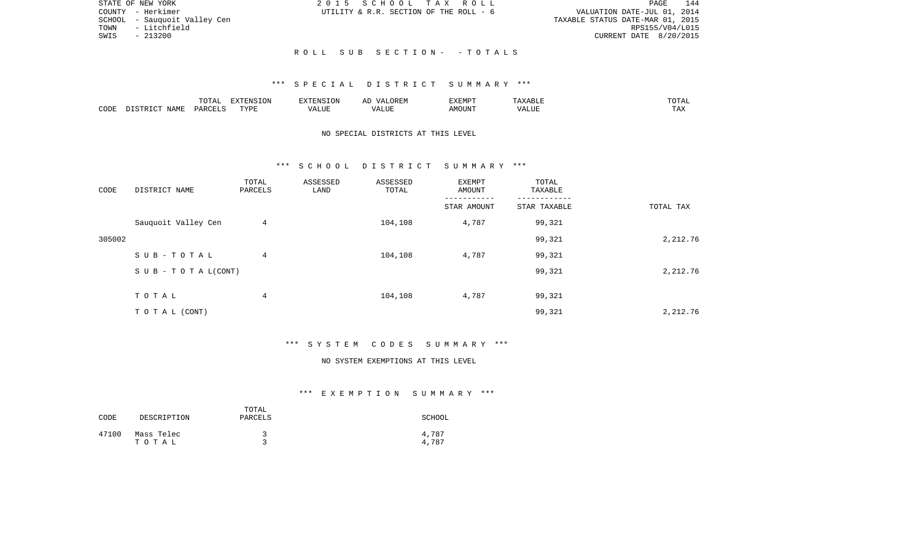|      | STATE OF NEW YORK            |  |  | 2015 SCHOOL TAX ROLL                   |                                  |                        | PAGE | 144 |
|------|------------------------------|--|--|----------------------------------------|----------------------------------|------------------------|------|-----|
|      | COUNTY - Herkimer            |  |  | UTILITY & R.R. SECTION OF THE ROLL - 6 | VALUATION DATE-JUL 01, 2014      |                        |      |     |
|      | SCHOOL - Sauquoit Valley Cen |  |  |                                        | TAXABLE STATUS DATE-MAR 01, 2015 |                        |      |     |
| TOWN | - Litchfield                 |  |  |                                        |                                  | RPS155/V04/L015        |      |     |
| SWIS | $-213200$                    |  |  |                                        |                                  | CURRENT DATE 8/20/2015 |      |     |
|      |                              |  |  |                                        |                                  |                        |      |     |
|      |                              |  |  | ROLL SUB SECTION- -TOTALS              |                                  |                        |      |     |

|      |                    | $m \wedge m \wedge n$<br>LUIAL | $\Box$<br>⊃ו∧ו<br>T OV |         | ? H∶IV<br>تستحدث         | "VEMPT<br>BABMP | YABL.          | $m \wedge m \wedge r$ |
|------|--------------------|--------------------------------|------------------------|---------|--------------------------|-----------------|----------------|-----------------------|
| CODE | <b>NAME</b><br>TD. | <b>DARCET</b>                  | TVDI                   | اللالمد | $\sqrt{ }$<br>۳۰ تا سند. | AMOUNT          | 77777<br>'Alul | $-1$<br>L A A         |

## NO SPECIAL DISTRICTS AT THIS LEVEL

#### \*\*\* S C H O O L D I S T R I C T S U M M A R Y \*\*\*

| CODE   | DISTRICT NAME             | TOTAL<br>PARCELS | ASSESSED<br>LAND | ASSESSED<br>TOTAL | EXEMPT<br>AMOUNT | TOTAL<br>TAXABLE |           |
|--------|---------------------------|------------------|------------------|-------------------|------------------|------------------|-----------|
|        |                           |                  |                  |                   | STAR AMOUNT      | STAR TAXABLE     | TOTAL TAX |
|        | Sauquoit Valley Cen       | 4                |                  | 104,108           | 4,787            | 99,321           |           |
| 305002 |                           |                  |                  |                   |                  | 99,321           | 2,212.76  |
|        | SUB-TOTAL                 | $\overline{4}$   |                  | 104,108           | 4,787            | 99,321           |           |
|        | S U B - T O T A $L(CONT)$ |                  |                  |                   |                  | 99,321           | 2,212.76  |
|        | TOTAL                     | 4                |                  | 104,108           | 4,787            | 99,321           |           |
|        |                           |                  |                  |                   |                  |                  |           |
|        | T O T A L (CONT)          |                  |                  |                   |                  | 99,321           | 2,212.76  |

## \*\*\* S Y S T E M C O D E S S U M M A R Y \*\*\*

#### NO SYSTEM EXEMPTIONS AT THIS LEVEL

| CODE  | DESCRIPTION         | TOTAL<br>PARCELS | SCHOOL         |
|-------|---------------------|------------------|----------------|
| 47100 | Mass Telec<br>тотаь |                  | 4,787<br>4,787 |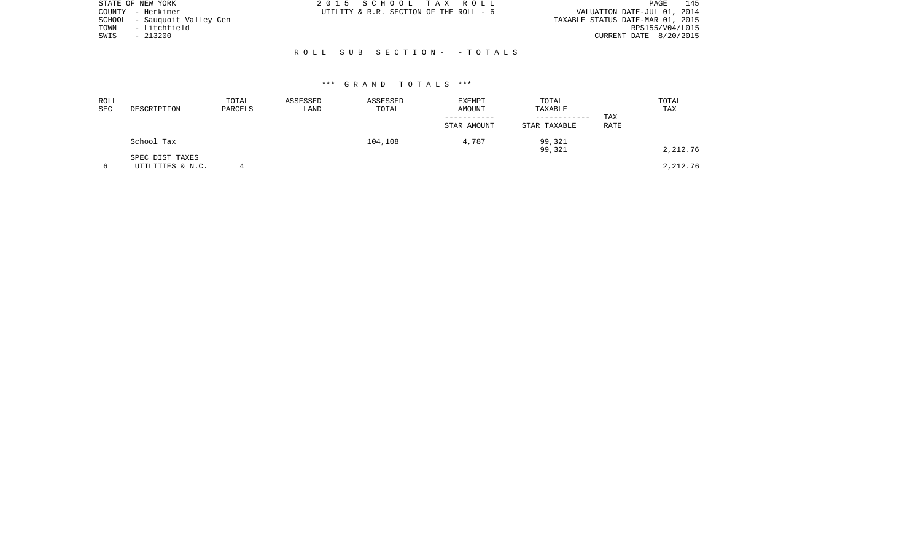|      | STATE OF NEW YORK            | 2015 SCHOOL TAX ROLL                                                  | PAGE 145 |
|------|------------------------------|-----------------------------------------------------------------------|----------|
|      | COUNTY - Herkimer            | VALUATION DATE-JUL 01, 2014<br>UTILITY & R.R. SECTION OF THE ROLL - 6 |          |
|      | SCHOOL - Sauquoit Valley Cen | TAXABLE STATUS DATE-MAR 01, 2015                                      |          |
| TOWN | - Litchfield                 | RPS155/V04/L015                                                       |          |
| SWIS | $-213200$                    | CURRENT DATE 8/20/2015                                                |          |
|      |                              |                                                                       |          |
|      |                              | ROLL SUB SECTION- - TOTALS                                            |          |

| ROLL<br>SEC | DESCRIPTION                         | TOTAL<br>PARCELS | ASSESSED<br>LAND | ASSESSED<br>TOTAL | EXEMPT<br>AMOUNT | TOTAL<br>TAXABLE             |             | TOTAL<br>TAX |
|-------------|-------------------------------------|------------------|------------------|-------------------|------------------|------------------------------|-------------|--------------|
|             |                                     |                  |                  |                   | STAR AMOUNT      | ------------<br>STAR TAXABLE | TAX<br>RATE |              |
|             | School Tax                          |                  |                  | 104,108           | 4,787            | 99,321<br>99,321             |             | 2,212.76     |
|             | SPEC DIST TAXES<br>UTILITIES & N.C. |                  |                  |                   |                  |                              |             | 2,212.76     |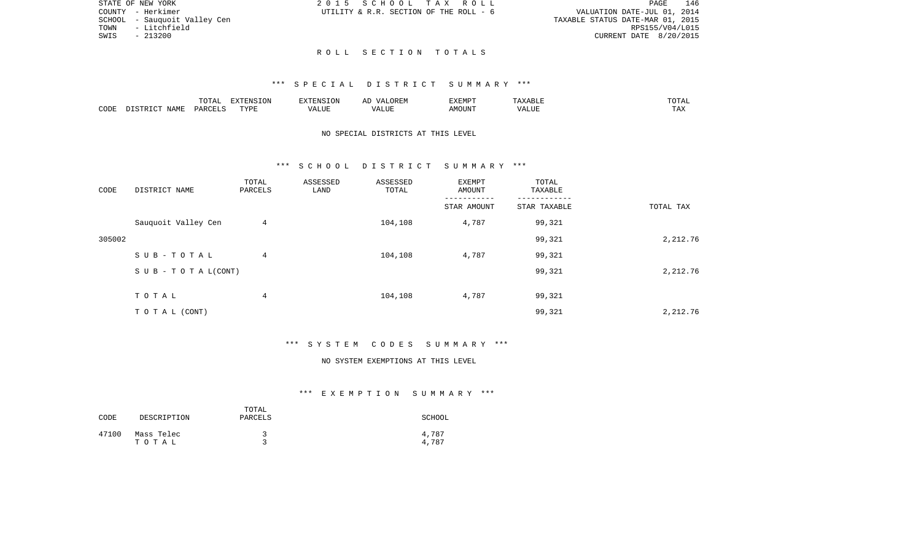| STATE OF NEW YORK             | 2015 SCHOOL TAX ROLL                   |  |  |                                  |                        | PAGE | 146 |
|-------------------------------|----------------------------------------|--|--|----------------------------------|------------------------|------|-----|
| COUNTY - Herkimer             | UTILITY & R.R. SECTION OF THE ROLL - 6 |  |  | VALUATION DATE-JUL 01, 2014      |                        |      |     |
| SCHOOL  – Sauquoit Valley Cen |                                        |  |  | TAXABLE STATUS DATE-MAR 01, 2015 |                        |      |     |
| - Litchfield<br>TOWN          |                                        |  |  |                                  | RPS155/V04/L015        |      |     |
| SWIS<br>- 213200              |                                        |  |  |                                  | CURRENT DATE 8/20/2015 |      |     |
|                               |                                        |  |  |                                  |                        |      |     |

R O L L S E C T I O N T O T A L S

|      |                    | $\blacksquare \cap \blacksquare \blacksquare$<br>TOTAL | EXTENSION | -------  | $\sqrt{ }$ | EXEMPT |                | $m \wedge m$<br>$\cdot$ . $\blacksquare$<br>. |
|------|--------------------|--------------------------------------------------------|-----------|----------|------------|--------|----------------|-----------------------------------------------|
| CODE | JAMF<br>$T \cap T$ | C <sub>MT</sub><br>PAP'                                | TYPF<br>. | $\cdots$ |            | JUN    | - ---<br>'ALUL | $-1$<br>.                                     |

## NO SPECIAL DISTRICTS AT THIS LEVEL

#### \*\*\* S C H O O L D I S T R I C T S U M M A R Y \*\*\*

| CODE   | DISTRICT NAME                    | TOTAL<br>PARCELS | ASSESSED<br>LAND | ASSESSED<br>TOTAL | EXEMPT<br>AMOUNT | TOTAL<br>TAXABLE |           |
|--------|----------------------------------|------------------|------------------|-------------------|------------------|------------------|-----------|
|        |                                  |                  |                  |                   | STAR AMOUNT      | STAR TAXABLE     | TOTAL TAX |
|        | Sauquoit Valley Cen              | 4                |                  | 104,108           | 4,787            | 99,321           |           |
| 305002 |                                  |                  |                  |                   |                  | 99,321           | 2,212.76  |
|        | SUB-TOTAL                        | 4                |                  | 104,108           | 4,787            | 99,321           |           |
|        | $S \cup B - T \cup T A L (CONT)$ |                  |                  |                   |                  | 99,321           | 2,212.76  |
|        | TOTAL                            | 4                |                  | 104,108           | 4,787            | 99,321           |           |
|        | T O T A L (CONT)                 |                  |                  |                   |                  | 99,321           | 2,212.76  |

## \*\*\* S Y S T E M C O D E S S U M M A R Y \*\*\*

#### NO SYSTEM EXEMPTIONS AT THIS LEVEL

| CODE  | DESCRIPTION         | TOTAL<br>PARCELS | SCHOOL         |
|-------|---------------------|------------------|----------------|
| 47100 | Mass Telec<br>тотаь |                  | 4,787<br>4,787 |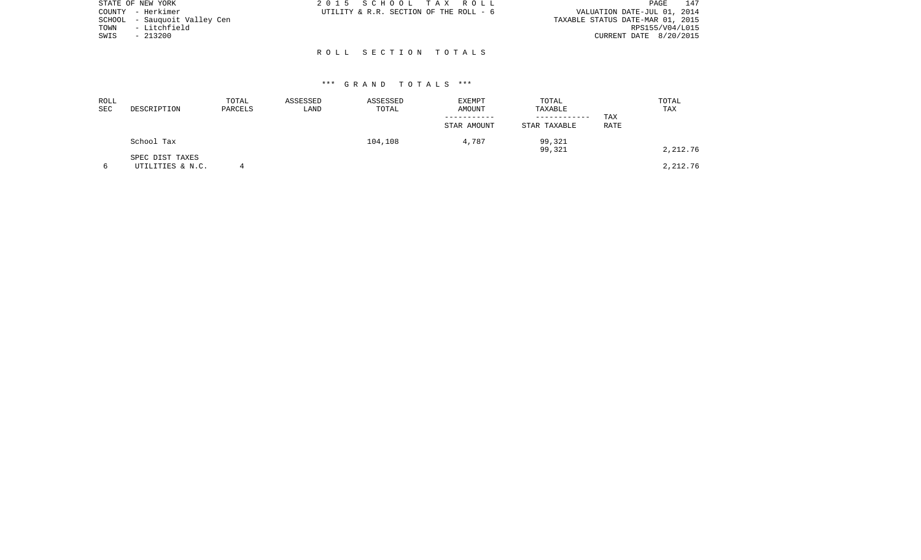|      | STATE OF NEW YORK            | 2015 SCHOOL TAX ROLL                   |  |  | PAGE 147                         |
|------|------------------------------|----------------------------------------|--|--|----------------------------------|
|      | COUNTY - Herkimer            | UTILITY & R.R. SECTION OF THE ROLL - 6 |  |  | VALUATION DATE-JUL 01, 2014      |
|      | SCHOOL - Sauguoit Valley Cen |                                        |  |  | TAXABLE STATUS DATE-MAR 01, 2015 |
| TOWN | - Litchfield                 |                                        |  |  | RPS155/V04/L015                  |
| SWIS | $-213200$                    |                                        |  |  | CURRENT DATE 8/20/2015           |
|      |                              |                                        |  |  |                                  |
|      |                              | ROLL SECTION TOTALS                    |  |  |                                  |

| ROLL<br>SEC | DESCRIPTION                         | TOTAL<br>PARCELS | ASSESSED<br>LAND | ASSESSED<br>TOTAL | EXEMPT<br>AMOUNT | TOTAL<br>TAXABLE             |             | TOTAL<br>TAX |
|-------------|-------------------------------------|------------------|------------------|-------------------|------------------|------------------------------|-------------|--------------|
|             |                                     |                  |                  |                   | STAR AMOUNT      | ------------<br>STAR TAXABLE | TAX<br>RATE |              |
|             | School Tax                          |                  |                  | 104,108           | 4,787            | 99,321<br>99,321             |             | 2,212.76     |
|             | SPEC DIST TAXES<br>UTILITIES & N.C. |                  |                  |                   |                  |                              |             | 2,212.76     |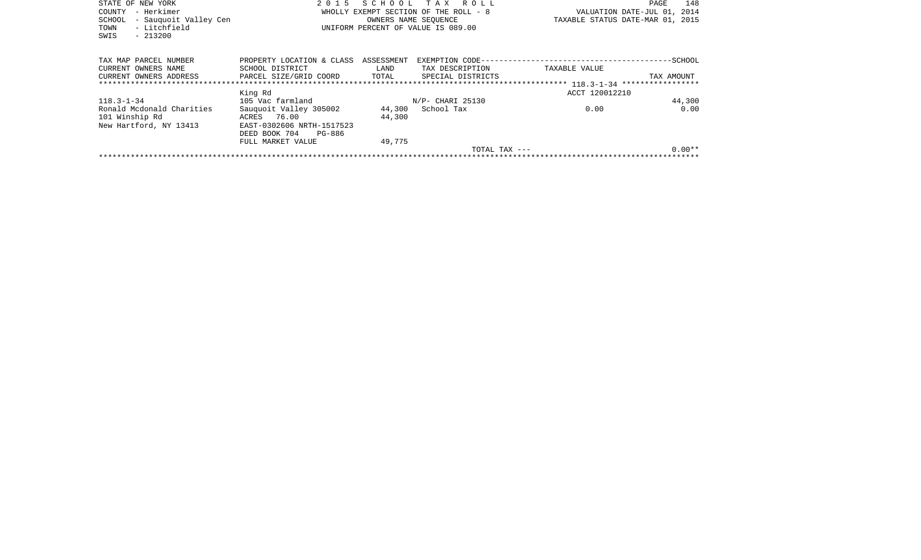| STATE OF NEW YORK               | 2 0 1 5                   |            | SCHOOL TAX ROLL                       |                | 148<br>PAGE                      |
|---------------------------------|---------------------------|------------|---------------------------------------|----------------|----------------------------------|
| – Herkimer<br>COUNTY            |                           |            | WHOLLY EXEMPT SECTION OF THE ROLL - 8 |                | VALUATION DATE-JUL 01, 2014      |
| - Sauguoit Valley Cen<br>SCHOOL |                           |            | OWNERS NAME SEOUENCE                  |                | TAXABLE STATUS DATE-MAR 01, 2015 |
| - Litchfield<br>TOWN            |                           |            | UNIFORM PERCENT OF VALUE IS 089.00    |                |                                  |
| SWIS<br>$-213200$               |                           |            |                                       |                |                                  |
|                                 |                           |            |                                       |                |                                  |
|                                 |                           |            |                                       |                |                                  |
| TAX MAP PARCEL NUMBER           | PROPERTY LOCATION & CLASS | ASSESSMENT |                                       |                |                                  |
| CURRENT OWNERS NAME             | SCHOOL DISTRICT           | LAND       | TAX DESCRIPTION                       | TAXABLE VALUE  |                                  |
| CURRENT OWNERS ADDRESS          | PARCEL SIZE/GRID COORD    | TOTAL      | SPECIAL DISTRICTS                     |                | TAX AMOUNT                       |
| ******************************  |                           |            |                                       |                |                                  |
|                                 | King Rd                   |            |                                       | ACCT 120012210 |                                  |
| $118.3 - 1 - 34$                | 105 Vac farmland          |            | N/P- CHARI 25130                      |                | 44,300                           |
| Ronald Mcdonald Charities       | Sauquoit Valley 305002    |            | 44,300 School Tax                     | 0.00           | 0.00                             |
| 101 Winship Rd                  | ACRES 76.00               | 44,300     |                                       |                |                                  |
| New Hartford, NY 13413          | EAST-0302606 NRTH-1517523 |            |                                       |                |                                  |
|                                 | DEED BOOK 704<br>PG-886   |            |                                       |                |                                  |
|                                 | FULL MARKET VALUE         | 49,775     |                                       |                |                                  |
|                                 |                           |            |                                       | TOTAL TAX ---  | $0.00**$                         |
|                                 |                           |            |                                       |                |                                  |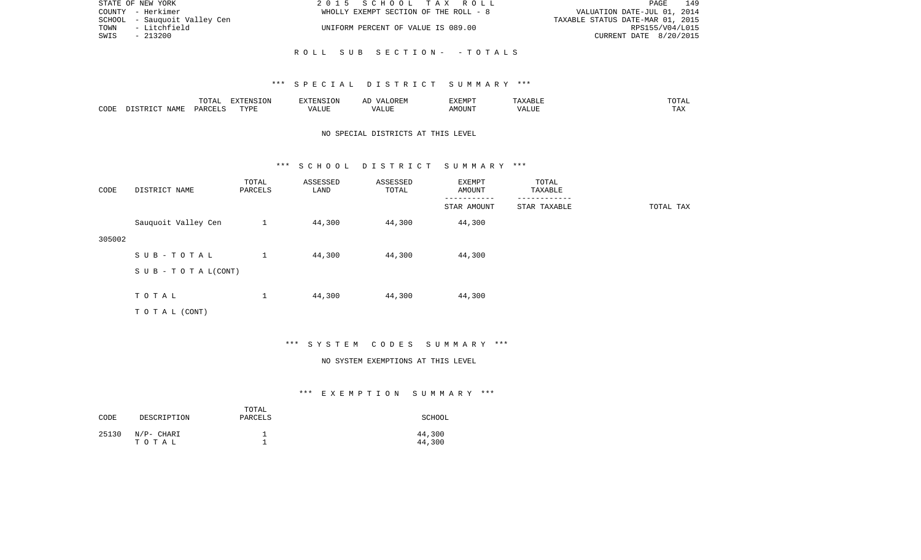| STATE OF NEW YORK            | 2015 SCHOOL TAX ROLL                  | 149<br>PAGE                      |
|------------------------------|---------------------------------------|----------------------------------|
| COUNTY - Herkimer            | WHOLLY EXEMPT SECTION OF THE ROLL - 8 | VALUATION DATE-JUL 01, 2014      |
| SCHOOL - Sauguoit Valley Cen |                                       | TAXABLE STATUS DATE-MAR 01, 2015 |
| - Litchfield<br>TOWN         | UNIFORM PERCENT OF VALUE IS 089.00    | RPS155/V04/L015                  |
| SWIS<br>$-213200$            |                                       | CURRENT DATE 8/20/2015           |
|                              |                                       |                                  |
|                              | ROLL SUB SECTION- -TOTALS             |                                  |

|      |       | <b>momm</b><br>◡∸ェ                 | סוותח<br>ות∩⊤<br>- 77 | ∴N.≻   | $\sqrt{ }$ | :XEMP' |       | $   -$ |
|------|-------|------------------------------------|-----------------------|--------|------------|--------|-------|--------|
| CODE | NAME. | $\ldots$ DORT $\tau$<br><b>UAR</b> | <b>TIZE</b>           | al J M |            | MOUN'  | 'ALUL | د⊿ت.   |

## NO SPECIAL DISTRICTS AT THIS LEVEL

#### \*\*\* S C H O O L D I S T R I C T S U M M A R Y \*\*\*

| CODE   | DISTRICT NAME                    | TOTAL<br>PARCELS | ASSESSED<br>LAND | ASSESSED<br>TOTAL | EXEMPT<br>AMOUNT | TOTAL<br>TAXABLE |           |
|--------|----------------------------------|------------------|------------------|-------------------|------------------|------------------|-----------|
|        |                                  |                  |                  |                   | STAR AMOUNT      | STAR TAXABLE     | TOTAL TAX |
|        | Sauquoit Valley Cen              | $\mathbf{1}$     | 44,300           | 44,300            | 44,300           |                  |           |
| 305002 |                                  |                  |                  |                   |                  |                  |           |
|        | SUB-TOTAL                        | $\mathbf{1}$     | 44,300           | 44,300            | 44,300           |                  |           |
|        | $S \cup B - T \cup T A L (CONT)$ |                  |                  |                   |                  |                  |           |
|        |                                  |                  |                  |                   |                  |                  |           |
|        | TOTAL                            | $\mathbf 1$      | 44,300           | 44,300            | 44,300           |                  |           |
|        | TOTAL (CONT)                     |                  |                  |                   |                  |                  |           |

#### \*\*\* S Y S T E M C O D E S S U M M A R Y \*\*\*

#### NO SYSTEM EXEMPTIONS AT THIS LEVEL

| CODE  | DESCRIPTION         | TOTAL<br>PARCELS | SCHOOL           |
|-------|---------------------|------------------|------------------|
| 25130 | N/P- CHARI<br>тотаь |                  | 44,300<br>44,300 |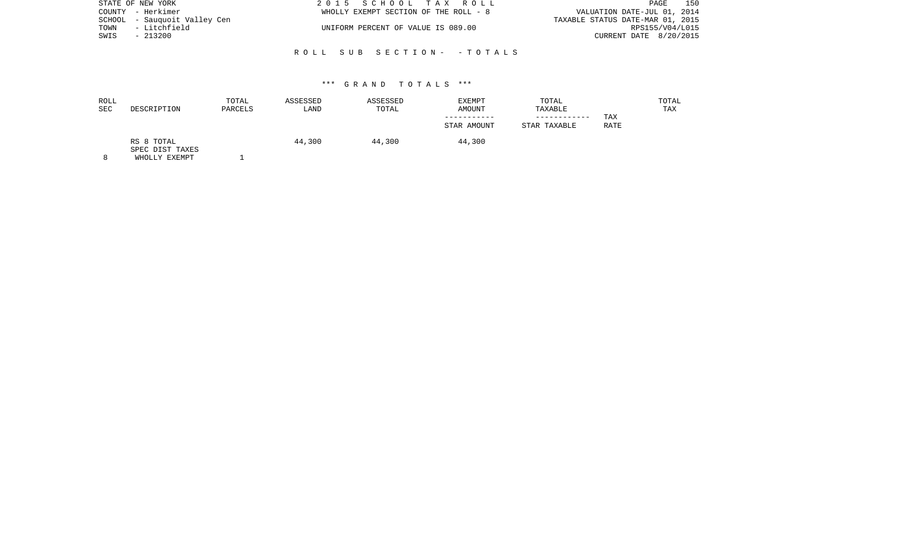|      | STATE OF NEW YORK            | 2015 SCHOOL TAX ROLL                  | 150<br>PAGE                      |
|------|------------------------------|---------------------------------------|----------------------------------|
|      | COUNTY - Herkimer            | WHOLLY EXEMPT SECTION OF THE ROLL - 8 | VALUATION DATE-JUL 01, 2014      |
|      | SCHOOL - Sauguoit Valley Cen |                                       | TAXABLE STATUS DATE-MAR 01, 2015 |
| TOWN | - Litchfield                 | UNIFORM PERCENT OF VALUE IS 089.00    | RPS155/V04/L015                  |
| SWIS | - 213200                     |                                       | CURRENT DATE 8/20/2015           |
|      |                              |                                       |                                  |

# R O L L S U B S E C T I O N - - T O T A L S

#### \*\*\* G R A N D T O T A L S \*\*\*

| ROLL<br>SEC | DESCRIPTION                   | TOTAL<br>PARCELS | ASSESSED<br>LAND | ASSESSED<br>TOTAL | EXEMPT<br>AMOUNT | TOTAL<br>TAXABLE |      | TOTAL<br><b>TAX</b> |
|-------------|-------------------------------|------------------|------------------|-------------------|------------------|------------------|------|---------------------|
|             |                               |                  |                  |                   |                  |                  | TAX  |                     |
|             |                               |                  |                  |                   | STAR AMOUNT      | STAR TAXABLE     | RATE |                     |
|             | RS 8 TOTAL<br>SPEC DIST TAXES |                  | 44,300           | 44,300            | 44,300           |                  |      |                     |

8 WHOLLY EXEMPT 1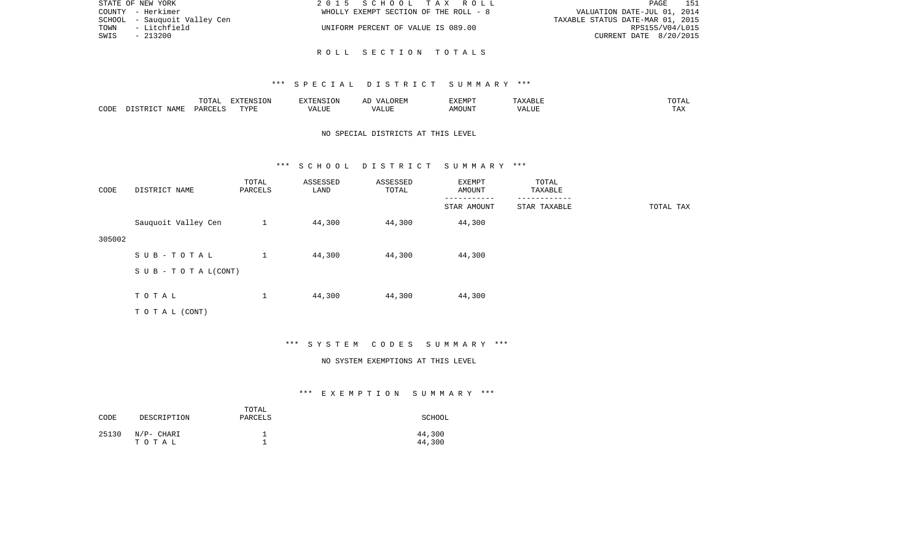| STATE OF NEW YORK            | 2015 SCHOOL TAX ROLL                  | - 151<br>PAGE                    |
|------------------------------|---------------------------------------|----------------------------------|
| COUNTY - Herkimer            | WHOLLY EXEMPT SECTION OF THE ROLL - 8 | VALUATION DATE-JUL 01, 2014      |
| SCHOOL - Sauguoit Valley Cen |                                       | TAXABLE STATUS DATE-MAR 01, 2015 |
| - Litchfield<br>TOWN         | UNIFORM PERCENT OF VALUE IS 089.00    | RPS155/V04/L015                  |
| SWIS<br>$-213200$            |                                       | CURRENT DATE 8/20/2015           |
|                              |                                       |                                  |

R O L L S E C T I O N T O T A L S

|      |                    | $\blacksquare \cap \blacksquare \blacksquare$<br>TOTAL | EXTENSION | -------  | $\sqrt{ }$ | EXEMPT |                | $m \wedge m$<br>$\cdot$ . $\blacksquare$<br>. |
|------|--------------------|--------------------------------------------------------|-----------|----------|------------|--------|----------------|-----------------------------------------------|
| CODE | JAMF<br>$T \cap T$ | C <sub>MT</sub><br>PAP'                                | TYPF<br>. | $\cdots$ |            | JUN    | - ---<br>'ALUL | $-1$<br>.                                     |

## NO SPECIAL DISTRICTS AT THIS LEVEL

#### \*\*\* S C H O O L D I S T R I C T S U M M A R Y \*\*\*

| CODE   | DISTRICT NAME                    | TOTAL<br>PARCELS | ASSESSED<br>LAND | ASSESSED<br>TOTAL | EXEMPT<br>AMOUNT | TOTAL<br>TAXABLE |           |
|--------|----------------------------------|------------------|------------------|-------------------|------------------|------------------|-----------|
|        |                                  |                  |                  |                   | STAR AMOUNT      | STAR TAXABLE     | TOTAL TAX |
|        | Sauquoit Valley Cen              | 1                | 44,300           | 44,300            | 44,300           |                  |           |
| 305002 |                                  |                  |                  |                   |                  |                  |           |
|        | SUB-TOTAL                        | 1                | 44,300           | 44,300            | 44,300           |                  |           |
|        | $S \cup B - T \cup T A L (CONT)$ |                  |                  |                   |                  |                  |           |
|        |                                  |                  |                  |                   |                  |                  |           |
|        | TOTAL                            | $\mathbf 1$      | 44,300           | 44,300            | 44,300           |                  |           |
|        | TO TAL (CONT)                    |                  |                  |                   |                  |                  |           |

## \*\*\* S Y S T E M C O D E S S U M M A R Y \*\*\*

#### NO SYSTEM EXEMPTIONS AT THIS LEVEL

| CODE  | DESCRIPTION         | TOTAL<br>PARCELS | SCHOOL           |
|-------|---------------------|------------------|------------------|
| 25130 | N/P- CHARI<br>тотаь |                  | 44,300<br>44,300 |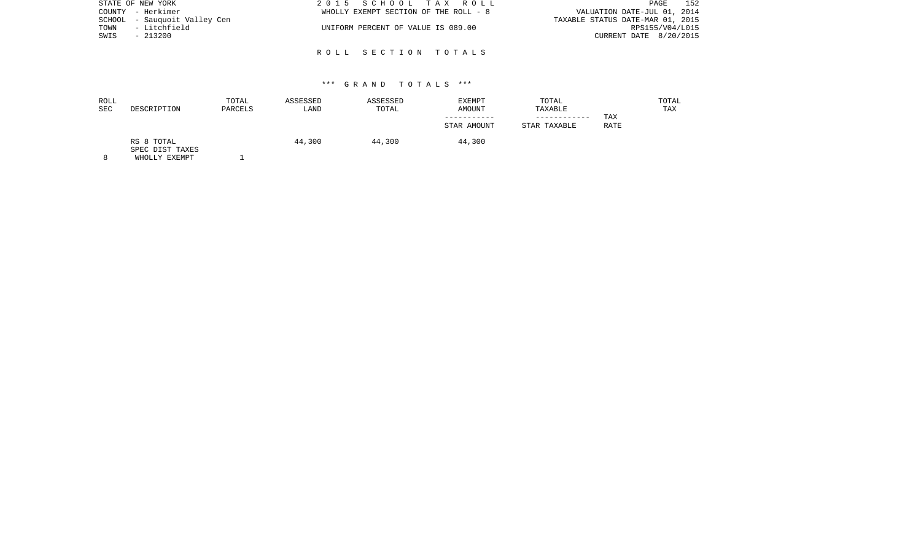| STATE OF NEW YORK            | 2015 SCHOOL TAX ROLL                  | 152<br>PAGE                      |
|------------------------------|---------------------------------------|----------------------------------|
| COUNTY - Herkimer            | WHOLLY EXEMPT SECTION OF THE ROLL - 8 | VALUATION DATE-JUL 01, 2014      |
| SCHOOL - Sauguoit Valley Cen |                                       | TAXABLE STATUS DATE-MAR 01, 2015 |
| - Litchfield<br>TOWN         | UNIFORM PERCENT OF VALUE IS 089.00    | RPS155/V04/L015                  |
| SWIS<br>- 213200             |                                       | CURRENT DATE 8/20/2015           |
|                              |                                       |                                  |

R O L L S E C T I O N T O T A L S

| ROLL<br><b>SEC</b> | DESCRIPTION                   | TOTAL<br>PARCELS | ASSESSED<br>LAND | ASSESSED<br>TOTAL | EXEMPT<br>AMOUNT | TOTAL<br>TAXABLE |             | TOTAL<br>TAX |
|--------------------|-------------------------------|------------------|------------------|-------------------|------------------|------------------|-------------|--------------|
|                    |                               |                  |                  |                   |                  | ----------       | TAX         |              |
|                    |                               |                  |                  |                   | STAR AMOUNT      | STAR TAXABLE     | <b>RATE</b> |              |
|                    | RS 8 TOTAL<br>SPEC DIST TAXES |                  | 44,300           | 44,300            | 44,300           |                  |             |              |

8 WHOLLY EXEMPT 1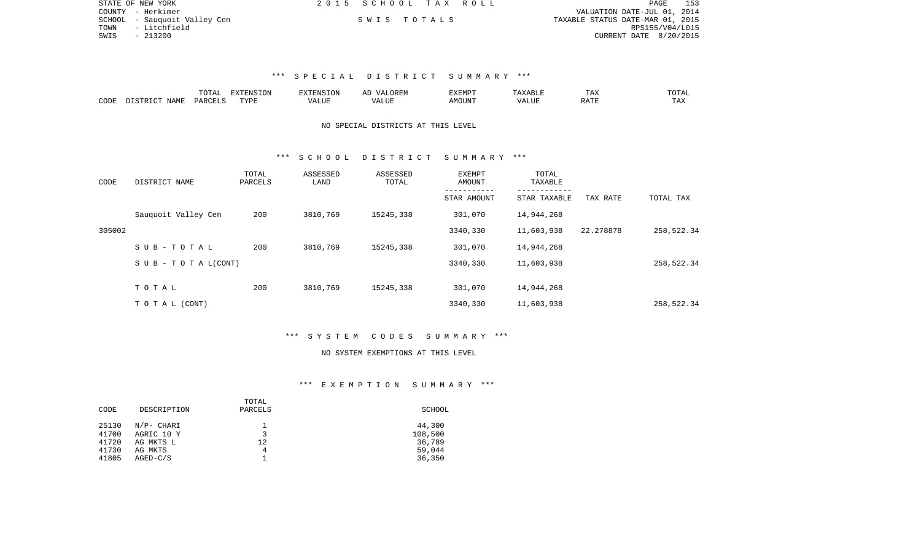| STATE OF NEW YORK            | 2015 SCHOOL TAX ROLL |             |                                  | PAGE                   | 153 |
|------------------------------|----------------------|-------------|----------------------------------|------------------------|-----|
| COUNTY - Herkimer            |                      |             | VALUATION DATE-JUL 01, 2014      |                        |     |
| SCHOOL - Sauquoit Valley Cen |                      | SWIS TOTALS | TAXABLE STATUS DATE-MAR 01, 2015 |                        |     |
| TOWN<br>- Litchfield         |                      |             |                                  | RPS155/V04/L015        |     |
| SWIS<br>- 213200             |                      |             |                                  | CURRENT DATE 8/20/2015 |     |

|                     |                    | ----<br>$\cdots$ |             | אד | A L | ″∽   |                                | ∸⊷           | $- - -$<br>.            |
|---------------------|--------------------|------------------|-------------|----|-----|------|--------------------------------|--------------|-------------------------|
| $\bigcap$ DE:<br>ىت | <b>TAML</b><br>`an | LARCET           | <b>TVDI</b> |    |     | 550T | $\prime\prime\prime\cdot$<br>. | <b>BRACE</b> | $m \times r$<br>- - - - |

## NO SPECIAL DISTRICTS AT THIS LEVEL

### \*\*\* S C H O O L D I S T R I C T S U M M A R Y \*\*\*

| CODE   | DISTRICT NAME                    | TOTAL<br>PARCELS | ASSESSED<br>LAND | ASSESSED<br>TOTAL | EXEMPT<br>AMOUNT | TOTAL<br>TAXABLE<br>------------ |           |            |
|--------|----------------------------------|------------------|------------------|-------------------|------------------|----------------------------------|-----------|------------|
|        |                                  |                  |                  |                   | STAR AMOUNT      | STAR TAXABLE                     | TAX RATE  | TOTAL TAX  |
|        | Sauguoit Valley Cen              | 200              | 3810,769         | 15245,338         | 301,070          | 14,944,268                       |           |            |
| 305002 |                                  |                  |                  |                   | 3340,330         | 11,603,938                       | 22.278878 | 258,522.34 |
|        | SUB-TOTAL                        | 200              | 3810,769         | 15245,338         | 301,070          | 14,944,268                       |           |            |
|        | $S \cup B - T \cup T A L (CONT)$ |                  |                  |                   | 3340,330         | 11,603,938                       |           | 258,522.34 |
|        |                                  |                  |                  |                   |                  |                                  |           |            |
|        | TOTAL                            | 200              | 3810,769         | 15245,338         | 301,070          | 14,944,268                       |           |            |
|        | TO TAL (CONT)                    |                  |                  |                   | 3340,330         | 11,603,938                       |           | 258,522.34 |

### \*\*\* S Y S T E M C O D E S S U M M A R Y \*\*\*

#### NO SYSTEM EXEMPTIONS AT THIS LEVEL

|       |             | TOTAL   |         |
|-------|-------------|---------|---------|
| CODE  | DESCRIPTION | PARCELS | SCHOOL  |
|       |             |         |         |
| 25130 | N/P- CHARI  |         | 44,300  |
| 41700 | AGRIC 10 Y  | J       | 108,500 |
| 41720 | AG MKTS L   | 12      | 36,789  |
| 41730 | AG MKTS     | 4       | 59,044  |
| 41805 | $AGED-C/S$  |         | 36,350  |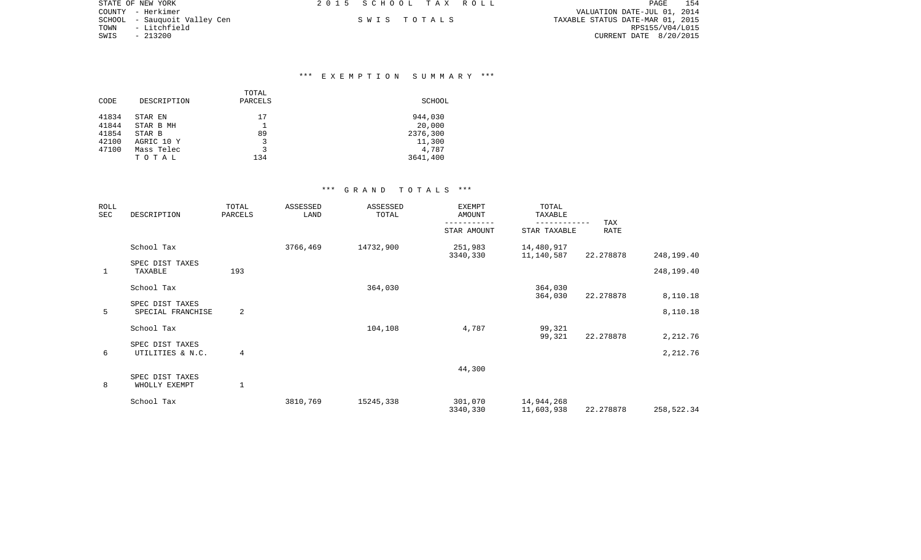|      | STATE OF NEW YORK             | 2015 SCHOOL TAX ROLL |             |                                  | PAGE                   | 154 |
|------|-------------------------------|----------------------|-------------|----------------------------------|------------------------|-----|
|      | COUNTY - Herkimer             |                      |             | VALUATION DATE-JUL 01, 2014      |                        |     |
|      | SCHOOL  – Sauquoit Valley Cen |                      | SWIS TOTALS | TAXABLE STATUS DATE-MAR 01, 2015 |                        |     |
| TOWN | - Litchfield                  |                      |             |                                  | RPS155/V04/L015        |     |
| SWIS | $-213200$                     |                      |             |                                  | CURRENT DATE 8/20/2015 |     |
|      |                               |                      |             |                                  |                        |     |

### \*\*\* E X E M P T I O N S U M M A R Y \*\*\*

| CODE  | DESCRIPTION | TOTAL<br>PARCELS | SCHOOL   |
|-------|-------------|------------------|----------|
| 41834 | STAR EN     | 17               | 944,030  |
| 41844 | STAR B MH   |                  | 20,000   |
| 41854 | STAR B      | 89               | 2376,300 |
| 42100 | AGRIC 10 Y  | 3                | 11,300   |
| 47100 | Mass Telec  | 3                | 4,787    |
|       | TOTAL       | 134              | 3641,400 |

| ROLL<br>SEC  | DESCRIPTION       | TOTAL<br>PARCELS | ASSESSED<br>LAND | ASSESSED<br>TOTAL | <b>EXEMPT</b><br>AMOUNT | TOTAL<br>TAXABLE |             |            |
|--------------|-------------------|------------------|------------------|-------------------|-------------------------|------------------|-------------|------------|
|              |                   |                  |                  |                   | STAR AMOUNT             | STAR TAXABLE     | TAX<br>RATE |            |
|              | School Tax        |                  | 3766,469         | 14732,900         | 251,983                 | 14,480,917       |             |            |
|              | SPEC DIST TAXES   |                  |                  |                   | 3340,330                | 11,140,587       | 22.278878   | 248,199.40 |
| $\mathbf{1}$ | TAXABLE           | 193              |                  |                   |                         |                  |             | 248,199.40 |
|              | School Tax        |                  |                  | 364,030           |                         | 364,030          |             |            |
|              |                   |                  |                  |                   |                         | 364,030          | 22.278878   | 8,110.18   |
|              | SPEC DIST TAXES   |                  |                  |                   |                         |                  |             |            |
| 5            | SPECIAL FRANCHISE | 2                |                  |                   |                         |                  |             | 8,110.18   |
|              | School Tax        |                  |                  | 104,108           | 4,787                   | 99,321           |             |            |
|              |                   |                  |                  |                   |                         | 99,321           | 22.278878   | 2,212.76   |
|              | SPEC DIST TAXES   |                  |                  |                   |                         |                  |             |            |
| 6            | UTILITIES & N.C.  | 4                |                  |                   |                         |                  |             | 2,212.76   |
|              |                   |                  |                  |                   | 44,300                  |                  |             |            |
|              | SPEC DIST TAXES   |                  |                  |                   |                         |                  |             |            |
| 8            | WHOLLY EXEMPT     | $\mathbf{1}$     |                  |                   |                         |                  |             |            |
|              | School Tax        |                  | 3810,769         | 15245,338         | 301,070                 | 14,944,268       |             |            |
|              |                   |                  |                  |                   | 3340,330                | 11,603,938       | 22.278878   | 258,522.34 |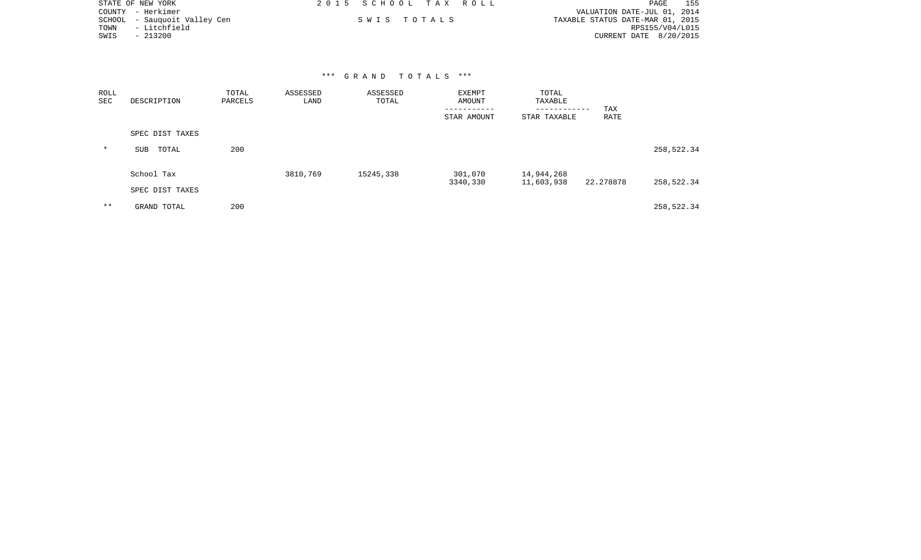|      | STATE OF NEW YORK            | 2015 SCHOOL TAX ROLL | 155<br>PAGE                      |
|------|------------------------------|----------------------|----------------------------------|
|      | COUNTY - Herkimer            |                      | VALUATION DATE-JUL 01, 2014      |
|      | SCHOOL - Sauguoit Valley Cen | SWIS TOTALS          | TAXABLE STATUS DATE-MAR 01, 2015 |
| TOWN | - Litchfield                 |                      | RPS155/V04/L015                  |
| SWIS | - 213200                     |                      | CURRENT DATE 8/20/2015           |

| ROLL<br>SEC | DESCRIPTION     | TOTAL<br>PARCELS | ASSESSED<br>LAND | ASSESSED<br>TOTAL | EXEMPT<br>AMOUNT<br>STAR AMOUNT | TOTAL<br>TAXABLE<br>------------<br>STAR TAXABLE | TAX<br>RATE |            |  |
|-------------|-----------------|------------------|------------------|-------------------|---------------------------------|--------------------------------------------------|-------------|------------|--|
|             | SPEC DIST TAXES |                  |                  |                   |                                 |                                                  |             |            |  |
| $\star$     | TOTAL<br>SUB    | 200              |                  |                   |                                 |                                                  |             | 258,522.34 |  |
|             | School Tax      |                  | 3810,769         | 15245,338         | 301,070<br>3340,330             | 14,944,268                                       | 22.278878   |            |  |
|             | SPEC DIST TAXES |                  |                  |                   |                                 | 11,603,938                                       |             | 258,522.34 |  |
| $* *$       | GRAND TOTAL     | 200              |                  |                   |                                 |                                                  |             | 258,522.34 |  |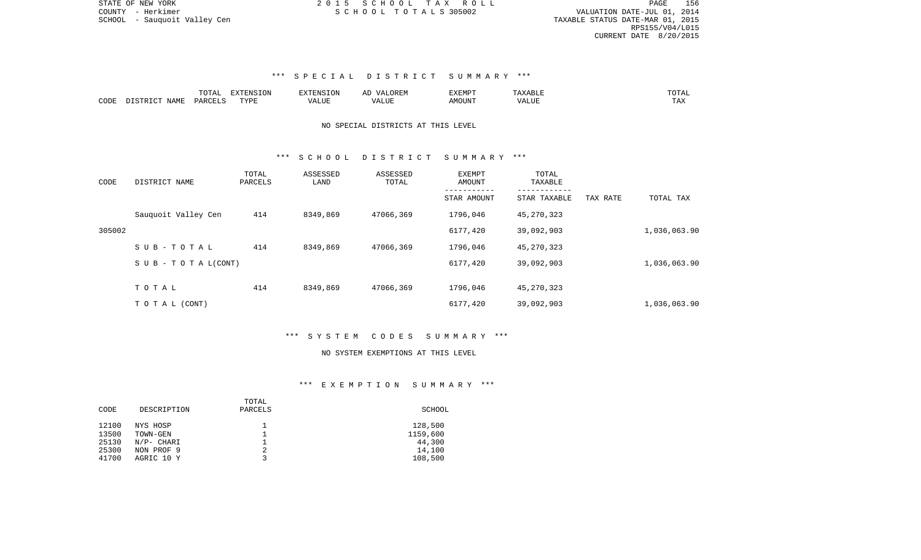PAGE 156 SCHOOL - Sauquoit Valley Cen TAXABLE STATUS DATE-MAR 01, 2015 RPS155/V04/L015 CURRENT DATE 8/20/2015

## \*\*\* S P E C I A L D I S T R I C T S U M M A R Y \*\*\*

|      |                                    | ™∩m⊼                | $\Box$<br>אד∩⊤ר | TENSION     | OREN<br><u>ма</u><br>$\cdots$ | 1177715777<br>'Y FIAI- | متر المالات المنافسة المتواصل | $m \wedge m \wedge r$<br>'UIAL |
|------|------------------------------------|---------------------|-----------------|-------------|-------------------------------|------------------------|-------------------------------|--------------------------------|
| CODE | NAME.<br>$T \cap T$<br>ד פידי אירה | PARCEL <sup>*</sup> | TVDF            | ۰Δ۱<br>人工门户 | ∖ ∟ ∪                         | MOUN".                 |                               | LAZ                            |

## NO SPECIAL DISTRICTS AT THIS LEVEL

### \*\*\* S C H O O L D I S T R I C T S U M M A R Y \*\*\*

| CODE   | DISTRICT NAME                    | TOTAL<br>PARCELS | ASSESSED<br>LAND | ASSESSED<br>TOTAL | EXEMPT<br>AMOUNT | TOTAL<br>TAXABLE |          |              |
|--------|----------------------------------|------------------|------------------|-------------------|------------------|------------------|----------|--------------|
|        |                                  |                  |                  |                   | STAR AMOUNT      | STAR TAXABLE     | TAX RATE | TOTAL TAX    |
|        | Sauguoit Valley Cen              | 414              | 8349,869         | 47066,369         | 1796,046         | 45,270,323       |          |              |
| 305002 |                                  |                  |                  |                   | 6177,420         | 39,092,903       |          | 1,036,063.90 |
|        | SUB-TOTAL                        | 414              | 8349,869         | 47066,369         | 1796,046         | 45,270,323       |          |              |
|        | $S \cup B - T \cup T A L (CONT)$ |                  |                  |                   | 6177,420         | 39,092,903       |          | 1,036,063.90 |
|        | TOTAL                            | 414              | 8349,869         | 47066,369         | 1796,046         | 45,270,323       |          |              |
|        |                                  |                  |                  |                   |                  |                  |          |              |
|        | T O T A L (CONT)                 |                  |                  |                   | 6177,420         | 39,092,903       |          | 1,036,063.90 |

## \*\*\* S Y S T E M C O D E S S U M M A R Y \*\*\*

#### NO SYSTEM EXEMPTIONS AT THIS LEVEL

|       |             | TOTAL   |          |
|-------|-------------|---------|----------|
| CODE  | DESCRIPTION | PARCELS | SCHOOL   |
|       |             |         |          |
| 12100 | NYS HOSP    |         | 128,500  |
| 13500 | TOWN-GEN    |         | 1159,600 |
| 25130 | N/P- CHARI  |         | 44,300   |
| 25300 | NON PROF 9  |         | 14,100   |
| 41700 | AGRIC 10 Y  |         | 108,500  |